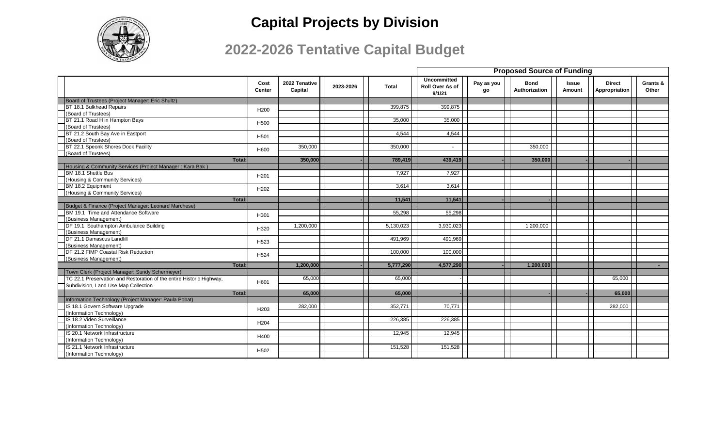

|                                                                      |                       |                          |           |           |                                                 | <b>Proposed Source of Funding</b> |                              |                        |                                |                   |  |  |
|----------------------------------------------------------------------|-----------------------|--------------------------|-----------|-----------|-------------------------------------------------|-----------------------------------|------------------------------|------------------------|--------------------------------|-------------------|--|--|
|                                                                      | Cost<br><b>Center</b> | 2022 Tenative<br>Capital | 2023-2026 | Total     | <b>Uncommitted</b><br>Roll Over As of<br>9/1/21 | Pay as you<br>go                  | <b>Bond</b><br>Authorization | <b>Issue</b><br>Amount | <b>Direct</b><br>Appropriation | Grants &<br>Other |  |  |
| Board of Trustees (Project Manager: Eric Shultz)                     |                       |                          |           |           |                                                 |                                   |                              |                        |                                |                   |  |  |
| BT 18.1 Bulkhead Repairs                                             | H <sub>200</sub>      |                          |           | 399,875   | 399,875                                         |                                   |                              |                        |                                |                   |  |  |
| (Board of Trustees)                                                  |                       |                          |           |           |                                                 |                                   |                              |                        |                                |                   |  |  |
| BT 21.1 Road H in Hampton Bays                                       | H <sub>500</sub>      |                          |           | 35,000    | 35,000                                          |                                   |                              |                        |                                |                   |  |  |
| (Board of Trustees)                                                  |                       |                          |           |           |                                                 |                                   |                              |                        |                                |                   |  |  |
| BT 21.2 South Bay Ave in Eastport                                    | H <sub>501</sub>      |                          |           | 4,544     | 4,544                                           |                                   |                              |                        |                                |                   |  |  |
| (Board of Trustees)                                                  |                       |                          |           |           |                                                 |                                   |                              |                        |                                |                   |  |  |
| BT 22.1 Speonk Shores Dock Facility                                  | H600                  | 350,000                  |           | 350.000   | $\overline{\phantom{a}}$                        |                                   | 350,000                      |                        |                                |                   |  |  |
| (Board of Trustees)                                                  |                       |                          |           |           |                                                 |                                   |                              |                        |                                |                   |  |  |
| Total:                                                               |                       | 350,000                  |           | 789,419   | 439,419                                         |                                   | 350,000                      |                        |                                |                   |  |  |
| Housing & Community Services (Project Manager: Kara Bak              |                       |                          |           |           |                                                 |                                   |                              |                        |                                |                   |  |  |
| BM 18.1 Shuttle Bus                                                  | H <sub>201</sub>      |                          |           | 7.927     | 7,927                                           |                                   |                              |                        |                                |                   |  |  |
| (Housing & Community Services)                                       |                       |                          |           |           |                                                 |                                   |                              |                        |                                |                   |  |  |
| BM 18.2 Equipment                                                    | H <sub>202</sub>      |                          |           | 3,614     | 3,614                                           |                                   |                              |                        |                                |                   |  |  |
| (Housing & Community Services)<br>Total:                             |                       |                          |           | 11.541    | 11.541                                          |                                   |                              |                        |                                |                   |  |  |
| Budget & Finance (Project Manager: Leonard Marchese)                 |                       |                          |           |           |                                                 |                                   |                              |                        |                                |                   |  |  |
| BM 19.1 Time and Attendance Software                                 |                       |                          |           | 55,298    | 55,298                                          |                                   |                              |                        |                                |                   |  |  |
| (Business Management)                                                | H301                  |                          |           |           |                                                 |                                   |                              |                        |                                |                   |  |  |
| DF 19.1 Southampton Ambulance Building                               |                       | 1,200,000                |           | 5,130,023 | 3,930,023                                       |                                   | 1,200,000                    |                        |                                |                   |  |  |
| (Business Management)                                                | H320                  |                          |           |           |                                                 |                                   |                              |                        |                                |                   |  |  |
| DF 21.1 Damascus Landfill                                            |                       |                          |           | 491,969   | 491,969                                         |                                   |                              |                        |                                |                   |  |  |
| (Business Management)                                                | H <sub>523</sub>      |                          |           |           |                                                 |                                   |                              |                        |                                |                   |  |  |
| DF 21.2 FIMP Coastal Risk Reduction                                  |                       |                          |           | 100,000   | 100,000                                         |                                   |                              |                        |                                |                   |  |  |
| (Business Management)                                                | H <sub>524</sub>      |                          |           |           |                                                 |                                   |                              |                        |                                |                   |  |  |
| Total:                                                               |                       | 1,200,000                |           | 5,777,290 | 4,577,290                                       |                                   | 1,200,000                    |                        |                                |                   |  |  |
| Town Clerk (Project Manager: Sundy Schermeyer)                       |                       |                          |           |           |                                                 |                                   |                              |                        |                                |                   |  |  |
| TC 22.1 Preservation and Restoration of the entire Historic Highway, | H601                  | 65,000                   |           | 65,000    |                                                 |                                   |                              |                        | 65,000                         |                   |  |  |
| Subdivision, Land Use Map Collection                                 |                       |                          |           |           |                                                 |                                   |                              |                        |                                |                   |  |  |
| Total:                                                               |                       | 65,000                   |           | 65,000    |                                                 |                                   |                              |                        | 65,000                         |                   |  |  |
| Information Technology (Project Manager: Paula Pobat)                |                       |                          |           |           |                                                 |                                   |                              |                        |                                |                   |  |  |
| IS 18.1 Govern Software Upgrade                                      | H <sub>203</sub>      | 282,000                  |           | 352,771   | 70,771                                          |                                   |                              |                        | 282,000                        |                   |  |  |
| (Information Technology)                                             |                       |                          |           |           |                                                 |                                   |                              |                        |                                |                   |  |  |
| IS 18.2 Video Surveillance                                           | H <sub>204</sub>      |                          |           | 226,385   | 226,385                                         |                                   |                              |                        |                                |                   |  |  |
| (Information Technology)                                             |                       |                          |           |           |                                                 |                                   |                              |                        |                                |                   |  |  |
| IS 20.1 Network Infrastructure                                       | H400                  |                          |           | 12,945    | 12,945                                          |                                   |                              |                        |                                |                   |  |  |
| (Information Technology)                                             |                       |                          |           |           |                                                 |                                   |                              |                        |                                |                   |  |  |
| IS 21.1 Network Infrastructure                                       | H <sub>502</sub>      |                          |           | 151,528   | 151,528                                         |                                   |                              |                        |                                |                   |  |  |
| (Information Technology)                                             |                       |                          |           |           |                                                 |                                   |                              |                        |                                |                   |  |  |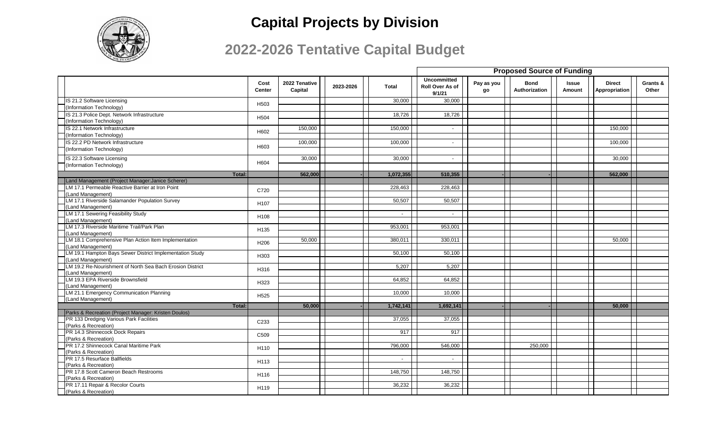

|                                                             |                  |                          |           |              |                                                 | <b>Proposed Source of Funding</b> |                              |                        |                                |                   |  |
|-------------------------------------------------------------|------------------|--------------------------|-----------|--------------|-------------------------------------------------|-----------------------------------|------------------------------|------------------------|--------------------------------|-------------------|--|
|                                                             | Cost<br>Center   | 2022 Tenative<br>Capital | 2023-2026 | <b>Total</b> | <b>Uncommitted</b><br>Roll Over As of<br>9/1/21 | Pay as you<br>go                  | <b>Bond</b><br>Authorization | <b>Issue</b><br>Amount | <b>Direct</b><br>Appropriation | Grants &<br>Other |  |
| IS 21.2 Software Licensing                                  |                  |                          |           | 30,000       | 30,000                                          |                                   |                              |                        |                                |                   |  |
| (Information Technology)                                    | H503             |                          |           |              |                                                 |                                   |                              |                        |                                |                   |  |
| IS 21.3 Police Dept. Network Infrastructure                 |                  |                          |           | 18,726       | 18,726                                          |                                   |                              |                        |                                |                   |  |
| (Information Technology)                                    | H504             |                          |           |              |                                                 |                                   |                              |                        |                                |                   |  |
| IS 22.1 Network Infrastructure                              |                  | 150.000                  |           | 150,000      | $\overline{\phantom{a}}$                        |                                   |                              |                        | 150.000                        |                   |  |
| (Information Technology)                                    | H602             |                          |           |              |                                                 |                                   |                              |                        |                                |                   |  |
| IS 22.2 PD Network Infrastructure                           |                  | 100,000                  |           | 100,000      | $\overline{\phantom{a}}$                        |                                   |                              |                        | 100,000                        |                   |  |
| (Information Technology)                                    | H603             |                          |           |              |                                                 |                                   |                              |                        |                                |                   |  |
| IS 22.3 Software Licensing                                  |                  | 30,000                   |           | 30,000       | $\blacksquare$                                  |                                   |                              |                        | 30,000                         |                   |  |
| (Information Technology)                                    | H604             |                          |           |              |                                                 |                                   |                              |                        |                                |                   |  |
|                                                             |                  | 562,000                  |           | 1,072,355    | 510,355                                         |                                   |                              |                        | 562,000                        |                   |  |
| Total:<br>Land Management (Project Manager: Janice Scherer) |                  |                          |           |              |                                                 |                                   |                              |                        |                                |                   |  |
| LM 17.1 Permeable Reactive Barrier at Iron Point            |                  |                          |           | 228,463      | 228,463                                         |                                   |                              |                        |                                |                   |  |
| (Land Management)                                           | C720             |                          |           |              |                                                 |                                   |                              |                        |                                |                   |  |
| LM 17.1 Riverside Salamander Population Survey              |                  |                          |           | 50.507       | 50,507                                          |                                   |                              |                        |                                |                   |  |
| (Land Management)                                           | H <sub>107</sub> |                          |           |              |                                                 |                                   |                              |                        |                                |                   |  |
| LM 17.1 Sewering Feasibility Study                          |                  |                          |           | $\sim$       | $\sim$                                          |                                   |                              |                        |                                |                   |  |
| (Land Management)                                           | H108             |                          |           |              |                                                 |                                   |                              |                        |                                |                   |  |
| LM 17.3 Riverside Maritime Trail/Park Plan                  |                  |                          |           | 953.001      | 953.001                                         |                                   |                              |                        |                                |                   |  |
| (Land Management)                                           | H135             |                          |           |              |                                                 |                                   |                              |                        |                                |                   |  |
| LM 18.1 Comprehensive Plan Action Item Implementation       |                  | 50,000                   |           | 380,011      | 330,011                                         |                                   |                              |                        | 50,000                         |                   |  |
| (Land Management)                                           | H <sub>206</sub> |                          |           |              |                                                 |                                   |                              |                        |                                |                   |  |
| LM 19.1 Hampton Bays Sewer District Implementation Study    |                  |                          |           | 50,100       | 50,100                                          |                                   |                              |                        |                                |                   |  |
| (Land Management)                                           | H303             |                          |           |              |                                                 |                                   |                              |                        |                                |                   |  |
| LM 19.2 Re-Nourishment of North Sea Bach Erosion District   |                  |                          |           | 5,207        | 5,207                                           |                                   |                              |                        |                                |                   |  |
| (Land Management)                                           | H316             |                          |           |              |                                                 |                                   |                              |                        |                                |                   |  |
| LM 19.3 EPA Riverside Brownsfield                           |                  |                          |           | 64,852       | 64,852                                          |                                   |                              |                        |                                |                   |  |
| (Land Management)                                           | H323             |                          |           |              |                                                 |                                   |                              |                        |                                |                   |  |
| LM 21.1 Emergency Communication Planning                    |                  |                          |           | 10.000       | 10,000                                          |                                   |                              |                        |                                |                   |  |
| (Land Management)                                           | H <sub>525</sub> |                          |           |              |                                                 |                                   |                              |                        |                                |                   |  |
| <b>Total:</b>                                               |                  | 50,000                   |           | 1,742,141    | 1,692,141                                       |                                   |                              |                        | 50,000                         |                   |  |
| Parks & Recreation (Project Manager: Kristen Doulos)        |                  |                          |           |              |                                                 |                                   |                              |                        |                                |                   |  |
| PR 133 Dredging Various Park Facilities                     |                  |                          |           | 37.055       | 37,055                                          |                                   |                              |                        |                                |                   |  |
| (Parks & Recreation)                                        | C <sub>233</sub> |                          |           |              |                                                 |                                   |                              |                        |                                |                   |  |
| PR 14.3 Shinnecock Dock Repairs                             |                  |                          |           | 917          | 917                                             |                                   |                              |                        |                                |                   |  |
| (Parks & Recreation)                                        | C509             |                          |           |              |                                                 |                                   |                              |                        |                                |                   |  |
| PR 17.2 Shinnecock Canal Maritime Park                      |                  |                          |           | 796.000      | 546.000                                         |                                   | 250,000                      |                        |                                |                   |  |
| (Parks & Recreation)                                        | H110             |                          |           |              |                                                 |                                   |                              |                        |                                |                   |  |
| PR 17.5 Resurface Ballfields                                |                  |                          |           | $\sim$       | $\overline{\phantom{a}}$                        |                                   |                              |                        |                                |                   |  |
| (Parks & Recreation)                                        | H113             |                          |           |              |                                                 |                                   |                              |                        |                                |                   |  |
| PR 17.8 Scott Cameron Beach Restrooms                       |                  |                          |           | 148,750      | 148,750                                         |                                   |                              |                        |                                |                   |  |
| (Parks & Recreation)                                        | H116             |                          |           |              |                                                 |                                   |                              |                        |                                |                   |  |
| PR 17.11 Repair & Recolor Courts                            | H119             |                          |           | 36,232       | 36,232                                          |                                   |                              |                        |                                |                   |  |
| (Parks & Recreation)                                        |                  |                          |           |              |                                                 |                                   |                              |                        |                                |                   |  |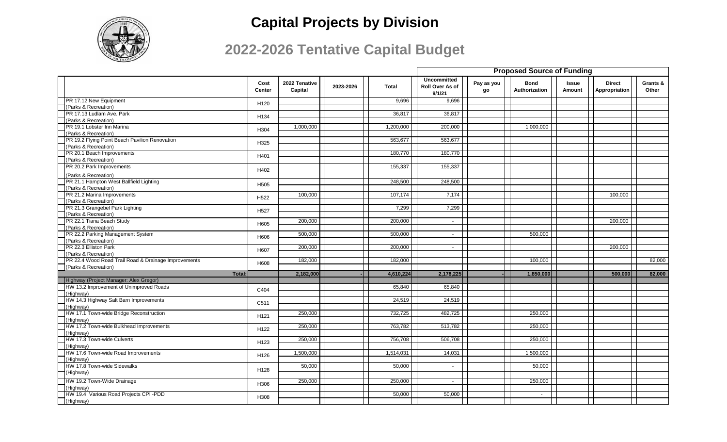

|                                                      |                  |                          |           |              | <b>Proposed Source of Funding</b>               |                  |                              |                        |                                |                   |
|------------------------------------------------------|------------------|--------------------------|-----------|--------------|-------------------------------------------------|------------------|------------------------------|------------------------|--------------------------------|-------------------|
|                                                      | Cost<br>Center   | 2022 Tenative<br>Capital | 2023-2026 | <b>Total</b> | <b>Uncommitted</b><br>Roll Over As of<br>9/1/21 | Pay as you<br>go | <b>Bond</b><br>Authorization | <b>Issue</b><br>Amount | <b>Direct</b><br>Appropriation | Grants &<br>Other |
| PR 17.12 New Equipment                               | H <sub>120</sub> |                          |           | 9,696        | 9,696                                           |                  |                              |                        |                                |                   |
| Parks & Recreation)                                  |                  |                          |           |              |                                                 |                  |                              |                        |                                |                   |
| PR 17.13 Ludlam Ave. Park                            | H134             |                          |           | 36,817       | 36,817                                          |                  |                              |                        |                                |                   |
| (Parks & Recreation)                                 |                  |                          |           |              |                                                 |                  |                              |                        |                                |                   |
| PR 19.1 Lobster Inn Marina                           | H304             | 1,000,000                |           | 1,200,000    | 200,000                                         |                  | 1,000,000                    |                        |                                |                   |
| (Parks & Recreation)                                 |                  |                          |           |              |                                                 |                  |                              |                        |                                |                   |
| PR 19.2 Flying Point Beach Pavilion Renovation       | H325             |                          |           | 563,677      | 563,677                                         |                  |                              |                        |                                |                   |
| (Parks & Recreation)                                 |                  |                          |           |              |                                                 |                  |                              |                        |                                |                   |
| PR 20.1 Beach Improvements                           | H401             |                          |           | 180,770      | 180,770                                         |                  |                              |                        |                                |                   |
| (Parks & Recreation)                                 |                  |                          |           |              |                                                 |                  |                              |                        |                                |                   |
| PR 20.2 Park Improvements                            |                  |                          |           | 155,337      | 155,337                                         |                  |                              |                        |                                |                   |
| (Parks & Recreation)                                 | H402             |                          |           |              |                                                 |                  |                              |                        |                                |                   |
| PR 21.1 Hampton West Ballfield Lighting              |                  |                          |           | 248,500      | 248,500                                         |                  |                              |                        |                                |                   |
| (Parks & Recreation)                                 | H505             |                          |           |              |                                                 |                  |                              |                        |                                |                   |
| PR 21.2 Marina Improvements                          |                  | 100,000                  |           | 107,174      | 7,174                                           |                  |                              |                        | 100,000                        |                   |
| (Parks & Recreation)                                 | H522             |                          |           |              |                                                 |                  |                              |                        |                                |                   |
| PR 21.3 Grangebel Park Lighting                      |                  |                          |           | 7,299        | 7,299                                           |                  |                              |                        |                                |                   |
| (Parks & Recreation)                                 | H527             |                          |           |              |                                                 |                  |                              |                        |                                |                   |
| PR 22.1 Tiana Beach Study                            |                  | 200,000                  |           | 200,000      | $\sim$                                          |                  |                              |                        | 200,000                        |                   |
|                                                      | H605             |                          |           |              |                                                 |                  |                              |                        |                                |                   |
| (Parks & Recreation)                                 |                  |                          |           |              | $\overline{\phantom{a}}$                        |                  |                              |                        |                                |                   |
| PR 22.2 Parking Management System                    | H606             | 500,000                  |           | 500,000      |                                                 |                  | 500,000                      |                        |                                |                   |
| (Parks & Recreation)                                 |                  |                          |           |              |                                                 |                  |                              |                        |                                |                   |
| PR 22.3 Elliston Park                                | H607             | 200,000                  |           | 200,000      | $\sim$                                          |                  |                              |                        | 200,000                        |                   |
| (Parks & Recreation)                                 |                  |                          |           |              |                                                 |                  |                              |                        |                                |                   |
| PR 22.4 Wood Road Trail Road & Drainage Improvements | H608             | 182,000                  |           | 182,000      |                                                 |                  | 100,000                      |                        |                                | 82,000            |
| (Parks & Recreation)                                 |                  |                          |           |              |                                                 |                  |                              |                        |                                |                   |
| Total:                                               |                  | 2,182,000                |           | 4,610,224    | 2,178,225                                       |                  | 1,850,000                    |                        | 500,000                        | 82,000            |
| Highway (Project Manager: Alex Gregor)               |                  |                          |           |              |                                                 |                  |                              |                        |                                |                   |
| HW 13.2 Improvement of Unimproved Roads              | C404             |                          |           | 65,840       | 65,840                                          |                  |                              |                        |                                |                   |
| (Highway)                                            |                  |                          |           |              |                                                 |                  |                              |                        |                                |                   |
| HW 14.3 Highway Salt Barn Improvements               | C511             |                          |           | 24,519       | 24,519                                          |                  |                              |                        |                                |                   |
| (Highway)                                            |                  |                          |           |              |                                                 |                  |                              |                        |                                |                   |
| HW 17.1 Town-wide Bridge Reconstruction              | H <sub>121</sub> | 250,000                  |           | 732,725      | 482,725                                         |                  | 250,000                      |                        |                                |                   |
| (Highway)                                            |                  |                          |           |              |                                                 |                  |                              |                        |                                |                   |
| HW 17.2 Town-wide Bulkhead Improvements              | H122             | 250,000                  |           | 763,782      | 513,782                                         |                  | 250,000                      |                        |                                |                   |
| Highway)                                             |                  |                          |           |              |                                                 |                  |                              |                        |                                |                   |
| HW 17.3 Town-wide Culverts                           | H123             | 250,000                  |           | 756,708      | 506,708                                         |                  | 250,000                      |                        |                                |                   |
| Highway)                                             |                  |                          |           |              |                                                 |                  |                              |                        |                                |                   |
| HW 17.6 Town-wide Road Improvements                  | H126             | 1,500,000                |           | 1,514,031    | 14,031                                          |                  | 1,500,000                    |                        |                                |                   |
| (Highway)                                            |                  |                          |           |              |                                                 |                  |                              |                        |                                |                   |
| HW 17.8 Town-wide Sidewalks                          | H128             | 50,000                   |           | 50,000       | $\overline{\phantom{a}}$                        |                  | 50,000                       |                        |                                |                   |
| (Highway)                                            |                  |                          |           |              |                                                 |                  |                              |                        |                                |                   |
| HW 19.2 Town-Wide Drainage                           | H306             | 250,000                  |           | 250,000      | $\sim$                                          |                  | 250,000                      |                        |                                |                   |
| (Highway)                                            |                  |                          |           |              |                                                 |                  |                              |                        |                                |                   |
| HW 19.4 Various Road Projects CPI -PDD               | H308             |                          |           | 50,000       | 50,000                                          |                  | $\sim$                       |                        |                                |                   |
| (Highway)                                            |                  |                          |           |              |                                                 |                  |                              |                        |                                |                   |
|                                                      |                  |                          |           |              |                                                 |                  |                              |                        |                                |                   |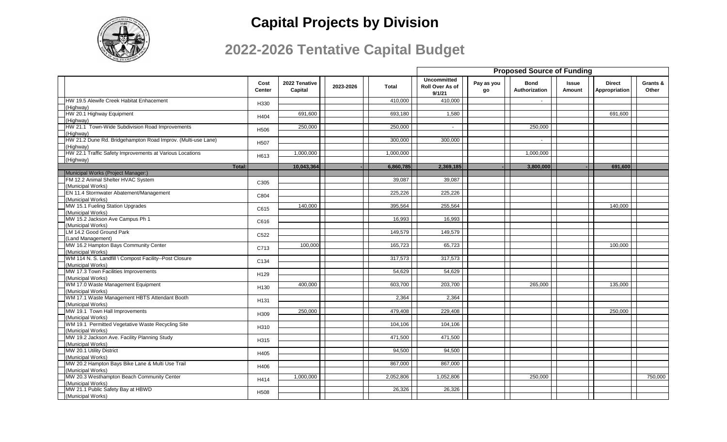

|                                                              |                       |                          |           |              |                                                 | <b>Proposed Source of Funding</b> |                              |                        |                                |                   |  |  |
|--------------------------------------------------------------|-----------------------|--------------------------|-----------|--------------|-------------------------------------------------|-----------------------------------|------------------------------|------------------------|--------------------------------|-------------------|--|--|
|                                                              | Cost<br><b>Center</b> | 2022 Tenative<br>Capital | 2023-2026 | <b>Total</b> | <b>Uncommitted</b><br>Roll Over As of<br>9/1/21 | Pay as you<br>go                  | <b>Bond</b><br>Authorization | <b>Issue</b><br>Amount | <b>Direct</b><br>Appropriation | Grants &<br>Other |  |  |
| HW 19.5 Alewife Creek Habitat Enhacement                     | H330                  |                          |           | 410.000      | 410,000                                         |                                   | $\sim$                       |                        |                                |                   |  |  |
| (Highway)                                                    |                       |                          |           |              |                                                 |                                   |                              |                        |                                |                   |  |  |
| HW 20.1 Highway Equipment                                    | H404                  | 691,600                  |           | 693,180      | 1,580                                           |                                   |                              |                        | 691,600                        |                   |  |  |
| (Highway)                                                    |                       |                          |           |              |                                                 |                                   |                              |                        |                                |                   |  |  |
| HW 21.1 Town-Wide Subdivision Road Improvements              | H <sub>506</sub>      | 250,000                  |           | 250,000      | $\sim$                                          |                                   | 250,000                      |                        |                                |                   |  |  |
| (Highway)                                                    |                       |                          |           |              |                                                 |                                   |                              |                        |                                |                   |  |  |
| HW 21.2 Dune Rd. Bridgehampton Road Improv. (Multi-use Lane) | H507                  |                          |           | 300.000      | 300,000                                         |                                   | $\sim$                       |                        |                                |                   |  |  |
| (Highway)                                                    |                       |                          |           |              |                                                 |                                   |                              |                        |                                |                   |  |  |
| HW 22.1 Traffic Safety Improvements at Various Locations     | H613                  | 1,000,000                |           | 1,000,000    |                                                 |                                   | 1,000,000                    |                        |                                |                   |  |  |
| (Highway)                                                    |                       |                          |           |              |                                                 |                                   |                              |                        |                                |                   |  |  |
| Total:                                                       |                       | 10,043,364               |           | 6,860,785    | 2,369,185                                       |                                   | 3,800,000                    |                        | 691,600                        |                   |  |  |
| Municipal Works (Project Manager:)                           |                       |                          |           |              |                                                 |                                   |                              |                        |                                |                   |  |  |
| FM 12.2 Animal Shelter HVAC System                           | C305                  |                          |           | 39,087       | 39,087                                          |                                   |                              |                        |                                |                   |  |  |
| (Municipal Works)                                            |                       |                          |           |              |                                                 |                                   |                              |                        |                                |                   |  |  |
| EN 11.4 Stormwater Abatement/Management                      | C804                  |                          |           | 225,226      | 225,226                                         |                                   |                              |                        |                                |                   |  |  |
| (Municipal Works)                                            |                       |                          |           |              |                                                 |                                   |                              |                        |                                |                   |  |  |
| MW 15.1 Fueling Station Upgrades                             | C615                  | 140,000                  |           | 395,564      | 255,564                                         |                                   |                              |                        | 140,000                        |                   |  |  |
| (Municipal Works)                                            |                       |                          |           |              |                                                 |                                   |                              |                        |                                |                   |  |  |
| MW 15.2 Jackson Ave Campus Ph 1                              | C616                  |                          |           | 16,993       | 16.993                                          |                                   |                              |                        |                                |                   |  |  |
| (Municipal Works)                                            |                       |                          |           |              |                                                 |                                   |                              |                        |                                |                   |  |  |
| LM 14.2 Good Ground Park                                     | C522                  |                          |           | 149,579      | 149,579                                         |                                   |                              |                        |                                |                   |  |  |
| (Land Management)                                            |                       |                          |           |              |                                                 |                                   |                              |                        |                                |                   |  |  |
| MW 16.2 Hampton Bays Community Center                        | C713                  | 100,000                  |           | 165,723      | 65,723                                          |                                   |                              |                        | 100,000                        |                   |  |  |
| (Municipal Works)                                            |                       |                          |           |              |                                                 |                                   |                              |                        |                                |                   |  |  |
| WM 114 N. S. Landfill \ Compost Facility--Post Closure       | C134                  |                          |           | 317,573      | 317,573                                         |                                   |                              |                        |                                |                   |  |  |
| (Municipal Works)                                            |                       |                          |           |              |                                                 |                                   |                              |                        |                                |                   |  |  |
| MW 17.3 Town Facilities Improvements                         | H129                  |                          |           | 54,629       | 54,629                                          |                                   |                              |                        |                                |                   |  |  |
| (Municipal Works)                                            |                       |                          |           |              |                                                 |                                   |                              |                        |                                |                   |  |  |
| WM 17.0 Waste Management Equipment                           | H130                  | 400,000                  |           | 603,700      | 203,700                                         |                                   | 265,000                      |                        | 135,000                        |                   |  |  |
| (Municipal Works)                                            |                       |                          |           |              |                                                 |                                   |                              |                        |                                |                   |  |  |
| WM 17.1 Waste Management HBTS Attendant Booth                | H131                  |                          |           | 2,364        | 2,364                                           |                                   |                              |                        |                                |                   |  |  |
| (Municipal Works)                                            |                       |                          |           |              |                                                 |                                   |                              |                        |                                |                   |  |  |
| MW 19.1 Town Hall Improvements                               | H309                  | 250,000                  |           | 479,408      | 229,408                                         |                                   |                              |                        | 250,000                        |                   |  |  |
| (Municipal Works)                                            |                       |                          |           |              |                                                 |                                   |                              |                        |                                |                   |  |  |
| WM 19.1 Permitted Vegetative Waste Recycling Site            | H310                  |                          |           | 104,106      | 104,106                                         |                                   |                              |                        |                                |                   |  |  |
| (Municipal Works)                                            |                       |                          |           |              |                                                 |                                   |                              |                        |                                |                   |  |  |
| MW 19.2 Jackson Ave. Facility Planning Study                 | H315                  |                          |           | 471,500      | 471,500                                         |                                   |                              |                        |                                |                   |  |  |
| (Municipal Works)                                            |                       |                          |           |              |                                                 |                                   |                              |                        |                                |                   |  |  |
| MW 20.1 Utility District                                     | H405                  |                          |           | 94,500       | 94,500                                          |                                   |                              |                        |                                |                   |  |  |
| (Municipal Works)                                            |                       |                          |           |              |                                                 |                                   |                              |                        |                                |                   |  |  |
| MW 20.2 Hampton Bays Bike Lane & Multi Use Trail             | H406                  |                          |           | 867,000      | 867,000                                         |                                   |                              |                        |                                |                   |  |  |
| (Municipal Works)                                            |                       |                          |           |              |                                                 |                                   |                              |                        |                                |                   |  |  |
| MW 20.3 Westhampton Beach Community Center                   | H414                  | 1,000,000                |           | 2,052,806    | 1,052,806                                       |                                   | 250,000                      |                        |                                | 750,000           |  |  |
| (Municipal Works)                                            |                       |                          |           |              |                                                 |                                   |                              |                        |                                |                   |  |  |
| MW 21.1 Public Safety Bay at HBWD                            | H <sub>508</sub>      |                          |           | 26,326       | 26,326                                          |                                   |                              |                        |                                |                   |  |  |
| (Municipal Works)                                            |                       |                          |           |              |                                                 |                                   |                              |                        |                                |                   |  |  |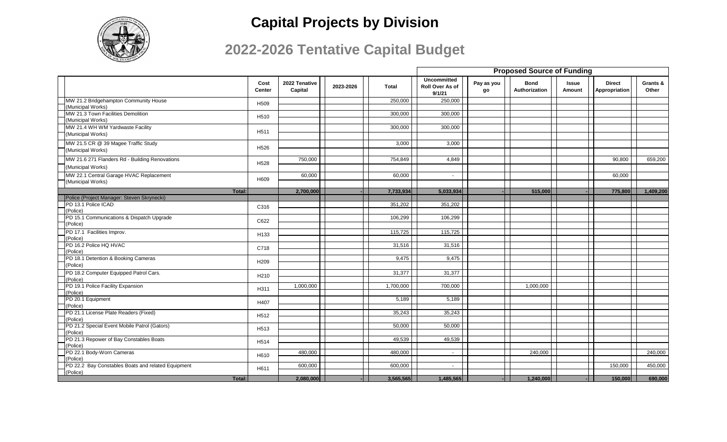

|                                                         |                  |                          |           |           |                                                 |                  |                              | <b>Proposed Source of Funding</b> |                                |                   |  |  |
|---------------------------------------------------------|------------------|--------------------------|-----------|-----------|-------------------------------------------------|------------------|------------------------------|-----------------------------------|--------------------------------|-------------------|--|--|
|                                                         | Cost<br>Center   | 2022 Tenative<br>Capital | 2023-2026 | Total     | <b>Uncommitted</b><br>Roll Over As of<br>9/1/21 | Pay as you<br>go | <b>Bond</b><br>Authorization | Issue<br>Amount                   | <b>Direct</b><br>Appropriation | Grants &<br>Other |  |  |
| MW 21.2 Bridgehampton Community House                   | H509             |                          |           | 250.000   | 250,000                                         |                  |                              |                                   |                                |                   |  |  |
| (Municipal Works)<br>MW 21.3 Town Facilities Demolition |                  |                          |           | 300,000   | 300,000                                         |                  |                              |                                   |                                |                   |  |  |
| (Municipal Works)                                       | H510             |                          |           |           |                                                 |                  |                              |                                   |                                |                   |  |  |
| MW 21.4 WH WM Yardwaste Facility                        |                  |                          |           | 300,000   | 300,000                                         |                  |                              |                                   |                                |                   |  |  |
| (Municipal Works)                                       | H <sub>511</sub> |                          |           |           |                                                 |                  |                              |                                   |                                |                   |  |  |
| MW 21.5 CR @ 39 Magee Traffic Study                     | H <sub>526</sub> |                          |           | 3,000     | 3,000                                           |                  |                              |                                   |                                |                   |  |  |
| (Municipal Works)                                       |                  |                          |           |           |                                                 |                  |                              |                                   |                                |                   |  |  |
| MW 21.6 271 Flanders Rd - Building Renovations          | H <sub>528</sub> | 750,000                  |           | 754,849   | 4,849                                           |                  |                              |                                   | 90,800                         | 659,200           |  |  |
| (Municipal Works)                                       |                  |                          |           |           |                                                 |                  |                              |                                   |                                |                   |  |  |
| MW 22.1 Central Garage HVAC Replacement                 | H609             | 60,000                   |           | 60,000    | $\overline{\phantom{a}}$                        |                  |                              |                                   | 60,000                         |                   |  |  |
| (Municipal Works)                                       |                  |                          |           |           |                                                 |                  |                              |                                   |                                |                   |  |  |
| Total:                                                  |                  | 2,700,000                |           | 7,733,934 | 5,033,934                                       |                  | 515,000                      |                                   | 775,800                        | 1,409,200         |  |  |
| Police (Project Manager: Steven Skrynecki)              |                  |                          |           |           |                                                 |                  |                              |                                   |                                |                   |  |  |
| PD 13.1 Police ICAD<br>(Police)                         | C316             |                          |           | 351,202   | 351,202                                         |                  |                              |                                   |                                |                   |  |  |
| PD 15.1 Communications & Dispatch Upgrade               |                  |                          |           | 106,299   | 106,299                                         |                  |                              |                                   |                                |                   |  |  |
| (Police)                                                | C622             |                          |           |           |                                                 |                  |                              |                                   |                                |                   |  |  |
| PD 17.1 Facilities Improv.                              | H133             |                          |           | 115,725   | 115,725                                         |                  |                              |                                   |                                |                   |  |  |
| (Police)                                                |                  |                          |           |           |                                                 |                  |                              |                                   |                                |                   |  |  |
| PD 16.2 Police HQ HVAC<br>(Police)                      | C718             |                          |           | 31,516    | 31,516                                          |                  |                              |                                   |                                |                   |  |  |
| PD 18.1 Detention & Booking Cameras                     |                  |                          |           | 9,475     | 9,475                                           |                  |                              |                                   |                                |                   |  |  |
| (Police)                                                | H <sub>209</sub> |                          |           |           |                                                 |                  |                              |                                   |                                |                   |  |  |
| PD 18.2 Computer Equipped Patrol Cars.                  | H <sub>210</sub> |                          |           | 31,377    | 31,377                                          |                  |                              |                                   |                                |                   |  |  |
| (Police)<br>PD 19.1 Police Facility Expansion           |                  | 1,000,000                |           | 1,700,000 | 700,000                                         |                  | 1,000,000                    |                                   |                                |                   |  |  |
| (Police)                                                | H311             |                          |           |           |                                                 |                  |                              |                                   |                                |                   |  |  |
| PD 20.1 Equipment                                       | H407             |                          |           | 5,189     | 5,189                                           |                  |                              |                                   |                                |                   |  |  |
| (Police)                                                |                  |                          |           |           |                                                 |                  |                              |                                   |                                |                   |  |  |
| PD 21.1 License Plate Readers (Fixed)<br>(Police)       | H <sub>512</sub> |                          |           | 35,243    | 35,243                                          |                  |                              |                                   |                                |                   |  |  |
| PD 21.2 Special Event Mobile Patrol (Gators)            |                  |                          |           | 50,000    | 50,000                                          |                  |                              |                                   |                                |                   |  |  |
| (Police)                                                | H513             |                          |           |           |                                                 |                  |                              |                                   |                                |                   |  |  |
| PD 21.3 Repower of Bay Constables Boats                 | H <sub>514</sub> |                          |           | 49,539    | 49,539                                          |                  |                              |                                   |                                |                   |  |  |
| (Police)<br>PD 22.1 Body-Worn Cameras                   |                  | 480,000                  |           | 480,000   | $\sim$                                          |                  | 240,000                      |                                   |                                | 240,000           |  |  |
| (Police)                                                | H610             |                          |           |           |                                                 |                  |                              |                                   |                                |                   |  |  |
| PD 22.2 Bay Constables Boats and related Equipment      | H611             | 600,000                  |           | 600,000   | $\overline{\phantom{a}}$                        |                  |                              |                                   | 150,000                        | 450,000           |  |  |
| (Police)                                                |                  |                          |           |           |                                                 |                  |                              |                                   |                                |                   |  |  |
| Total:                                                  |                  | 2,080,000                |           | 3,565,565 | 1,485,565                                       |                  | 1,240,000                    |                                   | 150,000                        | 690,000           |  |  |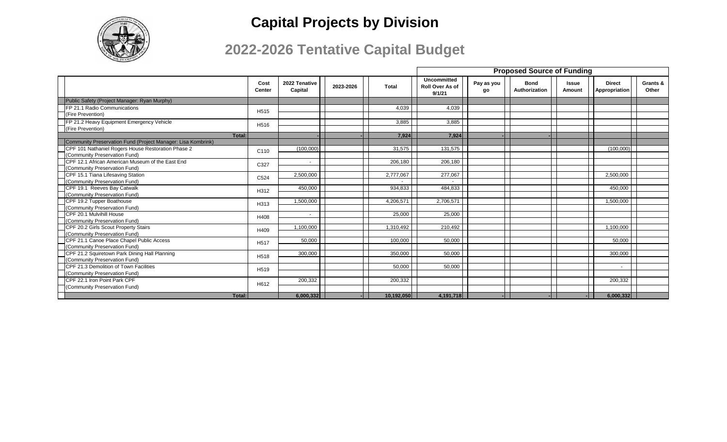

|                                                                    |                       |                          |           |            | <b>Proposed Source of Funding</b>               |                  |                              |                        |                                |                   |
|--------------------------------------------------------------------|-----------------------|--------------------------|-----------|------------|-------------------------------------------------|------------------|------------------------------|------------------------|--------------------------------|-------------------|
|                                                                    | Cost<br><b>Center</b> | 2022 Tenative<br>Capital | 2023-2026 | Total      | <b>Uncommitted</b><br>Roll Over As of<br>9/1/21 | Pay as you<br>gо | <b>Bond</b><br>Authorization | <b>Issue</b><br>Amount | <b>Direct</b><br>Appropriation | Grants &<br>Other |
| Public Safety (Project Manager: Ryan Murphy)                       |                       |                          |           |            |                                                 |                  |                              |                        |                                |                   |
| <b>FP 21.1 Radio Communications</b>                                | H <sub>515</sub>      |                          |           | 4,039      | 4.039                                           |                  |                              |                        |                                |                   |
| (Fire Prevention)                                                  |                       |                          |           |            |                                                 |                  |                              |                        |                                |                   |
| FP 21.2 Heavy Equipment Emergency Vehicle                          | H <sub>516</sub>      |                          |           | 3,885      | 3,885                                           |                  |                              |                        |                                |                   |
| (Fire Prevention)                                                  |                       |                          |           |            |                                                 |                  |                              |                        |                                |                   |
| Total:                                                             |                       |                          |           | 7,924      | 7,924                                           |                  |                              |                        |                                |                   |
| Community Preservation Fund (Project Manager: Lisa Kombrink)       |                       |                          |           |            |                                                 |                  |                              |                        |                                |                   |
| CPF 101 Nathaniel Rogers House Restoration Phase 2                 | C110                  | (100.000)                |           | 31.575     | 131.575                                         |                  |                              |                        | (100.000)                      |                   |
| (Community Preservation Fund)                                      |                       |                          |           |            |                                                 |                  |                              |                        |                                |                   |
| CPF 12.1 African American Museum of the East End                   | C327                  |                          |           | 206,180    | 206,180                                         |                  |                              |                        |                                |                   |
| (Community Preservation Fund)                                      |                       |                          |           |            |                                                 |                  |                              |                        |                                |                   |
| CPF 15.1 Tiana Lifesaving Station<br>(Community Preservation Fund) | C524                  | 2,500,000                |           | 2,777,067  | 277,067                                         |                  |                              |                        | 2,500,000                      |                   |
| CPF 19.1 Reeves Bay Catwalk                                        |                       | 450.000                  |           | 934.833    | 484,833                                         |                  |                              |                        | 450.000                        |                   |
| (Community Preservation Fund)                                      | H312                  |                          |           |            |                                                 |                  |                              |                        |                                |                   |
| CPF 19.2 Tupper Boathouse                                          |                       | 1,500,000                |           | 4,206,571  | 2,706,571                                       |                  |                              |                        | 1,500,000                      |                   |
| (Community Preservation Fund)                                      | H313                  |                          |           |            |                                                 |                  |                              |                        |                                |                   |
| CPF 20.1 Mulvihill House                                           |                       |                          |           | 25,000     | 25,000                                          |                  |                              |                        |                                |                   |
| (Community Preservation Fund)                                      | H408                  |                          |           |            |                                                 |                  |                              |                        |                                |                   |
| CPF 20.2 Girls Scout Property Stairs                               |                       | 1.100.000                |           | 1,310,492  | 210,492                                         |                  |                              |                        | 1.100.000                      |                   |
| (Community Preservation Fund)                                      | H409                  |                          |           |            |                                                 |                  |                              |                        |                                |                   |
| CPF 21.1 Canoe Place Chapel Public Access                          | H <sub>517</sub>      | 50,000                   |           | 100,000    | 50,000                                          |                  |                              |                        | 50,000                         |                   |
| (Community Preservation Fund)                                      |                       |                          |           |            |                                                 |                  |                              |                        |                                |                   |
| CPF 21.2 Squiretown Park Dining Hall Planning                      | H <sub>518</sub>      | 300,000                  |           | 350,000    | 50,000                                          |                  |                              |                        | 300,000                        |                   |
| (Community Preservation Fund)                                      |                       |                          |           |            |                                                 |                  |                              |                        |                                |                   |
| CPF 21.3 Demolition of Town Facilities                             |                       |                          |           | 50.000     | 50.000                                          |                  |                              |                        |                                |                   |
| (Community Preservation Fund)                                      | H <sub>519</sub>      |                          |           |            |                                                 |                  |                              |                        |                                |                   |
| CPF 22.1 Iron Point Park CPF                                       |                       | 200,332                  |           | 200,332    |                                                 |                  |                              |                        | 200,332                        |                   |
| (Community Preservation Fund)                                      | H612                  |                          |           |            |                                                 |                  |                              |                        |                                |                   |
| Total:                                                             |                       | 6.000.332                |           | 10,192,050 | 4,191,718                                       |                  |                              |                        | 6.000.332                      |                   |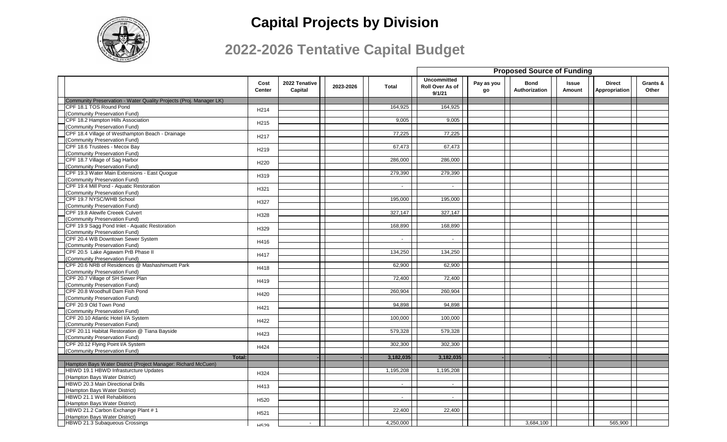

|                                                                    |                       |                          |           |                | <b>Proposed Source of Funding</b>               |                  |                              |                        |                                |                   |
|--------------------------------------------------------------------|-----------------------|--------------------------|-----------|----------------|-------------------------------------------------|------------------|------------------------------|------------------------|--------------------------------|-------------------|
|                                                                    | Cost<br><b>Center</b> | 2022 Tenative<br>Capital | 2023-2026 | <b>Total</b>   | <b>Uncommitted</b><br>Roll Over As of<br>9/1/21 | Pay as you<br>go | <b>Bond</b><br>Authorization | <b>Issue</b><br>Amount | <b>Direct</b><br>Appropriation | Grants &<br>Other |
| Community Preservation - Water Quality Projects (Proj. Manager LK) |                       |                          |           |                |                                                 |                  |                              |                        |                                |                   |
| CPF 18.1 TOS Round Pond                                            | H <sub>214</sub>      |                          |           | 164,925        | 164,925                                         |                  |                              |                        |                                |                   |
| (Community Preservation Fund)                                      |                       |                          |           |                |                                                 |                  |                              |                        |                                |                   |
| CPF 18.2 Hampton Hills Association                                 | H <sub>215</sub>      |                          |           | 9,005          | 9,005                                           |                  |                              |                        |                                |                   |
| (Community Preservation Fund)                                      |                       |                          |           |                |                                                 |                  |                              |                        |                                |                   |
| CPF 18.4 Village of Westhampton Beach - Drainage                   | H <sub>217</sub>      |                          |           | 77,225         | 77,225                                          |                  |                              |                        |                                |                   |
| (Community Preservation Fund)                                      |                       |                          |           |                |                                                 |                  |                              |                        |                                |                   |
| CPF 18.6 Trustees - Mecox Bay                                      | H <sub>219</sub>      |                          |           | 67,473         | 67,473                                          |                  |                              |                        |                                |                   |
| (Community Preservation Fund)                                      |                       |                          |           |                |                                                 |                  |                              |                        |                                |                   |
| CPF 18.7 Village of Sag Harbor                                     | H220                  |                          |           | 286,000        | 286,000                                         |                  |                              |                        |                                |                   |
| (Community Preservation Fund)                                      |                       |                          |           |                |                                                 |                  |                              |                        |                                |                   |
| CPF 19.3 Water Main Extensions - East Quogue                       | H319                  |                          |           | 279,390        | 279,390                                         |                  |                              |                        |                                |                   |
| (Community Preservation Fund)                                      |                       |                          |           |                |                                                 |                  |                              |                        |                                |                   |
| CPF 19.4 Mill Pond - Aquatic Restoration                           | H321                  |                          |           | $\sim$         | $\sim$                                          |                  |                              |                        |                                |                   |
| (Community Preservation Fund)                                      |                       |                          |           |                |                                                 |                  |                              |                        |                                |                   |
| CPF 19.7 NYSC/WHB School                                           | H327                  |                          |           | 195,000        | 195,000                                         |                  |                              |                        |                                |                   |
| (Community Preservation Fund)                                      |                       |                          |           |                |                                                 |                  |                              |                        |                                |                   |
| CPF 19.8 Alewife Creeek Culvert                                    | H328                  |                          |           | 327,147        | 327,147                                         |                  |                              |                        |                                |                   |
| (Community Preservation Fund)                                      |                       |                          |           |                |                                                 |                  |                              |                        |                                |                   |
| CPF 19.9 Sagg Pond Inlet - Aquatic Restoration                     | H329                  |                          |           | 168,890        | 168,890                                         |                  |                              |                        |                                |                   |
| (Community Preservation Fund)                                      |                       |                          |           |                |                                                 |                  |                              |                        |                                |                   |
| CPF 20.4 WB Downtown Sewer System                                  | H416                  |                          |           | $\sim$         | $\sim$                                          |                  |                              |                        |                                |                   |
| (Community Preservation Fund)                                      |                       |                          |           |                |                                                 |                  |                              |                        |                                |                   |
| CPF 20.5 Lake Agawam PrB Phase II                                  | H417                  |                          |           | 134,250        | 134,250                                         |                  |                              |                        |                                |                   |
| (Community Preservation Fund)                                      |                       |                          |           |                |                                                 |                  |                              |                        |                                |                   |
| CPF 20.6 NRB of Residences @ Mashashimuett Park                    | H418                  |                          |           | 62,900         | 62,900                                          |                  |                              |                        |                                |                   |
| (Community Preservation Fund)                                      |                       |                          |           |                |                                                 |                  |                              |                        |                                |                   |
| CPF 20.7 Village of SH Sewer Plan                                  | H419                  |                          |           | 72,400         | 72,400                                          |                  |                              |                        |                                |                   |
| (Community Preservation Fund)                                      |                       |                          |           |                |                                                 |                  |                              |                        |                                |                   |
| CPF 20.8 Woodhull Dam Fish Pond                                    | H420                  |                          |           | 260,904        | 260,904                                         |                  |                              |                        |                                |                   |
| (Community Preservation Fund)                                      |                       |                          |           |                |                                                 |                  |                              |                        |                                |                   |
| CPF 20.9 Old Town Pond                                             | H421                  |                          |           | 94.898         | 94.898                                          |                  |                              |                        |                                |                   |
| (Community Preservation Fund)                                      |                       |                          |           |                |                                                 |                  |                              |                        |                                |                   |
| CPF 20.10 Atlantic Hotel I/A System                                | H422                  |                          |           | 100.000        | 100,000                                         |                  |                              |                        |                                |                   |
| (Community Preservation Fund)                                      |                       |                          |           |                |                                                 |                  |                              |                        |                                |                   |
| CPF 20.11 Habitat Restoration @ Tiana Bayside                      | H423                  |                          |           | 579,328        | 579,328                                         |                  |                              |                        |                                |                   |
| (Community Preservation Fund)                                      |                       |                          |           |                |                                                 |                  |                              |                        |                                |                   |
| CPF 20.12 Flying Point I/A System                                  | H424                  |                          |           | 302,300        | 302,300                                         |                  |                              |                        |                                |                   |
| (Community Preservation Fund)                                      |                       |                          |           |                |                                                 |                  |                              |                        |                                |                   |
| Total:                                                             |                       |                          |           | 3,182,035      | 3,182,035                                       |                  |                              |                        |                                |                   |
| Hampton Bays Water District (Project Manager: Richard McCuen)      |                       |                          |           |                |                                                 |                  |                              |                        |                                |                   |
| HBWD 19.1 HBWD Infrasturcture Updates                              | H324                  |                          |           | 1,195,208      | 1,195,208                                       |                  |                              |                        |                                |                   |
| (Hampton Bays Water District)                                      |                       |                          |           |                |                                                 |                  |                              |                        |                                |                   |
| <b>HBWD 20.3 Main Directional Drills</b>                           | H413                  |                          |           | $\sim$         | $\sim$                                          |                  |                              |                        |                                |                   |
| (Hampton Bays Water District)                                      |                       |                          |           |                |                                                 |                  |                              |                        |                                |                   |
| HBWD 21.1 Well Rehabilitions                                       | H520                  |                          |           | $\blacksquare$ | $\blacksquare$                                  |                  |                              |                        |                                |                   |
| (Hampton Bays Water District)                                      |                       |                          |           |                |                                                 |                  |                              |                        |                                |                   |
| HBWD 21.2 Carbon Exchange Plant #1                                 | H521                  |                          |           | 22.400         | 22.400                                          |                  |                              |                        |                                |                   |
| (Hampton Bays Water District)                                      |                       |                          |           |                |                                                 |                  |                              |                        |                                |                   |
| HBWD 21.3 Subaqueous Crossings                                     | <b>H529</b>           |                          |           | 4,250,000      |                                                 |                  | 3,684,100                    |                        | 565.900                        |                   |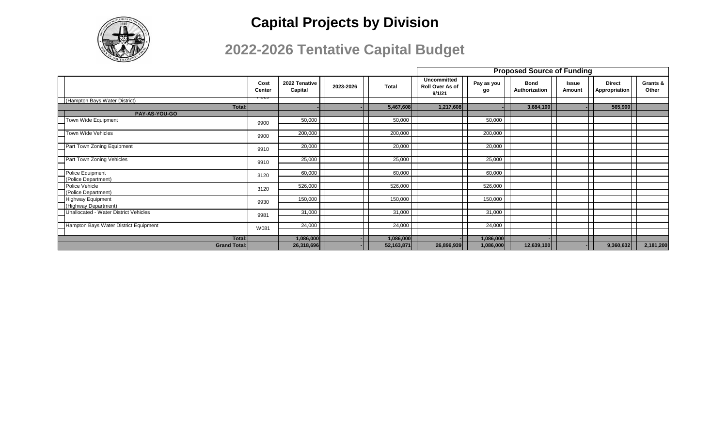

|                                                  |                |                          |           |              | <b>Proposed Source of Funding</b>               |                  |                              |                        |                                |                   |
|--------------------------------------------------|----------------|--------------------------|-----------|--------------|-------------------------------------------------|------------------|------------------------------|------------------------|--------------------------------|-------------------|
|                                                  | Cost<br>Center | 2022 Tenative<br>Capital | 2023-2026 | Total        | <b>Uncommitted</b><br>Roll Over As of<br>9/1/21 | Pay as you<br>go | <b>Bond</b><br>Authorization | <b>Issue</b><br>Amount | <b>Direct</b><br>Appropriation | Grants &<br>Other |
| (Hampton Bays Water District)                    | 10ZJ           |                          |           |              |                                                 |                  |                              |                        |                                |                   |
| Total:                                           |                |                          |           | 5,467,608    | 1,217,608                                       |                  | 3,684,100                    |                        | 565,900                        |                   |
| PAY-AS-YOU-GO                                    |                |                          |           |              |                                                 |                  |                              |                        |                                |                   |
| Town Wide Equipment                              | 9900           | 50,000                   |           | 50,000       |                                                 | 50,000           |                              |                        |                                |                   |
| <b>Town Wide Vehicles</b><br>┍                   | 9900           | 200,000                  |           | 200,000      |                                                 | 200,000          |                              |                        |                                |                   |
| Part Town Zoning Equipment                       | 9910           | 20,000                   |           | 20,000       |                                                 | 20,000           |                              |                        |                                |                   |
| ┍                                                |                |                          |           |              |                                                 |                  |                              |                        |                                |                   |
| Part Town Zoning Vehicles<br>┍                   | 9910           | 25,000                   |           | 25,000       |                                                 | 25,000           |                              |                        |                                |                   |
| Police Equipment                                 | 3120           | 60,000                   |           | 60,000       |                                                 | 60,000           |                              |                        |                                |                   |
| (Police Department)                              |                |                          |           |              |                                                 |                  |                              |                        |                                |                   |
| <b>Police Vehicle</b>                            | 3120           | 526,000                  |           | 526,000      |                                                 | 526,000          |                              |                        |                                |                   |
| (Police Department)                              |                |                          |           |              |                                                 |                  |                              |                        |                                |                   |
| <b>Highway Equipment</b><br>(Highway Department) | 9930           | 150,000                  |           | 150,000      |                                                 | 150,000          |                              |                        |                                |                   |
| Unallocated - Water District Vehicles            | 9981           | 31,000                   |           | 31,000       |                                                 | 31,000           |                              |                        |                                |                   |
| ┍                                                |                |                          |           |              |                                                 |                  |                              |                        |                                |                   |
| Hampton Bays Water District Equipment            | W081           | 24,000                   |           | 24,000       |                                                 | 24,000           |                              |                        |                                |                   |
| Total:                                           |                | 1,086,000                |           | 1,086,000    |                                                 | 1,086,000        |                              |                        |                                |                   |
| <b>Grand Total:</b>                              |                | 26,318,696               |           | 52, 163, 871 | 26,896,939                                      | 1,086,000        | 12,639,100                   |                        | 9,360,632                      | 2,181,200         |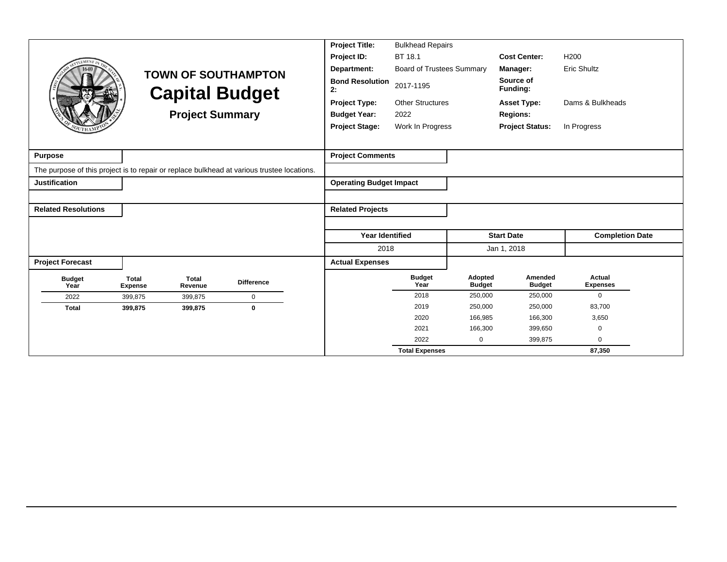|                            |                                |                         |                                                                                            | <b>Project Title:</b>          | <b>Bulkhead Repairs</b>          |                          |                          |                           |
|----------------------------|--------------------------------|-------------------------|--------------------------------------------------------------------------------------------|--------------------------------|----------------------------------|--------------------------|--------------------------|---------------------------|
|                            |                                |                         |                                                                                            | Project ID:                    | BT 18.1                          |                          | <b>Cost Center:</b>      | H <sub>200</sub>          |
|                            |                                |                         | <b>TOWN OF SOUTHAMPTON</b>                                                                 | Department:                    | <b>Board of Trustees Summary</b> |                          | Manager:                 | <b>Eric Shultz</b>        |
|                            |                                |                         | <b>Capital Budget</b>                                                                      | <b>Bond Resolution</b><br>2:   | 2017-1195                        |                          | Source of<br>Funding:    |                           |
|                            |                                |                         |                                                                                            | <b>Project Type:</b>           | <b>Other Structures</b>          |                          | <b>Asset Type:</b>       | Dams & Bulkheads          |
|                            |                                | <b>Project Summary</b>  |                                                                                            | <b>Budget Year:</b>            | 2022                             |                          | <b>Regions:</b>          |                           |
|                            |                                |                         |                                                                                            | <b>Project Stage:</b>          | Work In Progress                 |                          | <b>Project Status:</b>   | In Progress               |
|                            |                                |                         |                                                                                            |                                |                                  |                          |                          |                           |
| <b>Purpose</b>             |                                |                         |                                                                                            | <b>Project Comments</b>        |                                  |                          |                          |                           |
|                            |                                |                         | The purpose of this project is to repair or replace bulkhead at various trustee locations. |                                |                                  |                          |                          |                           |
| <b>Justification</b>       |                                |                         |                                                                                            | <b>Operating Budget Impact</b> |                                  |                          |                          |                           |
|                            |                                |                         |                                                                                            |                                |                                  |                          |                          |                           |
| <b>Related Resolutions</b> |                                |                         |                                                                                            | <b>Related Projects</b>        |                                  |                          |                          |                           |
|                            |                                |                         |                                                                                            |                                |                                  |                          |                          |                           |
|                            |                                |                         |                                                                                            | <b>Year Identified</b>         |                                  |                          | <b>Start Date</b>        | <b>Completion Date</b>    |
|                            |                                |                         |                                                                                            | 2018                           |                                  |                          | Jan 1, 2018              |                           |
| <b>Project Forecast</b>    |                                |                         |                                                                                            | <b>Actual Expenses</b>         |                                  |                          |                          |                           |
| <b>Budget</b><br>Year      | <b>Total</b><br><b>Expense</b> | <b>Total</b><br>Revenue | <b>Difference</b>                                                                          |                                | <b>Budget</b><br>Year            | Adopted<br><b>Budget</b> | Amended<br><b>Budget</b> | Actual<br><b>Expenses</b> |
| 2022                       | 399,875                        | 399,875                 | $\mathbf 0$                                                                                |                                | 2018                             | 250,000                  | 250,000                  | $\mathbf{0}$              |
| <b>Total</b>               | 399,875                        | 399,875                 | 0                                                                                          |                                | 2019                             | 250,000                  | 250,000                  | 83,700                    |
|                            |                                |                         |                                                                                            |                                | 2020                             | 166,985                  | 166,300                  | 3,650                     |
|                            |                                |                         |                                                                                            |                                | 2021                             | 166,300                  | 399,650                  | $\mathbf 0$               |
|                            |                                |                         |                                                                                            |                                | 2022                             | $\mathbf 0$              | 399,875                  | $\Omega$                  |
|                            |                                |                         |                                                                                            |                                | <b>Total Expenses</b>            |                          |                          | 87,350                    |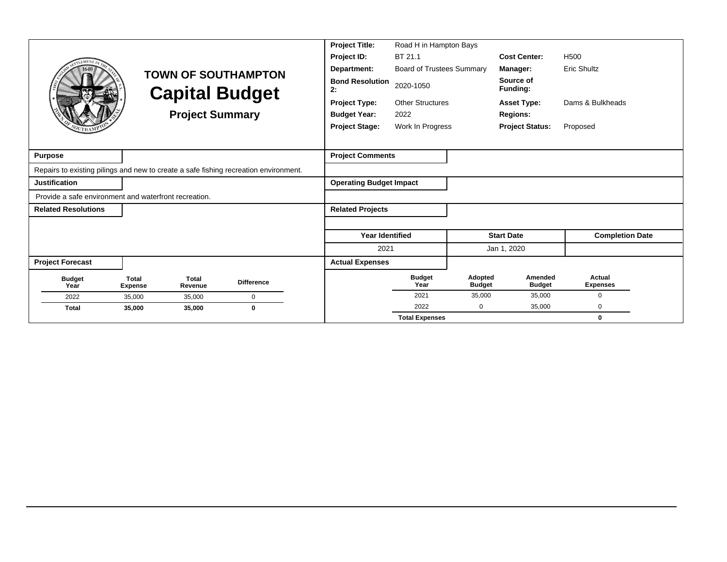|                                                                                      |                                |                         |                            | <b>Project Title:</b>          | Road H in Hampton Bays           |                          |                          |                           |
|--------------------------------------------------------------------------------------|--------------------------------|-------------------------|----------------------------|--------------------------------|----------------------------------|--------------------------|--------------------------|---------------------------|
|                                                                                      |                                |                         |                            | Project ID:                    | BT 21.1                          |                          | <b>Cost Center:</b>      | H <sub>500</sub>          |
|                                                                                      |                                |                         | <b>TOWN OF SOUTHAMPTON</b> | Department:                    | <b>Board of Trustees Summary</b> |                          | Manager:                 | <b>Eric Shultz</b>        |
|                                                                                      |                                |                         | <b>Capital Budget</b>      | <b>Bond Resolution</b><br>2:   | 2020-1050                        |                          | Source of<br>Funding:    |                           |
|                                                                                      |                                |                         |                            | <b>Project Type:</b>           | <b>Other Structures</b>          |                          | <b>Asset Type:</b>       | Dams & Bulkheads          |
|                                                                                      |                                | <b>Project Summary</b>  |                            | <b>Budget Year:</b>            | 2022                             |                          | <b>Regions:</b>          |                           |
|                                                                                      |                                |                         |                            | <b>Project Stage:</b>          | Work In Progress                 |                          | <b>Project Status:</b>   | Proposed                  |
|                                                                                      |                                |                         |                            |                                |                                  |                          |                          |                           |
| <b>Purpose</b>                                                                       |                                |                         |                            | <b>Project Comments</b>        |                                  |                          |                          |                           |
| Repairs to existing pilings and new to create a safe fishing recreation environment. |                                |                         |                            |                                |                                  |                          |                          |                           |
| Justification                                                                        |                                |                         |                            | <b>Operating Budget Impact</b> |                                  |                          |                          |                           |
| Provide a safe environment and waterfront recreation.                                |                                |                         |                            |                                |                                  |                          |                          |                           |
| <b>Related Resolutions</b>                                                           |                                |                         |                            | <b>Related Projects</b>        |                                  |                          |                          |                           |
|                                                                                      |                                |                         |                            |                                |                                  |                          |                          |                           |
|                                                                                      |                                |                         |                            | <b>Year Identified</b>         |                                  |                          | <b>Start Date</b>        | <b>Completion Date</b>    |
|                                                                                      |                                |                         |                            | 2021                           |                                  |                          | Jan 1, 2020              |                           |
| <b>Project Forecast</b>                                                              |                                |                         |                            | <b>Actual Expenses</b>         |                                  |                          |                          |                           |
| <b>Budget</b><br>Year                                                                | <b>Total</b><br><b>Expense</b> | <b>Total</b><br>Revenue | <b>Difference</b>          |                                | <b>Budget</b><br>Year            | Adopted<br><b>Budget</b> | Amended<br><b>Budget</b> | Actual<br><b>Expenses</b> |
| 2022                                                                                 | 35,000                         | 35,000                  | $\mathbf 0$                |                                | 2021                             | 35.000                   | 35,000                   | $\Omega$                  |
| <b>Total</b>                                                                         | 35,000                         | 35,000                  | $\bf{0}$                   |                                | 2022                             | 0                        | 35,000                   | 0                         |
|                                                                                      |                                |                         |                            |                                | <b>Total Expenses</b>            |                          |                          | $\bf{0}$                  |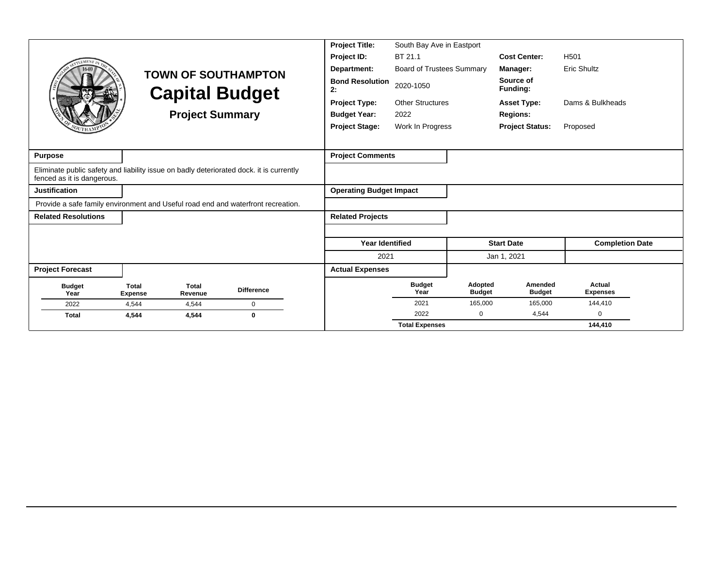|                                                                                                                       |                                |                         |                            | <b>Project Title:</b>          | South Bay Ave in Eastport        |                          |                          |                           |
|-----------------------------------------------------------------------------------------------------------------------|--------------------------------|-------------------------|----------------------------|--------------------------------|----------------------------------|--------------------------|--------------------------|---------------------------|
| <b>TLEMENT</b>                                                                                                        |                                |                         |                            | Project ID:                    | BT 21.1                          |                          | <b>Cost Center:</b>      | H <sub>501</sub>          |
|                                                                                                                       |                                |                         | <b>TOWN OF SOUTHAMPTON</b> | Department:                    | <b>Board of Trustees Summary</b> |                          | Manager:                 | <b>Eric Shultz</b>        |
|                                                                                                                       |                                |                         | <b>Capital Budget</b>      | <b>Bond Resolution</b><br>2:   | 2020-1050                        |                          | Source of<br>Funding:    |                           |
|                                                                                                                       |                                |                         |                            | <b>Project Type:</b>           | <b>Other Structures</b>          |                          | <b>Asset Type:</b>       | Dams & Bulkheads          |
|                                                                                                                       |                                | <b>Project Summary</b>  |                            | <b>Budget Year:</b>            | 2022                             |                          | <b>Regions:</b>          |                           |
|                                                                                                                       |                                |                         |                            | <b>Project Stage:</b>          | Work In Progress                 |                          | <b>Project Status:</b>   | Proposed                  |
|                                                                                                                       |                                |                         |                            |                                |                                  |                          |                          |                           |
| <b>Purpose</b>                                                                                                        |                                |                         |                            | <b>Project Comments</b>        |                                  |                          |                          |                           |
| Eliminate public safety and liability issue on badly deteriorated dock. it is currently<br>fenced as it is dangerous. |                                |                         |                            |                                |                                  |                          |                          |                           |
| <b>Justification</b>                                                                                                  |                                |                         |                            | <b>Operating Budget Impact</b> |                                  |                          |                          |                           |
| Provide a safe family environment and Useful road end and waterfront recreation.                                      |                                |                         |                            |                                |                                  |                          |                          |                           |
| <b>Related Resolutions</b>                                                                                            |                                |                         |                            | <b>Related Projects</b>        |                                  |                          |                          |                           |
|                                                                                                                       |                                |                         |                            |                                |                                  |                          |                          |                           |
|                                                                                                                       |                                |                         |                            | <b>Year Identified</b>         |                                  |                          | <b>Start Date</b>        | <b>Completion Date</b>    |
|                                                                                                                       |                                |                         |                            | 2021                           |                                  |                          | Jan 1, 2021              |                           |
| <b>Project Forecast</b>                                                                                               |                                |                         |                            | <b>Actual Expenses</b>         |                                  |                          |                          |                           |
| <b>Budget</b><br>Year                                                                                                 | <b>Total</b><br><b>Expense</b> | <b>Total</b><br>Revenue | <b>Difference</b>          |                                | <b>Budget</b><br>Year            | Adopted<br><b>Budget</b> | Amended<br><b>Budget</b> | Actual<br><b>Expenses</b> |
| 2022                                                                                                                  | 4,544                          | 4,544                   | $\mathbf 0$                |                                | 2021                             | 165,000                  | 165,000                  | 144,410                   |
| <b>Total</b>                                                                                                          | 4,544                          | 4,544                   | $\bf{0}$                   |                                | 2022                             | $\mathbf 0$              | 4,544                    | $\Omega$                  |
|                                                                                                                       |                                |                         |                            |                                | <b>Total Expenses</b>            |                          |                          | 144,410                   |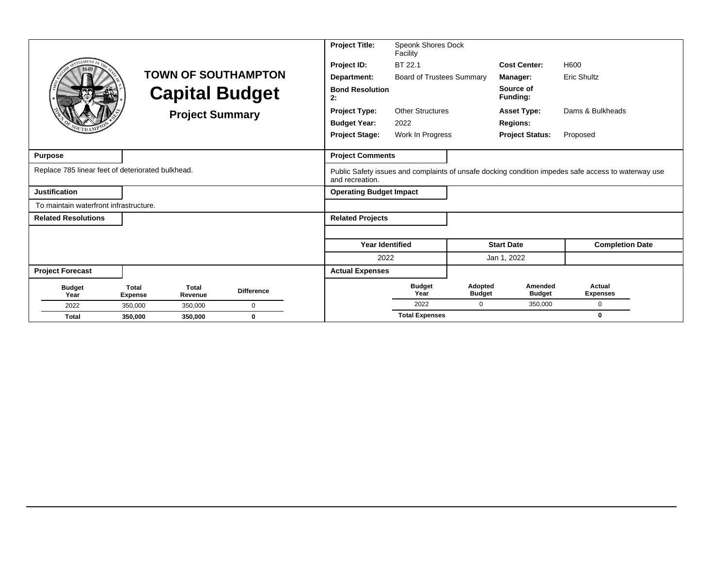|                                                   |                                |                        |                            | <b>Project Title:</b>          | Speonk Shores Dock<br>Facility   |                          |                          |                                                                                                     |
|---------------------------------------------------|--------------------------------|------------------------|----------------------------|--------------------------------|----------------------------------|--------------------------|--------------------------|-----------------------------------------------------------------------------------------------------|
| <b>LEMENT</b>                                     |                                |                        |                            | Project ID:                    | BT 22.1                          |                          | <b>Cost Center:</b>      | H600                                                                                                |
|                                                   |                                |                        | <b>TOWN OF SOUTHAMPTON</b> | Department:                    | <b>Board of Trustees Summary</b> |                          | Manager:                 | <b>Eric Shultz</b>                                                                                  |
|                                                   |                                |                        | <b>Capital Budget</b>      | <b>Bond Resolution</b><br>2:   |                                  |                          | Source of<br>Funding:    |                                                                                                     |
|                                                   |                                | <b>Project Summary</b> |                            | <b>Project Type:</b>           | <b>Other Structures</b>          |                          | <b>Asset Type:</b>       | Dams & Bulkheads                                                                                    |
|                                                   |                                |                        |                            | <b>Budget Year:</b>            | 2022                             |                          | <b>Regions:</b>          |                                                                                                     |
|                                                   |                                |                        |                            | <b>Project Stage:</b>          | Work In Progress                 |                          | <b>Project Status:</b>   | Proposed                                                                                            |
| <b>Purpose</b>                                    |                                |                        |                            | <b>Project Comments</b>        |                                  |                          |                          |                                                                                                     |
| Replace 785 linear feet of deteriorated bulkhead. |                                |                        |                            | and recreation.                |                                  |                          |                          | Public Safety issues and complaints of unsafe docking condition impedes safe access to waterway use |
| <b>Justification</b>                              |                                |                        |                            | <b>Operating Budget Impact</b> |                                  |                          |                          |                                                                                                     |
| To maintain waterfront infrastructure.            |                                |                        |                            |                                |                                  |                          |                          |                                                                                                     |
| <b>Related Resolutions</b>                        |                                |                        |                            | <b>Related Projects</b>        |                                  |                          |                          |                                                                                                     |
|                                                   |                                |                        |                            |                                |                                  |                          |                          |                                                                                                     |
|                                                   |                                |                        |                            | <b>Year Identified</b>         |                                  |                          | <b>Start Date</b>        | <b>Completion Date</b>                                                                              |
|                                                   |                                |                        |                            | 2022                           |                                  |                          | Jan 1, 2022              |                                                                                                     |
| <b>Project Forecast</b>                           |                                |                        |                            | <b>Actual Expenses</b>         |                                  |                          |                          |                                                                                                     |
| <b>Budget</b><br>Year                             | <b>Total</b><br><b>Expense</b> | Total<br>Revenue       | <b>Difference</b>          |                                | <b>Budget</b><br>Year            | Adopted<br><b>Budget</b> | Amended<br><b>Budget</b> | Actual<br><b>Expenses</b>                                                                           |
| 2022                                              | 350,000                        | 350,000                | $\Omega$                   |                                | 2022                             | 0                        | 350,000                  | $\mathbf 0$                                                                                         |
| <b>Total</b>                                      | 350,000                        | 350,000                | $\bf{0}$                   |                                | <b>Total Expenses</b>            |                          |                          | $\bf{0}$                                                                                            |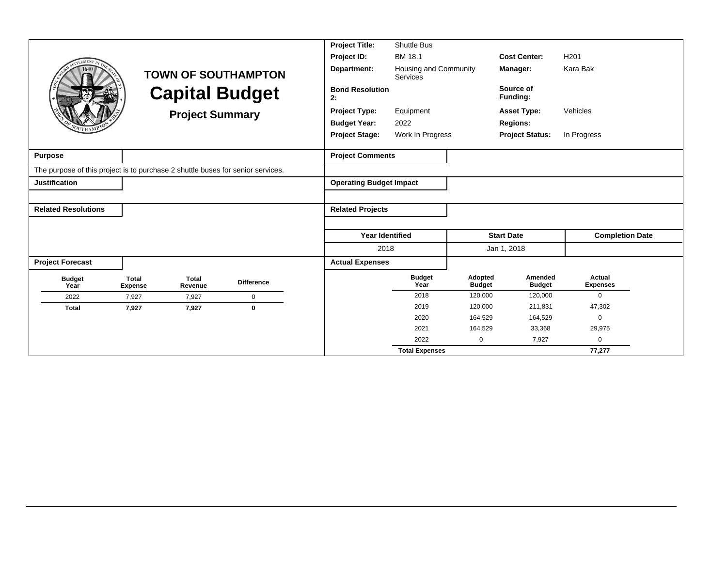|                                                                                 |                                |                        |                            | <b>Project Title:</b>          | <b>Shuttle Bus</b>                       |                          |                          |                           |
|---------------------------------------------------------------------------------|--------------------------------|------------------------|----------------------------|--------------------------------|------------------------------------------|--------------------------|--------------------------|---------------------------|
| <b>EMENT</b>                                                                    |                                |                        |                            | Project ID:                    | BM 18.1                                  |                          | <b>Cost Center:</b>      | H <sub>201</sub>          |
|                                                                                 |                                |                        | <b>TOWN OF SOUTHAMPTON</b> | Department:                    | Housing and Community<br><b>Services</b> |                          | Manager:                 | Kara Bak                  |
|                                                                                 |                                |                        | <b>Capital Budget</b>      | <b>Bond Resolution</b><br>2:   |                                          |                          | Source of<br>Funding:    |                           |
|                                                                                 |                                | <b>Project Summary</b> |                            | <b>Project Type:</b>           | Equipment                                |                          | <b>Asset Type:</b>       | Vehicles                  |
|                                                                                 |                                |                        |                            | <b>Budget Year:</b>            | 2022                                     |                          | <b>Regions:</b>          |                           |
|                                                                                 |                                |                        |                            | <b>Project Stage:</b>          | Work In Progress                         |                          | <b>Project Status:</b>   | In Progress               |
|                                                                                 |                                |                        |                            |                                |                                          |                          |                          |                           |
| <b>Purpose</b>                                                                  |                                |                        |                            | <b>Project Comments</b>        |                                          |                          |                          |                           |
| The purpose of this project is to purchase 2 shuttle buses for senior services. |                                |                        |                            |                                |                                          |                          |                          |                           |
| <b>Justification</b>                                                            |                                |                        |                            | <b>Operating Budget Impact</b> |                                          |                          |                          |                           |
|                                                                                 |                                |                        |                            |                                |                                          |                          |                          |                           |
| <b>Related Resolutions</b>                                                      |                                |                        |                            | <b>Related Projects</b>        |                                          |                          |                          |                           |
|                                                                                 |                                |                        |                            |                                |                                          |                          |                          |                           |
|                                                                                 |                                |                        |                            | <b>Year Identified</b>         |                                          |                          | <b>Start Date</b>        | <b>Completion Date</b>    |
|                                                                                 |                                |                        |                            | 2018                           |                                          |                          | Jan 1, 2018              |                           |
| <b>Project Forecast</b>                                                         |                                |                        |                            | <b>Actual Expenses</b>         |                                          |                          |                          |                           |
| <b>Budget</b><br>Year                                                           | <b>Total</b><br><b>Expense</b> | Total<br>Revenue       | <b>Difference</b>          |                                | <b>Budget</b><br>Year                    | Adopted<br><b>Budget</b> | Amended<br><b>Budget</b> | Actual<br><b>Expenses</b> |
| 2022                                                                            | 7.927                          | 7,927                  | $\mathbf 0$                |                                | 2018                                     | 120,000                  | 120,000                  | $\mathbf 0$               |
| <b>Total</b>                                                                    | 7,927                          | 7,927                  | $\mathbf 0$                |                                | 2019                                     | 120,000                  | 211,831                  | 47,302                    |
|                                                                                 |                                |                        |                            |                                | 2020                                     | 164,529                  | 164,529                  | $\Omega$                  |
|                                                                                 |                                |                        |                            |                                | 2021                                     | 164,529                  | 33,368                   | 29,975                    |
|                                                                                 |                                |                        |                            |                                | 2022                                     | $\Omega$                 | 7,927                    | $\Omega$                  |
|                                                                                 |                                |                        |                            |                                | <b>Total Expenses</b>                    |                          |                          | 77,277                    |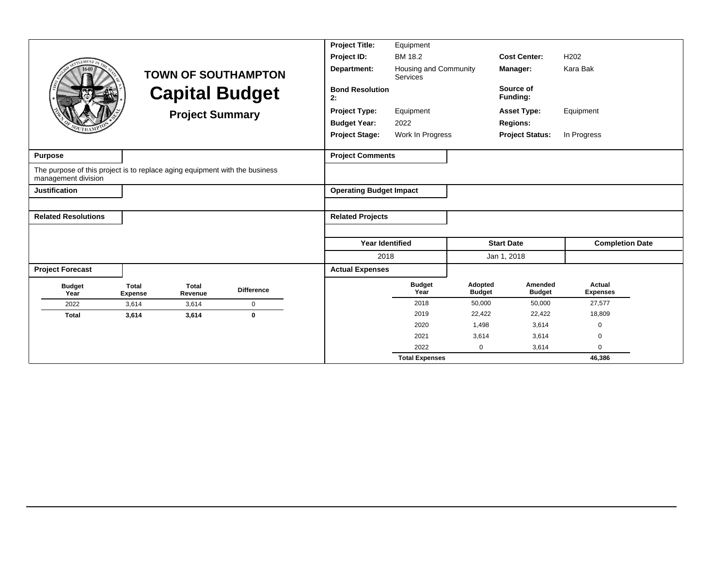|                                                                                                    |                                |                         |                            | <b>Project Title:</b>          | Equipment                                |                          |                          |                           |  |
|----------------------------------------------------------------------------------------------------|--------------------------------|-------------------------|----------------------------|--------------------------------|------------------------------------------|--------------------------|--------------------------|---------------------------|--|
| <b>LEMENT</b>                                                                                      |                                |                         |                            | Project ID:                    | <b>BM 18.2</b>                           |                          | <b>Cost Center:</b>      | H <sub>202</sub>          |  |
|                                                                                                    |                                |                         | <b>TOWN OF SOUTHAMPTON</b> | Department:                    | Housing and Community<br><b>Services</b> |                          | Manager:                 | Kara Bak                  |  |
|                                                                                                    |                                |                         | <b>Capital Budget</b>      | <b>Bond Resolution</b><br>2:   |                                          |                          | Source of<br>Funding:    |                           |  |
|                                                                                                    |                                | <b>Project Summary</b>  |                            | <b>Project Type:</b>           | Equipment                                |                          | <b>Asset Type:</b>       | Equipment                 |  |
|                                                                                                    |                                |                         |                            | <b>Budget Year:</b>            | 2022                                     |                          | <b>Regions:</b>          |                           |  |
|                                                                                                    |                                |                         |                            | <b>Project Stage:</b>          | Work In Progress                         |                          | <b>Project Status:</b>   | In Progress               |  |
| <b>Purpose</b>                                                                                     |                                |                         |                            | <b>Project Comments</b>        |                                          |                          |                          |                           |  |
| The purpose of this project is to replace aging equipment with the business<br>management division |                                |                         |                            |                                |                                          |                          |                          |                           |  |
| <b>Justification</b>                                                                               |                                |                         |                            | <b>Operating Budget Impact</b> |                                          |                          |                          |                           |  |
|                                                                                                    |                                |                         |                            |                                |                                          |                          |                          |                           |  |
| <b>Related Resolutions</b>                                                                         |                                |                         |                            | <b>Related Projects</b>        |                                          |                          |                          |                           |  |
|                                                                                                    |                                |                         |                            |                                |                                          |                          |                          |                           |  |
|                                                                                                    |                                |                         |                            | <b>Year Identified</b>         |                                          |                          | <b>Start Date</b>        | <b>Completion Date</b>    |  |
|                                                                                                    |                                |                         |                            | 2018                           |                                          |                          | Jan 1, 2018              |                           |  |
| <b>Project Forecast</b>                                                                            |                                |                         |                            | <b>Actual Expenses</b>         |                                          |                          |                          |                           |  |
| <b>Budget</b><br>Year                                                                              | <b>Total</b><br><b>Expense</b> | <b>Total</b><br>Revenue | <b>Difference</b>          |                                | <b>Budget</b><br>Year                    | Adopted<br><b>Budget</b> | Amended<br><b>Budget</b> | Actual<br><b>Expenses</b> |  |
| 2022                                                                                               | 3,614                          | 3,614                   | $\mathbf 0$                |                                | 2018                                     | 50,000                   | 50,000                   | 27,577                    |  |
| <b>Total</b>                                                                                       | 3,614                          | 3,614                   | $\mathbf{0}$               |                                | 2019                                     | 22,422                   | 22,422                   | 18,809                    |  |
|                                                                                                    |                                |                         |                            |                                | 2020                                     | 1,498                    | 3,614                    | 0                         |  |
|                                                                                                    |                                |                         |                            |                                | 2021                                     | 3,614                    | 3,614                    | 0                         |  |
|                                                                                                    |                                |                         |                            |                                | 2022                                     | $\mathbf 0$              | 3,614                    | $\Omega$                  |  |
|                                                                                                    |                                |                         |                            |                                | <b>Total Expenses</b>                    |                          |                          | 46,386                    |  |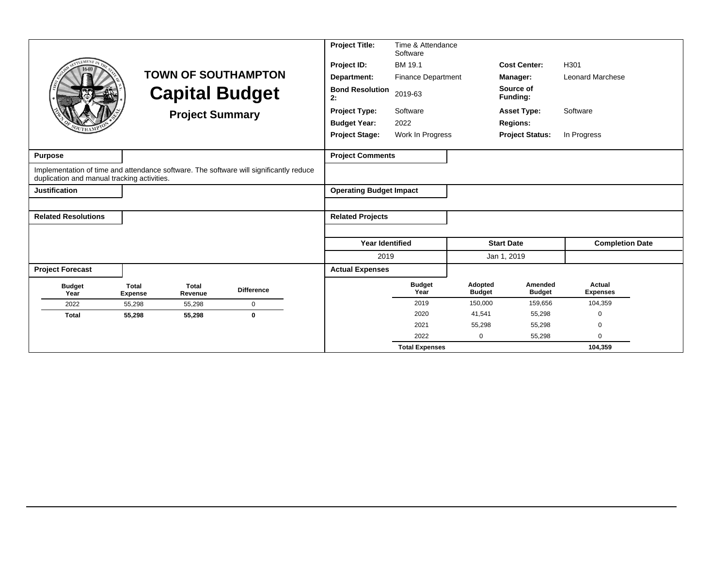|                                             |                                |                        |                                                                                        | <b>Project Title:</b>          | Time & Attendance<br>Software |                          |                          |                           |
|---------------------------------------------|--------------------------------|------------------------|----------------------------------------------------------------------------------------|--------------------------------|-------------------------------|--------------------------|--------------------------|---------------------------|
|                                             |                                |                        |                                                                                        | Project ID:                    | BM 19.1                       |                          | <b>Cost Center:</b>      | H301                      |
|                                             |                                |                        | <b>TOWN OF SOUTHAMPTON</b>                                                             | Department:                    | <b>Finance Department</b>     |                          | Manager:                 | <b>Leonard Marchese</b>   |
|                                             |                                |                        | <b>Capital Budget</b>                                                                  | <b>Bond Resolution</b><br>2:   | 2019-63                       |                          | Source of<br>Funding:    |                           |
|                                             |                                | <b>Project Summary</b> |                                                                                        | <b>Project Type:</b>           | Software                      |                          | <b>Asset Type:</b>       | Software                  |
|                                             |                                |                        |                                                                                        | <b>Budget Year:</b>            | 2022                          |                          | <b>Regions:</b>          |                           |
|                                             |                                |                        |                                                                                        | <b>Project Stage:</b>          | Work In Progress              |                          | <b>Project Status:</b>   | In Progress               |
| <b>Purpose</b>                              |                                |                        |                                                                                        | <b>Project Comments</b>        |                               |                          |                          |                           |
| duplication and manual tracking activities. |                                |                        | Implementation of time and attendance software. The software will significantly reduce |                                |                               |                          |                          |                           |
| <b>Justification</b>                        |                                |                        |                                                                                        | <b>Operating Budget Impact</b> |                               |                          |                          |                           |
|                                             |                                |                        |                                                                                        |                                |                               |                          |                          |                           |
| <b>Related Resolutions</b>                  |                                |                        |                                                                                        | <b>Related Projects</b>        |                               |                          |                          |                           |
|                                             |                                |                        |                                                                                        |                                |                               |                          |                          |                           |
|                                             |                                |                        |                                                                                        | <b>Year Identified</b>         |                               |                          | <b>Start Date</b>        | <b>Completion Date</b>    |
|                                             |                                |                        |                                                                                        | 2019                           |                               |                          | Jan 1, 2019              |                           |
| <b>Project Forecast</b>                     |                                |                        |                                                                                        | <b>Actual Expenses</b>         |                               |                          |                          |                           |
| <b>Budget</b><br>Year                       | <b>Total</b><br><b>Expense</b> | Total<br>Revenue       | <b>Difference</b>                                                                      |                                | <b>Budget</b><br>Year         | Adopted<br><b>Budget</b> | Amended<br><b>Budget</b> | Actual<br><b>Expenses</b> |
| 2022                                        | 55,298                         | 55,298                 | $\mathbf 0$                                                                            |                                | 2019                          | 150.000                  | 159,656                  | 104,359                   |
| <b>Total</b>                                | 55,298                         | 55,298                 | $\mathbf 0$                                                                            |                                | 2020                          | 41,541                   | 55,298                   | 0                         |
|                                             |                                |                        |                                                                                        |                                | 2021                          | 55,298                   | 55,298                   | $\Omega$                  |
|                                             |                                |                        |                                                                                        |                                | 2022                          | $\mathbf 0$              | 55,298                   | $\Omega$                  |
|                                             |                                |                        |                                                                                        |                                | <b>Total Expenses</b>         |                          |                          | 104,359                   |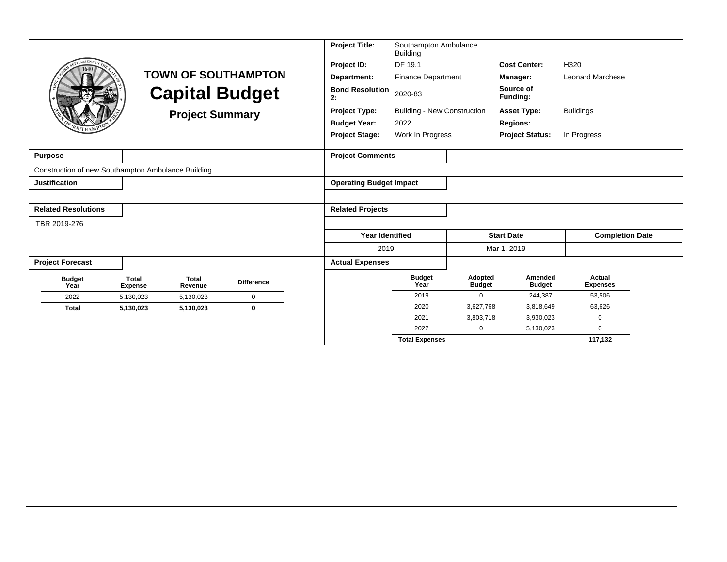|                                                    |                                |                         |                            | <b>Project Title:</b>          | Southampton Ambulance<br><b>Building</b> |                          |                          |                           |
|----------------------------------------------------|--------------------------------|-------------------------|----------------------------|--------------------------------|------------------------------------------|--------------------------|--------------------------|---------------------------|
| <b>LEMENT</b>                                      |                                |                         |                            | Project ID:                    | DF 19.1                                  |                          | <b>Cost Center:</b>      | H320                      |
|                                                    |                                |                         | <b>TOWN OF SOUTHAMPTON</b> | Department:                    | <b>Finance Department</b>                |                          | Manager:                 | <b>Leonard Marchese</b>   |
|                                                    |                                | <b>Capital Budget</b>   |                            | <b>Bond Resolution</b><br>2:   | 2020-83                                  |                          | Source of<br>Funding:    |                           |
|                                                    |                                | <b>Project Summary</b>  |                            | <b>Project Type:</b>           | <b>Building - New Construction</b>       |                          | <b>Asset Type:</b>       | <b>Buildings</b>          |
|                                                    |                                |                         |                            | <b>Budget Year:</b>            | 2022                                     |                          | <b>Regions:</b>          |                           |
|                                                    |                                |                         |                            | <b>Project Stage:</b>          | Work In Progress                         |                          | <b>Project Status:</b>   | In Progress               |
|                                                    |                                |                         |                            |                                |                                          |                          |                          |                           |
| Purpose                                            |                                |                         |                            | <b>Project Comments</b>        |                                          |                          |                          |                           |
| Construction of new Southampton Ambulance Building |                                |                         |                            |                                |                                          |                          |                          |                           |
| <b>Justification</b>                               |                                |                         |                            | <b>Operating Budget Impact</b> |                                          |                          |                          |                           |
|                                                    |                                |                         |                            |                                |                                          |                          |                          |                           |
| <b>Related Resolutions</b>                         |                                |                         |                            | <b>Related Projects</b>        |                                          |                          |                          |                           |
| TBR 2019-276                                       |                                |                         |                            |                                |                                          |                          |                          |                           |
|                                                    |                                |                         |                            | <b>Year Identified</b>         |                                          |                          | <b>Start Date</b>        | <b>Completion Date</b>    |
|                                                    |                                |                         |                            | 2019                           |                                          |                          | Mar 1, 2019              |                           |
| <b>Project Forecast</b>                            |                                |                         |                            | <b>Actual Expenses</b>         |                                          |                          |                          |                           |
| <b>Budget</b><br>Year                              | <b>Total</b><br><b>Expense</b> | <b>Total</b><br>Revenue | <b>Difference</b>          |                                | <b>Budget</b><br>Year                    | Adopted<br><b>Budget</b> | Amended<br><b>Budget</b> | Actual<br><b>Expenses</b> |
| 2022                                               | 5,130,023                      | 5,130,023               | $\mathbf 0$                |                                | 2019                                     | $\Omega$                 | 244,387                  | 53,506                    |
| <b>Total</b>                                       | 5,130,023                      | 5,130,023               | $\mathbf 0$                |                                | 2020                                     | 3,627,768                | 3,818,649                | 63,626                    |
|                                                    |                                |                         |                            |                                | 2021                                     | 3,803,718                | 3,930,023                | $\mathbf 0$               |
|                                                    |                                |                         |                            |                                | 2022                                     | 0                        | 5,130,023                | $\Omega$                  |
|                                                    |                                |                         |                            |                                | <b>Total Expenses</b>                    |                          |                          | 117,132                   |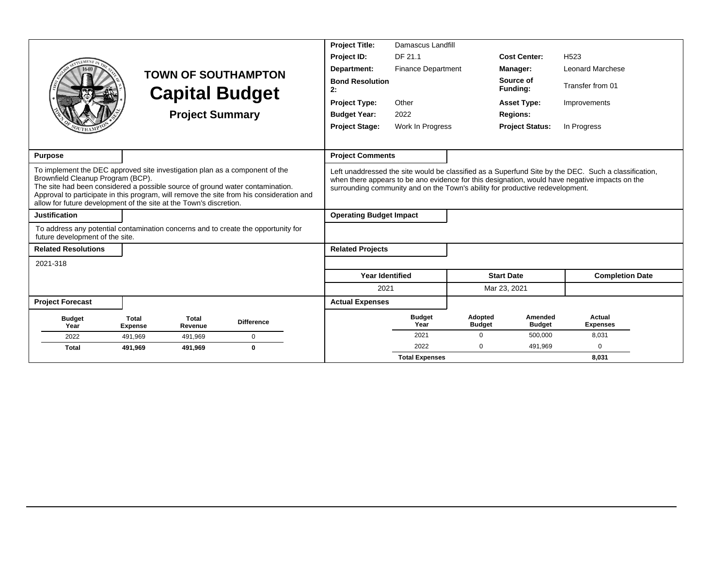|                                                                                                                                                                                                                                                                                                                                                                     |                                |                         |                            | <b>Project Title:</b>          | Damascus Landfill         |                          |                                                                               |                                                                                                                                                                                                        |
|---------------------------------------------------------------------------------------------------------------------------------------------------------------------------------------------------------------------------------------------------------------------------------------------------------------------------------------------------------------------|--------------------------------|-------------------------|----------------------------|--------------------------------|---------------------------|--------------------------|-------------------------------------------------------------------------------|--------------------------------------------------------------------------------------------------------------------------------------------------------------------------------------------------------|
| <b>EMEN</b>                                                                                                                                                                                                                                                                                                                                                         |                                |                         |                            | Project ID:                    | DF 21.1                   |                          | <b>Cost Center:</b>                                                           | H <sub>523</sub>                                                                                                                                                                                       |
|                                                                                                                                                                                                                                                                                                                                                                     |                                |                         | <b>TOWN OF SOUTHAMPTON</b> | Department:                    | <b>Finance Department</b> |                          | Manager:                                                                      | <b>Leonard Marchese</b>                                                                                                                                                                                |
|                                                                                                                                                                                                                                                                                                                                                                     |                                |                         | <b>Capital Budget</b>      | <b>Bond Resolution</b><br>2:   |                           |                          | Source of<br>Funding:                                                         | Transfer from 01                                                                                                                                                                                       |
|                                                                                                                                                                                                                                                                                                                                                                     |                                |                         |                            | <b>Project Type:</b>           | Other                     |                          | <b>Asset Type:</b>                                                            | Improvements                                                                                                                                                                                           |
|                                                                                                                                                                                                                                                                                                                                                                     |                                | <b>Project Summary</b>  |                            | <b>Budget Year:</b>            | 2022                      |                          | <b>Regions:</b>                                                               |                                                                                                                                                                                                        |
|                                                                                                                                                                                                                                                                                                                                                                     |                                |                         |                            | <b>Project Stage:</b>          | Work In Progress          |                          | <b>Project Status:</b>                                                        | In Progress                                                                                                                                                                                            |
|                                                                                                                                                                                                                                                                                                                                                                     |                                |                         |                            |                                |                           |                          |                                                                               |                                                                                                                                                                                                        |
| <b>Purpose</b>                                                                                                                                                                                                                                                                                                                                                      |                                |                         |                            | <b>Project Comments</b>        |                           |                          |                                                                               |                                                                                                                                                                                                        |
| To implement the DEC approved site investigation plan as a component of the<br>Brownfield Cleanup Program (BCP).<br>The site had been considered a possible source of ground water contamination.<br>Approval to participate in this program, will remove the site from his consideration and<br>allow for future development of the site at the Town's discretion. |                                |                         |                            |                                |                           |                          | surrounding community and on the Town's ability for productive redevelopment. | Left unaddressed the site would be classified as a Superfund Site by the DEC. Such a classification,<br>when there appears to be ano evidence for this designation, would have negative impacts on the |
| <b>Justification</b>                                                                                                                                                                                                                                                                                                                                                |                                |                         |                            | <b>Operating Budget Impact</b> |                           |                          |                                                                               |                                                                                                                                                                                                        |
| To address any potential contamination concerns and to create the opportunity for<br>future development of the site.                                                                                                                                                                                                                                                |                                |                         |                            |                                |                           |                          |                                                                               |                                                                                                                                                                                                        |
| <b>Related Resolutions</b>                                                                                                                                                                                                                                                                                                                                          |                                |                         |                            | <b>Related Projects</b>        |                           |                          |                                                                               |                                                                                                                                                                                                        |
| 2021-318                                                                                                                                                                                                                                                                                                                                                            |                                |                         |                            |                                |                           |                          |                                                                               |                                                                                                                                                                                                        |
|                                                                                                                                                                                                                                                                                                                                                                     |                                |                         |                            | <b>Year Identified</b>         |                           |                          | <b>Start Date</b>                                                             | <b>Completion Date</b>                                                                                                                                                                                 |
|                                                                                                                                                                                                                                                                                                                                                                     |                                |                         |                            | 2021                           |                           |                          | Mar 23, 2021                                                                  |                                                                                                                                                                                                        |
| <b>Project Forecast</b>                                                                                                                                                                                                                                                                                                                                             |                                |                         |                            | <b>Actual Expenses</b>         |                           |                          |                                                                               |                                                                                                                                                                                                        |
| <b>Budget</b><br>Year                                                                                                                                                                                                                                                                                                                                               | <b>Total</b><br><b>Expense</b> | <b>Total</b><br>Revenue | <b>Difference</b>          |                                | <b>Budget</b><br>Year     | Adopted<br><b>Budget</b> | Amended<br><b>Budget</b>                                                      | Actual<br><b>Expenses</b>                                                                                                                                                                              |
| 2022                                                                                                                                                                                                                                                                                                                                                                | 491,969                        | 491,969                 | $\Omega$                   |                                | 2021                      | $\mathbf 0$              | 500,000                                                                       | 8,031                                                                                                                                                                                                  |
| <b>Total</b>                                                                                                                                                                                                                                                                                                                                                        | 491,969                        | 491,969                 | 0                          |                                | 2022                      | $\Omega$                 | 491.969                                                                       | $\Omega$                                                                                                                                                                                               |
|                                                                                                                                                                                                                                                                                                                                                                     |                                |                         |                            |                                | <b>Total Expenses</b>     |                          |                                                                               | 8,031                                                                                                                                                                                                  |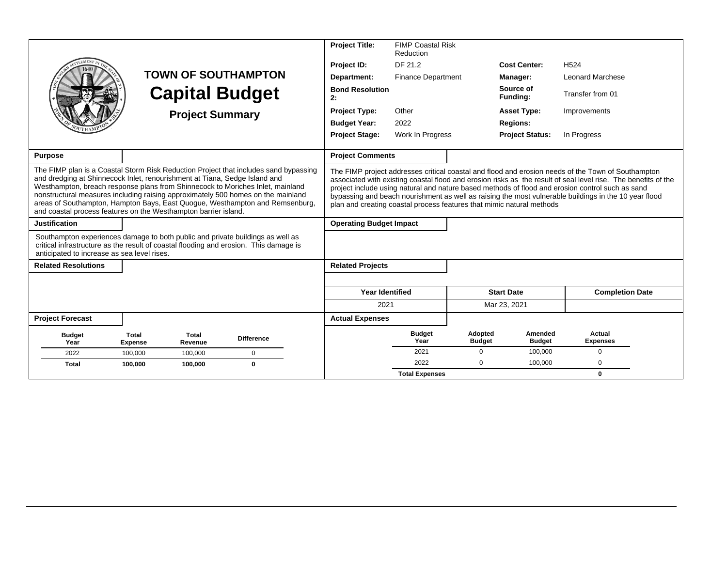|                                                                                                                                                                                                                                                                                                                                                                                                                                                                                             |                         | <b>Capital Budget</b><br><b>Project Summary</b> | <b>TOWN OF SOUTHAMPTON</b> |  | <b>Project Title:</b><br>Project ID:<br>Department:<br><b>Bond Resolution</b><br>2:<br><b>Project Type:</b><br><b>Budget Year:</b><br><b>Project Stage:</b> | <b>FIMP Coastal Risk</b><br>Reduction<br>DF 21.2<br><b>Finance Department</b><br>Other<br>2022<br>Work In Progress |                          | <b>Cost Center:</b><br>Manager:<br>Source of<br>Fundina:<br><b>Asset Type:</b><br><b>Regions:</b><br><b>Project Status:</b> | H <sub>524</sub><br><b>Leonard Marchese</b><br>Transfer from 01<br>Improvements<br>In Progress                                                                                                                                                                                                                                                                                                                                    |  |
|---------------------------------------------------------------------------------------------------------------------------------------------------------------------------------------------------------------------------------------------------------------------------------------------------------------------------------------------------------------------------------------------------------------------------------------------------------------------------------------------|-------------------------|-------------------------------------------------|----------------------------|--|-------------------------------------------------------------------------------------------------------------------------------------------------------------|--------------------------------------------------------------------------------------------------------------------|--------------------------|-----------------------------------------------------------------------------------------------------------------------------|-----------------------------------------------------------------------------------------------------------------------------------------------------------------------------------------------------------------------------------------------------------------------------------------------------------------------------------------------------------------------------------------------------------------------------------|--|
| <b>Purpose</b>                                                                                                                                                                                                                                                                                                                                                                                                                                                                              |                         |                                                 |                            |  | <b>Project Comments</b>                                                                                                                                     |                                                                                                                    |                          |                                                                                                                             |                                                                                                                                                                                                                                                                                                                                                                                                                                   |  |
| The FIMP plan is a Coastal Storm Risk Reduction Project that includes sand bypassing<br>and dredging at Shinnecock Inlet, renourishment at Tiana, Sedge Island and<br>Westhampton, breach response plans from Shinnecock to Moriches Inlet, mainland<br>nonstructural measures including raising approximately 500 homes on the mainland<br>areas of Southampton, Hampton Bays, East Quogue, Westhampton and Remsenburg,<br>and coastal process features on the Westhampton barrier island. |                         |                                                 |                            |  |                                                                                                                                                             |                                                                                                                    |                          | plan and creating coastal process features that mimic natural methods                                                       | The FIMP project addresses critical coastal and flood and erosion needs of the Town of Southampton<br>associated with existing coastal flood and erosion risks as the result of seal level rise. The benefits of the<br>project include using natural and nature based methods of flood and erosion control such as sand<br>bypassing and beach nourishment as well as raising the most vulnerable buildings in the 10 year flood |  |
| <b>Justification</b>                                                                                                                                                                                                                                                                                                                                                                                                                                                                        |                         |                                                 |                            |  | <b>Operating Budget Impact</b>                                                                                                                              |                                                                                                                    |                          |                                                                                                                             |                                                                                                                                                                                                                                                                                                                                                                                                                                   |  |
| Southampton experiences damage to both public and private buildings as well as<br>critical infrastructure as the result of coastal flooding and erosion. This damage is<br>anticipated to increase as sea level rises.                                                                                                                                                                                                                                                                      |                         |                                                 |                            |  |                                                                                                                                                             |                                                                                                                    |                          |                                                                                                                             |                                                                                                                                                                                                                                                                                                                                                                                                                                   |  |
| <b>Related Resolutions</b>                                                                                                                                                                                                                                                                                                                                                                                                                                                                  |                         |                                                 |                            |  | <b>Related Projects</b>                                                                                                                                     |                                                                                                                    |                          |                                                                                                                             |                                                                                                                                                                                                                                                                                                                                                                                                                                   |  |
|                                                                                                                                                                                                                                                                                                                                                                                                                                                                                             |                         |                                                 |                            |  |                                                                                                                                                             |                                                                                                                    |                          |                                                                                                                             |                                                                                                                                                                                                                                                                                                                                                                                                                                   |  |
|                                                                                                                                                                                                                                                                                                                                                                                                                                                                                             |                         |                                                 |                            |  | <b>Year Identified</b>                                                                                                                                      |                                                                                                                    |                          | <b>Start Date</b>                                                                                                           | <b>Completion Date</b>                                                                                                                                                                                                                                                                                                                                                                                                            |  |
|                                                                                                                                                                                                                                                                                                                                                                                                                                                                                             |                         |                                                 |                            |  | 2021                                                                                                                                                        |                                                                                                                    |                          | Mar 23, 2021                                                                                                                |                                                                                                                                                                                                                                                                                                                                                                                                                                   |  |
| <b>Project Forecast</b>                                                                                                                                                                                                                                                                                                                                                                                                                                                                     |                         |                                                 |                            |  | <b>Actual Expenses</b>                                                                                                                                      |                                                                                                                    |                          |                                                                                                                             |                                                                                                                                                                                                                                                                                                                                                                                                                                   |  |
| <b>Budget</b><br>Year                                                                                                                                                                                                                                                                                                                                                                                                                                                                       | Total<br><b>Expense</b> | Total<br>Revenue                                | <b>Difference</b>          |  |                                                                                                                                                             | <b>Budget</b><br>Year                                                                                              | Adopted<br><b>Budget</b> | Amended<br><b>Budget</b>                                                                                                    | Actual<br><b>Expenses</b>                                                                                                                                                                                                                                                                                                                                                                                                         |  |
| 2022                                                                                                                                                                                                                                                                                                                                                                                                                                                                                        | 100.000                 | 100,000                                         | $\mathbf 0$                |  |                                                                                                                                                             | 2021                                                                                                               | $\Omega$                 | 100,000                                                                                                                     | $\Omega$                                                                                                                                                                                                                                                                                                                                                                                                                          |  |
| <b>Total</b>                                                                                                                                                                                                                                                                                                                                                                                                                                                                                | 100,000                 | 100,000                                         | $\mathbf{0}$               |  |                                                                                                                                                             | 2022                                                                                                               | $\Omega$                 | 100,000                                                                                                                     | $\mathbf 0$                                                                                                                                                                                                                                                                                                                                                                                                                       |  |
|                                                                                                                                                                                                                                                                                                                                                                                                                                                                                             |                         |                                                 |                            |  |                                                                                                                                                             | <b>Total Expenses</b>                                                                                              |                          |                                                                                                                             | $\mathbf{0}$                                                                                                                                                                                                                                                                                                                                                                                                                      |  |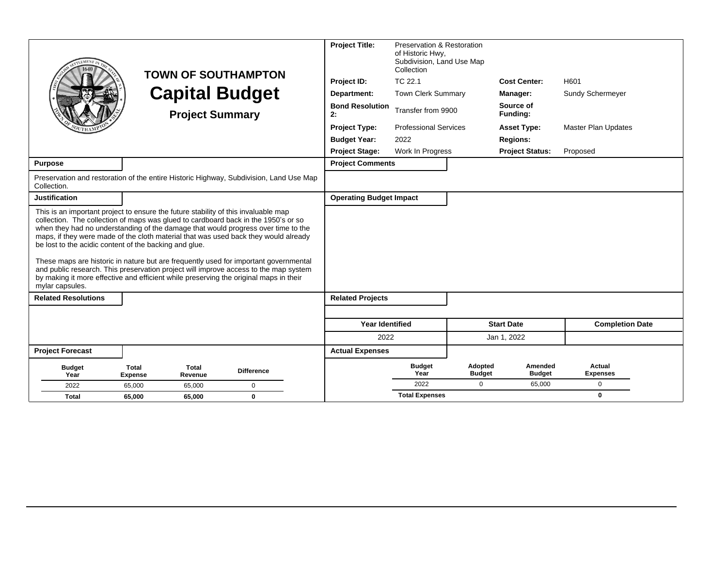|                                                                           | <b>TOWN OF SOUTHAMPTON</b><br><b>Capital Budget</b><br><b>Project Summary</b>                                                                                                                                                                                                                                                                                                                                                                                                                                                                                                                                                 |                   | <b>Project Title:</b><br>Project ID:<br>Department:<br><b>Bond Resolution</b><br>2:<br><b>Project Type:</b><br><b>Budget Year:</b><br><b>Project Stage:</b> | Preservation & Restoration<br>of Historic Hwy.<br>Subdivision, Land Use Map<br>Collection<br>TC 22.1<br>Town Clerk Summary<br>Transfer from 9900<br><b>Professional Services</b><br>2022<br>Work In Progress |                          | <b>Cost Center:</b><br>Manager:<br>Source of<br>Funding:<br><b>Asset Type:</b><br><b>Regions:</b><br><b>Project Status:</b> | H601<br>Sundy Schermeyer<br><b>Master Plan Updates</b><br>Proposed |
|---------------------------------------------------------------------------|-------------------------------------------------------------------------------------------------------------------------------------------------------------------------------------------------------------------------------------------------------------------------------------------------------------------------------------------------------------------------------------------------------------------------------------------------------------------------------------------------------------------------------------------------------------------------------------------------------------------------------|-------------------|-------------------------------------------------------------------------------------------------------------------------------------------------------------|--------------------------------------------------------------------------------------------------------------------------------------------------------------------------------------------------------------|--------------------------|-----------------------------------------------------------------------------------------------------------------------------|--------------------------------------------------------------------|
| <b>Purpose</b>                                                            |                                                                                                                                                                                                                                                                                                                                                                                                                                                                                                                                                                                                                               |                   | <b>Project Comments</b>                                                                                                                                     |                                                                                                                                                                                                              |                          |                                                                                                                             |                                                                    |
| Collection.                                                               | Preservation and restoration of the entire Historic Highway, Subdivision, Land Use Map                                                                                                                                                                                                                                                                                                                                                                                                                                                                                                                                        |                   |                                                                                                                                                             |                                                                                                                                                                                                              |                          |                                                                                                                             |                                                                    |
| <b>Justification</b>                                                      |                                                                                                                                                                                                                                                                                                                                                                                                                                                                                                                                                                                                                               |                   | <b>Operating Budget Impact</b>                                                                                                                              |                                                                                                                                                                                                              |                          |                                                                                                                             |                                                                    |
| be lost to the acidic content of the backing and glue.<br>mylar capsules. | This is an important project to ensure the future stability of this invaluable map<br>collection. The collection of maps was glued to cardboard back in the 1950's or so<br>when they had no understanding of the damage that would progress over time to the<br>maps, if they were made of the cloth material that was used back they would already<br>These maps are historic in nature but are frequently used for important governmental<br>and public research. This preservation project will improve access to the map system<br>by making it more effective and efficient while preserving the original maps in their |                   |                                                                                                                                                             |                                                                                                                                                                                                              |                          |                                                                                                                             |                                                                    |
| <b>Related Resolutions</b>                                                |                                                                                                                                                                                                                                                                                                                                                                                                                                                                                                                                                                                                                               |                   | <b>Related Projects</b>                                                                                                                                     |                                                                                                                                                                                                              |                          |                                                                                                                             |                                                                    |
|                                                                           |                                                                                                                                                                                                                                                                                                                                                                                                                                                                                                                                                                                                                               |                   | <b>Year Identified</b>                                                                                                                                      |                                                                                                                                                                                                              |                          | <b>Start Date</b>                                                                                                           | <b>Completion Date</b>                                             |
|                                                                           |                                                                                                                                                                                                                                                                                                                                                                                                                                                                                                                                                                                                                               |                   | 2022                                                                                                                                                        |                                                                                                                                                                                                              |                          | Jan 1, 2022                                                                                                                 |                                                                    |
| <b>Project Forecast</b>                                                   |                                                                                                                                                                                                                                                                                                                                                                                                                                                                                                                                                                                                                               |                   | <b>Actual Expenses</b>                                                                                                                                      |                                                                                                                                                                                                              |                          |                                                                                                                             |                                                                    |
| <b>Budget</b><br>Year                                                     | <b>Total</b><br><b>Total</b><br>Expense<br>Revenue                                                                                                                                                                                                                                                                                                                                                                                                                                                                                                                                                                            | <b>Difference</b> |                                                                                                                                                             | <b>Budget</b><br>Year                                                                                                                                                                                        | Adopted<br><b>Budget</b> | Amended<br><b>Budget</b>                                                                                                    | Actual<br><b>Expenses</b>                                          |
| 2022                                                                      | 65.000<br>65,000                                                                                                                                                                                                                                                                                                                                                                                                                                                                                                                                                                                                              | $\mathbf 0$       |                                                                                                                                                             | 2022                                                                                                                                                                                                         | $\Omega$                 | 65,000                                                                                                                      | $\mathbf{0}$                                                       |
| <b>Total</b>                                                              | 65,000<br>65,000                                                                                                                                                                                                                                                                                                                                                                                                                                                                                                                                                                                                              | $\mathbf 0$       |                                                                                                                                                             | <b>Total Expenses</b>                                                                                                                                                                                        |                          |                                                                                                                             | $\mathbf{0}$                                                       |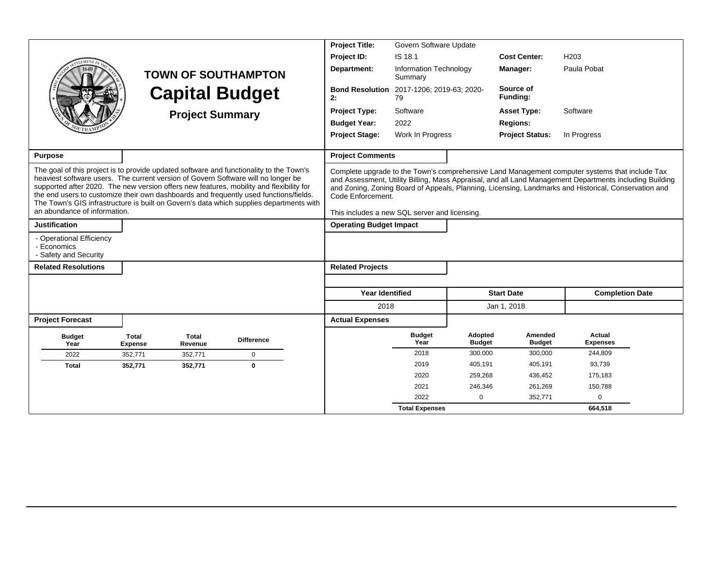|                                                                                                                                                                                                                                                                                                                                                                                                  |                                |                         |                                                                                         | <b>Project Title:</b><br>Govern Software Update                    |                                          |                          |                          |                                                                                                                                                                                                                                                                                                                   |  |
|--------------------------------------------------------------------------------------------------------------------------------------------------------------------------------------------------------------------------------------------------------------------------------------------------------------------------------------------------------------------------------------------------|--------------------------------|-------------------------|-----------------------------------------------------------------------------------------|--------------------------------------------------------------------|------------------------------------------|--------------------------|--------------------------|-------------------------------------------------------------------------------------------------------------------------------------------------------------------------------------------------------------------------------------------------------------------------------------------------------------------|--|
|                                                                                                                                                                                                                                                                                                                                                                                                  |                                |                         |                                                                                         | Project ID:                                                        | IS 18.1                                  |                          | <b>Cost Center:</b>      | H203                                                                                                                                                                                                                                                                                                              |  |
|                                                                                                                                                                                                                                                                                                                                                                                                  |                                |                         | <b>TOWN OF SOUTHAMPTON</b>                                                              | Department:                                                        | <b>Information Technology</b><br>Summary |                          | <b>Manager:</b>          | Paula Pobat                                                                                                                                                                                                                                                                                                       |  |
|                                                                                                                                                                                                                                                                                                                                                                                                  |                                |                         | <b>Capital Budget</b>                                                                   | <b>Bond Resolution</b><br>2:                                       | 2017-1206; 2019-63; 2020-<br>79          |                          | Source of<br>Funding:    |                                                                                                                                                                                                                                                                                                                   |  |
|                                                                                                                                                                                                                                                                                                                                                                                                  |                                | <b>Project Summary</b>  |                                                                                         | <b>Project Type:</b>                                               | Software                                 |                          | <b>Asset Type:</b>       | Software                                                                                                                                                                                                                                                                                                          |  |
|                                                                                                                                                                                                                                                                                                                                                                                                  |                                |                         |                                                                                         | <b>Budget Year:</b>                                                | 2022                                     |                          | <b>Regions:</b>          |                                                                                                                                                                                                                                                                                                                   |  |
|                                                                                                                                                                                                                                                                                                                                                                                                  |                                |                         |                                                                                         | <b>Project Stage:</b>                                              | Work In Progress                         |                          | <b>Project Status:</b>   | In Progress                                                                                                                                                                                                                                                                                                       |  |
| <b>Purpose</b>                                                                                                                                                                                                                                                                                                                                                                                   |                                |                         |                                                                                         | <b>Project Comments</b>                                            |                                          |                          |                          |                                                                                                                                                                                                                                                                                                                   |  |
| The goal of this project is to provide updated software and functionality to the Town's<br>heaviest software users. The current version of Govern Software will no longer be<br>supported after 2020. The new version offers new features, mobility and flexibility for<br>the end users to customize their own dashboards and frequently used functions/fields.<br>an abundance of information. |                                |                         | The Town's GIS infrastructure is built on Govern's data which supplies departments with | Code Enforcement.<br>This includes a new SQL server and licensing. |                                          |                          |                          | Complete upgrade to the Town's comprehensive Land Management computer systems that include Tax<br>and Assessment, Utility Billing, Mass Appraisal, and all Land Management Departments including Building<br>and Zoning, Zoning Board of Appeals, Planning, Licensing, Landmarks and Historical, Conservation and |  |
| <b>Justification</b>                                                                                                                                                                                                                                                                                                                                                                             |                                |                         |                                                                                         | <b>Operating Budget Impact</b>                                     |                                          |                          |                          |                                                                                                                                                                                                                                                                                                                   |  |
| - Operational Efficiency<br>- Economics<br>- Safety and Security                                                                                                                                                                                                                                                                                                                                 |                                |                         |                                                                                         |                                                                    |                                          |                          |                          |                                                                                                                                                                                                                                                                                                                   |  |
| <b>Related Resolutions</b>                                                                                                                                                                                                                                                                                                                                                                       |                                |                         |                                                                                         | <b>Related Projects</b>                                            |                                          |                          |                          |                                                                                                                                                                                                                                                                                                                   |  |
|                                                                                                                                                                                                                                                                                                                                                                                                  |                                |                         |                                                                                         |                                                                    |                                          |                          |                          |                                                                                                                                                                                                                                                                                                                   |  |
|                                                                                                                                                                                                                                                                                                                                                                                                  |                                |                         |                                                                                         | <b>Year Identified</b>                                             |                                          |                          | <b>Start Date</b>        | <b>Completion Date</b>                                                                                                                                                                                                                                                                                            |  |
|                                                                                                                                                                                                                                                                                                                                                                                                  |                                |                         |                                                                                         | 2018                                                               |                                          |                          | Jan 1, 2018              |                                                                                                                                                                                                                                                                                                                   |  |
| <b>Project Forecast</b>                                                                                                                                                                                                                                                                                                                                                                          |                                |                         |                                                                                         | <b>Actual Expenses</b>                                             |                                          |                          |                          |                                                                                                                                                                                                                                                                                                                   |  |
| <b>Budget</b><br>Year                                                                                                                                                                                                                                                                                                                                                                            | <b>Total</b><br><b>Expense</b> | <b>Total</b><br>Revenue | <b>Difference</b>                                                                       |                                                                    | <b>Budget</b><br>Year                    | Adopted<br><b>Budget</b> | Amended<br><b>Budget</b> | <b>Actual</b><br><b>Expenses</b>                                                                                                                                                                                                                                                                                  |  |
| 2022                                                                                                                                                                                                                                                                                                                                                                                             | 352,771                        | 352,771                 | $\mathbf 0$                                                                             |                                                                    | 2018                                     | 300,000                  | 300,000                  | 244,809                                                                                                                                                                                                                                                                                                           |  |
| <b>Total</b>                                                                                                                                                                                                                                                                                                                                                                                     | 352,771                        | 352,771                 | $\bf{0}$                                                                                |                                                                    | 2019                                     | 405,191                  | 405,191                  | 93,739                                                                                                                                                                                                                                                                                                            |  |
|                                                                                                                                                                                                                                                                                                                                                                                                  |                                |                         |                                                                                         |                                                                    | 2020                                     | 259,268                  | 436,452                  | 175,183                                                                                                                                                                                                                                                                                                           |  |
|                                                                                                                                                                                                                                                                                                                                                                                                  |                                |                         |                                                                                         |                                                                    | 2021                                     | 246,346                  | 261,269                  | 150,788                                                                                                                                                                                                                                                                                                           |  |
|                                                                                                                                                                                                                                                                                                                                                                                                  |                                |                         |                                                                                         |                                                                    | 2022                                     | $\mathbf 0$              | 352,771                  | $\mathbf 0$                                                                                                                                                                                                                                                                                                       |  |
|                                                                                                                                                                                                                                                                                                                                                                                                  |                                |                         |                                                                                         |                                                                    | <b>Total Expenses</b>                    |                          |                          | 664,518                                                                                                                                                                                                                                                                                                           |  |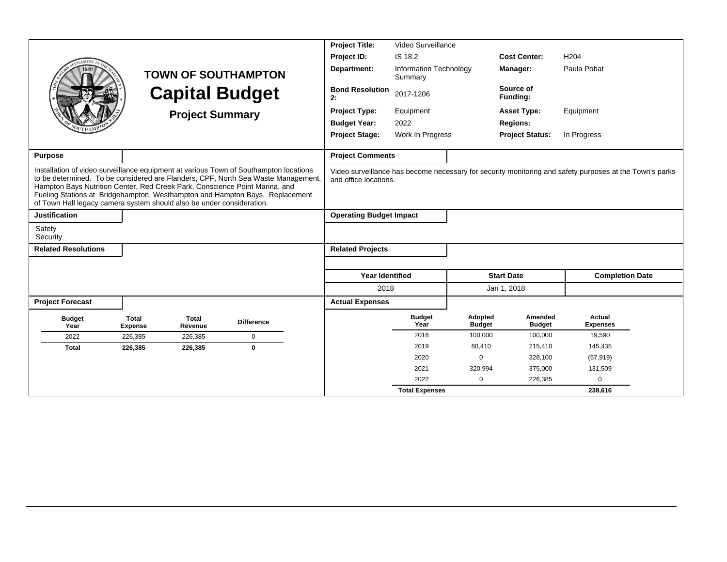|                                                                                                                                                      |                                |                         |                                                                                                                                                                                                                                                            | <b>Project Title:</b><br>Video Surveillance |                                                                     |                          |                          |                                                                                                         |  |
|------------------------------------------------------------------------------------------------------------------------------------------------------|--------------------------------|-------------------------|------------------------------------------------------------------------------------------------------------------------------------------------------------------------------------------------------------------------------------------------------------|---------------------------------------------|---------------------------------------------------------------------|--------------------------|--------------------------|---------------------------------------------------------------------------------------------------------|--|
|                                                                                                                                                      |                                |                         |                                                                                                                                                                                                                                                            | Project ID:                                 | IS 18.2                                                             |                          | <b>Cost Center:</b>      | H <sub>204</sub>                                                                                        |  |
|                                                                                                                                                      |                                |                         | <b>TOWN OF SOUTHAMPTON</b>                                                                                                                                                                                                                                 | Department:                                 | Information Technology<br>Summary                                   |                          | Manager:                 | Paula Pobat                                                                                             |  |
|                                                                                                                                                      |                                |                         | <b>Capital Budget</b>                                                                                                                                                                                                                                      | <b>Bond Resolution</b><br>2:                | 2017-1206                                                           |                          | Source of<br>Funding:    |                                                                                                         |  |
|                                                                                                                                                      |                                | <b>Project Summary</b>  |                                                                                                                                                                                                                                                            | <b>Project Type:</b>                        | Equipment                                                           |                          | <b>Asset Type:</b>       | Equipment                                                                                               |  |
|                                                                                                                                                      |                                |                         |                                                                                                                                                                                                                                                            | <b>Budget Year:</b>                         | 2022                                                                |                          | <b>Regions:</b>          |                                                                                                         |  |
|                                                                                                                                                      |                                |                         |                                                                                                                                                                                                                                                            |                                             | Work In Progress<br><b>Project Stage:</b><br><b>Project Status:</b> |                          |                          | In Progress                                                                                             |  |
| <b>Purpose</b>                                                                                                                                       |                                |                         |                                                                                                                                                                                                                                                            | <b>Project Comments</b>                     |                                                                     |                          |                          |                                                                                                         |  |
| Hampton Bays Nutrition Center, Red Creek Park, Conscience Point Marina, and<br>of Town Hall legacy camera system should also be under consideration. |                                |                         | Installation of video surveillance equipment at various Town of Southampton locations<br>to be determined. To be considered are Flanders, CPF, North Sea Waste Management,<br>Fueling Stations at Bridgehampton, Westhampton and Hampton Bays. Replacement | and office locations.                       |                                                                     |                          |                          | Video surveillance has become necessary for security monitoring and safety purposes at the Town's parks |  |
| <b>Justification</b>                                                                                                                                 |                                |                         |                                                                                                                                                                                                                                                            | <b>Operating Budget Impact</b>              |                                                                     |                          |                          |                                                                                                         |  |
| Safety<br>Security                                                                                                                                   |                                |                         |                                                                                                                                                                                                                                                            |                                             |                                                                     |                          |                          |                                                                                                         |  |
| <b>Related Resolutions</b>                                                                                                                           |                                |                         |                                                                                                                                                                                                                                                            | <b>Related Projects</b>                     |                                                                     |                          |                          |                                                                                                         |  |
|                                                                                                                                                      |                                |                         |                                                                                                                                                                                                                                                            |                                             |                                                                     |                          |                          |                                                                                                         |  |
|                                                                                                                                                      |                                |                         |                                                                                                                                                                                                                                                            | <b>Year Identified</b>                      |                                                                     |                          | <b>Start Date</b>        | <b>Completion Date</b>                                                                                  |  |
|                                                                                                                                                      |                                |                         |                                                                                                                                                                                                                                                            | 2018                                        |                                                                     |                          | Jan 1, 2018              |                                                                                                         |  |
| <b>Project Forecast</b>                                                                                                                              |                                |                         |                                                                                                                                                                                                                                                            | <b>Actual Expenses</b>                      |                                                                     |                          |                          |                                                                                                         |  |
| <b>Budget</b><br>Year                                                                                                                                | <b>Total</b><br><b>Expense</b> | <b>Total</b><br>Revenue | <b>Difference</b>                                                                                                                                                                                                                                          |                                             | <b>Budget</b><br>Year                                               | Adopted<br><b>Budget</b> | Amended<br><b>Budget</b> | Actual<br><b>Expenses</b>                                                                               |  |
| 2022                                                                                                                                                 | 226,385                        | 226.385                 | $\mathbf 0$                                                                                                                                                                                                                                                |                                             | 2018                                                                | 100,000                  | 100,000                  | 19,590                                                                                                  |  |
| <b>Total</b>                                                                                                                                         | 226,385                        | 226,385                 | $\mathbf{0}$                                                                                                                                                                                                                                               |                                             | 2019                                                                | 80,410                   | 215,410                  | 145,435                                                                                                 |  |
|                                                                                                                                                      |                                |                         |                                                                                                                                                                                                                                                            |                                             | 2020                                                                | $\Omega$                 | 328,100                  | (57, 919)                                                                                               |  |
|                                                                                                                                                      |                                |                         |                                                                                                                                                                                                                                                            |                                             | 2021                                                                | 320,994                  | 375,000                  | 131,509                                                                                                 |  |
|                                                                                                                                                      |                                |                         |                                                                                                                                                                                                                                                            |                                             | 2022                                                                | $\Omega$                 | 226,385                  | $\mathbf 0$                                                                                             |  |
|                                                                                                                                                      |                                |                         |                                                                                                                                                                                                                                                            |                                             | <b>Total Expenses</b>                                               |                          |                          | 238.616                                                                                                 |  |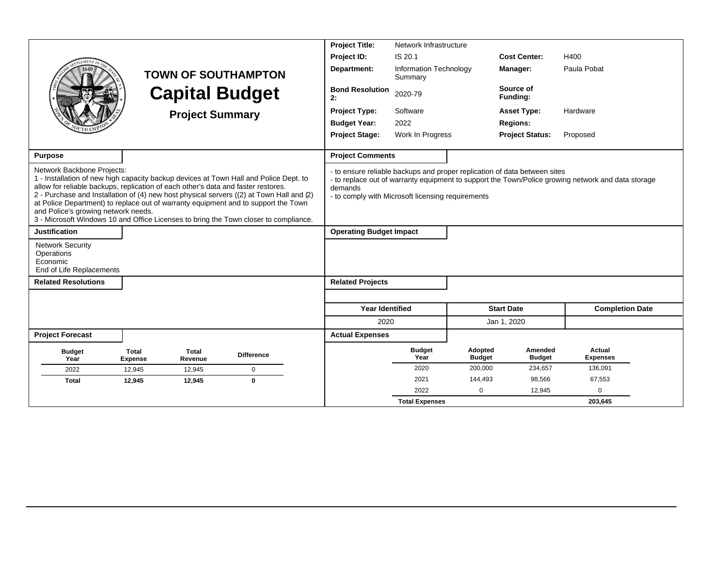|                                                                                                                                                                                                                                                                                                                                                                                                                                                                                                                           |                         |                        |                            | <b>Project Title:</b><br>Network Infrastructure              |                                   |                          |                                                                           |                                                                                                    |  |
|---------------------------------------------------------------------------------------------------------------------------------------------------------------------------------------------------------------------------------------------------------------------------------------------------------------------------------------------------------------------------------------------------------------------------------------------------------------------------------------------------------------------------|-------------------------|------------------------|----------------------------|--------------------------------------------------------------|-----------------------------------|--------------------------|---------------------------------------------------------------------------|----------------------------------------------------------------------------------------------------|--|
|                                                                                                                                                                                                                                                                                                                                                                                                                                                                                                                           |                         |                        |                            | Project ID:                                                  | IS 20.1                           |                          | <b>Cost Center:</b>                                                       | H400                                                                                               |  |
|                                                                                                                                                                                                                                                                                                                                                                                                                                                                                                                           |                         |                        | <b>TOWN OF SOUTHAMPTON</b> | Department:                                                  | Information Technology<br>Summary |                          | Manager:                                                                  | Paula Pobat                                                                                        |  |
|                                                                                                                                                                                                                                                                                                                                                                                                                                                                                                                           |                         |                        | <b>Capital Budget</b>      | <b>Bond Resolution</b><br>2:                                 | 2020-79                           |                          | Source of<br>Funding:                                                     |                                                                                                    |  |
|                                                                                                                                                                                                                                                                                                                                                                                                                                                                                                                           |                         | <b>Project Summary</b> |                            | <b>Project Type:</b>                                         | Software                          |                          | <b>Asset Type:</b>                                                        | Hardware                                                                                           |  |
|                                                                                                                                                                                                                                                                                                                                                                                                                                                                                                                           |                         |                        |                            | <b>Budget Year:</b>                                          | 2022                              |                          | <b>Regions:</b>                                                           |                                                                                                    |  |
|                                                                                                                                                                                                                                                                                                                                                                                                                                                                                                                           |                         |                        |                            | <b>Project Stage:</b>                                        | Work In Progress                  |                          | <b>Project Status:</b>                                                    | Proposed                                                                                           |  |
| <b>Purpose</b>                                                                                                                                                                                                                                                                                                                                                                                                                                                                                                            |                         |                        |                            | <b>Project Comments</b>                                      |                                   |                          |                                                                           |                                                                                                    |  |
| Network Backbone Projects:<br>1 - Installation of new high capacity backup devices at Town Hall and Police Dept. to<br>allow for reliable backups, replication of each other's data and faster restores.<br>2 - Purchase and Installation of (4) new host physical servers ((2) at Town Hall and (2)<br>at Police Department) to replace out of warranty equipment and to support the Town<br>and Police's growing network needs.<br>3 - Microsoft Windows 10 and Office Licenses to bring the Town closer to compliance. |                         |                        |                            | demands<br>- to comply with Microsoft licensing requirements |                                   |                          | - to ensure reliable backups and proper replication of data between sites | - to replace out of warranty equipment to support the Town/Police growing network and data storage |  |
| <b>Justification</b>                                                                                                                                                                                                                                                                                                                                                                                                                                                                                                      |                         |                        |                            | <b>Operating Budget Impact</b>                               |                                   |                          |                                                                           |                                                                                                    |  |
| <b>Network Security</b><br>Operations<br>Economic<br>End of Life Replacements                                                                                                                                                                                                                                                                                                                                                                                                                                             |                         |                        |                            |                                                              |                                   |                          |                                                                           |                                                                                                    |  |
| <b>Related Resolutions</b>                                                                                                                                                                                                                                                                                                                                                                                                                                                                                                |                         |                        |                            | <b>Related Projects</b>                                      |                                   |                          |                                                                           |                                                                                                    |  |
|                                                                                                                                                                                                                                                                                                                                                                                                                                                                                                                           |                         |                        |                            |                                                              |                                   |                          |                                                                           |                                                                                                    |  |
|                                                                                                                                                                                                                                                                                                                                                                                                                                                                                                                           |                         |                        |                            | <b>Year Identified</b>                                       |                                   |                          | <b>Start Date</b>                                                         | <b>Completion Date</b>                                                                             |  |
|                                                                                                                                                                                                                                                                                                                                                                                                                                                                                                                           |                         |                        |                            | 2020                                                         |                                   |                          | Jan 1, 2020                                                               |                                                                                                    |  |
| <b>Project Forecast</b>                                                                                                                                                                                                                                                                                                                                                                                                                                                                                                   |                         |                        |                            | <b>Actual Expenses</b>                                       |                                   |                          |                                                                           |                                                                                                    |  |
| <b>Budget</b><br>Year                                                                                                                                                                                                                                                                                                                                                                                                                                                                                                     | Total<br><b>Expense</b> | Total<br>Revenue       | <b>Difference</b>          |                                                              | <b>Budget</b><br>Year             | Adopted<br><b>Budget</b> | Amended<br><b>Budget</b>                                                  | Actual<br><b>Expenses</b>                                                                          |  |
| 2022                                                                                                                                                                                                                                                                                                                                                                                                                                                                                                                      | 12,945                  | 12,945                 | $\mathbf 0$                |                                                              | 2020                              | 200,000                  | 234,657                                                                   | 136,091                                                                                            |  |
| <b>Total</b>                                                                                                                                                                                                                                                                                                                                                                                                                                                                                                              | 12,945                  | 12,945                 | $\mathbf 0$                |                                                              | 2021                              | 144,493                  | 98,566                                                                    | 67,553                                                                                             |  |
|                                                                                                                                                                                                                                                                                                                                                                                                                                                                                                                           |                         |                        |                            |                                                              | 2022                              | $\mathbf 0$              | 12,945                                                                    | 0                                                                                                  |  |
|                                                                                                                                                                                                                                                                                                                                                                                                                                                                                                                           |                         |                        |                            |                                                              | <b>Total Expenses</b>             |                          |                                                                           | 203,645                                                                                            |  |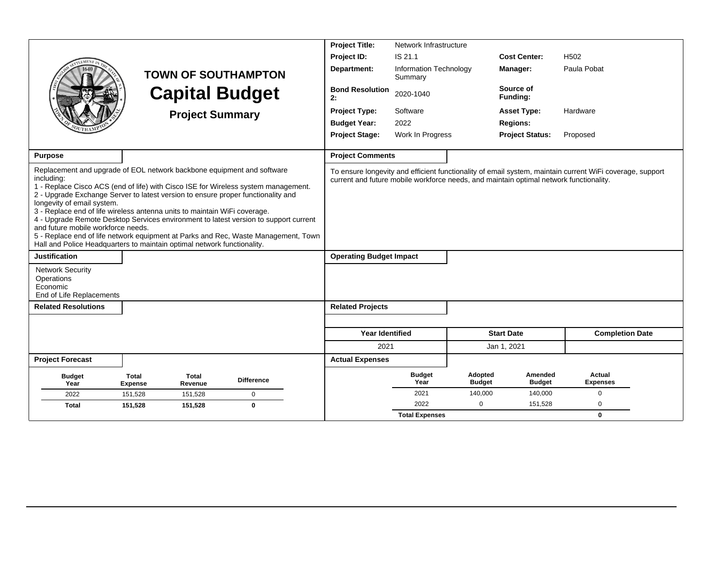|                                                                                                                                                                                                                                                                                                                                                                                                                                                                       |                                |                        |                                                                                                                                                                                                                                                                  | <b>Project Title:</b>          | Network Infrastructure            |                          |                                                                                        |                                                                                                          |  |
|-----------------------------------------------------------------------------------------------------------------------------------------------------------------------------------------------------------------------------------------------------------------------------------------------------------------------------------------------------------------------------------------------------------------------------------------------------------------------|--------------------------------|------------------------|------------------------------------------------------------------------------------------------------------------------------------------------------------------------------------------------------------------------------------------------------------------|--------------------------------|-----------------------------------|--------------------------|----------------------------------------------------------------------------------------|----------------------------------------------------------------------------------------------------------|--|
|                                                                                                                                                                                                                                                                                                                                                                                                                                                                       |                                |                        |                                                                                                                                                                                                                                                                  | Project ID:                    | IS 21.1                           |                          | <b>Cost Center:</b>                                                                    | H <sub>502</sub>                                                                                         |  |
|                                                                                                                                                                                                                                                                                                                                                                                                                                                                       |                                |                        | <b>TOWN OF SOUTHAMPTON</b>                                                                                                                                                                                                                                       | Department:                    | Information Technology<br>Summary |                          | Manager:                                                                               | Paula Pobat                                                                                              |  |
|                                                                                                                                                                                                                                                                                                                                                                                                                                                                       |                                |                        | <b>Capital Budget</b>                                                                                                                                                                                                                                            | <b>Bond Resolution</b><br>2:   | 2020-1040                         |                          | Source of<br>Funding:                                                                  |                                                                                                          |  |
|                                                                                                                                                                                                                                                                                                                                                                                                                                                                       |                                | <b>Project Summary</b> |                                                                                                                                                                                                                                                                  | <b>Project Type:</b>           | Software                          |                          | <b>Asset Type:</b>                                                                     | Hardware                                                                                                 |  |
|                                                                                                                                                                                                                                                                                                                                                                                                                                                                       |                                |                        |                                                                                                                                                                                                                                                                  | <b>Budget Year:</b>            | 2022                              |                          | <b>Regions:</b>                                                                        |                                                                                                          |  |
|                                                                                                                                                                                                                                                                                                                                                                                                                                                                       |                                |                        |                                                                                                                                                                                                                                                                  | <b>Project Stage:</b>          | Work In Progress                  |                          | <b>Project Status:</b>                                                                 | Proposed                                                                                                 |  |
| <b>Purpose</b>                                                                                                                                                                                                                                                                                                                                                                                                                                                        |                                |                        |                                                                                                                                                                                                                                                                  | <b>Project Comments</b>        |                                   |                          |                                                                                        |                                                                                                          |  |
| Replacement and upgrade of EOL network backbone equipment and software<br>including:<br>2 - Upgrade Exchange Server to latest version to ensure proper functionality and<br>longevity of email system.<br>3 - Replace end of life wireless antenna units to maintain WiFi coverage.<br>and future mobile workforce needs.<br>Hall and Police Headquarters to maintain optimal network functionality.<br><b>Justification</b><br><b>Network Security</b><br>Operations |                                |                        | 1 - Replace Cisco ACS (end of life) with Cisco ISE for Wireless system management.<br>4 - Upgrade Remote Desktop Services environment to latest version to support current<br>5 - Replace end of life network equipment at Parks and Rec, Waste Management, Town | <b>Operating Budget Impact</b> |                                   |                          | current and future mobile workforce needs, and maintain optimal network functionality. | To ensure longevity and efficient functionality of email system, maintain current WiFi coverage, support |  |
| Economic<br>End of Life Replacements                                                                                                                                                                                                                                                                                                                                                                                                                                  |                                |                        |                                                                                                                                                                                                                                                                  |                                |                                   |                          |                                                                                        |                                                                                                          |  |
| <b>Related Resolutions</b>                                                                                                                                                                                                                                                                                                                                                                                                                                            |                                |                        |                                                                                                                                                                                                                                                                  | <b>Related Projects</b>        |                                   |                          |                                                                                        |                                                                                                          |  |
|                                                                                                                                                                                                                                                                                                                                                                                                                                                                       |                                |                        |                                                                                                                                                                                                                                                                  |                                |                                   |                          |                                                                                        |                                                                                                          |  |
|                                                                                                                                                                                                                                                                                                                                                                                                                                                                       |                                |                        |                                                                                                                                                                                                                                                                  | <b>Year Identified</b>         |                                   |                          | <b>Start Date</b>                                                                      | <b>Completion Date</b>                                                                                   |  |
|                                                                                                                                                                                                                                                                                                                                                                                                                                                                       |                                |                        |                                                                                                                                                                                                                                                                  | 2021                           |                                   |                          | Jan 1, 2021                                                                            |                                                                                                          |  |
| <b>Project Forecast</b>                                                                                                                                                                                                                                                                                                                                                                                                                                               |                                |                        |                                                                                                                                                                                                                                                                  | <b>Actual Expenses</b>         |                                   |                          |                                                                                        |                                                                                                          |  |
| <b>Budget</b><br>Year                                                                                                                                                                                                                                                                                                                                                                                                                                                 | <b>Total</b><br><b>Expense</b> | Total<br>Revenue       | <b>Difference</b>                                                                                                                                                                                                                                                |                                | <b>Budget</b><br>Year             | Adopted<br><b>Budget</b> | Amended<br><b>Budget</b>                                                               | <b>Actual</b><br><b>Expenses</b>                                                                         |  |
| 2022                                                                                                                                                                                                                                                                                                                                                                                                                                                                  | 151,528                        | 151,528                | 0                                                                                                                                                                                                                                                                |                                | 2021                              | 140,000                  | 140,000                                                                                | $\mathbf 0$                                                                                              |  |
| Total                                                                                                                                                                                                                                                                                                                                                                                                                                                                 | 151,528                        | 151,528                | $\mathbf 0$                                                                                                                                                                                                                                                      |                                | 2022                              | $\mathbf 0$              | 151,528                                                                                | 0                                                                                                        |  |
|                                                                                                                                                                                                                                                                                                                                                                                                                                                                       |                                |                        |                                                                                                                                                                                                                                                                  |                                | <b>Total Expenses</b>             |                          |                                                                                        | $\mathbf 0$                                                                                              |  |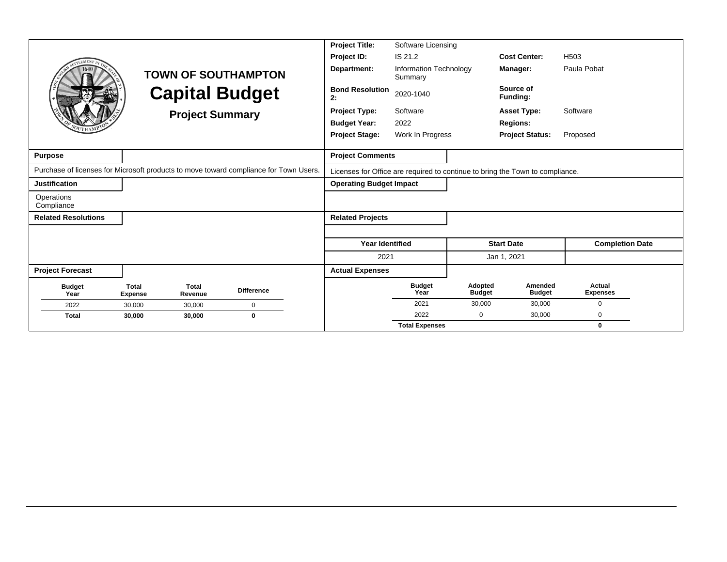|                                                                                       |                                |                         |                            | <b>Project Title:</b>          | Software Licensing                |                          |                                                                               |                           |
|---------------------------------------------------------------------------------------|--------------------------------|-------------------------|----------------------------|--------------------------------|-----------------------------------|--------------------------|-------------------------------------------------------------------------------|---------------------------|
| LEMEN <sub>1</sub>                                                                    |                                |                         |                            | Project ID:                    | IS 21.2                           |                          | <b>Cost Center:</b>                                                           | H <sub>503</sub>          |
|                                                                                       |                                |                         | <b>TOWN OF SOUTHAMPTON</b> | Department:                    | Information Technology<br>Summary |                          | Manager:                                                                      | Paula Pobat               |
|                                                                                       |                                |                         | <b>Capital Budget</b>      | <b>Bond Resolution</b><br>2:   | 2020-1040                         |                          | Source of<br>Funding:                                                         |                           |
|                                                                                       |                                | <b>Project Summary</b>  |                            | <b>Project Type:</b>           | Software                          |                          | <b>Asset Type:</b>                                                            | Software                  |
|                                                                                       |                                |                         |                            | <b>Budget Year:</b>            | 2022                              |                          | <b>Regions:</b>                                                               |                           |
|                                                                                       |                                |                         |                            | <b>Project Stage:</b>          | Work In Progress                  |                          | <b>Project Status:</b>                                                        | Proposed                  |
|                                                                                       |                                |                         |                            |                                |                                   |                          |                                                                               |                           |
| <b>Purpose</b>                                                                        |                                |                         |                            | <b>Project Comments</b>        |                                   |                          |                                                                               |                           |
| Purchase of licenses for Microsoft products to move toward compliance for Town Users. |                                |                         |                            |                                |                                   |                          | Licenses for Office are required to continue to bring the Town to compliance. |                           |
| <b>Justification</b>                                                                  |                                |                         |                            | <b>Operating Budget Impact</b> |                                   |                          |                                                                               |                           |
| Operations<br>Compliance                                                              |                                |                         |                            |                                |                                   |                          |                                                                               |                           |
| <b>Related Resolutions</b>                                                            |                                |                         |                            | <b>Related Projects</b>        |                                   |                          |                                                                               |                           |
|                                                                                       |                                |                         |                            |                                |                                   |                          |                                                                               |                           |
|                                                                                       |                                |                         |                            | <b>Year Identified</b>         |                                   |                          | <b>Start Date</b>                                                             | <b>Completion Date</b>    |
|                                                                                       |                                |                         |                            | 2021                           |                                   |                          | Jan 1, 2021                                                                   |                           |
| <b>Project Forecast</b>                                                               |                                |                         |                            | <b>Actual Expenses</b>         |                                   |                          |                                                                               |                           |
| <b>Budget</b><br>Year                                                                 | <b>Total</b><br><b>Expense</b> | <b>Total</b><br>Revenue | <b>Difference</b>          |                                | <b>Budget</b><br>Year             | Adopted<br><b>Budget</b> | Amended<br><b>Budget</b>                                                      | Actual<br><b>Expenses</b> |
| 2022                                                                                  | 30,000                         | 30,000                  | $\mathbf 0$                |                                | 2021                              | 30,000                   | 30,000                                                                        | 0                         |
| <b>Total</b>                                                                          | 30,000                         | 30,000                  | $\bf{0}$                   |                                | 2022                              | 0                        | 30,000                                                                        | 0                         |
|                                                                                       |                                |                         |                            |                                | <b>Total Expenses</b>             |                          |                                                                               | 0                         |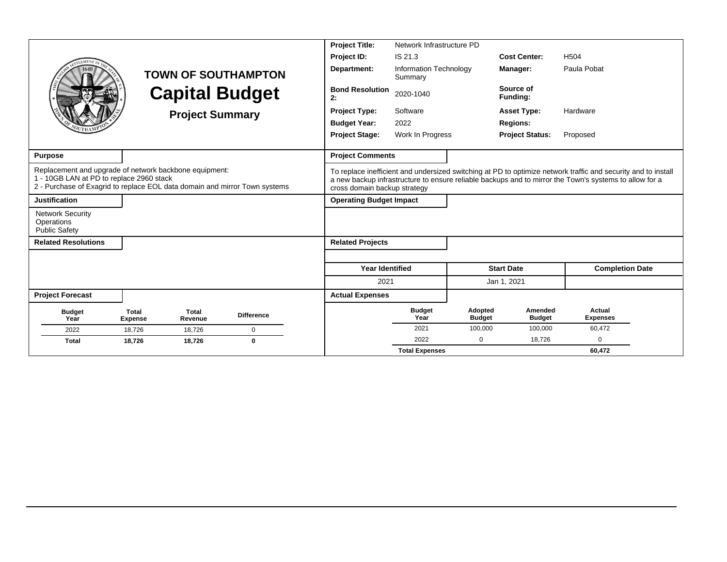|                                                                                                                                                                                  |                         |                        |                            | <b>Project Title:</b>          | Network Infrastructure PD         |                          |                          |                                                                                                                                                                                                                         |
|----------------------------------------------------------------------------------------------------------------------------------------------------------------------------------|-------------------------|------------------------|----------------------------|--------------------------------|-----------------------------------|--------------------------|--------------------------|-------------------------------------------------------------------------------------------------------------------------------------------------------------------------------------------------------------------------|
|                                                                                                                                                                                  |                         |                        |                            | Project ID:                    | IS 21.3                           |                          | <b>Cost Center:</b>      | H <sub>504</sub>                                                                                                                                                                                                        |
|                                                                                                                                                                                  |                         |                        | <b>TOWN OF SOUTHAMPTON</b> | Department:                    | Information Technology<br>Summary |                          | Manager:                 | Paula Pobat                                                                                                                                                                                                             |
|                                                                                                                                                                                  |                         |                        | <b>Capital Budget</b>      | <b>Bond Resolution</b><br>2:   | 2020-1040                         |                          | Source of<br>Funding:    |                                                                                                                                                                                                                         |
|                                                                                                                                                                                  |                         | <b>Project Summary</b> |                            | <b>Project Type:</b>           | Software                          |                          | <b>Asset Type:</b>       | Hardware                                                                                                                                                                                                                |
|                                                                                                                                                                                  |                         |                        |                            | <b>Budget Year:</b>            | 2022                              |                          | <b>Regions:</b>          |                                                                                                                                                                                                                         |
|                                                                                                                                                                                  |                         |                        |                            | <b>Project Stage:</b>          | Work In Progress                  |                          | <b>Project Status:</b>   | Proposed                                                                                                                                                                                                                |
|                                                                                                                                                                                  |                         |                        |                            |                                |                                   |                          |                          |                                                                                                                                                                                                                         |
| <b>Purpose</b>                                                                                                                                                                   |                         |                        |                            | <b>Project Comments</b>        |                                   |                          |                          |                                                                                                                                                                                                                         |
| Replacement and upgrade of network backbone equipment:<br>1 - 10GB LAN at PD to replace 2960 stack<br>2 - Purchase of Exagrid to replace EOL data domain and mirror Town systems |                         |                        |                            | cross domain backup strategy   |                                   |                          |                          | To replace inefficient and undersized switching at PD to optimize network traffic and security and to install<br>a new backup infrastructure to ensure reliable backups and to mirror the Town's systems to allow for a |
| <b>Justification</b>                                                                                                                                                             |                         |                        |                            | <b>Operating Budget Impact</b> |                                   |                          |                          |                                                                                                                                                                                                                         |
| <b>Network Security</b><br>Operations<br><b>Public Safety</b>                                                                                                                    |                         |                        |                            |                                |                                   |                          |                          |                                                                                                                                                                                                                         |
| <b>Related Resolutions</b>                                                                                                                                                       |                         |                        |                            | <b>Related Projects</b>        |                                   |                          |                          |                                                                                                                                                                                                                         |
|                                                                                                                                                                                  |                         |                        |                            |                                |                                   |                          |                          |                                                                                                                                                                                                                         |
|                                                                                                                                                                                  |                         |                        |                            | <b>Year Identified</b>         |                                   |                          | <b>Start Date</b>        | <b>Completion Date</b>                                                                                                                                                                                                  |
|                                                                                                                                                                                  |                         |                        |                            | 2021                           |                                   |                          | Jan 1, 2021              |                                                                                                                                                                                                                         |
| <b>Project Forecast</b>                                                                                                                                                          |                         |                        |                            | <b>Actual Expenses</b>         |                                   |                          |                          |                                                                                                                                                                                                                         |
| <b>Budget</b><br>Year                                                                                                                                                            | Total<br><b>Expense</b> | Total<br>Revenue       | <b>Difference</b>          |                                | <b>Budget</b><br>Year             | Adopted<br><b>Budget</b> | Amended<br><b>Budget</b> | Actual<br><b>Expenses</b>                                                                                                                                                                                               |
| 2022                                                                                                                                                                             | 18,726                  | 18,726                 | 0                          |                                | 2021                              | 100,000                  | 100,000                  | 60,472                                                                                                                                                                                                                  |
| <b>Total</b>                                                                                                                                                                     | 18,726                  | 18,726                 | $\bf{0}$                   |                                | 2022                              | $\Omega$                 | 18,726                   | $\Omega$                                                                                                                                                                                                                |
|                                                                                                                                                                                  |                         |                        |                            |                                | <b>Total Expenses</b>             |                          |                          | 60.472                                                                                                                                                                                                                  |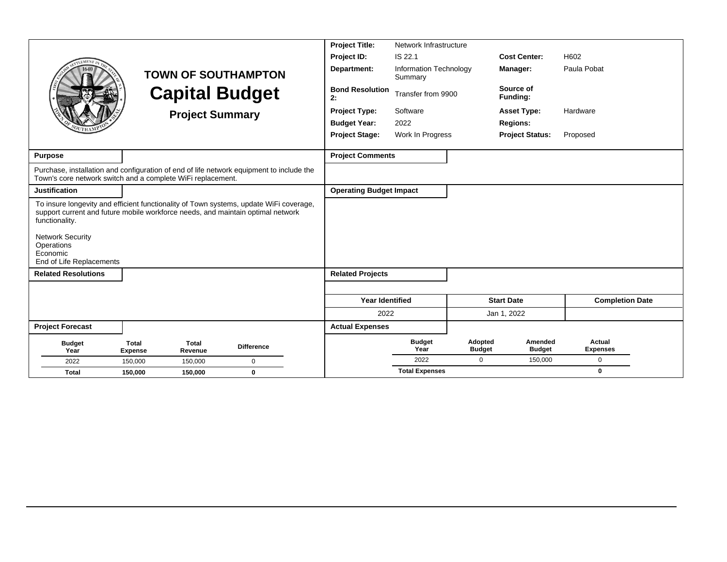|                                                                                                                                                                                                                                                                              |                                |                         |                            | <b>Project Title:</b>          | Network Infrastructure            |                          |                          |                           |
|------------------------------------------------------------------------------------------------------------------------------------------------------------------------------------------------------------------------------------------------------------------------------|--------------------------------|-------------------------|----------------------------|--------------------------------|-----------------------------------|--------------------------|--------------------------|---------------------------|
| <b>LEMENT T</b>                                                                                                                                                                                                                                                              |                                |                         |                            | Project ID:                    | IS 22.1                           |                          | <b>Cost Center:</b>      | H602                      |
|                                                                                                                                                                                                                                                                              |                                |                         | <b>TOWN OF SOUTHAMPTON</b> | Department:                    | Information Technology<br>Summary |                          | Manager:                 | Paula Pobat               |
|                                                                                                                                                                                                                                                                              |                                | <b>Capital Budget</b>   |                            | <b>Bond Resolution</b><br>2:   | Transfer from 9900                |                          | Source of<br>Funding:    |                           |
|                                                                                                                                                                                                                                                                              |                                | <b>Project Summary</b>  |                            | <b>Project Type:</b>           | Software                          |                          | <b>Asset Type:</b>       | Hardware                  |
|                                                                                                                                                                                                                                                                              |                                |                         |                            | <b>Budget Year:</b>            | 2022                              |                          | <b>Regions:</b>          |                           |
|                                                                                                                                                                                                                                                                              |                                |                         |                            | <b>Project Stage:</b>          | Work In Progress                  |                          | <b>Project Status:</b>   | Proposed                  |
|                                                                                                                                                                                                                                                                              |                                |                         |                            |                                |                                   |                          |                          |                           |
| <b>Purpose</b>                                                                                                                                                                                                                                                               |                                |                         |                            | <b>Project Comments</b>        |                                   |                          |                          |                           |
| Purchase, installation and configuration of end of life network equipment to include the<br>Town's core network switch and a complete WiFi replacement.                                                                                                                      |                                |                         |                            |                                |                                   |                          |                          |                           |
| <b>Justification</b>                                                                                                                                                                                                                                                         |                                |                         |                            | <b>Operating Budget Impact</b> |                                   |                          |                          |                           |
| To insure longevity and efficient functionality of Town systems, update WiFi coverage,<br>support current and future mobile workforce needs, and maintain optimal network<br>functionality.<br><b>Network Security</b><br>Operations<br>Economic<br>End of Life Replacements |                                |                         |                            |                                |                                   |                          |                          |                           |
| <b>Related Resolutions</b>                                                                                                                                                                                                                                                   |                                |                         |                            | <b>Related Projects</b>        |                                   |                          |                          |                           |
|                                                                                                                                                                                                                                                                              |                                |                         |                            |                                |                                   |                          |                          |                           |
|                                                                                                                                                                                                                                                                              |                                |                         |                            |                                |                                   |                          |                          |                           |
|                                                                                                                                                                                                                                                                              |                                |                         |                            | <b>Year Identified</b>         |                                   |                          | <b>Start Date</b>        | <b>Completion Date</b>    |
|                                                                                                                                                                                                                                                                              |                                |                         |                            | 2022                           |                                   |                          | Jan 1, 2022              |                           |
| <b>Project Forecast</b>                                                                                                                                                                                                                                                      |                                |                         |                            | <b>Actual Expenses</b>         |                                   |                          |                          |                           |
| <b>Budget</b><br>Year                                                                                                                                                                                                                                                        | <b>Total</b><br><b>Expense</b> | <b>Total</b><br>Revenue | <b>Difference</b>          |                                | <b>Budget</b><br>Year             | Adopted<br><b>Budget</b> | Amended<br><b>Budget</b> | Actual<br><b>Expenses</b> |
| 2022                                                                                                                                                                                                                                                                         | 150,000                        | 150,000                 | $\mathbf 0$                |                                | 2022                              | 0                        | 150,000                  | $\mathbf 0$               |
| <b>Total</b>                                                                                                                                                                                                                                                                 | 150,000                        | 150,000                 | $\bf{0}$                   |                                | <b>Total Expenses</b>             |                          |                          | $\bf{0}$                  |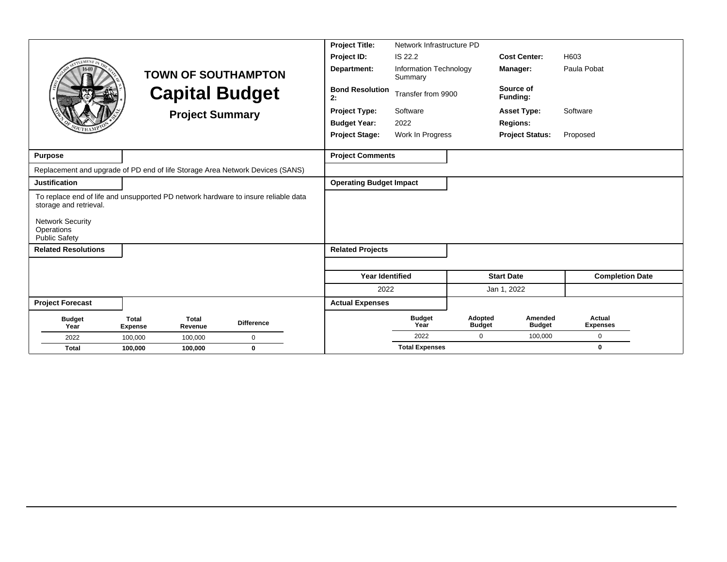|                                                                                                                                         |                                |                         |                            | <b>Project Title:</b>          | Network Infrastructure PD         |                          |                          |                           |
|-----------------------------------------------------------------------------------------------------------------------------------------|--------------------------------|-------------------------|----------------------------|--------------------------------|-----------------------------------|--------------------------|--------------------------|---------------------------|
| <b>EMEN7</b>                                                                                                                            |                                |                         |                            | Project ID:                    | IS 22.2                           |                          | <b>Cost Center:</b>      | H603                      |
|                                                                                                                                         |                                |                         | <b>TOWN OF SOUTHAMPTON</b> | Department:                    | Information Technology<br>Summary |                          | Manager:                 | Paula Pobat               |
|                                                                                                                                         |                                |                         | <b>Capital Budget</b>      | <b>Bond Resolution</b><br>2:   | Transfer from 9900                |                          | Source of<br>Funding:    |                           |
|                                                                                                                                         |                                | <b>Project Summary</b>  |                            | Project Type:                  | Software                          |                          | <b>Asset Type:</b>       | Software                  |
|                                                                                                                                         |                                |                         |                            | <b>Budget Year:</b>            | 2022                              |                          | <b>Regions:</b>          |                           |
|                                                                                                                                         |                                |                         |                            | <b>Project Stage:</b>          | Work In Progress                  |                          | <b>Project Status:</b>   | Proposed                  |
| <b>Purpose</b>                                                                                                                          |                                |                         |                            | <b>Project Comments</b>        |                                   |                          |                          |                           |
| Replacement and upgrade of PD end of life Storage Area Network Devices (SANS)                                                           |                                |                         |                            |                                |                                   |                          |                          |                           |
| <b>Justification</b>                                                                                                                    |                                |                         |                            | <b>Operating Budget Impact</b> |                                   |                          |                          |                           |
| To replace end of life and unsupported PD network hardware to insure reliable data<br>storage and retrieval.<br><b>Network Security</b> |                                |                         |                            |                                |                                   |                          |                          |                           |
| Operations<br><b>Public Safety</b>                                                                                                      |                                |                         |                            |                                |                                   |                          |                          |                           |
| <b>Related Resolutions</b>                                                                                                              |                                |                         |                            | <b>Related Projects</b>        |                                   |                          |                          |                           |
|                                                                                                                                         |                                |                         |                            |                                |                                   |                          |                          |                           |
|                                                                                                                                         |                                |                         |                            | <b>Year Identified</b>         |                                   |                          | <b>Start Date</b>        | <b>Completion Date</b>    |
|                                                                                                                                         |                                |                         |                            | 2022                           |                                   |                          | Jan 1, 2022              |                           |
| <b>Project Forecast</b>                                                                                                                 |                                |                         |                            | <b>Actual Expenses</b>         |                                   |                          |                          |                           |
| <b>Budget</b><br>Year                                                                                                                   | <b>Total</b><br><b>Expense</b> | <b>Total</b><br>Revenue | <b>Difference</b>          |                                | <b>Budget</b><br>Year             | Adopted<br><b>Budget</b> | Amended<br><b>Budget</b> | Actual<br><b>Expenses</b> |
| 2022                                                                                                                                    | 100,000                        | 100,000                 | $\mathbf 0$                |                                | 2022                              | $\mathbf 0$              | 100,000                  | $\mathbf 0$               |
| <b>Total</b>                                                                                                                            | 100,000                        | 100,000                 | $\bf{0}$                   |                                | <b>Total Expenses</b>             |                          |                          | $\bf{0}$                  |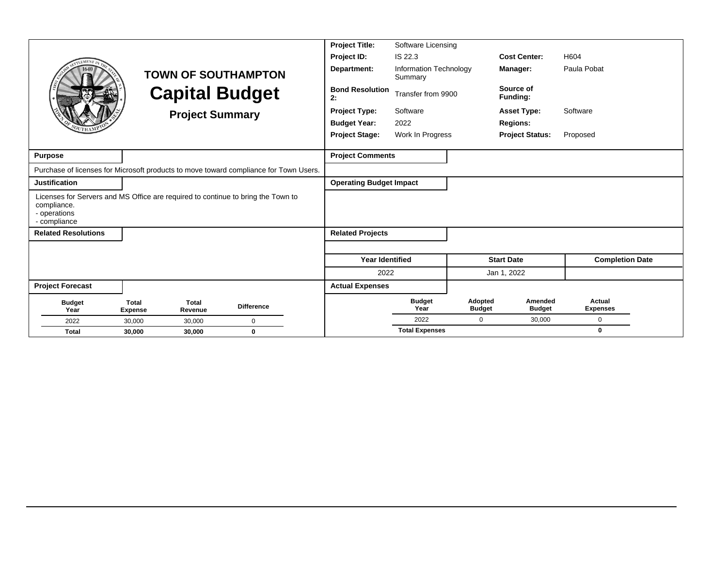|                                                                                                                                 |                                |                         |                            | <b>Project Title:</b>          | Software Licensing                |                          |                          |                           |
|---------------------------------------------------------------------------------------------------------------------------------|--------------------------------|-------------------------|----------------------------|--------------------------------|-----------------------------------|--------------------------|--------------------------|---------------------------|
|                                                                                                                                 |                                |                         |                            | Project ID:                    | IS 22.3                           |                          | <b>Cost Center:</b>      | H604                      |
|                                                                                                                                 |                                |                         | <b>TOWN OF SOUTHAMPTON</b> | Department:                    | Information Technology<br>Summary |                          | Manager:                 | Paula Pobat               |
|                                                                                                                                 |                                |                         | <b>Capital Budget</b>      | <b>Bond Resolution</b><br>2:   | Transfer from 9900                |                          | Source of<br>Funding:    |                           |
|                                                                                                                                 |                                | <b>Project Summary</b>  |                            | <b>Project Type:</b>           | Software                          |                          | <b>Asset Type:</b>       | Software                  |
|                                                                                                                                 |                                |                         |                            | <b>Budget Year:</b>            | 2022                              |                          | <b>Regions:</b>          |                           |
|                                                                                                                                 |                                |                         |                            | <b>Project Stage:</b>          | Work In Progress                  |                          | <b>Project Status:</b>   | Proposed                  |
|                                                                                                                                 |                                |                         |                            |                                |                                   |                          |                          |                           |
| <b>Purpose</b>                                                                                                                  |                                |                         |                            | <b>Project Comments</b>        |                                   |                          |                          |                           |
| Purchase of licenses for Microsoft products to move toward compliance for Town Users.                                           |                                |                         |                            |                                |                                   |                          |                          |                           |
| <b>Justification</b>                                                                                                            |                                |                         |                            | <b>Operating Budget Impact</b> |                                   |                          |                          |                           |
| Licenses for Servers and MS Office are required to continue to bring the Town to<br>compliance.<br>- operations<br>- compliance |                                |                         |                            |                                |                                   |                          |                          |                           |
| <b>Related Resolutions</b>                                                                                                      |                                |                         |                            | <b>Related Projects</b>        |                                   |                          |                          |                           |
|                                                                                                                                 |                                |                         |                            |                                |                                   |                          |                          |                           |
|                                                                                                                                 |                                |                         |                            | <b>Year Identified</b>         |                                   |                          | <b>Start Date</b>        | <b>Completion Date</b>    |
|                                                                                                                                 |                                |                         |                            | 2022                           |                                   |                          | Jan 1, 2022              |                           |
| <b>Project Forecast</b>                                                                                                         |                                |                         |                            | <b>Actual Expenses</b>         |                                   |                          |                          |                           |
| <b>Budget</b><br>Year                                                                                                           | <b>Total</b><br><b>Expense</b> | <b>Total</b><br>Revenue | <b>Difference</b>          |                                | <b>Budget</b><br>Year             | Adopted<br><b>Budget</b> | Amended<br><b>Budget</b> | Actual<br><b>Expenses</b> |
| 2022                                                                                                                            | 30,000                         | 30,000                  | $\Omega$                   |                                | 2022                              | 0                        | 30,000                   | $\mathbf 0$               |
| <b>Total</b>                                                                                                                    | 30,000                         | 30,000                  | 0                          |                                | <b>Total Expenses</b>             |                          |                          | $\mathbf{0}$              |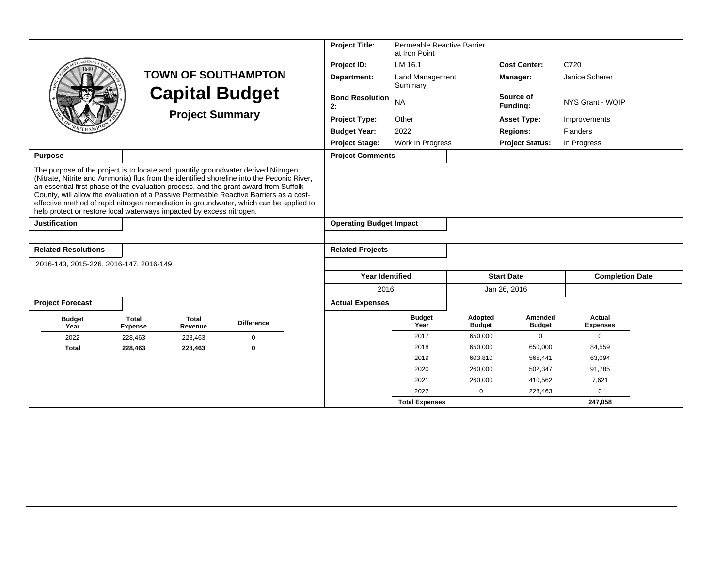|                                                                                                                                                                                                                                                   |                         |                         |                                                                                                                                                                                                                                                                              | <b>Project Title:</b>          | Permeable Reactive Barrier<br>at Iron Point |                          |                          |                           |  |
|---------------------------------------------------------------------------------------------------------------------------------------------------------------------------------------------------------------------------------------------------|-------------------------|-------------------------|------------------------------------------------------------------------------------------------------------------------------------------------------------------------------------------------------------------------------------------------------------------------------|--------------------------------|---------------------------------------------|--------------------------|--------------------------|---------------------------|--|
|                                                                                                                                                                                                                                                   |                         |                         |                                                                                                                                                                                                                                                                              | Project ID:                    | LM 16.1                                     |                          | <b>Cost Center:</b>      | C720                      |  |
|                                                                                                                                                                                                                                                   |                         |                         | <b>TOWN OF SOUTHAMPTON</b>                                                                                                                                                                                                                                                   | Department:                    | <b>Land Management</b><br>Summary           |                          | Manager:                 | Janice Scherer            |  |
|                                                                                                                                                                                                                                                   |                         |                         | <b>Capital Budget</b>                                                                                                                                                                                                                                                        | <b>Bond Resolution</b><br>2:   | <b>NA</b>                                   |                          | Source of<br>Funding:    | NYS Grant - WQIP          |  |
|                                                                                                                                                                                                                                                   |                         | <b>Project Summary</b>  |                                                                                                                                                                                                                                                                              | <b>Project Type:</b>           | Other                                       |                          | <b>Asset Type:</b>       | Improvements              |  |
|                                                                                                                                                                                                                                                   |                         |                         |                                                                                                                                                                                                                                                                              | <b>Budget Year:</b>            | 2022                                        |                          | <b>Regions:</b>          | <b>Flanders</b>           |  |
|                                                                                                                                                                                                                                                   |                         |                         |                                                                                                                                                                                                                                                                              | <b>Project Stage:</b>          | Work In Progress                            |                          | <b>Project Status:</b>   | In Progress               |  |
| <b>Purpose</b>                                                                                                                                                                                                                                    |                         |                         |                                                                                                                                                                                                                                                                              | <b>Project Comments</b>        |                                             |                          |                          |                           |  |
| The purpose of the project is to locate and quantify groundwater derived Nitrogen<br>an essential first phase of the evaluation process, and the grant award from Suffolk<br>help protect or restore local waterways impacted by excess nitrogen. |                         |                         | (Nitrate, Nitrite and Ammonia) flux from the identified shoreline into the Peconic River,<br>County, will allow the evaluation of a Passive Permeable Reactive Barriers as a cost-<br>effective method of rapid nitrogen remediation in groundwater, which can be applied to |                                |                                             |                          |                          |                           |  |
| <b>Justification</b>                                                                                                                                                                                                                              |                         |                         |                                                                                                                                                                                                                                                                              | <b>Operating Budget Impact</b> |                                             |                          |                          |                           |  |
|                                                                                                                                                                                                                                                   |                         |                         |                                                                                                                                                                                                                                                                              |                                |                                             |                          |                          |                           |  |
| <b>Related Resolutions</b>                                                                                                                                                                                                                        |                         |                         |                                                                                                                                                                                                                                                                              | <b>Related Projects</b>        |                                             |                          |                          |                           |  |
| 2016-143, 2015-226, 2016-147, 2016-149                                                                                                                                                                                                            |                         |                         |                                                                                                                                                                                                                                                                              |                                |                                             |                          |                          |                           |  |
|                                                                                                                                                                                                                                                   |                         |                         |                                                                                                                                                                                                                                                                              | <b>Year Identified</b>         |                                             |                          | <b>Start Date</b>        | <b>Completion Date</b>    |  |
|                                                                                                                                                                                                                                                   |                         |                         |                                                                                                                                                                                                                                                                              | 2016                           |                                             |                          | Jan 26, 2016             |                           |  |
| <b>Project Forecast</b>                                                                                                                                                                                                                           |                         |                         |                                                                                                                                                                                                                                                                              | <b>Actual Expenses</b>         |                                             |                          |                          |                           |  |
| <b>Budget</b><br>Year                                                                                                                                                                                                                             | Total<br><b>Expense</b> | <b>Total</b><br>Revenue | <b>Difference</b>                                                                                                                                                                                                                                                            |                                | <b>Budget</b><br>Year                       | Adopted<br><b>Budget</b> | Amended<br><b>Budget</b> | Actual<br><b>Expenses</b> |  |
| 2022                                                                                                                                                                                                                                              | 228,463                 | 228,463                 | $\mathbf 0$                                                                                                                                                                                                                                                                  |                                | 2017                                        | 650,000                  | $\mathbf 0$              | $\mathbf 0$               |  |
| <b>Total</b>                                                                                                                                                                                                                                      | 228,463                 | 228,463                 | $\mathbf{0}$                                                                                                                                                                                                                                                                 |                                | 2018                                        | 650,000                  | 650,000                  | 84,559                    |  |
|                                                                                                                                                                                                                                                   |                         |                         |                                                                                                                                                                                                                                                                              |                                | 2019                                        | 603,810                  | 565,441                  | 63,094                    |  |
|                                                                                                                                                                                                                                                   |                         |                         |                                                                                                                                                                                                                                                                              |                                | 2020                                        | 260,000                  | 502,347                  | 91,785                    |  |
|                                                                                                                                                                                                                                                   |                         |                         |                                                                                                                                                                                                                                                                              |                                | 2021                                        | 260,000                  | 410,562                  | 7,621                     |  |
|                                                                                                                                                                                                                                                   |                         |                         |                                                                                                                                                                                                                                                                              |                                | 2022                                        | $\mathbf 0$              | 228,463                  | $\mathbf 0$               |  |
|                                                                                                                                                                                                                                                   |                         |                         |                                                                                                                                                                                                                                                                              |                                | <b>Total Expenses</b>                       |                          |                          | 247,058                   |  |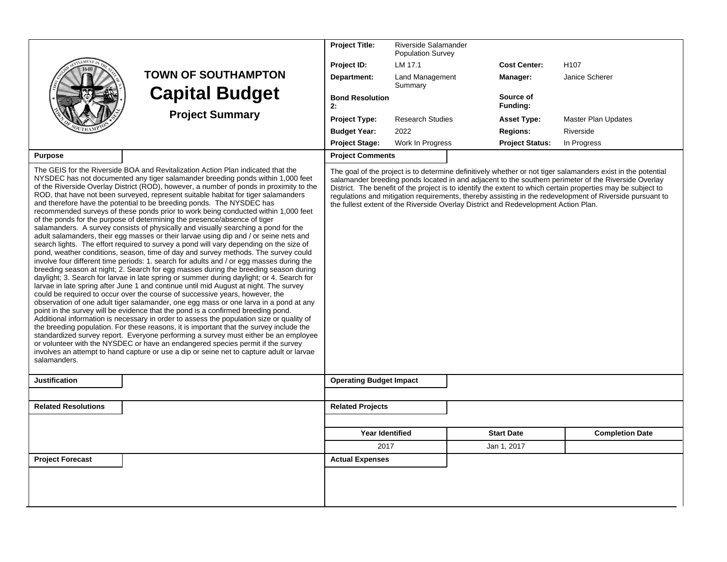|                            |                                                                                                                                                                                                                                                                                                                                                                                                                                                                                                                                                                                                                                                                                                                                                                                                                                                                                                                                                                                                                                                                                                                                                                                                                                                                                                                                                                                                                                                                                                                                                                                                                                                                                                                                                                                                                                                                                                                                                                                 | <b>Project Title:</b>          | Riverside Salamander<br><b>Population Survey</b>                                    |                        |                                                                                                                                                                                                                                                                                                                                                                                                                                                  |
|----------------------------|---------------------------------------------------------------------------------------------------------------------------------------------------------------------------------------------------------------------------------------------------------------------------------------------------------------------------------------------------------------------------------------------------------------------------------------------------------------------------------------------------------------------------------------------------------------------------------------------------------------------------------------------------------------------------------------------------------------------------------------------------------------------------------------------------------------------------------------------------------------------------------------------------------------------------------------------------------------------------------------------------------------------------------------------------------------------------------------------------------------------------------------------------------------------------------------------------------------------------------------------------------------------------------------------------------------------------------------------------------------------------------------------------------------------------------------------------------------------------------------------------------------------------------------------------------------------------------------------------------------------------------------------------------------------------------------------------------------------------------------------------------------------------------------------------------------------------------------------------------------------------------------------------------------------------------------------------------------------------------|--------------------------------|-------------------------------------------------------------------------------------|------------------------|--------------------------------------------------------------------------------------------------------------------------------------------------------------------------------------------------------------------------------------------------------------------------------------------------------------------------------------------------------------------------------------------------------------------------------------------------|
|                            |                                                                                                                                                                                                                                                                                                                                                                                                                                                                                                                                                                                                                                                                                                                                                                                                                                                                                                                                                                                                                                                                                                                                                                                                                                                                                                                                                                                                                                                                                                                                                                                                                                                                                                                                                                                                                                                                                                                                                                                 | Project ID:                    | LM 17.1                                                                             | <b>Cost Center:</b>    | H <sub>107</sub>                                                                                                                                                                                                                                                                                                                                                                                                                                 |
|                            | <b>TOWN OF SOUTHAMPTON</b>                                                                                                                                                                                                                                                                                                                                                                                                                                                                                                                                                                                                                                                                                                                                                                                                                                                                                                                                                                                                                                                                                                                                                                                                                                                                                                                                                                                                                                                                                                                                                                                                                                                                                                                                                                                                                                                                                                                                                      | Department:                    | Land Management<br>Summary                                                          | Manager:               | Janice Scherer                                                                                                                                                                                                                                                                                                                                                                                                                                   |
|                            | <b>Capital Budget</b>                                                                                                                                                                                                                                                                                                                                                                                                                                                                                                                                                                                                                                                                                                                                                                                                                                                                                                                                                                                                                                                                                                                                                                                                                                                                                                                                                                                                                                                                                                                                                                                                                                                                                                                                                                                                                                                                                                                                                           | <b>Bond Resolution</b><br>2:   |                                                                                     | Source of<br>Funding:  |                                                                                                                                                                                                                                                                                                                                                                                                                                                  |
|                            | <b>Project Summary</b>                                                                                                                                                                                                                                                                                                                                                                                                                                                                                                                                                                                                                                                                                                                                                                                                                                                                                                                                                                                                                                                                                                                                                                                                                                                                                                                                                                                                                                                                                                                                                                                                                                                                                                                                                                                                                                                                                                                                                          | <b>Project Type:</b>           | <b>Research Studies</b>                                                             | <b>Asset Type:</b>     | <b>Master Plan Updates</b>                                                                                                                                                                                                                                                                                                                                                                                                                       |
|                            |                                                                                                                                                                                                                                                                                                                                                                                                                                                                                                                                                                                                                                                                                                                                                                                                                                                                                                                                                                                                                                                                                                                                                                                                                                                                                                                                                                                                                                                                                                                                                                                                                                                                                                                                                                                                                                                                                                                                                                                 | <b>Budget Year:</b>            | 2022                                                                                | <b>Regions:</b>        | Riverside                                                                                                                                                                                                                                                                                                                                                                                                                                        |
|                            |                                                                                                                                                                                                                                                                                                                                                                                                                                                                                                                                                                                                                                                                                                                                                                                                                                                                                                                                                                                                                                                                                                                                                                                                                                                                                                                                                                                                                                                                                                                                                                                                                                                                                                                                                                                                                                                                                                                                                                                 | <b>Project Stage:</b>          | Work In Progress                                                                    | <b>Project Status:</b> | In Progress                                                                                                                                                                                                                                                                                                                                                                                                                                      |
| <b>Purpose</b>             |                                                                                                                                                                                                                                                                                                                                                                                                                                                                                                                                                                                                                                                                                                                                                                                                                                                                                                                                                                                                                                                                                                                                                                                                                                                                                                                                                                                                                                                                                                                                                                                                                                                                                                                                                                                                                                                                                                                                                                                 | <b>Project Comments</b>        |                                                                                     |                        |                                                                                                                                                                                                                                                                                                                                                                                                                                                  |
| salamanders.               | NYSDEC has not documented any tiger salamander breeding ponds within 1,000 feet<br>of the Riverside Overlay District (ROD), however, a number of ponds in proximity to the<br>ROD, that have not been surveyed, represent suitable habitat for tiger salamanders<br>and therefore have the potential to be breeding ponds. The NYSDEC has<br>recommended surveys of these ponds prior to work being conducted within 1,000 feet<br>of the ponds for the purpose of determining the presence/absence of tiger<br>salamanders. A survey consists of physically and visually searching a pond for the<br>adult salamanders, their egg masses or their larvae using dip and / or seine nets and<br>search lights. The effort required to survey a pond will vary depending on the size of<br>pond, weather conditions, season, time of day and survey methods. The survey could<br>involve four different time periods: 1. search for adults and / or egg masses during the<br>breeding season at night; 2. Search for egg masses during the breeding season during<br>daylight; 3. Search for larvae in late spring or summer during daylight; or 4. Search for<br>larvae in late spring after June 1 and continue until mid August at night. The survey<br>could be required to occur over the course of successive years, however, the<br>observation of one adult tiger salamander, one egg mass or one larva in a pond at any<br>point in the survey will be evidence that the pond is a confirmed breeding pond.<br>Additional information is necessary in order to assess the population size or quality of<br>the breeding population. For these reasons, it is important that the survey include the<br>standardized survey report. Everyone performing a survey must either be an employee<br>or volunteer with the NYSDEC or have an endangered species permit if the survey<br>involves an attempt to hand capture or use a dip or seine net to capture adult or larvae |                                | the fullest extent of the Riverside Overlay District and Redevelopment Action Plan. |                        | The goal of the project is to determine definitively whether or not tiger salamanders exist in the potential<br>salamander breeding ponds located in and adjacent to the southern perimeter of the Riverside Overlay<br>District. The benefit of the project is to identify the extent to which certain properties may be subject to<br>regulations and mitigation requirements, thereby assisting in the redevelopment of Riverside pursuant to |
| <b>Justification</b>       |                                                                                                                                                                                                                                                                                                                                                                                                                                                                                                                                                                                                                                                                                                                                                                                                                                                                                                                                                                                                                                                                                                                                                                                                                                                                                                                                                                                                                                                                                                                                                                                                                                                                                                                                                                                                                                                                                                                                                                                 | <b>Operating Budget Impact</b> |                                                                                     |                        |                                                                                                                                                                                                                                                                                                                                                                                                                                                  |
| <b>Related Resolutions</b> |                                                                                                                                                                                                                                                                                                                                                                                                                                                                                                                                                                                                                                                                                                                                                                                                                                                                                                                                                                                                                                                                                                                                                                                                                                                                                                                                                                                                                                                                                                                                                                                                                                                                                                                                                                                                                                                                                                                                                                                 | <b>Related Projects</b>        |                                                                                     |                        |                                                                                                                                                                                                                                                                                                                                                                                                                                                  |
|                            |                                                                                                                                                                                                                                                                                                                                                                                                                                                                                                                                                                                                                                                                                                                                                                                                                                                                                                                                                                                                                                                                                                                                                                                                                                                                                                                                                                                                                                                                                                                                                                                                                                                                                                                                                                                                                                                                                                                                                                                 |                                |                                                                                     |                        |                                                                                                                                                                                                                                                                                                                                                                                                                                                  |
|                            |                                                                                                                                                                                                                                                                                                                                                                                                                                                                                                                                                                                                                                                                                                                                                                                                                                                                                                                                                                                                                                                                                                                                                                                                                                                                                                                                                                                                                                                                                                                                                                                                                                                                                                                                                                                                                                                                                                                                                                                 | <b>Year Identified</b>         |                                                                                     | <b>Start Date</b>      | <b>Completion Date</b>                                                                                                                                                                                                                                                                                                                                                                                                                           |
|                            |                                                                                                                                                                                                                                                                                                                                                                                                                                                                                                                                                                                                                                                                                                                                                                                                                                                                                                                                                                                                                                                                                                                                                                                                                                                                                                                                                                                                                                                                                                                                                                                                                                                                                                                                                                                                                                                                                                                                                                                 | 2017                           |                                                                                     | Jan 1, 2017            |                                                                                                                                                                                                                                                                                                                                                                                                                                                  |
| <b>Project Forecast</b>    |                                                                                                                                                                                                                                                                                                                                                                                                                                                                                                                                                                                                                                                                                                                                                                                                                                                                                                                                                                                                                                                                                                                                                                                                                                                                                                                                                                                                                                                                                                                                                                                                                                                                                                                                                                                                                                                                                                                                                                                 | <b>Actual Expenses</b>         |                                                                                     |                        |                                                                                                                                                                                                                                                                                                                                                                                                                                                  |
|                            |                                                                                                                                                                                                                                                                                                                                                                                                                                                                                                                                                                                                                                                                                                                                                                                                                                                                                                                                                                                                                                                                                                                                                                                                                                                                                                                                                                                                                                                                                                                                                                                                                                                                                                                                                                                                                                                                                                                                                                                 |                                |                                                                                     |                        |                                                                                                                                                                                                                                                                                                                                                                                                                                                  |
|                            |                                                                                                                                                                                                                                                                                                                                                                                                                                                                                                                                                                                                                                                                                                                                                                                                                                                                                                                                                                                                                                                                                                                                                                                                                                                                                                                                                                                                                                                                                                                                                                                                                                                                                                                                                                                                                                                                                                                                                                                 |                                |                                                                                     |                        |                                                                                                                                                                                                                                                                                                                                                                                                                                                  |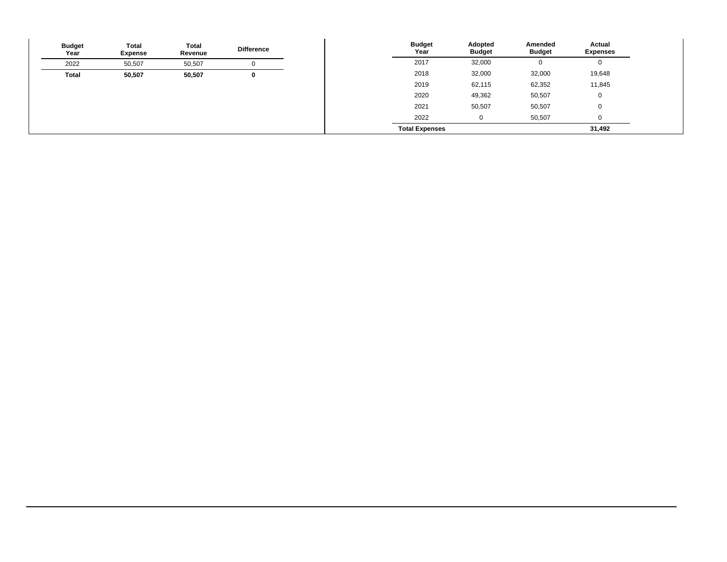| <b>Budget</b><br>Year | <b>Total</b><br><b>Expense</b> | Total<br>Revenue | <b>Difference</b> |
|-----------------------|--------------------------------|------------------|-------------------|
| 2022                  | 50,507                         | 50,507           |                   |
| Total                 | 50,507                         | 50,507           | $\mathbf 0$       |
|                       |                                |                  |                   |
|                       |                                |                  |                   |
|                       |                                |                  |                   |
|                       |                                |                  |                   |
|                       |                                |                  |                   |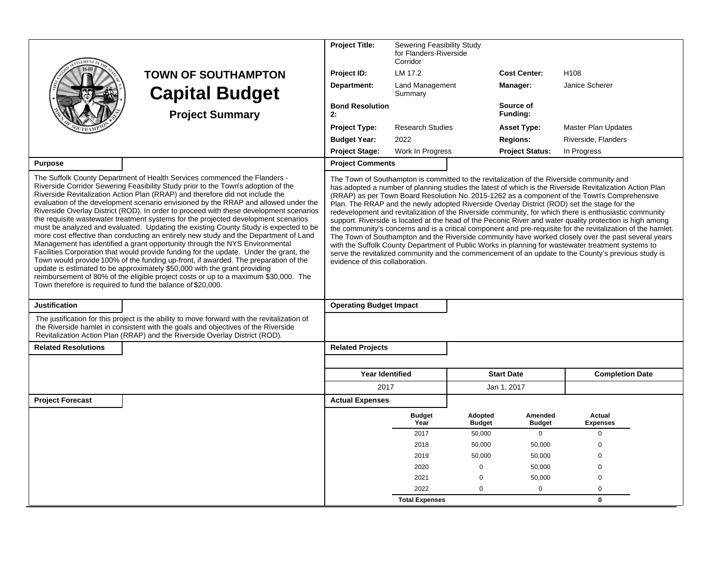|                                                             |                                                                                                                                                                                                                                                                                                                                                                                                                                                                                                                                                                                                                                                                                                                                                                                                                                                                                                                                                                                                                                                               | <b>Project Title:</b>                           | Sewering Feasibility Study<br>for Flanders-Riverside<br>Corridor |                          |                          |                                                                                                                                                                                                                                                                                                                                                                                                                                                                                                                                                                                                                                                                                                                                                                                                                                                                                                                                                                    |  |
|-------------------------------------------------------------|---------------------------------------------------------------------------------------------------------------------------------------------------------------------------------------------------------------------------------------------------------------------------------------------------------------------------------------------------------------------------------------------------------------------------------------------------------------------------------------------------------------------------------------------------------------------------------------------------------------------------------------------------------------------------------------------------------------------------------------------------------------------------------------------------------------------------------------------------------------------------------------------------------------------------------------------------------------------------------------------------------------------------------------------------------------|-------------------------------------------------|------------------------------------------------------------------|--------------------------|--------------------------|--------------------------------------------------------------------------------------------------------------------------------------------------------------------------------------------------------------------------------------------------------------------------------------------------------------------------------------------------------------------------------------------------------------------------------------------------------------------------------------------------------------------------------------------------------------------------------------------------------------------------------------------------------------------------------------------------------------------------------------------------------------------------------------------------------------------------------------------------------------------------------------------------------------------------------------------------------------------|--|
|                                                             | <b>TOWN OF SOUTHAMPTON</b>                                                                                                                                                                                                                                                                                                                                                                                                                                                                                                                                                                                                                                                                                                                                                                                                                                                                                                                                                                                                                                    | Project ID:                                     | LM 17.2                                                          |                          | <b>Cost Center:</b>      | H108                                                                                                                                                                                                                                                                                                                                                                                                                                                                                                                                                                                                                                                                                                                                                                                                                                                                                                                                                               |  |
|                                                             | <b>Capital Budget</b>                                                                                                                                                                                                                                                                                                                                                                                                                                                                                                                                                                                                                                                                                                                                                                                                                                                                                                                                                                                                                                         | Department:                                     | <b>Land Management</b><br>Summary                                |                          | Manager:                 | Janice Scherer                                                                                                                                                                                                                                                                                                                                                                                                                                                                                                                                                                                                                                                                                                                                                                                                                                                                                                                                                     |  |
|                                                             | <b>Project Summary</b>                                                                                                                                                                                                                                                                                                                                                                                                                                                                                                                                                                                                                                                                                                                                                                                                                                                                                                                                                                                                                                        | <b>Bond Resolution</b><br>2:                    |                                                                  |                          | Source of<br>Funding:    |                                                                                                                                                                                                                                                                                                                                                                                                                                                                                                                                                                                                                                                                                                                                                                                                                                                                                                                                                                    |  |
|                                                             |                                                                                                                                                                                                                                                                                                                                                                                                                                                                                                                                                                                                                                                                                                                                                                                                                                                                                                                                                                                                                                                               | <b>Project Type:</b><br><b>Research Studies</b> |                                                                  |                          | <b>Asset Type:</b>       | <b>Master Plan Updates</b>                                                                                                                                                                                                                                                                                                                                                                                                                                                                                                                                                                                                                                                                                                                                                                                                                                                                                                                                         |  |
|                                                             |                                                                                                                                                                                                                                                                                                                                                                                                                                                                                                                                                                                                                                                                                                                                                                                                                                                                                                                                                                                                                                                               | <b>Budget Year:</b>                             | 2022                                                             |                          | <b>Regions:</b>          | Riverside, Flanders                                                                                                                                                                                                                                                                                                                                                                                                                                                                                                                                                                                                                                                                                                                                                                                                                                                                                                                                                |  |
|                                                             |                                                                                                                                                                                                                                                                                                                                                                                                                                                                                                                                                                                                                                                                                                                                                                                                                                                                                                                                                                                                                                                               | <b>Project Stage:</b>                           | Work In Progress                                                 |                          | <b>Project Status:</b>   | In Progress                                                                                                                                                                                                                                                                                                                                                                                                                                                                                                                                                                                                                                                                                                                                                                                                                                                                                                                                                        |  |
| <b>Purpose</b>                                              |                                                                                                                                                                                                                                                                                                                                                                                                                                                                                                                                                                                                                                                                                                                                                                                                                                                                                                                                                                                                                                                               | <b>Project Comments</b>                         |                                                                  |                          |                          |                                                                                                                                                                                                                                                                                                                                                                                                                                                                                                                                                                                                                                                                                                                                                                                                                                                                                                                                                                    |  |
| Town therefore is required to fund the balance of \$20,000. | Riverside Corridor Sewering Feasibility Study prior to the Town's adoption of the<br>Riverside Revitalization Action Plan (RRAP) and therefore did not include the<br>evaluation of the development scenario envisioned by the RRAP and allowed under the<br>Riverside Overlay District (ROD). In order to proceed with these development scenarios<br>the requisite wastewater treatment systems for the projected development scenarios<br>must be analyzed and evaluated. Updating the existing County Study is expected to be<br>more cost effective than conducting an entirely new study and the Department of Land<br>Management has identified a grant opportunity through the NYS Environmental<br>Facilities Corporation that would provide funding for the update. Under the grant, the<br>Town would provide 100% of the funding up-front, if awarded. The preparation of the<br>update is estimated to be approximately \$50,000 with the grant providing<br>reimbursement of 80% of the eligible project costs or up to a maximum \$30,000. The | evidence of this collaboration.                 |                                                                  |                          |                          | has adopted a number of planning studies the latest of which is the Riverside Revitalization Action Plan<br>(RRAP) as per Town Board Resolution No. 2015-1262 as a component of the Town's Comprehensive<br>Plan. The RRAP and the newly adopted Riverside Overlay District (ROD) set the stage for the<br>redevelopment and revitalization of the Riverside community, for which there is enthusiastic community<br>support. Riverside is located at the head of the Peconic River and water quality protection is high among<br>the community's concerns and is a critical component and pre-requisite for the revitalization of the hamlet.<br>The Town of Southampton and the Riverside community have worked closely over the past several years<br>with the Suffolk County Department of Public Works in planning for wastewater treatment systems to<br>serve the revitalized community and the commencement of an update to the County's previous study is |  |
| <b>Justification</b>                                        |                                                                                                                                                                                                                                                                                                                                                                                                                                                                                                                                                                                                                                                                                                                                                                                                                                                                                                                                                                                                                                                               | <b>Operating Budget Impact</b>                  |                                                                  |                          |                          |                                                                                                                                                                                                                                                                                                                                                                                                                                                                                                                                                                                                                                                                                                                                                                                                                                                                                                                                                                    |  |
|                                                             | The justification for this project is the ability to move forward with the revitalization of<br>the Riverside hamlet in consistent with the goals and objectives of the Riverside<br>Revitalization Action Plan (RRAP) and the Riverside Overlay District (ROD).                                                                                                                                                                                                                                                                                                                                                                                                                                                                                                                                                                                                                                                                                                                                                                                              |                                                 |                                                                  |                          |                          |                                                                                                                                                                                                                                                                                                                                                                                                                                                                                                                                                                                                                                                                                                                                                                                                                                                                                                                                                                    |  |
| <b>Related Resolutions</b>                                  |                                                                                                                                                                                                                                                                                                                                                                                                                                                                                                                                                                                                                                                                                                                                                                                                                                                                                                                                                                                                                                                               | <b>Related Projects</b>                         |                                                                  |                          |                          |                                                                                                                                                                                                                                                                                                                                                                                                                                                                                                                                                                                                                                                                                                                                                                                                                                                                                                                                                                    |  |
|                                                             |                                                                                                                                                                                                                                                                                                                                                                                                                                                                                                                                                                                                                                                                                                                                                                                                                                                                                                                                                                                                                                                               |                                                 |                                                                  |                          |                          |                                                                                                                                                                                                                                                                                                                                                                                                                                                                                                                                                                                                                                                                                                                                                                                                                                                                                                                                                                    |  |
|                                                             |                                                                                                                                                                                                                                                                                                                                                                                                                                                                                                                                                                                                                                                                                                                                                                                                                                                                                                                                                                                                                                                               | <b>Year Identified</b>                          |                                                                  |                          | <b>Start Date</b>        | <b>Completion Date</b>                                                                                                                                                                                                                                                                                                                                                                                                                                                                                                                                                                                                                                                                                                                                                                                                                                                                                                                                             |  |
|                                                             |                                                                                                                                                                                                                                                                                                                                                                                                                                                                                                                                                                                                                                                                                                                                                                                                                                                                                                                                                                                                                                                               | 2017                                            |                                                                  |                          | Jan 1, 2017              |                                                                                                                                                                                                                                                                                                                                                                                                                                                                                                                                                                                                                                                                                                                                                                                                                                                                                                                                                                    |  |
| <b>Project Forecast</b>                                     |                                                                                                                                                                                                                                                                                                                                                                                                                                                                                                                                                                                                                                                                                                                                                                                                                                                                                                                                                                                                                                                               | <b>Actual Expenses</b>                          |                                                                  |                          |                          |                                                                                                                                                                                                                                                                                                                                                                                                                                                                                                                                                                                                                                                                                                                                                                                                                                                                                                                                                                    |  |
|                                                             |                                                                                                                                                                                                                                                                                                                                                                                                                                                                                                                                                                                                                                                                                                                                                                                                                                                                                                                                                                                                                                                               |                                                 | <b>Budget</b><br>Year                                            | Adopted<br><b>Budget</b> | Amended<br><b>Budget</b> | Actual<br><b>Expenses</b>                                                                                                                                                                                                                                                                                                                                                                                                                                                                                                                                                                                                                                                                                                                                                                                                                                                                                                                                          |  |
|                                                             |                                                                                                                                                                                                                                                                                                                                                                                                                                                                                                                                                                                                                                                                                                                                                                                                                                                                                                                                                                                                                                                               |                                                 | 2017                                                             | 50,000                   | $\Omega$                 | $\Omega$                                                                                                                                                                                                                                                                                                                                                                                                                                                                                                                                                                                                                                                                                                                                                                                                                                                                                                                                                           |  |
|                                                             |                                                                                                                                                                                                                                                                                                                                                                                                                                                                                                                                                                                                                                                                                                                                                                                                                                                                                                                                                                                                                                                               |                                                 | 2018                                                             | 50,000                   | 50,000                   | $\mathbf 0$                                                                                                                                                                                                                                                                                                                                                                                                                                                                                                                                                                                                                                                                                                                                                                                                                                                                                                                                                        |  |
|                                                             |                                                                                                                                                                                                                                                                                                                                                                                                                                                                                                                                                                                                                                                                                                                                                                                                                                                                                                                                                                                                                                                               |                                                 | 2019                                                             | 50,000                   | 50,000                   | $\Omega$                                                                                                                                                                                                                                                                                                                                                                                                                                                                                                                                                                                                                                                                                                                                                                                                                                                                                                                                                           |  |
|                                                             |                                                                                                                                                                                                                                                                                                                                                                                                                                                                                                                                                                                                                                                                                                                                                                                                                                                                                                                                                                                                                                                               |                                                 | 2020                                                             | $\mathbf 0$              | 50,000                   | $\Omega$                                                                                                                                                                                                                                                                                                                                                                                                                                                                                                                                                                                                                                                                                                                                                                                                                                                                                                                                                           |  |
|                                                             |                                                                                                                                                                                                                                                                                                                                                                                                                                                                                                                                                                                                                                                                                                                                                                                                                                                                                                                                                                                                                                                               |                                                 | 2021                                                             | $\mathbf 0$              | 50,000                   | $\mathbf 0$                                                                                                                                                                                                                                                                                                                                                                                                                                                                                                                                                                                                                                                                                                                                                                                                                                                                                                                                                        |  |
|                                                             |                                                                                                                                                                                                                                                                                                                                                                                                                                                                                                                                                                                                                                                                                                                                                                                                                                                                                                                                                                                                                                                               |                                                 | 2022                                                             | $\mathbf 0$              | $\mathbf 0$              | $\Omega$<br>$\mathbf{0}$                                                                                                                                                                                                                                                                                                                                                                                                                                                                                                                                                                                                                                                                                                                                                                                                                                                                                                                                           |  |
|                                                             |                                                                                                                                                                                                                                                                                                                                                                                                                                                                                                                                                                                                                                                                                                                                                                                                                                                                                                                                                                                                                                                               |                                                 | <b>Total Expenses</b>                                            |                          |                          |                                                                                                                                                                                                                                                                                                                                                                                                                                                                                                                                                                                                                                                                                                                                                                                                                                                                                                                                                                    |  |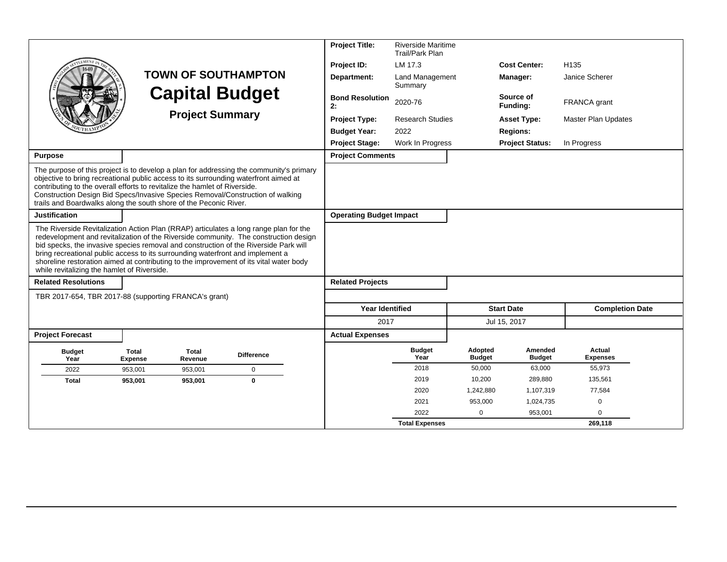|                                                                                                                                                                                                                                                                                                                                                                                                                                                                                                  |                                |                        |                            | <b>Project Title:</b>          | <b>Riverside Maritime</b><br>Trail/Park Plan |                          |                          |                            |
|--------------------------------------------------------------------------------------------------------------------------------------------------------------------------------------------------------------------------------------------------------------------------------------------------------------------------------------------------------------------------------------------------------------------------------------------------------------------------------------------------|--------------------------------|------------------------|----------------------------|--------------------------------|----------------------------------------------|--------------------------|--------------------------|----------------------------|
|                                                                                                                                                                                                                                                                                                                                                                                                                                                                                                  |                                |                        |                            | Project ID:                    | LM 17.3                                      |                          | <b>Cost Center:</b>      | H <sub>135</sub>           |
|                                                                                                                                                                                                                                                                                                                                                                                                                                                                                                  |                                |                        | <b>TOWN OF SOUTHAMPTON</b> | Department:                    | Land Management<br>Summary                   |                          | Manager:                 | Janice Scherer             |
|                                                                                                                                                                                                                                                                                                                                                                                                                                                                                                  |                                |                        | <b>Capital Budget</b>      | <b>Bond Resolution</b><br>2:   | 2020-76                                      |                          | Source of<br>Funding:    | FRANCA grant               |
|                                                                                                                                                                                                                                                                                                                                                                                                                                                                                                  |                                | <b>Project Summary</b> |                            | <b>Project Type:</b>           | <b>Research Studies</b>                      |                          | <b>Asset Type:</b>       | <b>Master Plan Updates</b> |
|                                                                                                                                                                                                                                                                                                                                                                                                                                                                                                  |                                |                        |                            | <b>Budget Year:</b>            | 2022                                         |                          | <b>Regions:</b>          |                            |
|                                                                                                                                                                                                                                                                                                                                                                                                                                                                                                  |                                |                        |                            | <b>Project Stage:</b>          | Work In Progress                             |                          | <b>Project Status:</b>   | In Progress                |
| <b>Purpose</b>                                                                                                                                                                                                                                                                                                                                                                                                                                                                                   |                                |                        |                            | <b>Project Comments</b>        |                                              |                          |                          |                            |
| The purpose of this project is to develop a plan for addressing the community's primary<br>objective to bring recreational public access to its surrounding waterfront aimed at<br>contributing to the overall efforts to revitalize the hamlet of Riverside.<br>Construction Design Bid Specs/Invasive Species Removal/Construction of walking<br>trails and Boardwalks along the south shore of the Peconic River.                                                                             |                                |                        |                            |                                |                                              |                          |                          |                            |
| <b>Justification</b>                                                                                                                                                                                                                                                                                                                                                                                                                                                                             |                                |                        |                            | <b>Operating Budget Impact</b> |                                              |                          |                          |                            |
| The Riverside Revitalization Action Plan (RRAP) articulates a long range plan for the<br>redevelopment and revitalization of the Riverside community. The construction design<br>bid specks, the invasive species removal and construction of the Riverside Park will<br>bring recreational public access to its surrounding waterfront and implement a<br>shoreline restoration aimed at contributing to the improvement of its vital water body<br>while revitalizing the hamlet of Riverside. |                                |                        |                            |                                |                                              |                          |                          |                            |
| <b>Related Resolutions</b>                                                                                                                                                                                                                                                                                                                                                                                                                                                                       |                                |                        |                            | <b>Related Projects</b>        |                                              |                          |                          |                            |
| TBR 2017-654, TBR 2017-88 (supporting FRANCA's grant)                                                                                                                                                                                                                                                                                                                                                                                                                                            |                                |                        |                            |                                |                                              |                          |                          |                            |
|                                                                                                                                                                                                                                                                                                                                                                                                                                                                                                  |                                |                        |                            | <b>Year Identified</b>         |                                              |                          | <b>Start Date</b>        | <b>Completion Date</b>     |
|                                                                                                                                                                                                                                                                                                                                                                                                                                                                                                  |                                |                        |                            | 2017                           |                                              |                          | Jul 15, 2017             |                            |
| <b>Project Forecast</b>                                                                                                                                                                                                                                                                                                                                                                                                                                                                          |                                |                        |                            | <b>Actual Expenses</b>         |                                              |                          |                          |                            |
| <b>Budget</b><br>Year                                                                                                                                                                                                                                                                                                                                                                                                                                                                            | <b>Total</b><br><b>Expense</b> | Total<br>Revenue       | <b>Difference</b>          |                                | <b>Budget</b><br>Year                        | Adopted<br><b>Budget</b> | Amended<br><b>Budget</b> | Actual<br><b>Expenses</b>  |
| 2022                                                                                                                                                                                                                                                                                                                                                                                                                                                                                             | 953.001                        | 953.001                | $\mathbf 0$                |                                | 2018                                         | 50,000                   | 63,000                   | 55,973                     |
| <b>Total</b>                                                                                                                                                                                                                                                                                                                                                                                                                                                                                     | 953,001                        | 953,001                | $\bf{0}$                   |                                | 2019                                         | 10,200                   | 289,880                  | 135,561                    |
|                                                                                                                                                                                                                                                                                                                                                                                                                                                                                                  |                                |                        |                            |                                | 2020                                         | 1,242,880                | 1,107,319                | 77,584                     |
|                                                                                                                                                                                                                                                                                                                                                                                                                                                                                                  |                                |                        |                            |                                | 2021                                         | 953,000                  | 1,024,735                | $\mathbf 0$                |
|                                                                                                                                                                                                                                                                                                                                                                                                                                                                                                  |                                |                        |                            |                                | 2022                                         | $\Omega$                 | 953,001                  | $\Omega$                   |
|                                                                                                                                                                                                                                                                                                                                                                                                                                                                                                  |                                |                        |                            |                                | <b>Total Expenses</b>                        |                          |                          | 269,118                    |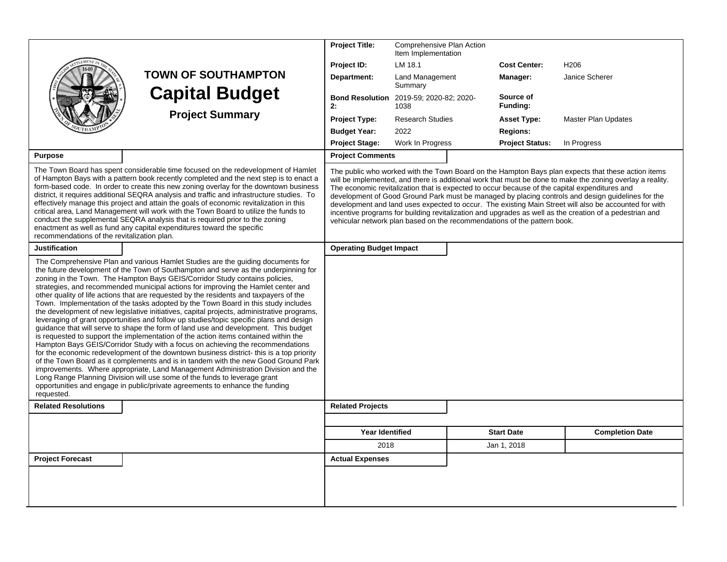|                                             |                                                                                                                                                                                                                                                                                                                                                                                                                                                                                                                                                                                                                                                                                                                                                                                                                                                                                                                                                                                                                                                                                                                                                                                                                                                                                                                                                                                                                        | <b>Project Title:</b>                                | Comprehensive Plan Action<br>Item Implementation |                                                                          |                                                                                                                                                                                                                                                                                                                                                                                                                                                                                                                                                                                                                                           |
|---------------------------------------------|------------------------------------------------------------------------------------------------------------------------------------------------------------------------------------------------------------------------------------------------------------------------------------------------------------------------------------------------------------------------------------------------------------------------------------------------------------------------------------------------------------------------------------------------------------------------------------------------------------------------------------------------------------------------------------------------------------------------------------------------------------------------------------------------------------------------------------------------------------------------------------------------------------------------------------------------------------------------------------------------------------------------------------------------------------------------------------------------------------------------------------------------------------------------------------------------------------------------------------------------------------------------------------------------------------------------------------------------------------------------------------------------------------------------|------------------------------------------------------|--------------------------------------------------|--------------------------------------------------------------------------|-------------------------------------------------------------------------------------------------------------------------------------------------------------------------------------------------------------------------------------------------------------------------------------------------------------------------------------------------------------------------------------------------------------------------------------------------------------------------------------------------------------------------------------------------------------------------------------------------------------------------------------------|
|                                             |                                                                                                                                                                                                                                                                                                                                                                                                                                                                                                                                                                                                                                                                                                                                                                                                                                                                                                                                                                                                                                                                                                                                                                                                                                                                                                                                                                                                                        | Project ID:                                          | LM 18.1                                          | <b>Cost Center:</b>                                                      | H <sub>206</sub>                                                                                                                                                                                                                                                                                                                                                                                                                                                                                                                                                                                                                          |
|                                             | <b>TOWN OF SOUTHAMPTON</b>                                                                                                                                                                                                                                                                                                                                                                                                                                                                                                                                                                                                                                                                                                                                                                                                                                                                                                                                                                                                                                                                                                                                                                                                                                                                                                                                                                                             | Department:                                          | Land Management<br>Summary                       | Manager:                                                                 | Janice Scherer                                                                                                                                                                                                                                                                                                                                                                                                                                                                                                                                                                                                                            |
|                                             | <b>Capital Budget</b>                                                                                                                                                                                                                                                                                                                                                                                                                                                                                                                                                                                                                                                                                                                                                                                                                                                                                                                                                                                                                                                                                                                                                                                                                                                                                                                                                                                                  | <b>Bond Resolution</b> 2019-59; 2020-82; 2020-<br>2: | 1038                                             | Source of<br>Funding:                                                    |                                                                                                                                                                                                                                                                                                                                                                                                                                                                                                                                                                                                                                           |
|                                             | <b>Project Summary</b>                                                                                                                                                                                                                                                                                                                                                                                                                                                                                                                                                                                                                                                                                                                                                                                                                                                                                                                                                                                                                                                                                                                                                                                                                                                                                                                                                                                                 | <b>Project Type:</b>                                 | <b>Research Studies</b>                          | <b>Asset Type:</b>                                                       | <b>Master Plan Updates</b>                                                                                                                                                                                                                                                                                                                                                                                                                                                                                                                                                                                                                |
|                                             |                                                                                                                                                                                                                                                                                                                                                                                                                                                                                                                                                                                                                                                                                                                                                                                                                                                                                                                                                                                                                                                                                                                                                                                                                                                                                                                                                                                                                        | <b>Budget Year:</b>                                  | 2022                                             | <b>Regions:</b>                                                          |                                                                                                                                                                                                                                                                                                                                                                                                                                                                                                                                                                                                                                           |
|                                             |                                                                                                                                                                                                                                                                                                                                                                                                                                                                                                                                                                                                                                                                                                                                                                                                                                                                                                                                                                                                                                                                                                                                                                                                                                                                                                                                                                                                                        | <b>Project Stage:</b>                                | Work In Progress                                 | <b>Project Status:</b>                                                   | In Progress                                                                                                                                                                                                                                                                                                                                                                                                                                                                                                                                                                                                                               |
| <b>Purpose</b>                              |                                                                                                                                                                                                                                                                                                                                                                                                                                                                                                                                                                                                                                                                                                                                                                                                                                                                                                                                                                                                                                                                                                                                                                                                                                                                                                                                                                                                                        | <b>Project Comments</b>                              |                                                  |                                                                          |                                                                                                                                                                                                                                                                                                                                                                                                                                                                                                                                                                                                                                           |
| recommendations of the revitalization plan. | The Town Board has spent considerable time focused on the redevelopment of Hamlet<br>of Hampton Bays with a pattern book recently completed and the next step is to enact a<br>form-based code. In order to create this new zoning overlay for the downtown business<br>district, it requires additional SEQRA analysis and traffic and infrastructure studies. To<br>effectively manage this project and attain the goals of economic revitalization in this<br>critical area, Land Management will work with the Town Board to utilize the funds to<br>conduct the supplemental SEQRA analysis that is required prior to the zoning<br>enactment as well as fund any capital expenditures toward the specific                                                                                                                                                                                                                                                                                                                                                                                                                                                                                                                                                                                                                                                                                                        |                                                      |                                                  | vehicular network plan based on the recommendations of the pattern book. | The public who worked with the Town Board on the Hampton Bays plan expects that these action items<br>will be implemented, and there is additional work that must be done to make the zoning overlay a reality.<br>The economic revitalization that is expected to occur because of the capital expenditures and<br>development of Good Ground Park must be managed by placing controls and design guidelines for the<br>development and land uses expected to occur. The existing Main Street will also be accounted for with<br>incentive programs for building revitalization and upgrades as well as the creation of a pedestrian and |
| <b>Justification</b>                        |                                                                                                                                                                                                                                                                                                                                                                                                                                                                                                                                                                                                                                                                                                                                                                                                                                                                                                                                                                                                                                                                                                                                                                                                                                                                                                                                                                                                                        | <b>Operating Budget Impact</b>                       |                                                  |                                                                          |                                                                                                                                                                                                                                                                                                                                                                                                                                                                                                                                                                                                                                           |
| requested.                                  | The Comprehensive Plan and various Hamlet Studies are the quiding documents for<br>the future development of the Town of Southampton and serve as the underpinning for<br>zoning in the Town. The Hampton Bays GEIS/Corridor Study contains policies,<br>strategies, and recommended municipal actions for improving the Hamlet center and<br>other quality of life actions that are requested by the residents and taxpayers of the<br>Town. Implementation of the tasks adopted by the Town Board in this study includes<br>the development of new legislative initiatives, capital projects, administrative programs,<br>leveraging of grant opportunities and follow up studies/topic specific plans and design<br>guidance that will serve to shape the form of land use and development. This budget<br>is requested to support the implementation of the action items contained within the<br>Hampton Bays GEIS/Corridor Study with a focus on achieving the recommendations<br>for the economic redevelopment of the downtown business district- this is a top priority<br>of the Town Board as it complements and is in tandem with the new Good Ground Park<br>improvements. Where appropriate, Land Management Administration Division and the<br>Long Range Planning Division will use some of the funds to leverage grant<br>opportunities and engage in public/private agreements to enhance the funding |                                                      |                                                  |                                                                          |                                                                                                                                                                                                                                                                                                                                                                                                                                                                                                                                                                                                                                           |
| <b>Related Resolutions</b>                  |                                                                                                                                                                                                                                                                                                                                                                                                                                                                                                                                                                                                                                                                                                                                                                                                                                                                                                                                                                                                                                                                                                                                                                                                                                                                                                                                                                                                                        | <b>Related Projects</b>                              |                                                  |                                                                          |                                                                                                                                                                                                                                                                                                                                                                                                                                                                                                                                                                                                                                           |
|                                             |                                                                                                                                                                                                                                                                                                                                                                                                                                                                                                                                                                                                                                                                                                                                                                                                                                                                                                                                                                                                                                                                                                                                                                                                                                                                                                                                                                                                                        |                                                      |                                                  |                                                                          |                                                                                                                                                                                                                                                                                                                                                                                                                                                                                                                                                                                                                                           |
|                                             |                                                                                                                                                                                                                                                                                                                                                                                                                                                                                                                                                                                                                                                                                                                                                                                                                                                                                                                                                                                                                                                                                                                                                                                                                                                                                                                                                                                                                        | <b>Year Identified</b>                               |                                                  | <b>Start Date</b>                                                        | <b>Completion Date</b>                                                                                                                                                                                                                                                                                                                                                                                                                                                                                                                                                                                                                    |
|                                             |                                                                                                                                                                                                                                                                                                                                                                                                                                                                                                                                                                                                                                                                                                                                                                                                                                                                                                                                                                                                                                                                                                                                                                                                                                                                                                                                                                                                                        | 2018                                                 |                                                  | Jan 1, 2018                                                              |                                                                                                                                                                                                                                                                                                                                                                                                                                                                                                                                                                                                                                           |
| <b>Project Forecast</b>                     |                                                                                                                                                                                                                                                                                                                                                                                                                                                                                                                                                                                                                                                                                                                                                                                                                                                                                                                                                                                                                                                                                                                                                                                                                                                                                                                                                                                                                        | <b>Actual Expenses</b>                               |                                                  |                                                                          |                                                                                                                                                                                                                                                                                                                                                                                                                                                                                                                                                                                                                                           |
|                                             |                                                                                                                                                                                                                                                                                                                                                                                                                                                                                                                                                                                                                                                                                                                                                                                                                                                                                                                                                                                                                                                                                                                                                                                                                                                                                                                                                                                                                        |                                                      |                                                  |                                                                          |                                                                                                                                                                                                                                                                                                                                                                                                                                                                                                                                                                                                                                           |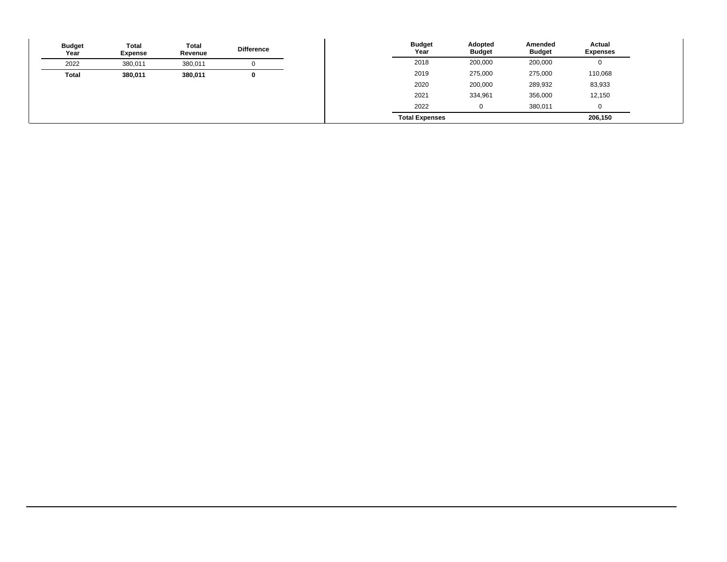| <b>Budget</b><br>Year | <b>Total</b><br>Expense | Total<br>Revenue | <b>Difference</b> | <b>Budget</b><br>Year | Adopted<br><b>Budget</b> | Amended<br><b>Budget</b> | Actual<br><b>Expenses</b> |
|-----------------------|-------------------------|------------------|-------------------|-----------------------|--------------------------|--------------------------|---------------------------|
| 2022                  | 380,011                 | 380,011          |                   | 2018                  | 200,000                  | 200,000                  |                           |
| <b>Total</b>          | 380,011                 | 380,011          |                   | 2019                  | 275,000                  | 275,000                  | 110,068                   |
|                       |                         |                  |                   | 2020                  | 200,000                  | 289,932                  | 83,933                    |
|                       |                         |                  |                   | 2021                  | 334,961                  | 356,000                  | 12,150                    |
|                       |                         |                  |                   | 2022                  | 0                        | 380,011                  |                           |
|                       |                         |                  |                   | <b>Total Expenses</b> |                          |                          | 206,150                   |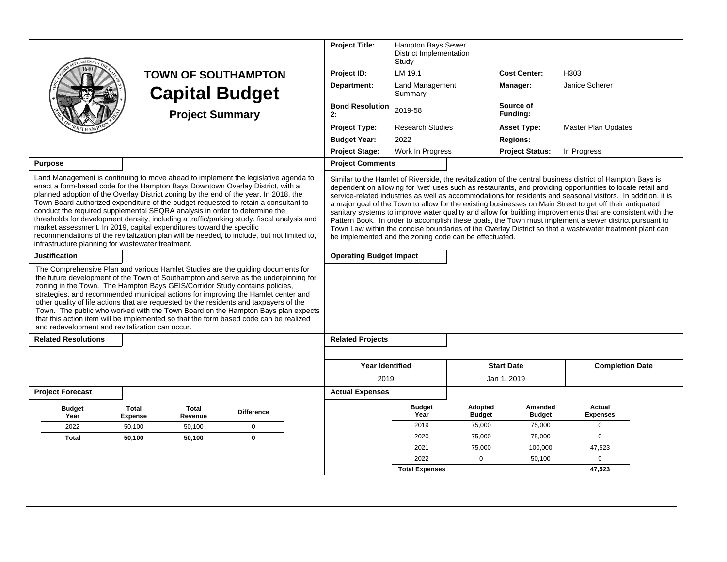|                                                                                                                                                                                                                                                                                                                                                                                                                                                                                                                                                                                                                                                                                                                                                            | <b>TOWN OF SOUTHAMPTON</b><br><b>Capital Budget</b><br><b>Project Summary</b> |                         | <b>Project Title:</b><br>Project ID:<br>Department:<br><b>Bond Resolution</b><br>2: | Hampton Bays Sewer<br><b>District Implementation</b><br>Study<br>LM 19.1<br><b>Land Management</b><br>Summary<br>2019-58                                                                                                                                                                                                                                                                                                                                                                                                                                                                                                                                                                                                                                                                                                                          |                          | <b>Cost Center:</b><br>Manager:<br>Source of<br>Funding: | H303<br>Janice Scherer                    |                                  |  |
|------------------------------------------------------------------------------------------------------------------------------------------------------------------------------------------------------------------------------------------------------------------------------------------------------------------------------------------------------------------------------------------------------------------------------------------------------------------------------------------------------------------------------------------------------------------------------------------------------------------------------------------------------------------------------------------------------------------------------------------------------------|-------------------------------------------------------------------------------|-------------------------|-------------------------------------------------------------------------------------|---------------------------------------------------------------------------------------------------------------------------------------------------------------------------------------------------------------------------------------------------------------------------------------------------------------------------------------------------------------------------------------------------------------------------------------------------------------------------------------------------------------------------------------------------------------------------------------------------------------------------------------------------------------------------------------------------------------------------------------------------------------------------------------------------------------------------------------------------|--------------------------|----------------------------------------------------------|-------------------------------------------|----------------------------------|--|
|                                                                                                                                                                                                                                                                                                                                                                                                                                                                                                                                                                                                                                                                                                                                                            |                                                                               |                         |                                                                                     | <b>Project Type:</b>                                                                                                                                                                                                                                                                                                                                                                                                                                                                                                                                                                                                                                                                                                                                                                                                                              | <b>Research Studies</b>  |                                                          | <b>Asset Type:</b>                        | <b>Master Plan Updates</b>       |  |
|                                                                                                                                                                                                                                                                                                                                                                                                                                                                                                                                                                                                                                                                                                                                                            |                                                                               |                         |                                                                                     | <b>Budget Year:</b><br><b>Project Stage:</b>                                                                                                                                                                                                                                                                                                                                                                                                                                                                                                                                                                                                                                                                                                                                                                                                      | 2022<br>Work In Progress |                                                          | <b>Regions:</b><br><b>Project Status:</b> | In Progress                      |  |
| <b>Purpose</b>                                                                                                                                                                                                                                                                                                                                                                                                                                                                                                                                                                                                                                                                                                                                             |                                                                               |                         |                                                                                     | <b>Project Comments</b>                                                                                                                                                                                                                                                                                                                                                                                                                                                                                                                                                                                                                                                                                                                                                                                                                           |                          |                                                          |                                           |                                  |  |
| Land Management is continuing to move ahead to implement the legislative agenda to<br>enact a form-based code for the Hampton Bays Downtown Overlay District, with a<br>planned adoption of the Overlay District zoning by the end of the year. In 2018, the<br>Town Board authorized expenditure of the budget requested to retain a consultant to<br>conduct the required supplemental SEQRA analysis in order to determine the<br>thresholds for development density, including a traffic/parking study, fiscal analysis and<br>market assessment. In 2019, capital expenditures toward the specific<br>recommendations of the revitalization plan will be needed, to include, but not limited to,<br>infrastructure planning for wastewater treatment. |                                                                               |                         |                                                                                     | Similar to the Hamlet of Riverside, the revitalization of the central business district of Hampton Bays is<br>dependent on allowing for 'wet' uses such as restaurants, and providing opportunities to locate retail and<br>service-related industries as well as accommodations for residents and seasonal visitors. In addition, it is<br>a major goal of the Town to allow for the existing businesses on Main Street to get off their antiquated<br>sanitary systems to improve water quality and allow for building improvements that are consistent with the<br>Pattern Book. In order to accomplish these goals, the Town must implement a sewer district pursuant to<br>Town Law within the concise boundaries of the Overlay District so that a wastewater treatment plant can<br>be implemented and the zoning code can be effectuated. |                          |                                                          |                                           |                                  |  |
| <b>Justification</b>                                                                                                                                                                                                                                                                                                                                                                                                                                                                                                                                                                                                                                                                                                                                       |                                                                               |                         |                                                                                     | <b>Operating Budget Impact</b>                                                                                                                                                                                                                                                                                                                                                                                                                                                                                                                                                                                                                                                                                                                                                                                                                    |                          |                                                          |                                           |                                  |  |
| The Comprehensive Plan and various Hamlet Studies are the guiding documents for<br>the future development of the Town of Southampton and serve as the underpinning for<br>zoning in the Town. The Hampton Bays GEIS/Corridor Study contains policies,<br>strategies, and recommended municipal actions for improving the Hamlet center and<br>other quality of life actions that are requested by the residents and taxpayers of the<br>Town. The public who worked with the Town Board on the Hampton Bays plan expects<br>that this action item will be implemented so that the form based code can be realized<br>and redevelopment and revitalization can occur.                                                                                       |                                                                               |                         |                                                                                     |                                                                                                                                                                                                                                                                                                                                                                                                                                                                                                                                                                                                                                                                                                                                                                                                                                                   |                          |                                                          |                                           |                                  |  |
| <b>Related Resolutions</b>                                                                                                                                                                                                                                                                                                                                                                                                                                                                                                                                                                                                                                                                                                                                 |                                                                               |                         |                                                                                     | <b>Related Projects</b>                                                                                                                                                                                                                                                                                                                                                                                                                                                                                                                                                                                                                                                                                                                                                                                                                           |                          |                                                          |                                           |                                  |  |
|                                                                                                                                                                                                                                                                                                                                                                                                                                                                                                                                                                                                                                                                                                                                                            |                                                                               |                         |                                                                                     |                                                                                                                                                                                                                                                                                                                                                                                                                                                                                                                                                                                                                                                                                                                                                                                                                                                   |                          |                                                          |                                           |                                  |  |
|                                                                                                                                                                                                                                                                                                                                                                                                                                                                                                                                                                                                                                                                                                                                                            |                                                                               |                         |                                                                                     | <b>Year Identified</b>                                                                                                                                                                                                                                                                                                                                                                                                                                                                                                                                                                                                                                                                                                                                                                                                                            |                          |                                                          | <b>Start Date</b>                         | <b>Completion Date</b>           |  |
|                                                                                                                                                                                                                                                                                                                                                                                                                                                                                                                                                                                                                                                                                                                                                            |                                                                               |                         |                                                                                     | 2019                                                                                                                                                                                                                                                                                                                                                                                                                                                                                                                                                                                                                                                                                                                                                                                                                                              |                          |                                                          | Jan 1, 2019                               |                                  |  |
| <b>Project Forecast</b>                                                                                                                                                                                                                                                                                                                                                                                                                                                                                                                                                                                                                                                                                                                                    |                                                                               |                         |                                                                                     | <b>Actual Expenses</b>                                                                                                                                                                                                                                                                                                                                                                                                                                                                                                                                                                                                                                                                                                                                                                                                                            |                          |                                                          |                                           |                                  |  |
| <b>Budget</b><br>Year                                                                                                                                                                                                                                                                                                                                                                                                                                                                                                                                                                                                                                                                                                                                      | <b>Total</b><br><b>Expense</b>                                                | <b>Total</b><br>Revenue | <b>Difference</b>                                                                   |                                                                                                                                                                                                                                                                                                                                                                                                                                                                                                                                                                                                                                                                                                                                                                                                                                                   | <b>Budget</b><br>Year    | Adopted<br><b>Budget</b>                                 | Amended<br><b>Budget</b>                  | <b>Actual</b><br><b>Expenses</b> |  |
| 2022                                                                                                                                                                                                                                                                                                                                                                                                                                                                                                                                                                                                                                                                                                                                                       | 50,100                                                                        | 50,100                  | 0                                                                                   |                                                                                                                                                                                                                                                                                                                                                                                                                                                                                                                                                                                                                                                                                                                                                                                                                                                   | 2019                     | 75,000                                                   | 75,000                                    | $\mathbf 0$                      |  |
| <b>Total</b>                                                                                                                                                                                                                                                                                                                                                                                                                                                                                                                                                                                                                                                                                                                                               | 50,100                                                                        | 50,100                  | $\mathbf 0$                                                                         |                                                                                                                                                                                                                                                                                                                                                                                                                                                                                                                                                                                                                                                                                                                                                                                                                                                   | 2020                     | 75,000                                                   | 75,000                                    | $\mathbf 0$                      |  |
|                                                                                                                                                                                                                                                                                                                                                                                                                                                                                                                                                                                                                                                                                                                                                            |                                                                               |                         |                                                                                     |                                                                                                                                                                                                                                                                                                                                                                                                                                                                                                                                                                                                                                                                                                                                                                                                                                                   | 2021                     | 75.000                                                   | 100,000                                   | 47,523                           |  |
|                                                                                                                                                                                                                                                                                                                                                                                                                                                                                                                                                                                                                                                                                                                                                            |                                                                               |                         |                                                                                     |                                                                                                                                                                                                                                                                                                                                                                                                                                                                                                                                                                                                                                                                                                                                                                                                                                                   | 2022                     | $\mathbf 0$                                              | 50,100                                    | 0                                |  |
|                                                                                                                                                                                                                                                                                                                                                                                                                                                                                                                                                                                                                                                                                                                                                            |                                                                               |                         |                                                                                     |                                                                                                                                                                                                                                                                                                                                                                                                                                                                                                                                                                                                                                                                                                                                                                                                                                                   | <b>Total Expenses</b>    |                                                          |                                           | 47,523                           |  |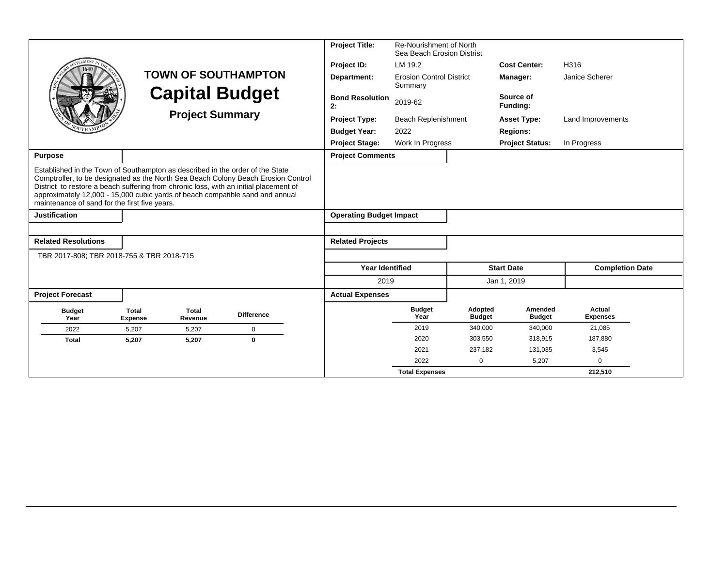|                                                                                                                                                                                                                                                                                                                                                                                               |                                |                        |                            | <b>Project Title:</b>                     | Re-Nourishment of North                    |                          |                          |                           |
|-----------------------------------------------------------------------------------------------------------------------------------------------------------------------------------------------------------------------------------------------------------------------------------------------------------------------------------------------------------------------------------------------|--------------------------------|------------------------|----------------------------|-------------------------------------------|--------------------------------------------|--------------------------|--------------------------|---------------------------|
| <b>EMENT</b>                                                                                                                                                                                                                                                                                                                                                                                  |                                |                        |                            |                                           | Sea Beach Erosion Distrist                 |                          | <b>Cost Center:</b>      |                           |
|                                                                                                                                                                                                                                                                                                                                                                                               |                                |                        | <b>TOWN OF SOUTHAMPTON</b> | Project ID:                               | LM 19.2                                    |                          |                          | H316                      |
|                                                                                                                                                                                                                                                                                                                                                                                               |                                |                        |                            | Department:                               | <b>Erosion Control District</b><br>Summary |                          | Manager:                 | Janice Scherer            |
|                                                                                                                                                                                                                                                                                                                                                                                               |                                |                        | <b>Capital Budget</b>      | <b>Bond Resolution</b><br>2:              | 2019-62                                    |                          | Source of<br>Fundina:    |                           |
|                                                                                                                                                                                                                                                                                                                                                                                               |                                | <b>Project Summary</b> |                            | <b>Project Type:</b>                      | <b>Beach Replenishment</b>                 |                          | <b>Asset Type:</b>       | Land Improvements         |
|                                                                                                                                                                                                                                                                                                                                                                                               |                                |                        |                            | <b>Budget Year:</b>                       | 2022                                       |                          | <b>Regions:</b>          |                           |
|                                                                                                                                                                                                                                                                                                                                                                                               |                                |                        |                            | <b>Project Stage:</b><br>Work In Progress |                                            | <b>Project Status:</b>   | In Progress              |                           |
| <b>Purpose</b>                                                                                                                                                                                                                                                                                                                                                                                |                                |                        |                            | <b>Project Comments</b>                   |                                            |                          |                          |                           |
| Established in the Town of Southampton as described in the order of the State<br>Comptroller, to be designated as the North Sea Beach Colony Beach Erosion Control<br>District to restore a beach suffering from chronic loss, with an initial placement of<br>approximately 12,000 - 15,000 cubic yards of beach compatible sand and annual<br>maintenance of sand for the first five years. |                                |                        |                            |                                           |                                            |                          |                          |                           |
| <b>Justification</b>                                                                                                                                                                                                                                                                                                                                                                          |                                |                        |                            | <b>Operating Budget Impact</b>            |                                            |                          |                          |                           |
|                                                                                                                                                                                                                                                                                                                                                                                               |                                |                        |                            |                                           |                                            |                          |                          |                           |
| <b>Related Resolutions</b>                                                                                                                                                                                                                                                                                                                                                                    |                                |                        |                            | <b>Related Projects</b>                   |                                            |                          |                          |                           |
| TBR 2017-808; TBR 2018-755 & TBR 2018-715                                                                                                                                                                                                                                                                                                                                                     |                                |                        |                            |                                           |                                            |                          |                          |                           |
|                                                                                                                                                                                                                                                                                                                                                                                               |                                |                        |                            | <b>Year Identified</b>                    |                                            |                          | <b>Start Date</b>        | <b>Completion Date</b>    |
|                                                                                                                                                                                                                                                                                                                                                                                               |                                |                        |                            | 2019                                      |                                            |                          | Jan 1, 2019              |                           |
| <b>Project Forecast</b>                                                                                                                                                                                                                                                                                                                                                                       |                                |                        |                            | <b>Actual Expenses</b>                    |                                            |                          |                          |                           |
| <b>Budget</b><br>Year                                                                                                                                                                                                                                                                                                                                                                         | <b>Total</b><br><b>Expense</b> | Total<br>Revenue       | <b>Difference</b>          |                                           | <b>Budget</b><br>Year                      | Adopted<br><b>Budget</b> | Amended<br><b>Budget</b> | Actual<br><b>Expenses</b> |
| 2022                                                                                                                                                                                                                                                                                                                                                                                          | 5.207                          | 5,207                  | $\mathbf 0$                |                                           | 2019                                       | 340,000                  | 340,000                  | 21,085                    |
| <b>Total</b>                                                                                                                                                                                                                                                                                                                                                                                  | 5,207                          | 5,207                  | $\bf{0}$                   |                                           | 2020                                       | 303.550                  | 318,915                  | 187,880                   |
|                                                                                                                                                                                                                                                                                                                                                                                               |                                |                        |                            |                                           | 2021                                       | 237,182                  | 131,035                  | 3,545                     |
|                                                                                                                                                                                                                                                                                                                                                                                               |                                |                        |                            |                                           | 2022                                       | $\mathbf 0$              | 5,207                    | $\mathbf 0$               |
|                                                                                                                                                                                                                                                                                                                                                                                               |                                |                        |                            |                                           | <b>Total Expenses</b>                      |                          |                          | 212,510                   |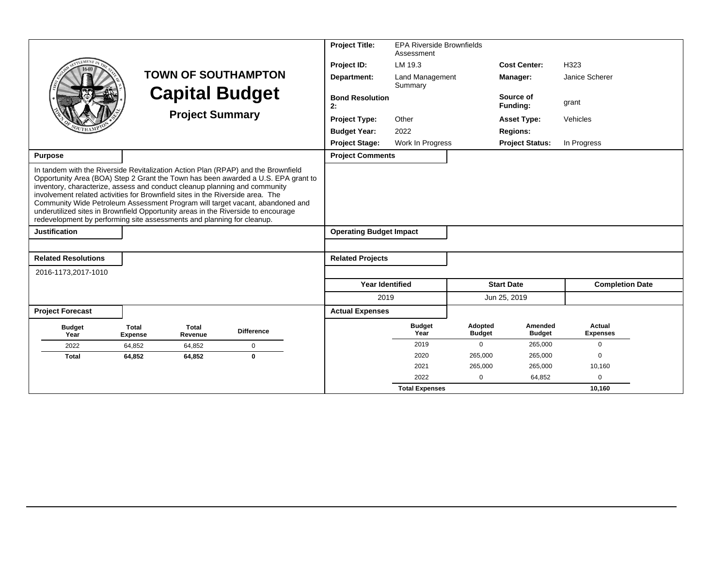|                                                                                                                                                                                                                                                                                                                                                                                                                                                                                                   |                         |                         |                                                                                   | <b>Project Title:</b>          | <b>EPA Riverside Brownfields</b><br>Assessment |                          |                          |                           |
|---------------------------------------------------------------------------------------------------------------------------------------------------------------------------------------------------------------------------------------------------------------------------------------------------------------------------------------------------------------------------------------------------------------------------------------------------------------------------------------------------|-------------------------|-------------------------|-----------------------------------------------------------------------------------|--------------------------------|------------------------------------------------|--------------------------|--------------------------|---------------------------|
|                                                                                                                                                                                                                                                                                                                                                                                                                                                                                                   |                         |                         |                                                                                   | Project ID:                    | LM 19.3                                        |                          | <b>Cost Center:</b>      | H323                      |
|                                                                                                                                                                                                                                                                                                                                                                                                                                                                                                   |                         |                         | <b>TOWN OF SOUTHAMPTON</b>                                                        | Department:                    | Land Management<br>Summary                     |                          | Manager:                 | Janice Scherer            |
|                                                                                                                                                                                                                                                                                                                                                                                                                                                                                                   |                         |                         | <b>Capital Budget</b>                                                             | <b>Bond Resolution</b><br>2:   |                                                |                          | Source of<br>Funding:    | grant                     |
|                                                                                                                                                                                                                                                                                                                                                                                                                                                                                                   |                         | <b>Project Summary</b>  |                                                                                   | <b>Project Type:</b>           | Other                                          |                          | <b>Asset Type:</b>       | Vehicles                  |
|                                                                                                                                                                                                                                                                                                                                                                                                                                                                                                   |                         |                         |                                                                                   | <b>Budget Year:</b>            | 2022                                           |                          | <b>Regions:</b>          |                           |
|                                                                                                                                                                                                                                                                                                                                                                                                                                                                                                   |                         |                         |                                                                                   | <b>Project Stage:</b>          | Work In Progress                               |                          | <b>Project Status:</b>   | In Progress               |
| <b>Purpose</b>                                                                                                                                                                                                                                                                                                                                                                                                                                                                                    |                         |                         |                                                                                   | <b>Project Comments</b>        |                                                |                          |                          |                           |
| In tandem with the Riverside Revitalization Action Plan (RPAP) and the Brownfield<br>inventory, characterize, assess and conduct cleanup planning and community<br>involvement related activities for Brownfield sites in the Riverside area. The<br>Community Wide Petroleum Assessment Program will target vacant, abandoned and<br>underutilized sites in Brownfield Opportunity areas in the Riverside to encourage<br>redevelopment by performing site assessments and planning for cleanup. |                         |                         | Opportunity Area (BOA) Step 2 Grant the Town has been awarded a U.S. EPA grant to |                                |                                                |                          |                          |                           |
| <b>Justification</b>                                                                                                                                                                                                                                                                                                                                                                                                                                                                              |                         |                         |                                                                                   | <b>Operating Budget Impact</b> |                                                |                          |                          |                           |
| <b>Related Resolutions</b>                                                                                                                                                                                                                                                                                                                                                                                                                                                                        |                         |                         |                                                                                   | <b>Related Projects</b>        |                                                |                          |                          |                           |
| 2016-1173,2017-1010                                                                                                                                                                                                                                                                                                                                                                                                                                                                               |                         |                         |                                                                                   |                                |                                                |                          |                          |                           |
|                                                                                                                                                                                                                                                                                                                                                                                                                                                                                                   |                         |                         |                                                                                   | <b>Year Identified</b>         |                                                |                          | <b>Start Date</b>        | <b>Completion Date</b>    |
|                                                                                                                                                                                                                                                                                                                                                                                                                                                                                                   |                         |                         |                                                                                   | 2019                           |                                                |                          | Jun 25, 2019             |                           |
| <b>Project Forecast</b>                                                                                                                                                                                                                                                                                                                                                                                                                                                                           |                         |                         |                                                                                   | <b>Actual Expenses</b>         |                                                |                          |                          |                           |
| <b>Budget</b><br>Year                                                                                                                                                                                                                                                                                                                                                                                                                                                                             | <b>Total</b><br>Expense | <b>Total</b><br>Revenue | <b>Difference</b>                                                                 |                                | <b>Budget</b><br>Year                          | Adopted<br><b>Budget</b> | Amended<br><b>Budget</b> | Actual<br><b>Expenses</b> |
| 2022                                                                                                                                                                                                                                                                                                                                                                                                                                                                                              | 64,852                  | 64,852                  | $\mathbf 0$                                                                       |                                | 2019                                           | 0                        | 265,000                  | $\mathbf 0$               |
| <b>Total</b>                                                                                                                                                                                                                                                                                                                                                                                                                                                                                      | 64,852                  | 64,852                  | $\bf{0}$                                                                          |                                | 2020                                           | 265,000                  | 265,000                  | $\Omega$                  |
|                                                                                                                                                                                                                                                                                                                                                                                                                                                                                                   |                         |                         |                                                                                   |                                | 2021                                           | 265,000                  | 265,000                  | 10,160                    |
|                                                                                                                                                                                                                                                                                                                                                                                                                                                                                                   |                         |                         |                                                                                   |                                | 2022                                           | $\Omega$                 | 64,852                   | $\mathbf 0$               |
|                                                                                                                                                                                                                                                                                                                                                                                                                                                                                                   |                         |                         |                                                                                   |                                | <b>Total Expenses</b>                          |                          |                          | 10,160                    |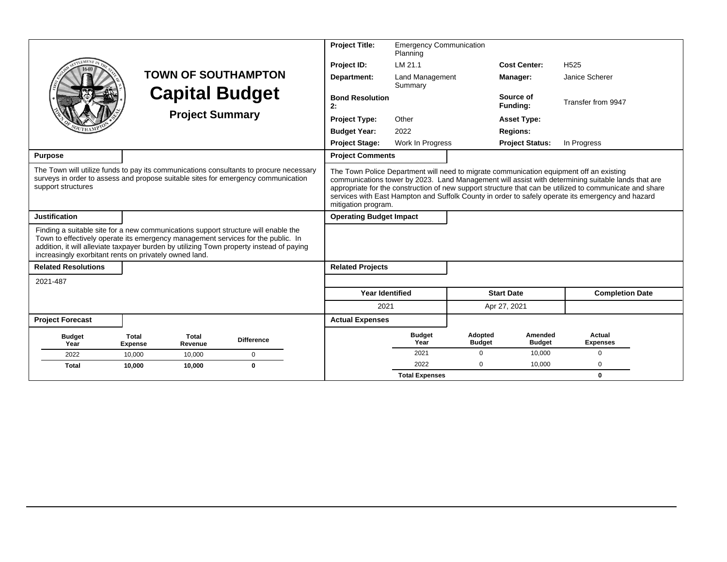|                                                                                                                                                                                                                                                                                                                              |                                |                         |                            | <b>Project Title:</b>          | <b>Emergency Communication</b> |                          |                          |                                                                                                                                                                                                                                                                                                                                                                                                               |  |  |
|------------------------------------------------------------------------------------------------------------------------------------------------------------------------------------------------------------------------------------------------------------------------------------------------------------------------------|--------------------------------|-------------------------|----------------------------|--------------------------------|--------------------------------|--------------------------|--------------------------|---------------------------------------------------------------------------------------------------------------------------------------------------------------------------------------------------------------------------------------------------------------------------------------------------------------------------------------------------------------------------------------------------------------|--|--|
|                                                                                                                                                                                                                                                                                                                              |                                |                         |                            |                                | Planning                       |                          |                          |                                                                                                                                                                                                                                                                                                                                                                                                               |  |  |
|                                                                                                                                                                                                                                                                                                                              |                                |                         |                            | Project ID:                    | LM 21.1                        |                          | <b>Cost Center:</b>      | H <sub>525</sub>                                                                                                                                                                                                                                                                                                                                                                                              |  |  |
|                                                                                                                                                                                                                                                                                                                              |                                |                         | <b>TOWN OF SOUTHAMPTON</b> | Department:                    | Land Management<br>Summary     |                          | Manager:                 | Janice Scherer                                                                                                                                                                                                                                                                                                                                                                                                |  |  |
|                                                                                                                                                                                                                                                                                                                              |                                |                         | <b>Capital Budget</b>      | <b>Bond Resolution</b><br>2:   |                                |                          | Source of<br>Funding:    | Transfer from 9947                                                                                                                                                                                                                                                                                                                                                                                            |  |  |
|                                                                                                                                                                                                                                                                                                                              |                                | <b>Project Summary</b>  |                            | <b>Project Type:</b>           | Other                          |                          |                          | <b>Asset Type:</b>                                                                                                                                                                                                                                                                                                                                                                                            |  |  |
|                                                                                                                                                                                                                                                                                                                              |                                |                         |                            | <b>Budget Year:</b>            | 2022                           |                          | <b>Regions:</b>          |                                                                                                                                                                                                                                                                                                                                                                                                               |  |  |
|                                                                                                                                                                                                                                                                                                                              |                                |                         |                            | <b>Project Stage:</b>          | Work In Progress               |                          | <b>Project Status:</b>   | In Progress                                                                                                                                                                                                                                                                                                                                                                                                   |  |  |
| <b>Purpose</b>                                                                                                                                                                                                                                                                                                               |                                |                         |                            | <b>Project Comments</b>        |                                |                          |                          |                                                                                                                                                                                                                                                                                                                                                                                                               |  |  |
| The Town will utilize funds to pay its communications consultants to procure necessary<br>surveys in order to assess and propose suitable sites for emergency communication<br>support structures                                                                                                                            |                                |                         |                            | mitigation program.            |                                |                          |                          | The Town Police Department will need to migrate communication equipment off an existing<br>communications tower by 2023. Land Management will assist with determining suitable lands that are<br>appropriate for the construction of new support structure that can be utilized to communicate and share<br>services with East Hampton and Suffolk County in order to safely operate its emergency and hazard |  |  |
| <b>Justification</b>                                                                                                                                                                                                                                                                                                         |                                |                         |                            | <b>Operating Budget Impact</b> |                                |                          |                          |                                                                                                                                                                                                                                                                                                                                                                                                               |  |  |
| Finding a suitable site for a new communications support structure will enable the<br>Town to effectively operate its emergency management services for the public. In<br>addition, it will alleviate taxpayer burden by utilizing Town property instead of paying<br>increasingly exorbitant rents on privately owned land. |                                |                         |                            |                                |                                |                          |                          |                                                                                                                                                                                                                                                                                                                                                                                                               |  |  |
| <b>Related Resolutions</b>                                                                                                                                                                                                                                                                                                   |                                |                         |                            | <b>Related Projects</b>        |                                |                          |                          |                                                                                                                                                                                                                                                                                                                                                                                                               |  |  |
| 2021-487                                                                                                                                                                                                                                                                                                                     |                                |                         |                            |                                |                                |                          |                          |                                                                                                                                                                                                                                                                                                                                                                                                               |  |  |
|                                                                                                                                                                                                                                                                                                                              |                                |                         |                            | <b>Year Identified</b>         |                                |                          | <b>Start Date</b>        | <b>Completion Date</b>                                                                                                                                                                                                                                                                                                                                                                                        |  |  |
|                                                                                                                                                                                                                                                                                                                              |                                |                         |                            | 2021                           |                                |                          | Apr 27, 2021             |                                                                                                                                                                                                                                                                                                                                                                                                               |  |  |
| <b>Project Forecast</b>                                                                                                                                                                                                                                                                                                      |                                |                         |                            | <b>Actual Expenses</b>         |                                |                          |                          |                                                                                                                                                                                                                                                                                                                                                                                                               |  |  |
| <b>Budget</b><br>Year                                                                                                                                                                                                                                                                                                        | <b>Total</b><br><b>Expense</b> | <b>Total</b><br>Revenue | <b>Difference</b>          |                                | <b>Budget</b><br>Year          | Adopted<br><b>Budget</b> | Amended<br><b>Budget</b> | Actual<br><b>Expenses</b>                                                                                                                                                                                                                                                                                                                                                                                     |  |  |
| 2022                                                                                                                                                                                                                                                                                                                         | 10,000                         | 10,000                  | $\mathbf 0$                |                                | 2021                           | $\Omega$                 | 10,000                   | $\Omega$                                                                                                                                                                                                                                                                                                                                                                                                      |  |  |
| <b>Total</b>                                                                                                                                                                                                                                                                                                                 | 10.000                         | 10.000                  | $\mathbf 0$                |                                | 2022                           | $\Omega$                 | 10,000                   | 0                                                                                                                                                                                                                                                                                                                                                                                                             |  |  |
|                                                                                                                                                                                                                                                                                                                              |                                |                         |                            |                                | <b>Total Expenses</b>          |                          |                          | 0                                                                                                                                                                                                                                                                                                                                                                                                             |  |  |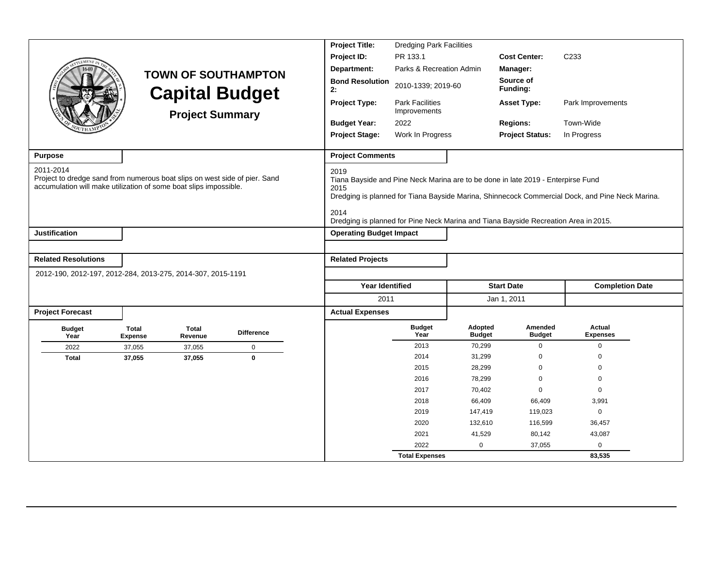|                                                                                                                                                              |                         |                         |                            | <b>Project Title:</b>          | <b>Dredging Park Facilities</b>                                                                                                                                         |                          |                          |                                                                                                 |  |
|--------------------------------------------------------------------------------------------------------------------------------------------------------------|-------------------------|-------------------------|----------------------------|--------------------------------|-------------------------------------------------------------------------------------------------------------------------------------------------------------------------|--------------------------|--------------------------|-------------------------------------------------------------------------------------------------|--|
|                                                                                                                                                              |                         |                         |                            | Project ID:                    | PR 133.1                                                                                                                                                                |                          | <b>Cost Center:</b>      | C <sub>233</sub>                                                                                |  |
| <b>LEMENT</b> I                                                                                                                                              |                         |                         |                            | Department:                    | Parks & Recreation Admin                                                                                                                                                |                          | Manager:                 |                                                                                                 |  |
|                                                                                                                                                              |                         | <b>Capital Budget</b>   | <b>TOWN OF SOUTHAMPTON</b> | <b>Bond Resolution</b><br>2:   | 2010-1339; 2019-60                                                                                                                                                      |                          | Source of<br>Funding:    |                                                                                                 |  |
|                                                                                                                                                              |                         | <b>Project Summary</b>  |                            | Project Type:                  | <b>Park Facilities</b><br>Improvements                                                                                                                                  |                          | <b>Asset Type:</b>       | Park Improvements                                                                               |  |
|                                                                                                                                                              |                         |                         |                            | <b>Budget Year:</b><br>2022    |                                                                                                                                                                         |                          | <b>Regions:</b>          | Town-Wide                                                                                       |  |
|                                                                                                                                                              |                         |                         |                            | <b>Project Stage:</b>          | Work In Progress                                                                                                                                                        |                          | <b>Project Status:</b>   | In Progress                                                                                     |  |
| <b>Purpose</b>                                                                                                                                               |                         |                         |                            | <b>Project Comments</b>        |                                                                                                                                                                         |                          |                          |                                                                                                 |  |
| 2011-2014<br>Project to dredge sand from numerous boat slips on west side of pier. Sand<br>accumulation will make utilization of some boat slips impossible. |                         |                         |                            | 2019<br>2015<br>2014           | Tiana Bayside and Pine Neck Marina are to be done in late 2019 - Enterpirse Fund<br>Dredging is planned for Pine Neck Marina and Tiana Bayside Recreation Area in 2015. |                          |                          | Dredging is planned for Tiana Bayside Marina, Shinnecock Commercial Dock, and Pine Neck Marina. |  |
| <b>Justification</b>                                                                                                                                         |                         |                         |                            | <b>Operating Budget Impact</b> |                                                                                                                                                                         |                          |                          |                                                                                                 |  |
|                                                                                                                                                              |                         |                         |                            |                                |                                                                                                                                                                         |                          |                          |                                                                                                 |  |
| <b>Related Resolutions</b>                                                                                                                                   |                         |                         |                            | <b>Related Projects</b>        |                                                                                                                                                                         |                          |                          |                                                                                                 |  |
| 2012-190, 2012-197, 2012-284, 2013-275, 2014-307, 2015-1191                                                                                                  |                         |                         |                            |                                |                                                                                                                                                                         |                          |                          |                                                                                                 |  |
|                                                                                                                                                              |                         |                         |                            | <b>Year Identified</b>         |                                                                                                                                                                         |                          | <b>Start Date</b>        | <b>Completion Date</b>                                                                          |  |
|                                                                                                                                                              |                         |                         |                            | 2011                           |                                                                                                                                                                         |                          | Jan 1, 2011              |                                                                                                 |  |
| <b>Project Forecast</b>                                                                                                                                      |                         |                         |                            | <b>Actual Expenses</b>         |                                                                                                                                                                         |                          |                          |                                                                                                 |  |
| <b>Budget</b><br>Year                                                                                                                                        | Total<br><b>Expense</b> | <b>Total</b><br>Revenue | <b>Difference</b>          |                                | <b>Budget</b><br>Year                                                                                                                                                   | Adopted<br><b>Budget</b> | Amended<br><b>Budget</b> | Actual<br><b>Expenses</b>                                                                       |  |
| 2022                                                                                                                                                         | 37,055                  | 37,055                  | $\pmb{0}$                  |                                | 2013                                                                                                                                                                    | 70,299                   | 0                        | $\mathbf 0$                                                                                     |  |
| <b>Total</b>                                                                                                                                                 | 37,055                  | 37,055                  | $\bf{0}$                   |                                | 2014                                                                                                                                                                    | 31,299                   | $\Omega$                 | 0                                                                                               |  |
|                                                                                                                                                              |                         |                         |                            |                                | 2015                                                                                                                                                                    | 28,299                   | $\Omega$                 | $\Omega$                                                                                        |  |
|                                                                                                                                                              |                         |                         |                            |                                | 2016                                                                                                                                                                    | 78,299                   | $\Omega$                 | $\Omega$                                                                                        |  |
|                                                                                                                                                              |                         |                         |                            |                                | 2017                                                                                                                                                                    | 70,402                   | $\Omega$                 | $\mathbf 0$                                                                                     |  |
|                                                                                                                                                              |                         |                         |                            |                                | 2018                                                                                                                                                                    | 66,409                   | 66,409                   | 3,991                                                                                           |  |
|                                                                                                                                                              |                         |                         |                            |                                | 2019                                                                                                                                                                    | 147,419                  | 119,023                  | $\mathbf 0$                                                                                     |  |
|                                                                                                                                                              |                         |                         |                            |                                | 2020                                                                                                                                                                    | 132,610                  | 116,599                  | 36,457                                                                                          |  |
|                                                                                                                                                              |                         |                         |                            |                                | 2021                                                                                                                                                                    | 41,529                   | 80,142                   | 43,087                                                                                          |  |
|                                                                                                                                                              |                         |                         |                            |                                | 2022                                                                                                                                                                    | $\pmb{0}$                | 37,055                   | $\mathbf 0$                                                                                     |  |
|                                                                                                                                                              |                         |                         |                            |                                | <b>Total Expenses</b>                                                                                                                                                   |                          |                          | 83,535                                                                                          |  |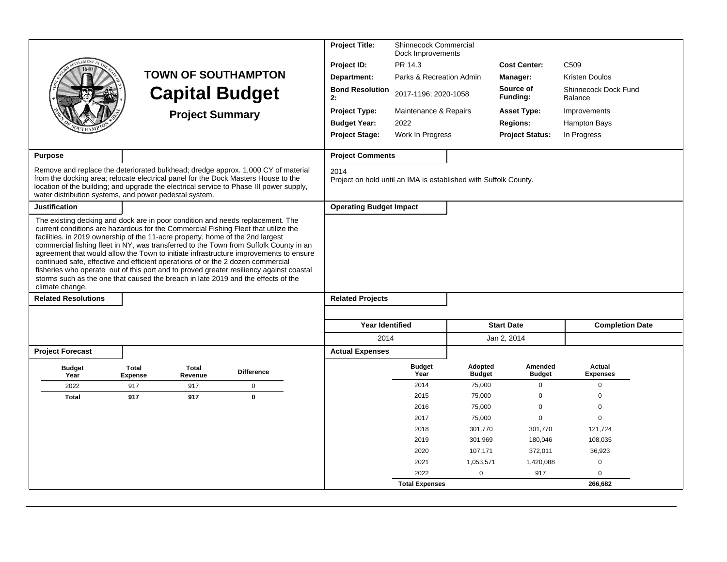|                            |                                                                                                                                                                                                                                                                                                                                                                                                                                                                                                                                                                                                                                                                                                             |                   | <b>Project Title:</b>                                                    | Shinnecock Commercial<br>Dock Improvements |                          |                          |                                 |  |  |  |  |  |  |
|----------------------------|-------------------------------------------------------------------------------------------------------------------------------------------------------------------------------------------------------------------------------------------------------------------------------------------------------------------------------------------------------------------------------------------------------------------------------------------------------------------------------------------------------------------------------------------------------------------------------------------------------------------------------------------------------------------------------------------------------------|-------------------|--------------------------------------------------------------------------|--------------------------------------------|--------------------------|--------------------------|---------------------------------|--|--|--|--|--|--|
|                            |                                                                                                                                                                                                                                                                                                                                                                                                                                                                                                                                                                                                                                                                                                             |                   | Project ID:                                                              | PR 14.3                                    |                          | <b>Cost Center:</b>      | C <sub>509</sub>                |  |  |  |  |  |  |
|                            | <b>TOWN OF SOUTHAMPTON</b>                                                                                                                                                                                                                                                                                                                                                                                                                                                                                                                                                                                                                                                                                  |                   | Department:                                                              | Parks & Recreation Admin                   |                          | Manager:                 | <b>Kristen Doulos</b>           |  |  |  |  |  |  |
|                            | <b>Capital Budget</b>                                                                                                                                                                                                                                                                                                                                                                                                                                                                                                                                                                                                                                                                                       |                   | <b>Bond Resolution</b><br>2:                                             | 2017-1196; 2020-1058                       |                          | Source of<br>Funding:    | Shinnecock Dock Fund<br>Balance |  |  |  |  |  |  |
|                            | <b>Project Summary</b>                                                                                                                                                                                                                                                                                                                                                                                                                                                                                                                                                                                                                                                                                      |                   | <b>Project Type:</b>                                                     | Maintenance & Repairs                      |                          | <b>Asset Type:</b>       | Improvements                    |  |  |  |  |  |  |
|                            |                                                                                                                                                                                                                                                                                                                                                                                                                                                                                                                                                                                                                                                                                                             |                   | <b>Budget Year:</b>                                                      | 2022                                       |                          | <b>Regions:</b>          | <b>Hampton Bays</b>             |  |  |  |  |  |  |
|                            |                                                                                                                                                                                                                                                                                                                                                                                                                                                                                                                                                                                                                                                                                                             |                   | <b>Project Stage:</b>                                                    | Work In Progress                           |                          | <b>Project Status:</b>   | In Progress                     |  |  |  |  |  |  |
| <b>Purpose</b>             |                                                                                                                                                                                                                                                                                                                                                                                                                                                                                                                                                                                                                                                                                                             |                   | <b>Project Comments</b>                                                  |                                            |                          |                          |                                 |  |  |  |  |  |  |
|                            | Remove and replace the deteriorated bulkhead; dredge approx. 1,000 CY of material<br>from the docking area; relocate electrical panel for the Dock Masters House to the<br>location of the building; and upgrade the electrical service to Phase III power supply,<br>water distribution systems, and power pedestal system.                                                                                                                                                                                                                                                                                                                                                                                |                   | 2014<br>Project on hold until an IMA is established with Suffolk County. |                                            |                          |                          |                                 |  |  |  |  |  |  |
| <b>Justification</b>       |                                                                                                                                                                                                                                                                                                                                                                                                                                                                                                                                                                                                                                                                                                             |                   | <b>Operating Budget Impact</b>                                           |                                            |                          |                          |                                 |  |  |  |  |  |  |
| climate change.            | The existing decking and dock are in poor condition and needs replacement. The<br>current conditions are hazardous for the Commercial Fishing Fleet that utilize the<br>facilities. in 2019 ownership of the 11-acre property, home of the 2nd largest<br>commercial fishing fleet in NY, was transferred to the Town from Suffolk County in an<br>agreement that would allow the Town to initiate infrastructure improvements to ensure<br>continued safe, effective and efficient operations of or the 2 dozen commercial<br>fisheries who operate out of this port and to proved greater resiliency against coastal<br>storms such as the one that caused the breach in late 2019 and the effects of the |                   |                                                                          |                                            |                          |                          |                                 |  |  |  |  |  |  |
| <b>Related Resolutions</b> |                                                                                                                                                                                                                                                                                                                                                                                                                                                                                                                                                                                                                                                                                                             |                   | <b>Related Projects</b>                                                  |                                            |                          |                          |                                 |  |  |  |  |  |  |
|                            |                                                                                                                                                                                                                                                                                                                                                                                                                                                                                                                                                                                                                                                                                                             |                   | <b>Year Identified</b>                                                   |                                            |                          | <b>Start Date</b>        | <b>Completion Date</b>          |  |  |  |  |  |  |
|                            |                                                                                                                                                                                                                                                                                                                                                                                                                                                                                                                                                                                                                                                                                                             |                   | 2014                                                                     |                                            |                          | Jan 2, 2014              |                                 |  |  |  |  |  |  |
| <b>Project Forecast</b>    |                                                                                                                                                                                                                                                                                                                                                                                                                                                                                                                                                                                                                                                                                                             |                   | <b>Actual Expenses</b>                                                   |                                            |                          |                          |                                 |  |  |  |  |  |  |
| <b>Budget</b><br>Year      | <b>Total</b><br><b>Total</b><br><b>Expense</b><br>Revenue                                                                                                                                                                                                                                                                                                                                                                                                                                                                                                                                                                                                                                                   | <b>Difference</b> |                                                                          | <b>Budget</b><br>Year                      | Adopted<br><b>Budget</b> | Amended<br><b>Budget</b> | Actual<br><b>Expenses</b>       |  |  |  |  |  |  |
| 2022                       | 917<br>917                                                                                                                                                                                                                                                                                                                                                                                                                                                                                                                                                                                                                                                                                                  | 0                 |                                                                          | 2014                                       | 75,000                   | 0                        | $\mathbf 0$                     |  |  |  |  |  |  |
| <b>Total</b>               | 917<br>917                                                                                                                                                                                                                                                                                                                                                                                                                                                                                                                                                                                                                                                                                                  | $\mathbf{0}$      |                                                                          | 2015                                       | 75,000                   | $\mathbf 0$              | $\mathbf 0$                     |  |  |  |  |  |  |
|                            |                                                                                                                                                                                                                                                                                                                                                                                                                                                                                                                                                                                                                                                                                                             |                   |                                                                          | 2016                                       | 75,000                   | $\mathbf 0$              | $\Omega$                        |  |  |  |  |  |  |
|                            |                                                                                                                                                                                                                                                                                                                                                                                                                                                                                                                                                                                                                                                                                                             |                   |                                                                          | 2017                                       | 75,000                   | $\mathbf 0$              | $\mathbf 0$                     |  |  |  |  |  |  |
|                            |                                                                                                                                                                                                                                                                                                                                                                                                                                                                                                                                                                                                                                                                                                             |                   |                                                                          | 2018                                       | 301,770                  | 301,770                  | 121,724                         |  |  |  |  |  |  |
|                            |                                                                                                                                                                                                                                                                                                                                                                                                                                                                                                                                                                                                                                                                                                             |                   |                                                                          | 2019                                       | 301,969                  | 180,046                  | 108,035                         |  |  |  |  |  |  |
|                            |                                                                                                                                                                                                                                                                                                                                                                                                                                                                                                                                                                                                                                                                                                             |                   |                                                                          | 2020                                       | 107,171                  | 372,011                  | 36,923                          |  |  |  |  |  |  |
|                            |                                                                                                                                                                                                                                                                                                                                                                                                                                                                                                                                                                                                                                                                                                             |                   |                                                                          | 2021                                       | 1,053,571                | 1,420,088                | $\mathbf 0$                     |  |  |  |  |  |  |
|                            |                                                                                                                                                                                                                                                                                                                                                                                                                                                                                                                                                                                                                                                                                                             |                   |                                                                          | 2022                                       | $\mathbf 0$              | 917                      | $\Omega$                        |  |  |  |  |  |  |
|                            |                                                                                                                                                                                                                                                                                                                                                                                                                                                                                                                                                                                                                                                                                                             |                   |                                                                          | <b>Total Expenses</b>                      |                          |                          | 266.682                         |  |  |  |  |  |  |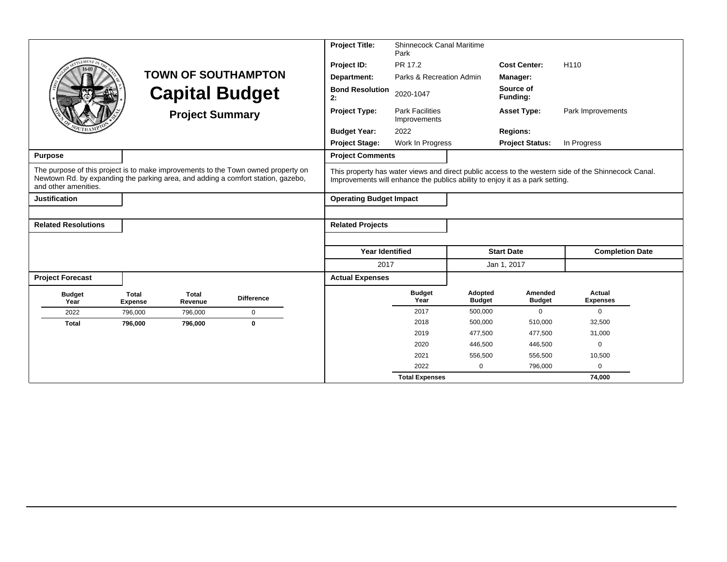|                                                                                                                                                                                               |                                |                        |                            | <b>Project Title:</b>          | <b>Shinnecock Canal Maritime</b>       |                          |                                                                              |                                                                                                     |  |
|-----------------------------------------------------------------------------------------------------------------------------------------------------------------------------------------------|--------------------------------|------------------------|----------------------------|--------------------------------|----------------------------------------|--------------------------|------------------------------------------------------------------------------|-----------------------------------------------------------------------------------------------------|--|
|                                                                                                                                                                                               |                                |                        |                            | Project ID:                    | PR 17.2                                |                          | <b>Cost Center:</b>                                                          | H110                                                                                                |  |
|                                                                                                                                                                                               |                                |                        | <b>TOWN OF SOUTHAMPTON</b> | Department:                    | Parks & Recreation Admin               |                          | Manager:                                                                     |                                                                                                     |  |
|                                                                                                                                                                                               |                                |                        | <b>Capital Budget</b>      | <b>Bond Resolution</b><br>2:   | 2020-1047                              |                          | Source of<br>Funding:                                                        |                                                                                                     |  |
|                                                                                                                                                                                               |                                | <b>Project Summary</b> |                            | <b>Project Type:</b>           | <b>Park Facilities</b><br>Improvements |                          | <b>Asset Type:</b>                                                           | Park Improvements                                                                                   |  |
|                                                                                                                                                                                               |                                |                        |                            | <b>Budget Year:</b>            | 2022                                   |                          | <b>Regions:</b>                                                              |                                                                                                     |  |
|                                                                                                                                                                                               |                                |                        |                            | <b>Project Stage:</b>          | Work In Progress                       |                          | <b>Project Status:</b>                                                       | In Progress                                                                                         |  |
| <b>Purpose</b>                                                                                                                                                                                |                                |                        |                            | <b>Project Comments</b>        |                                        |                          |                                                                              |                                                                                                     |  |
| The purpose of this project is to make improvements to the Town owned property on<br>Newtown Rd. by expanding the parking area, and adding a comfort station, gazebo,<br>and other amenities. |                                |                        |                            |                                |                                        |                          | Improvements will enhance the publics ability to enjoy it as a park setting. | This property has water views and direct public access to the western side of the Shinnecock Canal. |  |
| <b>Justification</b>                                                                                                                                                                          |                                |                        |                            | <b>Operating Budget Impact</b> |                                        |                          |                                                                              |                                                                                                     |  |
|                                                                                                                                                                                               |                                |                        |                            |                                |                                        |                          |                                                                              |                                                                                                     |  |
| <b>Related Resolutions</b>                                                                                                                                                                    |                                |                        |                            | <b>Related Projects</b>        |                                        |                          |                                                                              |                                                                                                     |  |
|                                                                                                                                                                                               |                                |                        |                            |                                |                                        |                          |                                                                              |                                                                                                     |  |
|                                                                                                                                                                                               |                                |                        |                            | <b>Year Identified</b>         |                                        |                          | <b>Start Date</b>                                                            | <b>Completion Date</b>                                                                              |  |
|                                                                                                                                                                                               |                                |                        |                            | 2017                           |                                        |                          | Jan 1, 2017                                                                  |                                                                                                     |  |
| <b>Project Forecast</b>                                                                                                                                                                       |                                |                        |                            | <b>Actual Expenses</b>         |                                        |                          |                                                                              |                                                                                                     |  |
| <b>Budget</b><br>Year                                                                                                                                                                         | <b>Total</b><br><b>Expense</b> | Total<br>Revenue       | <b>Difference</b>          |                                | <b>Budget</b><br>Year                  | Adopted<br><b>Budget</b> | Amended<br><b>Budget</b>                                                     | Actual<br><b>Expenses</b>                                                                           |  |
| 2022                                                                                                                                                                                          | 796.000                        | 796,000                | $\mathbf 0$                |                                | 2017                                   | 500,000                  | $\mathbf{0}$                                                                 | $\mathbf 0$                                                                                         |  |
| <b>Total</b>                                                                                                                                                                                  | 796,000                        | 796,000                | $\mathbf{0}$               |                                | 2018                                   | 500,000                  | 510,000                                                                      | 32,500                                                                                              |  |
|                                                                                                                                                                                               |                                |                        |                            |                                | 2019                                   | 477,500                  | 477,500                                                                      | 31,000                                                                                              |  |
|                                                                                                                                                                                               |                                |                        |                            |                                | 2020                                   | 446,500                  | 446,500                                                                      | $\mathbf 0$                                                                                         |  |
|                                                                                                                                                                                               |                                |                        |                            |                                | 2021                                   | 556,500                  | 556,500                                                                      | 10,500                                                                                              |  |
|                                                                                                                                                                                               |                                |                        |                            |                                | 2022                                   | $\mathbf 0$              | 796,000                                                                      | $\mathbf 0$                                                                                         |  |
|                                                                                                                                                                                               |                                |                        |                            |                                | <b>Total Expenses</b>                  |                          |                                                                              | 74,000                                                                                              |  |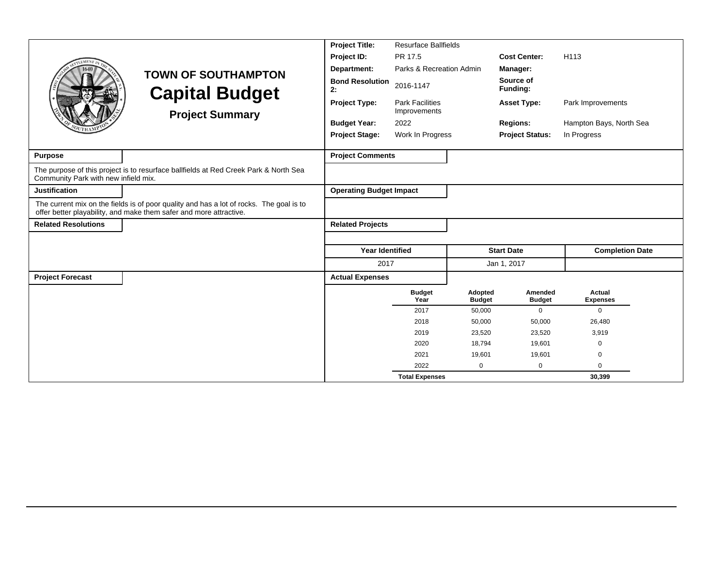|                                      |                                                                                                                                                               | <b>Project Title:</b>          | <b>Resurface Ballfields</b>            |                          |                                            |                           |
|--------------------------------------|---------------------------------------------------------------------------------------------------------------------------------------------------------------|--------------------------------|----------------------------------------|--------------------------|--------------------------------------------|---------------------------|
| <b>LEMENT</b>                        |                                                                                                                                                               | Project ID:                    | PR 17.5                                |                          | <b>Cost Center:</b>                        | H <sub>113</sub>          |
|                                      | <b>TOWN OF SOUTHAMPTON</b>                                                                                                                                    | Department:                    | Parks & Recreation Admin               |                          | Manager:                                   |                           |
|                                      | <b>Capital Budget</b>                                                                                                                                         | <b>Bond Resolution</b><br>2:   | 2016-1147                              |                          | Source of<br>Funding:                      |                           |
|                                      | <b>Project Summary</b>                                                                                                                                        | <b>Project Type:</b>           | <b>Park Facilities</b><br>Improvements |                          | <b>Asset Type:</b>                         | Park Improvements         |
|                                      |                                                                                                                                                               | 2022<br><b>Budget Year:</b>    |                                        |                          | Hampton Bays, North Sea<br><b>Regions:</b> |                           |
|                                      |                                                                                                                                                               | <b>Project Stage:</b>          | Work In Progress                       |                          | <b>Project Status:</b>                     | In Progress               |
| <b>Purpose</b>                       |                                                                                                                                                               | <b>Project Comments</b>        |                                        |                          |                                            |                           |
| Community Park with new infield mix. | The purpose of this project is to resurface ballfields at Red Creek Park & North Sea                                                                          |                                |                                        |                          |                                            |                           |
| <b>Justification</b>                 |                                                                                                                                                               | <b>Operating Budget Impact</b> |                                        |                          |                                            |                           |
|                                      | The current mix on the fields is of poor quality and has a lot of rocks. The goal is to<br>offer better playability, and make them safer and more attractive. |                                |                                        |                          |                                            |                           |
| <b>Related Resolutions</b>           |                                                                                                                                                               | <b>Related Projects</b>        |                                        |                          |                                            |                           |
|                                      |                                                                                                                                                               |                                |                                        |                          |                                            |                           |
|                                      |                                                                                                                                                               | <b>Year Identified</b>         |                                        |                          | <b>Start Date</b>                          | <b>Completion Date</b>    |
|                                      |                                                                                                                                                               | 2017                           |                                        |                          | Jan 1, 2017                                |                           |
| <b>Project Forecast</b>              |                                                                                                                                                               | <b>Actual Expenses</b>         |                                        |                          |                                            |                           |
|                                      |                                                                                                                                                               |                                | <b>Budget</b><br>Year                  | Adopted<br><b>Budget</b> | Amended<br><b>Budget</b>                   | Actual<br><b>Expenses</b> |
|                                      |                                                                                                                                                               |                                | 2017                                   | 50,000                   | $\mathbf 0$                                | $\mathbf{0}$              |
|                                      |                                                                                                                                                               |                                | 2018                                   | 50,000                   | 50,000                                     | 26,480                    |
|                                      |                                                                                                                                                               |                                | 2019                                   | 23,520                   | 23,520                                     | 3,919                     |
|                                      |                                                                                                                                                               |                                | 2020                                   | 18,794                   | 19,601                                     | $\mathbf 0$               |
|                                      |                                                                                                                                                               |                                | 2021                                   | 19.601                   | 19,601                                     | 0                         |
|                                      |                                                                                                                                                               |                                | 2022                                   | $\mathbf 0$              | $\mathbf 0$                                | $\Omega$                  |
|                                      |                                                                                                                                                               |                                | <b>Total Expenses</b>                  |                          |                                            | 30,399                    |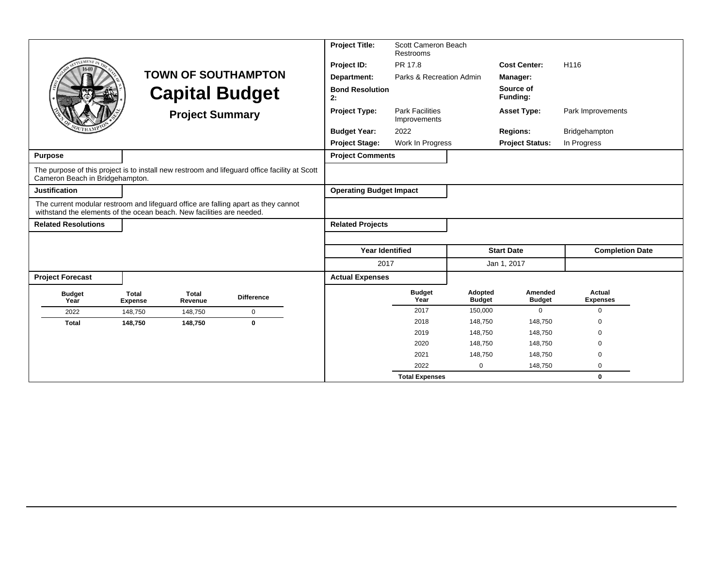|                                                                                                                                                             |                         |                         |                                                                                               | <b>Project Title:</b>          | Scott Cameron Beach<br>Restrooms       |                          |                          |                           |  |
|-------------------------------------------------------------------------------------------------------------------------------------------------------------|-------------------------|-------------------------|-----------------------------------------------------------------------------------------------|--------------------------------|----------------------------------------|--------------------------|--------------------------|---------------------------|--|
| <b>EMEN7</b>                                                                                                                                                |                         |                         |                                                                                               | Project ID:                    | PR 17.8                                |                          | <b>Cost Center:</b>      | H116                      |  |
|                                                                                                                                                             |                         |                         | <b>TOWN OF SOUTHAMPTON</b>                                                                    | Department:                    | Parks & Recreation Admin               |                          | Manager:                 |                           |  |
|                                                                                                                                                             |                         |                         | <b>Capital Budget</b>                                                                         | <b>Bond Resolution</b><br>2:   |                                        |                          | Source of<br>Funding:    |                           |  |
|                                                                                                                                                             |                         | <b>Project Summary</b>  |                                                                                               | <b>Project Type:</b>           | <b>Park Facilities</b><br>Improvements |                          | <b>Asset Type:</b>       | Park Improvements         |  |
|                                                                                                                                                             |                         |                         |                                                                                               | <b>Budget Year:</b>            | 2022                                   |                          | <b>Regions:</b>          | Bridgehampton             |  |
|                                                                                                                                                             |                         |                         |                                                                                               | <b>Project Stage:</b>          | Work In Progress                       |                          | <b>Project Status:</b>   | In Progress               |  |
| <b>Purpose</b>                                                                                                                                              |                         |                         |                                                                                               | <b>Project Comments</b>        |                                        |                          |                          |                           |  |
| Cameron Beach in Bridgehampton.                                                                                                                             |                         |                         | The purpose of this project is to install new restroom and lifeguard office facility at Scott |                                |                                        |                          |                          |                           |  |
| <b>Justification</b>                                                                                                                                        |                         |                         |                                                                                               | <b>Operating Budget Impact</b> |                                        |                          |                          |                           |  |
| The current modular restroom and lifeguard office are falling apart as they cannot<br>withstand the elements of the ocean beach. New facilities are needed. |                         |                         |                                                                                               |                                |                                        |                          |                          |                           |  |
| <b>Related Resolutions</b>                                                                                                                                  |                         |                         |                                                                                               | <b>Related Projects</b>        |                                        |                          |                          |                           |  |
|                                                                                                                                                             |                         |                         |                                                                                               |                                |                                        |                          |                          |                           |  |
|                                                                                                                                                             |                         |                         |                                                                                               | <b>Year Identified</b>         |                                        |                          | <b>Start Date</b>        | <b>Completion Date</b>    |  |
|                                                                                                                                                             |                         |                         |                                                                                               | 2017                           |                                        |                          | Jan 1, 2017              |                           |  |
| <b>Project Forecast</b>                                                                                                                                     |                         |                         |                                                                                               | <b>Actual Expenses</b>         |                                        |                          |                          |                           |  |
| <b>Budget</b><br>Year                                                                                                                                       | Total<br><b>Expense</b> | <b>Total</b><br>Revenue | <b>Difference</b>                                                                             |                                | <b>Budget</b><br>Year                  | Adopted<br><b>Budget</b> | Amended<br><b>Budget</b> | Actual<br><b>Expenses</b> |  |
| 2022                                                                                                                                                        | 148,750                 | 148,750                 | $\mathbf 0$                                                                                   |                                | 2017                                   | 150,000                  | $\mathbf 0$              | $\mathbf 0$               |  |
| <b>Total</b>                                                                                                                                                | 148,750                 | 148,750                 | $\mathbf 0$                                                                                   |                                | 2018                                   | 148,750                  | 148,750                  | $\Omega$                  |  |
|                                                                                                                                                             |                         |                         |                                                                                               |                                | 2019                                   | 148,750                  | 148,750                  | $\Omega$                  |  |
|                                                                                                                                                             |                         |                         |                                                                                               |                                | 2020                                   | 148,750                  | 148,750                  | $\Omega$                  |  |
|                                                                                                                                                             |                         |                         |                                                                                               |                                | 2021                                   | 148,750                  | 148,750                  | $\Omega$                  |  |
|                                                                                                                                                             |                         |                         |                                                                                               |                                | 2022                                   | $\mathbf 0$              | 148,750                  | 0                         |  |
|                                                                                                                                                             |                         |                         |                                                                                               |                                | <b>Total Expenses</b>                  |                          |                          | $\bf{0}$                  |  |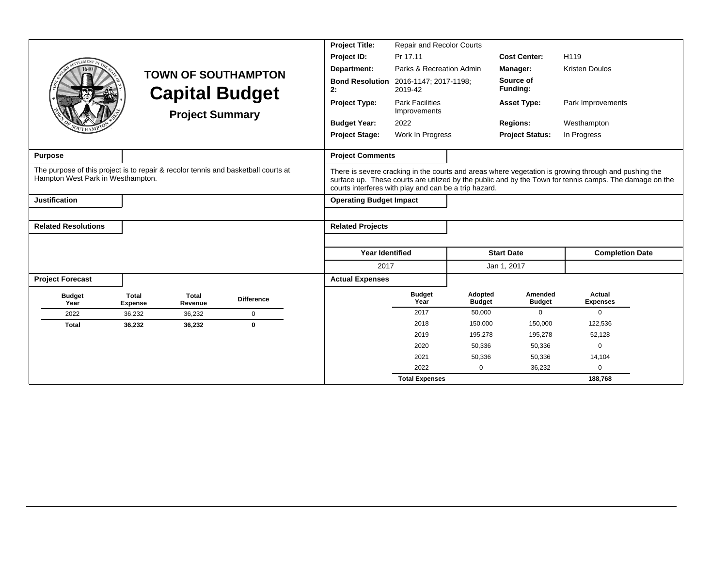|                                                                                                                         |                                |                         |                            | <b>Project Title:</b>                                 | Repair and Recolor Courts                                                  |                          |                          |                                                                                                                                                                                                                 |
|-------------------------------------------------------------------------------------------------------------------------|--------------------------------|-------------------------|----------------------------|-------------------------------------------------------|----------------------------------------------------------------------------|--------------------------|--------------------------|-----------------------------------------------------------------------------------------------------------------------------------------------------------------------------------------------------------------|
|                                                                                                                         |                                |                         |                            | Project ID:                                           | Pr 17.11                                                                   |                          | <b>Cost Center:</b>      | H119                                                                                                                                                                                                            |
|                                                                                                                         |                                |                         | <b>TOWN OF SOUTHAMPTON</b> | Department:                                           | Parks & Recreation Admin                                                   |                          | Manager:                 | <b>Kristen Doulos</b>                                                                                                                                                                                           |
|                                                                                                                         |                                |                         | <b>Capital Budget</b>      | <b>Bond Resolution</b><br>2:                          | 2016-1147; 2017-1198;<br>2019-42<br><b>Park Facilities</b><br>Improvements |                          | Source of<br>Funding:    |                                                                                                                                                                                                                 |
|                                                                                                                         |                                | <b>Project Summary</b>  |                            | <b>Project Type:</b>                                  |                                                                            |                          | <b>Asset Type:</b>       | Park Improvements                                                                                                                                                                                               |
|                                                                                                                         |                                |                         |                            | <b>Budget Year:</b>                                   | 2022                                                                       |                          | <b>Regions:</b>          | Westhampton                                                                                                                                                                                                     |
|                                                                                                                         |                                |                         |                            | <b>Project Stage:</b><br>Work In Progress             |                                                                            |                          | <b>Project Status:</b>   | In Progress                                                                                                                                                                                                     |
| <b>Purpose</b>                                                                                                          |                                |                         |                            | <b>Project Comments</b>                               |                                                                            |                          |                          |                                                                                                                                                                                                                 |
| The purpose of this project is to repair & recolor tennis and basketball courts at<br>Hampton West Park in Westhampton. |                                |                         |                            | courts interferes with play and can be a trip hazard. |                                                                            |                          |                          | There is severe cracking in the courts and areas where vegetation is growing through and pushing the<br>surface up. These courts are utilized by the public and by the Town for tennis camps. The damage on the |
| <b>Justification</b>                                                                                                    |                                |                         |                            | <b>Operating Budget Impact</b>                        |                                                                            |                          |                          |                                                                                                                                                                                                                 |
|                                                                                                                         |                                |                         |                            |                                                       |                                                                            |                          |                          |                                                                                                                                                                                                                 |
| <b>Related Resolutions</b>                                                                                              |                                |                         |                            | <b>Related Projects</b>                               |                                                                            |                          |                          |                                                                                                                                                                                                                 |
|                                                                                                                         |                                |                         |                            |                                                       |                                                                            |                          |                          |                                                                                                                                                                                                                 |
|                                                                                                                         |                                |                         |                            | <b>Year Identified</b>                                |                                                                            |                          | <b>Start Date</b>        | <b>Completion Date</b>                                                                                                                                                                                          |
|                                                                                                                         |                                |                         |                            | 2017                                                  |                                                                            |                          | Jan 1, 2017              |                                                                                                                                                                                                                 |
| <b>Project Forecast</b>                                                                                                 |                                |                         |                            | <b>Actual Expenses</b>                                |                                                                            |                          |                          |                                                                                                                                                                                                                 |
| <b>Budget</b><br>Year                                                                                                   | <b>Total</b><br><b>Expense</b> | <b>Total</b><br>Revenue | <b>Difference</b>          |                                                       | <b>Budget</b><br>Year                                                      | Adopted<br><b>Budget</b> | Amended<br><b>Budget</b> | Actual<br><b>Expenses</b>                                                                                                                                                                                       |
| 2022                                                                                                                    | 36,232                         | 36,232                  | $\mathbf 0$                |                                                       | 2017                                                                       | 50,000                   | 0                        | $\mathbf{0}$                                                                                                                                                                                                    |
| <b>Total</b>                                                                                                            | 36,232                         | 36,232                  | $\bf{0}$                   |                                                       | 2018                                                                       | 150,000                  | 150,000                  | 122,536                                                                                                                                                                                                         |
|                                                                                                                         |                                |                         |                            |                                                       | 2019                                                                       | 195,278                  | 195,278                  | 52,128                                                                                                                                                                                                          |
|                                                                                                                         |                                |                         |                            |                                                       | 2020                                                                       | 50,336                   | 50,336                   | $\mathbf 0$                                                                                                                                                                                                     |
|                                                                                                                         |                                |                         |                            |                                                       | 2021                                                                       | 50,336                   | 50,336                   | 14,104                                                                                                                                                                                                          |
|                                                                                                                         |                                |                         |                            |                                                       | 2022                                                                       | 0                        | 36,232                   | $\mathbf 0$                                                                                                                                                                                                     |
|                                                                                                                         |                                |                         |                            |                                                       | <b>Total Expenses</b>                                                      |                          |                          | 188,768                                                                                                                                                                                                         |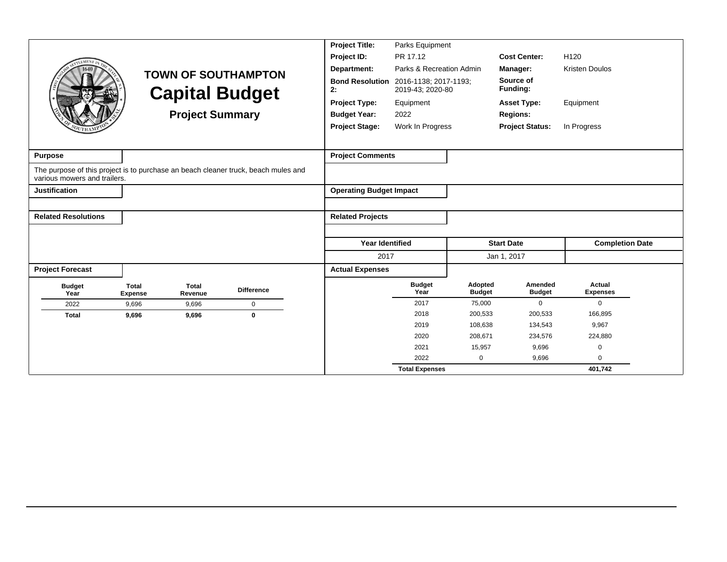| LEMENT <sub>I</sub>          | <b>TOWN OF SOUTHAMPTON</b><br><b>Capital Budget</b>       | <b>Project Title:</b><br>Project ID:<br>Department:<br><b>Bond Resolution</b><br>2:<br><b>Project Type:</b> | Parks Equipment<br>PR 17.12<br>Parks & Recreation Admin<br>2016-1138; 2017-1193;<br>2019-43; 2020-80<br>Equipment<br>2022 |                       | <b>Cost Center:</b><br>Manager:<br>Source of<br>Funding:<br><b>Asset Type:</b> | H120<br><b>Kristen Doulos</b><br>Equipment |                           |
|------------------------------|-----------------------------------------------------------|-------------------------------------------------------------------------------------------------------------|---------------------------------------------------------------------------------------------------------------------------|-----------------------|--------------------------------------------------------------------------------|--------------------------------------------|---------------------------|
|                              |                                                           | <b>Project Summary</b>                                                                                      | <b>Budget Year:</b><br><b>Project Stage:</b>                                                                              | Work In Progress      |                                                                                | <b>Regions:</b><br><b>Project Status:</b>  | In Progress               |
| <b>Purpose</b>               |                                                           |                                                                                                             | <b>Project Comments</b>                                                                                                   |                       |                                                                                |                                            |                           |
| various mowers and trailers. |                                                           | The purpose of this project is to purchase an beach cleaner truck, beach mules and                          |                                                                                                                           |                       |                                                                                |                                            |                           |
| <b>Justification</b>         |                                                           |                                                                                                             | <b>Operating Budget Impact</b>                                                                                            |                       |                                                                                |                                            |                           |
|                              |                                                           |                                                                                                             |                                                                                                                           |                       |                                                                                |                                            |                           |
| <b>Related Resolutions</b>   |                                                           |                                                                                                             | <b>Related Projects</b>                                                                                                   |                       |                                                                                |                                            |                           |
|                              |                                                           |                                                                                                             |                                                                                                                           |                       |                                                                                |                                            |                           |
|                              |                                                           |                                                                                                             | <b>Year Identified</b>                                                                                                    |                       |                                                                                | <b>Start Date</b>                          | <b>Completion Date</b>    |
|                              |                                                           |                                                                                                             | 2017                                                                                                                      |                       |                                                                                | Jan 1, 2017                                |                           |
| <b>Project Forecast</b>      |                                                           |                                                                                                             | <b>Actual Expenses</b>                                                                                                    |                       |                                                                                |                                            |                           |
| <b>Budget</b><br>Year        | <b>Total</b><br><b>Total</b><br>Revenue<br><b>Expense</b> | <b>Difference</b>                                                                                           |                                                                                                                           | <b>Budget</b><br>Year | Adopted<br><b>Budget</b>                                                       | Amended<br><b>Budget</b>                   | Actual<br><b>Expenses</b> |
| 2022                         | 9,696<br>9,696                                            | 0                                                                                                           |                                                                                                                           | 2017                  | 75,000                                                                         | $\Omega$                                   | $\Omega$                  |
| <b>Total</b>                 | 9,696<br>9,696                                            | $\bf{0}$                                                                                                    |                                                                                                                           | 2018                  | 200,533                                                                        | 200,533                                    | 166,895                   |
|                              |                                                           |                                                                                                             |                                                                                                                           | 2019                  | 108,638                                                                        | 134,543                                    | 9,967                     |
|                              |                                                           |                                                                                                             |                                                                                                                           | 2020<br>2021          | 208,671<br>15,957                                                              | 234,576<br>9,696                           | 224,880<br>0              |
|                              |                                                           |                                                                                                             |                                                                                                                           | 2022                  | 0                                                                              | 9,696                                      | $\Omega$                  |
|                              |                                                           |                                                                                                             |                                                                                                                           | <b>Total Expenses</b> |                                                                                |                                            | 401,742                   |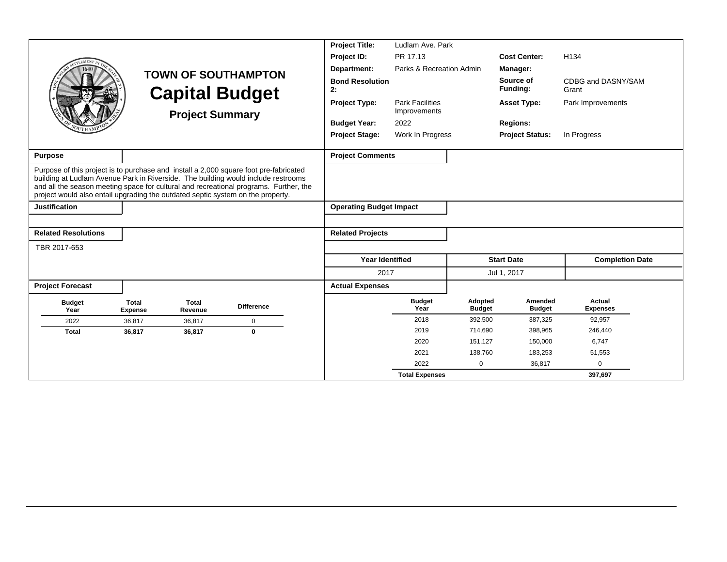|                                                                                                                                                                                                                                                               |                                |                         |                                                                                       | <b>Project Title:</b>          | Ludlam Ave, Park                       |                          |                          |                             |
|---------------------------------------------------------------------------------------------------------------------------------------------------------------------------------------------------------------------------------------------------------------|--------------------------------|-------------------------|---------------------------------------------------------------------------------------|--------------------------------|----------------------------------------|--------------------------|--------------------------|-----------------------------|
|                                                                                                                                                                                                                                                               |                                |                         |                                                                                       | Project ID:                    | PR 17.13                               |                          | <b>Cost Center:</b>      | H <sub>134</sub>            |
|                                                                                                                                                                                                                                                               |                                |                         | <b>TOWN OF SOUTHAMPTON</b>                                                            | Department:                    | Parks & Recreation Admin               |                          | Manager:                 |                             |
|                                                                                                                                                                                                                                                               |                                |                         | <b>Capital Budget</b>                                                                 | <b>Bond Resolution</b><br>2:   |                                        |                          | Source of<br>Funding:    | CDBG and DASNY/SAM<br>Grant |
|                                                                                                                                                                                                                                                               |                                | <b>Project Summary</b>  |                                                                                       | <b>Project Type:</b>           | <b>Park Facilities</b><br>Improvements |                          | <b>Asset Type:</b>       | Park Improvements           |
|                                                                                                                                                                                                                                                               |                                |                         |                                                                                       | <b>Budget Year:</b>            | 2022                                   |                          | <b>Regions:</b>          |                             |
|                                                                                                                                                                                                                                                               |                                |                         |                                                                                       | <b>Project Stage:</b>          | Work In Progress                       |                          | <b>Project Status:</b>   | In Progress                 |
| <b>Purpose</b>                                                                                                                                                                                                                                                |                                |                         |                                                                                       | <b>Project Comments</b>        |                                        |                          |                          |                             |
| Purpose of this project is to purchase and install a 2,000 square foot pre-fabricated<br>building at Ludlam Avenue Park in Riverside. The building would include restrooms<br>project would also entail upgrading the outdated septic system on the property. |                                |                         | and all the season meeting space for cultural and recreational programs. Further, the |                                |                                        |                          |                          |                             |
| Justification                                                                                                                                                                                                                                                 |                                |                         |                                                                                       | <b>Operating Budget Impact</b> |                                        |                          |                          |                             |
|                                                                                                                                                                                                                                                               |                                |                         |                                                                                       |                                |                                        |                          |                          |                             |
| <b>Related Resolutions</b>                                                                                                                                                                                                                                    |                                |                         |                                                                                       | <b>Related Projects</b>        |                                        |                          |                          |                             |
| TBR 2017-653                                                                                                                                                                                                                                                  |                                |                         |                                                                                       |                                |                                        |                          |                          |                             |
|                                                                                                                                                                                                                                                               |                                |                         |                                                                                       | <b>Year Identified</b>         |                                        |                          | <b>Start Date</b>        | <b>Completion Date</b>      |
|                                                                                                                                                                                                                                                               |                                |                         |                                                                                       | 2017                           |                                        |                          | Jul 1, 2017              |                             |
| <b>Project Forecast</b>                                                                                                                                                                                                                                       |                                |                         |                                                                                       | <b>Actual Expenses</b>         |                                        |                          |                          |                             |
| <b>Budget</b><br>Year                                                                                                                                                                                                                                         | <b>Total</b><br><b>Expense</b> | <b>Total</b><br>Revenue | <b>Difference</b>                                                                     |                                | <b>Budget</b><br>Year                  | Adopted<br><b>Budget</b> | Amended<br><b>Budget</b> | Actual<br><b>Expenses</b>   |
| 2022                                                                                                                                                                                                                                                          | 36.817                         | 36.817                  | $\pmb{0}$                                                                             |                                | 2018                                   | 392,500                  | 387,325                  | 92,957                      |
| <b>Total</b>                                                                                                                                                                                                                                                  | 36,817                         | 36,817                  | $\bf{0}$                                                                              |                                | 2019                                   | 714,690                  | 398,965                  | 246,440                     |
|                                                                                                                                                                                                                                                               |                                |                         |                                                                                       |                                | 2020                                   | 151,127                  | 150,000                  | 6,747                       |
|                                                                                                                                                                                                                                                               |                                |                         |                                                                                       |                                | 2021                                   | 138.760                  | 183,253                  | 51,553                      |
|                                                                                                                                                                                                                                                               |                                |                         |                                                                                       |                                | 2022                                   | $\mathbf 0$              | 36,817                   | $\Omega$                    |
|                                                                                                                                                                                                                                                               |                                |                         |                                                                                       |                                | <b>Total Expenses</b>                  |                          |                          | 397,697                     |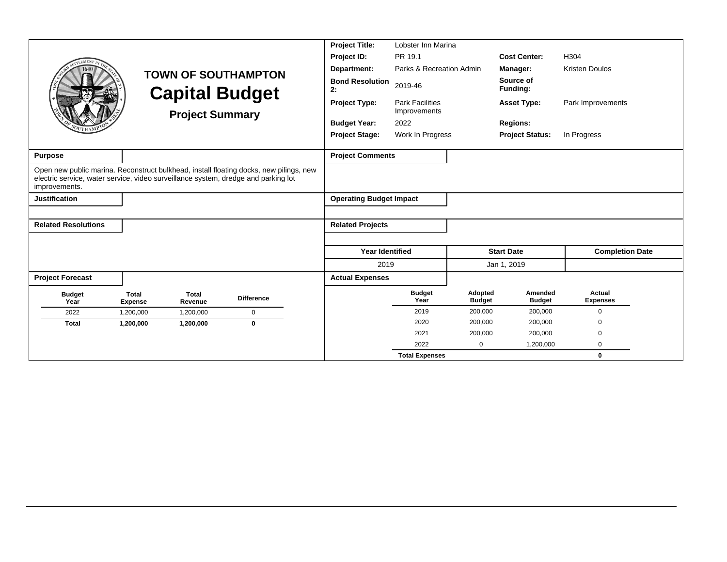|                                                                                                     |                                |                         |                                                                                        | <b>Project Title:</b>          | Lobster Inn Marina                         |                          |                          |                           |  |  |
|-----------------------------------------------------------------------------------------------------|--------------------------------|-------------------------|----------------------------------------------------------------------------------------|--------------------------------|--------------------------------------------|--------------------------|--------------------------|---------------------------|--|--|
| <b>EMENT</b>                                                                                        |                                |                         |                                                                                        | Project ID:                    | PR 19.1                                    |                          | <b>Cost Center:</b>      | H304                      |  |  |
|                                                                                                     |                                |                         | <b>TOWN OF SOUTHAMPTON</b>                                                             | Department:                    | Parks & Recreation Admin                   |                          | Manager:                 | <b>Kristen Doulos</b>     |  |  |
|                                                                                                     |                                | <b>Capital Budget</b>   |                                                                                        | <b>Bond Resolution</b><br>2:   | 2019-46                                    |                          | Source of<br>Funding:    |                           |  |  |
|                                                                                                     |                                | <b>Project Summary</b>  |                                                                                        | <b>Project Type:</b>           | <b>Park Facilities</b><br>Improvements     |                          | <b>Asset Type:</b>       | Park Improvements         |  |  |
|                                                                                                     |                                |                         |                                                                                        | <b>Budget Year:</b>            | 2022                                       |                          | <b>Regions:</b>          |                           |  |  |
|                                                                                                     |                                |                         |                                                                                        | <b>Project Stage:</b>          | Work In Progress<br><b>Project Status:</b> |                          |                          | In Progress               |  |  |
| <b>Purpose</b>                                                                                      |                                |                         |                                                                                        | <b>Project Comments</b>        |                                            |                          |                          |                           |  |  |
| electric service, water service, video surveillance system, dredge and parking lot<br>improvements. |                                |                         | Open new public marina. Reconstruct bulkhead, install floating docks, new pilings, new |                                |                                            |                          |                          |                           |  |  |
| <b>Justification</b>                                                                                |                                |                         |                                                                                        | <b>Operating Budget Impact</b> |                                            |                          |                          |                           |  |  |
|                                                                                                     |                                |                         |                                                                                        |                                |                                            |                          |                          |                           |  |  |
| <b>Related Resolutions</b>                                                                          |                                |                         |                                                                                        | <b>Related Projects</b>        |                                            |                          |                          |                           |  |  |
|                                                                                                     |                                |                         |                                                                                        |                                |                                            |                          |                          |                           |  |  |
|                                                                                                     |                                |                         |                                                                                        | <b>Year Identified</b>         |                                            |                          | <b>Start Date</b>        | <b>Completion Date</b>    |  |  |
|                                                                                                     |                                |                         |                                                                                        | 2019                           |                                            |                          | Jan 1, 2019              |                           |  |  |
| <b>Project Forecast</b>                                                                             |                                |                         |                                                                                        | <b>Actual Expenses</b>         |                                            |                          |                          |                           |  |  |
| <b>Budget</b><br>Year                                                                               | <b>Total</b><br><b>Expense</b> | <b>Total</b><br>Revenue | <b>Difference</b>                                                                      |                                | <b>Budget</b><br>Year                      | Adopted<br><b>Budget</b> | Amended<br><b>Budget</b> | Actual<br><b>Expenses</b> |  |  |
| 2022                                                                                                | 1,200,000                      | 1,200,000               | $\mathbf 0$                                                                            |                                | 2019                                       | 200,000                  | 200,000                  | $\mathbf 0$               |  |  |
| <b>Total</b>                                                                                        | 1,200,000                      | 1,200,000               | $\bf{0}$                                                                               |                                | 2020                                       | 200,000                  | 200,000                  | $\Omega$                  |  |  |
|                                                                                                     |                                |                         |                                                                                        |                                | 2021                                       | 200,000                  | 200,000                  | $\Omega$                  |  |  |
|                                                                                                     |                                |                         |                                                                                        |                                | 2022                                       | $\mathbf 0$              | 1,200,000                | $\mathbf 0$               |  |  |
|                                                                                                     |                                |                         |                                                                                        |                                | <b>Total Expenses</b>                      |                          |                          | $\bf{0}$                  |  |  |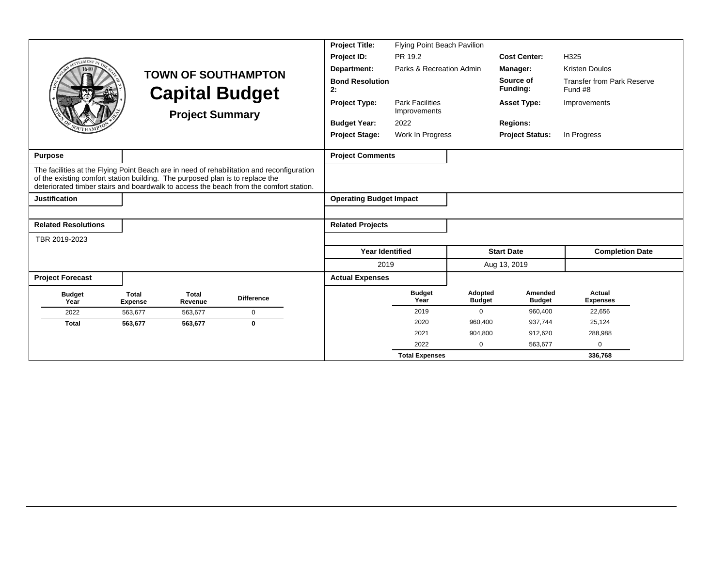|                                                                               |                                |                         |                                                                                                                                                                                      | <b>Project Title:</b>          | <b>Flying Point Beach Pavilion</b>     |                          |                          |                                              |  |
|-------------------------------------------------------------------------------|--------------------------------|-------------------------|--------------------------------------------------------------------------------------------------------------------------------------------------------------------------------------|--------------------------------|----------------------------------------|--------------------------|--------------------------|----------------------------------------------|--|
|                                                                               |                                |                         |                                                                                                                                                                                      | Project ID:                    | PR 19.2                                |                          | <b>Cost Center:</b>      | H325                                         |  |
|                                                                               |                                |                         | <b>TOWN OF SOUTHAMPTON</b>                                                                                                                                                           | Department:                    | Parks & Recreation Admin               |                          | Manager:                 | <b>Kristen Doulos</b>                        |  |
|                                                                               |                                |                         | <b>Capital Budget</b>                                                                                                                                                                | <b>Bond Resolution</b><br>2:   |                                        |                          | Source of<br>Funding:    | <b>Transfer from Park Reserve</b><br>Fund #8 |  |
|                                                                               |                                | <b>Project Summary</b>  |                                                                                                                                                                                      | <b>Project Type:</b>           | <b>Park Facilities</b><br>Improvements |                          | <b>Asset Type:</b>       | Improvements                                 |  |
|                                                                               |                                |                         |                                                                                                                                                                                      | <b>Budget Year:</b>            | 2022                                   |                          | <b>Regions:</b>          |                                              |  |
|                                                                               |                                |                         |                                                                                                                                                                                      | <b>Project Stage:</b>          | Work In Progress                       |                          | <b>Project Status:</b>   | In Progress                                  |  |
| <b>Purpose</b>                                                                |                                |                         |                                                                                                                                                                                      | <b>Project Comments</b>        |                                        |                          |                          |                                              |  |
| of the existing comfort station building. The purposed plan is to replace the |                                |                         | The facilities at the Flying Point Beach are in need of rehabilitation and reconfiguration<br>deteriorated timber stairs and boardwalk to access the beach from the comfort station. |                                |                                        |                          |                          |                                              |  |
| <b>Justification</b>                                                          |                                |                         |                                                                                                                                                                                      | <b>Operating Budget Impact</b> |                                        |                          |                          |                                              |  |
|                                                                               |                                |                         |                                                                                                                                                                                      |                                |                                        |                          |                          |                                              |  |
| <b>Related Resolutions</b>                                                    |                                |                         |                                                                                                                                                                                      | <b>Related Projects</b>        |                                        |                          |                          |                                              |  |
| TBR 2019-2023                                                                 |                                |                         |                                                                                                                                                                                      |                                |                                        |                          |                          |                                              |  |
|                                                                               |                                |                         |                                                                                                                                                                                      | <b>Year Identified</b>         |                                        |                          | <b>Start Date</b>        | <b>Completion Date</b>                       |  |
|                                                                               |                                |                         |                                                                                                                                                                                      | 2019                           |                                        |                          | Aug 13, 2019             |                                              |  |
| <b>Project Forecast</b>                                                       |                                |                         |                                                                                                                                                                                      | <b>Actual Expenses</b>         |                                        |                          |                          |                                              |  |
| <b>Budget</b><br>Year                                                         | <b>Total</b><br><b>Expense</b> | <b>Total</b><br>Revenue | <b>Difference</b>                                                                                                                                                                    |                                | <b>Budget</b><br>Year                  | Adopted<br><b>Budget</b> | Amended<br><b>Budget</b> | Actual<br><b>Expenses</b>                    |  |
| 2022                                                                          | 563.677                        | 563,677                 | $\Omega$                                                                                                                                                                             |                                | 2019                                   | $\mathbf 0$              | 960,400                  | 22,656                                       |  |
| <b>Total</b>                                                                  | 563,677                        | 563,677                 | $\mathbf 0$                                                                                                                                                                          |                                | 2020                                   | 960,400                  | 937,744                  | 25,124                                       |  |
|                                                                               |                                |                         |                                                                                                                                                                                      |                                | 2021                                   | 904,800                  | 912,620                  | 288,988                                      |  |
|                                                                               |                                |                         |                                                                                                                                                                                      |                                | 2022                                   | 0                        | 563,677                  | $\Omega$                                     |  |
|                                                                               |                                |                         |                                                                                                                                                                                      |                                | <b>Total Expenses</b>                  |                          |                          | 336,768                                      |  |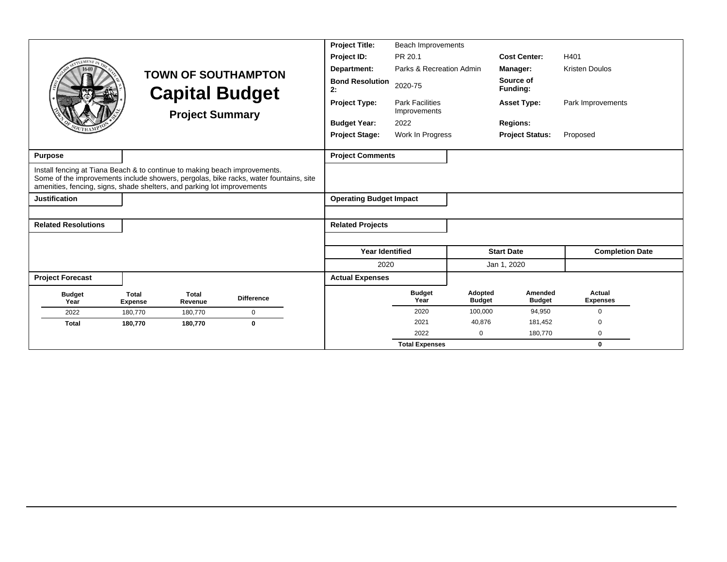|                                                                                                                                                       |                                |                         |                                                                                       | <b>Project Title:</b>          | <b>Beach Improvements</b>              |                          |                              |                           |
|-------------------------------------------------------------------------------------------------------------------------------------------------------|--------------------------------|-------------------------|---------------------------------------------------------------------------------------|--------------------------------|----------------------------------------|--------------------------|------------------------------|---------------------------|
|                                                                                                                                                       |                                |                         |                                                                                       | Project ID:                    | PR 20.1                                |                          | <b>Cost Center:</b>          | H401                      |
|                                                                                                                                                       |                                |                         | <b>TOWN OF SOUTHAMPTON</b>                                                            | Department:                    | Parks & Recreation Admin               |                          | Manager:                     | <b>Kristen Doulos</b>     |
|                                                                                                                                                       |                                |                         | <b>Capital Budget</b>                                                                 | <b>Bond Resolution</b><br>2:   | 2020-75                                |                          | Source of<br><b>Funding:</b> |                           |
|                                                                                                                                                       |                                | <b>Project Summary</b>  |                                                                                       | <b>Project Type:</b>           | <b>Park Facilities</b><br>Improvements |                          | <b>Asset Type:</b>           | Park Improvements         |
|                                                                                                                                                       |                                |                         |                                                                                       | <b>Budget Year:</b>            | 2022                                   |                          | <b>Regions:</b>              |                           |
|                                                                                                                                                       |                                |                         |                                                                                       | <b>Project Stage:</b>          | Work In Progress                       |                          | <b>Project Status:</b>       | Proposed                  |
| <b>Purpose</b>                                                                                                                                        |                                |                         |                                                                                       | <b>Project Comments</b>        |                                        |                          |                              |                           |
| Install fencing at Tiana Beach & to continue to making beach improvements.<br>amenities, fencing, signs, shade shelters, and parking lot improvements |                                |                         | Some of the improvements include showers, pergolas, bike racks, water fountains, site |                                |                                        |                          |                              |                           |
| <b>Justification</b>                                                                                                                                  |                                |                         |                                                                                       | <b>Operating Budget Impact</b> |                                        |                          |                              |                           |
|                                                                                                                                                       |                                |                         |                                                                                       |                                |                                        |                          |                              |                           |
| <b>Related Resolutions</b>                                                                                                                            |                                |                         |                                                                                       | <b>Related Projects</b>        |                                        |                          |                              |                           |
|                                                                                                                                                       |                                |                         |                                                                                       |                                |                                        |                          |                              |                           |
|                                                                                                                                                       |                                |                         |                                                                                       | <b>Year Identified</b>         |                                        |                          | <b>Start Date</b>            | <b>Completion Date</b>    |
|                                                                                                                                                       |                                |                         |                                                                                       | 2020                           |                                        |                          | Jan 1, 2020                  |                           |
| <b>Project Forecast</b>                                                                                                                               |                                |                         |                                                                                       | <b>Actual Expenses</b>         |                                        |                          |                              |                           |
| <b>Budget</b><br>Year                                                                                                                                 | <b>Total</b><br><b>Expense</b> | <b>Total</b><br>Revenue | <b>Difference</b>                                                                     |                                | <b>Budget</b><br>Year                  | Adopted<br><b>Budget</b> | Amended<br><b>Budget</b>     | Actual<br><b>Expenses</b> |
| 2022                                                                                                                                                  | 180,770                        | 180,770                 | $\mathbf 0$                                                                           |                                | 2020                                   | 100,000                  | 94,950                       | $\Omega$                  |
| <b>Total</b>                                                                                                                                          | 180,770                        | 180,770                 | $\bf{0}$                                                                              |                                | 2021                                   | 40,876                   | 181,452                      | $\Omega$                  |
|                                                                                                                                                       |                                |                         |                                                                                       |                                | 2022                                   | 0                        | 180,770                      | 0                         |
|                                                                                                                                                       |                                |                         |                                                                                       |                                | <b>Total Expenses</b>                  |                          |                              | 0                         |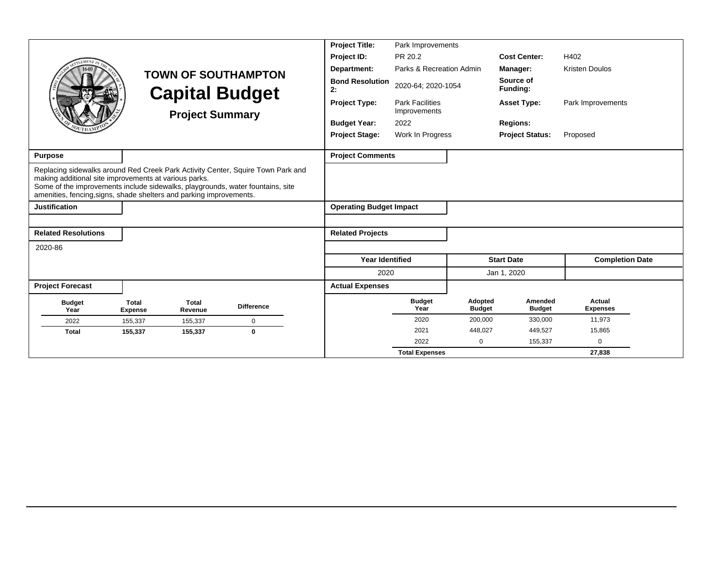|                                                                                                                                                                                                                                                                                                   |                         |                         |                            | <b>Project Title:</b>          | Park Improvements                      |                          |                          |                           |  |
|---------------------------------------------------------------------------------------------------------------------------------------------------------------------------------------------------------------------------------------------------------------------------------------------------|-------------------------|-------------------------|----------------------------|--------------------------------|----------------------------------------|--------------------------|--------------------------|---------------------------|--|
|                                                                                                                                                                                                                                                                                                   |                         |                         |                            | Project ID:                    | PR 20.2                                |                          | <b>Cost Center:</b>      | H402                      |  |
|                                                                                                                                                                                                                                                                                                   |                         |                         | <b>TOWN OF SOUTHAMPTON</b> | Department:                    | Parks & Recreation Admin               |                          | Manager:                 | <b>Kristen Doulos</b>     |  |
|                                                                                                                                                                                                                                                                                                   |                         |                         | <b>Capital Budget</b>      | <b>Bond Resolution</b><br>2:   | 2020-64; 2020-1054                     |                          | Source of<br>Funding:    |                           |  |
|                                                                                                                                                                                                                                                                                                   |                         | <b>Project Summary</b>  |                            | <b>Project Type:</b>           | <b>Park Facilities</b><br>Improvements |                          | <b>Asset Type:</b>       | Park Improvements         |  |
|                                                                                                                                                                                                                                                                                                   |                         |                         |                            | <b>Budget Year:</b>            | 2022                                   |                          | <b>Regions:</b>          |                           |  |
|                                                                                                                                                                                                                                                                                                   |                         |                         |                            | <b>Project Stage:</b>          | Work In Progress                       |                          | <b>Project Status:</b>   | Proposed                  |  |
| Purpose                                                                                                                                                                                                                                                                                           |                         |                         |                            | <b>Project Comments</b>        |                                        |                          |                          |                           |  |
| Replacing sidewalks around Red Creek Park Activity Center, Squire Town Park and<br>making additional site improvements at various parks.<br>Some of the improvements include sidewalks, playgrounds, water fountains, site<br>amenities, fencing, signs, shade shelters and parking improvements. |                         |                         |                            |                                |                                        |                          |                          |                           |  |
| <b>Justification</b>                                                                                                                                                                                                                                                                              |                         |                         |                            | <b>Operating Budget Impact</b> |                                        |                          |                          |                           |  |
|                                                                                                                                                                                                                                                                                                   |                         |                         |                            |                                |                                        |                          |                          |                           |  |
| <b>Related Resolutions</b>                                                                                                                                                                                                                                                                        |                         |                         |                            | <b>Related Projects</b>        |                                        |                          |                          |                           |  |
| 2020-86                                                                                                                                                                                                                                                                                           |                         |                         |                            |                                |                                        |                          |                          |                           |  |
|                                                                                                                                                                                                                                                                                                   |                         |                         |                            | <b>Year Identified</b>         |                                        |                          | <b>Start Date</b>        | <b>Completion Date</b>    |  |
|                                                                                                                                                                                                                                                                                                   |                         |                         |                            | 2020                           |                                        |                          | Jan 1, 2020              |                           |  |
| <b>Project Forecast</b>                                                                                                                                                                                                                                                                           |                         |                         |                            | <b>Actual Expenses</b>         |                                        |                          |                          |                           |  |
| <b>Budget</b><br>Year                                                                                                                                                                                                                                                                             | Total<br><b>Expense</b> | <b>Total</b><br>Revenue | <b>Difference</b>          |                                | <b>Budget</b><br>Year                  | Adopted<br><b>Budget</b> | Amended<br><b>Budget</b> | Actual<br><b>Expenses</b> |  |
| 2022                                                                                                                                                                                                                                                                                              | 155,337                 | 155,337                 | $\mathbf 0$                |                                | 2020                                   | 200,000                  | 330,000                  | 11,973                    |  |
| <b>Total</b>                                                                                                                                                                                                                                                                                      | 155,337                 | 155,337                 | $\bf{0}$                   |                                | 2021                                   | 448,027                  | 449,527                  | 15,865                    |  |
|                                                                                                                                                                                                                                                                                                   |                         |                         |                            |                                | 2022                                   | $\mathbf 0$              | 155,337                  | $\Omega$                  |  |
|                                                                                                                                                                                                                                                                                                   |                         |                         |                            |                                | <b>Total Expenses</b>                  |                          |                          | 27,838                    |  |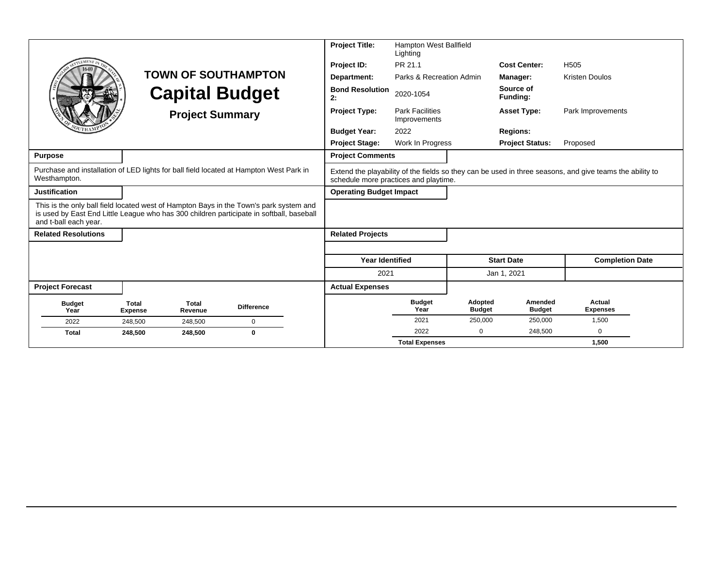|                                                                                                                                                                                                             |                                |                         |                            | <b>Project Title:</b>                 | Hampton West Ballfield<br>Lighting     |                          |                          |                                                                                                          |
|-------------------------------------------------------------------------------------------------------------------------------------------------------------------------------------------------------------|--------------------------------|-------------------------|----------------------------|---------------------------------------|----------------------------------------|--------------------------|--------------------------|----------------------------------------------------------------------------------------------------------|
|                                                                                                                                                                                                             |                                |                         |                            | Project ID:                           | PR 21.1                                |                          | <b>Cost Center:</b>      | H <sub>505</sub>                                                                                         |
|                                                                                                                                                                                                             |                                |                         | <b>TOWN OF SOUTHAMPTON</b> | Department:                           | Parks & Recreation Admin               |                          | Manager:                 | <b>Kristen Doulos</b>                                                                                    |
|                                                                                                                                                                                                             |                                |                         | <b>Capital Budget</b>      | <b>Bond Resolution</b><br>2:          | 2020-1054                              |                          | Source of<br>Funding:    |                                                                                                          |
|                                                                                                                                                                                                             |                                | <b>Project Summary</b>  |                            | <b>Project Type:</b>                  | <b>Park Facilities</b><br>Improvements |                          | <b>Asset Type:</b>       | Park Improvements                                                                                        |
|                                                                                                                                                                                                             |                                |                         |                            | <b>Budget Year:</b>                   | 2022                                   |                          | <b>Regions:</b>          |                                                                                                          |
|                                                                                                                                                                                                             |                                |                         |                            | <b>Project Stage:</b>                 | Work In Progress                       |                          | <b>Project Status:</b>   | Proposed                                                                                                 |
| <b>Purpose</b>                                                                                                                                                                                              |                                |                         |                            | <b>Project Comments</b>               |                                        |                          |                          |                                                                                                          |
| Purchase and installation of LED lights for ball field located at Hampton West Park in<br>Westhampton.                                                                                                      |                                |                         |                            | schedule more practices and playtime. |                                        |                          |                          | Extend the playability of the fields so they can be used in three seasons, and give teams the ability to |
| <b>Justification</b>                                                                                                                                                                                        |                                |                         |                            | <b>Operating Budget Impact</b>        |                                        |                          |                          |                                                                                                          |
| This is the only ball field located west of Hampton Bays in the Town's park system and<br>is used by East End Little League who has 300 children participate in softball, baseball<br>and t-ball each year. |                                |                         |                            |                                       |                                        |                          |                          |                                                                                                          |
| <b>Related Resolutions</b>                                                                                                                                                                                  |                                |                         |                            | <b>Related Projects</b>               |                                        |                          |                          |                                                                                                          |
|                                                                                                                                                                                                             |                                |                         |                            |                                       |                                        |                          |                          |                                                                                                          |
|                                                                                                                                                                                                             |                                |                         |                            | <b>Year Identified</b>                |                                        |                          | <b>Start Date</b>        | <b>Completion Date</b>                                                                                   |
|                                                                                                                                                                                                             |                                |                         |                            | 2021                                  |                                        |                          | Jan 1, 2021              |                                                                                                          |
| <b>Project Forecast</b>                                                                                                                                                                                     |                                |                         |                            | <b>Actual Expenses</b>                |                                        |                          |                          |                                                                                                          |
| <b>Budget</b><br>Year                                                                                                                                                                                       | <b>Total</b><br><b>Expense</b> | <b>Total</b><br>Revenue | <b>Difference</b>          |                                       | <b>Budget</b><br>Year                  | Adopted<br><b>Budget</b> | Amended<br><b>Budget</b> | Actual<br><b>Expenses</b>                                                                                |
| 2022                                                                                                                                                                                                        | 248,500                        | 248,500                 | $\mathbf 0$                |                                       | 2021                                   | 250,000                  | 250,000                  | 1,500                                                                                                    |
| <b>Total</b>                                                                                                                                                                                                | 248,500                        | 248,500                 | $\bf{0}$                   |                                       | 2022                                   | $\Omega$                 | 248,500                  | $\Omega$                                                                                                 |
|                                                                                                                                                                                                             |                                |                         |                            |                                       | <b>Total Expenses</b>                  |                          |                          | 1,500                                                                                                    |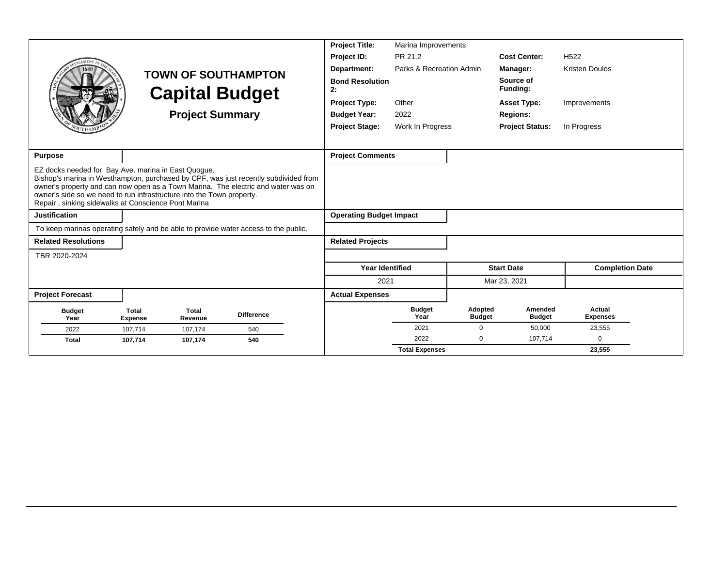|                                                                                                                                                                                                                                                                                                                                                                 |                         |                        |                                                     | <b>Project Title:</b>          | Marina Improvements      |                          |                              |                           |
|-----------------------------------------------------------------------------------------------------------------------------------------------------------------------------------------------------------------------------------------------------------------------------------------------------------------------------------------------------------------|-------------------------|------------------------|-----------------------------------------------------|--------------------------------|--------------------------|--------------------------|------------------------------|---------------------------|
|                                                                                                                                                                                                                                                                                                                                                                 |                         |                        |                                                     | Project ID:                    | PR 21.2                  |                          | <b>Cost Center:</b>          | H <sub>522</sub>          |
|                                                                                                                                                                                                                                                                                                                                                                 |                         |                        |                                                     | Department:                    | Parks & Recreation Admin |                          | Manager:                     | <b>Kristen Doulos</b>     |
|                                                                                                                                                                                                                                                                                                                                                                 |                         |                        | <b>TOWN OF SOUTHAMPTON</b><br><b>Capital Budget</b> | <b>Bond Resolution</b><br>2:   |                          |                          | Source of<br><b>Funding:</b> |                           |
|                                                                                                                                                                                                                                                                                                                                                                 |                         |                        |                                                     | <b>Project Type:</b>           | Other                    |                          | <b>Asset Type:</b>           | Improvements              |
|                                                                                                                                                                                                                                                                                                                                                                 |                         | <b>Project Summary</b> |                                                     | <b>Budget Year:</b>            | 2022                     |                          | <b>Regions:</b>              |                           |
|                                                                                                                                                                                                                                                                                                                                                                 |                         |                        |                                                     | <b>Project Stage:</b>          | Work In Progress         |                          | <b>Project Status:</b>       | In Progress               |
|                                                                                                                                                                                                                                                                                                                                                                 |                         |                        |                                                     |                                |                          |                          |                              |                           |
| <b>Purpose</b>                                                                                                                                                                                                                                                                                                                                                  |                         |                        |                                                     | <b>Project Comments</b>        |                          |                          |                              |                           |
| EZ docks needed for Bay Ave. marina in East Quogue.<br>Bishop's marina in Westhampton, purchased by CPF, was just recently subdivided from<br>owner's property and can now open as a Town Marina. The electric and water was on<br>owner's side so we need to run infrastructure into the Town property.<br>Repair, sinking sidewalks at Conscience Pont Marina |                         |                        |                                                     |                                |                          |                          |                              |                           |
| <b>Justification</b>                                                                                                                                                                                                                                                                                                                                            |                         |                        |                                                     | <b>Operating Budget Impact</b> |                          |                          |                              |                           |
| To keep marinas operating safely and be able to provide water access to the public.                                                                                                                                                                                                                                                                             |                         |                        |                                                     |                                |                          |                          |                              |                           |
| <b>Related Resolutions</b>                                                                                                                                                                                                                                                                                                                                      |                         |                        |                                                     | <b>Related Projects</b>        |                          |                          |                              |                           |
| TBR 2020-2024                                                                                                                                                                                                                                                                                                                                                   |                         |                        |                                                     |                                |                          |                          |                              |                           |
|                                                                                                                                                                                                                                                                                                                                                                 |                         |                        |                                                     | <b>Year Identified</b>         |                          |                          | <b>Start Date</b>            | <b>Completion Date</b>    |
|                                                                                                                                                                                                                                                                                                                                                                 |                         |                        |                                                     | 2021                           |                          |                          | Mar 23, 2021                 |                           |
| <b>Project Forecast</b>                                                                                                                                                                                                                                                                                                                                         |                         |                        |                                                     | <b>Actual Expenses</b>         |                          |                          |                              |                           |
| <b>Budget</b><br>Year                                                                                                                                                                                                                                                                                                                                           | Total<br><b>Expense</b> | Total<br>Revenue       | <b>Difference</b>                                   |                                | <b>Budget</b><br>Year    | Adopted<br><b>Budget</b> | Amended<br><b>Budget</b>     | Actual<br><b>Expenses</b> |
| 2022                                                                                                                                                                                                                                                                                                                                                            | 107,714                 | 107,174                | 540                                                 |                                | 2021                     | $\mathbf 0$              | 50,000                       | 23,555                    |
| <b>Total</b>                                                                                                                                                                                                                                                                                                                                                    | 107,714                 | 107,174                | 540                                                 |                                | 2022                     | 0                        | 107,714                      | U                         |
|                                                                                                                                                                                                                                                                                                                                                                 |                         |                        |                                                     |                                | <b>Total Expenses</b>    |                          |                              | 23,555                    |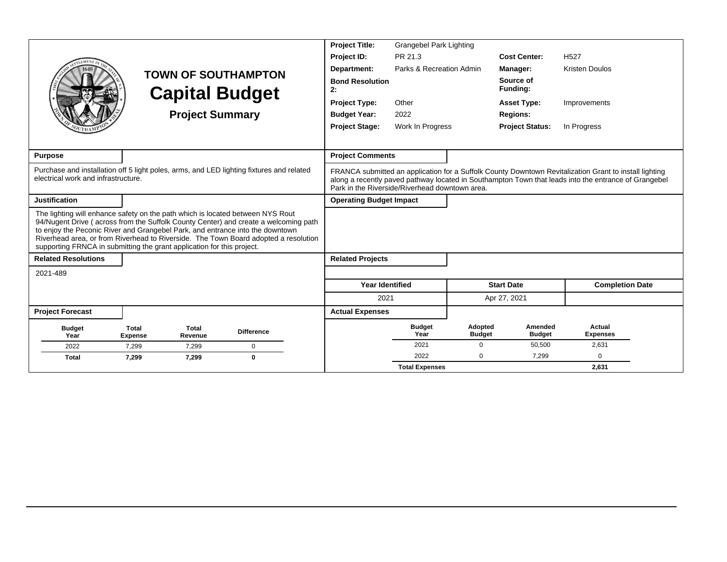|                                                                                                                                                                                                                                                                                                                                                                                                                         |                                                                                          |                         |                                                     |  | <b>Project Title:</b>          | Grangebel Park Lighting                        |                          |                          |                                                                                                                                                                                                                |  |
|-------------------------------------------------------------------------------------------------------------------------------------------------------------------------------------------------------------------------------------------------------------------------------------------------------------------------------------------------------------------------------------------------------------------------|------------------------------------------------------------------------------------------|-------------------------|-----------------------------------------------------|--|--------------------------------|------------------------------------------------|--------------------------|--------------------------|----------------------------------------------------------------------------------------------------------------------------------------------------------------------------------------------------------------|--|
|                                                                                                                                                                                                                                                                                                                                                                                                                         |                                                                                          |                         |                                                     |  | Project ID:                    | PR 21.3                                        |                          | <b>Cost Center:</b>      | H <sub>527</sub>                                                                                                                                                                                               |  |
|                                                                                                                                                                                                                                                                                                                                                                                                                         |                                                                                          |                         |                                                     |  | Department:                    | Parks & Recreation Admin                       |                          | Manager:                 | <b>Kristen Doulos</b>                                                                                                                                                                                          |  |
|                                                                                                                                                                                                                                                                                                                                                                                                                         |                                                                                          |                         | <b>TOWN OF SOUTHAMPTON</b><br><b>Capital Budget</b> |  | <b>Bond Resolution</b><br>2:   |                                                |                          | Source of<br>Funding:    |                                                                                                                                                                                                                |  |
|                                                                                                                                                                                                                                                                                                                                                                                                                         |                                                                                          |                         |                                                     |  | <b>Project Type:</b>           | Other                                          |                          | <b>Asset Type:</b>       | Improvements                                                                                                                                                                                                   |  |
|                                                                                                                                                                                                                                                                                                                                                                                                                         |                                                                                          | <b>Project Summary</b>  |                                                     |  | <b>Budget Year:</b>            | 2022                                           |                          | <b>Regions:</b>          |                                                                                                                                                                                                                |  |
|                                                                                                                                                                                                                                                                                                                                                                                                                         |                                                                                          |                         |                                                     |  | <b>Project Stage:</b>          | Work In Progress                               |                          | <b>Project Status:</b>   | In Progress                                                                                                                                                                                                    |  |
|                                                                                                                                                                                                                                                                                                                                                                                                                         |                                                                                          |                         |                                                     |  |                                |                                                |                          |                          |                                                                                                                                                                                                                |  |
| <b>Purpose</b>                                                                                                                                                                                                                                                                                                                                                                                                          |                                                                                          |                         |                                                     |  | <b>Project Comments</b>        |                                                |                          |                          |                                                                                                                                                                                                                |  |
| electrical work and infrastructure.                                                                                                                                                                                                                                                                                                                                                                                     | Purchase and installation off 5 light poles, arms, and LED lighting fixtures and related |                         |                                                     |  |                                | Park in the Riverside/Riverhead downtown area. |                          |                          | FRANCA submitted an application for a Suffolk County Downtown Revitalization Grant to install lighting<br>along a recently payed pathway located in Southampton Town that leads into the entrance of Grangebel |  |
| <b>Justification</b>                                                                                                                                                                                                                                                                                                                                                                                                    |                                                                                          |                         |                                                     |  | <b>Operating Budget Impact</b> |                                                |                          |                          |                                                                                                                                                                                                                |  |
| The lighting will enhance safety on the path which is located between NYS Rout<br>94/Nugent Drive (across from the Suffolk County Center) and create a welcoming path<br>to enjoy the Peconic River and Grangebel Park, and entrance into the downtown<br>Riverhead area, or from Riverhead to Riverside. The Town Board adopted a resolution<br>supporting FRNCA in submitting the grant application for this project. |                                                                                          |                         |                                                     |  |                                |                                                |                          |                          |                                                                                                                                                                                                                |  |
| <b>Related Resolutions</b>                                                                                                                                                                                                                                                                                                                                                                                              |                                                                                          |                         |                                                     |  | <b>Related Projects</b>        |                                                |                          |                          |                                                                                                                                                                                                                |  |
| 2021-489                                                                                                                                                                                                                                                                                                                                                                                                                |                                                                                          |                         |                                                     |  |                                |                                                |                          |                          |                                                                                                                                                                                                                |  |
|                                                                                                                                                                                                                                                                                                                                                                                                                         |                                                                                          |                         |                                                     |  | <b>Year Identified</b>         |                                                |                          | <b>Start Date</b>        | <b>Completion Date</b>                                                                                                                                                                                         |  |
|                                                                                                                                                                                                                                                                                                                                                                                                                         |                                                                                          |                         |                                                     |  | 2021                           |                                                |                          | Apr 27, 2021             |                                                                                                                                                                                                                |  |
| <b>Project Forecast</b>                                                                                                                                                                                                                                                                                                                                                                                                 |                                                                                          |                         |                                                     |  | <b>Actual Expenses</b>         |                                                |                          |                          |                                                                                                                                                                                                                |  |
| <b>Budget</b><br>Year                                                                                                                                                                                                                                                                                                                                                                                                   | <b>Total</b><br><b>Expense</b>                                                           | <b>Total</b><br>Revenue | <b>Difference</b>                                   |  |                                | <b>Budget</b><br>Year                          | Adopted<br><b>Budget</b> | Amended<br><b>Budget</b> | Actual<br><b>Expenses</b>                                                                                                                                                                                      |  |
| 2022                                                                                                                                                                                                                                                                                                                                                                                                                    | 7,299                                                                                    | 7,299                   | $\mathbf 0$                                         |  |                                | 2021                                           | $\mathbf 0$              | 50,500                   | 2,631                                                                                                                                                                                                          |  |
| <b>Total</b>                                                                                                                                                                                                                                                                                                                                                                                                            | 7,299                                                                                    | 7,299                   | $\Omega$                                            |  |                                | 2022                                           | $\Omega$                 | 7.299                    | $\Omega$                                                                                                                                                                                                       |  |
|                                                                                                                                                                                                                                                                                                                                                                                                                         |                                                                                          |                         |                                                     |  |                                | <b>Total Expenses</b>                          |                          |                          | 2.631                                                                                                                                                                                                          |  |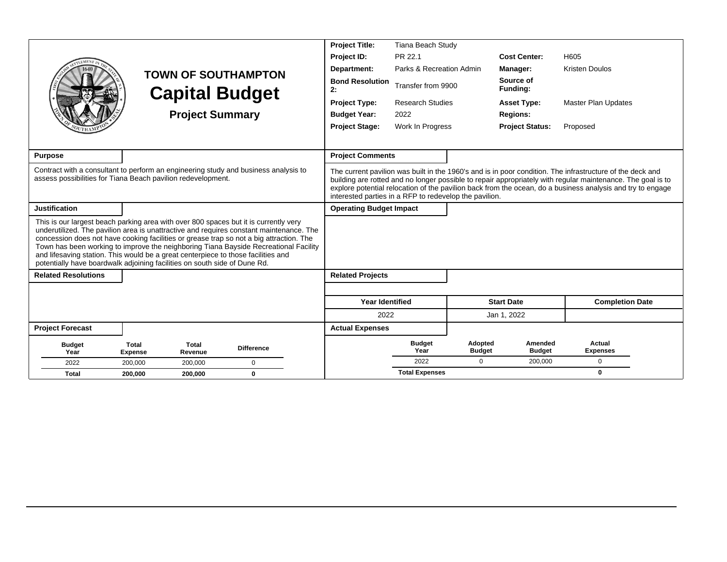|                                                                                                                                                                                                                                                        |                         |                        |                                                                                                                                                                                                                                                                            | <b>Project Title:</b>                                  | Tiana Beach Study        |                          |                          |                                                                                                                                                                                                                                                                                                                                        |  |
|--------------------------------------------------------------------------------------------------------------------------------------------------------------------------------------------------------------------------------------------------------|-------------------------|------------------------|----------------------------------------------------------------------------------------------------------------------------------------------------------------------------------------------------------------------------------------------------------------------------|--------------------------------------------------------|--------------------------|--------------------------|--------------------------|----------------------------------------------------------------------------------------------------------------------------------------------------------------------------------------------------------------------------------------------------------------------------------------------------------------------------------------|--|
| <b>EMEN7</b>                                                                                                                                                                                                                                           |                         |                        |                                                                                                                                                                                                                                                                            | Project ID:                                            | PR 22.1                  |                          | <b>Cost Center:</b>      | H605                                                                                                                                                                                                                                                                                                                                   |  |
|                                                                                                                                                                                                                                                        |                         |                        | <b>TOWN OF SOUTHAMPTON</b>                                                                                                                                                                                                                                                 | Department:                                            | Parks & Recreation Admin |                          | Manager:                 | <b>Kristen Doulos</b>                                                                                                                                                                                                                                                                                                                  |  |
|                                                                                                                                                                                                                                                        |                         |                        | <b>Capital Budget</b>                                                                                                                                                                                                                                                      | <b>Bond Resolution</b><br>2:                           | Transfer from 9900       |                          | Source of<br>Funding:    |                                                                                                                                                                                                                                                                                                                                        |  |
|                                                                                                                                                                                                                                                        |                         |                        |                                                                                                                                                                                                                                                                            | <b>Project Type:</b>                                   | <b>Research Studies</b>  |                          | <b>Asset Type:</b>       | <b>Master Plan Updates</b>                                                                                                                                                                                                                                                                                                             |  |
|                                                                                                                                                                                                                                                        |                         | <b>Project Summary</b> |                                                                                                                                                                                                                                                                            | <b>Budget Year:</b>                                    | 2022                     |                          | <b>Regions:</b>          |                                                                                                                                                                                                                                                                                                                                        |  |
|                                                                                                                                                                                                                                                        |                         |                        |                                                                                                                                                                                                                                                                            | <b>Project Stage:</b>                                  | Work In Progress         |                          | <b>Project Status:</b>   | Proposed                                                                                                                                                                                                                                                                                                                               |  |
|                                                                                                                                                                                                                                                        |                         |                        |                                                                                                                                                                                                                                                                            |                                                        |                          |                          |                          |                                                                                                                                                                                                                                                                                                                                        |  |
| <b>Purpose</b>                                                                                                                                                                                                                                         |                         |                        |                                                                                                                                                                                                                                                                            | <b>Project Comments</b>                                |                          |                          |                          |                                                                                                                                                                                                                                                                                                                                        |  |
| Contract with a consultant to perform an engineering study and business analysis to<br>assess possibilities for Tiana Beach pavilion redevelopment.                                                                                                    |                         |                        |                                                                                                                                                                                                                                                                            | interested parties in a RFP to redevelop the pavilion. |                          |                          |                          | The current pavilion was built in the 1960's and is in poor condition. The infrastructure of the deck and<br>building are rotted and no longer possible to repair appropriately with regular maintenance. The goal is to<br>explore potential relocation of the pavilion back from the ocean, do a business analysis and try to engage |  |
| <b>Justification</b>                                                                                                                                                                                                                                   |                         |                        |                                                                                                                                                                                                                                                                            | <b>Operating Budget Impact</b>                         |                          |                          |                          |                                                                                                                                                                                                                                                                                                                                        |  |
| This is our largest beach parking area with over 800 spaces but it is currently very<br>and lifesaving station. This would be a great centerpiece to those facilities and<br>potentially have boardwalk adjoining facilities on south side of Dune Rd. |                         |                        | underutilized. The pavilion area is unattractive and requires constant maintenance. The<br>concession does not have cooking facilities or grease trap so not a big attraction. The<br>Town has been working to improve the neighboring Tiana Bayside Recreational Facility |                                                        |                          |                          |                          |                                                                                                                                                                                                                                                                                                                                        |  |
| <b>Related Resolutions</b>                                                                                                                                                                                                                             |                         |                        |                                                                                                                                                                                                                                                                            | <b>Related Projects</b>                                |                          |                          |                          |                                                                                                                                                                                                                                                                                                                                        |  |
|                                                                                                                                                                                                                                                        |                         |                        |                                                                                                                                                                                                                                                                            |                                                        |                          |                          |                          |                                                                                                                                                                                                                                                                                                                                        |  |
|                                                                                                                                                                                                                                                        |                         |                        |                                                                                                                                                                                                                                                                            | <b>Year Identified</b>                                 |                          |                          | <b>Start Date</b>        | <b>Completion Date</b>                                                                                                                                                                                                                                                                                                                 |  |
|                                                                                                                                                                                                                                                        |                         |                        |                                                                                                                                                                                                                                                                            | 2022                                                   |                          |                          | Jan 1, 2022              |                                                                                                                                                                                                                                                                                                                                        |  |
| <b>Project Forecast</b>                                                                                                                                                                                                                                |                         |                        |                                                                                                                                                                                                                                                                            | <b>Actual Expenses</b>                                 |                          |                          |                          |                                                                                                                                                                                                                                                                                                                                        |  |
| <b>Budget</b><br>Year                                                                                                                                                                                                                                  | Total<br><b>Expense</b> | Total<br>Revenue       | <b>Difference</b>                                                                                                                                                                                                                                                          |                                                        | <b>Budget</b><br>Year    | Adopted<br><b>Budget</b> | Amended<br><b>Budget</b> | Actual<br><b>Expenses</b>                                                                                                                                                                                                                                                                                                              |  |
| 2022                                                                                                                                                                                                                                                   | 200.000                 | 200,000                | $\mathbf 0$                                                                                                                                                                                                                                                                |                                                        | 2022                     | $\Omega$                 | 200,000                  | 0                                                                                                                                                                                                                                                                                                                                      |  |
| <b>Total</b>                                                                                                                                                                                                                                           | 200.000                 | 200.000                | $\bf{0}$                                                                                                                                                                                                                                                                   |                                                        | <b>Total Expenses</b>    |                          |                          | $\bf{0}$                                                                                                                                                                                                                                                                                                                               |  |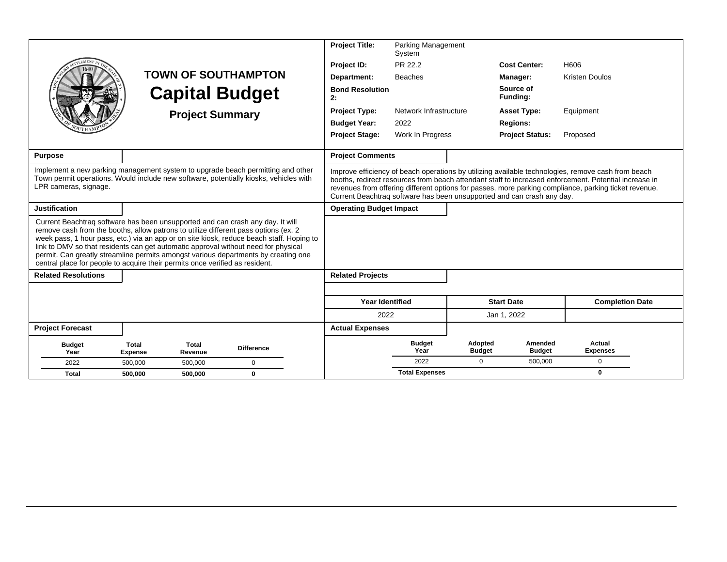|                                                                                                                                                                                                                                                                                                                                                                                                                                                                                                                               |                                |                         |                            | <b>Project Title:</b>          | <b>Parking Management</b><br>System |                          |                                                                        |                                                                                                                                                                                                                                                                                                                      |  |
|-------------------------------------------------------------------------------------------------------------------------------------------------------------------------------------------------------------------------------------------------------------------------------------------------------------------------------------------------------------------------------------------------------------------------------------------------------------------------------------------------------------------------------|--------------------------------|-------------------------|----------------------------|--------------------------------|-------------------------------------|--------------------------|------------------------------------------------------------------------|----------------------------------------------------------------------------------------------------------------------------------------------------------------------------------------------------------------------------------------------------------------------------------------------------------------------|--|
|                                                                                                                                                                                                                                                                                                                                                                                                                                                                                                                               |                                |                         |                            | Project ID:                    | PR 22.2                             |                          | <b>Cost Center:</b>                                                    | H606                                                                                                                                                                                                                                                                                                                 |  |
|                                                                                                                                                                                                                                                                                                                                                                                                                                                                                                                               |                                |                         | <b>TOWN OF SOUTHAMPTON</b> | Department:                    | <b>Beaches</b>                      |                          | Manager:                                                               | <b>Kristen Doulos</b>                                                                                                                                                                                                                                                                                                |  |
|                                                                                                                                                                                                                                                                                                                                                                                                                                                                                                                               |                                |                         | <b>Capital Budget</b>      | <b>Bond Resolution</b><br>2:   |                                     |                          | Source of<br><b>Funding:</b>                                           |                                                                                                                                                                                                                                                                                                                      |  |
|                                                                                                                                                                                                                                                                                                                                                                                                                                                                                                                               |                                | <b>Project Summary</b>  |                            | <b>Project Type:</b>           | Network Infrastructure              |                          | <b>Asset Type:</b>                                                     | Equipment                                                                                                                                                                                                                                                                                                            |  |
|                                                                                                                                                                                                                                                                                                                                                                                                                                                                                                                               |                                |                         |                            | <b>Budget Year:</b>            | 2022                                |                          | <b>Regions:</b>                                                        |                                                                                                                                                                                                                                                                                                                      |  |
|                                                                                                                                                                                                                                                                                                                                                                                                                                                                                                                               |                                |                         |                            | <b>Project Stage:</b>          | Work In Progress                    |                          | <b>Project Status:</b>                                                 | Proposed                                                                                                                                                                                                                                                                                                             |  |
| <b>Purpose</b>                                                                                                                                                                                                                                                                                                                                                                                                                                                                                                                |                                |                         |                            | <b>Project Comments</b>        |                                     |                          |                                                                        |                                                                                                                                                                                                                                                                                                                      |  |
| Implement a new parking management system to upgrade beach permitting and other<br>Town permit operations. Would include new software, potentially kiosks, vehicles with<br>LPR cameras, signage.                                                                                                                                                                                                                                                                                                                             |                                |                         |                            |                                |                                     |                          | Current Beachtrag software has been unsupported and can crash any day. | Improve efficiency of beach operations by utilizing available technologies, remove cash from beach<br>booths, redirect resources from beach attendant staff to increased enforcement. Potential increase in<br>revenues from offering different options for passes, more parking compliance, parking ticket revenue. |  |
| <b>Justification</b>                                                                                                                                                                                                                                                                                                                                                                                                                                                                                                          |                                |                         |                            | <b>Operating Budget Impact</b> |                                     |                          |                                                                        |                                                                                                                                                                                                                                                                                                                      |  |
| Current Beachtrag software has been unsupported and can crash any day. It will<br>remove cash from the booths, allow patrons to utilize different pass options (ex. 2<br>week pass, 1 hour pass, etc.) via an app or on site kiosk, reduce beach staff. Hoping to<br>link to DMV so that residents can get automatic approval without need for physical<br>permit. Can greatly streamline permits amongst various departments by creating one<br>central place for people to acquire their permits once verified as resident. |                                |                         |                            |                                |                                     |                          |                                                                        |                                                                                                                                                                                                                                                                                                                      |  |
| <b>Related Resolutions</b>                                                                                                                                                                                                                                                                                                                                                                                                                                                                                                    |                                |                         |                            | <b>Related Projects</b>        |                                     |                          |                                                                        |                                                                                                                                                                                                                                                                                                                      |  |
|                                                                                                                                                                                                                                                                                                                                                                                                                                                                                                                               |                                |                         |                            |                                |                                     |                          |                                                                        |                                                                                                                                                                                                                                                                                                                      |  |
|                                                                                                                                                                                                                                                                                                                                                                                                                                                                                                                               |                                |                         |                            | <b>Year Identified</b>         |                                     |                          | <b>Start Date</b>                                                      | <b>Completion Date</b>                                                                                                                                                                                                                                                                                               |  |
|                                                                                                                                                                                                                                                                                                                                                                                                                                                                                                                               |                                |                         |                            | 2022                           |                                     |                          | Jan 1, 2022                                                            |                                                                                                                                                                                                                                                                                                                      |  |
| <b>Project Forecast</b>                                                                                                                                                                                                                                                                                                                                                                                                                                                                                                       |                                |                         |                            | <b>Actual Expenses</b>         |                                     |                          |                                                                        |                                                                                                                                                                                                                                                                                                                      |  |
| <b>Budget</b><br>Year                                                                                                                                                                                                                                                                                                                                                                                                                                                                                                         | <b>Total</b><br><b>Expense</b> | <b>Total</b><br>Revenue | <b>Difference</b>          |                                | <b>Budget</b><br>Year               | Adopted<br><b>Budget</b> | Amended<br><b>Budget</b>                                               | Actual<br><b>Expenses</b>                                                                                                                                                                                                                                                                                            |  |
| 2022                                                                                                                                                                                                                                                                                                                                                                                                                                                                                                                          | 500.000                        | 500.000                 | $\mathbf 0$                |                                | 2022                                | $\Omega$                 | 500.000                                                                | $\Omega$                                                                                                                                                                                                                                                                                                             |  |
| Total                                                                                                                                                                                                                                                                                                                                                                                                                                                                                                                         | 500.000                        | 500.000                 | $\mathbf 0$                |                                | <b>Total Expenses</b>               |                          |                                                                        | $\bf{0}$                                                                                                                                                                                                                                                                                                             |  |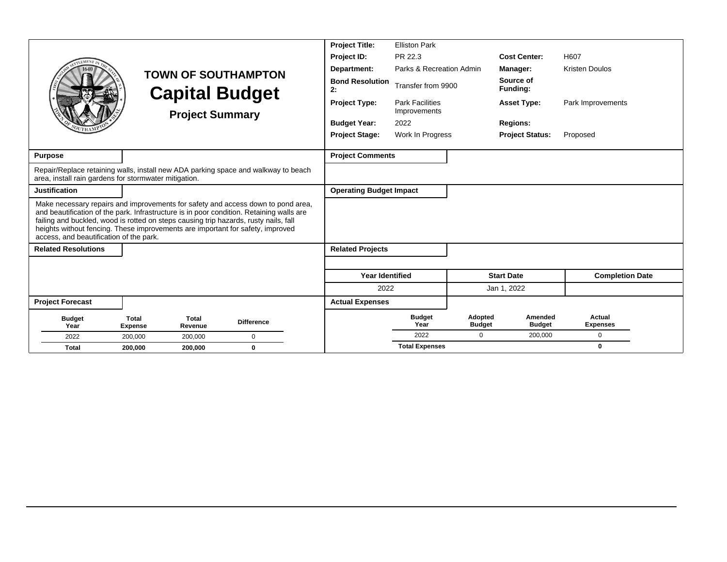|                                                                                                                                                                                                                                                                                                                                                                                                   |                                |                         |                            | <b>Project Title:</b>          | <b>Elliston Park</b>                   |                          |                          |                                  |  |
|---------------------------------------------------------------------------------------------------------------------------------------------------------------------------------------------------------------------------------------------------------------------------------------------------------------------------------------------------------------------------------------------------|--------------------------------|-------------------------|----------------------------|--------------------------------|----------------------------------------|--------------------------|--------------------------|----------------------------------|--|
|                                                                                                                                                                                                                                                                                                                                                                                                   |                                |                         |                            | Project ID:                    | PR 22.3                                |                          | <b>Cost Center:</b>      | H607                             |  |
|                                                                                                                                                                                                                                                                                                                                                                                                   |                                |                         | <b>TOWN OF SOUTHAMPTON</b> | Department:                    | Parks & Recreation Admin               |                          | Manager:                 | <b>Kristen Doulos</b>            |  |
|                                                                                                                                                                                                                                                                                                                                                                                                   |                                |                         | <b>Capital Budget</b>      | <b>Bond Resolution</b><br>2:   | Transfer from 9900                     |                          | Source of<br>Funding:    |                                  |  |
|                                                                                                                                                                                                                                                                                                                                                                                                   |                                |                         | <b>Project Summary</b>     | <b>Project Type:</b>           | <b>Park Facilities</b><br>Improvements |                          | <b>Asset Type:</b>       | Park Improvements                |  |
|                                                                                                                                                                                                                                                                                                                                                                                                   |                                |                         |                            | <b>Budget Year:</b>            | 2022                                   |                          | <b>Regions:</b>          |                                  |  |
|                                                                                                                                                                                                                                                                                                                                                                                                   |                                |                         |                            | <b>Project Stage:</b>          | Work In Progress                       |                          | <b>Project Status:</b>   | Proposed                         |  |
| <b>Purpose</b>                                                                                                                                                                                                                                                                                                                                                                                    |                                |                         |                            | <b>Project Comments</b>        |                                        |                          |                          |                                  |  |
| Repair/Replace retaining walls, install new ADA parking space and walkway to beach<br>area, install rain gardens for stormwater mitigation.                                                                                                                                                                                                                                                       |                                |                         |                            |                                |                                        |                          |                          |                                  |  |
| <b>Justification</b>                                                                                                                                                                                                                                                                                                                                                                              |                                |                         |                            | <b>Operating Budget Impact</b> |                                        |                          |                          |                                  |  |
| Make necessary repairs and improvements for safety and access down to pond area,<br>and beautification of the park. Infrastructure is in poor condition. Retaining walls are<br>failing and buckled, wood is rotted on steps causing trip hazards, rusty nails, fall<br>heights without fencing. These improvements are important for safety, improved<br>access, and beautification of the park. |                                |                         |                            |                                |                                        |                          |                          |                                  |  |
| <b>Related Resolutions</b>                                                                                                                                                                                                                                                                                                                                                                        |                                |                         |                            | <b>Related Projects</b>        |                                        |                          |                          |                                  |  |
|                                                                                                                                                                                                                                                                                                                                                                                                   |                                |                         |                            |                                |                                        |                          |                          |                                  |  |
|                                                                                                                                                                                                                                                                                                                                                                                                   |                                |                         |                            | <b>Year Identified</b>         |                                        |                          | <b>Start Date</b>        | <b>Completion Date</b>           |  |
|                                                                                                                                                                                                                                                                                                                                                                                                   |                                |                         |                            | 2022                           |                                        |                          | Jan 1, 2022              |                                  |  |
| <b>Project Forecast</b>                                                                                                                                                                                                                                                                                                                                                                           |                                |                         |                            | <b>Actual Expenses</b>         |                                        |                          |                          |                                  |  |
| <b>Budget</b><br>Year                                                                                                                                                                                                                                                                                                                                                                             | <b>Total</b><br><b>Expense</b> | <b>Total</b><br>Revenue | <b>Difference</b>          |                                | <b>Budget</b><br>Year                  | Adopted<br><b>Budget</b> | Amended<br><b>Budget</b> | <b>Actual</b><br><b>Expenses</b> |  |
| 2022                                                                                                                                                                                                                                                                                                                                                                                              | 200,000                        | 200,000                 | $\mathbf 0$                |                                | 2022                                   | $\Omega$                 | 200,000                  | $\mathbf 0$                      |  |
| <b>Total</b>                                                                                                                                                                                                                                                                                                                                                                                      | 200,000                        | 200,000                 | $\mathbf 0$                |                                | <b>Total Expenses</b>                  |                          |                          | 0                                |  |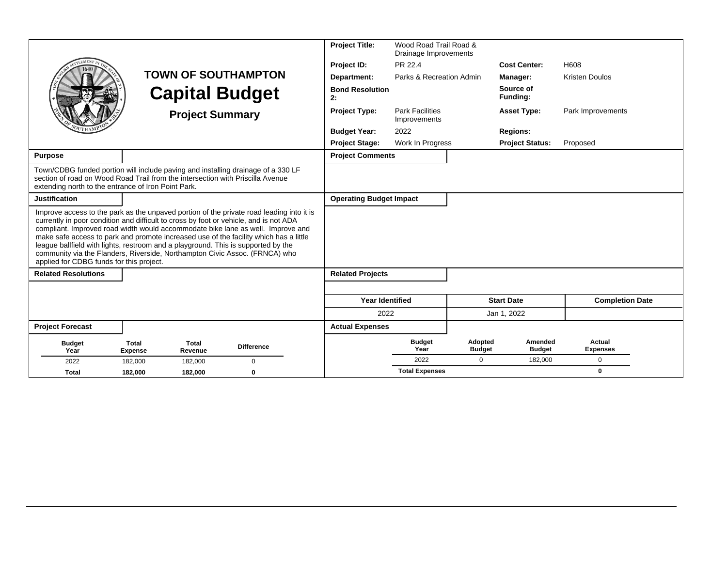|                                                                                                                                                                                                                                                                                                                                                                                                                                                                                   |                                |                         |                                                                                          | <b>Project Title:</b>          | Wood Road Trail Road &<br>Drainage Improvements |                          |                          |                           |
|-----------------------------------------------------------------------------------------------------------------------------------------------------------------------------------------------------------------------------------------------------------------------------------------------------------------------------------------------------------------------------------------------------------------------------------------------------------------------------------|--------------------------------|-------------------------|------------------------------------------------------------------------------------------|--------------------------------|-------------------------------------------------|--------------------------|--------------------------|---------------------------|
| EMENT                                                                                                                                                                                                                                                                                                                                                                                                                                                                             |                                |                         |                                                                                          | Project ID:                    | PR 22.4                                         |                          | <b>Cost Center:</b>      | H608                      |
|                                                                                                                                                                                                                                                                                                                                                                                                                                                                                   |                                |                         | <b>TOWN OF SOUTHAMPTON</b>                                                               | Department:                    | Parks & Recreation Admin                        |                          | Manager:                 | <b>Kristen Doulos</b>     |
|                                                                                                                                                                                                                                                                                                                                                                                                                                                                                   |                                |                         | <b>Capital Budget</b>                                                                    | <b>Bond Resolution</b><br>2:   |                                                 |                          | Source of<br>Funding:    |                           |
|                                                                                                                                                                                                                                                                                                                                                                                                                                                                                   |                                | <b>Project Summary</b>  |                                                                                          | <b>Project Type:</b>           | <b>Park Facilities</b><br>Improvements          |                          | <b>Asset Type:</b>       | Park Improvements         |
|                                                                                                                                                                                                                                                                                                                                                                                                                                                                                   |                                |                         |                                                                                          | <b>Budget Year:</b>            | 2022                                            |                          | <b>Regions:</b>          |                           |
|                                                                                                                                                                                                                                                                                                                                                                                                                                                                                   |                                |                         |                                                                                          | <b>Project Stage:</b>          | Work In Progress                                |                          | <b>Project Status:</b>   | Proposed                  |
| <b>Purpose</b>                                                                                                                                                                                                                                                                                                                                                                                                                                                                    |                                |                         |                                                                                          | <b>Project Comments</b>        |                                                 |                          |                          |                           |
| Town/CDBG funded portion will include paving and installing drainage of a 330 LF<br>section of road on Wood Road Trail from the intersection with Priscilla Avenue<br>extending north to the entrance of Iron Point Park.                                                                                                                                                                                                                                                         |                                |                         |                                                                                          |                                |                                                 |                          |                          |                           |
| <b>Justification</b>                                                                                                                                                                                                                                                                                                                                                                                                                                                              |                                |                         |                                                                                          | <b>Operating Budget Impact</b> |                                                 |                          |                          |                           |
| currently in poor condition and difficult to cross by foot or vehicle, and is not ADA<br>compliant. Improved road width would accommodate bike lane as well. Improve and<br>make safe access to park and promote increased use of the facility which has a little<br>league ballfield with lights, restroom and a playground. This is supported by the<br>community via the Flanders, Riverside, Northampton Civic Assoc. (FRNCA) who<br>applied for CDBG funds for this project. |                                |                         | Improve access to the park as the unpaved portion of the private road leading into it is |                                |                                                 |                          |                          |                           |
| <b>Related Resolutions</b>                                                                                                                                                                                                                                                                                                                                                                                                                                                        |                                |                         |                                                                                          | <b>Related Projects</b>        |                                                 |                          |                          |                           |
|                                                                                                                                                                                                                                                                                                                                                                                                                                                                                   |                                |                         |                                                                                          |                                |                                                 |                          |                          |                           |
|                                                                                                                                                                                                                                                                                                                                                                                                                                                                                   |                                |                         |                                                                                          | <b>Year Identified</b>         |                                                 |                          | <b>Start Date</b>        | <b>Completion Date</b>    |
|                                                                                                                                                                                                                                                                                                                                                                                                                                                                                   |                                |                         |                                                                                          | 2022                           |                                                 |                          | Jan 1, 2022              |                           |
| <b>Project Forecast</b>                                                                                                                                                                                                                                                                                                                                                                                                                                                           |                                |                         |                                                                                          | <b>Actual Expenses</b>         |                                                 |                          |                          |                           |
| <b>Budget</b><br>Year                                                                                                                                                                                                                                                                                                                                                                                                                                                             | <b>Total</b><br><b>Expense</b> | <b>Total</b><br>Revenue | <b>Difference</b>                                                                        |                                | <b>Budget</b><br>Year                           | Adopted<br><b>Budget</b> | Amended<br><b>Budget</b> | Actual<br><b>Expenses</b> |
| 2022                                                                                                                                                                                                                                                                                                                                                                                                                                                                              | 182.000                        | 182.000                 | $\mathbf 0$                                                                              |                                | 2022                                            | $\Omega$                 | 182,000                  | $\mathbf 0$               |
| Total                                                                                                                                                                                                                                                                                                                                                                                                                                                                             | 182,000                        | 182,000                 | $\mathbf 0$                                                                              |                                | <b>Total Expenses</b>                           |                          |                          | 0                         |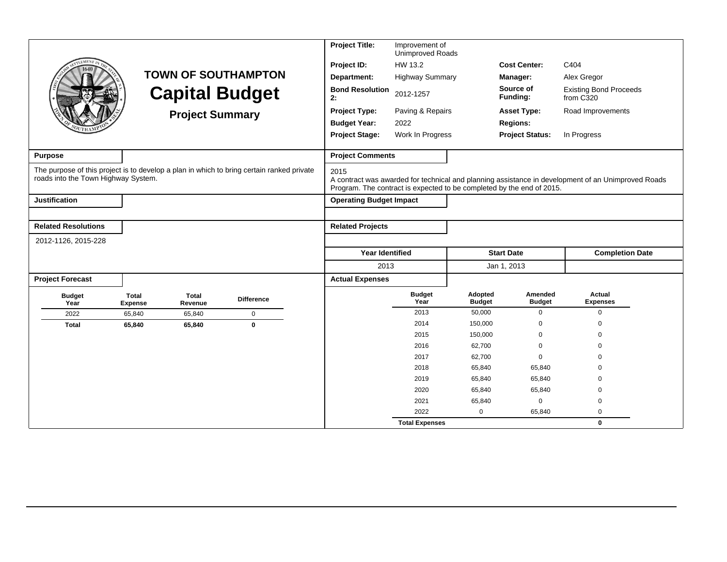|                                                                                                                                  |                                |                         |                            | <b>Project Title:</b>                                                         | Improvement of<br>Unimproved Roads |                          |                          |                                                                                                    |
|----------------------------------------------------------------------------------------------------------------------------------|--------------------------------|-------------------------|----------------------------|-------------------------------------------------------------------------------|------------------------------------|--------------------------|--------------------------|----------------------------------------------------------------------------------------------------|
| EMENT                                                                                                                            |                                |                         |                            | Project ID:                                                                   | HW 13.2                            |                          | <b>Cost Center:</b>      | C404                                                                                               |
|                                                                                                                                  |                                |                         | <b>TOWN OF SOUTHAMPTON</b> | Department:                                                                   | <b>Highway Summary</b>             |                          | Manager:                 | Alex Gregor                                                                                        |
|                                                                                                                                  |                                |                         | <b>Capital Budget</b>      | <b>Bond Resolution</b><br>2:                                                  | 2012-1257                          |                          | Source of<br>Funding:    | <b>Existing Bond Proceeds</b><br>from $C320$                                                       |
|                                                                                                                                  |                                | <b>Project Summary</b>  |                            | <b>Project Type:</b>                                                          | Paving & Repairs                   |                          | <b>Asset Type:</b>       | Road Improvements                                                                                  |
|                                                                                                                                  |                                |                         |                            | <b>Budget Year:</b>                                                           | 2022                               |                          | <b>Regions:</b>          |                                                                                                    |
|                                                                                                                                  |                                |                         |                            | <b>Project Stage:</b>                                                         | Work In Progress                   |                          | <b>Project Status:</b>   | In Progress                                                                                        |
| <b>Purpose</b>                                                                                                                   |                                |                         |                            | <b>Project Comments</b>                                                       |                                    |                          |                          |                                                                                                    |
| The purpose of this project is to develop a plan in which to bring certain ranked private<br>roads into the Town Highway System. |                                |                         |                            | 2015<br>Program. The contract is expected to be completed by the end of 2015. |                                    |                          |                          | A contract was awarded for technical and planning assistance in development of an Unimproved Roads |
| <b>Justification</b>                                                                                                             |                                |                         |                            | <b>Operating Budget Impact</b>                                                |                                    |                          |                          |                                                                                                    |
|                                                                                                                                  |                                |                         |                            |                                                                               |                                    |                          |                          |                                                                                                    |
| <b>Related Resolutions</b>                                                                                                       |                                |                         |                            | <b>Related Projects</b>                                                       |                                    |                          |                          |                                                                                                    |
| 2012-1126, 2015-228                                                                                                              |                                |                         |                            |                                                                               |                                    |                          |                          |                                                                                                    |
|                                                                                                                                  |                                |                         |                            | <b>Year Identified</b>                                                        |                                    |                          | <b>Start Date</b>        | <b>Completion Date</b>                                                                             |
|                                                                                                                                  |                                |                         |                            | 2013                                                                          |                                    |                          | Jan 1, 2013              |                                                                                                    |
| <b>Project Forecast</b>                                                                                                          |                                |                         |                            | <b>Actual Expenses</b>                                                        |                                    |                          |                          |                                                                                                    |
| <b>Budget</b><br>Year                                                                                                            | <b>Total</b><br><b>Expense</b> | <b>Total</b><br>Revenue | <b>Difference</b>          |                                                                               | <b>Budget</b><br>Year              | Adopted<br><b>Budget</b> | Amended<br><b>Budget</b> | Actual<br><b>Expenses</b>                                                                          |
| 2022                                                                                                                             | 65,840                         | 65,840                  | $\mathbf 0$                |                                                                               | 2013                               | 50,000                   | $\mathbf{0}$             | $\mathbf 0$                                                                                        |
| <b>Total</b>                                                                                                                     | 65,840                         | 65,840                  | $\bf{0}$                   |                                                                               | 2014                               | 150,000                  | $\mathbf 0$              | $\Omega$                                                                                           |
|                                                                                                                                  |                                |                         |                            |                                                                               | 2015                               | 150,000                  | $\mathbf 0$              | $\Omega$                                                                                           |
|                                                                                                                                  |                                |                         |                            |                                                                               | 2016                               | 62,700                   | $\mathbf 0$              | $\Omega$                                                                                           |
|                                                                                                                                  |                                |                         |                            |                                                                               | 2017                               | 62,700                   | $\Omega$                 | $\Omega$                                                                                           |
|                                                                                                                                  |                                |                         |                            |                                                                               | 2018                               | 65,840                   | 65,840                   | $\Omega$                                                                                           |
|                                                                                                                                  |                                |                         |                            |                                                                               | 2019<br>2020                       | 65,840<br>65,840         | 65,840<br>65,840         | $\Omega$<br>$\Omega$                                                                               |
|                                                                                                                                  |                                |                         |                            |                                                                               | 2021                               | 65,840                   | $\mathbf 0$              | $\mathbf 0$                                                                                        |
|                                                                                                                                  |                                |                         |                            |                                                                               | 2022                               | 0                        | 65,840                   | $\mathbf 0$                                                                                        |
|                                                                                                                                  |                                |                         |                            |                                                                               | <b>Total Expenses</b>              |                          |                          | $\mathbf{0}$                                                                                       |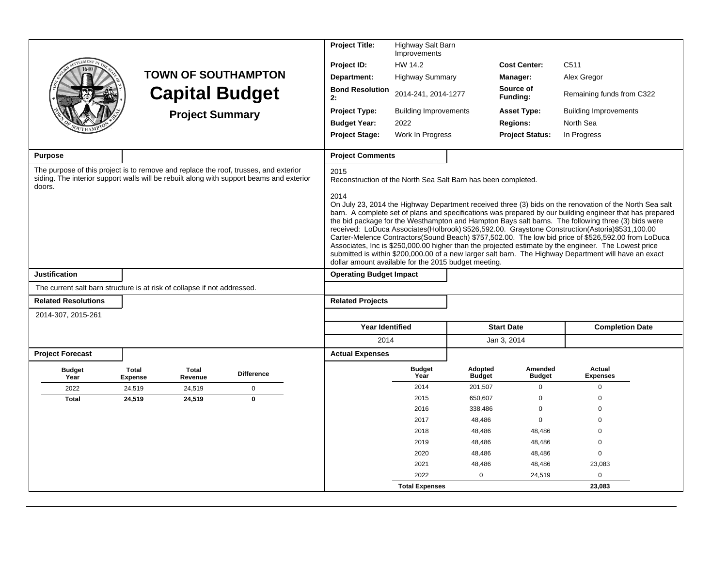|                                                                                                                                                                                            |                         |                         |                            | <b>Project Title:</b>                                                         | Highway Salt Barn<br>Improvements |                          |                          |                                                                                                                                                                                                                                                                                                                                                                                                                                                                                                                                                                                                                                            |  |
|--------------------------------------------------------------------------------------------------------------------------------------------------------------------------------------------|-------------------------|-------------------------|----------------------------|-------------------------------------------------------------------------------|-----------------------------------|--------------------------|--------------------------|--------------------------------------------------------------------------------------------------------------------------------------------------------------------------------------------------------------------------------------------------------------------------------------------------------------------------------------------------------------------------------------------------------------------------------------------------------------------------------------------------------------------------------------------------------------------------------------------------------------------------------------------|--|
|                                                                                                                                                                                            |                         |                         |                            | Project ID:                                                                   | HW 14.2                           |                          | <b>Cost Center:</b>      | C <sub>511</sub>                                                                                                                                                                                                                                                                                                                                                                                                                                                                                                                                                                                                                           |  |
|                                                                                                                                                                                            |                         |                         | <b>TOWN OF SOUTHAMPTON</b> | Department:                                                                   | <b>Highway Summary</b>            |                          | Manager:                 | Alex Gregor                                                                                                                                                                                                                                                                                                                                                                                                                                                                                                                                                                                                                                |  |
|                                                                                                                                                                                            |                         |                         | <b>Capital Budget</b>      | <b>Bond Resolution</b><br>2:                                                  | 2014-241, 2014-1277               |                          | Source of<br>Funding:    | Remaining funds from C322                                                                                                                                                                                                                                                                                                                                                                                                                                                                                                                                                                                                                  |  |
|                                                                                                                                                                                            |                         | <b>Project Summary</b>  |                            | <b>Project Type:</b>                                                          | <b>Building Improvements</b>      |                          | <b>Asset Type:</b>       | <b>Building Improvements</b>                                                                                                                                                                                                                                                                                                                                                                                                                                                                                                                                                                                                               |  |
|                                                                                                                                                                                            |                         |                         |                            | <b>Budget Year:</b>                                                           | 2022                              |                          | <b>Regions:</b>          | North Sea                                                                                                                                                                                                                                                                                                                                                                                                                                                                                                                                                                                                                                  |  |
|                                                                                                                                                                                            |                         |                         |                            | <b>Project Stage:</b>                                                         | Work In Progress                  |                          | <b>Project Status:</b>   | In Progress                                                                                                                                                                                                                                                                                                                                                                                                                                                                                                                                                                                                                                |  |
| <b>Purpose</b>                                                                                                                                                                             |                         |                         |                            | <b>Project Comments</b>                                                       |                                   |                          |                          |                                                                                                                                                                                                                                                                                                                                                                                                                                                                                                                                                                                                                                            |  |
| The purpose of this project is to remove and replace the roof, trusses, and exterior<br>siding. The interior support walls will be rebuilt along with support beams and exterior<br>doors. |                         |                         |                            | 2015<br>Reconstruction of the North Sea Salt Barn has been completed.<br>2014 |                                   |                          |                          | On July 23, 2014 the Highway Department received three (3) bids on the renovation of the North Sea salt                                                                                                                                                                                                                                                                                                                                                                                                                                                                                                                                    |  |
|                                                                                                                                                                                            |                         |                         |                            | dollar amount available for the 2015 budget meeting.                          |                                   |                          |                          | barn. A complete set of plans and specifications was prepared by our building engineer that has prepared<br>the bid package for the Westhampton and Hampton Bays salt barns. The following three (3) bids were<br>received: LoDuca Associates(Holbrook) \$526,592.00. Graystone Construction(Astoria) \$531,100.00<br>Carter-Melence Contractors(Sound Beach) \$757,502.00. The low bid price of \$526,592.00 from LoDuca<br>Associates, Inc is \$250,000.00 higher than the projected estimate by the engineer. The Lowest price<br>submitted is within \$200,000.00 of a new larger salt barn. The Highway Department will have an exact |  |
| Justification                                                                                                                                                                              |                         |                         |                            | <b>Operating Budget Impact</b>                                                |                                   |                          |                          |                                                                                                                                                                                                                                                                                                                                                                                                                                                                                                                                                                                                                                            |  |
| The current salt barn structure is at risk of collapse if not addressed.                                                                                                                   |                         |                         |                            |                                                                               |                                   |                          |                          |                                                                                                                                                                                                                                                                                                                                                                                                                                                                                                                                                                                                                                            |  |
| <b>Related Resolutions</b>                                                                                                                                                                 |                         |                         |                            | <b>Related Projects</b>                                                       |                                   |                          |                          |                                                                                                                                                                                                                                                                                                                                                                                                                                                                                                                                                                                                                                            |  |
| 2014-307, 2015-261                                                                                                                                                                         |                         |                         |                            |                                                                               |                                   |                          |                          |                                                                                                                                                                                                                                                                                                                                                                                                                                                                                                                                                                                                                                            |  |
|                                                                                                                                                                                            |                         |                         |                            | <b>Year Identified</b>                                                        |                                   |                          | <b>Start Date</b>        | <b>Completion Date</b>                                                                                                                                                                                                                                                                                                                                                                                                                                                                                                                                                                                                                     |  |
|                                                                                                                                                                                            |                         |                         |                            | 2014                                                                          |                                   |                          | Jan 3, 2014              |                                                                                                                                                                                                                                                                                                                                                                                                                                                                                                                                                                                                                                            |  |
| <b>Project Forecast</b>                                                                                                                                                                    |                         |                         |                            | <b>Actual Expenses</b>                                                        |                                   |                          |                          |                                                                                                                                                                                                                                                                                                                                                                                                                                                                                                                                                                                                                                            |  |
| <b>Budget</b><br>Year                                                                                                                                                                      | Total<br><b>Expense</b> | <b>Total</b><br>Revenue | <b>Difference</b>          |                                                                               | <b>Budget</b><br>Year             | Adopted<br><b>Budget</b> | Amended<br><b>Budget</b> | Actual<br><b>Expenses</b>                                                                                                                                                                                                                                                                                                                                                                                                                                                                                                                                                                                                                  |  |
| 2022                                                                                                                                                                                       | 24,519                  | 24,519                  | $\mathbf 0$                |                                                                               | 2014                              | 201,507                  | $\mathbf 0$              | $\mathbf 0$                                                                                                                                                                                                                                                                                                                                                                                                                                                                                                                                                                                                                                |  |
| <b>Total</b>                                                                                                                                                                               | 24,519                  | 24,519                  | $\pmb{0}$                  |                                                                               | 2015                              | 650,607                  | $\Omega$                 | $\Omega$                                                                                                                                                                                                                                                                                                                                                                                                                                                                                                                                                                                                                                   |  |
|                                                                                                                                                                                            |                         |                         |                            |                                                                               | 2016                              | 338,486                  | 0                        | $\Omega$                                                                                                                                                                                                                                                                                                                                                                                                                                                                                                                                                                                                                                   |  |
|                                                                                                                                                                                            |                         |                         |                            |                                                                               | 2017                              | 48,486                   | $\mathbf 0$              | $\Omega$                                                                                                                                                                                                                                                                                                                                                                                                                                                                                                                                                                                                                                   |  |
|                                                                                                                                                                                            |                         |                         |                            |                                                                               | 2018                              | 48,486                   | 48,486                   | $\Omega$                                                                                                                                                                                                                                                                                                                                                                                                                                                                                                                                                                                                                                   |  |
|                                                                                                                                                                                            |                         |                         |                            |                                                                               | 2019                              | 48,486                   | 48,486                   | $\mathbf 0$<br>$\mathbf 0$                                                                                                                                                                                                                                                                                                                                                                                                                                                                                                                                                                                                                 |  |
|                                                                                                                                                                                            |                         |                         |                            |                                                                               | 2020<br>2021                      | 48,486<br>48,486         | 48,486<br>48,486         | 23,083                                                                                                                                                                                                                                                                                                                                                                                                                                                                                                                                                                                                                                     |  |
|                                                                                                                                                                                            |                         |                         |                            |                                                                               | 2022                              | $\Omega$                 | 24,519                   | $\mathbf 0$                                                                                                                                                                                                                                                                                                                                                                                                                                                                                                                                                                                                                                |  |
|                                                                                                                                                                                            |                         |                         |                            |                                                                               | <b>Total Expenses</b>             |                          |                          | 23,083                                                                                                                                                                                                                                                                                                                                                                                                                                                                                                                                                                                                                                     |  |
|                                                                                                                                                                                            |                         |                         |                            |                                                                               |                                   |                          |                          |                                                                                                                                                                                                                                                                                                                                                                                                                                                                                                                                                                                                                                            |  |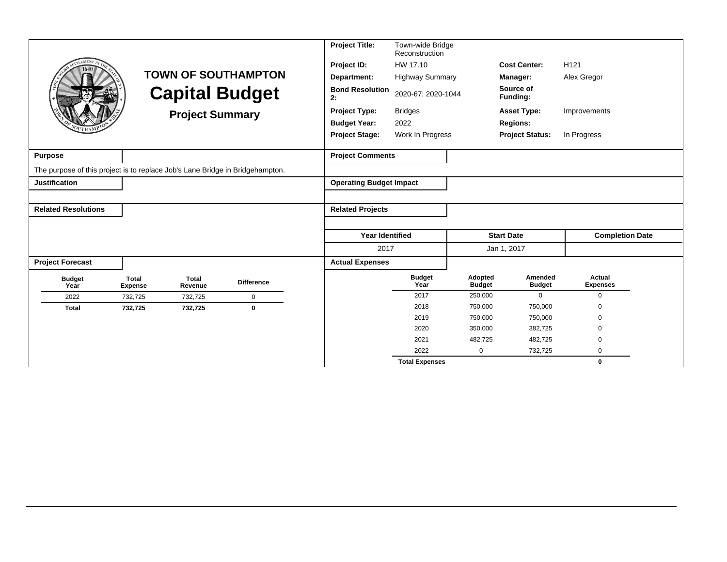|                                                                               |                                |                         |                            | <b>Project Title:</b>                              | Town-wide Bridge<br>Reconstruction |                          |                          |                           |
|-------------------------------------------------------------------------------|--------------------------------|-------------------------|----------------------------|----------------------------------------------------|------------------------------------|--------------------------|--------------------------|---------------------------|
| <b>LEMENT</b>                                                                 |                                |                         |                            | Project ID:                                        | HW 17.10                           |                          | <b>Cost Center:</b>      | H <sub>121</sub>          |
|                                                                               |                                |                         | <b>TOWN OF SOUTHAMPTON</b> | Department:                                        | <b>Highway Summary</b>             |                          | Manager:                 | Alex Gregor               |
|                                                                               |                                |                         | <b>Capital Budget</b>      | <b>Bond Resolution</b><br>2020-67; 2020-1044<br>2: |                                    |                          | Source of<br>Funding:    |                           |
|                                                                               |                                | <b>Project Summary</b>  |                            | <b>Project Type:</b>                               | <b>Bridges</b>                     |                          | <b>Asset Type:</b>       | Improvements              |
|                                                                               |                                |                         |                            | <b>Budget Year:</b>                                | 2022                               |                          | <b>Regions:</b>          |                           |
|                                                                               |                                |                         |                            | <b>Project Stage:</b>                              | Work In Progress                   |                          | <b>Project Status:</b>   | In Progress               |
| <b>Purpose</b>                                                                |                                |                         |                            | <b>Project Comments</b>                            |                                    |                          |                          |                           |
| The purpose of this project is to replace Job's Lane Bridge in Bridgehampton. |                                |                         |                            |                                                    |                                    |                          |                          |                           |
| <b>Justification</b>                                                          |                                |                         |                            | <b>Operating Budget Impact</b>                     |                                    |                          |                          |                           |
|                                                                               |                                |                         |                            |                                                    |                                    |                          |                          |                           |
| <b>Related Resolutions</b>                                                    |                                |                         |                            | <b>Related Projects</b>                            |                                    |                          |                          |                           |
|                                                                               |                                |                         |                            |                                                    |                                    |                          |                          |                           |
|                                                                               |                                |                         |                            | <b>Year Identified</b>                             |                                    |                          | <b>Start Date</b>        | <b>Completion Date</b>    |
|                                                                               |                                |                         |                            | 2017                                               |                                    |                          | Jan 1, 2017              |                           |
| <b>Project Forecast</b>                                                       |                                |                         |                            | <b>Actual Expenses</b>                             |                                    |                          |                          |                           |
| <b>Budget</b><br>Year                                                         | <b>Total</b><br><b>Expense</b> | <b>Total</b><br>Revenue | <b>Difference</b>          |                                                    | <b>Budget</b><br>Year              | Adopted<br><b>Budget</b> | Amended<br><b>Budget</b> | Actual<br><b>Expenses</b> |
| 2022                                                                          | 732,725                        | 732,725                 | $\mathbf 0$                |                                                    | 2017                               | 250,000                  | $\mathbf 0$              | $\mathbf 0$               |
| <b>Total</b>                                                                  | 732,725                        | 732,725                 | 0                          |                                                    | 2018                               | 750,000                  | 750,000                  | $\Omega$                  |
|                                                                               |                                |                         |                            |                                                    | 2019                               | 750,000                  | 750,000                  | $\Omega$                  |
|                                                                               |                                |                         |                            |                                                    | 2020                               | 350,000                  | 382,725                  | $\mathbf 0$               |
|                                                                               |                                |                         |                            |                                                    | 2021                               | 482,725                  | 482,725                  | $\Omega$                  |
|                                                                               |                                |                         |                            |                                                    | 2022                               | 0                        | 732,725                  | 0                         |
|                                                                               |                                |                         |                            |                                                    | <b>Total Expenses</b>              |                          |                          | $\bf{0}$                  |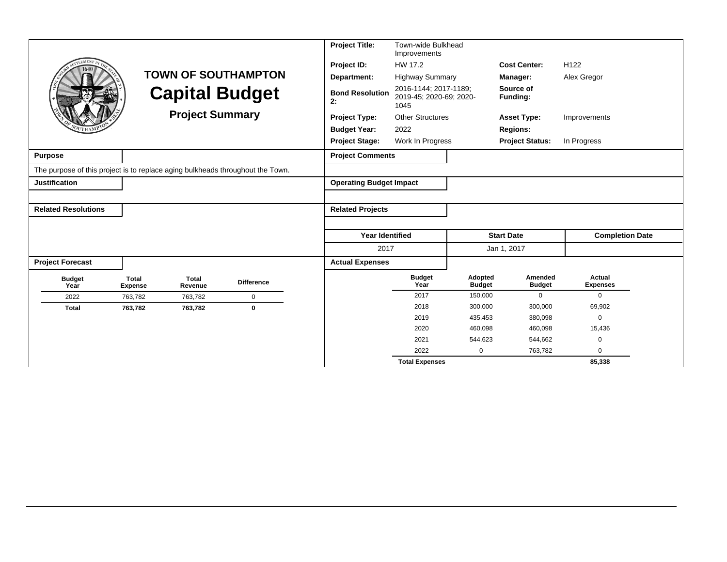|                                                                                |                                |                         |                            | <b>Project Title:</b>          | Town-wide Bulkhead<br>Improvements                       |                          |                          |                           |
|--------------------------------------------------------------------------------|--------------------------------|-------------------------|----------------------------|--------------------------------|----------------------------------------------------------|--------------------------|--------------------------|---------------------------|
| <b>EMENT</b>                                                                   |                                |                         |                            | Project ID:                    | HW 17.2                                                  |                          | <b>Cost Center:</b>      | H <sub>122</sub>          |
|                                                                                |                                |                         | <b>TOWN OF SOUTHAMPTON</b> | Department:                    | <b>Highway Summary</b>                                   |                          | Manager:                 | Alex Gregor               |
|                                                                                |                                |                         | <b>Capital Budget</b>      | <b>Bond Resolution</b><br>2:   | 2016-1144; 2017-1189;<br>2019-45; 2020-69; 2020-<br>1045 |                          | Source of<br>Funding:    |                           |
|                                                                                |                                | <b>Project Summary</b>  |                            | <b>Project Type:</b>           | <b>Other Structures</b>                                  |                          | <b>Asset Type:</b>       | Improvements              |
|                                                                                |                                |                         |                            | <b>Budget Year:</b>            | 2022                                                     |                          | <b>Regions:</b>          |                           |
|                                                                                |                                |                         |                            | <b>Project Stage:</b>          | Work In Progress                                         |                          | <b>Project Status:</b>   | In Progress               |
| <b>Purpose</b>                                                                 |                                |                         |                            | <b>Project Comments</b>        |                                                          |                          |                          |                           |
| The purpose of this project is to replace aging bulkheads throughout the Town. |                                |                         |                            |                                |                                                          |                          |                          |                           |
| <b>Justification</b>                                                           |                                |                         |                            | <b>Operating Budget Impact</b> |                                                          |                          |                          |                           |
|                                                                                |                                |                         |                            |                                |                                                          |                          |                          |                           |
| <b>Related Resolutions</b>                                                     |                                |                         |                            | <b>Related Projects</b>        |                                                          |                          |                          |                           |
|                                                                                |                                |                         |                            |                                |                                                          |                          |                          |                           |
|                                                                                |                                |                         |                            | Year Identified                |                                                          |                          | <b>Start Date</b>        | <b>Completion Date</b>    |
|                                                                                |                                |                         |                            | 2017                           |                                                          |                          | Jan 1, 2017              |                           |
| <b>Project Forecast</b>                                                        |                                |                         |                            | <b>Actual Expenses</b>         |                                                          |                          |                          |                           |
| <b>Budget</b><br>Year                                                          | <b>Total</b><br><b>Expense</b> | <b>Total</b><br>Revenue | <b>Difference</b>          |                                | <b>Budget</b><br>Year                                    | Adopted<br><b>Budget</b> | Amended<br><b>Budget</b> | Actual<br><b>Expenses</b> |
| 2022                                                                           | 763,782                        | 763,782                 | $\mathbf 0$                |                                | 2017                                                     | 150,000                  | $\mathbf 0$              | $\mathbf 0$               |
| <b>Total</b>                                                                   | 763,782                        | 763,782                 | $\bf{0}$                   |                                | 2018                                                     | 300,000                  | 300,000                  | 69,902                    |
|                                                                                |                                |                         |                            |                                | 2019                                                     | 435,453                  | 380,098                  | $\mathbf 0$               |
|                                                                                |                                |                         |                            |                                | 2020                                                     | 460,098                  | 460,098                  | 15,436                    |
|                                                                                |                                |                         |                            |                                | 2021                                                     | 544,623                  | 544,662                  | $\mathbf 0$               |
|                                                                                |                                |                         |                            |                                | 2022                                                     | 0                        | 763,782                  | $\Omega$                  |
|                                                                                |                                |                         |                            |                                | <b>Total Expenses</b>                                    |                          |                          | 85,338                    |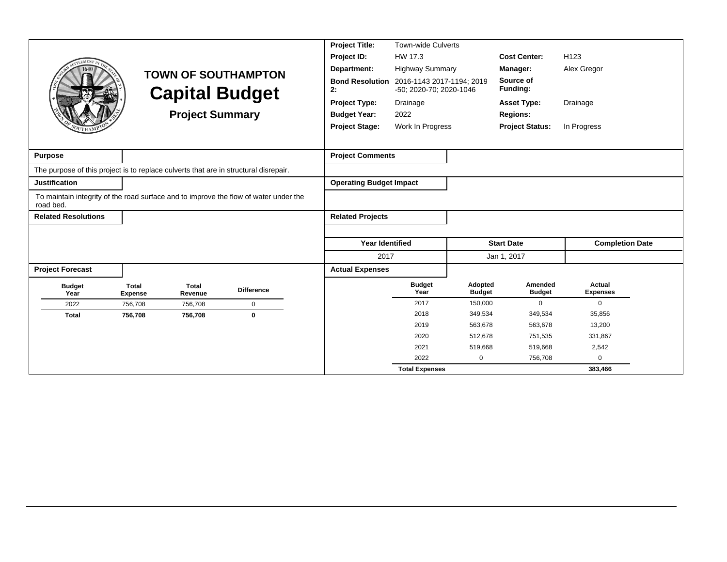| <b>LEMENT</b>              |                                                           | <b>TOWN OF SOUTHAMPTON</b><br><b>Capital Budget</b><br><b>Project Summary</b>        | <b>Project Title:</b><br>Project ID:<br>Department:<br><b>Bond Resolution</b><br>2:<br><b>Project Type:</b><br><b>Budget Year:</b><br><b>Project Stage:</b> | Town-wide Culverts<br>HW 17.3<br><b>Highway Summary</b><br>2016-1143 2017-1194; 2019<br>-50; 2020-70; 2020-1046<br>Drainage<br>2022<br>Work In Progress |                          | <b>Cost Center:</b><br>Manager:<br>Source of<br>Funding:<br><b>Asset Type:</b><br><b>Regions:</b><br><b>Project Status:</b> | H <sub>123</sub><br>Alex Gregor<br>Drainage<br>In Progress |
|----------------------------|-----------------------------------------------------------|--------------------------------------------------------------------------------------|-------------------------------------------------------------------------------------------------------------------------------------------------------------|---------------------------------------------------------------------------------------------------------------------------------------------------------|--------------------------|-----------------------------------------------------------------------------------------------------------------------------|------------------------------------------------------------|
| <b>Purpose</b>             |                                                           |                                                                                      | <b>Project Comments</b>                                                                                                                                     |                                                                                                                                                         |                          |                                                                                                                             |                                                            |
|                            |                                                           | The purpose of this project is to replace culverts that are in structural disrepair. |                                                                                                                                                             |                                                                                                                                                         |                          |                                                                                                                             |                                                            |
| Justification              |                                                           |                                                                                      | <b>Operating Budget Impact</b>                                                                                                                              |                                                                                                                                                         |                          |                                                                                                                             |                                                            |
| road bed.                  |                                                           | To maintain integrity of the road surface and to improve the flow of water under the |                                                                                                                                                             |                                                                                                                                                         |                          |                                                                                                                             |                                                            |
| <b>Related Resolutions</b> |                                                           |                                                                                      | <b>Related Projects</b>                                                                                                                                     |                                                                                                                                                         |                          |                                                                                                                             |                                                            |
|                            |                                                           |                                                                                      |                                                                                                                                                             |                                                                                                                                                         |                          |                                                                                                                             |                                                            |
|                            |                                                           |                                                                                      | <b>Year Identified</b>                                                                                                                                      |                                                                                                                                                         |                          | <b>Start Date</b>                                                                                                           | <b>Completion Date</b>                                     |
|                            |                                                           |                                                                                      | 2017                                                                                                                                                        |                                                                                                                                                         |                          | Jan 1, 2017                                                                                                                 |                                                            |
| <b>Project Forecast</b>    |                                                           |                                                                                      | <b>Actual Expenses</b>                                                                                                                                      |                                                                                                                                                         |                          |                                                                                                                             |                                                            |
| <b>Budget</b><br>Year      | <b>Total</b><br><b>Total</b><br>Revenue<br><b>Expense</b> | <b>Difference</b>                                                                    |                                                                                                                                                             | <b>Budget</b><br>Year                                                                                                                                   | Adopted<br><b>Budget</b> | Amended<br><b>Budget</b>                                                                                                    | Actual<br><b>Expenses</b>                                  |
| 2022                       | 756,708<br>756,708                                        | $\mathbf 0$                                                                          |                                                                                                                                                             | 2017                                                                                                                                                    | 150,000                  | $\mathbf{0}$                                                                                                                | $\Omega$                                                   |
| <b>Total</b>               | 756,708<br>756,708                                        | $\mathbf 0$                                                                          |                                                                                                                                                             | 2018                                                                                                                                                    | 349,534                  | 349,534                                                                                                                     | 35,856                                                     |
|                            |                                                           |                                                                                      |                                                                                                                                                             | 2019                                                                                                                                                    | 563,678                  | 563,678                                                                                                                     | 13,200                                                     |
|                            |                                                           |                                                                                      |                                                                                                                                                             | 2020                                                                                                                                                    | 512,678                  | 751,535                                                                                                                     | 331,867                                                    |
|                            |                                                           |                                                                                      |                                                                                                                                                             | 2021                                                                                                                                                    | 519,668                  | 519,668                                                                                                                     | 2,542                                                      |
|                            |                                                           |                                                                                      |                                                                                                                                                             | 2022                                                                                                                                                    | 0                        | 756,708                                                                                                                     | $\Omega$                                                   |
|                            |                                                           |                                                                                      |                                                                                                                                                             | <b>Total Expenses</b>                                                                                                                                   |                          |                                                                                                                             | 383,466                                                    |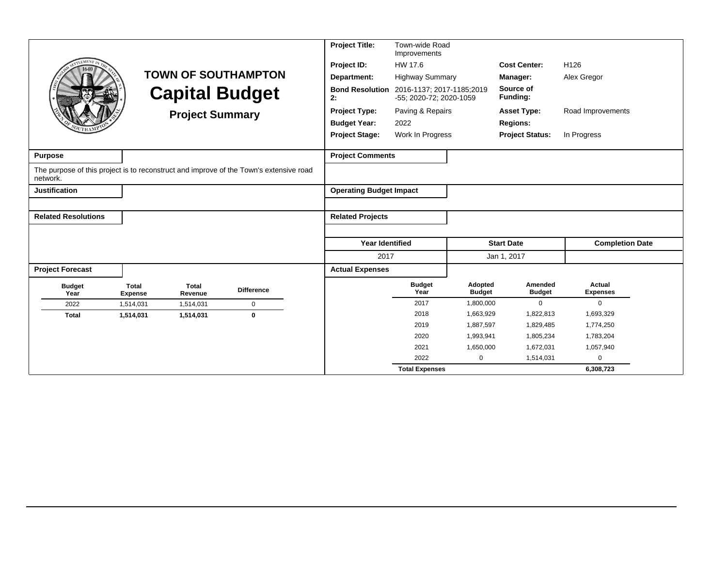| <b>LEMENT I</b>            |                                |                         |                                                                                        | <b>Project Title:</b>          | Town-wide Road<br>Improvements                       |                          |                          |                           |
|----------------------------|--------------------------------|-------------------------|----------------------------------------------------------------------------------------|--------------------------------|------------------------------------------------------|--------------------------|--------------------------|---------------------------|
| 1640                       |                                |                         |                                                                                        | Project ID:                    | HW 17.6                                              |                          | <b>Cost Center:</b>      | H <sub>126</sub>          |
|                            |                                |                         | <b>TOWN OF SOUTHAMPTON</b>                                                             | Department:                    | <b>Highway Summary</b>                               |                          | Manager:                 | Alex Gregor               |
|                            |                                |                         | <b>Capital Budget</b>                                                                  | <b>Bond Resolution</b><br>2:   | 2016-1137; 2017-1185;2019<br>-55; 2020-72; 2020-1059 |                          | Source of<br>Funding:    |                           |
|                            |                                | <b>Project Summary</b>  |                                                                                        | <b>Project Type:</b>           | Paving & Repairs                                     |                          | <b>Asset Type:</b>       | Road Improvements         |
|                            |                                |                         |                                                                                        | <b>Budget Year:</b>            | 2022                                                 |                          | <b>Regions:</b>          |                           |
|                            |                                |                         |                                                                                        | <b>Project Stage:</b>          | Work In Progress                                     |                          | <b>Project Status:</b>   | In Progress               |
|                            |                                |                         |                                                                                        |                                |                                                      |                          |                          |                           |
| <b>Purpose</b>             |                                |                         |                                                                                        | <b>Project Comments</b>        |                                                      |                          |                          |                           |
| network.                   |                                |                         | The purpose of this project is to reconstruct and improve of the Town's extensive road |                                |                                                      |                          |                          |                           |
| <b>Justification</b>       |                                |                         |                                                                                        | <b>Operating Budget Impact</b> |                                                      |                          |                          |                           |
|                            |                                |                         |                                                                                        |                                |                                                      |                          |                          |                           |
| <b>Related Resolutions</b> |                                |                         |                                                                                        | <b>Related Projects</b>        |                                                      |                          |                          |                           |
|                            |                                |                         |                                                                                        |                                |                                                      |                          |                          |                           |
|                            |                                |                         |                                                                                        | <b>Year Identified</b>         |                                                      |                          | <b>Start Date</b>        | <b>Completion Date</b>    |
|                            |                                |                         |                                                                                        | 2017                           |                                                      |                          | Jan 1, 2017              |                           |
| <b>Project Forecast</b>    |                                |                         |                                                                                        | <b>Actual Expenses</b>         |                                                      |                          |                          |                           |
| <b>Budget</b><br>Year      | <b>Total</b><br><b>Expense</b> | <b>Total</b><br>Revenue | <b>Difference</b>                                                                      |                                | <b>Budget</b><br>Year                                | Adopted<br><b>Budget</b> | Amended<br><b>Budget</b> | Actual<br><b>Expenses</b> |
| 2022                       | 1,514,031                      | 1,514,031               | $\mathbf 0$                                                                            |                                | 2017                                                 | 1,800,000                | $\mathbf 0$              | $\mathbf 0$               |
| <b>Total</b>               | 1,514,031                      | 1,514,031               | $\mathbf 0$                                                                            |                                | 2018                                                 | 1,663,929                | 1,822,813                | 1,693,329                 |
|                            |                                |                         |                                                                                        |                                | 2019                                                 | 1,887,597                | 1,829,485                | 1,774,250                 |
|                            |                                |                         |                                                                                        |                                | 2020                                                 | 1,993,941                | 1,805,234                | 1,783,204                 |
|                            |                                |                         |                                                                                        |                                | 2021                                                 | 1,650,000                | 1,672,031                | 1,057,940                 |
|                            |                                |                         |                                                                                        |                                | 2022                                                 | $\mathbf 0$              | 1,514,031                | $\mathbf 0$               |
|                            |                                |                         |                                                                                        |                                | <b>Total Expenses</b>                                |                          |                          | 6,308,723                 |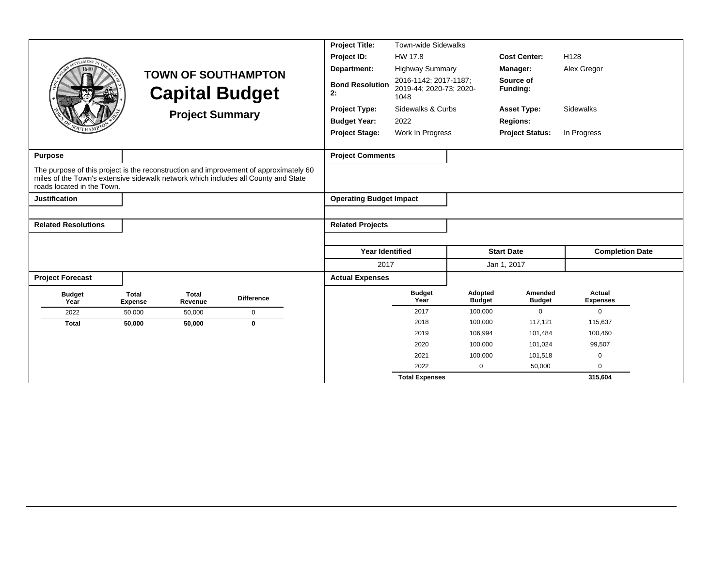|                                                                                                                  |                                                                               |                         |                                                                                       | <b>Project Title:</b>                                    | <b>Town-wide Sidewalks</b> |                          |                          |                           |
|------------------------------------------------------------------------------------------------------------------|-------------------------------------------------------------------------------|-------------------------|---------------------------------------------------------------------------------------|----------------------------------------------------------|----------------------------|--------------------------|--------------------------|---------------------------|
| <b>EMENT</b>                                                                                                     |                                                                               |                         |                                                                                       | Project ID:                                              | HW 17.8                    |                          | <b>Cost Center:</b>      | H <sub>128</sub>          |
|                                                                                                                  |                                                                               |                         |                                                                                       | Department:                                              | <b>Highway Summary</b>     |                          | Manager:                 | Alex Gregor               |
|                                                                                                                  | <b>TOWN OF SOUTHAMPTON</b><br><b>Capital Budget</b><br><b>Project Summary</b> |                         | <b>Bond Resolution</b><br>2:                                                          | 2016-1142; 2017-1187;<br>2019-44; 2020-73; 2020-<br>1048 |                            | Source of<br>Funding:    |                          |                           |
|                                                                                                                  |                                                                               |                         | <b>Project Type:</b>                                                                  | Sidewalks & Curbs                                        |                            | <b>Asset Type:</b>       | Sidewalks                |                           |
|                                                                                                                  |                                                                               |                         |                                                                                       | <b>Budget Year:</b>                                      | 2022                       |                          | <b>Regions:</b>          |                           |
|                                                                                                                  |                                                                               |                         | <b>Project Stage:</b>                                                                 | Work In Progress                                         |                            | <b>Project Status:</b>   | In Progress              |                           |
|                                                                                                                  |                                                                               |                         |                                                                                       |                                                          |                            |                          |                          |                           |
| <b>Purpose</b>                                                                                                   |                                                                               |                         |                                                                                       | <b>Project Comments</b>                                  |                            |                          |                          |                           |
| miles of the Town's extensive sidewalk network which includes all County and State<br>roads located in the Town. |                                                                               |                         | The purpose of this project is the reconstruction and improvement of approximately 60 |                                                          |                            |                          |                          |                           |
| <b>Justification</b>                                                                                             |                                                                               |                         |                                                                                       | <b>Operating Budget Impact</b>                           |                            |                          |                          |                           |
|                                                                                                                  |                                                                               |                         |                                                                                       |                                                          |                            |                          |                          |                           |
| <b>Related Resolutions</b>                                                                                       |                                                                               |                         |                                                                                       | <b>Related Projects</b>                                  |                            |                          |                          |                           |
|                                                                                                                  |                                                                               |                         |                                                                                       |                                                          |                            |                          |                          |                           |
|                                                                                                                  |                                                                               |                         |                                                                                       | <b>Year Identified</b>                                   |                            |                          | <b>Start Date</b>        | <b>Completion Date</b>    |
|                                                                                                                  |                                                                               |                         |                                                                                       | 2017                                                     |                            |                          | Jan 1, 2017              |                           |
| <b>Project Forecast</b>                                                                                          |                                                                               |                         |                                                                                       | <b>Actual Expenses</b>                                   |                            |                          |                          |                           |
| <b>Budget</b><br>Year                                                                                            | <b>Total</b><br><b>Expense</b>                                                | <b>Total</b><br>Revenue | <b>Difference</b>                                                                     |                                                          | <b>Budget</b><br>Year      | Adopted<br><b>Budget</b> | Amended<br><b>Budget</b> | Actual<br><b>Expenses</b> |
| 2022                                                                                                             | 50,000                                                                        | 50,000                  | $\mathbf 0$                                                                           |                                                          | 2017                       | 100,000                  | $\mathbf 0$              | $\Omega$                  |
| <b>Total</b>                                                                                                     | 50.000                                                                        | 50,000                  | $\mathbf 0$                                                                           |                                                          | 2018                       | 100,000                  | 117,121                  | 115,637                   |
|                                                                                                                  |                                                                               |                         |                                                                                       |                                                          | 2019                       | 106,994                  | 101,484                  | 100,460                   |
|                                                                                                                  |                                                                               |                         |                                                                                       |                                                          | 2020                       | 100,000                  | 101,024                  | 99,507                    |
|                                                                                                                  |                                                                               |                         |                                                                                       |                                                          | 2021                       | 100,000                  | 101,518                  | 0                         |
|                                                                                                                  |                                                                               |                         |                                                                                       |                                                          | 2022                       | 0                        | 50,000                   | $\mathbf 0$               |
|                                                                                                                  |                                                                               |                         |                                                                                       |                                                          | <b>Total Expenses</b>      |                          |                          | 315,604                   |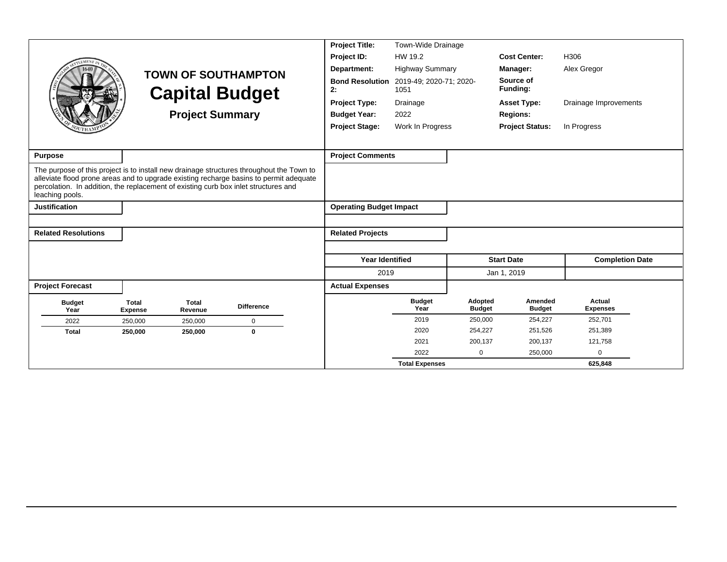|                                                                                                        |                                |                         |                                                                                                                                                                                    | <b>Project Title:</b>                                           | Town-Wide Drainage     |                          |                          |                           |  |
|--------------------------------------------------------------------------------------------------------|--------------------------------|-------------------------|------------------------------------------------------------------------------------------------------------------------------------------------------------------------------------|-----------------------------------------------------------------|------------------------|--------------------------|--------------------------|---------------------------|--|
| EMENT                                                                                                  |                                |                         |                                                                                                                                                                                    | Project ID:                                                     | HW 19.2                |                          | <b>Cost Center:</b>      | H306                      |  |
|                                                                                                        |                                |                         | <b>TOWN OF SOUTHAMPTON</b>                                                                                                                                                         | Department:                                                     | <b>Highway Summary</b> |                          | Manager:                 | Alex Gregor               |  |
|                                                                                                        |                                | <b>Capital Budget</b>   |                                                                                                                                                                                    | <b>Bond Resolution</b><br>2019-49; 2020-71; 2020-<br>2:<br>1051 |                        | Source of<br>Funding:    |                          |                           |  |
|                                                                                                        |                                |                         |                                                                                                                                                                                    | <b>Project Type:</b>                                            | Drainage               |                          | <b>Asset Type:</b>       | Drainage Improvements     |  |
|                                                                                                        |                                | <b>Project Summary</b>  |                                                                                                                                                                                    | <b>Budget Year:</b>                                             | 2022                   |                          | <b>Regions:</b>          |                           |  |
|                                                                                                        |                                |                         |                                                                                                                                                                                    | <b>Project Stage:</b>                                           | Work In Progress       |                          | <b>Project Status:</b>   | In Progress               |  |
|                                                                                                        |                                |                         |                                                                                                                                                                                    |                                                                 |                        |                          |                          |                           |  |
| Purpose                                                                                                |                                |                         |                                                                                                                                                                                    | <b>Project Comments</b>                                         |                        |                          |                          |                           |  |
| percolation. In addition, the replacement of existing curb box inlet structures and<br>leaching pools. |                                |                         | The purpose of this project is to install new drainage structures throughout the Town to<br>alleviate flood prone areas and to upgrade existing recharge basins to permit adequate |                                                                 |                        |                          |                          |                           |  |
| <b>Justification</b>                                                                                   |                                |                         |                                                                                                                                                                                    | <b>Operating Budget Impact</b>                                  |                        |                          |                          |                           |  |
|                                                                                                        |                                |                         |                                                                                                                                                                                    |                                                                 |                        |                          |                          |                           |  |
| <b>Related Resolutions</b>                                                                             |                                |                         |                                                                                                                                                                                    | <b>Related Projects</b>                                         |                        |                          |                          |                           |  |
|                                                                                                        |                                |                         |                                                                                                                                                                                    |                                                                 |                        |                          |                          |                           |  |
|                                                                                                        |                                |                         |                                                                                                                                                                                    | <b>Year Identified</b>                                          |                        |                          | <b>Start Date</b>        | <b>Completion Date</b>    |  |
|                                                                                                        |                                |                         |                                                                                                                                                                                    | 2019                                                            |                        |                          | Jan 1, 2019              |                           |  |
| <b>Project Forecast</b>                                                                                |                                |                         |                                                                                                                                                                                    | <b>Actual Expenses</b>                                          |                        |                          |                          |                           |  |
| <b>Budget</b><br>Year                                                                                  | <b>Total</b><br><b>Expense</b> | <b>Total</b><br>Revenue | <b>Difference</b>                                                                                                                                                                  |                                                                 | <b>Budget</b><br>Year  | Adopted<br><b>Budget</b> | Amended<br><b>Budget</b> | Actual<br><b>Expenses</b> |  |
| 2022                                                                                                   | 250,000                        | 250,000                 | $\mathsf 0$                                                                                                                                                                        |                                                                 | 2019                   | 250,000                  | 254,227                  | 252,701                   |  |
| <b>Total</b>                                                                                           | 250,000                        | 250,000                 | $\bf{0}$                                                                                                                                                                           |                                                                 | 2020                   | 254,227                  | 251,526                  | 251,389                   |  |
|                                                                                                        |                                |                         |                                                                                                                                                                                    |                                                                 | 2021                   | 200,137                  | 200,137                  | 121,758                   |  |
|                                                                                                        |                                |                         |                                                                                                                                                                                    |                                                                 | 2022                   | 0                        | 250,000                  | 0                         |  |
|                                                                                                        |                                |                         |                                                                                                                                                                                    |                                                                 | <b>Total Expenses</b>  |                          |                          | 625,848                   |  |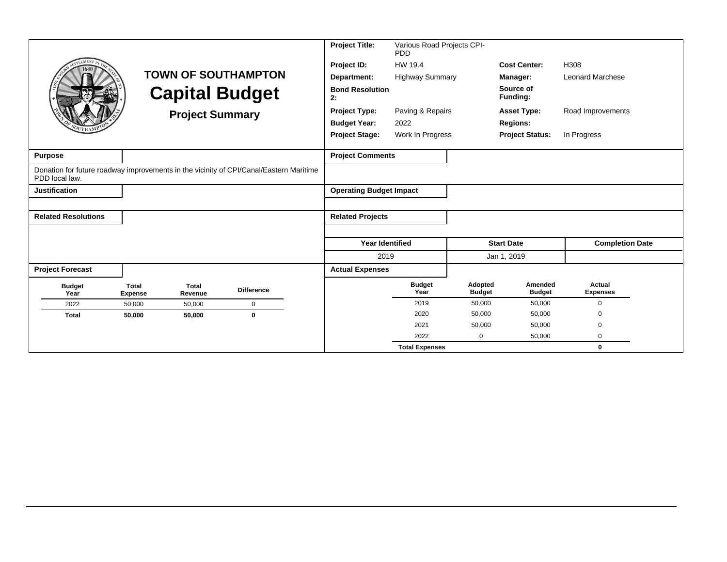|                            |                                |                        |                                                                                        | <b>Project Title:</b>          | Various Road Projects CPI-<br>PDD |                          |                          |                           |
|----------------------------|--------------------------------|------------------------|----------------------------------------------------------------------------------------|--------------------------------|-----------------------------------|--------------------------|--------------------------|---------------------------|
|                            |                                |                        |                                                                                        | Project ID:                    | HW 19.4                           |                          | <b>Cost Center:</b>      | H308                      |
|                            |                                |                        | <b>TOWN OF SOUTHAMPTON</b>                                                             | Department:                    | <b>Highway Summary</b>            |                          | Manager:                 | <b>Leonard Marchese</b>   |
|                            |                                |                        | <b>Capital Budget</b>                                                                  | <b>Bond Resolution</b><br>2:   |                                   |                          | Source of<br>Funding:    |                           |
|                            |                                | <b>Project Summary</b> |                                                                                        | <b>Project Type:</b>           | Paving & Repairs                  |                          | <b>Asset Type:</b>       | Road Improvements         |
|                            |                                |                        |                                                                                        | <b>Budget Year:</b>            | 2022                              |                          | <b>Regions:</b>          |                           |
|                            |                                |                        |                                                                                        | <b>Project Stage:</b>          | Work In Progress                  |                          | <b>Project Status:</b>   | In Progress               |
| <b>Purpose</b>             |                                |                        |                                                                                        | <b>Project Comments</b>        |                                   |                          |                          |                           |
| PDD local law.             |                                |                        | Donation for future roadway improvements in the vicinity of CPI/Canal/Eastern Maritime |                                |                                   |                          |                          |                           |
| <b>Justification</b>       |                                |                        |                                                                                        | <b>Operating Budget Impact</b> |                                   |                          |                          |                           |
|                            |                                |                        |                                                                                        |                                |                                   |                          |                          |                           |
| <b>Related Resolutions</b> |                                |                        |                                                                                        | <b>Related Projects</b>        |                                   |                          |                          |                           |
|                            |                                |                        |                                                                                        |                                |                                   |                          |                          |                           |
|                            |                                |                        |                                                                                        | <b>Year Identified</b>         |                                   |                          | <b>Start Date</b>        | <b>Completion Date</b>    |
|                            |                                |                        |                                                                                        | 2019                           |                                   |                          | Jan 1, 2019              |                           |
| <b>Project Forecast</b>    |                                |                        |                                                                                        | <b>Actual Expenses</b>         |                                   |                          |                          |                           |
| <b>Budget</b><br>Year      | <b>Total</b><br><b>Expense</b> | Total<br>Revenue       | <b>Difference</b>                                                                      |                                | <b>Budget</b><br>Year             | Adopted<br><b>Budget</b> | Amended<br><b>Budget</b> | Actual<br><b>Expenses</b> |
| 2022                       | 50,000                         | 50,000                 | $\mathbf 0$                                                                            |                                | 2019                              | 50,000                   | 50,000                   | $\mathbf 0$               |
| <b>Total</b>               | 50,000                         | 50,000                 | $\mathbf 0$                                                                            |                                | 2020                              | 50,000                   | 50,000                   | 0                         |
|                            |                                |                        |                                                                                        |                                | 2021                              | 50,000                   | 50,000                   | $\Omega$                  |
|                            |                                |                        |                                                                                        |                                | 2022                              | $\mathbf 0$              | 50,000                   | $\mathbf 0$               |
|                            |                                |                        |                                                                                        |                                | <b>Total Expenses</b>             |                          |                          | $\bf{0}$                  |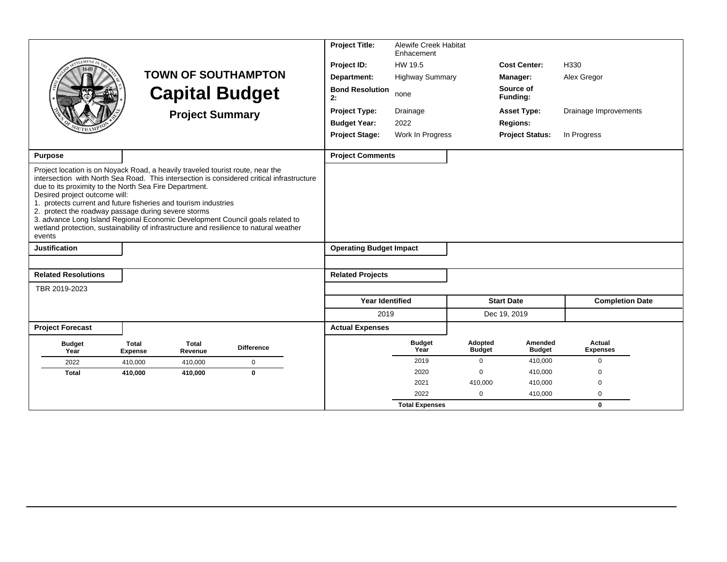|                                                                                                                                                                                                                                                                                                                                                                                                                                                                                                                                                                                       |                                |                         |                            | <b>Project Title:</b>          | <b>Alewife Creek Habitat</b><br>Enhacement |                          |                          |                           |
|---------------------------------------------------------------------------------------------------------------------------------------------------------------------------------------------------------------------------------------------------------------------------------------------------------------------------------------------------------------------------------------------------------------------------------------------------------------------------------------------------------------------------------------------------------------------------------------|--------------------------------|-------------------------|----------------------------|--------------------------------|--------------------------------------------|--------------------------|--------------------------|---------------------------|
|                                                                                                                                                                                                                                                                                                                                                                                                                                                                                                                                                                                       |                                |                         |                            | Project ID:                    | HW 19.5                                    |                          | <b>Cost Center:</b>      | H330                      |
|                                                                                                                                                                                                                                                                                                                                                                                                                                                                                                                                                                                       |                                |                         | <b>TOWN OF SOUTHAMPTON</b> | Department:                    | <b>Highway Summary</b>                     |                          | Manager:                 | Alex Gregor               |
|                                                                                                                                                                                                                                                                                                                                                                                                                                                                                                                                                                                       |                                |                         | <b>Capital Budget</b>      | <b>Bond Resolution</b><br>2:   | none                                       |                          | Source of<br>Funding:    |                           |
|                                                                                                                                                                                                                                                                                                                                                                                                                                                                                                                                                                                       |                                | <b>Project Summary</b>  |                            | <b>Project Type:</b>           | Drainage                                   |                          | <b>Asset Type:</b>       | Drainage Improvements     |
|                                                                                                                                                                                                                                                                                                                                                                                                                                                                                                                                                                                       |                                |                         |                            | <b>Budget Year:</b>            | 2022                                       |                          | <b>Regions:</b>          |                           |
|                                                                                                                                                                                                                                                                                                                                                                                                                                                                                                                                                                                       |                                |                         |                            | <b>Project Stage:</b>          | Work In Progress                           |                          | <b>Project Status:</b>   | In Progress               |
| <b>Purpose</b>                                                                                                                                                                                                                                                                                                                                                                                                                                                                                                                                                                        |                                |                         |                            | <b>Project Comments</b>        |                                            |                          |                          |                           |
|                                                                                                                                                                                                                                                                                                                                                                                                                                                                                                                                                                                       |                                |                         |                            |                                |                                            |                          |                          |                           |
| Project location is on Noyack Road, a heavily traveled tourist route, near the<br>intersection with North Sea Road. This intersection is considered critical infrastructure<br>due to its proximity to the North Sea Fire Department.<br>Desired project outcome will:<br>1. protects current and future fisheries and tourism industries<br>2. protect the roadway passage during severe storms<br>3. advance Long Island Regional Economic Development Council goals related to<br>wetland protection, sustainability of infrastructure and resilience to natural weather<br>events |                                |                         |                            |                                |                                            |                          |                          |                           |
| <b>Justification</b>                                                                                                                                                                                                                                                                                                                                                                                                                                                                                                                                                                  |                                |                         |                            | <b>Operating Budget Impact</b> |                                            |                          |                          |                           |
|                                                                                                                                                                                                                                                                                                                                                                                                                                                                                                                                                                                       |                                |                         |                            |                                |                                            |                          |                          |                           |
| <b>Related Resolutions</b>                                                                                                                                                                                                                                                                                                                                                                                                                                                                                                                                                            |                                |                         |                            | <b>Related Projects</b>        |                                            |                          |                          |                           |
| TBR 2019-2023                                                                                                                                                                                                                                                                                                                                                                                                                                                                                                                                                                         |                                |                         |                            |                                |                                            |                          |                          |                           |
|                                                                                                                                                                                                                                                                                                                                                                                                                                                                                                                                                                                       |                                |                         |                            | <b>Year Identified</b>         |                                            |                          | <b>Start Date</b>        | <b>Completion Date</b>    |
|                                                                                                                                                                                                                                                                                                                                                                                                                                                                                                                                                                                       |                                |                         |                            | 2019                           |                                            |                          | Dec 19, 2019             |                           |
| <b>Project Forecast</b>                                                                                                                                                                                                                                                                                                                                                                                                                                                                                                                                                               |                                |                         |                            | <b>Actual Expenses</b>         |                                            |                          |                          |                           |
| <b>Budget</b><br>Year                                                                                                                                                                                                                                                                                                                                                                                                                                                                                                                                                                 | <b>Total</b><br><b>Expense</b> | <b>Total</b><br>Revenue | <b>Difference</b>          |                                | <b>Budget</b><br>Year                      | Adopted<br><b>Budget</b> | Amended<br><b>Budget</b> | Actual<br><b>Expenses</b> |
| 2022                                                                                                                                                                                                                                                                                                                                                                                                                                                                                                                                                                                  | 410,000                        | 410,000                 | $\mathsf 0$                |                                | 2019                                       | $\mathbf 0$              | 410,000                  | $\mathbf 0$               |
| <b>Total</b>                                                                                                                                                                                                                                                                                                                                                                                                                                                                                                                                                                          | 410,000                        | 410,000                 | $\bf{0}$                   |                                | 2020                                       | $\Omega$                 | 410,000                  | $\Omega$                  |
|                                                                                                                                                                                                                                                                                                                                                                                                                                                                                                                                                                                       |                                |                         |                            |                                | 2021                                       | 410,000                  | 410,000                  | $\Omega$                  |
|                                                                                                                                                                                                                                                                                                                                                                                                                                                                                                                                                                                       |                                |                         |                            |                                | 2022                                       | $\Omega$                 | 410,000                  | $\mathbf 0$               |
|                                                                                                                                                                                                                                                                                                                                                                                                                                                                                                                                                                                       |                                |                         |                            |                                | <b>Total Expenses</b>                      |                          |                          | $\mathbf{0}$              |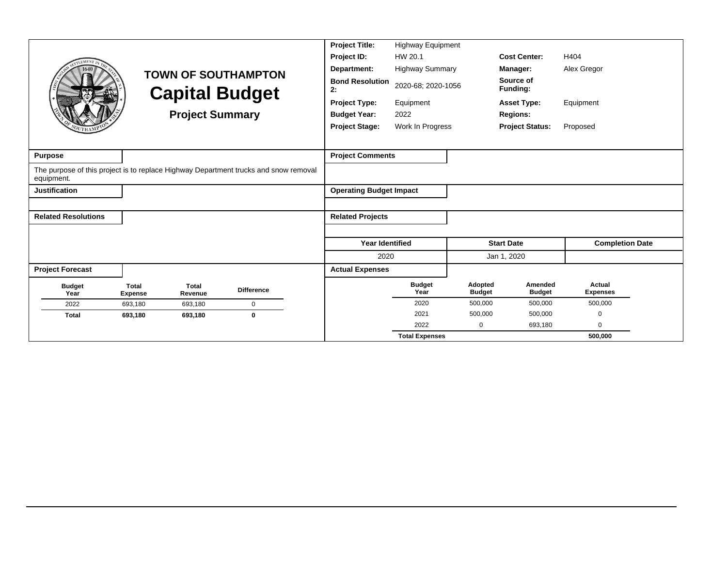|                            |                                |                         |                                                                                      | <b>Project Title:</b>          | <b>Highway Equipment</b> |                          |                          |                           |
|----------------------------|--------------------------------|-------------------------|--------------------------------------------------------------------------------------|--------------------------------|--------------------------|--------------------------|--------------------------|---------------------------|
| <b>LEMENT</b>              |                                |                         |                                                                                      | Project ID:                    | HW 20.1                  |                          | <b>Cost Center:</b>      | H404                      |
|                            |                                |                         | <b>TOWN OF SOUTHAMPTON</b>                                                           | Department:                    | <b>Highway Summary</b>   |                          | Manager:                 | Alex Gregor               |
|                            |                                |                         | <b>Capital Budget</b>                                                                | <b>Bond Resolution</b><br>2:   | 2020-68; 2020-1056       |                          | Source of<br>Funding:    |                           |
|                            |                                |                         |                                                                                      | <b>Project Type:</b>           | Equipment                |                          | <b>Asset Type:</b>       | Equipment                 |
|                            |                                | <b>Project Summary</b>  |                                                                                      | <b>Budget Year:</b>            | 2022                     |                          | <b>Regions:</b>          |                           |
|                            |                                |                         |                                                                                      | <b>Project Stage:</b>          | Work In Progress         |                          | <b>Project Status:</b>   | Proposed                  |
|                            |                                |                         |                                                                                      |                                |                          |                          |                          |                           |
| <b>Purpose</b>             |                                |                         |                                                                                      | <b>Project Comments</b>        |                          |                          |                          |                           |
| equipment.                 |                                |                         | The purpose of this project is to replace Highway Department trucks and snow removal |                                |                          |                          |                          |                           |
| <b>Justification</b>       |                                |                         |                                                                                      | <b>Operating Budget Impact</b> |                          |                          |                          |                           |
|                            |                                |                         |                                                                                      |                                |                          |                          |                          |                           |
| <b>Related Resolutions</b> |                                |                         |                                                                                      | <b>Related Projects</b>        |                          |                          |                          |                           |
|                            |                                |                         |                                                                                      |                                |                          |                          |                          |                           |
|                            |                                |                         |                                                                                      | <b>Year Identified</b>         |                          |                          | <b>Start Date</b>        | <b>Completion Date</b>    |
|                            |                                |                         |                                                                                      | 2020                           |                          |                          | Jan 1, 2020              |                           |
| <b>Project Forecast</b>    |                                |                         |                                                                                      | <b>Actual Expenses</b>         |                          |                          |                          |                           |
| <b>Budget</b><br>Year      | <b>Total</b><br><b>Expense</b> | <b>Total</b><br>Revenue | <b>Difference</b>                                                                    |                                | <b>Budget</b><br>Year    | Adopted<br><b>Budget</b> | Amended<br><b>Budget</b> | Actual<br><b>Expenses</b> |
| 2022                       | 693,180                        | 693,180                 | $\mathbf 0$                                                                          |                                | 2020                     | 500,000                  | 500,000                  | 500,000                   |
| <b>Total</b>               | 693,180                        | 693,180                 | $\bf{0}$                                                                             |                                | 2021                     | 500,000                  | 500,000                  | 0                         |
|                            |                                |                         |                                                                                      |                                | 2022                     | 0                        | 693,180                  | 0                         |
|                            |                                |                         |                                                                                      |                                | <b>Total Expenses</b>    |                          |                          | 500,000                   |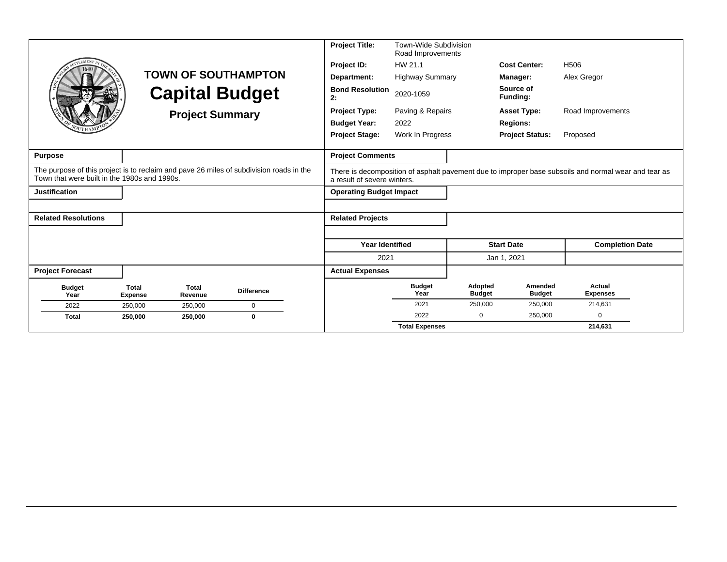|                                                                                                                                         |                                |                         |                            | <b>Project Title:</b>          | Town-Wide Subdivision<br>Road Improvements |                          |                          |                                                                                                      |
|-----------------------------------------------------------------------------------------------------------------------------------------|--------------------------------|-------------------------|----------------------------|--------------------------------|--------------------------------------------|--------------------------|--------------------------|------------------------------------------------------------------------------------------------------|
| <b>EMEN7</b>                                                                                                                            |                                |                         |                            | Project ID:                    | HW 21.1                                    |                          | <b>Cost Center:</b>      | H <sub>506</sub>                                                                                     |
|                                                                                                                                         |                                |                         | <b>TOWN OF SOUTHAMPTON</b> | Department:                    | <b>Highway Summary</b>                     |                          | <b>Manager:</b>          | Alex Gregor                                                                                          |
|                                                                                                                                         |                                |                         | <b>Capital Budget</b>      | <b>Bond Resolution</b><br>2:   | 2020-1059                                  |                          | Source of<br>Funding:    |                                                                                                      |
|                                                                                                                                         |                                | <b>Project Summary</b>  |                            | <b>Project Type:</b>           | Paving & Repairs                           |                          | <b>Asset Type:</b>       | Road Improvements                                                                                    |
|                                                                                                                                         |                                |                         |                            | <b>Budget Year:</b>            | 2022                                       |                          | <b>Regions:</b>          |                                                                                                      |
|                                                                                                                                         |                                |                         |                            | <b>Project Stage:</b>          | Work In Progress                           |                          | <b>Project Status:</b>   | Proposed                                                                                             |
|                                                                                                                                         |                                |                         |                            |                                |                                            |                          |                          |                                                                                                      |
| <b>Purpose</b>                                                                                                                          |                                |                         |                            | <b>Project Comments</b>        |                                            |                          |                          |                                                                                                      |
| The purpose of this project is to reclaim and pave 26 miles of subdivision roads in the<br>Town that were built in the 1980s and 1990s. |                                |                         |                            | a result of severe winters.    |                                            |                          |                          | There is decomposition of asphalt pavement due to improper base subsoils and normal wear and tear as |
| <b>Justification</b>                                                                                                                    |                                |                         |                            | <b>Operating Budget Impact</b> |                                            |                          |                          |                                                                                                      |
|                                                                                                                                         |                                |                         |                            |                                |                                            |                          |                          |                                                                                                      |
| <b>Related Resolutions</b>                                                                                                              |                                |                         |                            | <b>Related Projects</b>        |                                            |                          |                          |                                                                                                      |
|                                                                                                                                         |                                |                         |                            |                                |                                            |                          |                          |                                                                                                      |
|                                                                                                                                         |                                |                         |                            | <b>Year Identified</b>         |                                            |                          | <b>Start Date</b>        | <b>Completion Date</b>                                                                               |
|                                                                                                                                         |                                |                         |                            | 2021                           |                                            |                          | Jan 1, 2021              |                                                                                                      |
| <b>Project Forecast</b>                                                                                                                 |                                |                         |                            | <b>Actual Expenses</b>         |                                            |                          |                          |                                                                                                      |
| <b>Budget</b><br>Year                                                                                                                   | <b>Total</b><br><b>Expense</b> | <b>Total</b><br>Revenue | <b>Difference</b>          |                                | <b>Budget</b><br>Year                      | Adopted<br><b>Budget</b> | Amended<br><b>Budget</b> | Actual<br><b>Expenses</b>                                                                            |
| 2022                                                                                                                                    | 250,000                        | 250,000                 | $\mathbf 0$                |                                | 2021                                       | 250,000                  | 250,000                  | 214,631                                                                                              |
| <b>Total</b>                                                                                                                            | 250,000                        | 250,000                 | $\mathbf{0}$               |                                | 2022                                       | 0                        | 250,000                  | $\Omega$                                                                                             |
|                                                                                                                                         |                                |                         |                            |                                | <b>Total Expenses</b>                      |                          |                          | 214,631                                                                                              |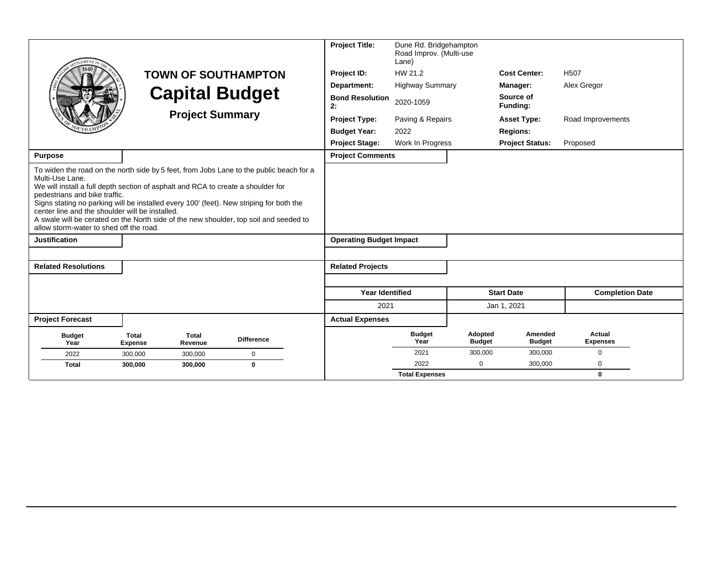| <b>LEMENT</b>                                                                                                                                                                                                                                                                                                                                                                                                                                                                                                     |                                | <b>Project Summary</b>  | <b>TOWN OF SOUTHAMPTON</b><br><b>Capital Budget</b> |  | <b>Project Title:</b><br>Project ID:<br>Department:<br><b>Bond Resolution</b><br>2:<br><b>Project Type:</b><br><b>Budget Year:</b><br><b>Project Stage:</b> | Dune Rd. Bridgehampton<br>Road Improv. (Multi-use<br>Lane)<br>HW 21.2<br><b>Highway Summary</b><br>2020-1059<br>Paving & Repairs<br>2022<br>Work In Progress |                          | <b>Cost Center:</b><br>Manager:<br>Source of<br>Funding:<br><b>Asset Type:</b><br><b>Regions:</b><br><b>Project Status:</b> | H <sub>507</sub><br>Alex Gregor<br>Road Improvements<br>Proposed |  |
|-------------------------------------------------------------------------------------------------------------------------------------------------------------------------------------------------------------------------------------------------------------------------------------------------------------------------------------------------------------------------------------------------------------------------------------------------------------------------------------------------------------------|--------------------------------|-------------------------|-----------------------------------------------------|--|-------------------------------------------------------------------------------------------------------------------------------------------------------------|--------------------------------------------------------------------------------------------------------------------------------------------------------------|--------------------------|-----------------------------------------------------------------------------------------------------------------------------|------------------------------------------------------------------|--|
| <b>Purpose</b>                                                                                                                                                                                                                                                                                                                                                                                                                                                                                                    |                                |                         |                                                     |  | <b>Project Comments</b>                                                                                                                                     |                                                                                                                                                              |                          |                                                                                                                             |                                                                  |  |
| To widen the road on the north side by 5 feet, from Jobs Lane to the public beach for a<br>Multi-Use Lane.<br>We will install a full depth section of asphalt and RCA to create a shoulder for<br>pedestrians and bike traffic.<br>Signs stating no parking will be installed every 100' (feet). New striping for both the<br>center line and the shoulder will be installed.<br>A swale will be cerated on the North side of the new shoulder, top soil and seeded to<br>allow storm-water to shed off the road. |                                |                         |                                                     |  |                                                                                                                                                             |                                                                                                                                                              |                          |                                                                                                                             |                                                                  |  |
| <b>Justification</b>                                                                                                                                                                                                                                                                                                                                                                                                                                                                                              |                                |                         |                                                     |  | <b>Operating Budget Impact</b>                                                                                                                              |                                                                                                                                                              |                          |                                                                                                                             |                                                                  |  |
|                                                                                                                                                                                                                                                                                                                                                                                                                                                                                                                   |                                |                         |                                                     |  |                                                                                                                                                             |                                                                                                                                                              |                          |                                                                                                                             |                                                                  |  |
| <b>Related Resolutions</b>                                                                                                                                                                                                                                                                                                                                                                                                                                                                                        |                                |                         |                                                     |  | <b>Related Projects</b>                                                                                                                                     |                                                                                                                                                              |                          |                                                                                                                             |                                                                  |  |
|                                                                                                                                                                                                                                                                                                                                                                                                                                                                                                                   |                                |                         |                                                     |  | <b>Year Identified</b>                                                                                                                                      |                                                                                                                                                              |                          | <b>Start Date</b>                                                                                                           | <b>Completion Date</b>                                           |  |
|                                                                                                                                                                                                                                                                                                                                                                                                                                                                                                                   |                                |                         |                                                     |  | 2021                                                                                                                                                        |                                                                                                                                                              |                          | Jan 1, 2021                                                                                                                 |                                                                  |  |
| <b>Project Forecast</b>                                                                                                                                                                                                                                                                                                                                                                                                                                                                                           |                                |                         |                                                     |  | <b>Actual Expenses</b>                                                                                                                                      |                                                                                                                                                              |                          |                                                                                                                             |                                                                  |  |
| <b>Budget</b><br>Year                                                                                                                                                                                                                                                                                                                                                                                                                                                                                             | <b>Total</b><br><b>Expense</b> | <b>Total</b><br>Revenue | <b>Difference</b>                                   |  |                                                                                                                                                             | <b>Budget</b><br>Year                                                                                                                                        | Adopted<br><b>Budget</b> | Amended<br><b>Budget</b>                                                                                                    | <b>Actual</b><br><b>Expenses</b>                                 |  |
| 2022                                                                                                                                                                                                                                                                                                                                                                                                                                                                                                              | 300,000                        | 300,000                 | 0                                                   |  |                                                                                                                                                             | 2021                                                                                                                                                         | 300.000                  | 300,000                                                                                                                     | $\mathbf 0$                                                      |  |
| <b>Total</b>                                                                                                                                                                                                                                                                                                                                                                                                                                                                                                      | 300,000                        | 300,000                 | $\bf{0}$                                            |  |                                                                                                                                                             | 2022                                                                                                                                                         | $\Omega$                 | 300,000                                                                                                                     | $\Omega$                                                         |  |
|                                                                                                                                                                                                                                                                                                                                                                                                                                                                                                                   |                                |                         |                                                     |  |                                                                                                                                                             | <b>Total Expenses</b>                                                                                                                                        |                          |                                                                                                                             | $\mathbf 0$                                                      |  |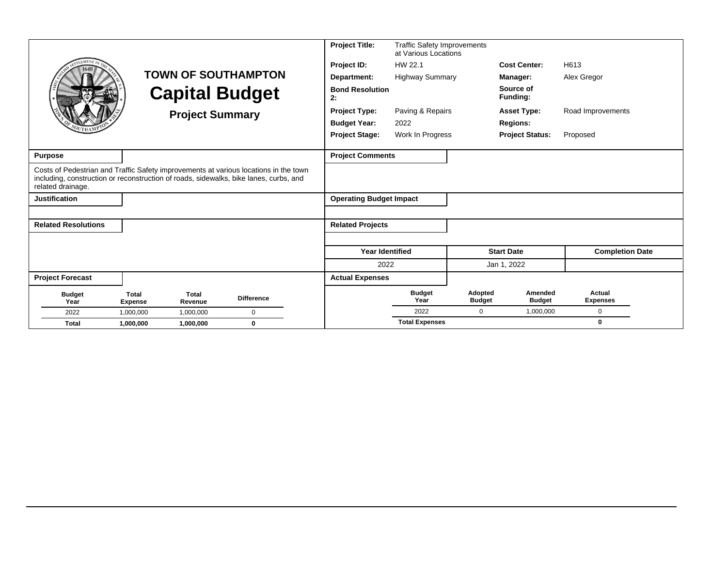|                                                                                                                                                                                                    |                                |                         |                            | <b>Project Title:</b>          | <b>Traffic Safety Improvements</b><br>at Various Locations |                          |                          |                           |
|----------------------------------------------------------------------------------------------------------------------------------------------------------------------------------------------------|--------------------------------|-------------------------|----------------------------|--------------------------------|------------------------------------------------------------|--------------------------|--------------------------|---------------------------|
| <b>EMEN</b>                                                                                                                                                                                        |                                |                         |                            | Project ID:                    | HW 22.1                                                    |                          | <b>Cost Center:</b>      | H613                      |
|                                                                                                                                                                                                    |                                |                         | <b>TOWN OF SOUTHAMPTON</b> | Department:                    | <b>Highway Summary</b>                                     |                          | <b>Manager:</b>          | Alex Gregor               |
|                                                                                                                                                                                                    |                                | <b>Capital Budget</b>   |                            | <b>Bond Resolution</b><br>2:   |                                                            |                          | Source of<br>Funding:    |                           |
|                                                                                                                                                                                                    |                                | <b>Project Summary</b>  |                            | <b>Project Type:</b>           | Paving & Repairs                                           |                          | <b>Asset Type:</b>       | Road Improvements         |
|                                                                                                                                                                                                    |                                |                         |                            | <b>Budget Year:</b>            | 2022                                                       |                          | <b>Regions:</b>          |                           |
|                                                                                                                                                                                                    |                                |                         |                            | <b>Project Stage:</b>          | Work In Progress                                           |                          | <b>Project Status:</b>   | Proposed                  |
|                                                                                                                                                                                                    |                                |                         |                            |                                |                                                            |                          |                          |                           |
| <b>Purpose</b>                                                                                                                                                                                     |                                |                         |                            | <b>Project Comments</b>        |                                                            |                          |                          |                           |
| Costs of Pedestrian and Traffic Safety improvements at various locations in the town<br>including, construction or reconstruction of roads, sidewalks, bike lanes, curbs, and<br>related drainage. |                                |                         |                            |                                |                                                            |                          |                          |                           |
| <b>Justification</b>                                                                                                                                                                               |                                |                         |                            | <b>Operating Budget Impact</b> |                                                            |                          |                          |                           |
|                                                                                                                                                                                                    |                                |                         |                            |                                |                                                            |                          |                          |                           |
| <b>Related Resolutions</b>                                                                                                                                                                         |                                |                         |                            | <b>Related Projects</b>        |                                                            |                          |                          |                           |
|                                                                                                                                                                                                    |                                |                         |                            |                                |                                                            |                          |                          |                           |
|                                                                                                                                                                                                    |                                |                         |                            | <b>Year Identified</b>         |                                                            |                          | <b>Start Date</b>        | <b>Completion Date</b>    |
|                                                                                                                                                                                                    |                                |                         |                            | 2022                           |                                                            |                          | Jan 1, 2022              |                           |
| <b>Project Forecast</b>                                                                                                                                                                            |                                |                         |                            | <b>Actual Expenses</b>         |                                                            |                          |                          |                           |
| <b>Budget</b><br>Year                                                                                                                                                                              | <b>Total</b><br><b>Expense</b> | <b>Total</b><br>Revenue | <b>Difference</b>          |                                | <b>Budget</b><br>Year                                      | Adopted<br><b>Budget</b> | Amended<br><b>Budget</b> | Actual<br><b>Expenses</b> |
| 2022                                                                                                                                                                                               | 1,000,000                      | 1,000,000               | $\Omega$                   |                                | 2022                                                       | $\mathbf 0$              | 1,000,000                | 0                         |
| <b>Total</b>                                                                                                                                                                                       | 1,000,000                      | 1,000,000               | $\mathbf 0$                |                                | <b>Total Expenses</b>                                      |                          |                          | 0                         |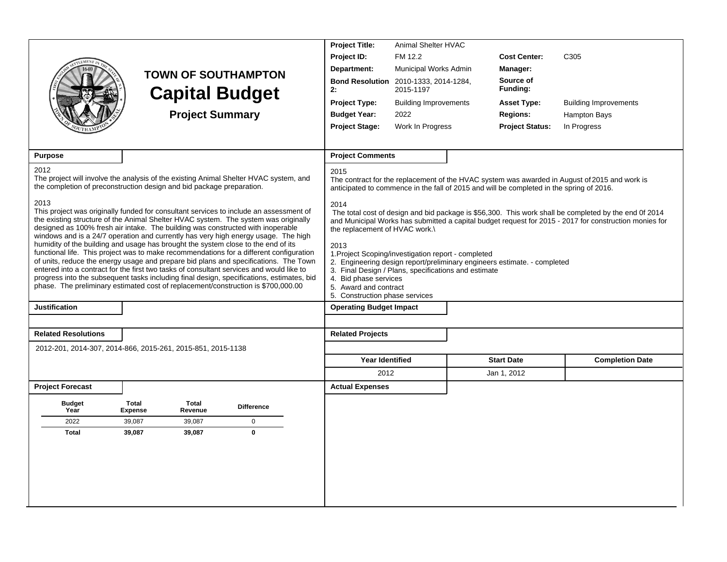|                            |                                                                                                                                                                                                                                                                                                                                                                                                                                                                                                                                                    | <b>Project Title:</b>                                                                                                                                                                                   | Animal Shelter HVAC          |                                                                                          |                                                                                                                                                                                                                 |
|----------------------------|----------------------------------------------------------------------------------------------------------------------------------------------------------------------------------------------------------------------------------------------------------------------------------------------------------------------------------------------------------------------------------------------------------------------------------------------------------------------------------------------------------------------------------------------------|---------------------------------------------------------------------------------------------------------------------------------------------------------------------------------------------------------|------------------------------|------------------------------------------------------------------------------------------|-----------------------------------------------------------------------------------------------------------------------------------------------------------------------------------------------------------------|
|                            |                                                                                                                                                                                                                                                                                                                                                                                                                                                                                                                                                    | Project ID:                                                                                                                                                                                             | FM 12.2                      | <b>Cost Center:</b>                                                                      | C <sub>305</sub>                                                                                                                                                                                                |
|                            | <b>TOWN OF SOUTHAMPTON</b>                                                                                                                                                                                                                                                                                                                                                                                                                                                                                                                         | Department:                                                                                                                                                                                             | Municipal Works Admin        | Manager:                                                                                 |                                                                                                                                                                                                                 |
|                            | <b>Capital Budget</b>                                                                                                                                                                                                                                                                                                                                                                                                                                                                                                                              | <b>Bond Resolution</b> 2010-1333, 2014-1284,<br>2:                                                                                                                                                      | 2015-1197                    | Source of<br>Funding:                                                                    |                                                                                                                                                                                                                 |
|                            |                                                                                                                                                                                                                                                                                                                                                                                                                                                                                                                                                    | <b>Project Type:</b>                                                                                                                                                                                    | <b>Building Improvements</b> | <b>Asset Type:</b>                                                                       | <b>Building Improvements</b>                                                                                                                                                                                    |
|                            | <b>Project Summary</b>                                                                                                                                                                                                                                                                                                                                                                                                                                                                                                                             | <b>Budget Year:</b>                                                                                                                                                                                     | 2022                         | <b>Regions:</b>                                                                          | <b>Hampton Bays</b>                                                                                                                                                                                             |
|                            |                                                                                                                                                                                                                                                                                                                                                                                                                                                                                                                                                    | <b>Project Stage:</b>                                                                                                                                                                                   | Work In Progress             | <b>Project Status:</b>                                                                   | In Progress                                                                                                                                                                                                     |
|                            |                                                                                                                                                                                                                                                                                                                                                                                                                                                                                                                                                    |                                                                                                                                                                                                         |                              |                                                                                          |                                                                                                                                                                                                                 |
| <b>Purpose</b>             |                                                                                                                                                                                                                                                                                                                                                                                                                                                                                                                                                    | <b>Project Comments</b>                                                                                                                                                                                 |                              |                                                                                          |                                                                                                                                                                                                                 |
| 2012                       | The project will involve the analysis of the existing Animal Shelter HVAC system, and<br>the completion of preconstruction design and bid package preparation.                                                                                                                                                                                                                                                                                                                                                                                     | 2015                                                                                                                                                                                                    |                              | anticipated to commence in the fall of 2015 and will be completed in the spring of 2016. | The contract for the replacement of the HVAC system was awarded in August of 2015 and work is                                                                                                                   |
| 2013                       | This project was originally funded for consultant services to include an assessment of<br>the existing structure of the Animal Shelter HVAC system. The system was originally<br>designed as 100% fresh air intake. The building was constructed with inoperable<br>windows and is a 24/7 operation and currently has very high energy usage. The high                                                                                                                                                                                             | 2014<br>the replacement of HVAC work.\                                                                                                                                                                  |                              |                                                                                          | The total cost of design and bid package is \$56,300. This work shall be completed by the end 0f 2014<br>and Municipal Works has submitted a capital budget request for 2015 - 2017 for construction monies for |
|                            | humidity of the building and usage has brought the system close to the end of its<br>functional life. This project was to make recommendations for a different configuration<br>of units, reduce the energy usage and prepare bid plans and specifications. The Town<br>entered into a contract for the first two tasks of consultant services and would like to<br>progress into the subsequent tasks including final design, specifications, estimates, bid<br>phase. The preliminary estimated cost of replacement/construction is \$700,000.00 | 2013<br>1. Project Scoping/investigation report - completed<br>3. Final Design / Plans, specifications and estimate<br>4. Bid phase services<br>5. Award and contract<br>5. Construction phase services |                              | 2. Engineering design report/preliminary engineers estimate. - completed                 |                                                                                                                                                                                                                 |
| <b>Justification</b>       |                                                                                                                                                                                                                                                                                                                                                                                                                                                                                                                                                    | <b>Operating Budget Impact</b>                                                                                                                                                                          |                              |                                                                                          |                                                                                                                                                                                                                 |
|                            |                                                                                                                                                                                                                                                                                                                                                                                                                                                                                                                                                    |                                                                                                                                                                                                         |                              |                                                                                          |                                                                                                                                                                                                                 |
| <b>Related Resolutions</b> |                                                                                                                                                                                                                                                                                                                                                                                                                                                                                                                                                    | <b>Related Projects</b>                                                                                                                                                                                 |                              |                                                                                          |                                                                                                                                                                                                                 |
|                            | 2012-201, 2014-307, 2014-866, 2015-261, 2015-851, 2015-1138                                                                                                                                                                                                                                                                                                                                                                                                                                                                                        |                                                                                                                                                                                                         |                              |                                                                                          |                                                                                                                                                                                                                 |
|                            |                                                                                                                                                                                                                                                                                                                                                                                                                                                                                                                                                    | Year Identified                                                                                                                                                                                         |                              | <b>Start Date</b>                                                                        | <b>Completion Date</b>                                                                                                                                                                                          |
|                            |                                                                                                                                                                                                                                                                                                                                                                                                                                                                                                                                                    | 2012                                                                                                                                                                                                    |                              | Jan 1, 2012                                                                              |                                                                                                                                                                                                                 |
| <b>Project Forecast</b>    |                                                                                                                                                                                                                                                                                                                                                                                                                                                                                                                                                    | <b>Actual Expenses</b>                                                                                                                                                                                  |                              |                                                                                          |                                                                                                                                                                                                                 |
| <b>Budget</b><br>Year      | <b>Total</b><br>Total<br><b>Difference</b><br><b>Expense</b><br>Revenue                                                                                                                                                                                                                                                                                                                                                                                                                                                                            |                                                                                                                                                                                                         |                              |                                                                                          |                                                                                                                                                                                                                 |
| 2022                       | 39,087<br>39,087<br>$\pmb{0}$                                                                                                                                                                                                                                                                                                                                                                                                                                                                                                                      |                                                                                                                                                                                                         |                              |                                                                                          |                                                                                                                                                                                                                 |
| <b>Total</b>               | $\bf{0}$<br>39,087<br>39,087                                                                                                                                                                                                                                                                                                                                                                                                                                                                                                                       |                                                                                                                                                                                                         |                              |                                                                                          |                                                                                                                                                                                                                 |
|                            |                                                                                                                                                                                                                                                                                                                                                                                                                                                                                                                                                    |                                                                                                                                                                                                         |                              |                                                                                          |                                                                                                                                                                                                                 |
|                            |                                                                                                                                                                                                                                                                                                                                                                                                                                                                                                                                                    |                                                                                                                                                                                                         |                              |                                                                                          |                                                                                                                                                                                                                 |
|                            |                                                                                                                                                                                                                                                                                                                                                                                                                                                                                                                                                    |                                                                                                                                                                                                         |                              |                                                                                          |                                                                                                                                                                                                                 |
|                            |                                                                                                                                                                                                                                                                                                                                                                                                                                                                                                                                                    |                                                                                                                                                                                                         |                              |                                                                                          |                                                                                                                                                                                                                 |
|                            |                                                                                                                                                                                                                                                                                                                                                                                                                                                                                                                                                    |                                                                                                                                                                                                         |                              |                                                                                          |                                                                                                                                                                                                                 |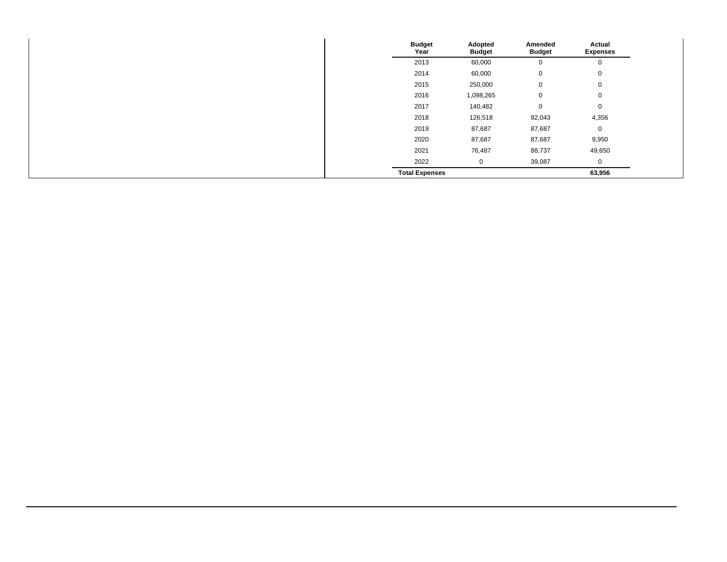| <b>Budget</b><br>Year | Adopted<br><b>Budget</b> | Amended<br><b>Budget</b> | Actual<br><b>Expenses</b> |
|-----------------------|--------------------------|--------------------------|---------------------------|
| 2013                  | 60,000                   | 0                        | 0                         |
| 2014                  | 60,000                   | 0                        | 0                         |
| 2015                  | 250,000                  | 0                        | $\mathbf 0$               |
| 2016                  | 1,098,265                | 0                        | $\mathbf 0$               |
| 2017                  | 140,482                  | 0                        | $\mathbf 0$               |
| 2018                  | 126,518                  | 92,043                   | 4,356                     |
| 2019                  | 87,687                   | 87,687                   | $\mathbf 0$               |
| 2020                  | 87,687                   | 87,687                   | 9,950                     |
| 2021                  | 76,487                   | 88,737                   | 49,650                    |
| 2022                  | 0                        | 39,087                   | 0                         |
| <b>Total Expenses</b> |                          |                          | 63,956                    |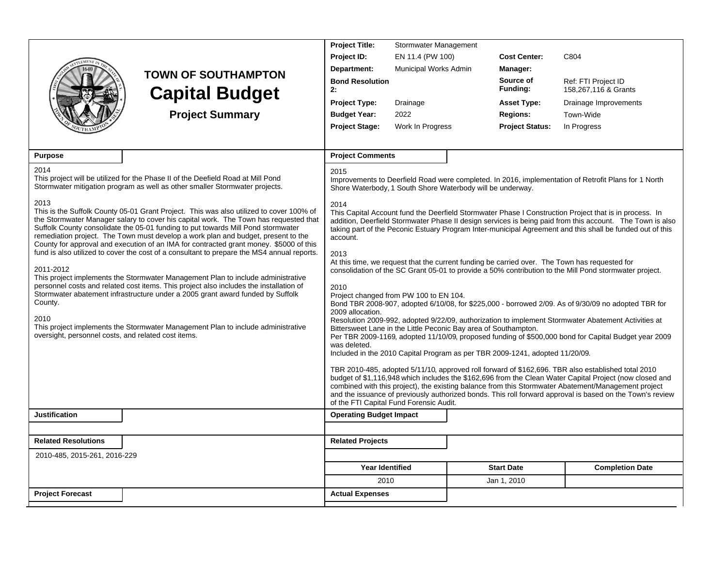|                                                                        |                                                                                                                                                                                                                                                                                                                                                                                                                                                    | <b>Project Title:</b>                                                                                                                 | Stormwater Management |                        |                                                                                                                                                                                                                                                                                                                                                                                                                                   |
|------------------------------------------------------------------------|----------------------------------------------------------------------------------------------------------------------------------------------------------------------------------------------------------------------------------------------------------------------------------------------------------------------------------------------------------------------------------------------------------------------------------------------------|---------------------------------------------------------------------------------------------------------------------------------------|-----------------------|------------------------|-----------------------------------------------------------------------------------------------------------------------------------------------------------------------------------------------------------------------------------------------------------------------------------------------------------------------------------------------------------------------------------------------------------------------------------|
|                                                                        |                                                                                                                                                                                                                                                                                                                                                                                                                                                    | Project ID:                                                                                                                           | EN 11.4 (PW 100)      | <b>Cost Center:</b>    | C804                                                                                                                                                                                                                                                                                                                                                                                                                              |
|                                                                        |                                                                                                                                                                                                                                                                                                                                                                                                                                                    | Department:                                                                                                                           | Municipal Works Admin | Manager:               |                                                                                                                                                                                                                                                                                                                                                                                                                                   |
|                                                                        | <b>TOWN OF SOUTHAMPTON</b><br><b>Capital Budget</b>                                                                                                                                                                                                                                                                                                                                                                                                | <b>Bond Resolution</b><br>2:                                                                                                          |                       | Source of<br>Funding:  | Ref: FTI Project ID<br>158,267,116 & Grants                                                                                                                                                                                                                                                                                                                                                                                       |
|                                                                        |                                                                                                                                                                                                                                                                                                                                                                                                                                                    | <b>Project Type:</b>                                                                                                                  | Drainage              | <b>Asset Type:</b>     | Drainage Improvements                                                                                                                                                                                                                                                                                                                                                                                                             |
|                                                                        | <b>Project Summary</b>                                                                                                                                                                                                                                                                                                                                                                                                                             | <b>Budget Year:</b>                                                                                                                   | 2022                  | <b>Regions:</b>        | Town-Wide                                                                                                                                                                                                                                                                                                                                                                                                                         |
|                                                                        |                                                                                                                                                                                                                                                                                                                                                                                                                                                    | <b>Project Stage:</b>                                                                                                                 | Work In Progress      | <b>Project Status:</b> | In Progress                                                                                                                                                                                                                                                                                                                                                                                                                       |
|                                                                        |                                                                                                                                                                                                                                                                                                                                                                                                                                                    |                                                                                                                                       |                       |                        |                                                                                                                                                                                                                                                                                                                                                                                                                                   |
| <b>Purpose</b>                                                         |                                                                                                                                                                                                                                                                                                                                                                                                                                                    | <b>Project Comments</b>                                                                                                               |                       |                        |                                                                                                                                                                                                                                                                                                                                                                                                                                   |
| 2014                                                                   |                                                                                                                                                                                                                                                                                                                                                                                                                                                    | 2015                                                                                                                                  |                       |                        |                                                                                                                                                                                                                                                                                                                                                                                                                                   |
|                                                                        | This project will be utilized for the Phase II of the Deefield Road at Mill Pond<br>Stormwater mitigation program as well as other smaller Stormwater projects.                                                                                                                                                                                                                                                                                    | Shore Waterbody, 1 South Shore Waterbody will be underway.                                                                            |                       |                        | Improvements to Deerfield Road were completed. In 2016, implementation of Retrofit Plans for 1 North                                                                                                                                                                                                                                                                                                                              |
| 2013                                                                   | This is the Suffolk County 05-01 Grant Project. This was also utilized to cover 100% of<br>the Stormwater Manager salary to cover his capital work. The Town has requested that<br>Suffolk County consolidate the 05-01 funding to put towards Mill Pond stormwater<br>remediation project. The Town must develop a work plan and budget, present to the<br>County for approval and execution of an IMA for contracted grant money. \$5000 of this | 2014<br>account.                                                                                                                      |                       |                        | This Capital Account fund the Deerfield Stormwater Phase I Construction Project that is in process. In<br>addition, Deerfield Stormwater Phase II design services is being paid from this account. The Town is also<br>taking part of the Peconic Estuary Program Inter-municipal Agreement and this shall be funded out of this                                                                                                  |
| 2011-2012                                                              | fund is also utilized to cover the cost of a consultant to prepare the MS4 annual reports.<br>This project implements the Stormwater Management Plan to include administrative                                                                                                                                                                                                                                                                     | 2013                                                                                                                                  |                       |                        | At this time, we request that the current funding be carried over. The Town has requested for<br>consolidation of the SC Grant 05-01 to provide a 50% contribution to the Mill Pond stormwater project.                                                                                                                                                                                                                           |
| County.<br>2010<br>oversight, personnel costs, and related cost items. | personnel costs and related cost items. This project also includes the installation of<br>Stormwater abatement infrastructure under a 2005 grant award funded by Suffolk<br>This project implements the Stormwater Management Plan to include administrative                                                                                                                                                                                       | 2010<br>Project changed from PW 100 to EN 104.<br>2009 allocation.<br>Bittersweet Lane in the Little Peconic Bay area of Southampton. |                       |                        | Bond TBR 2008-907, adopted 6/10/08, for \$225,000 - borrowed 2/09. As of 9/30/09 no adopted TBR for<br>Resolution 2009-992, adopted 9/22/09, authorization to implement Stormwater Abatement Activities at<br>Per TBR 2009-1169, adopted 11/10/09, proposed funding of \$500,000 bond for Capital Budget year 2009                                                                                                                |
|                                                                        |                                                                                                                                                                                                                                                                                                                                                                                                                                                    | was deleted.<br>Included in the 2010 Capital Program as per TBR 2009-1241, adopted 11/20/09.                                          |                       |                        |                                                                                                                                                                                                                                                                                                                                                                                                                                   |
|                                                                        |                                                                                                                                                                                                                                                                                                                                                                                                                                                    | of the FTI Capital Fund Forensic Audit.                                                                                               |                       |                        | TBR 2010-485, adopted 5/11/10, approved roll forward of \$162,696. TBR also established total 2010<br>budget of \$1,116,948 which includes the \$162,696 from the Clean Water Capital Project (now closed and<br>combined with this project), the existing balance from this Stormwater Abatement/Management project<br>and the issuance of previously authorized bonds. This roll forward approval is based on the Town's review |
| <b>Justification</b>                                                   |                                                                                                                                                                                                                                                                                                                                                                                                                                                    | <b>Operating Budget Impact</b>                                                                                                        |                       |                        |                                                                                                                                                                                                                                                                                                                                                                                                                                   |
|                                                                        |                                                                                                                                                                                                                                                                                                                                                                                                                                                    |                                                                                                                                       |                       |                        |                                                                                                                                                                                                                                                                                                                                                                                                                                   |
| <b>Related Resolutions</b>                                             |                                                                                                                                                                                                                                                                                                                                                                                                                                                    | <b>Related Projects</b>                                                                                                               |                       |                        |                                                                                                                                                                                                                                                                                                                                                                                                                                   |
| 2010-485, 2015-261, 2016-229                                           |                                                                                                                                                                                                                                                                                                                                                                                                                                                    |                                                                                                                                       |                       |                        |                                                                                                                                                                                                                                                                                                                                                                                                                                   |
|                                                                        |                                                                                                                                                                                                                                                                                                                                                                                                                                                    | <b>Year Identified</b>                                                                                                                |                       | <b>Start Date</b>      | <b>Completion Date</b>                                                                                                                                                                                                                                                                                                                                                                                                            |
|                                                                        |                                                                                                                                                                                                                                                                                                                                                                                                                                                    | 2010                                                                                                                                  |                       | Jan 1, 2010            |                                                                                                                                                                                                                                                                                                                                                                                                                                   |
| <b>Project Forecast</b>                                                |                                                                                                                                                                                                                                                                                                                                                                                                                                                    | <b>Actual Expenses</b>                                                                                                                |                       |                        |                                                                                                                                                                                                                                                                                                                                                                                                                                   |
|                                                                        |                                                                                                                                                                                                                                                                                                                                                                                                                                                    |                                                                                                                                       |                       |                        |                                                                                                                                                                                                                                                                                                                                                                                                                                   |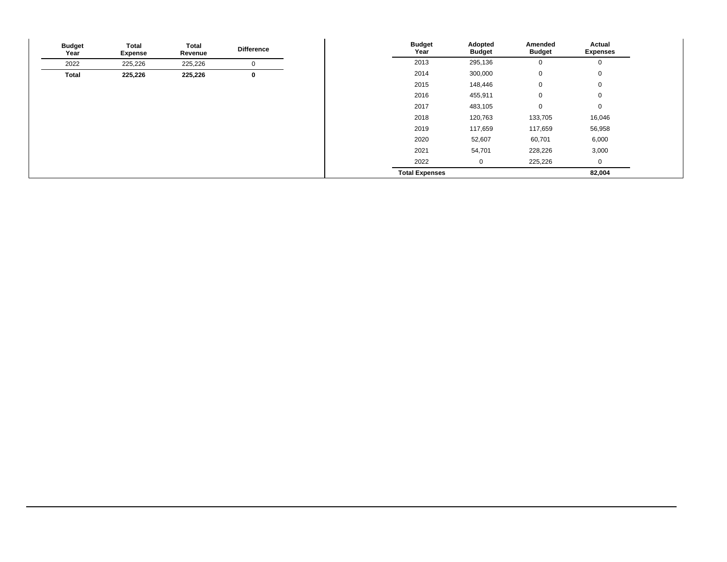| <b>Budget</b><br>Year | Total<br><b>Expense</b> | <b>Total</b><br>Revenue | <b>Difference</b> | <b>Budget</b><br>Year | Adopted<br><b>Budget</b> | Amended<br><b>Budget</b> | Actual<br><b>Expenses</b> |
|-----------------------|-------------------------|-------------------------|-------------------|-----------------------|--------------------------|--------------------------|---------------------------|
| 2022                  | 225,226                 | 225,226                 | 0                 | 2013                  | 295,136                  | $\mathbf 0$              | 0                         |
| Total                 | 225,226                 | 225,226                 | $\bf{0}$          | 2014                  | 300,000                  | 0                        | $\mathbf 0$               |
|                       |                         |                         |                   | 2015                  | 148,446                  | 0                        | $\mathbf 0$               |
|                       |                         |                         |                   | 2016                  | 455,911                  | 0                        | $\mathbf 0$               |
|                       |                         |                         |                   | 2017                  | 483,105                  | 0                        | $\mathbf 0$               |
|                       |                         |                         |                   | 2018                  | 120,763                  | 133,705                  | 16,046                    |
|                       |                         |                         |                   | 2019                  | 117,659                  | 117,659                  | 56,958                    |
|                       |                         |                         |                   | 2020                  | 52,607                   | 60,701                   | 6,000                     |
|                       |                         |                         |                   | 2021                  | 54,701                   | 228,226                  | 3,000                     |
|                       |                         |                         |                   | 2022                  | $\overline{0}$           | 225,226                  | 0                         |
|                       |                         |                         |                   | <b>Total Expenses</b> |                          |                          | 82,004                    |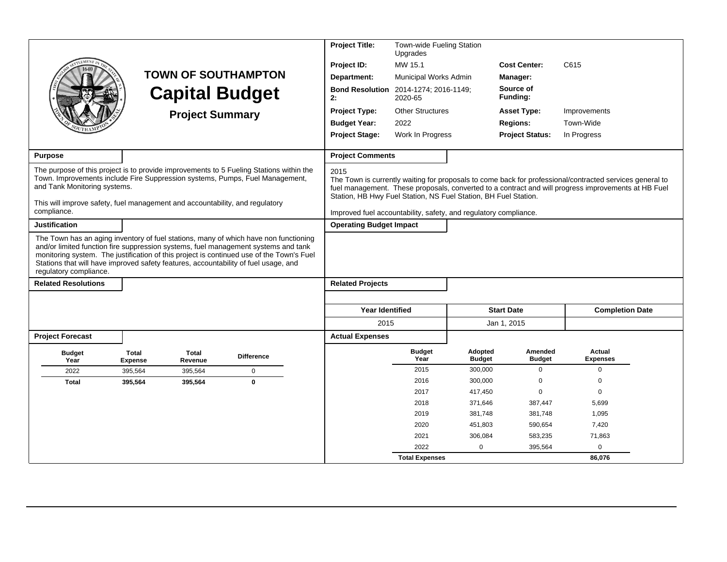|                                                                                                                                                                                                             | <b>Project Title:</b><br>Town-wide Fueling Station<br>Upgrades<br>MW 15.1<br>Project ID:<br><b>TOWN OF SOUTHAMPTON</b><br>Department:<br>Municipal Works Admin<br><b>Bond Resolution</b><br>2014-1274; 2016-1149;<br><b>Capital Budget</b><br>2:<br>2020-65 |                        |                                                                                                                                                                                                                                                                        |                                                                                                                                             |                         |                          | <b>Cost Center:</b><br><b>Manager:</b><br>Source of<br>Funding: | C615                                                                                                                                                                                                            |  |
|-------------------------------------------------------------------------------------------------------------------------------------------------------------------------------------------------------------|-------------------------------------------------------------------------------------------------------------------------------------------------------------------------------------------------------------------------------------------------------------|------------------------|------------------------------------------------------------------------------------------------------------------------------------------------------------------------------------------------------------------------------------------------------------------------|---------------------------------------------------------------------------------------------------------------------------------------------|-------------------------|--------------------------|-----------------------------------------------------------------|-----------------------------------------------------------------------------------------------------------------------------------------------------------------------------------------------------------------|--|
|                                                                                                                                                                                                             |                                                                                                                                                                                                                                                             | <b>Project Summary</b> |                                                                                                                                                                                                                                                                        | <b>Project Type:</b>                                                                                                                        | <b>Other Structures</b> |                          | <b>Asset Type:</b>                                              | Improvements                                                                                                                                                                                                    |  |
|                                                                                                                                                                                                             |                                                                                                                                                                                                                                                             |                        |                                                                                                                                                                                                                                                                        | <b>Budget Year:</b>                                                                                                                         | 2022                    |                          | <b>Regions:</b>                                                 | Town-Wide                                                                                                                                                                                                       |  |
|                                                                                                                                                                                                             |                                                                                                                                                                                                                                                             |                        |                                                                                                                                                                                                                                                                        | <b>Project Stage:</b>                                                                                                                       | Work In Progress        |                          | <b>Project Status:</b>                                          | In Progress                                                                                                                                                                                                     |  |
| <b>Purpose</b>                                                                                                                                                                                              |                                                                                                                                                                                                                                                             |                        |                                                                                                                                                                                                                                                                        | <b>Project Comments</b>                                                                                                                     |                         |                          |                                                                 |                                                                                                                                                                                                                 |  |
| Town. Improvements include Fire Suppression systems, Pumps, Fuel Management,<br>and Tank Monitoring systems.<br>This will improve safety, fuel management and accountability, and regulatory<br>compliance. |                                                                                                                                                                                                                                                             |                        | The purpose of this project is to provide improvements to 5 Fueling Stations within the                                                                                                                                                                                | 2015<br>Station, HB Hwy Fuel Station, NS Fuel Station, BH Fuel Station.<br>Improved fuel accountability, safety, and regulatory compliance. |                         |                          |                                                                 | The Town is currently waiting for proposals to come back for professional/contracted services general to<br>fuel management. These proposals, converted to a contract and will progress improvements at HB Fuel |  |
| <b>Justification</b>                                                                                                                                                                                        |                                                                                                                                                                                                                                                             |                        |                                                                                                                                                                                                                                                                        | <b>Operating Budget Impact</b>                                                                                                              |                         |                          |                                                                 |                                                                                                                                                                                                                 |  |
| Stations that will have improved safety features, accountability of fuel usage, and<br>regulatory compliance.<br><b>Related Resolutions</b>                                                                 |                                                                                                                                                                                                                                                             |                        | The Town has an aging inventory of fuel stations, many of which have non functioning<br>and/or limited function fire suppression systems, fuel management systems and tank<br>monitoring system. The justification of this project is continued use of the Town's Fuel | <b>Related Projects</b>                                                                                                                     |                         |                          |                                                                 |                                                                                                                                                                                                                 |  |
|                                                                                                                                                                                                             |                                                                                                                                                                                                                                                             |                        |                                                                                                                                                                                                                                                                        |                                                                                                                                             |                         |                          |                                                                 |                                                                                                                                                                                                                 |  |
|                                                                                                                                                                                                             |                                                                                                                                                                                                                                                             |                        |                                                                                                                                                                                                                                                                        | <b>Year Identified</b>                                                                                                                      |                         |                          | <b>Start Date</b>                                               | <b>Completion Date</b>                                                                                                                                                                                          |  |
|                                                                                                                                                                                                             |                                                                                                                                                                                                                                                             |                        |                                                                                                                                                                                                                                                                        | 2015                                                                                                                                        |                         |                          | Jan 1, 2015                                                     |                                                                                                                                                                                                                 |  |
| <b>Project Forecast</b>                                                                                                                                                                                     |                                                                                                                                                                                                                                                             |                        |                                                                                                                                                                                                                                                                        | <b>Actual Expenses</b>                                                                                                                      |                         |                          |                                                                 |                                                                                                                                                                                                                 |  |
| <b>Budget</b><br>Year                                                                                                                                                                                       | <b>Total</b><br><b>Expense</b>                                                                                                                                                                                                                              | Total<br>Revenue       | <b>Difference</b>                                                                                                                                                                                                                                                      |                                                                                                                                             | <b>Budget</b><br>Year   | Adopted<br><b>Budget</b> | Amended<br><b>Budget</b>                                        | Actual<br><b>Expenses</b>                                                                                                                                                                                       |  |
| 2022                                                                                                                                                                                                        | 395,564                                                                                                                                                                                                                                                     | 395,564                | $\mathbf 0$                                                                                                                                                                                                                                                            |                                                                                                                                             | 2015                    | 300,000                  | $\mathbf 0$                                                     | $\mathbf 0$                                                                                                                                                                                                     |  |
| <b>Total</b>                                                                                                                                                                                                | 395,564                                                                                                                                                                                                                                                     | 395,564                | $\mathbf{0}$                                                                                                                                                                                                                                                           |                                                                                                                                             | 2016                    | 300,000                  | 0                                                               | $\mathbf 0$                                                                                                                                                                                                     |  |
|                                                                                                                                                                                                             |                                                                                                                                                                                                                                                             |                        |                                                                                                                                                                                                                                                                        |                                                                                                                                             | 2017                    | 417,450                  | $\mathbf 0$                                                     | $\mathbf 0$                                                                                                                                                                                                     |  |
|                                                                                                                                                                                                             |                                                                                                                                                                                                                                                             |                        |                                                                                                                                                                                                                                                                        |                                                                                                                                             | 2018                    | 371,646                  | 387,447                                                         | 5,699                                                                                                                                                                                                           |  |
|                                                                                                                                                                                                             |                                                                                                                                                                                                                                                             |                        |                                                                                                                                                                                                                                                                        |                                                                                                                                             | 2019                    | 381,748                  | 381,748                                                         | 1,095                                                                                                                                                                                                           |  |
|                                                                                                                                                                                                             |                                                                                                                                                                                                                                                             |                        |                                                                                                                                                                                                                                                                        |                                                                                                                                             | 2020                    | 451,803                  | 590,654                                                         | 7,420                                                                                                                                                                                                           |  |
|                                                                                                                                                                                                             |                                                                                                                                                                                                                                                             |                        |                                                                                                                                                                                                                                                                        |                                                                                                                                             | 2021                    | 306,084                  | 583,235                                                         | 71,863                                                                                                                                                                                                          |  |
|                                                                                                                                                                                                             |                                                                                                                                                                                                                                                             |                        |                                                                                                                                                                                                                                                                        |                                                                                                                                             | 2022                    | $\mathbf 0$              | 395,564                                                         | 0                                                                                                                                                                                                               |  |
|                                                                                                                                                                                                             |                                                                                                                                                                                                                                                             |                        |                                                                                                                                                                                                                                                                        |                                                                                                                                             | <b>Total Expenses</b>   |                          |                                                                 | 86.076                                                                                                                                                                                                          |  |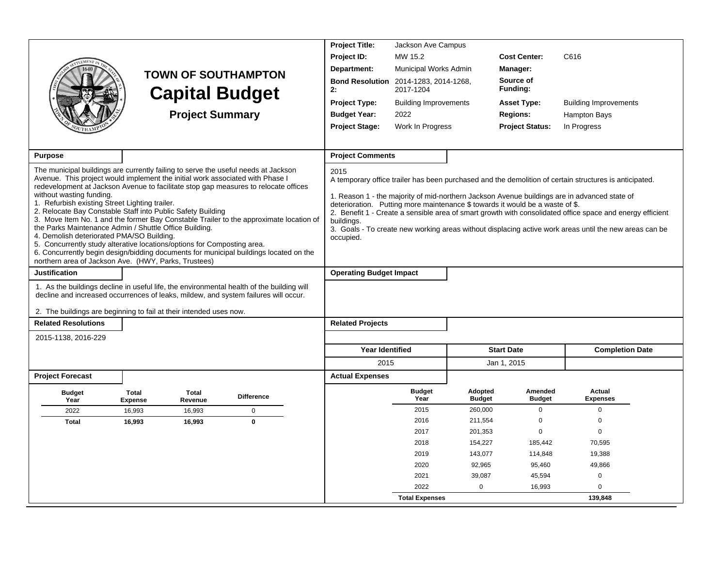|                                                                                                                      |                                |                         |                                                                                           | <b>Project Title:</b>          | Jackson Ave Campus                 |                          |                                                                               |                                                                                                           |  |
|----------------------------------------------------------------------------------------------------------------------|--------------------------------|-------------------------|-------------------------------------------------------------------------------------------|--------------------------------|------------------------------------|--------------------------|-------------------------------------------------------------------------------|-----------------------------------------------------------------------------------------------------------|--|
|                                                                                                                      |                                |                         |                                                                                           | Project ID:                    | MW 15.2                            |                          | <b>Cost Center:</b>                                                           | C616                                                                                                      |  |
|                                                                                                                      |                                |                         |                                                                                           | Department:                    | Municipal Works Admin              |                          | Manager:                                                                      |                                                                                                           |  |
|                                                                                                                      |                                |                         | <b>TOWN OF SOUTHAMPTON</b><br><b>Capital Budget</b>                                       | <b>Bond Resolution</b><br>2:   | 2014-1283, 2014-1268,<br>2017-1204 |                          | Source of<br>Funding:                                                         |                                                                                                           |  |
|                                                                                                                      |                                |                         |                                                                                           | <b>Project Type:</b>           | <b>Building Improvements</b>       |                          | <b>Asset Type:</b>                                                            | <b>Building Improvements</b>                                                                              |  |
|                                                                                                                      |                                | <b>Project Summary</b>  |                                                                                           | <b>Budget Year:</b>            | 2022                               |                          | <b>Regions:</b>                                                               | Hampton Bays                                                                                              |  |
|                                                                                                                      |                                |                         |                                                                                           | <b>Project Stage:</b>          | Work In Progress                   |                          | <b>Project Status:</b>                                                        | In Progress                                                                                               |  |
|                                                                                                                      |                                |                         |                                                                                           |                                |                                    |                          |                                                                               |                                                                                                           |  |
| <b>Purpose</b>                                                                                                       |                                |                         |                                                                                           | <b>Project Comments</b>        |                                    |                          |                                                                               |                                                                                                           |  |
| The municipal buildings are currently failing to serve the useful needs at Jackson                                   |                                |                         |                                                                                           | 2015                           |                                    |                          |                                                                               |                                                                                                           |  |
| Avenue. This project would implement the initial work associated with Phase I                                        |                                |                         |                                                                                           |                                |                                    |                          |                                                                               | A temporary office trailer has been purchased and the demolition of certain structures is anticipated.    |  |
| without wasting funding.                                                                                             |                                |                         | redevelopment at Jackson Avenue to facilitate stop gap measures to relocate offices       |                                |                                    |                          |                                                                               | 1. Reason 1 - the majority of mid-northern Jackson Avenue buildings are in advanced state of              |  |
| 1. Refurbish existing Street Lighting trailer.                                                                       |                                |                         |                                                                                           |                                |                                    |                          | deterioration. Putting more maintenance \$ towards it would be a waste of \$. |                                                                                                           |  |
| 2. Relocate Bay Constable Staff into Public Safety Building                                                          |                                |                         | 3. Move Item No. 1 and the former Bay Constable Trailer to the approximate location of    | buildings.                     |                                    |                          |                                                                               | 2. Benefit 1 - Create a sensible area of smart growth with consolidated office space and energy efficient |  |
| the Parks Maintenance Admin / Shuttle Office Building.                                                               |                                |                         |                                                                                           |                                |                                    |                          |                                                                               | 3. Goals - To create new working areas without displacing active work areas until the new areas can be    |  |
| 4. Demolish deteriorated PMA/SO Building.<br>5. Concurrently study alterative locations/options for Composting area. |                                |                         |                                                                                           | occupied.                      |                                    |                          |                                                                               |                                                                                                           |  |
|                                                                                                                      |                                |                         | 6. Concurrently begin design/bidding documents for municipal buildings located on the     |                                |                                    |                          |                                                                               |                                                                                                           |  |
| northern area of Jackson Ave. (HWY, Parks, Trustees)<br><b>Justification</b>                                         |                                |                         |                                                                                           | <b>Operating Budget Impact</b> |                                    |                          |                                                                               |                                                                                                           |  |
|                                                                                                                      |                                |                         |                                                                                           |                                |                                    |                          |                                                                               |                                                                                                           |  |
| decline and increased occurrences of leaks, mildew, and system failures will occur.                                  |                                |                         | 1. As the buildings decline in useful life, the environmental health of the building will |                                |                                    |                          |                                                                               |                                                                                                           |  |
| 2. The buildings are beginning to fail at their intended uses now.                                                   |                                |                         |                                                                                           |                                |                                    |                          |                                                                               |                                                                                                           |  |
| <b>Related Resolutions</b>                                                                                           |                                |                         |                                                                                           | <b>Related Projects</b>        |                                    |                          |                                                                               |                                                                                                           |  |
| 2015-1138, 2016-229                                                                                                  |                                |                         |                                                                                           |                                |                                    |                          |                                                                               |                                                                                                           |  |
|                                                                                                                      |                                |                         |                                                                                           | <b>Year Identified</b>         |                                    |                          | <b>Start Date</b>                                                             | <b>Completion Date</b>                                                                                    |  |
|                                                                                                                      |                                |                         |                                                                                           | 2015                           |                                    |                          | Jan 1, 2015                                                                   |                                                                                                           |  |
| <b>Project Forecast</b>                                                                                              |                                |                         |                                                                                           | <b>Actual Expenses</b>         |                                    |                          |                                                                               |                                                                                                           |  |
| <b>Budget</b><br>Year                                                                                                | <b>Total</b><br><b>Expense</b> | <b>Total</b><br>Revenue | <b>Difference</b>                                                                         |                                | <b>Budget</b><br>Year              | Adopted<br><b>Budget</b> | Amended<br><b>Budget</b>                                                      | Actual<br><b>Expenses</b>                                                                                 |  |
| 2022                                                                                                                 | 16,993                         | 16,993                  | $\mathbf 0$                                                                               |                                | 2015                               | 260,000                  | $\mathbf 0$                                                                   | $\mathbf 0$                                                                                               |  |
| <b>Total</b>                                                                                                         | 16,993                         | 16,993                  | $\mathbf{0}$                                                                              |                                | 2016                               | 211,554                  | $\mathbf 0$                                                                   | $\Omega$                                                                                                  |  |
|                                                                                                                      |                                |                         |                                                                                           |                                | 2017                               | 201,353                  | $\Omega$                                                                      | $\mathbf 0$                                                                                               |  |
|                                                                                                                      |                                |                         |                                                                                           |                                | 2018                               | 154,227                  | 185,442                                                                       | 70,595                                                                                                    |  |
|                                                                                                                      |                                |                         |                                                                                           |                                | 2019                               | 143,077                  | 114,848                                                                       | 19,388                                                                                                    |  |
|                                                                                                                      |                                |                         |                                                                                           |                                | 2020                               | 92,965                   | 95,460                                                                        | 49,866                                                                                                    |  |
|                                                                                                                      |                                |                         |                                                                                           |                                | 2021<br>2022                       | 39,087<br>0              | 45,594<br>16,993                                                              | $\mathbf 0$<br>$\Omega$                                                                                   |  |
|                                                                                                                      |                                |                         |                                                                                           |                                | <b>Total Expenses</b>              |                          |                                                                               | 139,848                                                                                                   |  |
|                                                                                                                      |                                |                         |                                                                                           |                                |                                    |                          |                                                                               |                                                                                                           |  |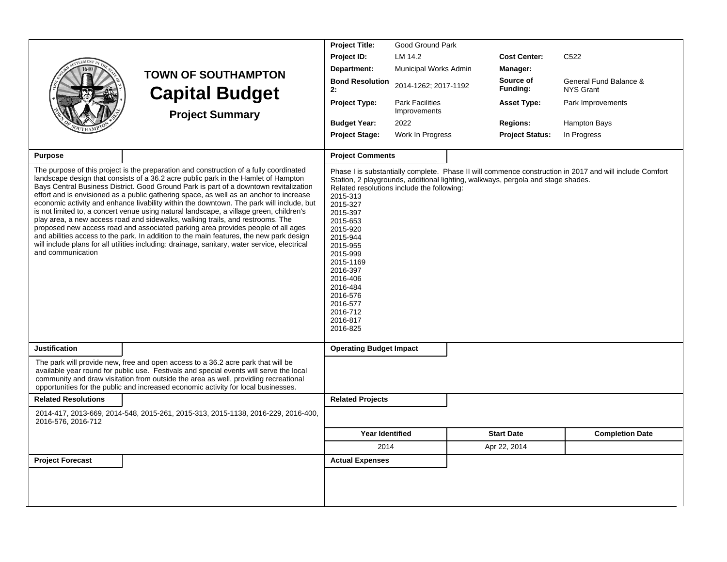|                            |                                                                                                                                                                                                                                                                                                                                                                                                                                                                                                                                                                                                                                                                                                                                                                                                                                                                                                                          | <b>Project Title:</b>                                                                                                                                                                                     | Good Ground Park                                                                                                               |                        |                                                                                                         |
|----------------------------|--------------------------------------------------------------------------------------------------------------------------------------------------------------------------------------------------------------------------------------------------------------------------------------------------------------------------------------------------------------------------------------------------------------------------------------------------------------------------------------------------------------------------------------------------------------------------------------------------------------------------------------------------------------------------------------------------------------------------------------------------------------------------------------------------------------------------------------------------------------------------------------------------------------------------|-----------------------------------------------------------------------------------------------------------------------------------------------------------------------------------------------------------|--------------------------------------------------------------------------------------------------------------------------------|------------------------|---------------------------------------------------------------------------------------------------------|
|                            |                                                                                                                                                                                                                                                                                                                                                                                                                                                                                                                                                                                                                                                                                                                                                                                                                                                                                                                          | Project ID:                                                                                                                                                                                               | LM 14.2                                                                                                                        | <b>Cost Center:</b>    | C <sub>522</sub>                                                                                        |
|                            | <b>TOWN OF SOUTHAMPTON</b>                                                                                                                                                                                                                                                                                                                                                                                                                                                                                                                                                                                                                                                                                                                                                                                                                                                                                               | Department:                                                                                                                                                                                               | Municipal Works Admin                                                                                                          | Manager:               |                                                                                                         |
|                            | <b>Capital Budget</b>                                                                                                                                                                                                                                                                                                                                                                                                                                                                                                                                                                                                                                                                                                                                                                                                                                                                                                    | <b>Bond Resolution</b><br>2:                                                                                                                                                                              | 2014-1262; 2017-1192                                                                                                           | Source of<br>Funding:  | General Fund Balance &<br><b>NYS Grant</b>                                                              |
|                            | <b>Project Summary</b>                                                                                                                                                                                                                                                                                                                                                                                                                                                                                                                                                                                                                                                                                                                                                                                                                                                                                                   | <b>Project Type:</b>                                                                                                                                                                                      | <b>Park Facilities</b><br>Improvements                                                                                         | <b>Asset Type:</b>     | Park Improvements                                                                                       |
|                            |                                                                                                                                                                                                                                                                                                                                                                                                                                                                                                                                                                                                                                                                                                                                                                                                                                                                                                                          | <b>Budget Year:</b>                                                                                                                                                                                       | 2022                                                                                                                           | <b>Regions:</b>        | Hampton Bays                                                                                            |
|                            |                                                                                                                                                                                                                                                                                                                                                                                                                                                                                                                                                                                                                                                                                                                                                                                                                                                                                                                          | <b>Project Stage:</b>                                                                                                                                                                                     | Work In Progress                                                                                                               | <b>Project Status:</b> | In Progress                                                                                             |
|                            |                                                                                                                                                                                                                                                                                                                                                                                                                                                                                                                                                                                                                                                                                                                                                                                                                                                                                                                          |                                                                                                                                                                                                           |                                                                                                                                |                        |                                                                                                         |
| <b>Purpose</b>             |                                                                                                                                                                                                                                                                                                                                                                                                                                                                                                                                                                                                                                                                                                                                                                                                                                                                                                                          | <b>Project Comments</b>                                                                                                                                                                                   |                                                                                                                                |                        |                                                                                                         |
| and communication          | The purpose of this project is the preparation and construction of a fully coordinated<br>landscape design that consists of a 36.2 acre public park in the Hamlet of Hampton<br>Bays Central Business District. Good Ground Park is part of a downtown revitalization<br>effort and is envisioned as a public gathering space, as well as an anchor to increase<br>economic activity and enhance livability within the downtown. The park will include, but<br>is not limited to, a concert venue using natural landscape, a village green, children's<br>play area, a new access road and sidewalks, walking trails, and restrooms. The<br>proposed new access road and associated parking area provides people of all ages<br>and abilities access to the park. In addition to the main features, the new park design<br>will include plans for all utilities including: drainage, sanitary, water service, electrical | 2015-313<br>2015-327<br>2015-397<br>2015-653<br>2015-920<br>2015-944<br>2015-955<br>2015-999<br>2015-1169<br>2016-397<br>2016-406<br>2016-484<br>2016-576<br>2016-577<br>2016-712<br>2016-817<br>2016-825 | Station, 2 playgrounds, additional lighting, walkways, pergola and stage shades.<br>Related resolutions include the following: |                        | Phase I is substantially complete. Phase II will commence construction in 2017 and will include Comfort |
| <b>Justification</b>       |                                                                                                                                                                                                                                                                                                                                                                                                                                                                                                                                                                                                                                                                                                                                                                                                                                                                                                                          | <b>Operating Budget Impact</b>                                                                                                                                                                            |                                                                                                                                |                        |                                                                                                         |
|                            | The park will provide new, free and open access to a 36.2 acre park that will be<br>available year round for public use. Festivals and special events will serve the local<br>community and draw visitation from outside the area as well, providing recreational<br>opportunities for the public and increased economic activity for local businesses.                                                                                                                                                                                                                                                                                                                                                                                                                                                                                                                                                                  |                                                                                                                                                                                                           |                                                                                                                                |                        |                                                                                                         |
| <b>Related Resolutions</b> |                                                                                                                                                                                                                                                                                                                                                                                                                                                                                                                                                                                                                                                                                                                                                                                                                                                                                                                          | <b>Related Projects</b>                                                                                                                                                                                   |                                                                                                                                |                        |                                                                                                         |
| 2016-576, 2016-712         | 2014-417, 2013-669, 2014-548, 2015-261, 2015-313, 2015-1138, 2016-229, 2016-400,                                                                                                                                                                                                                                                                                                                                                                                                                                                                                                                                                                                                                                                                                                                                                                                                                                         |                                                                                                                                                                                                           |                                                                                                                                |                        |                                                                                                         |
|                            |                                                                                                                                                                                                                                                                                                                                                                                                                                                                                                                                                                                                                                                                                                                                                                                                                                                                                                                          | <b>Year Identified</b>                                                                                                                                                                                    |                                                                                                                                | <b>Start Date</b>      | <b>Completion Date</b>                                                                                  |
|                            |                                                                                                                                                                                                                                                                                                                                                                                                                                                                                                                                                                                                                                                                                                                                                                                                                                                                                                                          | 2014                                                                                                                                                                                                      |                                                                                                                                | Apr 22, 2014           |                                                                                                         |
| <b>Project Forecast</b>    |                                                                                                                                                                                                                                                                                                                                                                                                                                                                                                                                                                                                                                                                                                                                                                                                                                                                                                                          | <b>Actual Expenses</b>                                                                                                                                                                                    |                                                                                                                                |                        |                                                                                                         |
|                            |                                                                                                                                                                                                                                                                                                                                                                                                                                                                                                                                                                                                                                                                                                                                                                                                                                                                                                                          |                                                                                                                                                                                                           |                                                                                                                                |                        |                                                                                                         |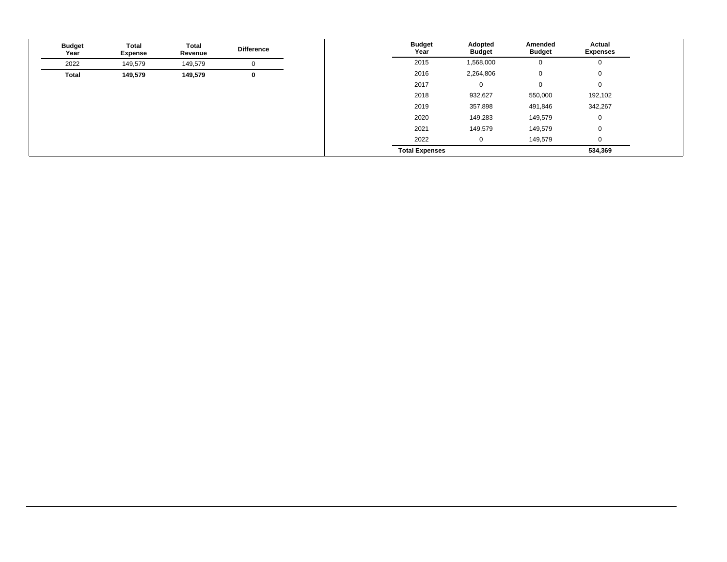| <b>Budget</b><br>Year | <b>Total</b><br><b>Expense</b> | <b>Total</b><br>Revenue | <b>Difference</b> | <b>Budget</b><br>Year | Adopted<br><b>Budget</b> | Amended<br><b>Budget</b> | <b>Actual</b><br><b>Expenses</b> |
|-----------------------|--------------------------------|-------------------------|-------------------|-----------------------|--------------------------|--------------------------|----------------------------------|
| 2022                  | 149,579                        | 149,579                 | v                 | 2015                  | 1,568,000                | 0                        |                                  |
| <b>Total</b>          | 149,579                        | 149,579                 | 0                 | 2016                  | 2,264,806                | 0                        | $\mathbf 0$                      |
|                       |                                |                         |                   | 2017                  | 0                        | 0                        | $\mathbf 0$                      |
|                       |                                |                         |                   | 2018                  | 932,627                  | 550,000                  | 192,102                          |
|                       |                                |                         |                   | 2019                  | 357,898                  | 491,846                  | 342,267                          |
|                       |                                |                         |                   | 2020                  | 149,283                  | 149,579                  | $\mathbf 0$                      |
|                       |                                |                         |                   | 2021                  | 149,579                  | 149,579                  | $\mathbf 0$                      |
|                       |                                |                         |                   | 2022                  | 0                        | 149,579                  | $\Omega$                         |
|                       |                                |                         |                   | <b>Total Expenses</b> |                          |                          | 534,369                          |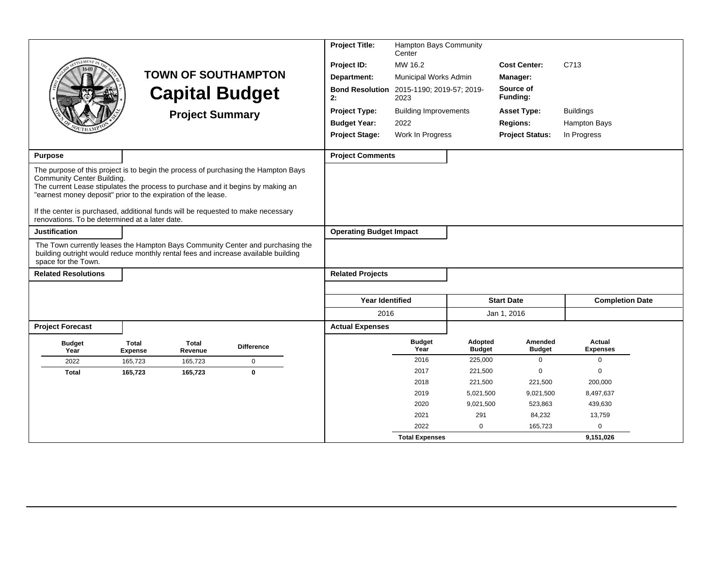|                                                                                                                                                                                                                                                                                                                                                                                                            | <b>TOWN OF SOUTHAMPTON</b><br><b>Capital Budget</b><br><b>Project Summary</b> |                  | <b>Project Title:</b><br>Project ID:<br>Department:<br><b>Bond Resolution</b><br>2:<br><b>Project Type:</b><br><b>Budget Year:</b> | Hampton Bays Community<br>Center<br>MW 16.2<br>Municipal Works Admin<br>2015-1190; 2019-57; 2019-<br>2023<br><b>Building Improvements</b><br>2022 |                                | <b>Cost Center:</b><br>Manager:<br>Source of<br>Funding:<br><b>Asset Type:</b><br><b>Regions:</b> | C713<br><b>Buildings</b><br><b>Hampton Bays</b> |                          |                           |  |
|------------------------------------------------------------------------------------------------------------------------------------------------------------------------------------------------------------------------------------------------------------------------------------------------------------------------------------------------------------------------------------------------------------|-------------------------------------------------------------------------------|------------------|------------------------------------------------------------------------------------------------------------------------------------|---------------------------------------------------------------------------------------------------------------------------------------------------|--------------------------------|---------------------------------------------------------------------------------------------------|-------------------------------------------------|--------------------------|---------------------------|--|
|                                                                                                                                                                                                                                                                                                                                                                                                            |                                                                               |                  |                                                                                                                                    |                                                                                                                                                   | <b>Project Stage:</b>          | Work In Progress                                                                                  |                                                 | <b>Project Status:</b>   | In Progress               |  |
| <b>Purpose</b>                                                                                                                                                                                                                                                                                                                                                                                             |                                                                               |                  |                                                                                                                                    |                                                                                                                                                   | <b>Project Comments</b>        |                                                                                                   |                                                 |                          |                           |  |
| The purpose of this project is to begin the process of purchasing the Hampton Bays<br>Community Center Building.<br>The current Lease stipulates the process to purchase and it begins by making an<br>"earnest money deposit" prior to the expiration of the lease.<br>If the center is purchased, additional funds will be requested to make necessary<br>renovations. To be determined at a later date. |                                                                               |                  |                                                                                                                                    |                                                                                                                                                   |                                |                                                                                                   |                                                 |                          |                           |  |
| <b>Justification</b>                                                                                                                                                                                                                                                                                                                                                                                       |                                                                               |                  |                                                                                                                                    |                                                                                                                                                   | <b>Operating Budget Impact</b> |                                                                                                   |                                                 |                          |                           |  |
| The Town currently leases the Hampton Bays Community Center and purchasing the<br>building outright would reduce monthly rental fees and increase available building<br>space for the Town.                                                                                                                                                                                                                |                                                                               |                  |                                                                                                                                    |                                                                                                                                                   |                                |                                                                                                   |                                                 |                          |                           |  |
| <b>Related Resolutions</b>                                                                                                                                                                                                                                                                                                                                                                                 |                                                                               |                  |                                                                                                                                    |                                                                                                                                                   | <b>Related Projects</b>        |                                                                                                   |                                                 |                          |                           |  |
|                                                                                                                                                                                                                                                                                                                                                                                                            |                                                                               |                  |                                                                                                                                    |                                                                                                                                                   | <b>Year Identified</b>         |                                                                                                   |                                                 | <b>Start Date</b>        | <b>Completion Date</b>    |  |
|                                                                                                                                                                                                                                                                                                                                                                                                            |                                                                               |                  |                                                                                                                                    |                                                                                                                                                   | 2016                           |                                                                                                   |                                                 | Jan 1, 2016              |                           |  |
| <b>Project Forecast</b>                                                                                                                                                                                                                                                                                                                                                                                    |                                                                               |                  |                                                                                                                                    |                                                                                                                                                   | <b>Actual Expenses</b>         |                                                                                                   |                                                 |                          |                           |  |
| <b>Budget</b><br>Year                                                                                                                                                                                                                                                                                                                                                                                      | Total<br><b>Expense</b>                                                       | Total<br>Revenue | <b>Difference</b>                                                                                                                  |                                                                                                                                                   |                                | <b>Budget</b><br>Year                                                                             | Adopted<br><b>Budget</b>                        | Amended<br><b>Budget</b> | Actual<br><b>Expenses</b> |  |
| 2022                                                                                                                                                                                                                                                                                                                                                                                                       | 165.723                                                                       | 165,723          | $\mathbf 0$                                                                                                                        |                                                                                                                                                   |                                | 2016                                                                                              | 225,000                                         | $\mathbf 0$              | $\mathbf 0$               |  |
| <b>Total</b>                                                                                                                                                                                                                                                                                                                                                                                               | 165,723                                                                       | 165,723          | $\mathbf{0}$                                                                                                                       |                                                                                                                                                   |                                | 2017                                                                                              | 221,500                                         | $\mathbf 0$              | $\mathbf 0$               |  |
|                                                                                                                                                                                                                                                                                                                                                                                                            |                                                                               |                  |                                                                                                                                    |                                                                                                                                                   |                                | 2018                                                                                              | 221,500                                         | 221,500                  | 200,000                   |  |
|                                                                                                                                                                                                                                                                                                                                                                                                            |                                                                               |                  |                                                                                                                                    |                                                                                                                                                   |                                | 2019                                                                                              | 5,021,500                                       | 9,021,500                | 8,497,637                 |  |
|                                                                                                                                                                                                                                                                                                                                                                                                            |                                                                               |                  |                                                                                                                                    |                                                                                                                                                   |                                | 2020                                                                                              | 9,021,500                                       | 523,863                  | 439,630                   |  |
|                                                                                                                                                                                                                                                                                                                                                                                                            |                                                                               |                  |                                                                                                                                    |                                                                                                                                                   |                                | 2021                                                                                              | 291                                             | 84,232                   | 13,759                    |  |
|                                                                                                                                                                                                                                                                                                                                                                                                            |                                                                               |                  |                                                                                                                                    |                                                                                                                                                   |                                | 2022                                                                                              | $\mathbf 0$                                     | 165,723                  | $\mathbf 0$               |  |
|                                                                                                                                                                                                                                                                                                                                                                                                            |                                                                               |                  |                                                                                                                                    |                                                                                                                                                   |                                | <b>Total Expenses</b>                                                                             |                                                 |                          | 9,151,026                 |  |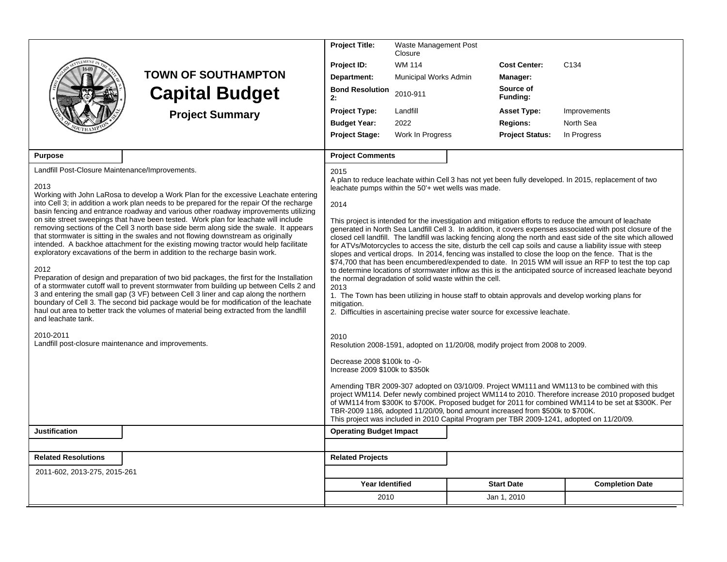|                                                                                       |                                                                                                                                                                                                                                                                                                                                                                                                                                                                                                                                                                                                                                                                                                                                                                                                                                                                                                                                                                                                                                                                                                                                                                                     | <b>Project Title:</b>                                                                                                                               | Waste Management Post<br>Closure |  |                                                                               |                                                                                                                                                                                                                                                                                                                                                                                                                                                                                                                                                                                                                                                                                                                                                                                                                                                                                                                                                                                                  |  |
|---------------------------------------------------------------------------------------|-------------------------------------------------------------------------------------------------------------------------------------------------------------------------------------------------------------------------------------------------------------------------------------------------------------------------------------------------------------------------------------------------------------------------------------------------------------------------------------------------------------------------------------------------------------------------------------------------------------------------------------------------------------------------------------------------------------------------------------------------------------------------------------------------------------------------------------------------------------------------------------------------------------------------------------------------------------------------------------------------------------------------------------------------------------------------------------------------------------------------------------------------------------------------------------|-----------------------------------------------------------------------------------------------------------------------------------------------------|----------------------------------|--|-------------------------------------------------------------------------------|--------------------------------------------------------------------------------------------------------------------------------------------------------------------------------------------------------------------------------------------------------------------------------------------------------------------------------------------------------------------------------------------------------------------------------------------------------------------------------------------------------------------------------------------------------------------------------------------------------------------------------------------------------------------------------------------------------------------------------------------------------------------------------------------------------------------------------------------------------------------------------------------------------------------------------------------------------------------------------------------------|--|
|                                                                                       |                                                                                                                                                                                                                                                                                                                                                                                                                                                                                                                                                                                                                                                                                                                                                                                                                                                                                                                                                                                                                                                                                                                                                                                     | Project ID:                                                                                                                                         | <b>WM 114</b>                    |  | <b>Cost Center:</b>                                                           | C <sub>134</sub>                                                                                                                                                                                                                                                                                                                                                                                                                                                                                                                                                                                                                                                                                                                                                                                                                                                                                                                                                                                 |  |
|                                                                                       | <b>TOWN OF SOUTHAMPTON</b>                                                                                                                                                                                                                                                                                                                                                                                                                                                                                                                                                                                                                                                                                                                                                                                                                                                                                                                                                                                                                                                                                                                                                          | Department:                                                                                                                                         | Municipal Works Admin            |  | Manager:                                                                      |                                                                                                                                                                                                                                                                                                                                                                                                                                                                                                                                                                                                                                                                                                                                                                                                                                                                                                                                                                                                  |  |
|                                                                                       | <b>Capital Budget</b>                                                                                                                                                                                                                                                                                                                                                                                                                                                                                                                                                                                                                                                                                                                                                                                                                                                                                                                                                                                                                                                                                                                                                               | <b>Bond Resolution</b><br>2:                                                                                                                        | 2010-911                         |  | Source of<br>Funding:                                                         |                                                                                                                                                                                                                                                                                                                                                                                                                                                                                                                                                                                                                                                                                                                                                                                                                                                                                                                                                                                                  |  |
|                                                                                       | <b>Project Summary</b>                                                                                                                                                                                                                                                                                                                                                                                                                                                                                                                                                                                                                                                                                                                                                                                                                                                                                                                                                                                                                                                                                                                                                              | <b>Project Type:</b>                                                                                                                                | Landfill                         |  | <b>Asset Type:</b>                                                            | Improvements                                                                                                                                                                                                                                                                                                                                                                                                                                                                                                                                                                                                                                                                                                                                                                                                                                                                                                                                                                                     |  |
|                                                                                       |                                                                                                                                                                                                                                                                                                                                                                                                                                                                                                                                                                                                                                                                                                                                                                                                                                                                                                                                                                                                                                                                                                                                                                                     | <b>Budget Year:</b>                                                                                                                                 | 2022                             |  | <b>Regions:</b>                                                               | North Sea                                                                                                                                                                                                                                                                                                                                                                                                                                                                                                                                                                                                                                                                                                                                                                                                                                                                                                                                                                                        |  |
|                                                                                       |                                                                                                                                                                                                                                                                                                                                                                                                                                                                                                                                                                                                                                                                                                                                                                                                                                                                                                                                                                                                                                                                                                                                                                                     | <b>Project Stage:</b>                                                                                                                               | Work In Progress                 |  | <b>Project Status:</b>                                                        | In Progress                                                                                                                                                                                                                                                                                                                                                                                                                                                                                                                                                                                                                                                                                                                                                                                                                                                                                                                                                                                      |  |
|                                                                                       |                                                                                                                                                                                                                                                                                                                                                                                                                                                                                                                                                                                                                                                                                                                                                                                                                                                                                                                                                                                                                                                                                                                                                                                     |                                                                                                                                                     |                                  |  |                                                                               |                                                                                                                                                                                                                                                                                                                                                                                                                                                                                                                                                                                                                                                                                                                                                                                                                                                                                                                                                                                                  |  |
| <b>Purpose</b>                                                                        |                                                                                                                                                                                                                                                                                                                                                                                                                                                                                                                                                                                                                                                                                                                                                                                                                                                                                                                                                                                                                                                                                                                                                                                     | <b>Project Comments</b>                                                                                                                             |                                  |  |                                                                               |                                                                                                                                                                                                                                                                                                                                                                                                                                                                                                                                                                                                                                                                                                                                                                                                                                                                                                                                                                                                  |  |
| Landfill Post-Closure Maintenance/Improvements.<br>2013<br>2012<br>and leachate tank. | Working with John LaRosa to develop a Work Plan for the excessive Leachate entering<br>into Cell 3; in addition a work plan needs to be prepared for the repair Of the recharge<br>basin fencing and entrance roadway and various other roadway improvements utilizing<br>on site street sweepings that have been tested. Work plan for leachate will include<br>removing sections of the Cell 3 north base side berm along side the swale. It appears<br>that stormwater is sitting in the swales and not flowing downstream as originally<br>intended. A backhoe attachment for the existing mowing tractor would help facilitate<br>exploratory excavations of the berm in addition to the recharge basin work.<br>Preparation of design and preparation of two bid packages, the first for the Installation<br>of a stormwater cutoff wall to prevent stormwater from building up between Cells 2 and<br>3 and entering the small gap (3 VF) between Cell 3 liner and cap along the northern<br>boundary of Cell 3. The second bid package would be for modification of the leachate<br>haul out area to better track the volumes of material being extracted from the landfill | 2015<br>leachate pumps within the 50'+ wet wells was made.<br>2014<br>the normal degradation of solid waste within the cell.<br>2013<br>mitigation. |                                  |  | 2. Difficulties in ascertaining precise water source for excessive leachate.  | A plan to reduce leachate within Cell 3 has not yet been fully developed. In 2015, replacement of two<br>This project is intended for the investigation and mitigation efforts to reduce the amount of leachate<br>generated in North Sea Landfill Cell 3. In addition, it covers expenses associated with post closure of the<br>closed cell landfill. The landfill was lacking fencing along the north and east side of the site which allowed<br>for ATVs/Motorcycles to access the site, disturb the cell cap soils and cause a liability issue with steep<br>slopes and vertical drops. In 2014, fencing was installed to close the loop on the fence. That is the<br>\$74,700 that has been encumbered/expended to date. In 2015 WM will issue an RFP to test the top cap<br>to determine locations of stormwater inflow as this is the anticipated source of increased leachate beyond<br>1. The Town has been utilizing in house staff to obtain approvals and develop working plans for |  |
| 2010-2011<br>Landfill post-closure maintenance and improvements.                      |                                                                                                                                                                                                                                                                                                                                                                                                                                                                                                                                                                                                                                                                                                                                                                                                                                                                                                                                                                                                                                                                                                                                                                                     | 2010                                                                                                                                                |                                  |  | Resolution 2008-1591, adopted on 11/20/08, modify project from 2008 to 2009.  |                                                                                                                                                                                                                                                                                                                                                                                                                                                                                                                                                                                                                                                                                                                                                                                                                                                                                                                                                                                                  |  |
|                                                                                       |                                                                                                                                                                                                                                                                                                                                                                                                                                                                                                                                                                                                                                                                                                                                                                                                                                                                                                                                                                                                                                                                                                                                                                                     | Decrease 2008 \$100k to -0-<br>Increase 2009 \$100k to \$350k                                                                                       |                                  |  |                                                                               |                                                                                                                                                                                                                                                                                                                                                                                                                                                                                                                                                                                                                                                                                                                                                                                                                                                                                                                                                                                                  |  |
|                                                                                       |                                                                                                                                                                                                                                                                                                                                                                                                                                                                                                                                                                                                                                                                                                                                                                                                                                                                                                                                                                                                                                                                                                                                                                                     |                                                                                                                                                     |                                  |  | TBR-2009 1186, adopted 11/20/09, bond amount increased from \$500k to \$700K. | Amending TBR 2009-307 adopted on 03/10/09. Project WM111 and WM113 to be combined with this<br>project WM114. Defer newly combined project WM114 to 2010. Therefore increase 2010 proposed budget<br>of WM114 from \$300K to \$700K. Proposed budget for 2011 for combined WM114 to be set at \$300K. Per<br>This project was included in 2010 Capital Program per TBR 2009-1241, adopted on 11/20/09.                                                                                                                                                                                                                                                                                                                                                                                                                                                                                                                                                                                           |  |
| <b>Justification</b>                                                                  |                                                                                                                                                                                                                                                                                                                                                                                                                                                                                                                                                                                                                                                                                                                                                                                                                                                                                                                                                                                                                                                                                                                                                                                     | <b>Operating Budget Impact</b>                                                                                                                      |                                  |  |                                                                               |                                                                                                                                                                                                                                                                                                                                                                                                                                                                                                                                                                                                                                                                                                                                                                                                                                                                                                                                                                                                  |  |
|                                                                                       |                                                                                                                                                                                                                                                                                                                                                                                                                                                                                                                                                                                                                                                                                                                                                                                                                                                                                                                                                                                                                                                                                                                                                                                     |                                                                                                                                                     |                                  |  |                                                                               |                                                                                                                                                                                                                                                                                                                                                                                                                                                                                                                                                                                                                                                                                                                                                                                                                                                                                                                                                                                                  |  |
| <b>Related Resolutions</b>                                                            |                                                                                                                                                                                                                                                                                                                                                                                                                                                                                                                                                                                                                                                                                                                                                                                                                                                                                                                                                                                                                                                                                                                                                                                     | <b>Related Projects</b>                                                                                                                             |                                  |  |                                                                               |                                                                                                                                                                                                                                                                                                                                                                                                                                                                                                                                                                                                                                                                                                                                                                                                                                                                                                                                                                                                  |  |
| 2011-602, 2013-275, 2015-261                                                          |                                                                                                                                                                                                                                                                                                                                                                                                                                                                                                                                                                                                                                                                                                                                                                                                                                                                                                                                                                                                                                                                                                                                                                                     |                                                                                                                                                     |                                  |  |                                                                               |                                                                                                                                                                                                                                                                                                                                                                                                                                                                                                                                                                                                                                                                                                                                                                                                                                                                                                                                                                                                  |  |
|                                                                                       |                                                                                                                                                                                                                                                                                                                                                                                                                                                                                                                                                                                                                                                                                                                                                                                                                                                                                                                                                                                                                                                                                                                                                                                     | <b>Year Identified</b>                                                                                                                              |                                  |  | <b>Start Date</b>                                                             | <b>Completion Date</b>                                                                                                                                                                                                                                                                                                                                                                                                                                                                                                                                                                                                                                                                                                                                                                                                                                                                                                                                                                           |  |
|                                                                                       |                                                                                                                                                                                                                                                                                                                                                                                                                                                                                                                                                                                                                                                                                                                                                                                                                                                                                                                                                                                                                                                                                                                                                                                     | 2010                                                                                                                                                |                                  |  | Jan 1, 2010                                                                   |                                                                                                                                                                                                                                                                                                                                                                                                                                                                                                                                                                                                                                                                                                                                                                                                                                                                                                                                                                                                  |  |
|                                                                                       |                                                                                                                                                                                                                                                                                                                                                                                                                                                                                                                                                                                                                                                                                                                                                                                                                                                                                                                                                                                                                                                                                                                                                                                     |                                                                                                                                                     |                                  |  |                                                                               |                                                                                                                                                                                                                                                                                                                                                                                                                                                                                                                                                                                                                                                                                                                                                                                                                                                                                                                                                                                                  |  |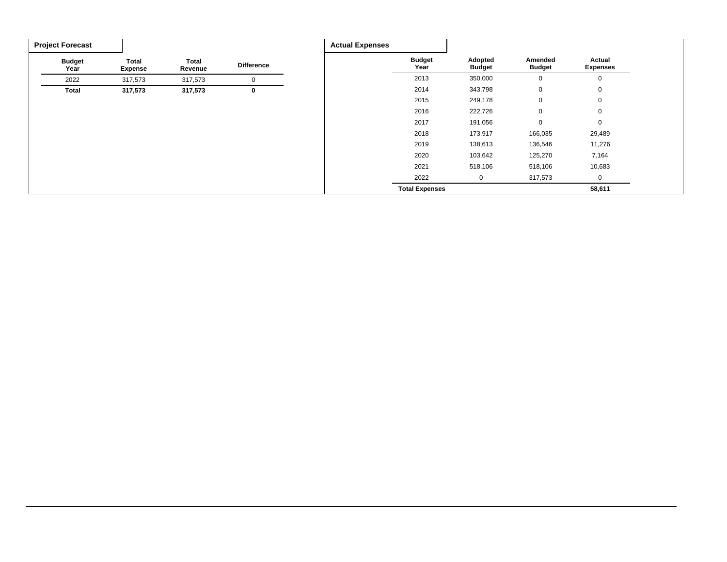| <b>Project Forecast</b> |                                |                  |                   | <b>Actual Expenses</b> |                       |                          |                          |                           |
|-------------------------|--------------------------------|------------------|-------------------|------------------------|-----------------------|--------------------------|--------------------------|---------------------------|
| <b>Budget</b><br>Year   | <b>Total</b><br><b>Expense</b> | Total<br>Revenue | <b>Difference</b> |                        | <b>Budget</b><br>Year | Adopted<br><b>Budget</b> | Amended<br><b>Budget</b> | Actual<br><b>Expenses</b> |
| 2022                    | 317,573                        | 317,573          | $\mathbf 0$       |                        | 2013                  | 350,000                  | 0                        | 0                         |
| <b>Total</b>            | 317,573                        | 317,573          | 0                 |                        | 2014                  | 343,798                  | 0                        | $\mathbf 0$               |
|                         |                                |                  |                   |                        | 2015                  | 249,178                  | 0                        | $\mathbf 0$               |
|                         |                                |                  |                   |                        | 2016                  | 222,726                  | 0                        | 0                         |
|                         |                                |                  |                   |                        | 2017                  | 191,056                  | 0                        | $\mathbf 0$               |
|                         |                                |                  |                   |                        | 2018                  | 173,917                  | 166,035                  | 29,489                    |
|                         |                                |                  |                   |                        | 2019                  | 138,613                  | 136,546                  | 11,276                    |
|                         |                                |                  |                   |                        | 2020                  | 103,642                  | 125,270                  | 7,164                     |
|                         |                                |                  |                   |                        | 2021                  | 518,106                  | 518,106                  | 10,683                    |
|                         |                                |                  |                   |                        | 2022                  | 0                        | 317,573                  | 0                         |
|                         |                                |                  |                   |                        | <b>Total Expenses</b> |                          |                          | 58,611                    |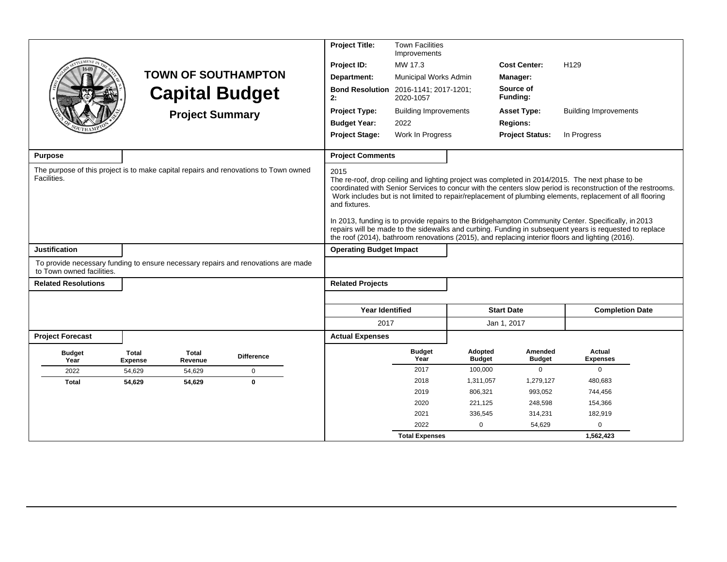|                                                                                                     |                         |                         |                                                                                   | <b>Project Title:</b>          | <b>Town Facilities</b><br>Improvements |                          |                                       |                                                                                                                                                                                                                                                                                                                                                                                                                                                                                                                                                                                                                                                 |                        |
|-----------------------------------------------------------------------------------------------------|-------------------------|-------------------------|-----------------------------------------------------------------------------------|--------------------------------|----------------------------------------|--------------------------|---------------------------------------|-------------------------------------------------------------------------------------------------------------------------------------------------------------------------------------------------------------------------------------------------------------------------------------------------------------------------------------------------------------------------------------------------------------------------------------------------------------------------------------------------------------------------------------------------------------------------------------------------------------------------------------------------|------------------------|
|                                                                                                     |                         |                         |                                                                                   | Project ID:                    | MW 17.3                                |                          | <b>Cost Center:</b>                   | H <sub>129</sub>                                                                                                                                                                                                                                                                                                                                                                                                                                                                                                                                                                                                                                |                        |
|                                                                                                     |                         |                         | <b>TOWN OF SOUTHAMPTON</b>                                                        | Department:                    | Municipal Works Admin                  |                          | Manager:                              |                                                                                                                                                                                                                                                                                                                                                                                                                                                                                                                                                                                                                                                 |                        |
|                                                                                                     |                         |                         | <b>Capital Budget</b>                                                             | <b>Bond Resolution</b><br>2:   | 2016-1141; 2017-1201;<br>2020-1057     |                          | Source of<br>Funding:                 |                                                                                                                                                                                                                                                                                                                                                                                                                                                                                                                                                                                                                                                 |                        |
|                                                                                                     |                         | <b>Project Summary</b>  |                                                                                   | <b>Project Type:</b>           | <b>Building Improvements</b>           | <b>Asset Type:</b>       |                                       | <b>Building Improvements</b>                                                                                                                                                                                                                                                                                                                                                                                                                                                                                                                                                                                                                    |                        |
|                                                                                                     |                         |                         |                                                                                   | <b>Budget Year:</b>            | 2022                                   | <b>Regions:</b>          |                                       |                                                                                                                                                                                                                                                                                                                                                                                                                                                                                                                                                                                                                                                 |                        |
|                                                                                                     |                         |                         |                                                                                   | <b>Project Stage:</b>          | Work In Progress                       |                          | <b>Project Status:</b><br>In Progress |                                                                                                                                                                                                                                                                                                                                                                                                                                                                                                                                                                                                                                                 |                        |
| <b>Purpose</b>                                                                                      |                         |                         |                                                                                   | <b>Project Comments</b>        |                                        |                          |                                       |                                                                                                                                                                                                                                                                                                                                                                                                                                                                                                                                                                                                                                                 |                        |
| The purpose of this project is to make capital repairs and renovations to Town owned<br>Facilities. |                         |                         |                                                                                   | 2015<br>and fixtures.          |                                        |                          |                                       | The re-roof, drop ceiling and lighting project was completed in 2014/2015. The next phase to be<br>coordinated with Senior Services to concur with the centers slow period is reconstruction of the restrooms.<br>Work includes but is not limited to repair/replacement of plumbing elements, replacement of all flooring<br>In 2013, funding is to provide repairs to the Bridgehampton Community Center. Specifically, in 2013<br>repairs will be made to the sidewalks and curbing. Funding in subsequent years is requested to replace<br>the roof (2014), bathroom renovations (2015), and replacing interior floors and lighting (2016). |                        |
| <b>Justification</b>                                                                                |                         |                         |                                                                                   | <b>Operating Budget Impact</b> |                                        |                          |                                       |                                                                                                                                                                                                                                                                                                                                                                                                                                                                                                                                                                                                                                                 |                        |
| to Town owned facilities.                                                                           |                         |                         | To provide necessary funding to ensure necessary repairs and renovations are made |                                |                                        |                          |                                       |                                                                                                                                                                                                                                                                                                                                                                                                                                                                                                                                                                                                                                                 |                        |
| <b>Related Resolutions</b>                                                                          |                         |                         |                                                                                   | <b>Related Projects</b>        |                                        |                          |                                       |                                                                                                                                                                                                                                                                                                                                                                                                                                                                                                                                                                                                                                                 |                        |
|                                                                                                     |                         |                         |                                                                                   |                                |                                        |                          |                                       |                                                                                                                                                                                                                                                                                                                                                                                                                                                                                                                                                                                                                                                 |                        |
|                                                                                                     |                         |                         |                                                                                   | <b>Year Identified</b>         |                                        |                          | <b>Start Date</b>                     |                                                                                                                                                                                                                                                                                                                                                                                                                                                                                                                                                                                                                                                 | <b>Completion Date</b> |
|                                                                                                     |                         |                         |                                                                                   | 2017                           |                                        |                          | Jan 1, 2017                           |                                                                                                                                                                                                                                                                                                                                                                                                                                                                                                                                                                                                                                                 |                        |
| <b>Project Forecast</b>                                                                             |                         |                         |                                                                                   | <b>Actual Expenses</b>         |                                        |                          |                                       |                                                                                                                                                                                                                                                                                                                                                                                                                                                                                                                                                                                                                                                 |                        |
| <b>Budget</b><br>Year                                                                               | Total<br><b>Expense</b> | <b>Total</b><br>Revenue | <b>Difference</b>                                                                 |                                | <b>Budget</b><br>Year                  | Adopted<br><b>Budget</b> | Amended<br><b>Budget</b>              | Actual<br><b>Expenses</b>                                                                                                                                                                                                                                                                                                                                                                                                                                                                                                                                                                                                                       |                        |
| 2022                                                                                                | 54,629                  | 54,629                  | $\mathbf 0$                                                                       |                                | 2017                                   | 100.000                  | $\Omega$                              | $\Omega$                                                                                                                                                                                                                                                                                                                                                                                                                                                                                                                                                                                                                                        |                        |
| <b>Total</b>                                                                                        | 54,629                  | 54,629                  | $\mathbf 0$                                                                       |                                | 2018                                   | 1,311,057                | 1,279,127                             | 480,683                                                                                                                                                                                                                                                                                                                                                                                                                                                                                                                                                                                                                                         |                        |
|                                                                                                     |                         |                         |                                                                                   |                                | 2019                                   | 806,321                  | 993,052                               | 744,456                                                                                                                                                                                                                                                                                                                                                                                                                                                                                                                                                                                                                                         |                        |
|                                                                                                     |                         |                         |                                                                                   |                                | 2020                                   | 221,125                  | 248,598                               | 154,366                                                                                                                                                                                                                                                                                                                                                                                                                                                                                                                                                                                                                                         |                        |
|                                                                                                     |                         |                         |                                                                                   |                                | 2021                                   | 336,545                  | 314,231                               | 182,919                                                                                                                                                                                                                                                                                                                                                                                                                                                                                                                                                                                                                                         |                        |
|                                                                                                     |                         |                         |                                                                                   |                                | 2022                                   | $\Omega$                 | 54,629                                | $\mathbf 0$                                                                                                                                                                                                                                                                                                                                                                                                                                                                                                                                                                                                                                     |                        |
|                                                                                                     |                         |                         |                                                                                   |                                | <b>Total Expenses</b>                  |                          |                                       | 1,562,423                                                                                                                                                                                                                                                                                                                                                                                                                                                                                                                                                                                                                                       |                        |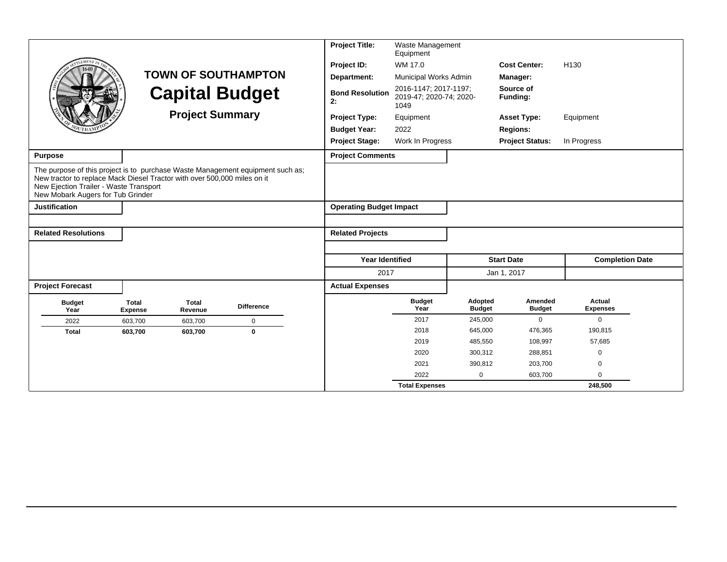|                                                                                                                                                                                                                                           |                                |                         |                            | <b>Project Title:</b>          | Waste Management<br>Equipment                            |                          |                                 |                           |  |
|-------------------------------------------------------------------------------------------------------------------------------------------------------------------------------------------------------------------------------------------|--------------------------------|-------------------------|----------------------------|--------------------------------|----------------------------------------------------------|--------------------------|---------------------------------|---------------------------|--|
| <b>EMENT</b>                                                                                                                                                                                                                              |                                |                         |                            | Project ID:                    | WM 17.0                                                  |                          | <b>Cost Center:</b>             | H <sub>130</sub>          |  |
|                                                                                                                                                                                                                                           |                                |                         | <b>TOWN OF SOUTHAMPTON</b> | Department:                    | Municipal Works Admin                                    |                          | Manager:                        |                           |  |
|                                                                                                                                                                                                                                           |                                | <b>Capital Budget</b>   |                            | <b>Bond Resolution</b><br>2:   | 2016-1147; 2017-1197;<br>2019-47; 2020-74; 2020-<br>1049 |                          | Source of<br>Funding:           |                           |  |
|                                                                                                                                                                                                                                           |                                | <b>Project Summary</b>  |                            | <b>Project Type:</b>           | Equipment                                                |                          | <b>Asset Type:</b>              | Equipment                 |  |
|                                                                                                                                                                                                                                           |                                |                         |                            | <b>Budget Year:</b>            | 2022                                                     |                          | <b>Regions:</b>                 |                           |  |
|                                                                                                                                                                                                                                           |                                |                         |                            | <b>Project Stage:</b>          | Work In Progress                                         |                          | <b>Project Status:</b>          | In Progress               |  |
| Purpose                                                                                                                                                                                                                                   |                                |                         |                            | <b>Project Comments</b>        |                                                          |                          |                                 |                           |  |
| The purpose of this project is to purchase Waste Management equipment such as;<br>New tractor to replace Mack Diesel Tractor with over 500,000 miles on it<br>New Ejection Trailer - Waste Transport<br>New Mobark Augers for Tub Grinder |                                |                         |                            |                                |                                                          |                          |                                 |                           |  |
| <b>Justification</b>                                                                                                                                                                                                                      |                                |                         |                            | <b>Operating Budget Impact</b> |                                                          |                          |                                 |                           |  |
|                                                                                                                                                                                                                                           |                                |                         |                            |                                |                                                          |                          |                                 |                           |  |
| <b>Related Resolutions</b>                                                                                                                                                                                                                |                                |                         |                            | <b>Related Projects</b>        |                                                          |                          |                                 |                           |  |
|                                                                                                                                                                                                                                           |                                |                         |                            |                                |                                                          |                          |                                 |                           |  |
|                                                                                                                                                                                                                                           |                                |                         |                            | <b>Year Identified</b>         |                                                          |                          | <b>Start Date</b>               | <b>Completion Date</b>    |  |
|                                                                                                                                                                                                                                           |                                |                         |                            | 2017                           |                                                          |                          | Jan 1, 2017                     |                           |  |
| <b>Project Forecast</b>                                                                                                                                                                                                                   |                                |                         |                            | <b>Actual Expenses</b>         |                                                          |                          |                                 |                           |  |
| <b>Budget</b><br>Year                                                                                                                                                                                                                     | <b>Total</b><br><b>Expense</b> | <b>Total</b><br>Revenue | <b>Difference</b>          |                                | <b>Budget</b><br>Year                                    | Adopted<br><b>Budget</b> | <b>Amended</b><br><b>Budget</b> | Actual<br><b>Expenses</b> |  |
| 2022                                                                                                                                                                                                                                      | 603,700                        | 603,700                 | $\mathbf 0$                |                                | 2017                                                     | 245,000                  | $\Omega$                        | $\mathbf 0$               |  |
| <b>Total</b>                                                                                                                                                                                                                              | 603,700                        | 603,700                 | $\mathbf 0$                |                                | 2018                                                     | 645,000                  | 476,365                         | 190,815                   |  |
|                                                                                                                                                                                                                                           |                                |                         |                            |                                | 2019                                                     | 485,550                  | 108,997                         | 57,685                    |  |
|                                                                                                                                                                                                                                           |                                |                         |                            |                                | 2020                                                     | 300,312                  | 288,851                         | $\mathbf 0$               |  |
|                                                                                                                                                                                                                                           |                                |                         |                            |                                | 2021                                                     | 390,812                  | 203,700                         | $\mathbf 0$               |  |
|                                                                                                                                                                                                                                           |                                |                         |                            |                                | 2022                                                     | $\mathbf 0$              | 603,700                         | $\Omega$                  |  |
|                                                                                                                                                                                                                                           |                                |                         |                            |                                | <b>Total Expenses</b>                                    |                          |                                 | 248,500                   |  |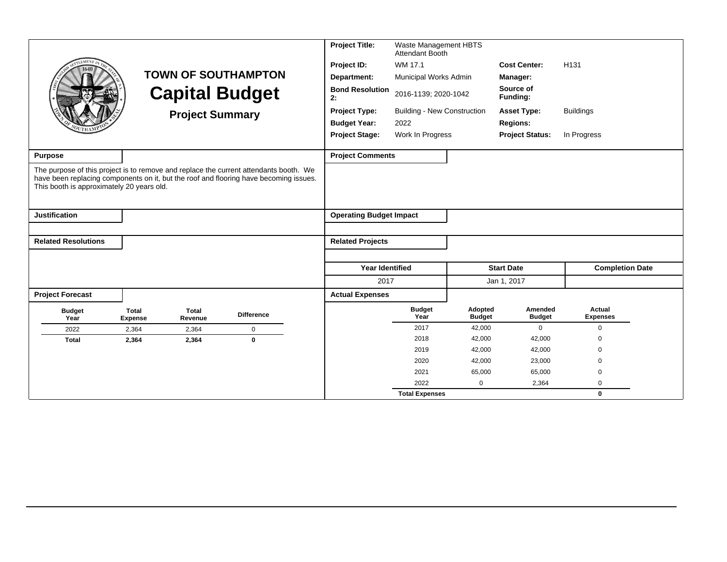|                                                                                                                                                                                                                             |                                |                         |                            | <b>Project Title:</b>          | Waste Management HBTS<br>Attendant Booth |                          |                          |                           |  |
|-----------------------------------------------------------------------------------------------------------------------------------------------------------------------------------------------------------------------------|--------------------------------|-------------------------|----------------------------|--------------------------------|------------------------------------------|--------------------------|--------------------------|---------------------------|--|
| <b>EMENT</b>                                                                                                                                                                                                                |                                |                         |                            | Project ID:                    | WM 17.1                                  |                          | <b>Cost Center:</b>      | H <sub>131</sub>          |  |
|                                                                                                                                                                                                                             |                                |                         | <b>TOWN OF SOUTHAMPTON</b> | Department:                    | Municipal Works Admin                    |                          | Manager:                 |                           |  |
|                                                                                                                                                                                                                             |                                |                         | <b>Capital Budget</b>      | <b>Bond Resolution</b><br>2:   | 2016-1139; 2020-1042                     |                          | Source of<br>Funding:    |                           |  |
|                                                                                                                                                                                                                             |                                | <b>Project Summary</b>  |                            | <b>Project Type:</b>           | <b>Building - New Construction</b>       |                          | <b>Asset Type:</b>       | <b>Buildings</b>          |  |
|                                                                                                                                                                                                                             |                                |                         |                            | <b>Budget Year:</b>            | 2022                                     |                          | <b>Regions:</b>          |                           |  |
|                                                                                                                                                                                                                             |                                |                         |                            | <b>Project Stage:</b>          | Work In Progress                         |                          | <b>Project Status:</b>   | In Progress               |  |
| <b>Purpose</b>                                                                                                                                                                                                              |                                |                         |                            | <b>Project Comments</b>        |                                          |                          |                          |                           |  |
| The purpose of this project is to remove and replace the current attendants booth. We<br>have been replacing components on it, but the roof and flooring have becoming issues.<br>This booth is approximately 20 years old. |                                |                         |                            |                                |                                          |                          |                          |                           |  |
| <b>Justification</b>                                                                                                                                                                                                        |                                |                         |                            | <b>Operating Budget Impact</b> |                                          |                          |                          |                           |  |
|                                                                                                                                                                                                                             |                                |                         |                            |                                |                                          |                          |                          |                           |  |
| <b>Related Resolutions</b>                                                                                                                                                                                                  |                                |                         |                            | <b>Related Projects</b>        |                                          |                          |                          |                           |  |
|                                                                                                                                                                                                                             |                                |                         |                            |                                |                                          |                          |                          |                           |  |
|                                                                                                                                                                                                                             |                                |                         |                            | <b>Year Identified</b>         |                                          |                          | <b>Start Date</b>        | <b>Completion Date</b>    |  |
|                                                                                                                                                                                                                             |                                |                         |                            | 2017                           |                                          |                          | Jan 1, 2017              |                           |  |
| <b>Project Forecast</b>                                                                                                                                                                                                     |                                |                         |                            | <b>Actual Expenses</b>         |                                          |                          |                          |                           |  |
| <b>Budget</b><br>Year                                                                                                                                                                                                       | <b>Total</b><br><b>Expense</b> | <b>Total</b><br>Revenue | <b>Difference</b>          |                                | <b>Budget</b><br>Year                    | Adopted<br><b>Budget</b> | Amended<br><b>Budget</b> | Actual<br><b>Expenses</b> |  |
| 2022                                                                                                                                                                                                                        | 2,364                          | 2,364                   | $\mathbf 0$                |                                | 2017                                     | 42,000                   | $\mathbf 0$              | $\mathbf 0$               |  |
| <b>Total</b>                                                                                                                                                                                                                | 2,364                          | 2,364                   | $\bf{0}$                   |                                | 2018                                     | 42,000                   | 42,000                   | 0                         |  |
|                                                                                                                                                                                                                             |                                |                         |                            |                                | 2019                                     | 42,000                   | 42,000                   | $\Omega$                  |  |
|                                                                                                                                                                                                                             |                                |                         |                            |                                | 2020                                     | 42,000                   | 23,000                   | $\mathbf 0$               |  |
|                                                                                                                                                                                                                             |                                |                         |                            |                                | 2021                                     | 65,000                   | 65,000                   | 0                         |  |
|                                                                                                                                                                                                                             |                                |                         |                            |                                | 2022                                     | $\mathbf 0$              | 2,364                    | $\mathbf 0$               |  |
|                                                                                                                                                                                                                             |                                |                         |                            |                                | <b>Total Expenses</b>                    |                          |                          | $\mathbf 0$               |  |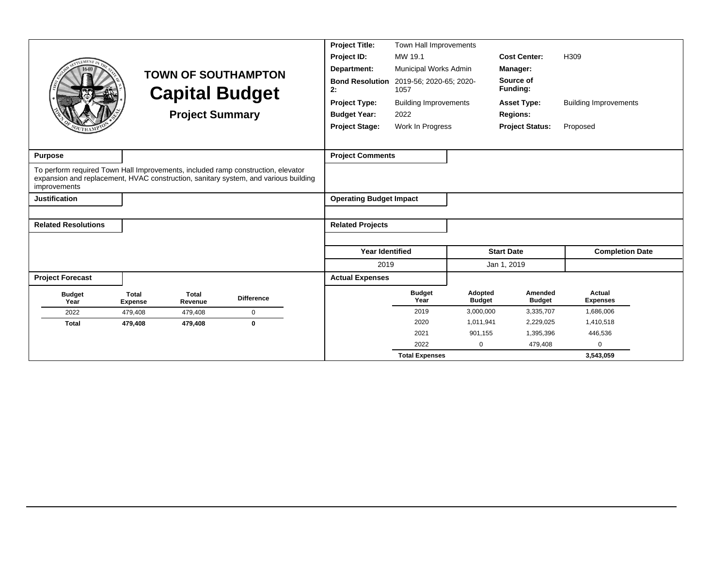|                                                                                                  |                                |                         |                                                                                     | <b>Project Title:</b>          | Town Hall Improvements          |                          |                          |                              |
|--------------------------------------------------------------------------------------------------|--------------------------------|-------------------------|-------------------------------------------------------------------------------------|--------------------------------|---------------------------------|--------------------------|--------------------------|------------------------------|
| EMENT                                                                                            |                                |                         |                                                                                     | Project ID:                    | MW 19.1                         |                          | <b>Cost Center:</b>      | H <sub>309</sub>             |
|                                                                                                  |                                |                         | <b>TOWN OF SOUTHAMPTON</b>                                                          | Department:                    | Municipal Works Admin           |                          | Manager:                 |                              |
|                                                                                                  |                                |                         | <b>Capital Budget</b>                                                               | <b>Bond Resolution</b><br>2:   | 2019-56; 2020-65; 2020-<br>1057 |                          | Source of<br>Funding:    |                              |
|                                                                                                  |                                |                         |                                                                                     | Project Type:                  | <b>Building Improvements</b>    |                          | <b>Asset Type:</b>       | <b>Building Improvements</b> |
|                                                                                                  |                                | <b>Project Summary</b>  |                                                                                     | <b>Budget Year:</b>            | 2022                            |                          | <b>Regions:</b>          |                              |
|                                                                                                  |                                |                         |                                                                                     | <b>Project Stage:</b>          | Work In Progress                |                          | <b>Project Status:</b>   | Proposed                     |
|                                                                                                  |                                |                         |                                                                                     |                                |                                 |                          |                          |                              |
| <b>Purpose</b>                                                                                   |                                |                         |                                                                                     | <b>Project Comments</b>        |                                 |                          |                          |                              |
| To perform required Town Hall Improvements, included ramp construction, elevator<br>improvements |                                |                         | expansion and replacement, HVAC construction, sanitary system, and various building |                                |                                 |                          |                          |                              |
| <b>Justification</b>                                                                             |                                |                         |                                                                                     | <b>Operating Budget Impact</b> |                                 |                          |                          |                              |
|                                                                                                  |                                |                         |                                                                                     |                                |                                 |                          |                          |                              |
| <b>Related Resolutions</b>                                                                       |                                |                         |                                                                                     | <b>Related Projects</b>        |                                 |                          |                          |                              |
|                                                                                                  |                                |                         |                                                                                     |                                |                                 |                          |                          |                              |
|                                                                                                  |                                |                         |                                                                                     | <b>Year Identified</b>         |                                 |                          | <b>Start Date</b>        | <b>Completion Date</b>       |
|                                                                                                  |                                |                         |                                                                                     | 2019                           |                                 |                          | Jan 1, 2019              |                              |
| <b>Project Forecast</b>                                                                          |                                |                         |                                                                                     | <b>Actual Expenses</b>         |                                 |                          |                          |                              |
| <b>Budget</b><br>Year                                                                            | <b>Total</b><br><b>Expense</b> | <b>Total</b><br>Revenue | <b>Difference</b>                                                                   |                                | <b>Budget</b><br>Year           | Adopted<br><b>Budget</b> | Amended<br><b>Budget</b> | Actual<br><b>Expenses</b>    |
| 2022                                                                                             | 479,408                        | 479,408                 | $\mathbf 0$                                                                         |                                | 2019                            | 3,000,000                | 3,335,707                | 1,686,006                    |
| <b>Total</b>                                                                                     | 479,408                        | 479,408                 | $\bf{0}$                                                                            |                                | 2020                            | 1,011,941                | 2,229,025                | 1,410,518                    |
|                                                                                                  |                                |                         |                                                                                     |                                | 2021                            | 901,155                  | 1,395,396                | 446,536                      |
|                                                                                                  |                                |                         |                                                                                     |                                | 2022                            | $\mathbf 0$              | 479,408                  | $\Omega$                     |
|                                                                                                  |                                |                         |                                                                                     |                                | <b>Total Expenses</b>           |                          |                          | 3,543,059                    |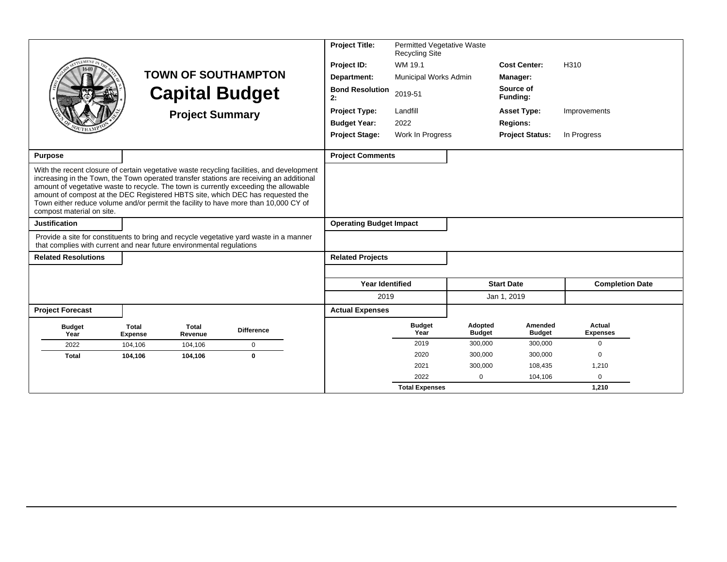|                                                                                                                                                                                                                                                                                            |                                |                         |                                                                                                                                                                                      | <b>Project Title:</b>          | Permitted Vegetative Waste<br><b>Recycling Site</b> |                          |                          |                           |  |
|--------------------------------------------------------------------------------------------------------------------------------------------------------------------------------------------------------------------------------------------------------------------------------------------|--------------------------------|-------------------------|--------------------------------------------------------------------------------------------------------------------------------------------------------------------------------------|--------------------------------|-----------------------------------------------------|--------------------------|--------------------------|---------------------------|--|
|                                                                                                                                                                                                                                                                                            |                                |                         |                                                                                                                                                                                      | Project ID:                    | WM 19.1                                             |                          | <b>Cost Center:</b>      | H310                      |  |
|                                                                                                                                                                                                                                                                                            |                                |                         | <b>TOWN OF SOUTHAMPTON</b>                                                                                                                                                           | Department:                    | Municipal Works Admin                               |                          | Manager:                 |                           |  |
|                                                                                                                                                                                                                                                                                            |                                |                         | <b>Capital Budget</b>                                                                                                                                                                | <b>Bond Resolution</b><br>2:   | 2019-51                                             |                          | Source of<br>Funding:    |                           |  |
|                                                                                                                                                                                                                                                                                            |                                | <b>Project Summary</b>  |                                                                                                                                                                                      | <b>Project Type:</b>           | Landfill                                            |                          | <b>Asset Type:</b>       | Improvements              |  |
|                                                                                                                                                                                                                                                                                            |                                |                         |                                                                                                                                                                                      | <b>Budget Year:</b>            | 2022                                                |                          | <b>Regions:</b>          |                           |  |
|                                                                                                                                                                                                                                                                                            |                                |                         |                                                                                                                                                                                      | <b>Project Stage:</b>          | Work In Progress                                    |                          | <b>Project Status:</b>   | In Progress               |  |
|                                                                                                                                                                                                                                                                                            |                                |                         |                                                                                                                                                                                      |                                |                                                     |                          |                          |                           |  |
| <b>Purpose</b>                                                                                                                                                                                                                                                                             |                                |                         |                                                                                                                                                                                      | <b>Project Comments</b>        |                                                     |                          |                          |                           |  |
| amount of vegetative waste to recycle. The town is currently exceeding the allowable<br>amount of compost at the DEC Registered HBTS site, which DEC has requested the<br>Town either reduce volume and/or permit the facility to have more than 10,000 CY of<br>compost material on site. |                                |                         | With the recent closure of certain vegetative waste recycling facilities, and development<br>increasing in the Town, the Town operated transfer stations are receiving an additional |                                |                                                     |                          |                          |                           |  |
| <b>Justification</b>                                                                                                                                                                                                                                                                       |                                |                         |                                                                                                                                                                                      | <b>Operating Budget Impact</b> |                                                     |                          |                          |                           |  |
| that complies with current and near future environmental regulations                                                                                                                                                                                                                       |                                |                         | Provide a site for constituents to bring and recycle vegetative yard waste in a manner                                                                                               |                                |                                                     |                          |                          |                           |  |
| <b>Related Resolutions</b>                                                                                                                                                                                                                                                                 |                                |                         |                                                                                                                                                                                      | <b>Related Projects</b>        |                                                     |                          |                          |                           |  |
|                                                                                                                                                                                                                                                                                            |                                |                         |                                                                                                                                                                                      |                                |                                                     |                          |                          |                           |  |
|                                                                                                                                                                                                                                                                                            |                                |                         |                                                                                                                                                                                      | <b>Year Identified</b>         |                                                     |                          | <b>Start Date</b>        | <b>Completion Date</b>    |  |
|                                                                                                                                                                                                                                                                                            |                                |                         |                                                                                                                                                                                      | 2019                           |                                                     |                          | Jan 1, 2019              |                           |  |
| <b>Project Forecast</b>                                                                                                                                                                                                                                                                    |                                |                         |                                                                                                                                                                                      | <b>Actual Expenses</b>         |                                                     |                          |                          |                           |  |
| <b>Budget</b><br>Year                                                                                                                                                                                                                                                                      | <b>Total</b><br><b>Expense</b> | <b>Total</b><br>Revenue | <b>Difference</b>                                                                                                                                                                    |                                | <b>Budget</b><br>Year                               | Adopted<br><b>Budget</b> | Amended<br><b>Budget</b> | Actual<br><b>Expenses</b> |  |
| 2022                                                                                                                                                                                                                                                                                       | 104.106                        | 104,106                 | $\mathbf 0$                                                                                                                                                                          |                                | 2019                                                | 300,000                  | 300,000                  | $\mathbf 0$               |  |
| <b>Total</b>                                                                                                                                                                                                                                                                               | 104,106                        | 104,106                 | $\bf{0}$                                                                                                                                                                             |                                | 2020                                                | 300,000                  | 300,000                  | $\Omega$                  |  |
|                                                                                                                                                                                                                                                                                            |                                |                         |                                                                                                                                                                                      |                                | 2021                                                | 300,000                  | 108,435                  | 1,210                     |  |
|                                                                                                                                                                                                                                                                                            |                                |                         |                                                                                                                                                                                      |                                | 2022                                                | $\Omega$                 | 104,106                  | $\mathbf 0$               |  |
|                                                                                                                                                                                                                                                                                            |                                |                         |                                                                                                                                                                                      |                                | <b>Total Expenses</b>                               |                          |                          | 1,210                     |  |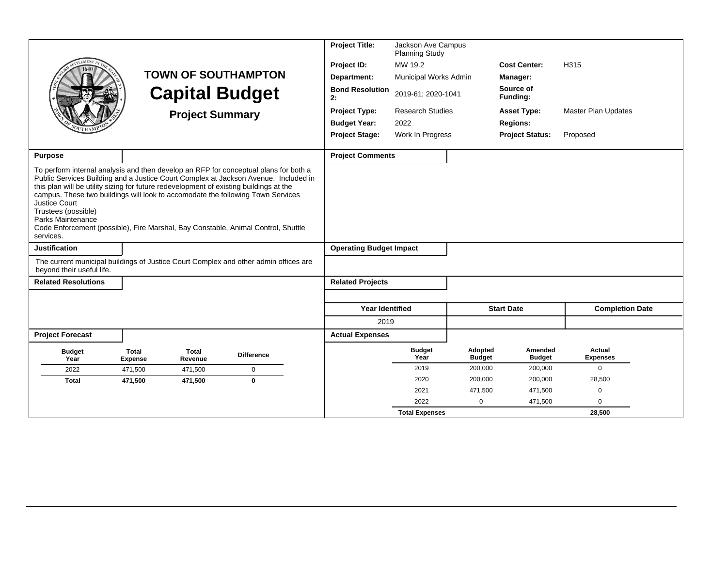|                                                                                                                                                                                                                                                                                                                                                                                                                                        |                                |                         |                            | <b>Project Title:</b>          | Jackson Ave Campus<br><b>Planning Study</b> |                          |                          |                            |  |
|----------------------------------------------------------------------------------------------------------------------------------------------------------------------------------------------------------------------------------------------------------------------------------------------------------------------------------------------------------------------------------------------------------------------------------------|--------------------------------|-------------------------|----------------------------|--------------------------------|---------------------------------------------|--------------------------|--------------------------|----------------------------|--|
|                                                                                                                                                                                                                                                                                                                                                                                                                                        |                                |                         |                            | Project ID:                    | MW 19.2                                     |                          | <b>Cost Center:</b>      | H315                       |  |
|                                                                                                                                                                                                                                                                                                                                                                                                                                        |                                |                         | <b>TOWN OF SOUTHAMPTON</b> | Department:                    | Municipal Works Admin                       |                          | Manager:                 |                            |  |
|                                                                                                                                                                                                                                                                                                                                                                                                                                        |                                |                         | <b>Capital Budget</b>      | <b>Bond Resolution</b><br>2:   | 2019-61; 2020-1041                          |                          | Source of<br>Funding:    |                            |  |
|                                                                                                                                                                                                                                                                                                                                                                                                                                        |                                | <b>Project Summary</b>  |                            | <b>Project Type:</b>           | <b>Research Studies</b>                     |                          | <b>Asset Type:</b>       | <b>Master Plan Updates</b> |  |
|                                                                                                                                                                                                                                                                                                                                                                                                                                        |                                |                         |                            | <b>Budget Year:</b>            | 2022                                        |                          | <b>Regions:</b>          |                            |  |
|                                                                                                                                                                                                                                                                                                                                                                                                                                        |                                |                         |                            | <b>Project Stage:</b>          | Work In Progress                            |                          | <b>Project Status:</b>   | Proposed                   |  |
| <b>Purpose</b>                                                                                                                                                                                                                                                                                                                                                                                                                         |                                |                         |                            | <b>Project Comments</b>        |                                             |                          |                          |                            |  |
| To perform internal analysis and then develop an RFP for conceptual plans for both a                                                                                                                                                                                                                                                                                                                                                   |                                |                         |                            |                                |                                             |                          |                          |                            |  |
| Public Services Building and a Justice Court Complex at Jackson Avenue. Included in<br>this plan will be utility sizing for future redevelopment of existing buildings at the<br>campus. These two buildings will look to accomodate the following Town Services<br><b>Justice Court</b><br>Trustees (possible)<br>Parks Maintenance<br>Code Enforcement (possible), Fire Marshal, Bay Constable, Animal Control, Shuttle<br>services. |                                |                         |                            |                                |                                             |                          |                          |                            |  |
| <b>Justification</b>                                                                                                                                                                                                                                                                                                                                                                                                                   |                                |                         |                            | <b>Operating Budget Impact</b> |                                             |                          |                          |                            |  |
| The current municipal buildings of Justice Court Complex and other admin offices are<br>beyond their useful life.                                                                                                                                                                                                                                                                                                                      |                                |                         |                            |                                |                                             |                          |                          |                            |  |
| <b>Related Resolutions</b>                                                                                                                                                                                                                                                                                                                                                                                                             |                                |                         |                            | <b>Related Projects</b>        |                                             |                          |                          |                            |  |
|                                                                                                                                                                                                                                                                                                                                                                                                                                        |                                |                         |                            |                                |                                             |                          |                          |                            |  |
|                                                                                                                                                                                                                                                                                                                                                                                                                                        |                                |                         |                            | <b>Year Identified</b>         |                                             |                          | <b>Start Date</b>        | <b>Completion Date</b>     |  |
|                                                                                                                                                                                                                                                                                                                                                                                                                                        |                                |                         |                            | 2019                           |                                             |                          |                          |                            |  |
| <b>Project Forecast</b>                                                                                                                                                                                                                                                                                                                                                                                                                |                                |                         |                            | <b>Actual Expenses</b>         |                                             |                          |                          |                            |  |
| <b>Budget</b><br>Year                                                                                                                                                                                                                                                                                                                                                                                                                  | <b>Total</b><br><b>Expense</b> | <b>Total</b><br>Revenue | <b>Difference</b>          |                                | <b>Budget</b><br>Year                       | Adopted<br><b>Budget</b> | Amended<br><b>Budget</b> | Actual<br><b>Expenses</b>  |  |
| 2022                                                                                                                                                                                                                                                                                                                                                                                                                                   | 471,500                        | 471,500                 | $\mathbf 0$                |                                | 2019                                        | 200,000                  | 200,000                  | $\Omega$                   |  |
| <b>Total</b>                                                                                                                                                                                                                                                                                                                                                                                                                           | 471,500                        | 471,500                 | $\bf{0}$                   |                                | 2020                                        | 200,000                  | 200,000                  | 28,500                     |  |
|                                                                                                                                                                                                                                                                                                                                                                                                                                        |                                |                         |                            |                                | 2021                                        | 471,500                  | 471,500                  | 0                          |  |
|                                                                                                                                                                                                                                                                                                                                                                                                                                        |                                |                         |                            |                                | 2022                                        | $\mathbf 0$              | 471,500                  | $\Omega$                   |  |
|                                                                                                                                                                                                                                                                                                                                                                                                                                        |                                |                         |                            |                                | <b>Total Expenses</b>                       |                          |                          | 28,500                     |  |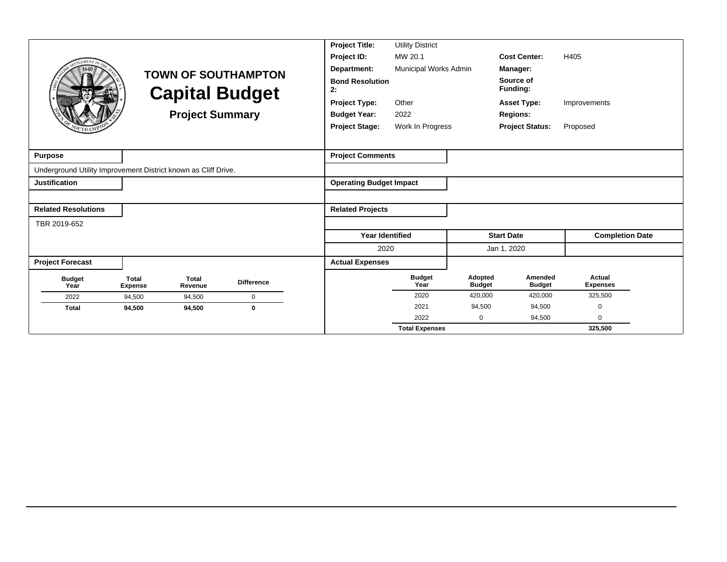|                                                                |                                |                         |                            | <b>Project Title:</b>          | <b>Utility District</b> |                          |                          |                           |
|----------------------------------------------------------------|--------------------------------|-------------------------|----------------------------|--------------------------------|-------------------------|--------------------------|--------------------------|---------------------------|
|                                                                |                                |                         |                            | Project ID:                    | MW 20.1                 |                          | <b>Cost Center:</b>      | H405                      |
|                                                                |                                |                         | <b>TOWN OF SOUTHAMPTON</b> | Department:                    | Municipal Works Admin   |                          | Manager:                 |                           |
|                                                                |                                |                         | <b>Capital Budget</b>      | <b>Bond Resolution</b><br>2:   |                         |                          | Source of<br>Funding:    |                           |
|                                                                |                                |                         |                            | <b>Project Type:</b>           | Other                   |                          | <b>Asset Type:</b>       | Improvements              |
|                                                                |                                | <b>Project Summary</b>  |                            | <b>Budget Year:</b>            | 2022                    |                          | <b>Regions:</b>          |                           |
|                                                                |                                |                         |                            | <b>Project Stage:</b>          | Work In Progress        |                          | <b>Project Status:</b>   | Proposed                  |
|                                                                |                                |                         |                            |                                |                         |                          |                          |                           |
| <b>Purpose</b>                                                 |                                |                         |                            | <b>Project Comments</b>        |                         |                          |                          |                           |
| Underground Utility Improvement District known as Cliff Drive. |                                |                         |                            |                                |                         |                          |                          |                           |
| <b>Justification</b>                                           |                                |                         |                            | <b>Operating Budget Impact</b> |                         |                          |                          |                           |
|                                                                |                                |                         |                            |                                |                         |                          |                          |                           |
| <b>Related Resolutions</b>                                     |                                |                         |                            | <b>Related Projects</b>        |                         |                          |                          |                           |
| TBR 2019-652                                                   |                                |                         |                            |                                |                         |                          |                          |                           |
|                                                                |                                |                         |                            | <b>Year Identified</b>         |                         |                          | <b>Start Date</b>        | <b>Completion Date</b>    |
|                                                                |                                |                         |                            | 2020                           |                         |                          | Jan 1, 2020              |                           |
| <b>Project Forecast</b>                                        |                                |                         |                            | <b>Actual Expenses</b>         |                         |                          |                          |                           |
| <b>Budget</b><br>Year                                          | <b>Total</b><br><b>Expense</b> | <b>Total</b><br>Revenue | <b>Difference</b>          |                                | <b>Budget</b><br>Year   | Adopted<br><b>Budget</b> | Amended<br><b>Budget</b> | Actual<br><b>Expenses</b> |
| 2022                                                           | 94,500                         | 94,500                  | $\mathbf 0$                |                                | 2020                    | 420,000                  | 420,000                  | 325,500                   |
| <b>Total</b>                                                   | 94,500                         | 94,500                  | $\mathbf{0}$               |                                | 2021                    | 94,500                   | 94,500                   | 0                         |
|                                                                |                                |                         |                            |                                | 2022                    | 0                        | 94,500                   | 0                         |
|                                                                |                                |                         |                            |                                | <b>Total Expenses</b>   |                          |                          | 325.500                   |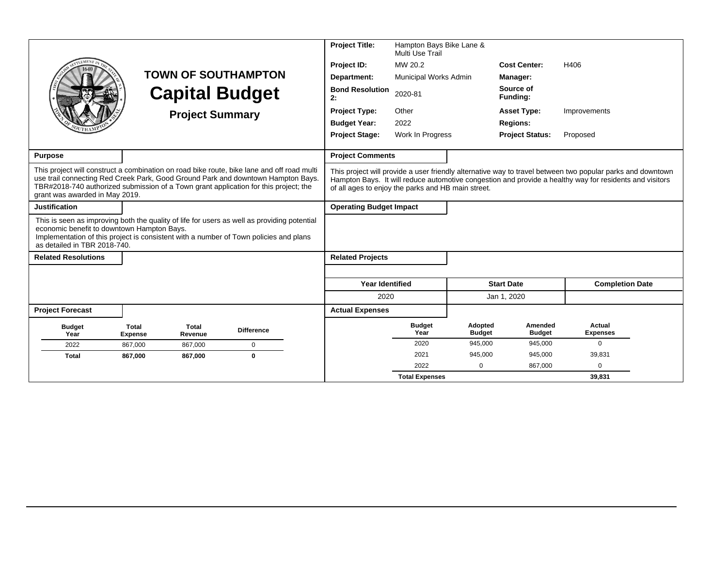| LEMEN)                                                                                                                                                                                                                                                                                                   |                                | <b>Project Summary</b>                             | <b>TOWN OF SOUTHAMPTON</b><br><b>Capital Budget</b> | <b>Project Title:</b><br>Project ID:<br>Department:<br><b>Bond Resolution</b><br>2:<br><b>Project Type:</b><br><b>Budget Year:</b><br><b>Project Stage:</b> | Hampton Bays Bike Lane &<br>Multi Use Trail<br>MW 20.2<br>Municipal Works Admin<br>2020-81<br>Other<br>2022<br>Work In Progress |                                                                                                                                                                                                                       | <b>Cost Center:</b><br>Manager:<br>Source of<br>Funding:<br><b>Asset Type:</b><br><b>Regions:</b><br><b>Project Status:</b> | H406<br>Improvements<br>Proposed |  |
|----------------------------------------------------------------------------------------------------------------------------------------------------------------------------------------------------------------------------------------------------------------------------------------------------------|--------------------------------|----------------------------------------------------|-----------------------------------------------------|-------------------------------------------------------------------------------------------------------------------------------------------------------------|---------------------------------------------------------------------------------------------------------------------------------|-----------------------------------------------------------------------------------------------------------------------------------------------------------------------------------------------------------------------|-----------------------------------------------------------------------------------------------------------------------------|----------------------------------|--|
| <b>Purpose</b>                                                                                                                                                                                                                                                                                           |                                |                                                    |                                                     | <b>Project Comments</b>                                                                                                                                     |                                                                                                                                 |                                                                                                                                                                                                                       |                                                                                                                             |                                  |  |
| This project will construct a combination on road bike route, bike lane and off road multi<br>use trail connecting Red Creek Park, Good Ground Park and downtown Hampton Bays.<br>TBR#2018-740 authorized submission of a Town grant application for this project; the<br>grant was awarded in May 2019. |                                | of all ages to enjoy the parks and HB main street. |                                                     |                                                                                                                                                             |                                                                                                                                 | This project will provide a user friendly alternative way to travel between two popular parks and downtown<br>Hampton Bays. It will reduce automotive congestion and provide a healthy way for residents and visitors |                                                                                                                             |                                  |  |
| <b>Justification</b>                                                                                                                                                                                                                                                                                     |                                |                                                    |                                                     | <b>Operating Budget Impact</b>                                                                                                                              |                                                                                                                                 |                                                                                                                                                                                                                       |                                                                                                                             |                                  |  |
| This is seen as improving both the quality of life for users as well as providing potential<br>economic benefit to downtown Hampton Bays.<br>Implementation of this project is consistent with a number of Town policies and plans<br>as detailed in TBR 2018-740.                                       |                                |                                                    |                                                     |                                                                                                                                                             |                                                                                                                                 |                                                                                                                                                                                                                       |                                                                                                                             |                                  |  |
| <b>Related Resolutions</b>                                                                                                                                                                                                                                                                               |                                |                                                    |                                                     | <b>Related Projects</b>                                                                                                                                     |                                                                                                                                 |                                                                                                                                                                                                                       |                                                                                                                             |                                  |  |
|                                                                                                                                                                                                                                                                                                          |                                |                                                    |                                                     |                                                                                                                                                             |                                                                                                                                 |                                                                                                                                                                                                                       |                                                                                                                             |                                  |  |
|                                                                                                                                                                                                                                                                                                          |                                |                                                    |                                                     | <b>Year Identified</b>                                                                                                                                      |                                                                                                                                 |                                                                                                                                                                                                                       | <b>Start Date</b>                                                                                                           | <b>Completion Date</b>           |  |
|                                                                                                                                                                                                                                                                                                          |                                |                                                    |                                                     | 2020                                                                                                                                                        |                                                                                                                                 |                                                                                                                                                                                                                       | Jan 1, 2020                                                                                                                 |                                  |  |
| <b>Project Forecast</b>                                                                                                                                                                                                                                                                                  |                                |                                                    |                                                     | <b>Actual Expenses</b>                                                                                                                                      |                                                                                                                                 |                                                                                                                                                                                                                       |                                                                                                                             |                                  |  |
| <b>Budget</b><br>Year                                                                                                                                                                                                                                                                                    | <b>Total</b><br><b>Expense</b> | <b>Total</b><br>Revenue                            | <b>Difference</b>                                   |                                                                                                                                                             | <b>Budget</b><br>Year                                                                                                           | Adopted<br><b>Budget</b>                                                                                                                                                                                              | Amended<br><b>Budget</b>                                                                                                    | Actual<br><b>Expenses</b>        |  |
| 2022                                                                                                                                                                                                                                                                                                     | 867,000                        | 867.000                                            | $\Omega$                                            |                                                                                                                                                             | 2020                                                                                                                            | 945,000                                                                                                                                                                                                               | 945,000                                                                                                                     | $\mathbf 0$                      |  |
| <b>Total</b>                                                                                                                                                                                                                                                                                             | 867,000                        | 867,000                                            | $\mathbf 0$                                         |                                                                                                                                                             | 2021                                                                                                                            | 945,000                                                                                                                                                                                                               | 945,000                                                                                                                     | 39,831                           |  |
|                                                                                                                                                                                                                                                                                                          |                                |                                                    |                                                     |                                                                                                                                                             | 2022                                                                                                                            | 0                                                                                                                                                                                                                     | 867,000                                                                                                                     | $\mathbf 0$                      |  |
|                                                                                                                                                                                                                                                                                                          |                                |                                                    |                                                     |                                                                                                                                                             | <b>Total Expenses</b>                                                                                                           |                                                                                                                                                                                                                       |                                                                                                                             | 39.831                           |  |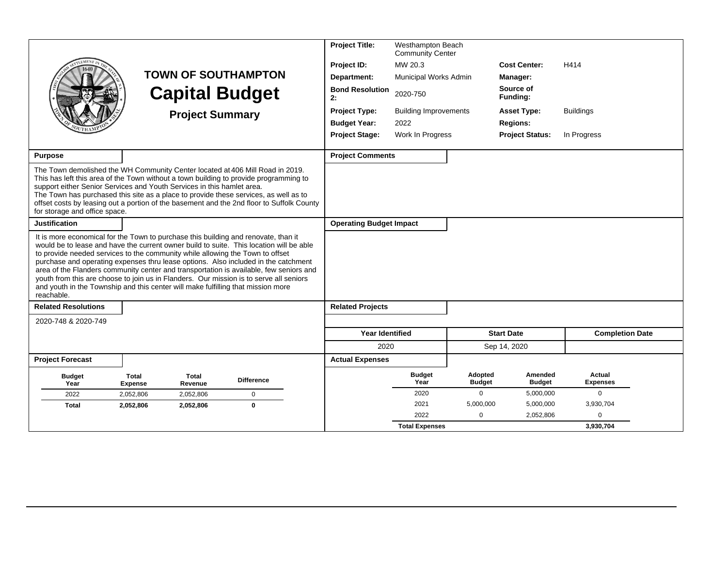|                                                                                                                                                                                                                                                                                                                                                                                                                                                                                                                                                                                                                                            | <b>TOWN OF SOUTHAMPTON</b><br><b>Capital Budget</b><br><b>Project Summary</b> | <b>Project Title:</b><br>Project ID:<br>Department:<br><b>Bond Resolution</b><br>2:<br><b>Project Type:</b><br><b>Budget Year:</b><br><b>Project Stage:</b> | Westhampton Beach<br><b>Community Center</b><br>MW 20.3<br>Municipal Works Admin<br>2020-750<br><b>Building Improvements</b><br>2022<br>Work In Progress |                       | <b>Cost Center:</b><br>Manager:<br>Source of<br>Funding:<br><b>Asset Type:</b><br><b>Regions:</b><br><b>Project Status:</b> | H414<br><b>Buildings</b><br>In Progress |                           |
|--------------------------------------------------------------------------------------------------------------------------------------------------------------------------------------------------------------------------------------------------------------------------------------------------------------------------------------------------------------------------------------------------------------------------------------------------------------------------------------------------------------------------------------------------------------------------------------------------------------------------------------------|-------------------------------------------------------------------------------|-------------------------------------------------------------------------------------------------------------------------------------------------------------|----------------------------------------------------------------------------------------------------------------------------------------------------------|-----------------------|-----------------------------------------------------------------------------------------------------------------------------|-----------------------------------------|---------------------------|
| <b>Purpose</b>                                                                                                                                                                                                                                                                                                                                                                                                                                                                                                                                                                                                                             |                                                                               |                                                                                                                                                             | <b>Project Comments</b>                                                                                                                                  |                       |                                                                                                                             |                                         |                           |
| The Town demolished the WH Community Center located at 406 Mill Road in 2019.<br>This has left this area of the Town without a town building to provide programming to<br>support either Senior Services and Youth Services in this hamlet area.<br>The Town has purchased this site as a place to provide these services, as well as to<br>offset costs by leasing out a portion of the basement and the 2nd floor to Suffolk County<br>for storage and office space.<br><b>Justification</b>                                                                                                                                             |                                                                               |                                                                                                                                                             | <b>Operating Budget Impact</b>                                                                                                                           |                       |                                                                                                                             |                                         |                           |
| It is more economical for the Town to purchase this building and renovate, than it<br>would be to lease and have the current owner build to suite. This location will be able<br>to provide needed services to the community while allowing the Town to offset<br>purchase and operating expenses thru lease options. Also included in the catchment<br>area of the Flanders community center and transportation is available, few seniors and<br>youth from this are choose to join us in Flanders. Our mission is to serve all seniors<br>and youth in the Township and this center will make fulfilling that mission more<br>reachable. |                                                                               |                                                                                                                                                             |                                                                                                                                                          |                       |                                                                                                                             |                                         |                           |
| <b>Related Resolutions</b>                                                                                                                                                                                                                                                                                                                                                                                                                                                                                                                                                                                                                 |                                                                               |                                                                                                                                                             | <b>Related Projects</b>                                                                                                                                  |                       |                                                                                                                             |                                         |                           |
| 2020-748 & 2020-749                                                                                                                                                                                                                                                                                                                                                                                                                                                                                                                                                                                                                        |                                                                               |                                                                                                                                                             |                                                                                                                                                          |                       |                                                                                                                             |                                         |                           |
|                                                                                                                                                                                                                                                                                                                                                                                                                                                                                                                                                                                                                                            |                                                                               |                                                                                                                                                             | <b>Year Identified</b>                                                                                                                                   |                       |                                                                                                                             | <b>Start Date</b>                       | <b>Completion Date</b>    |
|                                                                                                                                                                                                                                                                                                                                                                                                                                                                                                                                                                                                                                            |                                                                               |                                                                                                                                                             | 2020                                                                                                                                                     |                       |                                                                                                                             | Sep 14, 2020                            |                           |
| <b>Project Forecast</b>                                                                                                                                                                                                                                                                                                                                                                                                                                                                                                                                                                                                                    |                                                                               |                                                                                                                                                             | <b>Actual Expenses</b>                                                                                                                                   |                       |                                                                                                                             |                                         |                           |
| <b>Budget</b><br>Year                                                                                                                                                                                                                                                                                                                                                                                                                                                                                                                                                                                                                      | Total<br>Total<br><b>Expense</b><br>Revenue                                   | <b>Difference</b>                                                                                                                                           |                                                                                                                                                          | <b>Budget</b><br>Year | Adopted<br><b>Budget</b>                                                                                                    | Amended<br><b>Budget</b>                | Actual<br><b>Expenses</b> |
| 2022                                                                                                                                                                                                                                                                                                                                                                                                                                                                                                                                                                                                                                       | 2.052.806<br>2,052,806                                                        | $\mathbf 0$                                                                                                                                                 |                                                                                                                                                          | 2020                  | $\mathbf 0$                                                                                                                 | 5,000,000                               | $\mathbf 0$               |
| <b>Total</b>                                                                                                                                                                                                                                                                                                                                                                                                                                                                                                                                                                                                                               | 2,052,806<br>2,052,806                                                        | $\bf{0}$                                                                                                                                                    |                                                                                                                                                          | 2021                  | 5,000,000                                                                                                                   | 5,000,000                               | 3,930,704                 |
|                                                                                                                                                                                                                                                                                                                                                                                                                                                                                                                                                                                                                                            |                                                                               |                                                                                                                                                             |                                                                                                                                                          | 2022                  | $\Omega$                                                                                                                    | 2,052,806                               | $\mathbf 0$               |
|                                                                                                                                                                                                                                                                                                                                                                                                                                                                                                                                                                                                                                            |                                                                               |                                                                                                                                                             |                                                                                                                                                          | <b>Total Expenses</b> |                                                                                                                             |                                         | 3,930,704                 |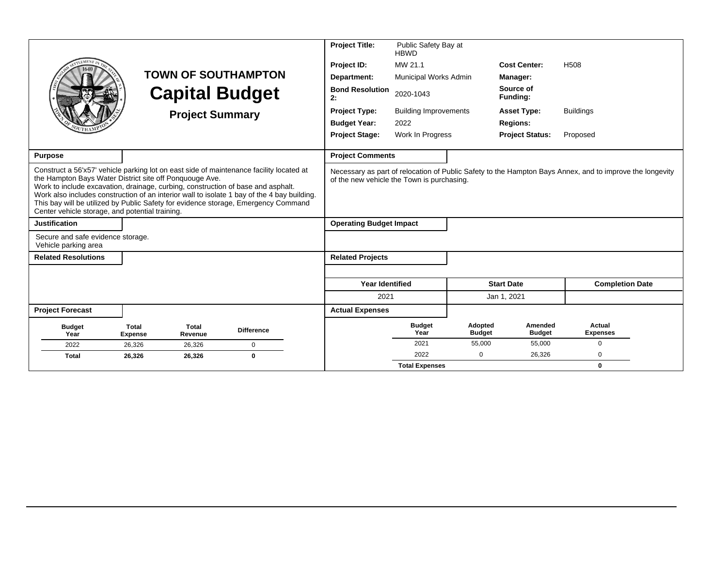|                                                                                                                                                                                                                                                                                                                                                                                                                                                                                |                                |                         |                            | <b>Project Title:</b>                      | Public Safety Bay at<br><b>HBWD</b> |                          |                          |                                                                                                          |
|--------------------------------------------------------------------------------------------------------------------------------------------------------------------------------------------------------------------------------------------------------------------------------------------------------------------------------------------------------------------------------------------------------------------------------------------------------------------------------|--------------------------------|-------------------------|----------------------------|--------------------------------------------|-------------------------------------|--------------------------|--------------------------|----------------------------------------------------------------------------------------------------------|
|                                                                                                                                                                                                                                                                                                                                                                                                                                                                                |                                |                         |                            | Project ID:                                | MW 21.1                             |                          | <b>Cost Center:</b>      | H <sub>508</sub>                                                                                         |
|                                                                                                                                                                                                                                                                                                                                                                                                                                                                                |                                |                         | <b>TOWN OF SOUTHAMPTON</b> | Department:                                | Municipal Works Admin               |                          | Manager:                 |                                                                                                          |
|                                                                                                                                                                                                                                                                                                                                                                                                                                                                                |                                |                         | <b>Capital Budget</b>      | <b>Bond Resolution</b><br>2:               | 2020-1043                           |                          | Source of<br>Funding:    |                                                                                                          |
|                                                                                                                                                                                                                                                                                                                                                                                                                                                                                |                                | <b>Project Summary</b>  |                            | <b>Project Type:</b>                       | <b>Building Improvements</b>        |                          | <b>Asset Type:</b>       | <b>Buildings</b>                                                                                         |
|                                                                                                                                                                                                                                                                                                                                                                                                                                                                                |                                |                         |                            | <b>Budget Year:</b>                        | 2022                                |                          | <b>Regions:</b>          |                                                                                                          |
|                                                                                                                                                                                                                                                                                                                                                                                                                                                                                |                                |                         |                            | <b>Project Stage:</b>                      | Work In Progress                    |                          | <b>Project Status:</b>   | Proposed                                                                                                 |
|                                                                                                                                                                                                                                                                                                                                                                                                                                                                                |                                |                         |                            |                                            |                                     |                          |                          |                                                                                                          |
| Purpose                                                                                                                                                                                                                                                                                                                                                                                                                                                                        |                                |                         |                            | <b>Project Comments</b>                    |                                     |                          |                          |                                                                                                          |
| Construct a 56'x57' vehicle parking lot on east side of maintenance facility located at<br>the Hampton Bays Water District site off Ponquouge Ave.<br>Work to include excavation, drainage, curbing, construction of base and asphalt.<br>Work also includes construction of an interior wall to isolate 1 bay of the 4 bay building.<br>This bay will be utilized by Public Safety for evidence storage, Emergency Command<br>Center vehicle storage, and potential training. |                                |                         |                            | of the new vehicle the Town is purchasing. |                                     |                          |                          | Necessary as part of relocation of Public Safety to the Hampton Bays Annex, and to improve the longevity |
| <b>Justification</b>                                                                                                                                                                                                                                                                                                                                                                                                                                                           |                                |                         |                            | <b>Operating Budget Impact</b>             |                                     |                          |                          |                                                                                                          |
| Secure and safe evidence storage.<br>Vehicle parking area                                                                                                                                                                                                                                                                                                                                                                                                                      |                                |                         |                            |                                            |                                     |                          |                          |                                                                                                          |
| <b>Related Resolutions</b>                                                                                                                                                                                                                                                                                                                                                                                                                                                     |                                |                         |                            | <b>Related Projects</b>                    |                                     |                          |                          |                                                                                                          |
|                                                                                                                                                                                                                                                                                                                                                                                                                                                                                |                                |                         |                            |                                            |                                     |                          |                          |                                                                                                          |
|                                                                                                                                                                                                                                                                                                                                                                                                                                                                                |                                |                         |                            | <b>Year Identified</b>                     |                                     |                          | <b>Start Date</b>        | <b>Completion Date</b>                                                                                   |
|                                                                                                                                                                                                                                                                                                                                                                                                                                                                                |                                |                         |                            | 2021                                       |                                     |                          | Jan 1, 2021              |                                                                                                          |
| <b>Project Forecast</b>                                                                                                                                                                                                                                                                                                                                                                                                                                                        |                                |                         |                            | <b>Actual Expenses</b>                     |                                     |                          |                          |                                                                                                          |
| <b>Budget</b><br>Year                                                                                                                                                                                                                                                                                                                                                                                                                                                          | <b>Total</b><br><b>Expense</b> | <b>Total</b><br>Revenue | <b>Difference</b>          |                                            | <b>Budget</b><br>Year               | Adopted<br><b>Budget</b> | Amended<br><b>Budget</b> | Actual<br><b>Expenses</b>                                                                                |
| 2022                                                                                                                                                                                                                                                                                                                                                                                                                                                                           | 26.326                         | 26,326                  | $\mathbf 0$                |                                            | 2021                                | 55,000                   | 55,000                   | $\Omega$                                                                                                 |
| <b>Total</b>                                                                                                                                                                                                                                                                                                                                                                                                                                                                   | 26,326                         | 26,326                  | $\mathbf 0$                |                                            | 2022                                | $\Omega$                 | 26,326                   | $\Omega$                                                                                                 |
|                                                                                                                                                                                                                                                                                                                                                                                                                                                                                |                                |                         |                            |                                            | <b>Total Expenses</b>               |                          |                          | $\mathbf{0}$                                                                                             |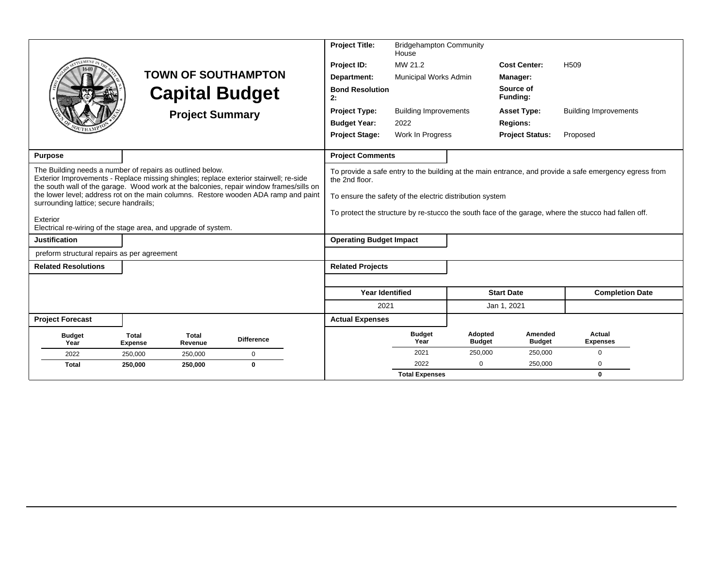| EMENT                                                                                                                                                                                                                                                                                                                                                                                                                                                        |                         | <b>Project Summary</b>  | <b>TOWN OF SOUTHAMPTON</b><br><b>Capital Budget</b> |  | <b>Project Title:</b><br>Project ID:<br>Department:<br><b>Bond Resolution</b><br>2:<br><b>Project Type:</b><br><b>Budget Year:</b><br><b>Project Stage:</b> | <b>Bridgehampton Community</b><br>House<br>MW 21.2<br><b>Municipal Works Admin</b><br><b>Building Improvements</b><br>2022<br>Work In Progress |                          | <b>Cost Center:</b><br>Manager:<br>Source of<br>Funding:<br><b>Asset Type:</b><br><b>Regions:</b><br><b>Project Status:</b> | H <sub>509</sub><br><b>Building Improvements</b><br>Proposed                                                                                                                                                   |  |
|--------------------------------------------------------------------------------------------------------------------------------------------------------------------------------------------------------------------------------------------------------------------------------------------------------------------------------------------------------------------------------------------------------------------------------------------------------------|-------------------------|-------------------------|-----------------------------------------------------|--|-------------------------------------------------------------------------------------------------------------------------------------------------------------|------------------------------------------------------------------------------------------------------------------------------------------------|--------------------------|-----------------------------------------------------------------------------------------------------------------------------|----------------------------------------------------------------------------------------------------------------------------------------------------------------------------------------------------------------|--|
| <b>Purpose</b>                                                                                                                                                                                                                                                                                                                                                                                                                                               |                         |                         |                                                     |  | <b>Project Comments</b>                                                                                                                                     |                                                                                                                                                |                          |                                                                                                                             |                                                                                                                                                                                                                |  |
| The Building needs a number of repairs as outlined below.<br>Exterior Improvements - Replace missing shingles; replace exterior stairwell; re-side<br>the south wall of the garage. Wood work at the balconies, repair window frames/sills on<br>the lower level; address rot on the main columns. Restore wooden ADA ramp and paint<br>surrounding lattice; secure handrails;<br>Exterior<br>Electrical re-wiring of the stage area, and upgrade of system. |                         |                         |                                                     |  | the 2nd floor.<br>To ensure the safety of the electric distribution system                                                                                  |                                                                                                                                                |                          |                                                                                                                             | To provide a safe entry to the building at the main entrance, and provide a safe emergency egress from<br>To protect the structure by re-stucco the south face of the garage, where the stucco had fallen off. |  |
| <b>Justification</b>                                                                                                                                                                                                                                                                                                                                                                                                                                         |                         |                         |                                                     |  | <b>Operating Budget Impact</b>                                                                                                                              |                                                                                                                                                |                          |                                                                                                                             |                                                                                                                                                                                                                |  |
| preform structural repairs as per agreement                                                                                                                                                                                                                                                                                                                                                                                                                  |                         |                         |                                                     |  |                                                                                                                                                             |                                                                                                                                                |                          |                                                                                                                             |                                                                                                                                                                                                                |  |
| <b>Related Resolutions</b>                                                                                                                                                                                                                                                                                                                                                                                                                                   |                         |                         |                                                     |  | <b>Related Projects</b>                                                                                                                                     |                                                                                                                                                |                          |                                                                                                                             |                                                                                                                                                                                                                |  |
|                                                                                                                                                                                                                                                                                                                                                                                                                                                              |                         |                         |                                                     |  | <b>Year Identified</b>                                                                                                                                      |                                                                                                                                                |                          | <b>Start Date</b>                                                                                                           | <b>Completion Date</b>                                                                                                                                                                                         |  |
|                                                                                                                                                                                                                                                                                                                                                                                                                                                              |                         |                         |                                                     |  | 2021                                                                                                                                                        |                                                                                                                                                |                          | Jan 1, 2021                                                                                                                 |                                                                                                                                                                                                                |  |
| <b>Project Forecast</b>                                                                                                                                                                                                                                                                                                                                                                                                                                      |                         |                         |                                                     |  | <b>Actual Expenses</b>                                                                                                                                      |                                                                                                                                                |                          |                                                                                                                             |                                                                                                                                                                                                                |  |
| <b>Budget</b><br>Year                                                                                                                                                                                                                                                                                                                                                                                                                                        | Total<br><b>Expense</b> | <b>Total</b><br>Revenue | <b>Difference</b>                                   |  |                                                                                                                                                             | <b>Budget</b><br>Year                                                                                                                          | Adopted<br><b>Budget</b> | Amended<br><b>Budget</b>                                                                                                    | Actual<br><b>Expenses</b>                                                                                                                                                                                      |  |
| 2022                                                                                                                                                                                                                                                                                                                                                                                                                                                         | 250,000                 | 250,000                 | 0                                                   |  |                                                                                                                                                             | 2021                                                                                                                                           | 250,000                  | 250,000                                                                                                                     | 0                                                                                                                                                                                                              |  |
| <b>Total</b>                                                                                                                                                                                                                                                                                                                                                                                                                                                 | 250,000                 | 250,000                 | $\bf{0}$                                            |  |                                                                                                                                                             | 2022                                                                                                                                           | $\mathbf 0$              | 250,000                                                                                                                     | $\Omega$                                                                                                                                                                                                       |  |
|                                                                                                                                                                                                                                                                                                                                                                                                                                                              |                         |                         |                                                     |  |                                                                                                                                                             | <b>Total Expenses</b>                                                                                                                          |                          |                                                                                                                             | $\mathbf{0}$                                                                                                                                                                                                   |  |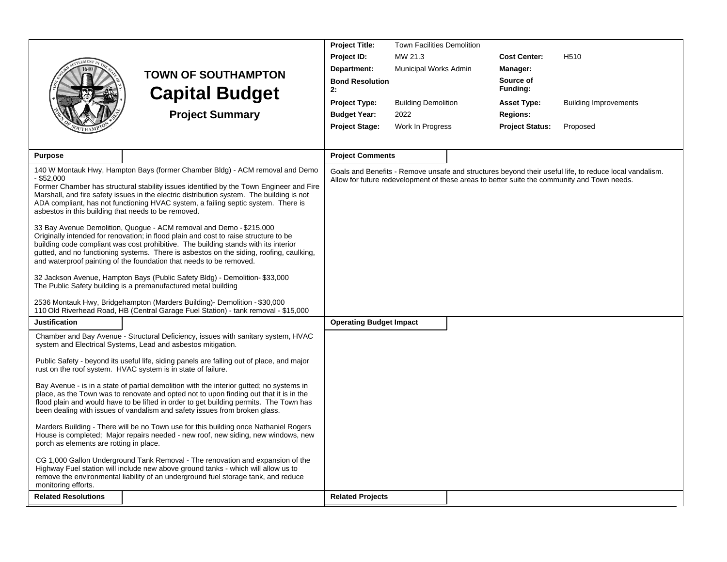|                                                     |                                                                                                                                                                                  | <b>Project Title:</b>          | <b>Town Facilities Demolition</b> |                        |                                                                                                        |
|-----------------------------------------------------|----------------------------------------------------------------------------------------------------------------------------------------------------------------------------------|--------------------------------|-----------------------------------|------------------------|--------------------------------------------------------------------------------------------------------|
|                                                     |                                                                                                                                                                                  | Project ID:                    | MW 21.3                           | <b>Cost Center:</b>    | H <sub>510</sub>                                                                                       |
|                                                     | <b>TOWN OF SOUTHAMPTON</b>                                                                                                                                                       | Department:                    | Municipal Works Admin             | Manager:               |                                                                                                        |
|                                                     | <b>Capital Budget</b>                                                                                                                                                            | <b>Bond Resolution</b><br>2:   |                                   | Source of<br>Funding:  |                                                                                                        |
|                                                     |                                                                                                                                                                                  | Project Type:                  | <b>Building Demolition</b>        | <b>Asset Type:</b>     | <b>Building Improvements</b>                                                                           |
|                                                     | <b>Project Summary</b>                                                                                                                                                           | <b>Budget Year:</b>            | 2022                              | <b>Regions:</b>        |                                                                                                        |
|                                                     |                                                                                                                                                                                  | <b>Project Stage:</b>          | Work In Progress                  | <b>Project Status:</b> | Proposed                                                                                               |
|                                                     |                                                                                                                                                                                  |                                |                                   |                        |                                                                                                        |
| <b>Purpose</b>                                      |                                                                                                                                                                                  | <b>Project Comments</b>        |                                   |                        |                                                                                                        |
|                                                     | 140 W Montauk Hwy, Hampton Bays (former Chamber Bldg) - ACM removal and Demo                                                                                                     |                                |                                   |                        | Goals and Benefits - Remove unsafe and structures beyond their useful life, to reduce local vandalism. |
| $-$ \$52.000                                        | Former Chamber has structural stability issues identified by the Town Engineer and Fire                                                                                          |                                |                                   |                        | Allow for future redevelopment of these areas to better suite the community and Town needs.            |
|                                                     | Marshall, and fire safety issues in the electric distribution system. The building is not                                                                                        |                                |                                   |                        |                                                                                                        |
| asbestos in this building that needs to be removed. | ADA compliant, has not functioning HVAC system, a failing septic system. There is                                                                                                |                                |                                   |                        |                                                                                                        |
|                                                     |                                                                                                                                                                                  |                                |                                   |                        |                                                                                                        |
|                                                     | 33 Bay Avenue Demolition, Quogue - ACM removal and Demo - \$215,000<br>Originally intended for renovation; in flood plain and cost to raise structure to be                      |                                |                                   |                        |                                                                                                        |
|                                                     | building code compliant was cost prohibitive. The building stands with its interior                                                                                              |                                |                                   |                        |                                                                                                        |
|                                                     | gutted, and no functioning systems. There is asbestos on the siding, roofing, caulking,<br>and waterproof painting of the foundation that needs to be removed.                   |                                |                                   |                        |                                                                                                        |
|                                                     | 32 Jackson Avenue, Hampton Bays (Public Safety Bldg) - Demolition- \$33,000                                                                                                      |                                |                                   |                        |                                                                                                        |
|                                                     | The Public Safety building is a premanufactured metal building                                                                                                                   |                                |                                   |                        |                                                                                                        |
|                                                     | 2536 Montauk Hwy, Bridgehampton (Marders Building)- Demolition - \$30,000<br>110 Old Riverhead Road, HB (Central Garage Fuel Station) - tank removal - \$15,000                  |                                |                                   |                        |                                                                                                        |
| <b>Justification</b>                                |                                                                                                                                                                                  | <b>Operating Budget Impact</b> |                                   |                        |                                                                                                        |
|                                                     | Chamber and Bay Avenue - Structural Deficiency, issues with sanitary system, HVAC<br>system and Electrical Systems, Lead and asbestos mitigation.                                |                                |                                   |                        |                                                                                                        |
|                                                     | Public Safety - beyond its useful life, siding panels are falling out of place, and major<br>rust on the roof system. HVAC system is in state of failure.                        |                                |                                   |                        |                                                                                                        |
|                                                     | Bay Avenue - is in a state of partial demolition with the interior gutted; no systems in                                                                                         |                                |                                   |                        |                                                                                                        |
|                                                     | place, as the Town was to renovate and opted not to upon finding out that it is in the<br>flood plain and would have to be lifted in order to get building permits. The Town has |                                |                                   |                        |                                                                                                        |
|                                                     | been dealing with issues of vandalism and safety issues from broken glass.                                                                                                       |                                |                                   |                        |                                                                                                        |
|                                                     | Marders Building - There will be no Town use for this building once Nathaniel Rogers                                                                                             |                                |                                   |                        |                                                                                                        |
| porch as elements are rotting in place.             | House is completed; Major repairs needed - new roof, new siding, new windows, new                                                                                                |                                |                                   |                        |                                                                                                        |
|                                                     | CG 1,000 Gallon Underground Tank Removal - The renovation and expansion of the                                                                                                   |                                |                                   |                        |                                                                                                        |
|                                                     | Highway Fuel station will include new above ground tanks - which will allow us to<br>remove the environmental liability of an underground fuel storage tank, and reduce          |                                |                                   |                        |                                                                                                        |
| monitoring efforts.                                 |                                                                                                                                                                                  |                                |                                   |                        |                                                                                                        |
| <b>Related Resolutions</b>                          |                                                                                                                                                                                  | <b>Related Projects</b>        |                                   |                        |                                                                                                        |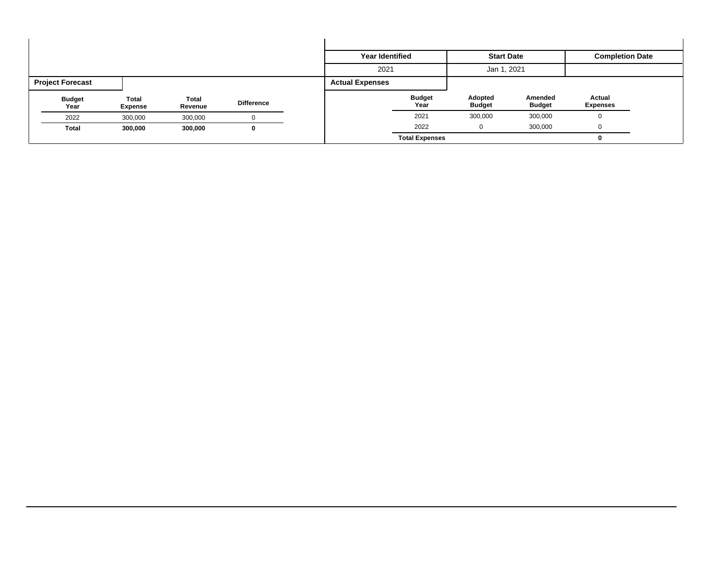|                         |                  |                         |                   | <b>Year Identified</b> |                       | <b>Start Date</b>        |                          | <b>Completion Date</b>    |  |
|-------------------------|------------------|-------------------------|-------------------|------------------------|-----------------------|--------------------------|--------------------------|---------------------------|--|
|                         |                  |                         |                   | 2021                   |                       | Jan 1, 2021              |                          |                           |  |
| <b>Project Forecast</b> |                  |                         |                   | <b>Actual Expenses</b> |                       |                          |                          |                           |  |
| <b>Budget</b><br>Year   | Total<br>Expense | <b>Total</b><br>Revenue | <b>Difference</b> |                        | <b>Budget</b><br>Year | Adopted<br><b>Budget</b> | Amended<br><b>Budget</b> | Actual<br><b>Expenses</b> |  |
| 2022                    | 300,000          | 300,000                 |                   |                        | 2021                  | 300,000                  | 300,000                  |                           |  |
| <b>Total</b>            | 300,000          | 300,000                 | 0                 |                        | 2022                  |                          | 300,000                  |                           |  |
|                         |                  |                         |                   |                        | <b>Total Expenses</b> |                          |                          |                           |  |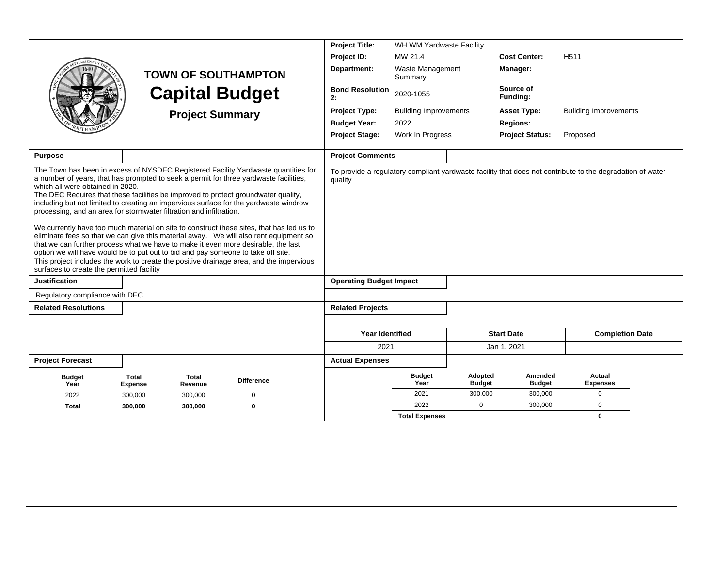|                                                                                                                                                                                                                                                                                                                                                                                                                                                                                                                                                                                                                                                                                                                                                                                                                                                                                                                                                                                                      |                                           |                        |                            | <b>Project Title:</b>        | WH WM Yardwaste Facility                                                                                  |                          |                          |                              |  |
|------------------------------------------------------------------------------------------------------------------------------------------------------------------------------------------------------------------------------------------------------------------------------------------------------------------------------------------------------------------------------------------------------------------------------------------------------------------------------------------------------------------------------------------------------------------------------------------------------------------------------------------------------------------------------------------------------------------------------------------------------------------------------------------------------------------------------------------------------------------------------------------------------------------------------------------------------------------------------------------------------|-------------------------------------------|------------------------|----------------------------|------------------------------|-----------------------------------------------------------------------------------------------------------|--------------------------|--------------------------|------------------------------|--|
|                                                                                                                                                                                                                                                                                                                                                                                                                                                                                                                                                                                                                                                                                                                                                                                                                                                                                                                                                                                                      |                                           |                        |                            | Project ID:                  | MW 21.4                                                                                                   |                          | <b>Cost Center:</b>      | H <sub>511</sub>             |  |
|                                                                                                                                                                                                                                                                                                                                                                                                                                                                                                                                                                                                                                                                                                                                                                                                                                                                                                                                                                                                      |                                           |                        | <b>TOWN OF SOUTHAMPTON</b> | Department:                  | Waste Management<br>Summary                                                                               |                          | Manager:                 |                              |  |
|                                                                                                                                                                                                                                                                                                                                                                                                                                                                                                                                                                                                                                                                                                                                                                                                                                                                                                                                                                                                      |                                           |                        | <b>Capital Budget</b>      | <b>Bond Resolution</b><br>2: | 2020-1055                                                                                                 |                          | Source of<br>Funding:    |                              |  |
|                                                                                                                                                                                                                                                                                                                                                                                                                                                                                                                                                                                                                                                                                                                                                                                                                                                                                                                                                                                                      |                                           | <b>Project Summary</b> |                            | <b>Project Type:</b>         | <b>Building Improvements</b>                                                                              |                          | <b>Asset Type:</b>       | <b>Building Improvements</b> |  |
|                                                                                                                                                                                                                                                                                                                                                                                                                                                                                                                                                                                                                                                                                                                                                                                                                                                                                                                                                                                                      |                                           |                        |                            | <b>Budget Year:</b>          | 2022                                                                                                      |                          | <b>Regions:</b>          |                              |  |
|                                                                                                                                                                                                                                                                                                                                                                                                                                                                                                                                                                                                                                                                                                                                                                                                                                                                                                                                                                                                      |                                           |                        |                            | <b>Project Stage:</b>        | Work In Progress                                                                                          |                          | <b>Project Status:</b>   | Proposed                     |  |
| <b>Purpose</b>                                                                                                                                                                                                                                                                                                                                                                                                                                                                                                                                                                                                                                                                                                                                                                                                                                                                                                                                                                                       |                                           |                        |                            | <b>Project Comments</b>      |                                                                                                           |                          |                          |                              |  |
| The Town has been in excess of NYSDEC Registered Facility Yardwaste quantities for<br>a number of years, that has prompted to seek a permit for three yardwaste facilities,<br>which all were obtained in 2020.<br>The DEC Requires that these facilities be improved to protect groundwater quality,<br>including but not limited to creating an impervious surface for the yardwaste windrow<br>processing, and an area for stormwater filtration and infiltration.<br>We currently have too much material on site to construct these sites, that has led us to<br>eliminate fees so that we can give this material away.  We will also rent equipment so<br>that we can further process what we have to make it even more desirable, the last<br>option we will have would be to put out to bid and pay someone to take off site.<br>This project includes the work to create the positive drainage area, and the impervious<br>surfaces to create the permitted facility<br><b>Justification</b> | quality<br><b>Operating Budget Impact</b> |                        |                            |                              | To provide a regulatory compliant yardwaste facility that does not contribute to the degradation of water |                          |                          |                              |  |
| Regulatory compliance with DEC                                                                                                                                                                                                                                                                                                                                                                                                                                                                                                                                                                                                                                                                                                                                                                                                                                                                                                                                                                       |                                           |                        |                            |                              |                                                                                                           |                          |                          |                              |  |
| <b>Related Resolutions</b>                                                                                                                                                                                                                                                                                                                                                                                                                                                                                                                                                                                                                                                                                                                                                                                                                                                                                                                                                                           |                                           |                        |                            | <b>Related Projects</b>      |                                                                                                           |                          |                          |                              |  |
|                                                                                                                                                                                                                                                                                                                                                                                                                                                                                                                                                                                                                                                                                                                                                                                                                                                                                                                                                                                                      |                                           |                        |                            |                              |                                                                                                           |                          |                          |                              |  |
|                                                                                                                                                                                                                                                                                                                                                                                                                                                                                                                                                                                                                                                                                                                                                                                                                                                                                                                                                                                                      |                                           |                        |                            | <b>Year Identified</b>       |                                                                                                           |                          | <b>Start Date</b>        | <b>Completion Date</b>       |  |
|                                                                                                                                                                                                                                                                                                                                                                                                                                                                                                                                                                                                                                                                                                                                                                                                                                                                                                                                                                                                      |                                           |                        |                            | 2021                         |                                                                                                           |                          | Jan 1, 2021              |                              |  |
| <b>Project Forecast</b>                                                                                                                                                                                                                                                                                                                                                                                                                                                                                                                                                                                                                                                                                                                                                                                                                                                                                                                                                                              |                                           |                        |                            | <b>Actual Expenses</b>       |                                                                                                           |                          |                          |                              |  |
| <b>Budget</b><br>Year                                                                                                                                                                                                                                                                                                                                                                                                                                                                                                                                                                                                                                                                                                                                                                                                                                                                                                                                                                                | <b>Total</b><br><b>Expense</b>            | Total<br>Revenue       | <b>Difference</b>          |                              | <b>Budget</b><br>Year                                                                                     | Adopted<br><b>Budget</b> | Amended<br><b>Budget</b> | Actual<br><b>Expenses</b>    |  |
| 2022                                                                                                                                                                                                                                                                                                                                                                                                                                                                                                                                                                                                                                                                                                                                                                                                                                                                                                                                                                                                 | 300,000                                   | 300,000                | 0                          |                              | 2021                                                                                                      | 300,000                  | 300,000                  | 0                            |  |
| <b>Total</b>                                                                                                                                                                                                                                                                                                                                                                                                                                                                                                                                                                                                                                                                                                                                                                                                                                                                                                                                                                                         | 300,000                                   | 300,000                | $\bf{0}$                   |                              | 2022                                                                                                      | $\mathbf 0$              | 300,000                  | $\Omega$                     |  |
|                                                                                                                                                                                                                                                                                                                                                                                                                                                                                                                                                                                                                                                                                                                                                                                                                                                                                                                                                                                                      |                                           |                        |                            |                              | <b>Total Expenses</b>                                                                                     |                          |                          | $\mathbf 0$                  |  |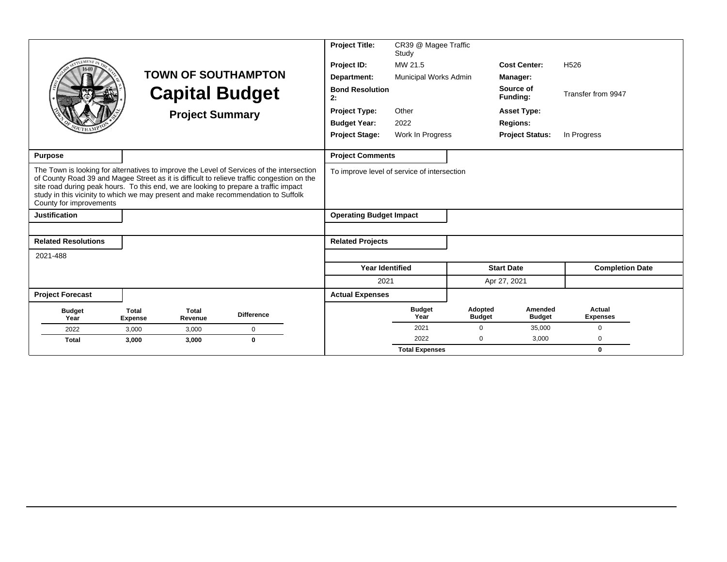|                                                                                                                                                                                                                                                                                                                                                                                                 |                                |                         |                            | <b>Project Title:</b>                       | CR39 @ Magee Traffic<br>Study |                          |                          |                           |
|-------------------------------------------------------------------------------------------------------------------------------------------------------------------------------------------------------------------------------------------------------------------------------------------------------------------------------------------------------------------------------------------------|--------------------------------|-------------------------|----------------------------|---------------------------------------------|-------------------------------|--------------------------|--------------------------|---------------------------|
|                                                                                                                                                                                                                                                                                                                                                                                                 |                                |                         |                            | Project ID:                                 | MW 21.5                       |                          | <b>Cost Center:</b>      | H <sub>526</sub>          |
|                                                                                                                                                                                                                                                                                                                                                                                                 |                                |                         | <b>TOWN OF SOUTHAMPTON</b> | Department:                                 | <b>Municipal Works Admin</b>  |                          | Manager:                 |                           |
|                                                                                                                                                                                                                                                                                                                                                                                                 |                                |                         | <b>Capital Budget</b>      | <b>Bond Resolution</b><br>2:                |                               |                          | Source of<br>Funding:    | Transfer from 9947        |
|                                                                                                                                                                                                                                                                                                                                                                                                 |                                | <b>Project Summary</b>  |                            | <b>Project Type:</b>                        | Other                         |                          | <b>Asset Type:</b>       |                           |
|                                                                                                                                                                                                                                                                                                                                                                                                 |                                |                         |                            | <b>Budget Year:</b>                         | 2022                          |                          | <b>Regions:</b>          |                           |
|                                                                                                                                                                                                                                                                                                                                                                                                 |                                |                         |                            | <b>Project Stage:</b>                       | Work In Progress              |                          | <b>Project Status:</b>   | In Progress               |
|                                                                                                                                                                                                                                                                                                                                                                                                 |                                |                         |                            |                                             |                               |                          |                          |                           |
| <b>Purpose</b>                                                                                                                                                                                                                                                                                                                                                                                  |                                |                         |                            | <b>Project Comments</b>                     |                               |                          |                          |                           |
| The Town is looking for alternatives to improve the Level of Services of the intersection<br>of County Road 39 and Magee Street as it is difficult to relieve traffic congestion on the<br>site road during peak hours. To this end, we are looking to prepare a traffic impact<br>study in this vicinity to which we may present and make recommendation to Suffolk<br>County for improvements |                                |                         |                            | To improve level of service of intersection |                               |                          |                          |                           |
| <b>Justification</b>                                                                                                                                                                                                                                                                                                                                                                            |                                |                         |                            | <b>Operating Budget Impact</b>              |                               |                          |                          |                           |
|                                                                                                                                                                                                                                                                                                                                                                                                 |                                |                         |                            |                                             |                               |                          |                          |                           |
| <b>Related Resolutions</b>                                                                                                                                                                                                                                                                                                                                                                      |                                |                         |                            | <b>Related Projects</b>                     |                               |                          |                          |                           |
| 2021-488                                                                                                                                                                                                                                                                                                                                                                                        |                                |                         |                            |                                             |                               |                          |                          |                           |
|                                                                                                                                                                                                                                                                                                                                                                                                 |                                |                         |                            | <b>Year Identified</b>                      |                               |                          | <b>Start Date</b>        | <b>Completion Date</b>    |
|                                                                                                                                                                                                                                                                                                                                                                                                 |                                |                         |                            | 2021                                        |                               |                          | Apr 27, 2021             |                           |
| <b>Project Forecast</b>                                                                                                                                                                                                                                                                                                                                                                         |                                |                         |                            | <b>Actual Expenses</b>                      |                               |                          |                          |                           |
| <b>Budget</b><br>Year                                                                                                                                                                                                                                                                                                                                                                           | <b>Total</b><br><b>Expense</b> | <b>Total</b><br>Revenue | <b>Difference</b>          |                                             | <b>Budget</b><br>Year         | Adopted<br><b>Budget</b> | Amended<br><b>Budget</b> | Actual<br><b>Expenses</b> |
| 2022                                                                                                                                                                                                                                                                                                                                                                                            | 3,000                          | 3,000                   | 0                          |                                             | 2021                          | $\Omega$                 | 35,000                   | $\Omega$                  |
| <b>Total</b>                                                                                                                                                                                                                                                                                                                                                                                    | 3,000                          | 3,000                   | $\bf{0}$                   |                                             | 2022                          | $\Omega$                 | 3,000                    | $\Omega$                  |
|                                                                                                                                                                                                                                                                                                                                                                                                 |                                |                         |                            |                                             | <b>Total Expenses</b>         |                          |                          | $\bf{0}$                  |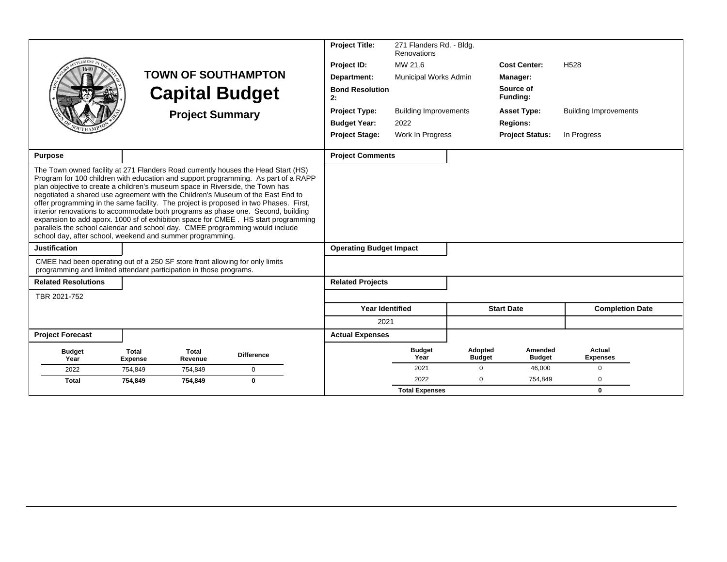|                                                                                                                                                                                                                                                                                                                                                                                                                                                                                                                                                                                                                                                                                                                                                              |                         |                         |                            | <b>Project Title:</b>          | 271 Flanders Rd. - Bldg.<br>Renovations |                                 |                          |                              |
|--------------------------------------------------------------------------------------------------------------------------------------------------------------------------------------------------------------------------------------------------------------------------------------------------------------------------------------------------------------------------------------------------------------------------------------------------------------------------------------------------------------------------------------------------------------------------------------------------------------------------------------------------------------------------------------------------------------------------------------------------------------|-------------------------|-------------------------|----------------------------|--------------------------------|-----------------------------------------|---------------------------------|--------------------------|------------------------------|
|                                                                                                                                                                                                                                                                                                                                                                                                                                                                                                                                                                                                                                                                                                                                                              |                         |                         |                            | Project ID:                    | MW 21.6                                 |                                 | <b>Cost Center:</b>      | H <sub>528</sub>             |
|                                                                                                                                                                                                                                                                                                                                                                                                                                                                                                                                                                                                                                                                                                                                                              |                         |                         | <b>TOWN OF SOUTHAMPTON</b> | Department:                    | Municipal Works Admin                   |                                 | Manager:                 |                              |
|                                                                                                                                                                                                                                                                                                                                                                                                                                                                                                                                                                                                                                                                                                                                                              |                         |                         | <b>Capital Budget</b>      | <b>Bond Resolution</b><br>2:   |                                         |                                 | Source of<br>Funding:    |                              |
|                                                                                                                                                                                                                                                                                                                                                                                                                                                                                                                                                                                                                                                                                                                                                              |                         | <b>Project Summary</b>  |                            | <b>Project Type:</b>           | <b>Building Improvements</b>            |                                 | <b>Asset Type:</b>       | <b>Building Improvements</b> |
|                                                                                                                                                                                                                                                                                                                                                                                                                                                                                                                                                                                                                                                                                                                                                              |                         |                         |                            | <b>Budget Year:</b>            | 2022                                    |                                 | <b>Regions:</b>          |                              |
|                                                                                                                                                                                                                                                                                                                                                                                                                                                                                                                                                                                                                                                                                                                                                              |                         |                         |                            | <b>Project Stage:</b>          | Work In Progress                        |                                 | <b>Project Status:</b>   | In Progress                  |
| <b>Purpose</b>                                                                                                                                                                                                                                                                                                                                                                                                                                                                                                                                                                                                                                                                                                                                               |                         |                         |                            | <b>Project Comments</b>        |                                         |                                 |                          |                              |
| The Town owned facility at 271 Flanders Road currently houses the Head Start (HS)<br>Program for 100 children with education and support programming. As part of a RAPP<br>plan objective to create a children's museum space in Riverside, the Town has<br>negotiated a shared use agreement with the Children's Museum of the East End to<br>offer programming in the same facility. The project is proposed in two Phases. First,<br>interior renovations to accommodate both programs as phase one. Second, building<br>expansion to add aporx. 1000 sf of exhibition space for CMEE . HS start programming<br>parallels the school calendar and school day. CMEE programming would include<br>school day, after school, weekend and summer programming. |                         |                         |                            |                                |                                         |                                 |                          |                              |
| <b>Justification</b>                                                                                                                                                                                                                                                                                                                                                                                                                                                                                                                                                                                                                                                                                                                                         |                         |                         |                            | <b>Operating Budget Impact</b> |                                         |                                 |                          |                              |
| CMEE had been operating out of a 250 SF store front allowing for only limits<br>programming and limited attendant participation in those programs.                                                                                                                                                                                                                                                                                                                                                                                                                                                                                                                                                                                                           |                         |                         |                            |                                |                                         |                                 |                          |                              |
| <b>Related Resolutions</b>                                                                                                                                                                                                                                                                                                                                                                                                                                                                                                                                                                                                                                                                                                                                   |                         |                         |                            | <b>Related Projects</b>        |                                         |                                 |                          |                              |
| TBR 2021-752                                                                                                                                                                                                                                                                                                                                                                                                                                                                                                                                                                                                                                                                                                                                                 |                         |                         |                            |                                |                                         |                                 |                          |                              |
|                                                                                                                                                                                                                                                                                                                                                                                                                                                                                                                                                                                                                                                                                                                                                              |                         |                         |                            | <b>Year Identified</b>         |                                         |                                 | <b>Start Date</b>        | <b>Completion Date</b>       |
|                                                                                                                                                                                                                                                                                                                                                                                                                                                                                                                                                                                                                                                                                                                                                              |                         |                         |                            | 2021                           |                                         |                                 |                          |                              |
| <b>Project Forecast</b>                                                                                                                                                                                                                                                                                                                                                                                                                                                                                                                                                                                                                                                                                                                                      |                         |                         |                            | <b>Actual Expenses</b>         |                                         |                                 |                          |                              |
| <b>Budget</b><br>Year                                                                                                                                                                                                                                                                                                                                                                                                                                                                                                                                                                                                                                                                                                                                        | Total<br><b>Expense</b> | <b>Total</b><br>Revenue | <b>Difference</b>          |                                | <b>Budget</b><br>Year                   | <b>Adopted</b><br><b>Budget</b> | Amended<br><b>Budget</b> | Actual<br><b>Expenses</b>    |
| 2022                                                                                                                                                                                                                                                                                                                                                                                                                                                                                                                                                                                                                                                                                                                                                         | 754,849                 | 754,849                 | $\mathbf 0$                |                                | 2021                                    | $\mathbf 0$                     | 46,000                   | $\mathbf 0$                  |
| <b>Total</b>                                                                                                                                                                                                                                                                                                                                                                                                                                                                                                                                                                                                                                                                                                                                                 | 754,849                 | 754,849                 | $\bf{0}$                   |                                | 2022                                    | 0                               | 754,849                  | $\Omega$                     |
|                                                                                                                                                                                                                                                                                                                                                                                                                                                                                                                                                                                                                                                                                                                                                              |                         |                         |                            |                                | <b>Total Expenses</b>                   |                                 |                          | $\mathbf{0}$                 |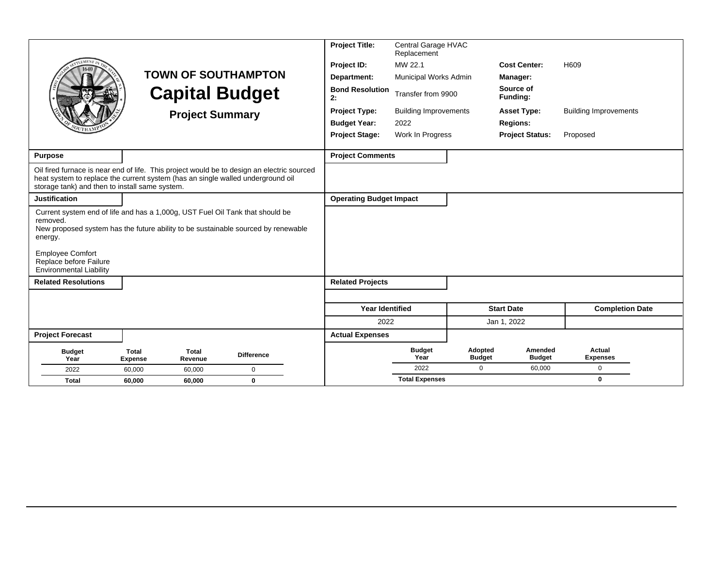|                                                                                                                                                                                                                                                                                  |                                                           |                            | <b>Project Title:</b>          | Central Garage HVAC<br>Replacement |                          |                              |                              |
|----------------------------------------------------------------------------------------------------------------------------------------------------------------------------------------------------------------------------------------------------------------------------------|-----------------------------------------------------------|----------------------------|--------------------------------|------------------------------------|--------------------------|------------------------------|------------------------------|
| <b>EMENT</b>                                                                                                                                                                                                                                                                     |                                                           |                            | Project ID:                    | MW 22.1                            |                          | <b>Cost Center:</b>          | H609                         |
|                                                                                                                                                                                                                                                                                  |                                                           | <b>TOWN OF SOUTHAMPTON</b> | Department:                    | Municipal Works Admin              |                          | Manager:                     |                              |
|                                                                                                                                                                                                                                                                                  |                                                           | <b>Capital Budget</b>      | <b>Bond Resolution</b><br>2:   | Transfer from 9900                 |                          | Source of<br><b>Funding:</b> |                              |
|                                                                                                                                                                                                                                                                                  |                                                           | <b>Project Summary</b>     | <b>Project Type:</b>           | <b>Building Improvements</b>       |                          | <b>Asset Type:</b>           | <b>Building Improvements</b> |
|                                                                                                                                                                                                                                                                                  |                                                           |                            | <b>Budget Year:</b>            | 2022                               |                          | <b>Regions:</b>              |                              |
|                                                                                                                                                                                                                                                                                  |                                                           |                            | <b>Project Stage:</b>          | Work In Progress                   |                          | <b>Project Status:</b>       | Proposed                     |
| <b>Purpose</b>                                                                                                                                                                                                                                                                   |                                                           |                            | <b>Project Comments</b>        |                                    |                          |                              |                              |
| Oil fired furnace is near end of life. This project would be to design an electric sourced<br>heat system to replace the current system (has an single walled underground oil<br>storage tank) and then to install same system.                                                  |                                                           |                            |                                |                                    |                          |                              |                              |
| <b>Justification</b>                                                                                                                                                                                                                                                             |                                                           |                            | <b>Operating Budget Impact</b> |                                    |                          |                              |                              |
| Current system end of life and has a 1,000g, UST Fuel Oil Tank that should be<br>removed.<br>New proposed system has the future ability to be sustainable sourced by renewable<br>energy.<br><b>Employee Comfort</b><br>Replace before Failure<br><b>Environmental Liability</b> |                                                           |                            |                                |                                    |                          |                              |                              |
| <b>Related Resolutions</b>                                                                                                                                                                                                                                                       |                                                           |                            | <b>Related Projects</b>        |                                    |                          |                              |                              |
|                                                                                                                                                                                                                                                                                  |                                                           |                            |                                |                                    |                          |                              |                              |
|                                                                                                                                                                                                                                                                                  |                                                           |                            | <b>Year Identified</b>         |                                    |                          | <b>Start Date</b>            | <b>Completion Date</b>       |
|                                                                                                                                                                                                                                                                                  |                                                           |                            | 2022                           |                                    |                          | Jan 1, 2022                  |                              |
| <b>Project Forecast</b>                                                                                                                                                                                                                                                          |                                                           |                            | <b>Actual Expenses</b>         |                                    |                          |                              |                              |
| <b>Budget</b><br>Year                                                                                                                                                                                                                                                            | <b>Total</b><br><b>Total</b><br>Revenue<br><b>Expense</b> | <b>Difference</b>          |                                | <b>Budget</b><br>Year              | Adopted<br><b>Budget</b> | Amended<br><b>Budget</b>     | Actual<br><b>Expenses</b>    |
| 2022                                                                                                                                                                                                                                                                             | 60,000<br>60,000                                          | $\mathbf 0$                |                                | 2022                               | $\Omega$                 | 60,000                       | $\Omega$                     |
| <b>Total</b>                                                                                                                                                                                                                                                                     | 60.000<br>60,000                                          | $\bf{0}$                   |                                | <b>Total Expenses</b>              |                          |                              | $\bf{0}$                     |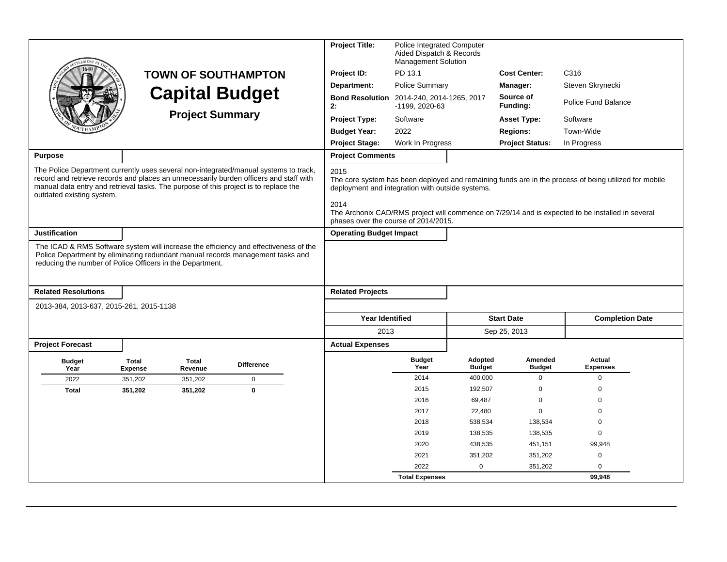|                                                                       |                                                                                      |                                                                                                                                                                                | <b>Project Title:</b>                                                                                    | <b>Police Integrated Computer</b><br>Aided Dispatch & Records<br><b>Management Solution</b> |                          |                                 |                                                                                                                                                                                                           |  |
|-----------------------------------------------------------------------|--------------------------------------------------------------------------------------|--------------------------------------------------------------------------------------------------------------------------------------------------------------------------------|----------------------------------------------------------------------------------------------------------|---------------------------------------------------------------------------------------------|--------------------------|---------------------------------|-----------------------------------------------------------------------------------------------------------------------------------------------------------------------------------------------------------|--|
|                                                                       |                                                                                      | <b>TOWN OF SOUTHAMPTON</b>                                                                                                                                                     | Project ID:                                                                                              | PD 13.1                                                                                     |                          | <b>Cost Center:</b>             | C316                                                                                                                                                                                                      |  |
|                                                                       |                                                                                      |                                                                                                                                                                                | Department:                                                                                              | Police Summary                                                                              |                          | Manager:                        | Steven Skrynecki                                                                                                                                                                                          |  |
|                                                                       |                                                                                      | <b>Capital Budget</b>                                                                                                                                                          | <b>Bond Resolution</b><br>2:                                                                             | 2014-240, 2014-1265, 2017<br>-1199, 2020-63                                                 |                          | Source of<br>Funding:           | Police Fund Balance                                                                                                                                                                                       |  |
|                                                                       |                                                                                      | <b>Project Summary</b>                                                                                                                                                         | Project Type:                                                                                            | Software                                                                                    |                          | <b>Asset Type:</b>              | Software                                                                                                                                                                                                  |  |
|                                                                       |                                                                                      |                                                                                                                                                                                | <b>Budget Year:</b>                                                                                      | 2022                                                                                        |                          | <b>Regions:</b>                 | Town-Wide                                                                                                                                                                                                 |  |
|                                                                       |                                                                                      |                                                                                                                                                                                | <b>Project Stage:</b>                                                                                    | Work In Progress                                                                            |                          | <b>Project Status:</b>          | In Progress                                                                                                                                                                                               |  |
| <b>Purpose</b>                                                        |                                                                                      |                                                                                                                                                                                | <b>Project Comments</b>                                                                                  |                                                                                             |                          |                                 |                                                                                                                                                                                                           |  |
| outdated existing system.                                             | manual data entry and retrieval tasks. The purpose of this project is to replace the | The Police Department currently uses several non-integrated/manual systems to track,<br>record and retrieve records and places an unnecessarily burden officers and staff with | 2015<br>deployment and integration with outside systems.<br>2014<br>phases over the course of 2014/2015. |                                                                                             |                          |                                 | The core system has been deployed and remaining funds are in the process of being utilized for mobile<br>The Archonix CAD/RMS project will commence on 7/29/14 and is expected to be installed in several |  |
| <b>Justification</b>                                                  |                                                                                      |                                                                                                                                                                                | <b>Operating Budget Impact</b>                                                                           |                                                                                             |                          |                                 |                                                                                                                                                                                                           |  |
| <b>Related Resolutions</b><br>2013-384, 2013-637, 2015-261, 2015-1138 | reducing the number of Police Officers in the Department.                            | The ICAD & RMS Software system will increase the efficiency and effectiveness of the<br>Police Department by eliminating redundant manual records management tasks and         | <b>Related Projects</b>                                                                                  |                                                                                             |                          |                                 |                                                                                                                                                                                                           |  |
|                                                                       |                                                                                      |                                                                                                                                                                                | <b>Year Identified</b>                                                                                   |                                                                                             |                          | <b>Start Date</b>               | <b>Completion Date</b>                                                                                                                                                                                    |  |
|                                                                       |                                                                                      |                                                                                                                                                                                | 2013                                                                                                     |                                                                                             |                          | Sep 25, 2013                    |                                                                                                                                                                                                           |  |
| <b>Project Forecast</b>                                               |                                                                                      |                                                                                                                                                                                | <b>Actual Expenses</b>                                                                                   |                                                                                             |                          |                                 |                                                                                                                                                                                                           |  |
| <b>Budget</b><br>Year                                                 | Total<br>Total<br><b>Expense</b><br>Revenue                                          | <b>Difference</b>                                                                                                                                                              |                                                                                                          | <b>Budget</b><br>Year                                                                       | Adopted<br><b>Budget</b> | <b>Amended</b><br><b>Budget</b> | Actual<br><b>Expenses</b>                                                                                                                                                                                 |  |
| 2022                                                                  | 351,202<br>351,202                                                                   | $\mathbf 0$                                                                                                                                                                    |                                                                                                          | 2014                                                                                        | 400,000                  | $\mathbf 0$                     | $\mathbf 0$                                                                                                                                                                                               |  |
| <b>Total</b>                                                          | 351,202<br>351,202                                                                   | $\mathbf{0}$                                                                                                                                                                   |                                                                                                          | 2015                                                                                        | 192,507                  | $\mathbf 0$                     | $\Omega$                                                                                                                                                                                                  |  |
|                                                                       |                                                                                      |                                                                                                                                                                                |                                                                                                          | 2016                                                                                        | 69,487                   | $\mathbf 0$                     | $\Omega$                                                                                                                                                                                                  |  |
|                                                                       |                                                                                      |                                                                                                                                                                                |                                                                                                          | 2017                                                                                        | 22,480                   | $\mathbf 0$                     | $\Omega$                                                                                                                                                                                                  |  |
|                                                                       |                                                                                      |                                                                                                                                                                                |                                                                                                          | 2018                                                                                        | 538,534                  | 138,534                         | $\mathbf 0$                                                                                                                                                                                               |  |
|                                                                       |                                                                                      |                                                                                                                                                                                |                                                                                                          | 2019                                                                                        | 138,535                  | 138,535                         | $\mathbf 0$                                                                                                                                                                                               |  |
|                                                                       |                                                                                      |                                                                                                                                                                                |                                                                                                          | 2020                                                                                        | 438,535                  | 451,151                         | 99,948                                                                                                                                                                                                    |  |
|                                                                       |                                                                                      |                                                                                                                                                                                |                                                                                                          | 2021                                                                                        | 351,202                  | 351,202                         | $\mathbf 0$                                                                                                                                                                                               |  |
|                                                                       |                                                                                      |                                                                                                                                                                                |                                                                                                          | 2022                                                                                        | $\mathbf 0$              | 351,202                         | $\mathbf 0$                                                                                                                                                                                               |  |
|                                                                       |                                                                                      |                                                                                                                                                                                |                                                                                                          | <b>Total Expenses</b>                                                                       |                          |                                 | 99.948                                                                                                                                                                                                    |  |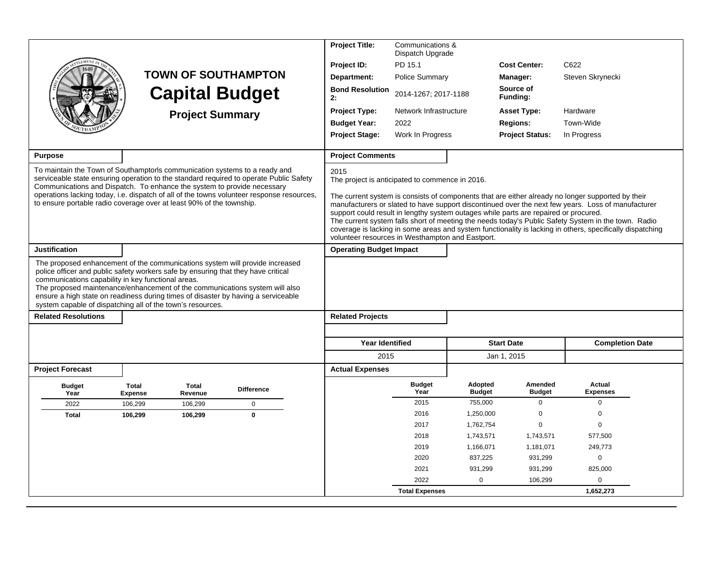|                                                                                                                                                                                                                                                                                                                                                                                                                                                           |                                |                         |                                                                                                                                                                                     | <b>Project Title:</b>                                                                                       | Communications &<br>Dispatch Upgrade |                          |                                                                                      |                                                                                                                                                                                                                                                                                                                                                                                                                             |  |
|-----------------------------------------------------------------------------------------------------------------------------------------------------------------------------------------------------------------------------------------------------------------------------------------------------------------------------------------------------------------------------------------------------------------------------------------------------------|--------------------------------|-------------------------|-------------------------------------------------------------------------------------------------------------------------------------------------------------------------------------|-------------------------------------------------------------------------------------------------------------|--------------------------------------|--------------------------|--------------------------------------------------------------------------------------|-----------------------------------------------------------------------------------------------------------------------------------------------------------------------------------------------------------------------------------------------------------------------------------------------------------------------------------------------------------------------------------------------------------------------------|--|
|                                                                                                                                                                                                                                                                                                                                                                                                                                                           |                                |                         |                                                                                                                                                                                     | Project ID:                                                                                                 | PD 15.1                              |                          | <b>Cost Center:</b>                                                                  | C622                                                                                                                                                                                                                                                                                                                                                                                                                        |  |
|                                                                                                                                                                                                                                                                                                                                                                                                                                                           |                                |                         | <b>TOWN OF SOUTHAMPTON</b>                                                                                                                                                          | Department:                                                                                                 | Police Summary                       |                          | Manager:                                                                             | Steven Skrynecki                                                                                                                                                                                                                                                                                                                                                                                                            |  |
|                                                                                                                                                                                                                                                                                                                                                                                                                                                           |                                | <b>Capital Budget</b>   |                                                                                                                                                                                     | <b>Bond Resolution</b><br>2:                                                                                | 2014-1267; 2017-1188                 |                          | Source of<br>Funding:                                                                |                                                                                                                                                                                                                                                                                                                                                                                                                             |  |
|                                                                                                                                                                                                                                                                                                                                                                                                                                                           |                                | <b>Project Summary</b>  |                                                                                                                                                                                     | Project Type:                                                                                               | Network Infrastructure               |                          | <b>Asset Type:</b>                                                                   | Hardware                                                                                                                                                                                                                                                                                                                                                                                                                    |  |
|                                                                                                                                                                                                                                                                                                                                                                                                                                                           |                                |                         |                                                                                                                                                                                     | <b>Budget Year:</b>                                                                                         | 2022                                 |                          | <b>Regions:</b>                                                                      | Town-Wide                                                                                                                                                                                                                                                                                                                                                                                                                   |  |
|                                                                                                                                                                                                                                                                                                                                                                                                                                                           |                                |                         |                                                                                                                                                                                     | <b>Project Stage:</b>                                                                                       | Work In Progress                     |                          | <b>Project Status:</b>                                                               | In Progress                                                                                                                                                                                                                                                                                                                                                                                                                 |  |
| <b>Purpose</b>                                                                                                                                                                                                                                                                                                                                                                                                                                            |                                |                         |                                                                                                                                                                                     | <b>Project Comments</b>                                                                                     |                                      |                          |                                                                                      |                                                                                                                                                                                                                                                                                                                                                                                                                             |  |
| To maintain the Town of Southamptoris communication systems to a ready and<br>Communications and Dispatch. To enhance the system to provide necessary<br>to ensure portable radio coverage over at least 90% of the township.                                                                                                                                                                                                                             |                                |                         | serviceable state ensuring operation to the standard required to operate Public Safety<br>operations lacking today, i.e. dispatch of all of the towns volunteer response resources, | 2015<br>The project is anticipated to commence in 2016.<br>volunteer resources in Westhampton and Eastport. |                                      |                          | support could result in lengthy system outages while parts are repaired or procured. | The current system is consists of components that are either already no longer supported by their<br>manufacturers or slated to have support discontinued over the next few years. Loss of manufacturer<br>The current system falls short of meeting the needs today's Public Safety System in the town. Radio<br>coverage is lacking in some areas and system functionality is lacking in others, specifically dispatching |  |
| <b>Justification</b>                                                                                                                                                                                                                                                                                                                                                                                                                                      |                                |                         |                                                                                                                                                                                     | <b>Operating Budget Impact</b>                                                                              |                                      |                          |                                                                                      |                                                                                                                                                                                                                                                                                                                                                                                                                             |  |
| The proposed enhancement of the communications system will provide increased<br>police officer and public safety workers safe by ensuring that they have critical<br>communications capability in key functional areas.<br>The proposed maintenance/enhancement of the communications system will also<br>ensure a high state on readiness during times of disaster by having a serviceable<br>system capable of dispatching all of the town's resources. |                                |                         |                                                                                                                                                                                     |                                                                                                             |                                      |                          |                                                                                      |                                                                                                                                                                                                                                                                                                                                                                                                                             |  |
| <b>Related Resolutions</b>                                                                                                                                                                                                                                                                                                                                                                                                                                |                                |                         |                                                                                                                                                                                     | <b>Related Projects</b>                                                                                     |                                      |                          |                                                                                      |                                                                                                                                                                                                                                                                                                                                                                                                                             |  |
|                                                                                                                                                                                                                                                                                                                                                                                                                                                           |                                |                         |                                                                                                                                                                                     | <b>Year Identified</b>                                                                                      |                                      |                          | <b>Start Date</b>                                                                    | <b>Completion Date</b>                                                                                                                                                                                                                                                                                                                                                                                                      |  |
|                                                                                                                                                                                                                                                                                                                                                                                                                                                           |                                |                         |                                                                                                                                                                                     | 2015                                                                                                        |                                      |                          | Jan 1, 2015                                                                          |                                                                                                                                                                                                                                                                                                                                                                                                                             |  |
| <b>Project Forecast</b>                                                                                                                                                                                                                                                                                                                                                                                                                                   |                                |                         |                                                                                                                                                                                     | <b>Actual Expenses</b>                                                                                      |                                      |                          |                                                                                      |                                                                                                                                                                                                                                                                                                                                                                                                                             |  |
| <b>Budget</b><br>Year                                                                                                                                                                                                                                                                                                                                                                                                                                     | <b>Total</b><br><b>Expense</b> | <b>Total</b><br>Revenue | <b>Difference</b>                                                                                                                                                                   |                                                                                                             | <b>Budget</b><br>Year                | Adopted<br><b>Budget</b> | Amended<br><b>Budget</b>                                                             | Actual<br><b>Expenses</b>                                                                                                                                                                                                                                                                                                                                                                                                   |  |
| 2022                                                                                                                                                                                                                                                                                                                                                                                                                                                      | 106,299                        | 106,299                 | $\mathbf 0$                                                                                                                                                                         |                                                                                                             | 2015                                 | 755,000                  | $\Omega$                                                                             | $\Omega$                                                                                                                                                                                                                                                                                                                                                                                                                    |  |
| <b>Total</b>                                                                                                                                                                                                                                                                                                                                                                                                                                              | 106,299                        | 106,299                 | $\mathbf{0}$                                                                                                                                                                        |                                                                                                             | 2016                                 | 1,250,000                | $\mathbf 0$                                                                          | $\mathbf 0$                                                                                                                                                                                                                                                                                                                                                                                                                 |  |
|                                                                                                                                                                                                                                                                                                                                                                                                                                                           |                                |                         |                                                                                                                                                                                     |                                                                                                             | 2017                                 | 1,762,754                | 0                                                                                    | $\mathbf 0$                                                                                                                                                                                                                                                                                                                                                                                                                 |  |
|                                                                                                                                                                                                                                                                                                                                                                                                                                                           |                                |                         |                                                                                                                                                                                     |                                                                                                             | 2018                                 | 1,743,571                | 1,743,571                                                                            | 577,500                                                                                                                                                                                                                                                                                                                                                                                                                     |  |
|                                                                                                                                                                                                                                                                                                                                                                                                                                                           |                                |                         |                                                                                                                                                                                     |                                                                                                             | 2019                                 | 1,166,071                | 1,181,071                                                                            | 249,773                                                                                                                                                                                                                                                                                                                                                                                                                     |  |
|                                                                                                                                                                                                                                                                                                                                                                                                                                                           |                                |                         |                                                                                                                                                                                     |                                                                                                             | 2020                                 | 837,225                  | 931,299                                                                              | $\mathbf 0$                                                                                                                                                                                                                                                                                                                                                                                                                 |  |
|                                                                                                                                                                                                                                                                                                                                                                                                                                                           |                                |                         |                                                                                                                                                                                     |                                                                                                             | 2021                                 | 931,299                  | 931,299                                                                              | 825,000                                                                                                                                                                                                                                                                                                                                                                                                                     |  |
|                                                                                                                                                                                                                                                                                                                                                                                                                                                           |                                |                         |                                                                                                                                                                                     |                                                                                                             | 2022                                 | $\mathbf 0$              | 106,299                                                                              | 0                                                                                                                                                                                                                                                                                                                                                                                                                           |  |
|                                                                                                                                                                                                                                                                                                                                                                                                                                                           |                                |                         |                                                                                                                                                                                     |                                                                                                             | <b>Total Expenses</b>                |                          |                                                                                      | 1,652,273                                                                                                                                                                                                                                                                                                                                                                                                                   |  |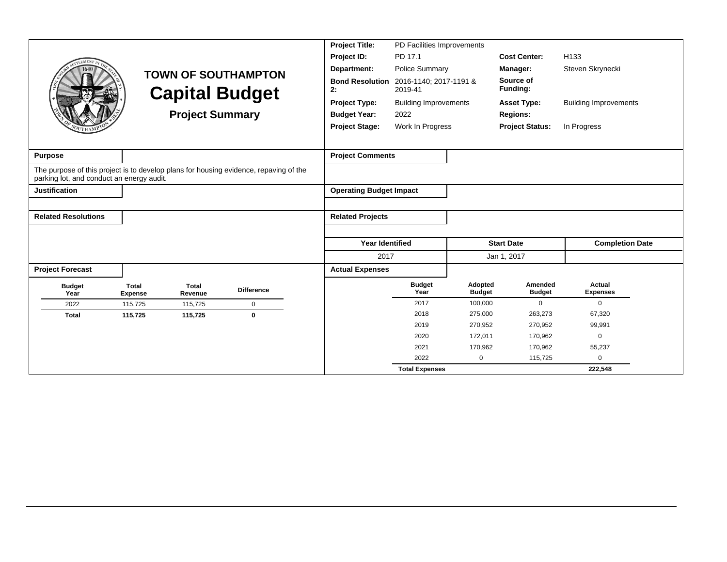|                                                                                                                                    |                                |                         |                            | <b>Project Title:</b>          | PD Facilities Improvements        |                          |                          |                              |  |
|------------------------------------------------------------------------------------------------------------------------------------|--------------------------------|-------------------------|----------------------------|--------------------------------|-----------------------------------|--------------------------|--------------------------|------------------------------|--|
| LEMENT <sub>I</sub>                                                                                                                |                                |                         |                            | Project ID:                    | PD 17.1                           |                          | <b>Cost Center:</b>      | H <sub>133</sub>             |  |
| 1640                                                                                                                               |                                |                         | <b>TOWN OF SOUTHAMPTON</b> | Department:                    | <b>Police Summary</b>             |                          | Manager:                 | Steven Skrynecki             |  |
|                                                                                                                                    |                                |                         | <b>Capital Budget</b>      | <b>Bond Resolution</b><br>2:   | 2016-1140; 2017-1191 &<br>2019-41 |                          | Source of<br>Funding:    |                              |  |
|                                                                                                                                    |                                |                         |                            | <b>Project Type:</b>           | <b>Building Improvements</b>      |                          | <b>Asset Type:</b>       | <b>Building Improvements</b> |  |
|                                                                                                                                    |                                | <b>Project Summary</b>  |                            | <b>Budget Year:</b>            | 2022                              |                          | <b>Regions:</b>          |                              |  |
|                                                                                                                                    |                                |                         |                            | <b>Project Stage:</b>          | Work In Progress                  |                          | <b>Project Status:</b>   | In Progress                  |  |
|                                                                                                                                    |                                |                         |                            |                                |                                   |                          |                          |                              |  |
| <b>Purpose</b>                                                                                                                     |                                |                         |                            | <b>Project Comments</b>        |                                   |                          |                          |                              |  |
| The purpose of this project is to develop plans for housing evidence, repaving of the<br>parking lot, and conduct an energy audit. |                                |                         |                            |                                |                                   |                          |                          |                              |  |
| <b>Justification</b>                                                                                                               |                                |                         |                            | <b>Operating Budget Impact</b> |                                   |                          |                          |                              |  |
|                                                                                                                                    |                                |                         |                            |                                |                                   |                          |                          |                              |  |
| <b>Related Resolutions</b>                                                                                                         |                                |                         |                            | <b>Related Projects</b>        |                                   |                          |                          |                              |  |
|                                                                                                                                    |                                |                         |                            |                                |                                   |                          |                          |                              |  |
|                                                                                                                                    |                                |                         |                            | <b>Year Identified</b>         |                                   |                          | <b>Start Date</b>        | <b>Completion Date</b>       |  |
|                                                                                                                                    |                                |                         |                            | 2017                           |                                   |                          | Jan 1, 2017              |                              |  |
| <b>Project Forecast</b>                                                                                                            |                                |                         |                            | <b>Actual Expenses</b>         |                                   |                          |                          |                              |  |
| <b>Budget</b><br>Year                                                                                                              | <b>Total</b><br><b>Expense</b> | <b>Total</b><br>Revenue | <b>Difference</b>          |                                | <b>Budget</b><br>Year             | Adopted<br><b>Budget</b> | Amended<br><b>Budget</b> | Actual<br><b>Expenses</b>    |  |
| 2022                                                                                                                               | 115,725                        | 115,725                 | $\mathbf 0$                |                                | 2017                              | 100,000                  | $\mathbf 0$              | 0                            |  |
| <b>Total</b>                                                                                                                       | 115,725                        | 115,725                 | $\mathbf 0$                |                                | 2018                              | 275,000                  | 263,273                  | 67,320                       |  |
|                                                                                                                                    |                                |                         |                            |                                | 2019                              | 270,952                  | 270,952                  | 99,991                       |  |
|                                                                                                                                    |                                |                         |                            |                                | 2020                              | 172,011                  | 170,962                  | $\mathbf 0$                  |  |
|                                                                                                                                    |                                |                         |                            |                                | 2021<br>2022                      | 170,962<br>$\mathbf 0$   | 170,962<br>115,725       | 55,237<br>0                  |  |
|                                                                                                                                    |                                |                         |                            |                                | <b>Total Expenses</b>             |                          |                          | 222,548                      |  |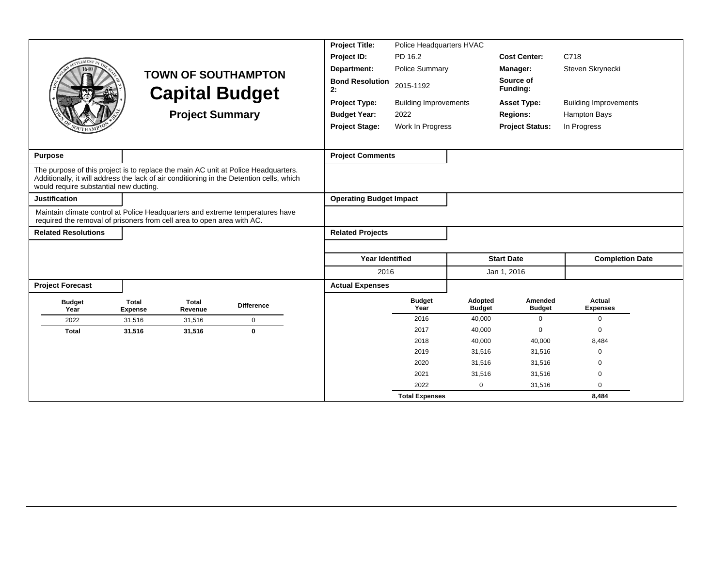|                                        |                                                                                                                                                         |                                                                                                                                                                                | <b>Project Title:</b>          | Police Headquarters HVAC      |                          |                          |                              |  |
|----------------------------------------|---------------------------------------------------------------------------------------------------------------------------------------------------------|--------------------------------------------------------------------------------------------------------------------------------------------------------------------------------|--------------------------------|-------------------------------|--------------------------|--------------------------|------------------------------|--|
|                                        |                                                                                                                                                         |                                                                                                                                                                                | Project ID:                    | PD 16.2                       |                          | <b>Cost Center:</b>      | C718                         |  |
|                                        |                                                                                                                                                         | <b>TOWN OF SOUTHAMPTON</b>                                                                                                                                                     | Department:                    | <b>Police Summary</b>         |                          | Manager:                 | Steven Skrynecki             |  |
|                                        |                                                                                                                                                         | <b>Capital Budget</b>                                                                                                                                                          | <b>Bond Resolution</b><br>2:   | 2015-1192                     |                          | Source of<br>Funding:    |                              |  |
|                                        |                                                                                                                                                         |                                                                                                                                                                                | <b>Project Type:</b>           | <b>Building Improvements</b>  |                          | <b>Asset Type:</b>       | <b>Building Improvements</b> |  |
|                                        |                                                                                                                                                         | <b>Project Summary</b>                                                                                                                                                         | <b>Budget Year:</b>            | 2022                          |                          | <b>Regions:</b>          | Hampton Bays                 |  |
|                                        |                                                                                                                                                         |                                                                                                                                                                                | <b>Project Stage:</b>          | Work In Progress              |                          | <b>Project Status:</b>   | In Progress                  |  |
|                                        |                                                                                                                                                         |                                                                                                                                                                                |                                |                               |                          |                          |                              |  |
| <b>Purpose</b>                         |                                                                                                                                                         |                                                                                                                                                                                | <b>Project Comments</b>        |                               |                          |                          |                              |  |
| would require substantial new ducting. |                                                                                                                                                         | The purpose of this project is to replace the main AC unit at Police Headquarters.<br>Additionally, it will address the lack of air conditioning in the Detention cells, which |                                |                               |                          |                          |                              |  |
| <b>Justification</b>                   |                                                                                                                                                         |                                                                                                                                                                                | <b>Operating Budget Impact</b> |                               |                          |                          |                              |  |
|                                        | Maintain climate control at Police Headquarters and extreme temperatures have<br>required the removal of prisoners from cell area to open area with AC. |                                                                                                                                                                                |                                |                               |                          |                          |                              |  |
| <b>Related Resolutions</b>             |                                                                                                                                                         |                                                                                                                                                                                | <b>Related Projects</b>        |                               |                          |                          |                              |  |
|                                        |                                                                                                                                                         |                                                                                                                                                                                |                                |                               |                          |                          |                              |  |
|                                        |                                                                                                                                                         |                                                                                                                                                                                | Year Identified                |                               |                          | <b>Start Date</b>        | <b>Completion Date</b>       |  |
|                                        |                                                                                                                                                         |                                                                                                                                                                                | 2016                           |                               |                          | Jan 1, 2016              |                              |  |
| <b>Project Forecast</b>                |                                                                                                                                                         |                                                                                                                                                                                | <b>Actual Expenses</b>         |                               |                          |                          |                              |  |
| <b>Budget</b><br>Year                  | <b>Total</b><br><b>Total</b><br><b>Expense</b><br>Revenue                                                                                               | <b>Difference</b>                                                                                                                                                              |                                | <b>Budget</b><br>Year         | Adopted<br><b>Budget</b> | Amended<br><b>Budget</b> | Actual<br><b>Expenses</b>    |  |
| 2022                                   | 31,516<br>31,516                                                                                                                                        | $\mathbf 0$                                                                                                                                                                    |                                | 2016                          | 40,000                   | $\Omega$                 | $\mathbf 0$                  |  |
| <b>Total</b>                           | 31,516<br>31,516                                                                                                                                        | $\mathbf 0$                                                                                                                                                                    |                                | 2017                          | 40,000                   | $\Omega$                 | $\mathbf 0$                  |  |
|                                        |                                                                                                                                                         |                                                                                                                                                                                |                                | 2018                          | 40,000                   | 40,000                   | 8,484                        |  |
|                                        |                                                                                                                                                         |                                                                                                                                                                                |                                | 2019                          | 31,516                   | 31,516                   | 0                            |  |
|                                        |                                                                                                                                                         |                                                                                                                                                                                |                                | 2020                          | 31,516                   | 31,516                   | $\Omega$                     |  |
|                                        |                                                                                                                                                         |                                                                                                                                                                                |                                |                               |                          |                          |                              |  |
|                                        |                                                                                                                                                         |                                                                                                                                                                                |                                | 2021                          | 31,516                   | 31,516                   | $\mathbf 0$                  |  |
|                                        |                                                                                                                                                         |                                                                                                                                                                                |                                | 2022<br><b>Total Expenses</b> | $\mathbf 0$              | 31,516                   | $\mathbf 0$<br>8,484         |  |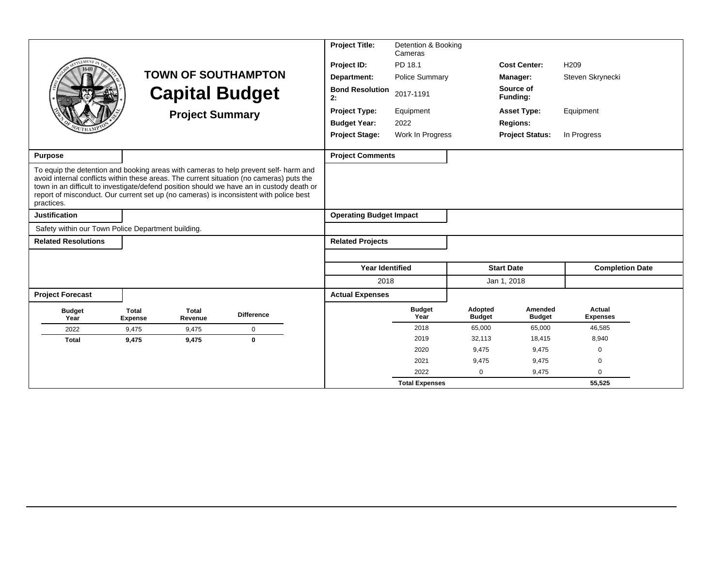|                                                    |                                |                        |                                                                                                                                                                                                                                                                                                                                                                         | <b>Project Title:</b>          | Detention & Booking<br>Cameras |                          |                          |                           |
|----------------------------------------------------|--------------------------------|------------------------|-------------------------------------------------------------------------------------------------------------------------------------------------------------------------------------------------------------------------------------------------------------------------------------------------------------------------------------------------------------------------|--------------------------------|--------------------------------|--------------------------|--------------------------|---------------------------|
| <b>EMENT</b>                                       |                                |                        |                                                                                                                                                                                                                                                                                                                                                                         | Project ID:                    | PD 18.1                        |                          | <b>Cost Center:</b>      | H <sub>209</sub>          |
|                                                    |                                |                        | <b>TOWN OF SOUTHAMPTON</b>                                                                                                                                                                                                                                                                                                                                              | Department:                    | <b>Police Summary</b>          |                          | <b>Manager:</b>          | Steven Skrynecki          |
|                                                    |                                |                        | <b>Capital Budget</b>                                                                                                                                                                                                                                                                                                                                                   | <b>Bond Resolution</b><br>2:   | 2017-1191                      |                          | Source of<br>Funding:    |                           |
|                                                    |                                | <b>Project Summary</b> |                                                                                                                                                                                                                                                                                                                                                                         | <b>Project Type:</b>           | Equipment                      |                          | <b>Asset Type:</b>       | Equipment                 |
|                                                    |                                |                        |                                                                                                                                                                                                                                                                                                                                                                         | <b>Budget Year:</b>            | 2022                           |                          | <b>Regions:</b>          |                           |
|                                                    |                                |                        |                                                                                                                                                                                                                                                                                                                                                                         | <b>Project Stage:</b>          | Work In Progress               |                          | <b>Project Status:</b>   | In Progress               |
| <b>Purpose</b>                                     |                                |                        |                                                                                                                                                                                                                                                                                                                                                                         | <b>Project Comments</b>        |                                |                          |                          |                           |
| practices.                                         |                                |                        | To equip the detention and booking areas with cameras to help prevent self- harm and<br>avoid internal conflicts within these areas. The current situation (no cameras) puts the<br>town in an difficult to investigate/defend position should we have an in custody death or<br>report of misconduct. Our current set up (no cameras) is inconsistent with police best |                                |                                |                          |                          |                           |
| <b>Justification</b>                               |                                |                        |                                                                                                                                                                                                                                                                                                                                                                         | <b>Operating Budget Impact</b> |                                |                          |                          |                           |
| Safety within our Town Police Department building. |                                |                        |                                                                                                                                                                                                                                                                                                                                                                         |                                |                                |                          |                          |                           |
| <b>Related Resolutions</b>                         |                                |                        |                                                                                                                                                                                                                                                                                                                                                                         | <b>Related Projects</b>        |                                |                          |                          |                           |
|                                                    |                                |                        |                                                                                                                                                                                                                                                                                                                                                                         |                                |                                |                          |                          |                           |
|                                                    |                                |                        |                                                                                                                                                                                                                                                                                                                                                                         | <b>Year Identified</b>         |                                |                          | <b>Start Date</b>        | <b>Completion Date</b>    |
|                                                    |                                |                        |                                                                                                                                                                                                                                                                                                                                                                         | 2018                           |                                |                          | Jan 1, 2018              |                           |
| <b>Project Forecast</b>                            |                                |                        |                                                                                                                                                                                                                                                                                                                                                                         | <b>Actual Expenses</b>         |                                |                          |                          |                           |
| <b>Budget</b><br>Year                              | <b>Total</b><br><b>Expense</b> | Total<br>Revenue       | <b>Difference</b>                                                                                                                                                                                                                                                                                                                                                       |                                | <b>Budget</b><br>Year          | Adopted<br><b>Budget</b> | Amended<br><b>Budget</b> | Actual<br><b>Expenses</b> |
| 2022                                               | 9.475                          | 9.475                  | $\mathbf 0$                                                                                                                                                                                                                                                                                                                                                             |                                | 2018                           | 65,000                   | 65,000                   | 46,585                    |
| <b>Total</b>                                       | 9,475                          | 9,475                  | $\mathbf{0}$                                                                                                                                                                                                                                                                                                                                                            |                                | 2019                           | 32,113                   | 18,415                   | 8,940                     |
|                                                    |                                |                        |                                                                                                                                                                                                                                                                                                                                                                         |                                | 2020                           | 9,475                    | 9,475                    | $\mathbf 0$               |
|                                                    |                                |                        |                                                                                                                                                                                                                                                                                                                                                                         |                                | 2021                           | 9,475                    | 9,475                    | $\mathbf 0$               |
|                                                    |                                |                        |                                                                                                                                                                                                                                                                                                                                                                         |                                | 2022                           | $\Omega$                 | 9,475                    | 0                         |
|                                                    |                                |                        |                                                                                                                                                                                                                                                                                                                                                                         |                                | <b>Total Expenses</b>          |                          |                          | 55,525                    |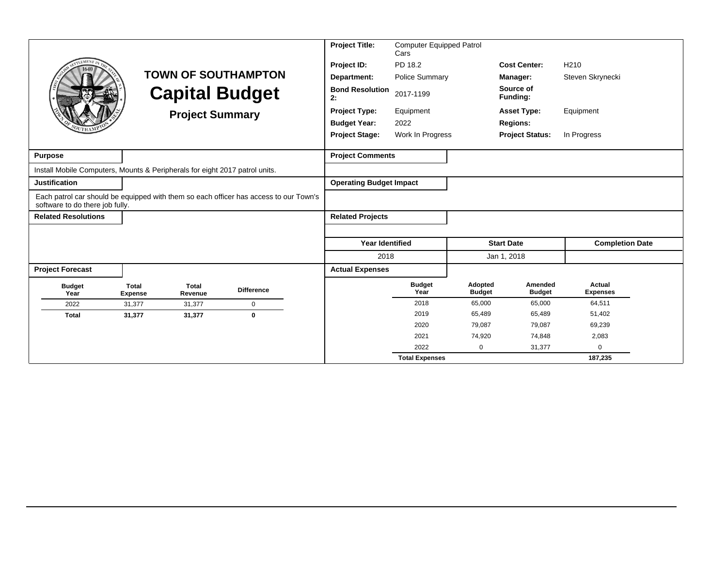|                                                                             |                                |                         |                                                                                       | <b>Project Title:</b>          | <b>Computer Equipped Patrol</b><br>Cars |                          |                          |                           |
|-----------------------------------------------------------------------------|--------------------------------|-------------------------|---------------------------------------------------------------------------------------|--------------------------------|-----------------------------------------|--------------------------|--------------------------|---------------------------|
| <b>EMENT</b>                                                                |                                |                         |                                                                                       | Project ID:                    | PD 18.2                                 |                          | <b>Cost Center:</b>      | H <sub>210</sub>          |
|                                                                             |                                |                         | <b>TOWN OF SOUTHAMPTON</b>                                                            | Department:                    | <b>Police Summary</b>                   |                          | Manager:                 | Steven Skrynecki          |
|                                                                             |                                |                         | <b>Capital Budget</b>                                                                 | <b>Bond Resolution</b><br>2:   | 2017-1199                               |                          | Source of<br>Funding:    |                           |
|                                                                             |                                | <b>Project Summary</b>  |                                                                                       | <b>Project Type:</b>           | Equipment                               |                          | <b>Asset Type:</b>       | Equipment                 |
|                                                                             |                                |                         |                                                                                       | <b>Budget Year:</b>            | 2022                                    |                          | <b>Regions:</b>          |                           |
|                                                                             |                                |                         |                                                                                       | <b>Project Stage:</b>          | Work In Progress                        |                          | <b>Project Status:</b>   | In Progress               |
|                                                                             |                                |                         |                                                                                       |                                |                                         |                          |                          |                           |
| <b>Purpose</b>                                                              |                                |                         |                                                                                       | <b>Project Comments</b>        |                                         |                          |                          |                           |
| Install Mobile Computers, Mounts & Peripherals for eight 2017 patrol units. |                                |                         |                                                                                       |                                |                                         |                          |                          |                           |
| <b>Justification</b>                                                        |                                |                         |                                                                                       | <b>Operating Budget Impact</b> |                                         |                          |                          |                           |
| software to do there job fully.                                             |                                |                         | Each patrol car should be equipped with them so each officer has access to our Town's |                                |                                         |                          |                          |                           |
| <b>Related Resolutions</b>                                                  |                                |                         |                                                                                       | <b>Related Projects</b>        |                                         |                          |                          |                           |
|                                                                             |                                |                         |                                                                                       |                                |                                         |                          |                          |                           |
|                                                                             |                                |                         |                                                                                       | <b>Year Identified</b>         |                                         |                          | <b>Start Date</b>        | <b>Completion Date</b>    |
|                                                                             |                                |                         |                                                                                       | 2018                           |                                         |                          | Jan 1, 2018              |                           |
| <b>Project Forecast</b>                                                     |                                |                         |                                                                                       | <b>Actual Expenses</b>         |                                         |                          |                          |                           |
| <b>Budget</b><br>Year                                                       | <b>Total</b><br><b>Expense</b> | <b>Total</b><br>Revenue | <b>Difference</b>                                                                     |                                | <b>Budget</b><br>Year                   | Adopted<br><b>Budget</b> | Amended<br><b>Budget</b> | Actual<br><b>Expenses</b> |
| 2022                                                                        | 31,377                         | 31,377                  | $\pmb{0}$                                                                             |                                | 2018                                    | 65,000                   | 65,000                   | 64,511                    |
| <b>Total</b>                                                                | 31,377                         | 31,377                  | $\mathbf 0$                                                                           |                                | 2019                                    | 65,489                   | 65,489                   | 51,402                    |
|                                                                             |                                |                         |                                                                                       |                                | 2020                                    | 79,087                   | 79,087                   | 69,239                    |
|                                                                             |                                |                         |                                                                                       |                                | 2021                                    | 74,920                   | 74,848                   | 2,083                     |
|                                                                             |                                |                         |                                                                                       |                                | 2022                                    | $\Omega$                 | 31,377                   | $\Omega$                  |
|                                                                             |                                |                         |                                                                                       |                                | <b>Total Expenses</b>                   |                          |                          | 187,235                   |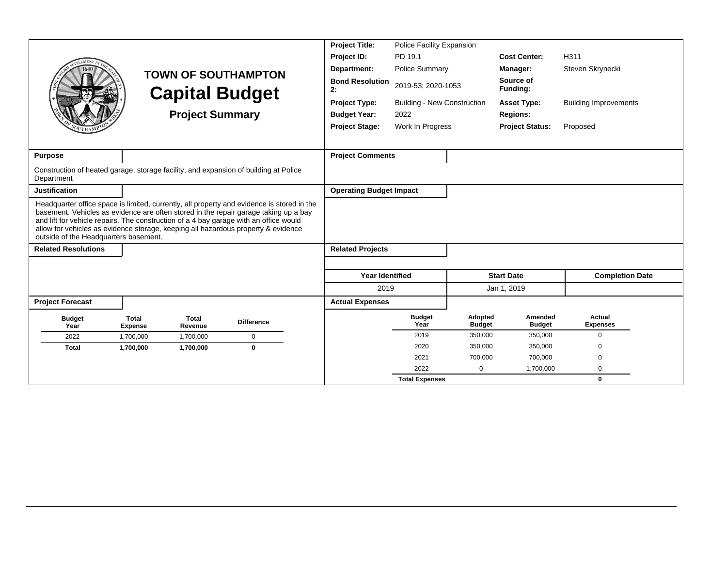|                                                                                                                                                                                                                     |                                |                         |                                                                                                                                                                                    | <b>Project Title:</b>                              | <b>Police Facility Expansion</b>   |                          |                          |                              |  |
|---------------------------------------------------------------------------------------------------------------------------------------------------------------------------------------------------------------------|--------------------------------|-------------------------|------------------------------------------------------------------------------------------------------------------------------------------------------------------------------------|----------------------------------------------------|------------------------------------|--------------------------|--------------------------|------------------------------|--|
| <b>LEMENT</b>                                                                                                                                                                                                       |                                |                         |                                                                                                                                                                                    | Project ID:                                        | PD 19.1                            |                          | <b>Cost Center:</b>      | H311                         |  |
|                                                                                                                                                                                                                     |                                |                         |                                                                                                                                                                                    | Department:                                        | <b>Police Summary</b>              |                          | Manager:                 | Steven Skrynecki             |  |
|                                                                                                                                                                                                                     |                                |                         | <b>TOWN OF SOUTHAMPTON</b><br><b>Capital Budget</b>                                                                                                                                | <b>Bond Resolution</b><br>2019-53; 2020-1053<br>2: |                                    |                          | Source of<br>Funding:    |                              |  |
|                                                                                                                                                                                                                     |                                |                         |                                                                                                                                                                                    | <b>Project Type:</b>                               | <b>Building - New Construction</b> |                          | <b>Asset Type:</b>       | <b>Building Improvements</b> |  |
|                                                                                                                                                                                                                     |                                | <b>Project Summary</b>  |                                                                                                                                                                                    | <b>Budget Year:</b>                                | 2022                               |                          | <b>Regions:</b>          |                              |  |
|                                                                                                                                                                                                                     |                                |                         |                                                                                                                                                                                    | <b>Project Stage:</b>                              | Work In Progress                   |                          | <b>Project Status:</b>   | Proposed                     |  |
|                                                                                                                                                                                                                     |                                |                         |                                                                                                                                                                                    |                                                    |                                    |                          |                          |                              |  |
| <b>Purpose</b>                                                                                                                                                                                                      |                                |                         |                                                                                                                                                                                    | <b>Project Comments</b>                            |                                    |                          |                          |                              |  |
| Construction of heated garage, storage facility, and expansion of building at Police<br>Department                                                                                                                  |                                |                         |                                                                                                                                                                                    |                                                    |                                    |                          |                          |                              |  |
| <b>Justification</b>                                                                                                                                                                                                |                                |                         |                                                                                                                                                                                    | <b>Operating Budget Impact</b>                     |                                    |                          |                          |                              |  |
| and lift for vehicle repairs. The construction of a 4 bay garage with an office would<br>allow for vehicles as evidence storage, keeping all hazardous property & evidence<br>outside of the Headquarters basement. |                                |                         | Headquarter office space is limited, currently, all property and evidence is stored in the<br>basement. Vehicles as evidence are often stored in the repair garage taking up a bay |                                                    |                                    |                          |                          |                              |  |
| <b>Related Resolutions</b>                                                                                                                                                                                          |                                |                         |                                                                                                                                                                                    | <b>Related Projects</b>                            |                                    |                          |                          |                              |  |
|                                                                                                                                                                                                                     |                                |                         |                                                                                                                                                                                    | <b>Year Identified</b>                             |                                    |                          | <b>Start Date</b>        | <b>Completion Date</b>       |  |
|                                                                                                                                                                                                                     |                                |                         |                                                                                                                                                                                    | 2019                                               |                                    |                          | Jan 1, 2019              |                              |  |
| <b>Project Forecast</b>                                                                                                                                                                                             |                                |                         |                                                                                                                                                                                    | <b>Actual Expenses</b>                             |                                    |                          |                          |                              |  |
| <b>Budget</b><br>Year                                                                                                                                                                                               | <b>Total</b><br><b>Expense</b> | <b>Total</b><br>Revenue | <b>Difference</b>                                                                                                                                                                  |                                                    | <b>Budget</b><br>Year              | Adopted<br><b>Budget</b> | Amended<br><b>Budget</b> | Actual<br><b>Expenses</b>    |  |
| 2022                                                                                                                                                                                                                | 1,700,000                      | 1,700,000               | $\mathbf 0$                                                                                                                                                                        |                                                    | 2019                               | 350,000                  | 350,000                  | $\Omega$                     |  |
| <b>Total</b>                                                                                                                                                                                                        | 1,700,000                      | 1,700,000               | $\bf{0}$                                                                                                                                                                           |                                                    | 2020                               | 350,000                  | 350,000                  | $\Omega$                     |  |
|                                                                                                                                                                                                                     |                                |                         |                                                                                                                                                                                    |                                                    | 2021                               | 700.000                  | 700,000                  | $\Omega$                     |  |
|                                                                                                                                                                                                                     |                                |                         |                                                                                                                                                                                    |                                                    | 2022                               | 0                        | 1,700,000                | $\mathbf 0$                  |  |
|                                                                                                                                                                                                                     |                                |                         |                                                                                                                                                                                    |                                                    | <b>Total Expenses</b>              |                          |                          | 0                            |  |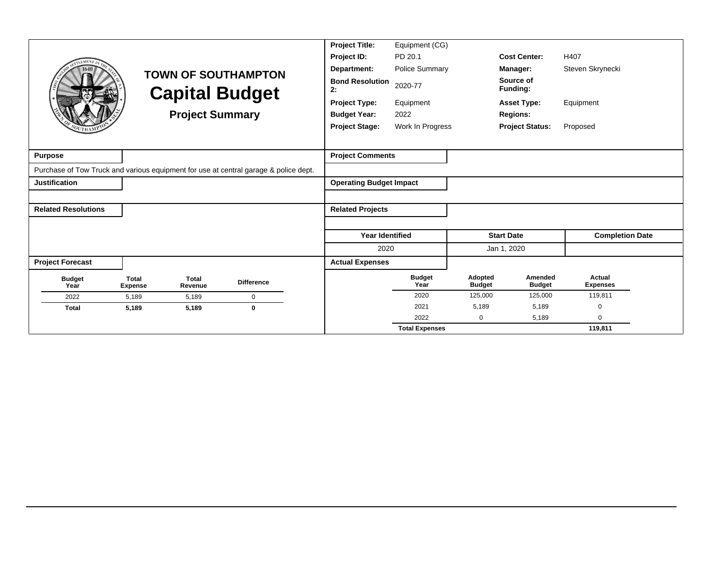|                            |                                |                         |                                                                                      | <b>Project Title:</b>          | Equipment (CG)        |                          |                          |                           |
|----------------------------|--------------------------------|-------------------------|--------------------------------------------------------------------------------------|--------------------------------|-----------------------|--------------------------|--------------------------|---------------------------|
|                            |                                |                         |                                                                                      | Project ID:                    | PD 20.1               |                          | <b>Cost Center:</b>      | H407                      |
|                            |                                |                         | <b>TOWN OF SOUTHAMPTON</b>                                                           | Department:                    | <b>Police Summary</b> |                          | Manager:                 | Steven Skrynecki          |
|                            |                                |                         | <b>Capital Budget</b>                                                                | <b>Bond Resolution</b><br>2:   | 2020-77               |                          | Source of<br>Funding:    |                           |
|                            |                                |                         |                                                                                      | <b>Project Type:</b>           | Equipment             |                          | <b>Asset Type:</b>       | Equipment                 |
|                            |                                | <b>Project Summary</b>  |                                                                                      | <b>Budget Year:</b>            | 2022                  |                          | <b>Regions:</b>          |                           |
|                            |                                |                         |                                                                                      | <b>Project Stage:</b>          | Work In Progress      |                          | <b>Project Status:</b>   | Proposed                  |
|                            |                                |                         |                                                                                      |                                |                       |                          |                          |                           |
| <b>Purpose</b>             |                                |                         |                                                                                      | <b>Project Comments</b>        |                       |                          |                          |                           |
|                            |                                |                         | Purchase of Tow Truck and various equipment for use at central garage & police dept. |                                |                       |                          |                          |                           |
| <b>Justification</b>       |                                |                         |                                                                                      | <b>Operating Budget Impact</b> |                       |                          |                          |                           |
|                            |                                |                         |                                                                                      |                                |                       |                          |                          |                           |
| <b>Related Resolutions</b> |                                |                         |                                                                                      | <b>Related Projects</b>        |                       |                          |                          |                           |
|                            |                                |                         |                                                                                      |                                |                       |                          |                          |                           |
|                            |                                |                         |                                                                                      | <b>Year Identified</b>         |                       |                          | <b>Start Date</b>        | <b>Completion Date</b>    |
|                            |                                |                         |                                                                                      | 2020                           |                       |                          | Jan 1, 2020              |                           |
| <b>Project Forecast</b>    |                                |                         |                                                                                      | <b>Actual Expenses</b>         |                       |                          |                          |                           |
| <b>Budget</b><br>Year      | <b>Total</b><br><b>Expense</b> | <b>Total</b><br>Revenue | <b>Difference</b>                                                                    |                                | <b>Budget</b><br>Year | Adopted<br><b>Budget</b> | Amended<br><b>Budget</b> | Actual<br><b>Expenses</b> |
| 2022                       | 5,189                          | 5,189                   | $\mathbf 0$                                                                          |                                | 2020                  | 125,000                  | 125,000                  | 119,811                   |
| <b>Total</b>               | 5,189                          | 5,189                   | $\bf{0}$                                                                             |                                | 2021                  | 5,189                    | 5,189                    | 0                         |
|                            |                                |                         |                                                                                      |                                | 2022                  | 0                        | 5,189                    | $\mathbf 0$               |
|                            |                                |                         |                                                                                      |                                | <b>Total Expenses</b> |                          |                          | 119.811                   |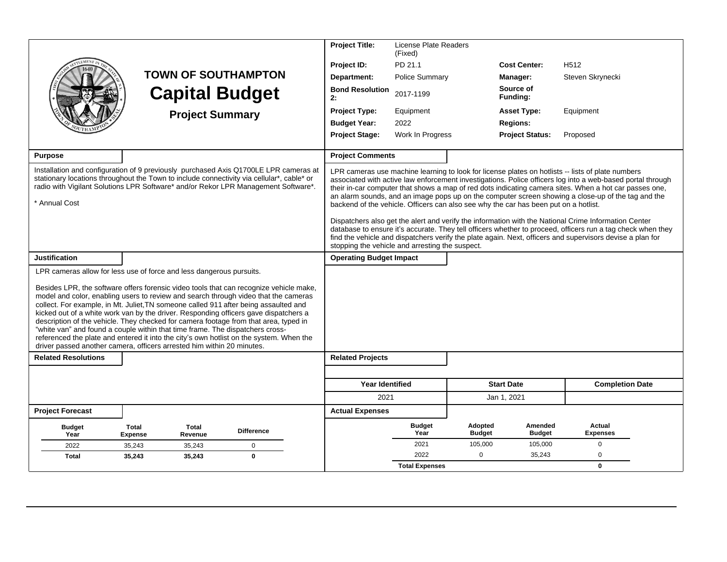|                            |                                                                                                                                                                                                                                                                                                                                                                                                                                                                                                                                                                                                                                                                                                                                                                                     |                   | <b>Project Title:</b>                                                                | License Plate Readers<br>(Fixed) |                          |                          |                                                                                                                                                                                                                                                                                                                                                                                                                                 |
|----------------------------|-------------------------------------------------------------------------------------------------------------------------------------------------------------------------------------------------------------------------------------------------------------------------------------------------------------------------------------------------------------------------------------------------------------------------------------------------------------------------------------------------------------------------------------------------------------------------------------------------------------------------------------------------------------------------------------------------------------------------------------------------------------------------------------|-------------------|--------------------------------------------------------------------------------------|----------------------------------|--------------------------|--------------------------|---------------------------------------------------------------------------------------------------------------------------------------------------------------------------------------------------------------------------------------------------------------------------------------------------------------------------------------------------------------------------------------------------------------------------------|
|                            |                                                                                                                                                                                                                                                                                                                                                                                                                                                                                                                                                                                                                                                                                                                                                                                     |                   | Project ID:                                                                          | PD 21.1                          |                          | <b>Cost Center:</b>      | H <sub>512</sub>                                                                                                                                                                                                                                                                                                                                                                                                                |
|                            | <b>TOWN OF SOUTHAMPTON</b>                                                                                                                                                                                                                                                                                                                                                                                                                                                                                                                                                                                                                                                                                                                                                          |                   | Department:                                                                          | <b>Police Summary</b>            |                          | Manager:                 | Steven Skrynecki                                                                                                                                                                                                                                                                                                                                                                                                                |
|                            | <b>Capital Budget</b>                                                                                                                                                                                                                                                                                                                                                                                                                                                                                                                                                                                                                                                                                                                                                               |                   | <b>Bond Resolution</b><br>2:                                                         | 2017-1199                        |                          | Source of<br>Funding:    |                                                                                                                                                                                                                                                                                                                                                                                                                                 |
|                            | <b>Project Summary</b>                                                                                                                                                                                                                                                                                                                                                                                                                                                                                                                                                                                                                                                                                                                                                              |                   | <b>Project Type:</b>                                                                 | Equipment                        |                          | <b>Asset Type:</b>       | Equipment                                                                                                                                                                                                                                                                                                                                                                                                                       |
|                            |                                                                                                                                                                                                                                                                                                                                                                                                                                                                                                                                                                                                                                                                                                                                                                                     |                   | <b>Budget Year:</b>                                                                  | 2022                             |                          | <b>Regions:</b>          |                                                                                                                                                                                                                                                                                                                                                                                                                                 |
|                            |                                                                                                                                                                                                                                                                                                                                                                                                                                                                                                                                                                                                                                                                                                                                                                                     |                   | <b>Project Stage:</b>                                                                | Work In Progress                 |                          | <b>Project Status:</b>   | Proposed                                                                                                                                                                                                                                                                                                                                                                                                                        |
| <b>Purpose</b>             |                                                                                                                                                                                                                                                                                                                                                                                                                                                                                                                                                                                                                                                                                                                                                                                     |                   | <b>Project Comments</b>                                                              |                                  |                          |                          |                                                                                                                                                                                                                                                                                                                                                                                                                                 |
| * Annual Cost              | Installation and configuration of 9 previously purchased Axis Q1700LE LPR cameras at<br>stationary locations throughout the Town to include connectivity via cellular*, cable* or<br>radio with Vigilant Solutions LPR Software* and/or Rekor LPR Management Software*.                                                                                                                                                                                                                                                                                                                                                                                                                                                                                                             |                   | backend of the vehicle. Officers can also see why the car has been put on a hotlist. |                                  |                          |                          | LPR cameras use machine learning to look for license plates on hotlists -- lists of plate numbers<br>associated with active law enforcement investigations. Police officers log into a web-based portal through<br>their in-car computer that shows a map of red dots indicating camera sites. When a hot car passes one,<br>an alarm sounds, and an image pops up on the computer screen showing a close-up of the tag and the |
|                            |                                                                                                                                                                                                                                                                                                                                                                                                                                                                                                                                                                                                                                                                                                                                                                                     |                   | stopping the vehicle and arresting the suspect.                                      |                                  |                          |                          | Dispatchers also get the alert and verify the information with the National Crime Information Center<br>database to ensure it's accurate. They tell officers whether to proceed, officers run a tag check when they<br>find the vehicle and dispatchers verify the plate again. Next, officers and supervisors devise a plan for                                                                                                |
| Justification              |                                                                                                                                                                                                                                                                                                                                                                                                                                                                                                                                                                                                                                                                                                                                                                                     |                   | <b>Operating Budget Impact</b>                                                       |                                  |                          |                          |                                                                                                                                                                                                                                                                                                                                                                                                                                 |
|                            | LPR cameras allow for less use of force and less dangerous pursuits.<br>Besides LPR, the software offers forensic video tools that can recognize vehicle make,<br>model and color, enabling users to review and search through video that the cameras<br>collect. For example, in Mt. Juliet, TN someone called 911 after being assaulted and<br>kicked out of a white work van by the driver. Responding officers gave dispatchers a<br>description of the vehicle. They checked for camera footage from that area, typed in<br>"white van" and found a couple within that time frame. The dispatchers cross-<br>referenced the plate and entered it into the city's own hotlist on the system. When the<br>driver passed another camera, officers arrested him within 20 minutes. |                   |                                                                                      |                                  |                          |                          |                                                                                                                                                                                                                                                                                                                                                                                                                                 |
| <b>Related Resolutions</b> |                                                                                                                                                                                                                                                                                                                                                                                                                                                                                                                                                                                                                                                                                                                                                                                     |                   | <b>Related Projects</b>                                                              |                                  |                          |                          |                                                                                                                                                                                                                                                                                                                                                                                                                                 |
|                            |                                                                                                                                                                                                                                                                                                                                                                                                                                                                                                                                                                                                                                                                                                                                                                                     |                   |                                                                                      |                                  |                          |                          |                                                                                                                                                                                                                                                                                                                                                                                                                                 |
|                            |                                                                                                                                                                                                                                                                                                                                                                                                                                                                                                                                                                                                                                                                                                                                                                                     |                   | <b>Year Identified</b>                                                               |                                  |                          | <b>Start Date</b>        | <b>Completion Date</b>                                                                                                                                                                                                                                                                                                                                                                                                          |
|                            |                                                                                                                                                                                                                                                                                                                                                                                                                                                                                                                                                                                                                                                                                                                                                                                     |                   | 2021                                                                                 |                                  |                          | Jan 1, 2021              |                                                                                                                                                                                                                                                                                                                                                                                                                                 |
| <b>Project Forecast</b>    |                                                                                                                                                                                                                                                                                                                                                                                                                                                                                                                                                                                                                                                                                                                                                                                     |                   | <b>Actual Expenses</b>                                                               |                                  |                          |                          |                                                                                                                                                                                                                                                                                                                                                                                                                                 |
| <b>Budget</b><br>Year      | <b>Total</b><br><b>Total</b><br><b>Expense</b><br>Revenue                                                                                                                                                                                                                                                                                                                                                                                                                                                                                                                                                                                                                                                                                                                           | <b>Difference</b> |                                                                                      | <b>Budget</b><br>Year            | Adopted<br><b>Budget</b> | Amended<br><b>Budget</b> | Actual<br><b>Expenses</b>                                                                                                                                                                                                                                                                                                                                                                                                       |
| 2022                       | 35,243<br>35,243                                                                                                                                                                                                                                                                                                                                                                                                                                                                                                                                                                                                                                                                                                                                                                    | $\mathbf 0$       |                                                                                      | 2021                             | 105,000                  | 105,000                  | $\mathbf 0$                                                                                                                                                                                                                                                                                                                                                                                                                     |
| <b>Total</b>               | 35,243<br>35,243                                                                                                                                                                                                                                                                                                                                                                                                                                                                                                                                                                                                                                                                                                                                                                    | $\bf{0}$          |                                                                                      | 2022                             | $\mathbf 0$              | 35,243                   | 0                                                                                                                                                                                                                                                                                                                                                                                                                               |
|                            |                                                                                                                                                                                                                                                                                                                                                                                                                                                                                                                                                                                                                                                                                                                                                                                     |                   |                                                                                      | <b>Total Expenses</b>            |                          |                          | $\mathbf{0}$                                                                                                                                                                                                                                                                                                                                                                                                                    |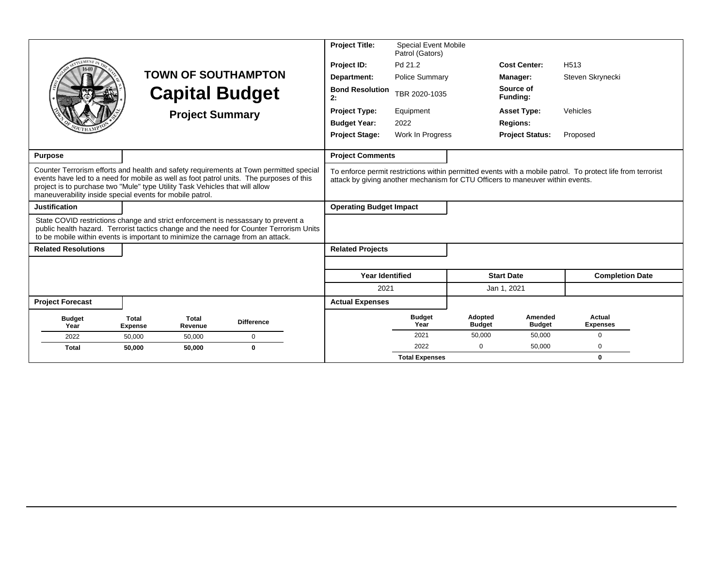|                                                                                                                                                                      |                         |                        |                                                                                                                                                                                   | <b>Project Title:</b>          | <b>Special Event Mobile</b><br>Patrol (Gators) |                          |                                                                                |                                                                                                             |  |
|----------------------------------------------------------------------------------------------------------------------------------------------------------------------|-------------------------|------------------------|-----------------------------------------------------------------------------------------------------------------------------------------------------------------------------------|--------------------------------|------------------------------------------------|--------------------------|--------------------------------------------------------------------------------|-------------------------------------------------------------------------------------------------------------|--|
| <b>EMEN</b>                                                                                                                                                          |                         |                        |                                                                                                                                                                                   | Project ID:                    | Pd 21.2                                        |                          | <b>Cost Center:</b>                                                            | H <sub>513</sub>                                                                                            |  |
|                                                                                                                                                                      |                         |                        | <b>TOWN OF SOUTHAMPTON</b>                                                                                                                                                        | Department:                    | <b>Police Summary</b>                          |                          | Manager:                                                                       | Steven Skrynecki                                                                                            |  |
|                                                                                                                                                                      |                         | <b>Capital Budget</b>  |                                                                                                                                                                                   | <b>Bond Resolution</b><br>2:   | TBR 2020-1035                                  |                          | Source of<br>Funding:                                                          |                                                                                                             |  |
|                                                                                                                                                                      |                         | <b>Project Summary</b> |                                                                                                                                                                                   | <b>Project Type:</b>           | Equipment                                      |                          | <b>Asset Type:</b>                                                             | Vehicles                                                                                                    |  |
|                                                                                                                                                                      |                         |                        |                                                                                                                                                                                   | <b>Budget Year:</b>            | 2022                                           |                          | <b>Regions:</b>                                                                |                                                                                                             |  |
|                                                                                                                                                                      |                         |                        |                                                                                                                                                                                   | <b>Project Stage:</b>          | Work In Progress                               |                          | <b>Project Status:</b>                                                         | Proposed                                                                                                    |  |
|                                                                                                                                                                      |                         |                        |                                                                                                                                                                                   | <b>Project Comments</b>        |                                                |                          |                                                                                |                                                                                                             |  |
| <b>Purpose</b>                                                                                                                                                       |                         |                        |                                                                                                                                                                                   |                                |                                                |                          |                                                                                |                                                                                                             |  |
| project is to purchase two "Mule" type Utility Task Vehicles that will allow<br>maneuverability inside special events for mobile patrol.                             |                         |                        | Counter Terrorism efforts and health and safety requirements at Town permitted special<br>events have led to a need for mobile as well as foot patrol units. The purposes of this |                                |                                                |                          | attack by giving another mechanism for CTU Officers to maneuver within events. | To enforce permit restrictions within permitted events with a mobile patrol. To protect life from terrorist |  |
| <b>Justification</b>                                                                                                                                                 |                         |                        |                                                                                                                                                                                   | <b>Operating Budget Impact</b> |                                                |                          |                                                                                |                                                                                                             |  |
| State COVID restrictions change and strict enforcement is nessassary to prevent a<br>to be mobile within events is important to minimize the carnage from an attack. |                         |                        | public health hazard. Terrorist tactics change and the need for Counter Terrorism Units                                                                                           |                                |                                                |                          |                                                                                |                                                                                                             |  |
| <b>Related Resolutions</b>                                                                                                                                           |                         |                        |                                                                                                                                                                                   | <b>Related Projects</b>        |                                                |                          |                                                                                |                                                                                                             |  |
|                                                                                                                                                                      |                         |                        |                                                                                                                                                                                   |                                |                                                |                          |                                                                                |                                                                                                             |  |
|                                                                                                                                                                      |                         |                        |                                                                                                                                                                                   | <b>Year Identified</b>         |                                                |                          | <b>Start Date</b>                                                              | <b>Completion Date</b>                                                                                      |  |
|                                                                                                                                                                      |                         |                        |                                                                                                                                                                                   | 2021                           |                                                |                          | Jan 1, 2021                                                                    |                                                                                                             |  |
| <b>Project Forecast</b>                                                                                                                                              |                         |                        |                                                                                                                                                                                   | <b>Actual Expenses</b>         |                                                |                          |                                                                                |                                                                                                             |  |
| <b>Budget</b><br>Year                                                                                                                                                | Total<br><b>Expense</b> | Total<br>Revenue       | <b>Difference</b>                                                                                                                                                                 |                                | <b>Budget</b><br>Year                          | Adopted<br><b>Budget</b> | Amended<br><b>Budget</b>                                                       | <b>Actual</b><br><b>Expenses</b>                                                                            |  |
| 2022                                                                                                                                                                 | 50.000                  | 50,000                 | $\mathbf 0$                                                                                                                                                                       |                                | 2021                                           | 50,000                   | 50,000                                                                         | $\Omega$                                                                                                    |  |
| <b>Total</b>                                                                                                                                                         | 50,000                  | 50,000                 | $\mathbf{0}$                                                                                                                                                                      |                                | 2022                                           | $\Omega$                 | 50,000                                                                         | 0                                                                                                           |  |
|                                                                                                                                                                      |                         |                        |                                                                                                                                                                                   |                                | <b>Total Expenses</b>                          |                          |                                                                                | $\bf{0}$                                                                                                    |  |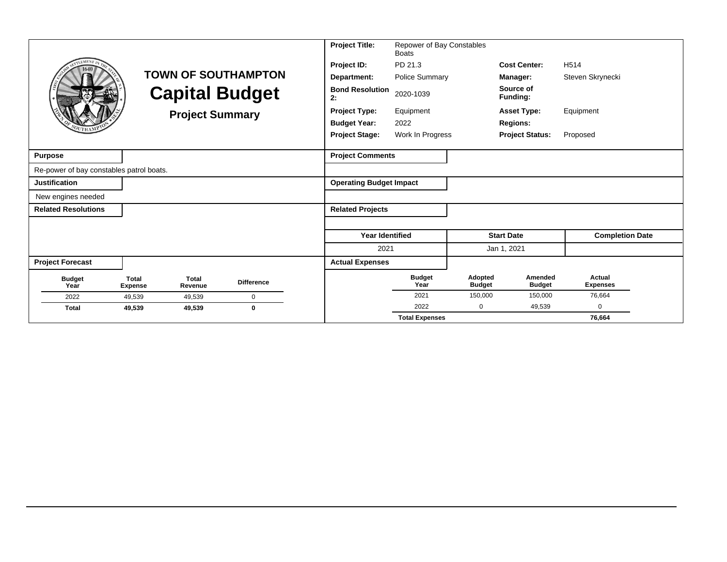| LEMEN <sub>1</sub>                       |                                | <b>Capital Budget</b><br><b>Project Summary</b> | <b>TOWN OF SOUTHAMPTON</b> | <b>Project Title:</b><br>Project ID:<br>Department:<br><b>Bond Resolution</b><br>2:<br><b>Project Type:</b><br><b>Budget Year:</b><br><b>Project Stage:</b> | Repower of Bay Constables<br><b>Boats</b><br>PD 21.3<br><b>Police Summary</b><br>2020-1039<br>Equipment<br>2022<br>Work In Progress |                          | <b>Cost Center:</b><br>Manager:<br>Source of<br>Funding:<br><b>Asset Type:</b><br><b>Regions:</b><br><b>Project Status:</b> | H <sub>514</sub><br>Steven Skrynecki<br>Equipment<br>Proposed |
|------------------------------------------|--------------------------------|-------------------------------------------------|----------------------------|-------------------------------------------------------------------------------------------------------------------------------------------------------------|-------------------------------------------------------------------------------------------------------------------------------------|--------------------------|-----------------------------------------------------------------------------------------------------------------------------|---------------------------------------------------------------|
| <b>Purpose</b>                           |                                |                                                 |                            | <b>Project Comments</b>                                                                                                                                     |                                                                                                                                     |                          |                                                                                                                             |                                                               |
| Re-power of bay constables patrol boats. |                                |                                                 |                            |                                                                                                                                                             |                                                                                                                                     |                          |                                                                                                                             |                                                               |
| <b>Justification</b>                     |                                |                                                 |                            | <b>Operating Budget Impact</b>                                                                                                                              |                                                                                                                                     |                          |                                                                                                                             |                                                               |
| New engines needed                       |                                |                                                 |                            |                                                                                                                                                             |                                                                                                                                     |                          |                                                                                                                             |                                                               |
| <b>Related Resolutions</b>               |                                |                                                 |                            | <b>Related Projects</b>                                                                                                                                     |                                                                                                                                     |                          |                                                                                                                             |                                                               |
|                                          |                                |                                                 |                            |                                                                                                                                                             |                                                                                                                                     |                          |                                                                                                                             |                                                               |
|                                          |                                |                                                 |                            | <b>Year Identified</b>                                                                                                                                      |                                                                                                                                     |                          | <b>Start Date</b>                                                                                                           | <b>Completion Date</b>                                        |
|                                          |                                |                                                 |                            | 2021                                                                                                                                                        |                                                                                                                                     |                          | Jan 1, 2021                                                                                                                 |                                                               |
| <b>Project Forecast</b>                  |                                |                                                 |                            | <b>Actual Expenses</b>                                                                                                                                      |                                                                                                                                     |                          |                                                                                                                             |                                                               |
| <b>Budget</b><br>Year                    | <b>Total</b><br><b>Expense</b> | <b>Total</b><br>Revenue                         | <b>Difference</b>          |                                                                                                                                                             | <b>Budget</b><br>Year                                                                                                               | Adopted<br><b>Budget</b> | Amended<br><b>Budget</b>                                                                                                    | Actual<br><b>Expenses</b>                                     |
| 2022                                     | 49,539                         | 49,539                                          | 0                          |                                                                                                                                                             | 2021                                                                                                                                | 150,000                  | 150,000                                                                                                                     | 76,664                                                        |
| <b>Total</b>                             | 49,539                         | 49,539                                          | $\bf{0}$                   |                                                                                                                                                             | 2022                                                                                                                                | $\mathbf 0$              | 49,539                                                                                                                      | $\mathbf 0$                                                   |
|                                          |                                |                                                 |                            |                                                                                                                                                             | <b>Total Expenses</b>                                                                                                               |                          |                                                                                                                             | 76,664                                                        |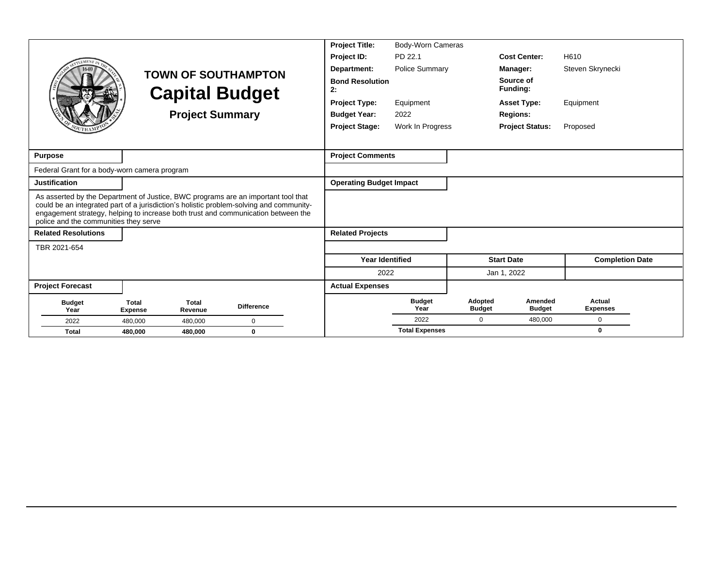|                                                                                                                                                                                                                                                                                                            |                                |                         |                            | <b>Project Title:</b>          | Body-Worn Cameras     |                          |                          |                           |
|------------------------------------------------------------------------------------------------------------------------------------------------------------------------------------------------------------------------------------------------------------------------------------------------------------|--------------------------------|-------------------------|----------------------------|--------------------------------|-----------------------|--------------------------|--------------------------|---------------------------|
|                                                                                                                                                                                                                                                                                                            |                                |                         |                            | Project ID:                    | PD 22.1               |                          | <b>Cost Center:</b>      | H610                      |
|                                                                                                                                                                                                                                                                                                            |                                |                         | <b>TOWN OF SOUTHAMPTON</b> | Department:                    | <b>Police Summary</b> |                          | Manager:                 | Steven Skrynecki          |
|                                                                                                                                                                                                                                                                                                            |                                |                         | <b>Capital Budget</b>      | <b>Bond Resolution</b><br>2:   |                       |                          | Source of<br>Funding:    |                           |
|                                                                                                                                                                                                                                                                                                            |                                |                         |                            | <b>Project Type:</b>           | Equipment             |                          | <b>Asset Type:</b>       | Equipment                 |
|                                                                                                                                                                                                                                                                                                            |                                | <b>Project Summary</b>  |                            | <b>Budget Year:</b>            | 2022                  |                          | <b>Regions:</b>          |                           |
|                                                                                                                                                                                                                                                                                                            |                                |                         |                            | <b>Project Stage:</b>          | Work In Progress      |                          | <b>Project Status:</b>   | Proposed                  |
|                                                                                                                                                                                                                                                                                                            |                                |                         |                            |                                |                       |                          |                          |                           |
| <b>Purpose</b>                                                                                                                                                                                                                                                                                             |                                |                         |                            | <b>Project Comments</b>        |                       |                          |                          |                           |
| Federal Grant for a body-worn camera program                                                                                                                                                                                                                                                               |                                |                         |                            |                                |                       |                          |                          |                           |
| <b>Justification</b>                                                                                                                                                                                                                                                                                       |                                |                         |                            | <b>Operating Budget Impact</b> |                       |                          |                          |                           |
| As asserted by the Department of Justice, BWC programs are an important tool that<br>could be an integrated part of a jurisdiction's holistic problem-solving and community-<br>engagement strategy, helping to increase both trust and communication between the<br>police and the communities they serve |                                |                         |                            |                                |                       |                          |                          |                           |
| <b>Related Resolutions</b>                                                                                                                                                                                                                                                                                 |                                |                         |                            | <b>Related Projects</b>        |                       |                          |                          |                           |
| TBR 2021-654                                                                                                                                                                                                                                                                                               |                                |                         |                            |                                |                       |                          |                          |                           |
|                                                                                                                                                                                                                                                                                                            |                                |                         |                            | <b>Year Identified</b>         |                       |                          | <b>Start Date</b>        | <b>Completion Date</b>    |
|                                                                                                                                                                                                                                                                                                            |                                |                         |                            | 2022                           |                       |                          | Jan 1, 2022              |                           |
| <b>Project Forecast</b>                                                                                                                                                                                                                                                                                    |                                |                         |                            | <b>Actual Expenses</b>         |                       |                          |                          |                           |
| <b>Budget</b><br>Year                                                                                                                                                                                                                                                                                      | <b>Total</b><br><b>Expense</b> | <b>Total</b><br>Revenue | <b>Difference</b>          |                                | <b>Budget</b><br>Year | Adopted<br><b>Budget</b> | Amended<br><b>Budget</b> | Actual<br><b>Expenses</b> |
| 2022                                                                                                                                                                                                                                                                                                       | 480,000                        | 480,000                 | $\mathbf 0$                |                                | 2022                  | $\Omega$                 | 480,000                  | $\Omega$                  |
| <b>Total</b>                                                                                                                                                                                                                                                                                               | 480,000                        | 480,000                 | $\mathbf{0}$               |                                | <b>Total Expenses</b> |                          |                          | 0                         |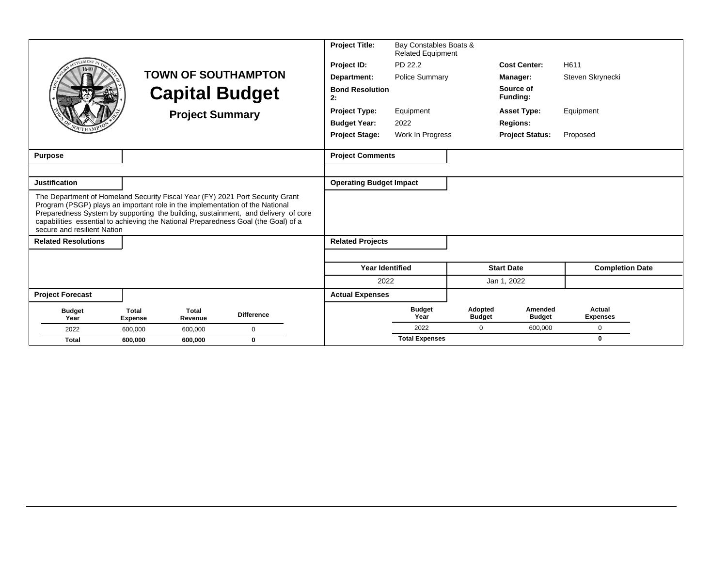|                                                                                                                                                                                                                                                                                                                                                                         |                                |                        |                            | <b>Project Title:</b>          | Bay Constables Boats &<br><b>Related Equipment</b> |                          |                          |                           |
|-------------------------------------------------------------------------------------------------------------------------------------------------------------------------------------------------------------------------------------------------------------------------------------------------------------------------------------------------------------------------|--------------------------------|------------------------|----------------------------|--------------------------------|----------------------------------------------------|--------------------------|--------------------------|---------------------------|
|                                                                                                                                                                                                                                                                                                                                                                         |                                |                        |                            | Project ID:                    | PD 22.2                                            |                          | <b>Cost Center:</b>      | H611                      |
|                                                                                                                                                                                                                                                                                                                                                                         |                                |                        | <b>TOWN OF SOUTHAMPTON</b> | Department:                    | Police Summary                                     |                          | Manager:                 | Steven Skrynecki          |
|                                                                                                                                                                                                                                                                                                                                                                         |                                |                        | <b>Capital Budget</b>      | <b>Bond Resolution</b><br>2:   |                                                    |                          | Source of<br>Funding:    |                           |
|                                                                                                                                                                                                                                                                                                                                                                         |                                | <b>Project Summary</b> |                            | <b>Project Type:</b>           | Equipment                                          |                          | <b>Asset Type:</b>       | Equipment                 |
|                                                                                                                                                                                                                                                                                                                                                                         |                                |                        |                            | <b>Budget Year:</b>            | 2022                                               |                          | <b>Regions:</b>          |                           |
|                                                                                                                                                                                                                                                                                                                                                                         |                                |                        |                            | <b>Project Stage:</b>          | Work In Progress                                   |                          | <b>Project Status:</b>   | Proposed                  |
|                                                                                                                                                                                                                                                                                                                                                                         |                                |                        |                            |                                |                                                    |                          |                          |                           |
| <b>Purpose</b>                                                                                                                                                                                                                                                                                                                                                          |                                |                        |                            | <b>Project Comments</b>        |                                                    |                          |                          |                           |
|                                                                                                                                                                                                                                                                                                                                                                         |                                |                        |                            |                                |                                                    |                          |                          |                           |
| <b>Justification</b>                                                                                                                                                                                                                                                                                                                                                    |                                |                        |                            | <b>Operating Budget Impact</b> |                                                    |                          |                          |                           |
| The Department of Homeland Security Fiscal Year (FY) 2021 Port Security Grant<br>Program (PSGP) plays an important role in the implementation of the National<br>Preparedness System by supporting the building, sustainment, and delivery of core<br>capabilities essential to achieving the National Preparedness Goal (the Goal) of a<br>secure and resilient Nation |                                |                        |                            |                                |                                                    |                          |                          |                           |
| <b>Related Resolutions</b>                                                                                                                                                                                                                                                                                                                                              |                                |                        |                            | <b>Related Projects</b>        |                                                    |                          |                          |                           |
|                                                                                                                                                                                                                                                                                                                                                                         |                                |                        |                            |                                |                                                    |                          |                          |                           |
|                                                                                                                                                                                                                                                                                                                                                                         |                                |                        |                            | <b>Year Identified</b>         |                                                    |                          | <b>Start Date</b>        | <b>Completion Date</b>    |
|                                                                                                                                                                                                                                                                                                                                                                         |                                |                        |                            | 2022                           |                                                    |                          | Jan 1, 2022              |                           |
| <b>Project Forecast</b>                                                                                                                                                                                                                                                                                                                                                 |                                |                        |                            | <b>Actual Expenses</b>         |                                                    |                          |                          |                           |
| <b>Budget</b><br>Year                                                                                                                                                                                                                                                                                                                                                   | <b>Total</b><br><b>Expense</b> | Total<br>Revenue       | <b>Difference</b>          |                                | <b>Budget</b><br>Year                              | Adopted<br><b>Budget</b> | Amended<br><b>Budget</b> | Actual<br><b>Expenses</b> |
| 2022                                                                                                                                                                                                                                                                                                                                                                    | 600.000                        | 600,000                | $\Omega$                   |                                | 2022                                               | $\Omega$                 | 600.000                  | $\mathbf 0$               |
| <b>Total</b>                                                                                                                                                                                                                                                                                                                                                            | 600.000                        | 600,000                | $\bf{0}$                   |                                | <b>Total Expenses</b>                              |                          |                          | $\mathbf{0}$              |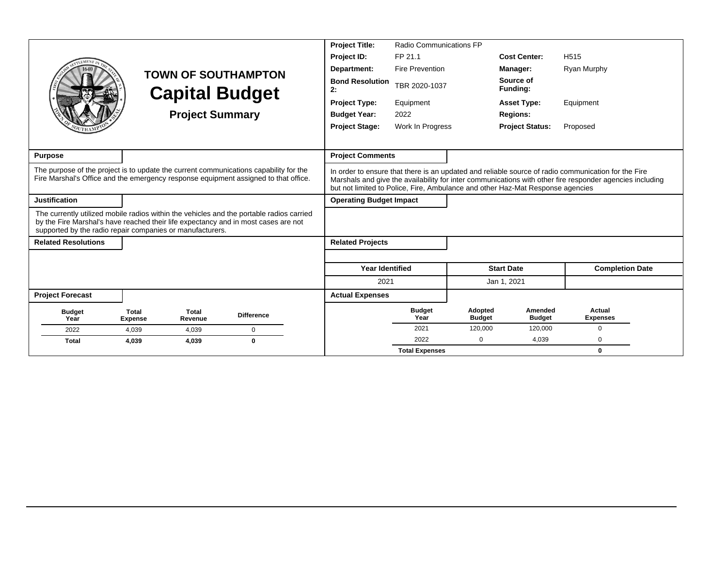|                                                                                                                                                                                                                                             |                                |                        |                            | <b>Project Title:</b>          | Radio Communications FP |                          |                                                                                |                                                                                                                                                                                                                 |
|---------------------------------------------------------------------------------------------------------------------------------------------------------------------------------------------------------------------------------------------|--------------------------------|------------------------|----------------------------|--------------------------------|-------------------------|--------------------------|--------------------------------------------------------------------------------|-----------------------------------------------------------------------------------------------------------------------------------------------------------------------------------------------------------------|
|                                                                                                                                                                                                                                             |                                |                        |                            | Project ID:                    | FP 21.1                 |                          | <b>Cost Center:</b>                                                            | H <sub>515</sub>                                                                                                                                                                                                |
|                                                                                                                                                                                                                                             |                                |                        | <b>TOWN OF SOUTHAMPTON</b> | Department:                    | <b>Fire Prevention</b>  |                          | Manager:                                                                       | Ryan Murphy                                                                                                                                                                                                     |
|                                                                                                                                                                                                                                             |                                |                        | <b>Capital Budget</b>      | <b>Bond Resolution</b><br>2:   | TBR 2020-1037           |                          | Source of<br>Funding:                                                          |                                                                                                                                                                                                                 |
|                                                                                                                                                                                                                                             |                                |                        |                            | <b>Project Type:</b>           | Equipment               |                          | <b>Asset Type:</b>                                                             | Equipment                                                                                                                                                                                                       |
|                                                                                                                                                                                                                                             |                                | <b>Project Summary</b> |                            | <b>Budget Year:</b>            | 2022                    |                          | <b>Regions:</b>                                                                |                                                                                                                                                                                                                 |
|                                                                                                                                                                                                                                             |                                |                        |                            | <b>Project Stage:</b>          | Work In Progress        |                          | <b>Project Status:</b>                                                         | Proposed                                                                                                                                                                                                        |
|                                                                                                                                                                                                                                             |                                |                        |                            |                                |                         |                          |                                                                                |                                                                                                                                                                                                                 |
| <b>Purpose</b>                                                                                                                                                                                                                              |                                |                        |                            | <b>Project Comments</b>        |                         |                          |                                                                                |                                                                                                                                                                                                                 |
| The purpose of the project is to update the current communications capability for the<br>Fire Marshal's Office and the emergency response equipment assigned to that office.                                                                |                                |                        |                            |                                |                         |                          | but not limited to Police, Fire, Ambulance and other Haz-Mat Response agencies | In order to ensure that there is an updated and reliable source of radio communication for the Fire<br>Marshals and give the availability for inter communications with other fire responder agencies including |
| <b>Justification</b>                                                                                                                                                                                                                        |                                |                        |                            | <b>Operating Budget Impact</b> |                         |                          |                                                                                |                                                                                                                                                                                                                 |
| The currently utilized mobile radios within the vehicles and the portable radios carried<br>by the Fire Marshal's have reached their life expectancy and in most cases are not<br>supported by the radio repair companies or manufacturers. |                                |                        |                            |                                |                         |                          |                                                                                |                                                                                                                                                                                                                 |
| <b>Related Resolutions</b>                                                                                                                                                                                                                  |                                |                        |                            | <b>Related Projects</b>        |                         |                          |                                                                                |                                                                                                                                                                                                                 |
|                                                                                                                                                                                                                                             |                                |                        |                            |                                |                         |                          |                                                                                |                                                                                                                                                                                                                 |
|                                                                                                                                                                                                                                             |                                |                        |                            | <b>Year Identified</b>         |                         |                          | <b>Start Date</b>                                                              | <b>Completion Date</b>                                                                                                                                                                                          |
|                                                                                                                                                                                                                                             |                                |                        |                            | 2021                           |                         |                          | Jan 1, 2021                                                                    |                                                                                                                                                                                                                 |
| <b>Project Forecast</b>                                                                                                                                                                                                                     |                                |                        |                            | <b>Actual Expenses</b>         |                         |                          |                                                                                |                                                                                                                                                                                                                 |
| <b>Budget</b><br>Year                                                                                                                                                                                                                       | <b>Total</b><br><b>Expense</b> | Total<br>Revenue       | <b>Difference</b>          |                                | <b>Budget</b><br>Year   | Adopted<br><b>Budget</b> | Amended<br><b>Budget</b>                                                       | Actual<br><b>Expenses</b>                                                                                                                                                                                       |
| 2022                                                                                                                                                                                                                                        | 4,039                          | 4,039                  | $\Omega$                   |                                | 2021                    | 120,000                  | 120,000                                                                        | $\mathbf 0$                                                                                                                                                                                                     |
| <b>Total</b>                                                                                                                                                                                                                                | 4,039                          | 4,039                  | $\bf{0}$                   |                                | 2022                    | $\Omega$                 | 4,039                                                                          | $\Omega$                                                                                                                                                                                                        |
|                                                                                                                                                                                                                                             |                                |                        |                            |                                | <b>Total Expenses</b>   |                          |                                                                                | $\mathbf{0}$                                                                                                                                                                                                    |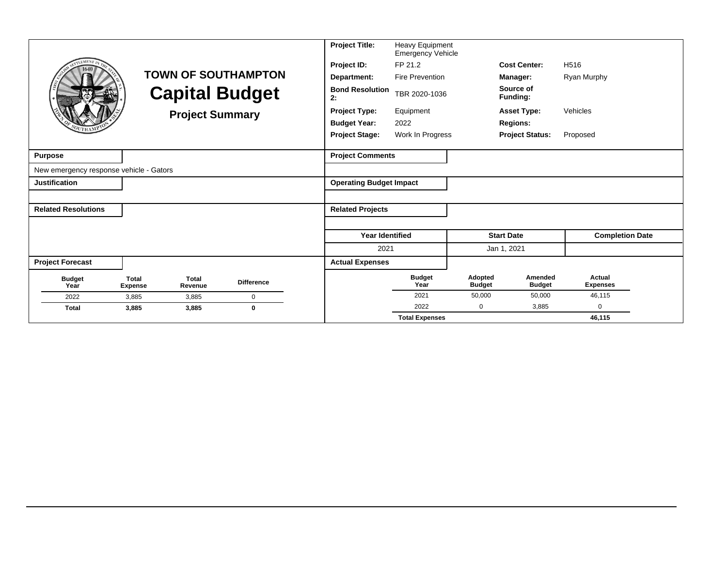|                                         |                                |                         |                            | <b>Project Title:</b>          | Heavy Equipment<br><b>Emergency Vehicle</b> |                          |                          |                           |
|-----------------------------------------|--------------------------------|-------------------------|----------------------------|--------------------------------|---------------------------------------------|--------------------------|--------------------------|---------------------------|
| <b>LEMENT</b>                           |                                |                         |                            | Project ID:                    | FP 21.2                                     |                          | <b>Cost Center:</b>      | H <sub>516</sub>          |
|                                         |                                |                         | <b>TOWN OF SOUTHAMPTON</b> | Department:                    | <b>Fire Prevention</b>                      |                          | Manager:                 | Ryan Murphy               |
|                                         |                                |                         | <b>Capital Budget</b>      | <b>Bond Resolution</b><br>2:   | TBR 2020-1036                               |                          | Source of<br>Funding:    |                           |
|                                         |                                | <b>Project Summary</b>  |                            | <b>Project Type:</b>           | Equipment                                   |                          | <b>Asset Type:</b>       | Vehicles                  |
|                                         |                                |                         |                            | <b>Budget Year:</b>            | 2022                                        |                          | <b>Regions:</b>          |                           |
|                                         |                                |                         |                            | <b>Project Stage:</b>          | Work In Progress                            |                          | <b>Project Status:</b>   | Proposed                  |
| Purpose                                 |                                |                         |                            | <b>Project Comments</b>        |                                             |                          |                          |                           |
| New emergency response vehicle - Gators |                                |                         |                            |                                |                                             |                          |                          |                           |
| Justification                           |                                |                         |                            | <b>Operating Budget Impact</b> |                                             |                          |                          |                           |
|                                         |                                |                         |                            |                                |                                             |                          |                          |                           |
| <b>Related Resolutions</b>              |                                |                         |                            | <b>Related Projects</b>        |                                             |                          |                          |                           |
|                                         |                                |                         |                            |                                |                                             |                          |                          |                           |
|                                         |                                |                         |                            | <b>Year Identified</b>         |                                             |                          | <b>Start Date</b>        | <b>Completion Date</b>    |
|                                         |                                |                         |                            | 2021                           |                                             |                          | Jan 1, 2021              |                           |
| <b>Project Forecast</b>                 |                                |                         |                            | <b>Actual Expenses</b>         |                                             |                          |                          |                           |
| <b>Budget</b><br>Year                   | <b>Total</b><br><b>Expense</b> | <b>Total</b><br>Revenue | <b>Difference</b>          |                                | <b>Budget</b><br>Year                       | Adopted<br><b>Budget</b> | Amended<br><b>Budget</b> | Actual<br><b>Expenses</b> |
| 2022                                    | 3,885                          | 3,885                   | $\mathbf 0$                |                                | 2021                                        | 50,000                   | 50,000                   | 46,115                    |
| <b>Total</b>                            | 3,885                          | 3,885                   | $\bf{0}$                   |                                | 2022                                        | $\mathbf 0$              | 3,885                    | $\Omega$                  |
|                                         |                                |                         |                            |                                | <b>Total Expenses</b>                       |                          |                          | 46,115                    |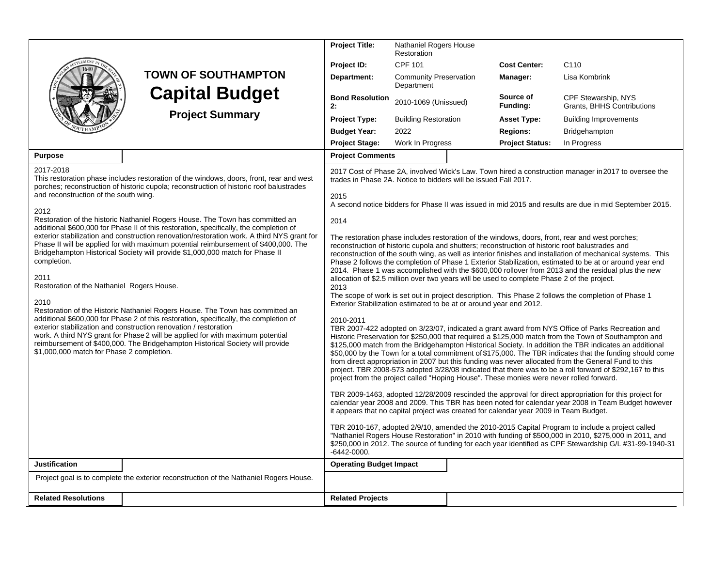|                                                                                                                                |                                                                                                                                                                                                                                                                                                                                                                                                                                                                                                                                                                                                                                                                                                                                                                                                                                                               | <b>Project Title:</b>                                                                                                                                                                                                                                                                     | Nathaniel Rogers House<br>Restoration       |  |                                                                                                                                                                                                                                                                                 |                                                                                                                                                                                                                                                                                                                                                                                                                                                                                                                                                                                                                                                                                                                                                                                                                                                                                                                                                                                                                                                                                                                                                                                                                                                                                                                                                                                                                                                                                                                                                                                                                                                                                                                                                                                                                                         |  |  |
|--------------------------------------------------------------------------------------------------------------------------------|---------------------------------------------------------------------------------------------------------------------------------------------------------------------------------------------------------------------------------------------------------------------------------------------------------------------------------------------------------------------------------------------------------------------------------------------------------------------------------------------------------------------------------------------------------------------------------------------------------------------------------------------------------------------------------------------------------------------------------------------------------------------------------------------------------------------------------------------------------------|-------------------------------------------------------------------------------------------------------------------------------------------------------------------------------------------------------------------------------------------------------------------------------------------|---------------------------------------------|--|---------------------------------------------------------------------------------------------------------------------------------------------------------------------------------------------------------------------------------------------------------------------------------|-----------------------------------------------------------------------------------------------------------------------------------------------------------------------------------------------------------------------------------------------------------------------------------------------------------------------------------------------------------------------------------------------------------------------------------------------------------------------------------------------------------------------------------------------------------------------------------------------------------------------------------------------------------------------------------------------------------------------------------------------------------------------------------------------------------------------------------------------------------------------------------------------------------------------------------------------------------------------------------------------------------------------------------------------------------------------------------------------------------------------------------------------------------------------------------------------------------------------------------------------------------------------------------------------------------------------------------------------------------------------------------------------------------------------------------------------------------------------------------------------------------------------------------------------------------------------------------------------------------------------------------------------------------------------------------------------------------------------------------------------------------------------------------------------------------------------------------------|--|--|
|                                                                                                                                |                                                                                                                                                                                                                                                                                                                                                                                                                                                                                                                                                                                                                                                                                                                                                                                                                                                               | Project ID:                                                                                                                                                                                                                                                                               | <b>CPF 101</b>                              |  | <b>Cost Center:</b>                                                                                                                                                                                                                                                             | C <sub>110</sub>                                                                                                                                                                                                                                                                                                                                                                                                                                                                                                                                                                                                                                                                                                                                                                                                                                                                                                                                                                                                                                                                                                                                                                                                                                                                                                                                                                                                                                                                                                                                                                                                                                                                                                                                                                                                                        |  |  |
|                                                                                                                                | <b>TOWN OF SOUTHAMPTON</b>                                                                                                                                                                                                                                                                                                                                                                                                                                                                                                                                                                                                                                                                                                                                                                                                                                    | Department:                                                                                                                                                                                                                                                                               | <b>Community Preservation</b><br>Department |  | Manager:                                                                                                                                                                                                                                                                        | Lisa Kombrink                                                                                                                                                                                                                                                                                                                                                                                                                                                                                                                                                                                                                                                                                                                                                                                                                                                                                                                                                                                                                                                                                                                                                                                                                                                                                                                                                                                                                                                                                                                                                                                                                                                                                                                                                                                                                           |  |  |
|                                                                                                                                | <b>Capital Budget</b>                                                                                                                                                                                                                                                                                                                                                                                                                                                                                                                                                                                                                                                                                                                                                                                                                                         | <b>Bond Resolution</b><br>2:                                                                                                                                                                                                                                                              | 2010-1069 (Unissued)                        |  | Source of<br>Funding:                                                                                                                                                                                                                                                           | <b>CPF Stewarship, NYS</b><br>Grants, BHHS Contributions                                                                                                                                                                                                                                                                                                                                                                                                                                                                                                                                                                                                                                                                                                                                                                                                                                                                                                                                                                                                                                                                                                                                                                                                                                                                                                                                                                                                                                                                                                                                                                                                                                                                                                                                                                                |  |  |
|                                                                                                                                | <b>Project Summary</b>                                                                                                                                                                                                                                                                                                                                                                                                                                                                                                                                                                                                                                                                                                                                                                                                                                        | <b>Project Type:</b>                                                                                                                                                                                                                                                                      | <b>Building Restoration</b>                 |  | <b>Asset Type:</b>                                                                                                                                                                                                                                                              | <b>Building Improvements</b>                                                                                                                                                                                                                                                                                                                                                                                                                                                                                                                                                                                                                                                                                                                                                                                                                                                                                                                                                                                                                                                                                                                                                                                                                                                                                                                                                                                                                                                                                                                                                                                                                                                                                                                                                                                                            |  |  |
|                                                                                                                                |                                                                                                                                                                                                                                                                                                                                                                                                                                                                                                                                                                                                                                                                                                                                                                                                                                                               | <b>Budget Year:</b>                                                                                                                                                                                                                                                                       | 2022                                        |  | <b>Regions:</b>                                                                                                                                                                                                                                                                 | Bridgehampton                                                                                                                                                                                                                                                                                                                                                                                                                                                                                                                                                                                                                                                                                                                                                                                                                                                                                                                                                                                                                                                                                                                                                                                                                                                                                                                                                                                                                                                                                                                                                                                                                                                                                                                                                                                                                           |  |  |
|                                                                                                                                |                                                                                                                                                                                                                                                                                                                                                                                                                                                                                                                                                                                                                                                                                                                                                                                                                                                               | <b>Project Stage:</b>                                                                                                                                                                                                                                                                     | Work In Progress                            |  | <b>Project Status:</b>                                                                                                                                                                                                                                                          | In Progress                                                                                                                                                                                                                                                                                                                                                                                                                                                                                                                                                                                                                                                                                                                                                                                                                                                                                                                                                                                                                                                                                                                                                                                                                                                                                                                                                                                                                                                                                                                                                                                                                                                                                                                                                                                                                             |  |  |
| <b>Purpose</b>                                                                                                                 |                                                                                                                                                                                                                                                                                                                                                                                                                                                                                                                                                                                                                                                                                                                                                                                                                                                               | <b>Project Comments</b>                                                                                                                                                                                                                                                                   |                                             |  |                                                                                                                                                                                                                                                                                 |                                                                                                                                                                                                                                                                                                                                                                                                                                                                                                                                                                                                                                                                                                                                                                                                                                                                                                                                                                                                                                                                                                                                                                                                                                                                                                                                                                                                                                                                                                                                                                                                                                                                                                                                                                                                                                         |  |  |
| 2017-2018<br>and reconstruction of the south wing.                                                                             | This restoration phase includes restoration of the windows, doors, front, rear and west<br>porches; reconstruction of historic cupola; reconstruction of historic roof balustrades                                                                                                                                                                                                                                                                                                                                                                                                                                                                                                                                                                                                                                                                            | 2017 Cost of Phase 2A, involved Wick's Law. Town hired a construction manager in 2017 to oversee the<br>trades in Phase 2A. Notice to bidders will be issued Fall 2017.<br>2015<br>A second notice bidders for Phase II was issued in mid 2015 and results are due in mid September 2015. |                                             |  |                                                                                                                                                                                                                                                                                 |                                                                                                                                                                                                                                                                                                                                                                                                                                                                                                                                                                                                                                                                                                                                                                                                                                                                                                                                                                                                                                                                                                                                                                                                                                                                                                                                                                                                                                                                                                                                                                                                                                                                                                                                                                                                                                         |  |  |
| 2012<br>completion.<br>2011<br>Restoration of the Nathaniel Rogers House.<br>2010<br>\$1,000,000 match for Phase 2 completion. | Restoration of the historic Nathaniel Rogers House. The Town has committed an<br>additional \$600,000 for Phase II of this restoration, specifically, the completion of<br>exterior stabilization and construction renovation/restoration work. A third NYS grant for<br>Phase II will be applied for with maximum potential reimbursement of \$400,000. The<br>Bridgehampton Historical Society will provide \$1,000,000 match for Phase II<br>Restoration of the Historic Nathaniel Rogers House. The Town has committed an<br>additional \$600,000 for Phase 2 of this restoration, specifically, the completion of<br>exterior stabilization and construction renovation / restoration<br>work. A third NYS grant for Phase 2 will be applied for with maximum potential<br>reimbursement of \$400,000. The Bridgehampton Historical Society will provide | 2014<br>2013<br>Exterior Stabilization estimated to be at or around year end 2012.<br>2010-2011<br>$-6442 - 0000.$                                                                                                                                                                        |                                             |  | allocation of \$2.5 million over two years will be used to complete Phase 2 of the project.<br>project from the project called "Hoping House". These monies were never rolled forward.<br>it appears that no capital project was created for calendar year 2009 in Team Budget. | The restoration phase includes restoration of the windows, doors, front, rear and west porches;<br>reconstruction of historic cupola and shutters; reconstruction of historic roof balustrades and<br>reconstruction of the south wing, as well as interior finishes and installation of mechanical systems. This<br>Phase 2 follows the completion of Phase 1 Exterior Stabilization, estimated to be at or around year end<br>2014. Phase 1 was accomplished with the \$600,000 rollover from 2013 and the residual plus the new<br>The scope of work is set out in project description. This Phase 2 follows the completion of Phase 1<br>TBR 2007-422 adopted on 3/23/07, indicated a grant award from NYS Office of Parks Recreation and<br>Historic Preservation for \$250,000 that required a \$125,000 match from the Town of Southampton and<br>\$125,000 match from the Bridgehampton Historical Society. In addition the TBR indicates an additional<br>\$50,000 by the Town for a total commitment of \$175,000. The TBR indicates that the funding should come<br>from direct appropriation in 2007 but this funding was never allocated from the General Fund to this<br>project. TBR 2008-573 adopted 3/28/08 indicated that there was to be a roll forward of \$292,167 to this<br>TBR 2009-1463, adopted 12/28/2009 rescinded the approval for direct appropriation for this project for<br>calendar year 2008 and 2009. This TBR has been noted for calendar year 2008 in Team Budget however<br>TBR 2010-167, adopted 2/9/10, amended the 2010-2015 Capital Program to include a project called<br>"Nathaniel Rogers House Restoration" in 2010 with funding of \$500,000 in 2010, \$275,000 in 2011, and<br>\$250,000 in 2012. The source of funding for each year identified as CPF Stewardship G/L #31-99-1940-31 |  |  |
| <b>Justification</b>                                                                                                           |                                                                                                                                                                                                                                                                                                                                                                                                                                                                                                                                                                                                                                                                                                                                                                                                                                                               | <b>Operating Budget Impact</b>                                                                                                                                                                                                                                                            |                                             |  |                                                                                                                                                                                                                                                                                 |                                                                                                                                                                                                                                                                                                                                                                                                                                                                                                                                                                                                                                                                                                                                                                                                                                                                                                                                                                                                                                                                                                                                                                                                                                                                                                                                                                                                                                                                                                                                                                                                                                                                                                                                                                                                                                         |  |  |
|                                                                                                                                | Project goal is to complete the exterior reconstruction of the Nathaniel Rogers House.                                                                                                                                                                                                                                                                                                                                                                                                                                                                                                                                                                                                                                                                                                                                                                        |                                                                                                                                                                                                                                                                                           |                                             |  |                                                                                                                                                                                                                                                                                 |                                                                                                                                                                                                                                                                                                                                                                                                                                                                                                                                                                                                                                                                                                                                                                                                                                                                                                                                                                                                                                                                                                                                                                                                                                                                                                                                                                                                                                                                                                                                                                                                                                                                                                                                                                                                                                         |  |  |
| <b>Related Resolutions</b>                                                                                                     |                                                                                                                                                                                                                                                                                                                                                                                                                                                                                                                                                                                                                                                                                                                                                                                                                                                               | <b>Related Projects</b>                                                                                                                                                                                                                                                                   |                                             |  |                                                                                                                                                                                                                                                                                 |                                                                                                                                                                                                                                                                                                                                                                                                                                                                                                                                                                                                                                                                                                                                                                                                                                                                                                                                                                                                                                                                                                                                                                                                                                                                                                                                                                                                                                                                                                                                                                                                                                                                                                                                                                                                                                         |  |  |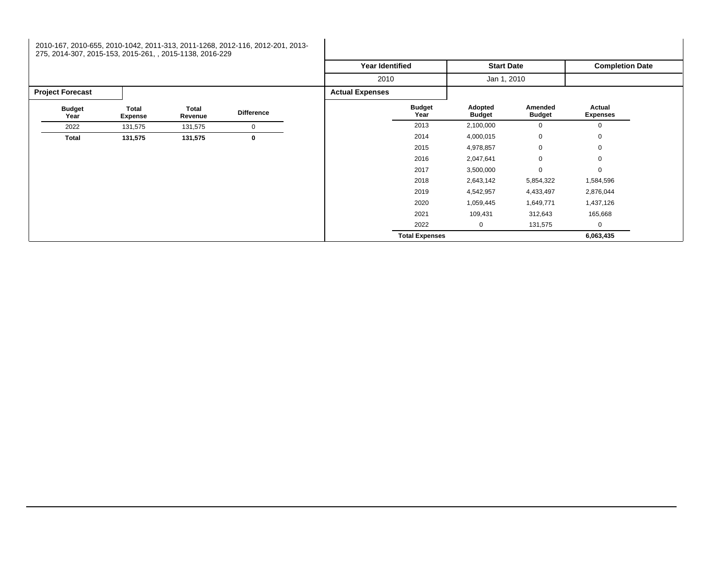## 2010-167, 2010-655, 2010-1042, 2011-313, 2011-1268, 2012-116, 2012-201, 2013- 275, 2014-307, 2015-153, 2015-261, , 2015-1138, 2016-229

|                         |                         |                  |                   | <b>Year Identified</b> |                       | <b>Start Date</b>        |                          | <b>Completion Date</b>    |  |
|-------------------------|-------------------------|------------------|-------------------|------------------------|-----------------------|--------------------------|--------------------------|---------------------------|--|
|                         |                         |                  |                   | 2010                   |                       | Jan 1, 2010              |                          |                           |  |
| <b>Project Forecast</b> |                         |                  |                   | <b>Actual Expenses</b> |                       |                          |                          |                           |  |
| <b>Budget</b><br>Year   | Total<br><b>Expense</b> | Total<br>Revenue | <b>Difference</b> |                        | <b>Budget</b><br>Year | Adopted<br><b>Budget</b> | Amended<br><b>Budget</b> | Actual<br><b>Expenses</b> |  |
| 2022                    | 131,575                 | 131,575          | $\mathbf 0$       |                        | 2013                  | 2,100,000                | $\mathbf 0$              | $\Omega$                  |  |
| Total                   | 131,575                 | 131,575          | $\bf{0}$          |                        | 2014                  | 4,000,015                | $\mathbf 0$              | $\mathbf 0$               |  |
|                         |                         |                  |                   |                        | 2015                  | 4,978,857                | $\mathbf 0$              | $\mathbf 0$               |  |
|                         |                         |                  |                   |                        | 2016                  | 2,047,641                | $\mathbf 0$              | $\mathbf 0$               |  |
|                         |                         |                  |                   |                        | 2017                  | 3,500,000                | $\mathbf 0$              | $\mathbf 0$               |  |
|                         |                         |                  |                   |                        | 2018                  | 2,643,142                | 5,854,322                | 1,584,596                 |  |
|                         |                         |                  |                   |                        | 2019                  | 4,542,957                | 4,433,497                | 2,876,044                 |  |
|                         |                         |                  |                   |                        | 2020                  | 1,059,445                | 1,649,771                | 1,437,126                 |  |
|                         |                         |                  |                   |                        | 2021                  | 109,431                  | 312,643                  | 165,668                   |  |
|                         |                         |                  |                   |                        | 2022                  | 0                        | 131,575                  | 0                         |  |
|                         |                         |                  |                   |                        | <b>Total Expenses</b> |                          |                          | 6,063,435                 |  |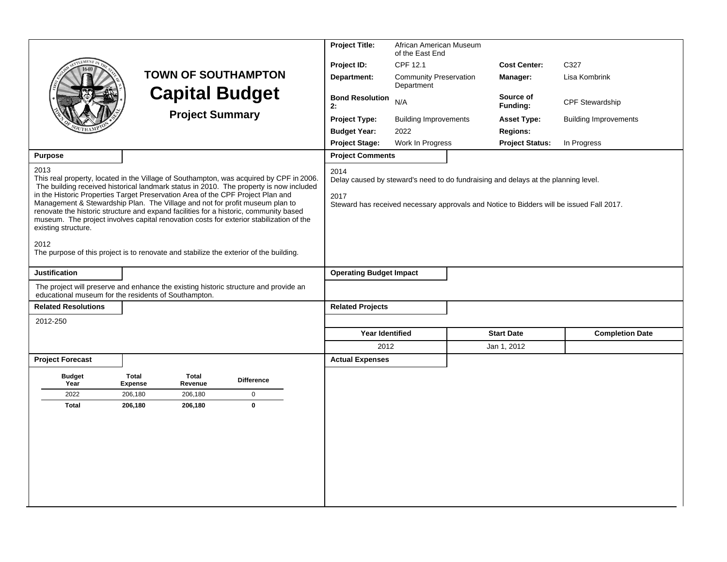|                             |                                                                                                                                                                                                                                                                                                                                                                                                                                                                                                                                          |                   | <b>Project Title:</b>          | African American Museum<br>of the East End                                                                                                                                     |                        |                              |
|-----------------------------|------------------------------------------------------------------------------------------------------------------------------------------------------------------------------------------------------------------------------------------------------------------------------------------------------------------------------------------------------------------------------------------------------------------------------------------------------------------------------------------------------------------------------------------|-------------------|--------------------------------|--------------------------------------------------------------------------------------------------------------------------------------------------------------------------------|------------------------|------------------------------|
|                             |                                                                                                                                                                                                                                                                                                                                                                                                                                                                                                                                          |                   | Project ID:                    | CPF 12.1                                                                                                                                                                       | <b>Cost Center:</b>    | C327                         |
|                             | <b>TOWN OF SOUTHAMPTON</b>                                                                                                                                                                                                                                                                                                                                                                                                                                                                                                               |                   | Department:                    | <b>Community Preservation</b><br>Department                                                                                                                                    | Manager:               | Lisa Kombrink                |
|                             | <b>Capital Budget</b>                                                                                                                                                                                                                                                                                                                                                                                                                                                                                                                    |                   | <b>Bond Resolution</b><br>2:   | N/A                                                                                                                                                                            | Source of<br>Funding:  | <b>CPF Stewardship</b>       |
|                             | <b>Project Summary</b>                                                                                                                                                                                                                                                                                                                                                                                                                                                                                                                   |                   | <b>Project Type:</b>           | <b>Building Improvements</b>                                                                                                                                                   | <b>Asset Type:</b>     | <b>Building Improvements</b> |
|                             |                                                                                                                                                                                                                                                                                                                                                                                                                                                                                                                                          |                   | <b>Budget Year:</b>            | 2022                                                                                                                                                                           | <b>Regions:</b>        |                              |
|                             |                                                                                                                                                                                                                                                                                                                                                                                                                                                                                                                                          |                   | <b>Project Stage:</b>          | Work In Progress                                                                                                                                                               | <b>Project Status:</b> | In Progress                  |
| <b>Purpose</b>              |                                                                                                                                                                                                                                                                                                                                                                                                                                                                                                                                          |                   | <b>Project Comments</b>        |                                                                                                                                                                                |                        |                              |
| 2013<br>existing structure. | This real property, located in the Village of Southampton, was acquired by CPF in 2006.<br>The building received historical landmark status in 2010. The property is now included<br>in the Historic Properties Target Preservation Area of the CPF Project Plan and<br>Management & Stewardship Plan. The Village and not for profit museum plan to<br>renovate the historic structure and expand facilities for a historic, community based<br>museum. The project involves capital renovation costs for exterior stabilization of the |                   | 2014<br>2017                   | Delay caused by steward's need to do fundraising and delays at the planning level.<br>Steward has received necessary approvals and Notice to Bidders will be issued Fall 2017. |                        |                              |
| 2012                        | The purpose of this project is to renovate and stabilize the exterior of the building.                                                                                                                                                                                                                                                                                                                                                                                                                                                   |                   |                                |                                                                                                                                                                                |                        |                              |
| <b>Justification</b>        |                                                                                                                                                                                                                                                                                                                                                                                                                                                                                                                                          |                   | <b>Operating Budget Impact</b> |                                                                                                                                                                                |                        |                              |
|                             | The project will preserve and enhance the existing historic structure and provide an<br>educational museum for the residents of Southampton.                                                                                                                                                                                                                                                                                                                                                                                             |                   |                                |                                                                                                                                                                                |                        |                              |
| <b>Related Resolutions</b>  |                                                                                                                                                                                                                                                                                                                                                                                                                                                                                                                                          |                   | <b>Related Projects</b>        |                                                                                                                                                                                |                        |                              |
| 2012-250                    |                                                                                                                                                                                                                                                                                                                                                                                                                                                                                                                                          |                   |                                |                                                                                                                                                                                |                        |                              |
|                             |                                                                                                                                                                                                                                                                                                                                                                                                                                                                                                                                          |                   | <b>Year Identified</b>         |                                                                                                                                                                                | <b>Start Date</b>      | <b>Completion Date</b>       |
|                             |                                                                                                                                                                                                                                                                                                                                                                                                                                                                                                                                          |                   | 2012                           |                                                                                                                                                                                | Jan 1, 2012            |                              |
| <b>Project Forecast</b>     |                                                                                                                                                                                                                                                                                                                                                                                                                                                                                                                                          |                   | <b>Actual Expenses</b>         |                                                                                                                                                                                |                        |                              |
| <b>Budget</b><br>Year       | <b>Total</b><br>Total<br><b>Expense</b><br>Revenue                                                                                                                                                                                                                                                                                                                                                                                                                                                                                       | <b>Difference</b> |                                |                                                                                                                                                                                |                        |                              |
| 2022                        | 206,180<br>206,180                                                                                                                                                                                                                                                                                                                                                                                                                                                                                                                       | $\mathbf 0$       |                                |                                                                                                                                                                                |                        |                              |
| <b>Total</b>                | 206,180<br>206,180                                                                                                                                                                                                                                                                                                                                                                                                                                                                                                                       | $\mathbf{0}$      |                                |                                                                                                                                                                                |                        |                              |
|                             |                                                                                                                                                                                                                                                                                                                                                                                                                                                                                                                                          |                   |                                |                                                                                                                                                                                |                        |                              |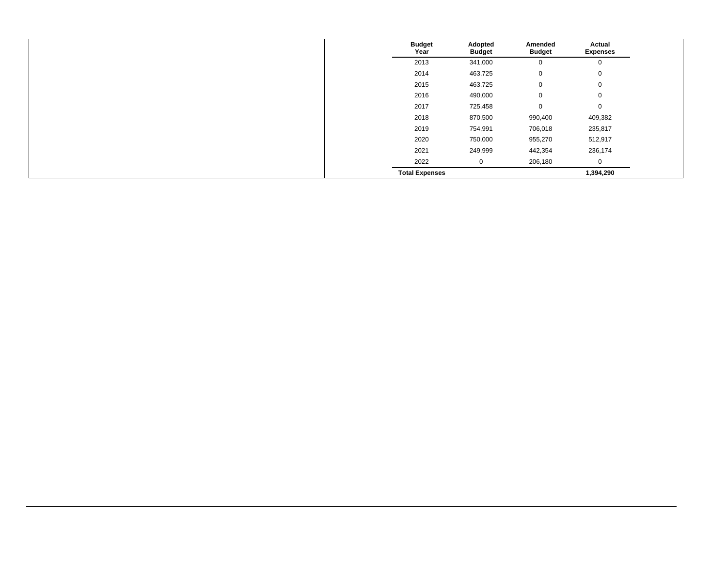| <b>Budget</b><br>Year | Adopted<br><b>Budget</b> | Amended<br><b>Budget</b> | Actual<br><b>Expenses</b> |
|-----------------------|--------------------------|--------------------------|---------------------------|
| 2013                  | 341,000                  | 0                        | 0                         |
| 2014                  | 463,725                  | $\mathbf 0$              | 0                         |
| 2015                  | 463,725                  | $\mathbf 0$              | $\mathbf 0$               |
| 2016                  | 490,000                  | $\mathbf 0$              | $\mathbf 0$               |
| 2017                  | 725,458                  | $\mathbf 0$              | $\mathbf 0$               |
| 2018                  | 870,500                  | 990,400                  | 409,382                   |
| 2019                  | 754,991                  | 706,018                  | 235,817                   |
| 2020                  | 750,000                  | 955,270                  | 512,917                   |
| 2021                  | 249,999                  | 442,354                  | 236,174                   |
| 2022                  | $\mathbf 0$              | 206,180                  | 0                         |
| <b>Total Expenses</b> |                          |                          | 1,394,290                 |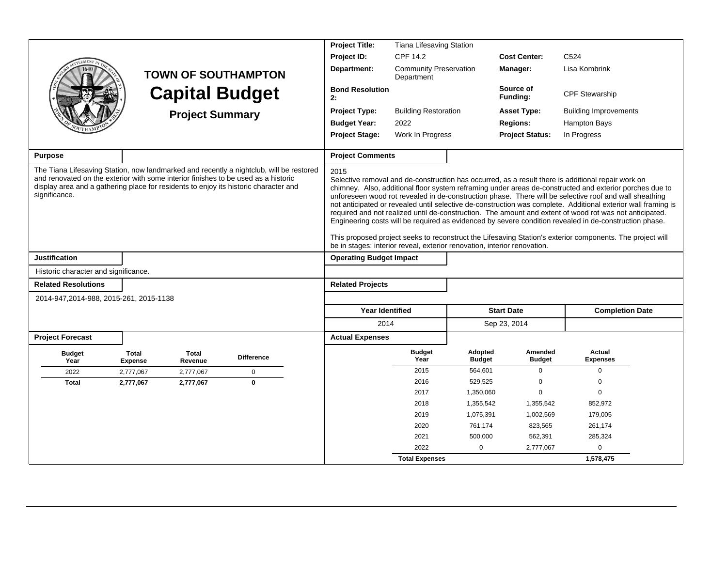|                                                                                                                                                                                             |                                |                        |                                                                                         | <b>Project Title:</b>                                                            | <b>Tiana Lifesaving Station</b>             |                          |                          |                                                                                                                                                                                                                                                                                                                                                                                                                                                                                                                                                                                                                                                                                                                                                                            |  |
|---------------------------------------------------------------------------------------------------------------------------------------------------------------------------------------------|--------------------------------|------------------------|-----------------------------------------------------------------------------------------|----------------------------------------------------------------------------------|---------------------------------------------|--------------------------|--------------------------|----------------------------------------------------------------------------------------------------------------------------------------------------------------------------------------------------------------------------------------------------------------------------------------------------------------------------------------------------------------------------------------------------------------------------------------------------------------------------------------------------------------------------------------------------------------------------------------------------------------------------------------------------------------------------------------------------------------------------------------------------------------------------|--|
|                                                                                                                                                                                             |                                |                        |                                                                                         | Project ID:                                                                      | CPF 14.2                                    |                          | <b>Cost Center:</b>      | C <sub>524</sub>                                                                                                                                                                                                                                                                                                                                                                                                                                                                                                                                                                                                                                                                                                                                                           |  |
|                                                                                                                                                                                             |                                |                        | <b>TOWN OF SOUTHAMPTON</b>                                                              | Department:                                                                      | <b>Community Preservation</b><br>Department |                          | Manager:                 | Lisa Kombrink                                                                                                                                                                                                                                                                                                                                                                                                                                                                                                                                                                                                                                                                                                                                                              |  |
|                                                                                                                                                                                             |                                | <b>Capital Budget</b>  |                                                                                         | <b>Bond Resolution</b><br>2:                                                     |                                             |                          | Source of<br>Funding:    | CPF Stewarship                                                                                                                                                                                                                                                                                                                                                                                                                                                                                                                                                                                                                                                                                                                                                             |  |
|                                                                                                                                                                                             |                                | <b>Project Summary</b> |                                                                                         | <b>Project Type:</b>                                                             | <b>Building Restoration</b>                 |                          | <b>Asset Type:</b>       | <b>Building Improvements</b>                                                                                                                                                                                                                                                                                                                                                                                                                                                                                                                                                                                                                                                                                                                                               |  |
|                                                                                                                                                                                             |                                |                        |                                                                                         | <b>Budget Year:</b>                                                              | 2022                                        |                          | <b>Regions:</b>          | Hampton Bays                                                                                                                                                                                                                                                                                                                                                                                                                                                                                                                                                                                                                                                                                                                                                               |  |
|                                                                                                                                                                                             |                                |                        |                                                                                         | <b>Project Stage:</b>                                                            | Work In Progress                            |                          | <b>Project Status:</b>   | In Progress                                                                                                                                                                                                                                                                                                                                                                                                                                                                                                                                                                                                                                                                                                                                                                |  |
| <b>Purpose</b>                                                                                                                                                                              |                                |                        |                                                                                         | <b>Project Comments</b>                                                          |                                             |                          |                          |                                                                                                                                                                                                                                                                                                                                                                                                                                                                                                                                                                                                                                                                                                                                                                            |  |
| and renovated on the exterior with some interior finishes to be used as a historic<br>display area and a gathering place for residents to enjoy its historic character and<br>significance. |                                |                        | The Tiana Lifesaving Station, now landmarked and recently a nightclub, will be restored | 2015<br>be in stages: interior reveal, exterior renovation, interior renovation. |                                             |                          |                          | Selective removal and de-construction has occurred, as a result there is additional repair work on<br>chimney. Also, additional floor system reframing under areas de-constructed and exterior porches due to<br>unforeseen wood rot revealed in de-construction phase. There will be selective roof and wall sheathing<br>not anticipated or revealed until selective de-construction was complete. Additional exterior wall framing is<br>required and not realized until de-construction. The amount and extent of wood rot was not anticipated.<br>Engineering costs will be required as evidenced by severe condition revealed in de-construction phase.<br>This proposed project seeks to reconstruct the Lifesaving Station's exterior components. The project will |  |
| <b>Justification</b>                                                                                                                                                                        |                                |                        |                                                                                         | <b>Operating Budget Impact</b>                                                   |                                             |                          |                          |                                                                                                                                                                                                                                                                                                                                                                                                                                                                                                                                                                                                                                                                                                                                                                            |  |
| Historic character and significance.                                                                                                                                                        |                                |                        |                                                                                         |                                                                                  |                                             |                          |                          |                                                                                                                                                                                                                                                                                                                                                                                                                                                                                                                                                                                                                                                                                                                                                                            |  |
| <b>Related Resolutions</b>                                                                                                                                                                  |                                |                        |                                                                                         | <b>Related Projects</b>                                                          |                                             |                          |                          |                                                                                                                                                                                                                                                                                                                                                                                                                                                                                                                                                                                                                                                                                                                                                                            |  |
| 2014-947, 2014-988, 2015-261, 2015-1138                                                                                                                                                     |                                |                        |                                                                                         |                                                                                  |                                             |                          |                          |                                                                                                                                                                                                                                                                                                                                                                                                                                                                                                                                                                                                                                                                                                                                                                            |  |
|                                                                                                                                                                                             |                                |                        |                                                                                         | <b>Year Identified</b>                                                           |                                             |                          | <b>Start Date</b>        | <b>Completion Date</b>                                                                                                                                                                                                                                                                                                                                                                                                                                                                                                                                                                                                                                                                                                                                                     |  |
|                                                                                                                                                                                             |                                |                        |                                                                                         | 2014                                                                             |                                             |                          | Sep 23, 2014             |                                                                                                                                                                                                                                                                                                                                                                                                                                                                                                                                                                                                                                                                                                                                                                            |  |
| <b>Project Forecast</b>                                                                                                                                                                     |                                |                        |                                                                                         | <b>Actual Expenses</b>                                                           |                                             |                          |                          |                                                                                                                                                                                                                                                                                                                                                                                                                                                                                                                                                                                                                                                                                                                                                                            |  |
|                                                                                                                                                                                             |                                |                        |                                                                                         |                                                                                  |                                             |                          |                          |                                                                                                                                                                                                                                                                                                                                                                                                                                                                                                                                                                                                                                                                                                                                                                            |  |
| <b>Budget</b><br>Year                                                                                                                                                                       | <b>Total</b><br><b>Expense</b> | Total<br>Revenue       | <b>Difference</b>                                                                       |                                                                                  | <b>Budget</b><br>Year                       | Adopted<br><b>Budget</b> | Amended<br><b>Budget</b> | Actual<br><b>Expenses</b>                                                                                                                                                                                                                                                                                                                                                                                                                                                                                                                                                                                                                                                                                                                                                  |  |
| 2022                                                                                                                                                                                        | 2,777,067                      | 2,777,067              | $\mathbf 0$                                                                             |                                                                                  | 2015                                        | 564,601                  | $\Omega$                 | 0                                                                                                                                                                                                                                                                                                                                                                                                                                                                                                                                                                                                                                                                                                                                                                          |  |
| <b>Total</b>                                                                                                                                                                                | 2,777,067                      | 2,777,067              | $\Omega$                                                                                |                                                                                  | 2016                                        | 529,525                  | $\mathbf 0$              | $\Omega$                                                                                                                                                                                                                                                                                                                                                                                                                                                                                                                                                                                                                                                                                                                                                                   |  |
|                                                                                                                                                                                             |                                |                        |                                                                                         |                                                                                  | 2017                                        | 1,350,060                | $\Omega$                 | $\Omega$                                                                                                                                                                                                                                                                                                                                                                                                                                                                                                                                                                                                                                                                                                                                                                   |  |
|                                                                                                                                                                                             |                                |                        |                                                                                         |                                                                                  | 2018                                        | 1,355,542                | 1,355,542                | 852,972                                                                                                                                                                                                                                                                                                                                                                                                                                                                                                                                                                                                                                                                                                                                                                    |  |
|                                                                                                                                                                                             |                                |                        |                                                                                         |                                                                                  | 2019                                        | 1,075,391                | 1,002,569                | 179,005                                                                                                                                                                                                                                                                                                                                                                                                                                                                                                                                                                                                                                                                                                                                                                    |  |
|                                                                                                                                                                                             |                                |                        |                                                                                         |                                                                                  | 2020                                        | 761,174                  | 823,565                  | 261,174                                                                                                                                                                                                                                                                                                                                                                                                                                                                                                                                                                                                                                                                                                                                                                    |  |
|                                                                                                                                                                                             |                                |                        |                                                                                         |                                                                                  | 2021                                        | 500,000                  | 562,391                  | 285,324                                                                                                                                                                                                                                                                                                                                                                                                                                                                                                                                                                                                                                                                                                                                                                    |  |
|                                                                                                                                                                                             |                                |                        |                                                                                         |                                                                                  | 2022                                        | $\mathbf 0$              | 2,777,067                | $\Omega$                                                                                                                                                                                                                                                                                                                                                                                                                                                                                                                                                                                                                                                                                                                                                                   |  |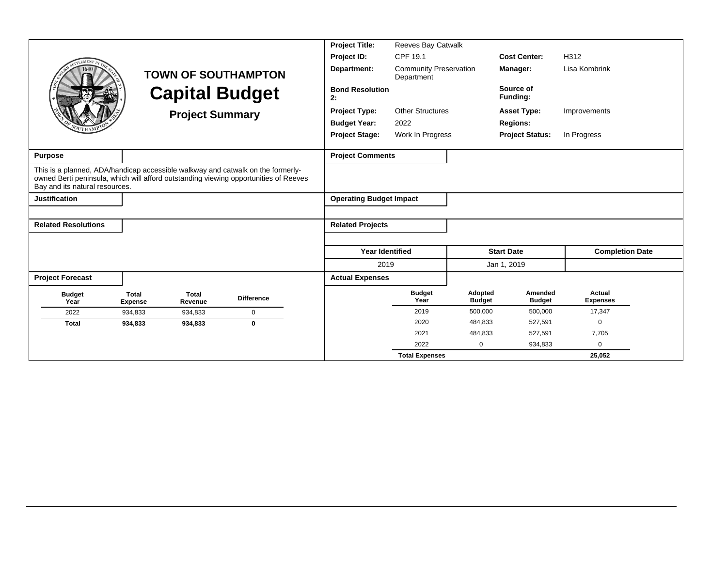|                                                                                                                                                                                                           |                                |                         |                            | <b>Project Title:</b>          | Reeves Bay Catwalk                          |                          |                          |                           |  |
|-----------------------------------------------------------------------------------------------------------------------------------------------------------------------------------------------------------|--------------------------------|-------------------------|----------------------------|--------------------------------|---------------------------------------------|--------------------------|--------------------------|---------------------------|--|
| LEMENT                                                                                                                                                                                                    |                                |                         |                            | Project ID:                    | CPF 19.1                                    |                          | <b>Cost Center:</b>      | H312                      |  |
|                                                                                                                                                                                                           |                                |                         | <b>TOWN OF SOUTHAMPTON</b> | Department:                    | <b>Community Preservation</b><br>Department |                          | Manager:                 | Lisa Kombrink             |  |
|                                                                                                                                                                                                           |                                |                         | <b>Capital Budget</b>      | <b>Bond Resolution</b><br>2:   |                                             |                          | Source of<br>Funding:    |                           |  |
|                                                                                                                                                                                                           |                                | <b>Project Summary</b>  |                            | <b>Project Type:</b>           | <b>Other Structures</b>                     |                          | <b>Asset Type:</b>       | Improvements              |  |
|                                                                                                                                                                                                           |                                |                         |                            | <b>Budget Year:</b>            | 2022                                        |                          | <b>Regions:</b>          |                           |  |
|                                                                                                                                                                                                           |                                |                         |                            | <b>Project Stage:</b>          | Work In Progress                            |                          | <b>Project Status:</b>   | In Progress               |  |
| <b>Purpose</b>                                                                                                                                                                                            |                                |                         |                            | <b>Project Comments</b>        |                                             |                          |                          |                           |  |
| This is a planned, ADA/handicap accessible walkway and catwalk on the formerly-<br>owned Berti peninsula, which will afford outstanding viewing opportunities of Reeves<br>Bay and its natural resources. |                                |                         |                            |                                |                                             |                          |                          |                           |  |
| <b>Justification</b>                                                                                                                                                                                      |                                |                         |                            | <b>Operating Budget Impact</b> |                                             |                          |                          |                           |  |
|                                                                                                                                                                                                           |                                |                         |                            |                                |                                             |                          |                          |                           |  |
| <b>Related Resolutions</b>                                                                                                                                                                                |                                |                         |                            | <b>Related Projects</b>        |                                             |                          |                          |                           |  |
|                                                                                                                                                                                                           |                                |                         |                            |                                |                                             |                          |                          |                           |  |
|                                                                                                                                                                                                           |                                |                         |                            | <b>Year Identified</b>         |                                             |                          | <b>Start Date</b>        | <b>Completion Date</b>    |  |
|                                                                                                                                                                                                           |                                |                         |                            | 2019                           |                                             |                          | Jan 1, 2019              |                           |  |
| <b>Project Forecast</b>                                                                                                                                                                                   |                                |                         |                            | <b>Actual Expenses</b>         |                                             |                          |                          |                           |  |
| <b>Budget</b><br>Year                                                                                                                                                                                     | <b>Total</b><br><b>Expense</b> | <b>Total</b><br>Revenue | <b>Difference</b>          |                                | <b>Budget</b><br>Year                       | Adopted<br><b>Budget</b> | Amended<br><b>Budget</b> | Actual<br><b>Expenses</b> |  |
| 2022                                                                                                                                                                                                      | 934,833                        | 934,833                 | $\mathbf 0$                |                                | 2019                                        | 500,000                  | 500,000                  | 17,347                    |  |
| <b>Total</b>                                                                                                                                                                                              | 934,833                        | 934,833                 | $\mathbf 0$                |                                | 2020                                        | 484,833                  | 527,591                  | $\Omega$                  |  |
|                                                                                                                                                                                                           |                                |                         |                            |                                | 2021                                        | 484,833                  | 527,591                  | 7,705                     |  |
|                                                                                                                                                                                                           |                                |                         |                            |                                | 2022                                        | $\mathbf 0$              | 934,833                  | $\Omega$                  |  |
|                                                                                                                                                                                                           |                                |                         |                            |                                | <b>Total Expenses</b>                       |                          |                          | 25,052                    |  |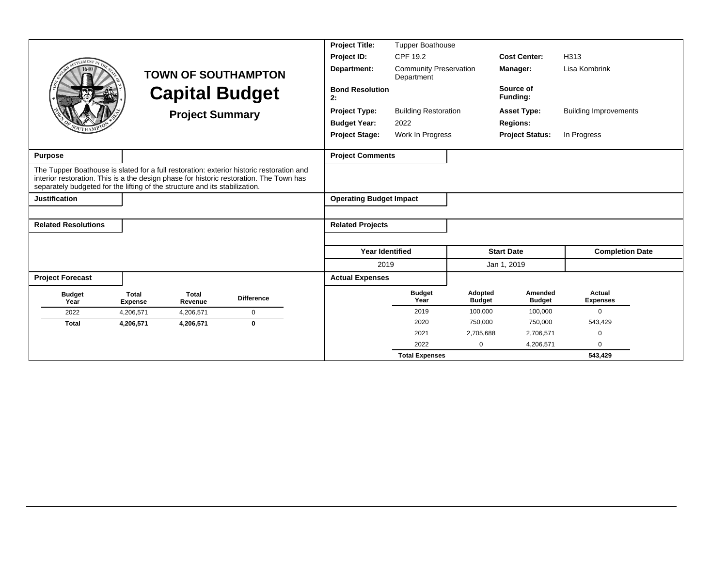|                                                                                                                                                                                                                                                                    |                                |                         |                            | <b>Project Title:</b>          | <b>Tupper Boathouse</b>                     |                          |                          |                              |
|--------------------------------------------------------------------------------------------------------------------------------------------------------------------------------------------------------------------------------------------------------------------|--------------------------------|-------------------------|----------------------------|--------------------------------|---------------------------------------------|--------------------------|--------------------------|------------------------------|
| <b>EMENT</b>                                                                                                                                                                                                                                                       |                                |                         |                            | Project ID:                    | CPF 19.2                                    |                          | <b>Cost Center:</b>      | H313                         |
|                                                                                                                                                                                                                                                                    |                                |                         | <b>TOWN OF SOUTHAMPTON</b> | Department:                    | <b>Community Preservation</b><br>Department |                          | Manager:                 | Lisa Kombrink                |
|                                                                                                                                                                                                                                                                    |                                |                         | <b>Capital Budget</b>      | <b>Bond Resolution</b><br>2:   |                                             |                          | Source of<br>Funding:    |                              |
|                                                                                                                                                                                                                                                                    |                                | <b>Project Summary</b>  |                            | <b>Project Type:</b>           | <b>Building Restoration</b>                 |                          | <b>Asset Type:</b>       | <b>Building Improvements</b> |
|                                                                                                                                                                                                                                                                    |                                |                         |                            | <b>Budget Year:</b>            | 2022                                        |                          | <b>Regions:</b>          |                              |
|                                                                                                                                                                                                                                                                    |                                |                         |                            | <b>Project Stage:</b>          | Work In Progress                            |                          | <b>Project Status:</b>   | In Progress                  |
| <b>Purpose</b>                                                                                                                                                                                                                                                     |                                |                         |                            | <b>Project Comments</b>        |                                             |                          |                          |                              |
| The Tupper Boathouse is slated for a full restoration: exterior historic restoration and<br>interior restoration. This is a the design phase for historic restoration. The Town has<br>separately budgeted for the lifting of the structure and its stabilization. |                                |                         |                            |                                |                                             |                          |                          |                              |
| <b>Justification</b>                                                                                                                                                                                                                                               |                                |                         |                            | <b>Operating Budget Impact</b> |                                             |                          |                          |                              |
|                                                                                                                                                                                                                                                                    |                                |                         |                            |                                |                                             |                          |                          |                              |
| <b>Related Resolutions</b>                                                                                                                                                                                                                                         |                                |                         |                            | <b>Related Projects</b>        |                                             |                          |                          |                              |
|                                                                                                                                                                                                                                                                    |                                |                         |                            |                                |                                             |                          |                          |                              |
|                                                                                                                                                                                                                                                                    |                                |                         |                            | <b>Year Identified</b>         |                                             |                          | <b>Start Date</b>        | <b>Completion Date</b>       |
|                                                                                                                                                                                                                                                                    |                                |                         |                            | 2019                           |                                             |                          | Jan 1, 2019              |                              |
| <b>Project Forecast</b>                                                                                                                                                                                                                                            |                                |                         |                            | <b>Actual Expenses</b>         |                                             |                          |                          |                              |
| <b>Budget</b><br>Year                                                                                                                                                                                                                                              | <b>Total</b><br><b>Expense</b> | <b>Total</b><br>Revenue | <b>Difference</b>          |                                | <b>Budget</b><br>Year                       | Adopted<br><b>Budget</b> | Amended<br><b>Budget</b> | Actual<br><b>Expenses</b>    |
| 2022                                                                                                                                                                                                                                                               | 4.206.571                      | 4,206,571               | $\mathbf 0$                |                                | 2019                                        | 100,000                  | 100,000                  | $\Omega$                     |
| <b>Total</b>                                                                                                                                                                                                                                                       | 4,206,571                      | 4,206,571               | $\bf{0}$                   |                                | 2020                                        | 750,000                  | 750,000                  | 543,429                      |
|                                                                                                                                                                                                                                                                    |                                |                         |                            |                                | 2021                                        | 2,705,688                | 2,706,571                | $\Omega$                     |
|                                                                                                                                                                                                                                                                    |                                |                         |                            |                                | 2022                                        | 0                        | 4,206,571                | $\Omega$                     |
|                                                                                                                                                                                                                                                                    |                                |                         |                            |                                | <b>Total Expenses</b>                       |                          |                          | 543,429                      |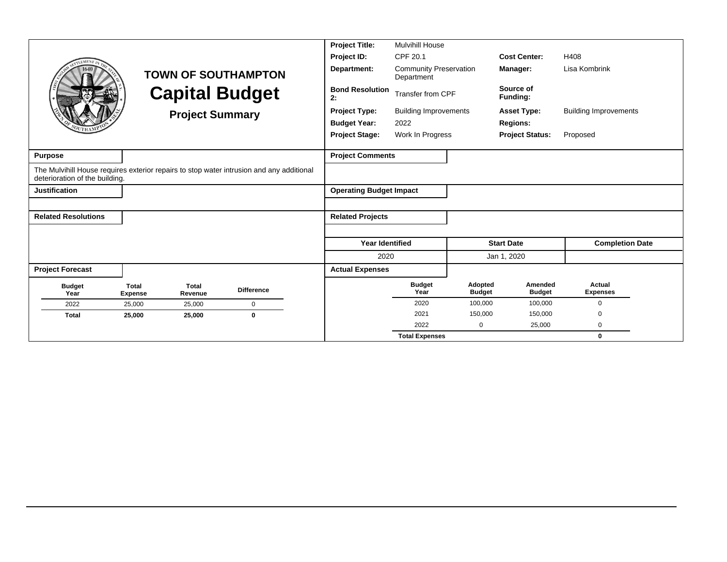|                                |                                |                         |                                                                                          | <b>Project Title:</b>          | <b>Mulvihill House</b>                      |                          |                          |                              |
|--------------------------------|--------------------------------|-------------------------|------------------------------------------------------------------------------------------|--------------------------------|---------------------------------------------|--------------------------|--------------------------|------------------------------|
| <b>LEMENT</b>                  |                                |                         |                                                                                          | Project ID:                    | CPF 20.1                                    |                          | <b>Cost Center:</b>      | H408                         |
|                                |                                |                         | <b>TOWN OF SOUTHAMPTON</b>                                                               | Department:                    | <b>Community Preservation</b><br>Department |                          | Manager:                 | Lisa Kombrink                |
|                                |                                |                         | <b>Capital Budget</b>                                                                    | <b>Bond Resolution</b><br>2:   | Transfer from CPF                           |                          | Source of<br>Funding:    |                              |
|                                |                                | <b>Project Summary</b>  |                                                                                          | <b>Project Type:</b>           | <b>Building Improvements</b>                |                          | <b>Asset Type:</b>       | <b>Building Improvements</b> |
|                                |                                |                         |                                                                                          | <b>Budget Year:</b>            | 2022                                        |                          | <b>Regions:</b>          |                              |
|                                |                                |                         |                                                                                          | <b>Project Stage:</b>          | Work In Progress                            |                          | <b>Project Status:</b>   | Proposed                     |
|                                |                                |                         |                                                                                          |                                |                                             |                          |                          |                              |
| <b>Purpose</b>                 |                                |                         |                                                                                          | <b>Project Comments</b>        |                                             |                          |                          |                              |
| deterioration of the building. |                                |                         | The Mulvihill House requires exterior repairs to stop water intrusion and any additional |                                |                                             |                          |                          |                              |
| <b>Justification</b>           |                                |                         |                                                                                          | <b>Operating Budget Impact</b> |                                             |                          |                          |                              |
|                                |                                |                         |                                                                                          |                                |                                             |                          |                          |                              |
| <b>Related Resolutions</b>     |                                |                         |                                                                                          | <b>Related Projects</b>        |                                             |                          |                          |                              |
|                                |                                |                         |                                                                                          |                                |                                             |                          |                          |                              |
|                                |                                |                         |                                                                                          | <b>Year Identified</b>         |                                             |                          | <b>Start Date</b>        | <b>Completion Date</b>       |
|                                |                                |                         |                                                                                          | 2020                           |                                             |                          | Jan 1, 2020              |                              |
| <b>Project Forecast</b>        |                                |                         |                                                                                          | <b>Actual Expenses</b>         |                                             |                          |                          |                              |
| <b>Budget</b><br>Year          | <b>Total</b><br><b>Expense</b> | <b>Total</b><br>Revenue | <b>Difference</b>                                                                        |                                | <b>Budget</b><br>Year                       | Adopted<br><b>Budget</b> | Amended<br><b>Budget</b> | Actual<br><b>Expenses</b>    |
| 2022                           | 25,000                         | 25,000                  | 0                                                                                        |                                | 2020                                        | 100,000                  | 100,000                  | $\mathbf 0$                  |
| <b>Total</b>                   | 25,000                         | 25,000                  | $\bf{0}$                                                                                 |                                | 2021                                        | 150,000                  | 150,000                  | $\Omega$                     |
|                                |                                |                         |                                                                                          |                                | 2022                                        | $\mathbf 0$              | 25,000                   | $\mathbf 0$                  |
|                                |                                |                         |                                                                                          |                                | <b>Total Expenses</b>                       |                          |                          | $\bf{0}$                     |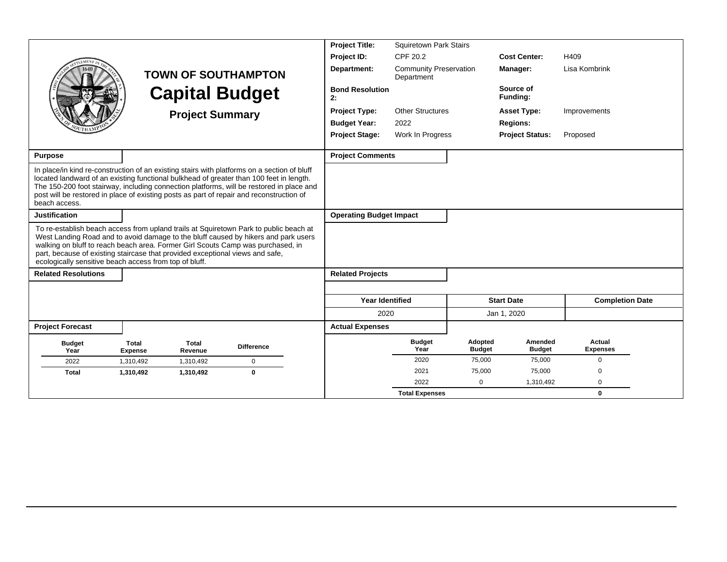|                                                                                                                                                                                                                                                                                                                                                                                                           |                                |                         |                                                                                                                                                                                                                                                                                    | <b>Project Title:</b>          | <b>Squiretown Park Stairs</b>               |                          |                          |                           |
|-----------------------------------------------------------------------------------------------------------------------------------------------------------------------------------------------------------------------------------------------------------------------------------------------------------------------------------------------------------------------------------------------------------|--------------------------------|-------------------------|------------------------------------------------------------------------------------------------------------------------------------------------------------------------------------------------------------------------------------------------------------------------------------|--------------------------------|---------------------------------------------|--------------------------|--------------------------|---------------------------|
|                                                                                                                                                                                                                                                                                                                                                                                                           |                                |                         |                                                                                                                                                                                                                                                                                    | Project ID:                    | CPF 20.2                                    |                          | <b>Cost Center:</b>      | H409                      |
|                                                                                                                                                                                                                                                                                                                                                                                                           |                                |                         | <b>TOWN OF SOUTHAMPTON</b>                                                                                                                                                                                                                                                         | Department:                    | <b>Community Preservation</b><br>Department |                          | Manager:                 | Lisa Kombrink             |
|                                                                                                                                                                                                                                                                                                                                                                                                           |                                |                         | <b>Capital Budget</b>                                                                                                                                                                                                                                                              | <b>Bond Resolution</b><br>2:   |                                             |                          | Source of<br>Funding:    |                           |
|                                                                                                                                                                                                                                                                                                                                                                                                           |                                | <b>Project Summary</b>  |                                                                                                                                                                                                                                                                                    | <b>Project Type:</b>           | <b>Other Structures</b>                     |                          | <b>Asset Type:</b>       | Improvements              |
|                                                                                                                                                                                                                                                                                                                                                                                                           |                                |                         |                                                                                                                                                                                                                                                                                    | <b>Budget Year:</b>            | 2022                                        |                          | <b>Regions:</b>          |                           |
|                                                                                                                                                                                                                                                                                                                                                                                                           |                                |                         |                                                                                                                                                                                                                                                                                    | <b>Project Stage:</b>          | Work In Progress                            |                          | <b>Project Status:</b>   | Proposed                  |
| <b>Purpose</b>                                                                                                                                                                                                                                                                                                                                                                                            |                                |                         |                                                                                                                                                                                                                                                                                    | <b>Project Comments</b>        |                                             |                          |                          |                           |
| post will be restored in place of existing posts as part of repair and reconstruction of<br>beach access.                                                                                                                                                                                                                                                                                                 |                                |                         | In place/in kind re-construction of an existing stairs with platforms on a section of bluff<br>located landward of an existing functional bulkhead of greater than 100 feet in length.<br>The 150-200 foot stairway, including connection platforms, will be restored in place and |                                |                                             |                          |                          |                           |
| <b>Justification</b>                                                                                                                                                                                                                                                                                                                                                                                      |                                |                         |                                                                                                                                                                                                                                                                                    | <b>Operating Budget Impact</b> |                                             |                          |                          |                           |
| To re-establish beach access from upland trails at Squiretown Park to public beach at<br>West Landing Road and to avoid damage to the bluff caused by hikers and park users<br>walking on bluff to reach beach area. Former Girl Scouts Camp was purchased, in<br>part, because of existing staircase that provided exceptional views and safe,<br>ecologically sensitive beach access from top of bluff. |                                |                         |                                                                                                                                                                                                                                                                                    |                                |                                             |                          |                          |                           |
| <b>Related Resolutions</b>                                                                                                                                                                                                                                                                                                                                                                                |                                |                         |                                                                                                                                                                                                                                                                                    | <b>Related Projects</b>        |                                             |                          |                          |                           |
|                                                                                                                                                                                                                                                                                                                                                                                                           |                                |                         |                                                                                                                                                                                                                                                                                    | <b>Year Identified</b>         |                                             |                          | <b>Start Date</b>        | <b>Completion Date</b>    |
|                                                                                                                                                                                                                                                                                                                                                                                                           |                                |                         |                                                                                                                                                                                                                                                                                    | 2020                           |                                             |                          | Jan 1, 2020              |                           |
| <b>Project Forecast</b>                                                                                                                                                                                                                                                                                                                                                                                   |                                |                         |                                                                                                                                                                                                                                                                                    | <b>Actual Expenses</b>         |                                             |                          |                          |                           |
| <b>Budget</b><br>Year                                                                                                                                                                                                                                                                                                                                                                                     | <b>Total</b><br><b>Expense</b> | <b>Total</b><br>Revenue | <b>Difference</b>                                                                                                                                                                                                                                                                  |                                | <b>Budget</b><br>Year                       | Adopted<br><b>Budget</b> | Amended<br><b>Budget</b> | Actual<br><b>Expenses</b> |
| 2022                                                                                                                                                                                                                                                                                                                                                                                                      | 1,310,492                      | 1,310,492               | $\mathbf 0$                                                                                                                                                                                                                                                                        |                                | 2020                                        | 75,000                   | 75,000                   | 0                         |
| <b>Total</b>                                                                                                                                                                                                                                                                                                                                                                                              | 1,310,492                      | 1,310,492               | $\mathbf 0$                                                                                                                                                                                                                                                                        |                                | 2021                                        | 75,000                   | 75,000                   | $\Omega$                  |
|                                                                                                                                                                                                                                                                                                                                                                                                           |                                |                         |                                                                                                                                                                                                                                                                                    |                                | 2022                                        | $\Omega$                 | 1,310,492                | $\Omega$                  |
|                                                                                                                                                                                                                                                                                                                                                                                                           |                                |                         |                                                                                                                                                                                                                                                                                    |                                | <b>Total Expenses</b>                       |                          |                          | $\mathbf 0$               |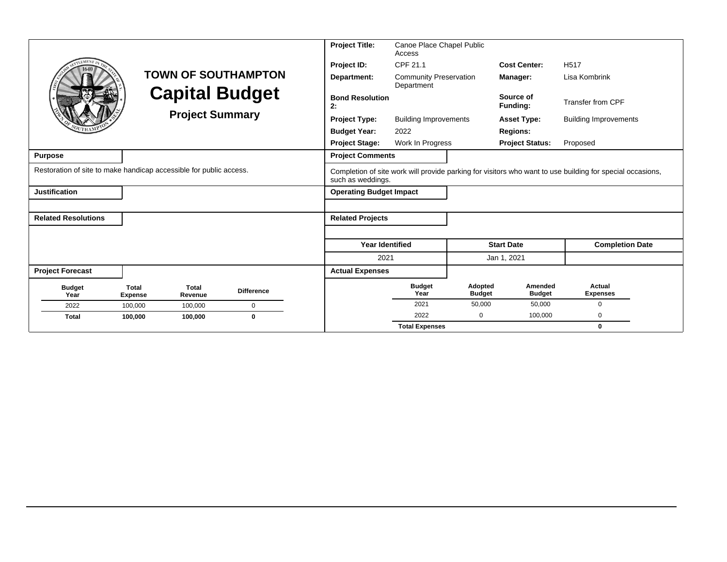|                                                                    |                                |                         |                            | <b>Project Title:</b>          | Canoe Place Chapel Public<br>Access         |                          |                          |                                                                                                           |
|--------------------------------------------------------------------|--------------------------------|-------------------------|----------------------------|--------------------------------|---------------------------------------------|--------------------------|--------------------------|-----------------------------------------------------------------------------------------------------------|
|                                                                    |                                |                         |                            | Project ID:                    | CPF 21.1                                    |                          | <b>Cost Center:</b>      | H <sub>517</sub>                                                                                          |
|                                                                    |                                |                         | <b>TOWN OF SOUTHAMPTON</b> | Department:                    | <b>Community Preservation</b><br>Department |                          | Manager:                 | Lisa Kombrink                                                                                             |
|                                                                    |                                |                         | <b>Capital Budget</b>      | <b>Bond Resolution</b><br>2:   |                                             |                          | Source of<br>Funding:    | Transfer from CPF                                                                                         |
|                                                                    |                                | <b>Project Summary</b>  |                            | <b>Project Type:</b>           | <b>Building Improvements</b>                |                          | <b>Asset Type:</b>       | <b>Building Improvements</b>                                                                              |
|                                                                    |                                |                         |                            | <b>Budget Year:</b>            | 2022                                        |                          | <b>Regions:</b>          |                                                                                                           |
|                                                                    |                                |                         |                            | <b>Project Stage:</b>          | Work In Progress                            |                          | <b>Project Status:</b>   | Proposed                                                                                                  |
| <b>Purpose</b>                                                     |                                |                         |                            | <b>Project Comments</b>        |                                             |                          |                          |                                                                                                           |
| Restoration of site to make handicap accessible for public access. |                                |                         |                            | such as weddings.              |                                             |                          |                          | Completion of site work will provide parking for visitors who want to use building for special occasions, |
| <b>Justification</b>                                               |                                |                         |                            | <b>Operating Budget Impact</b> |                                             |                          |                          |                                                                                                           |
|                                                                    |                                |                         |                            |                                |                                             |                          |                          |                                                                                                           |
| <b>Related Resolutions</b>                                         |                                |                         |                            | <b>Related Projects</b>        |                                             |                          |                          |                                                                                                           |
|                                                                    |                                |                         |                            |                                |                                             |                          |                          |                                                                                                           |
|                                                                    |                                |                         |                            | <b>Year Identified</b>         |                                             |                          | <b>Start Date</b>        | <b>Completion Date</b>                                                                                    |
|                                                                    |                                |                         |                            | 2021                           |                                             |                          | Jan 1, 2021              |                                                                                                           |
| <b>Project Forecast</b>                                            |                                |                         |                            | <b>Actual Expenses</b>         |                                             |                          |                          |                                                                                                           |
| <b>Budget</b><br>Year                                              | <b>Total</b><br><b>Expense</b> | <b>Total</b><br>Revenue | <b>Difference</b>          |                                | <b>Budget</b><br>Year                       | Adopted<br><b>Budget</b> | Amended<br><b>Budget</b> | Actual<br><b>Expenses</b>                                                                                 |
| 2022                                                               | 100,000                        | 100,000                 | $\mathbf 0$                |                                | 2021                                        | 50,000                   | 50,000                   | $\mathbf 0$                                                                                               |
| <b>Total</b>                                                       | 100,000                        | 100,000                 | $\mathbf 0$                |                                | 2022                                        | $\mathbf 0$              | 100,000                  | 0                                                                                                         |
|                                                                    |                                |                         |                            |                                | <b>Total Expenses</b>                       |                          |                          | $\mathbf 0$                                                                                               |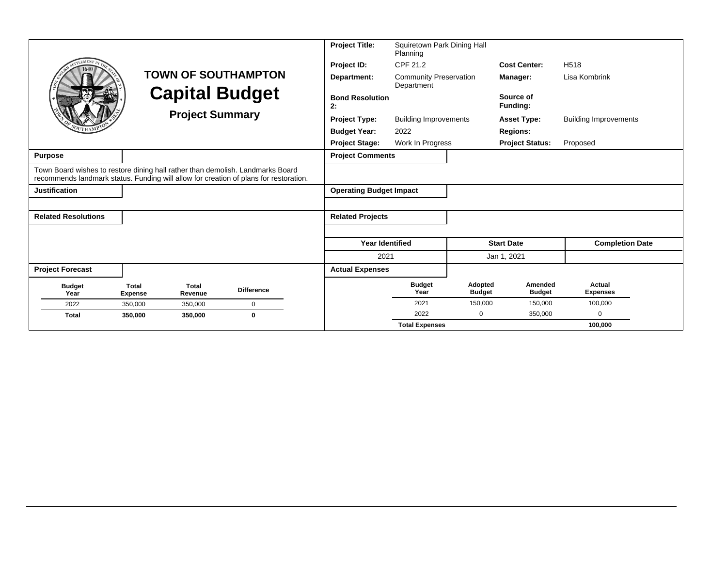| LEMENT                                                                                                                                                                  |                                                     |                         |                   |                              | <b>Project Title:</b><br>Project ID: | Squiretown Park Dining Hall<br>Planning<br>CPF 21.2 |                          | <b>Cost Center:</b>      | H <sub>518</sub>             |
|-------------------------------------------------------------------------------------------------------------------------------------------------------------------------|-----------------------------------------------------|-------------------------|-------------------|------------------------------|--------------------------------------|-----------------------------------------------------|--------------------------|--------------------------|------------------------------|
|                                                                                                                                                                         | <b>TOWN OF SOUTHAMPTON</b><br><b>Capital Budget</b> |                         |                   |                              | Department:                          | <b>Community Preservation</b><br>Department         |                          | Manager:                 | Lisa Kombrink                |
|                                                                                                                                                                         |                                                     | <b>Project Summary</b>  |                   | <b>Bond Resolution</b><br>2: |                                      |                                                     | Source of<br>Funding:    |                          |                              |
|                                                                                                                                                                         |                                                     |                         |                   |                              | <b>Project Type:</b>                 | <b>Building Improvements</b>                        |                          | <b>Asset Type:</b>       | <b>Building Improvements</b> |
|                                                                                                                                                                         |                                                     |                         |                   |                              | <b>Budget Year:</b>                  | 2022                                                |                          | <b>Regions:</b>          |                              |
|                                                                                                                                                                         |                                                     |                         |                   |                              | <b>Project Stage:</b>                | Work In Progress                                    |                          | <b>Project Status:</b>   | Proposed                     |
| <b>Purpose</b>                                                                                                                                                          |                                                     |                         |                   |                              | <b>Project Comments</b>              |                                                     |                          |                          |                              |
| Town Board wishes to restore dining hall rather than demolish. Landmarks Board<br>recommends landmark status. Funding will allow for creation of plans for restoration. |                                                     |                         |                   |                              |                                      |                                                     |                          |                          |                              |
| <b>Justification</b>                                                                                                                                                    |                                                     |                         |                   |                              | <b>Operating Budget Impact</b>       |                                                     |                          |                          |                              |
|                                                                                                                                                                         |                                                     |                         |                   |                              |                                      |                                                     |                          |                          |                              |
| <b>Related Resolutions</b>                                                                                                                                              |                                                     |                         |                   |                              | <b>Related Projects</b>              |                                                     |                          |                          |                              |
|                                                                                                                                                                         |                                                     |                         |                   |                              |                                      |                                                     |                          |                          |                              |
|                                                                                                                                                                         |                                                     |                         |                   |                              | <b>Year Identified</b>               |                                                     |                          | <b>Start Date</b>        | <b>Completion Date</b>       |
|                                                                                                                                                                         |                                                     |                         |                   |                              | 2021                                 |                                                     |                          | Jan 1, 2021              |                              |
| <b>Project Forecast</b>                                                                                                                                                 |                                                     |                         |                   |                              | <b>Actual Expenses</b>               |                                                     |                          |                          |                              |
| <b>Budget</b><br>Year                                                                                                                                                   | <b>Total</b><br><b>Expense</b>                      | <b>Total</b><br>Revenue | <b>Difference</b> |                              |                                      | <b>Budget</b><br>Year                               | Adopted<br><b>Budget</b> | Amended<br><b>Budget</b> | Actual<br><b>Expenses</b>    |
| 2022                                                                                                                                                                    | 350,000                                             | 350,000                 | $\mathbf 0$       |                              |                                      | 2021                                                | 150,000                  | 150,000                  | 100,000                      |
| <b>Total</b>                                                                                                                                                            | 350.000                                             | 350,000                 | $\mathbf 0$       |                              |                                      | 2022                                                | $\Omega$                 | 350,000                  | $\mathbf 0$                  |
|                                                                                                                                                                         |                                                     |                         |                   |                              |                                      | <b>Total Expenses</b>                               |                          |                          | 100,000                      |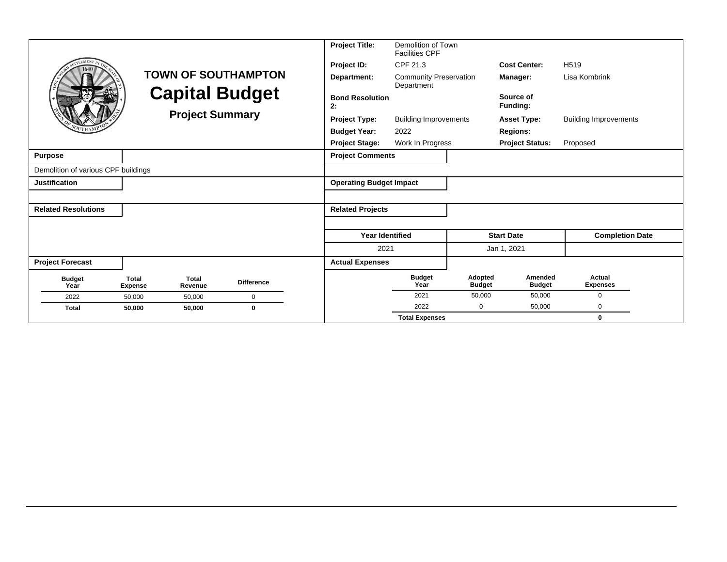|                                     |                                |                         |                            | <b>Project Title:</b>          | Demolition of Town<br><b>Facilities CPF</b> |                          |                          |                              |
|-------------------------------------|--------------------------------|-------------------------|----------------------------|--------------------------------|---------------------------------------------|--------------------------|--------------------------|------------------------------|
| <b>LEMENT</b>                       |                                |                         |                            | Project ID:                    | CPF 21.3                                    |                          | <b>Cost Center:</b>      | H <sub>519</sub>             |
|                                     |                                |                         | <b>TOWN OF SOUTHAMPTON</b> | Department:                    | <b>Community Preservation</b><br>Department |                          | Manager:                 | Lisa Kombrink                |
|                                     |                                | <b>Capital Budget</b>   |                            | <b>Bond Resolution</b><br>2:   |                                             |                          | Source of<br>Funding:    |                              |
|                                     |                                | <b>Project Summary</b>  |                            | <b>Project Type:</b>           | <b>Building Improvements</b>                |                          | <b>Asset Type:</b>       | <b>Building Improvements</b> |
|                                     |                                |                         |                            | <b>Budget Year:</b>            | 2022                                        |                          | <b>Regions:</b>          |                              |
|                                     |                                |                         |                            | <b>Project Stage:</b>          | Work In Progress                            |                          | <b>Project Status:</b>   | Proposed                     |
| <b>Purpose</b>                      |                                |                         |                            | <b>Project Comments</b>        |                                             |                          |                          |                              |
| Demolition of various CPF buildings |                                |                         |                            |                                |                                             |                          |                          |                              |
| <b>Justification</b>                |                                |                         |                            | <b>Operating Budget Impact</b> |                                             |                          |                          |                              |
|                                     |                                |                         |                            |                                |                                             |                          |                          |                              |
| <b>Related Resolutions</b>          |                                |                         |                            | <b>Related Projects</b>        |                                             |                          |                          |                              |
|                                     |                                |                         |                            |                                |                                             |                          |                          |                              |
|                                     |                                |                         |                            | <b>Year Identified</b>         |                                             |                          | <b>Start Date</b>        | <b>Completion Date</b>       |
|                                     |                                |                         |                            | 2021                           |                                             |                          | Jan 1, 2021              |                              |
| <b>Project Forecast</b>             |                                |                         |                            | <b>Actual Expenses</b>         |                                             |                          |                          |                              |
| <b>Budget</b><br>Year               | <b>Total</b><br><b>Expense</b> | <b>Total</b><br>Revenue | <b>Difference</b>          |                                | <b>Budget</b><br>Year                       | Adopted<br><b>Budget</b> | Amended<br><b>Budget</b> | Actual<br><b>Expenses</b>    |
| 2022                                | 50,000                         | 50,000                  | $\mathbf 0$                |                                | 2021                                        | 50,000                   | 50,000                   | $\Omega$                     |
| <b>Total</b>                        | 50,000                         | 50,000                  | $\bf{0}$                   |                                | 2022                                        | 0                        | 50,000                   | 0                            |
|                                     |                                |                         |                            |                                | <b>Total Expenses</b>                       |                          |                          | $\bf{0}$                     |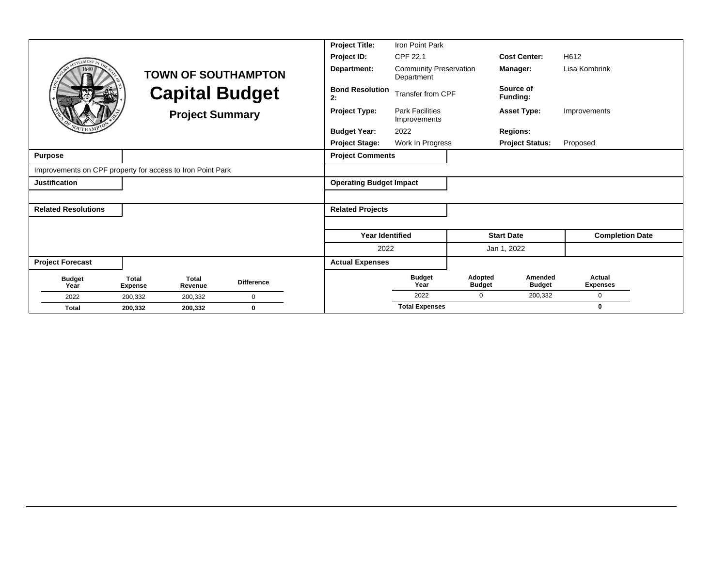|                                                            |                                |                         |                            | <b>Project Title:</b>          | Iron Point Park                             |                          |                          |                           |  |
|------------------------------------------------------------|--------------------------------|-------------------------|----------------------------|--------------------------------|---------------------------------------------|--------------------------|--------------------------|---------------------------|--|
| <b>FMEN</b>                                                |                                |                         |                            | Project ID:                    | CPF 22.1                                    |                          | <b>Cost Center:</b>      | H612                      |  |
|                                                            |                                |                         | <b>TOWN OF SOUTHAMPTON</b> | Department:                    | <b>Community Preservation</b><br>Department |                          | Manager:                 | Lisa Kombrink             |  |
|                                                            |                                |                         | <b>Capital Budget</b>      | <b>Bond Resolution</b><br>2:   | Transfer from CPF                           |                          | Source of<br>Funding:    |                           |  |
|                                                            |                                | <b>Project Summary</b>  |                            | <b>Project Type:</b>           | <b>Park Facilities</b><br>Improvements      |                          | <b>Asset Type:</b>       | Improvements              |  |
|                                                            |                                |                         |                            | <b>Budget Year:</b>            | 2022                                        |                          | <b>Regions:</b>          |                           |  |
|                                                            |                                |                         |                            | <b>Project Stage:</b>          | Work In Progress                            |                          | <b>Project Status:</b>   | Proposed                  |  |
| <b>Purpose</b>                                             |                                |                         |                            | <b>Project Comments</b>        |                                             |                          |                          |                           |  |
| Improvements on CPF property for access to Iron Point Park |                                |                         |                            |                                |                                             |                          |                          |                           |  |
| <b>Justification</b>                                       |                                |                         |                            | <b>Operating Budget Impact</b> |                                             |                          |                          |                           |  |
|                                                            |                                |                         |                            |                                |                                             |                          |                          |                           |  |
| <b>Related Resolutions</b>                                 |                                |                         |                            | <b>Related Projects</b>        |                                             |                          |                          |                           |  |
|                                                            |                                |                         |                            |                                |                                             |                          |                          |                           |  |
|                                                            |                                |                         |                            | <b>Year Identified</b>         |                                             |                          | <b>Start Date</b>        | <b>Completion Date</b>    |  |
|                                                            |                                |                         |                            | 2022                           |                                             |                          | Jan 1, 2022              |                           |  |
| <b>Project Forecast</b>                                    |                                |                         |                            | <b>Actual Expenses</b>         |                                             |                          |                          |                           |  |
| <b>Budget</b><br>Year                                      | <b>Total</b><br><b>Expense</b> | <b>Total</b><br>Revenue | <b>Difference</b>          |                                | <b>Budget</b><br>Year                       | Adopted<br><b>Budget</b> | Amended<br><b>Budget</b> | Actual<br><b>Expenses</b> |  |
| 2022                                                       | 200,332                        | 200,332                 | $\Omega$                   |                                | 2022                                        | 0                        | 200,332                  | 0                         |  |
| <b>Total</b>                                               | 200,332                        | 200,332                 | $\bf{0}$                   |                                | <b>Total Expenses</b>                       |                          |                          | 0                         |  |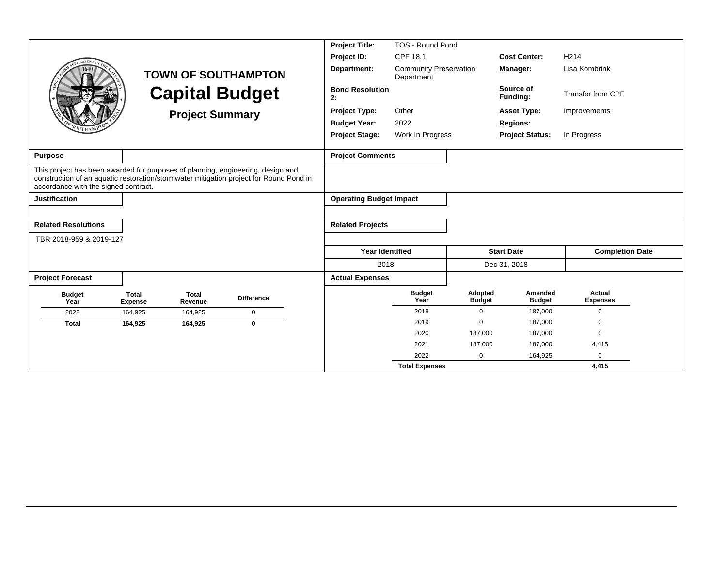|                                                                                                                         |                                |                         |                                                                                        | <b>Project Title:</b>          | TOS - Round Pond                            |                          |                          |                           |  |
|-------------------------------------------------------------------------------------------------------------------------|--------------------------------|-------------------------|----------------------------------------------------------------------------------------|--------------------------------|---------------------------------------------|--------------------------|--------------------------|---------------------------|--|
| LEMENT                                                                                                                  |                                |                         |                                                                                        | Project ID:                    | <b>CPF 18.1</b>                             |                          | <b>Cost Center:</b>      | H <sub>214</sub>          |  |
|                                                                                                                         |                                |                         | <b>TOWN OF SOUTHAMPTON</b>                                                             | Department:                    | <b>Community Preservation</b><br>Department |                          | Manager:                 | Lisa Kombrink             |  |
|                                                                                                                         |                                | <b>Capital Budget</b>   |                                                                                        | <b>Bond Resolution</b><br>2:   |                                             |                          | Source of<br>Funding:    | <b>Transfer from CPF</b>  |  |
|                                                                                                                         |                                | <b>Project Summary</b>  |                                                                                        | <b>Project Type:</b>           | Other                                       |                          | <b>Asset Type:</b>       | Improvements              |  |
|                                                                                                                         |                                |                         |                                                                                        | <b>Budget Year:</b>            | 2022                                        |                          | <b>Regions:</b>          |                           |  |
|                                                                                                                         |                                |                         |                                                                                        | <b>Project Stage:</b>          | Work In Progress                            |                          | <b>Project Status:</b>   | In Progress               |  |
| <b>Purpose</b>                                                                                                          |                                |                         |                                                                                        | <b>Project Comments</b>        |                                             |                          |                          |                           |  |
| This project has been awarded for purposes of planning, engineering, design and<br>accordance with the signed contract. |                                |                         | construction of an aquatic restoration/stormwater mitigation project for Round Pond in |                                |                                             |                          |                          |                           |  |
| <b>Justification</b>                                                                                                    |                                |                         |                                                                                        | <b>Operating Budget Impact</b> |                                             |                          |                          |                           |  |
|                                                                                                                         |                                |                         |                                                                                        |                                |                                             |                          |                          |                           |  |
| <b>Related Resolutions</b>                                                                                              |                                |                         |                                                                                        | <b>Related Projects</b>        |                                             |                          |                          |                           |  |
| TBR 2018-959 & 2019-127                                                                                                 |                                |                         |                                                                                        |                                |                                             |                          |                          |                           |  |
|                                                                                                                         |                                |                         |                                                                                        | <b>Year Identified</b>         |                                             |                          | <b>Start Date</b>        | <b>Completion Date</b>    |  |
|                                                                                                                         |                                |                         |                                                                                        | 2018                           |                                             |                          | Dec 31, 2018             |                           |  |
| <b>Project Forecast</b>                                                                                                 |                                |                         |                                                                                        | <b>Actual Expenses</b>         |                                             |                          |                          |                           |  |
| <b>Budget</b><br>Year                                                                                                   | <b>Total</b><br><b>Expense</b> | <b>Total</b><br>Revenue | <b>Difference</b>                                                                      |                                | <b>Budget</b><br>Year                       | Adopted<br><b>Budget</b> | Amended<br><b>Budget</b> | Actual<br><b>Expenses</b> |  |
| 2022                                                                                                                    | 164,925                        | 164,925                 | $\mathbf 0$                                                                            |                                | 2018                                        | $\Omega$                 | 187,000                  | $\Omega$                  |  |
| <b>Total</b>                                                                                                            | 164,925                        | 164,925                 | $\bf{0}$                                                                               |                                | 2019                                        | $\mathbf 0$              | 187.000                  | $\Omega$                  |  |
|                                                                                                                         |                                |                         |                                                                                        |                                | 2020                                        | 187,000                  | 187,000                  | $\Omega$                  |  |
|                                                                                                                         |                                |                         |                                                                                        |                                | 2021                                        | 187,000                  | 187,000                  | 4,415                     |  |
|                                                                                                                         |                                |                         |                                                                                        |                                | 2022                                        | 0                        | 164,925                  | 0                         |  |
|                                                                                                                         |                                |                         |                                                                                        |                                | <b>Total Expenses</b>                       |                          |                          | 4,415                     |  |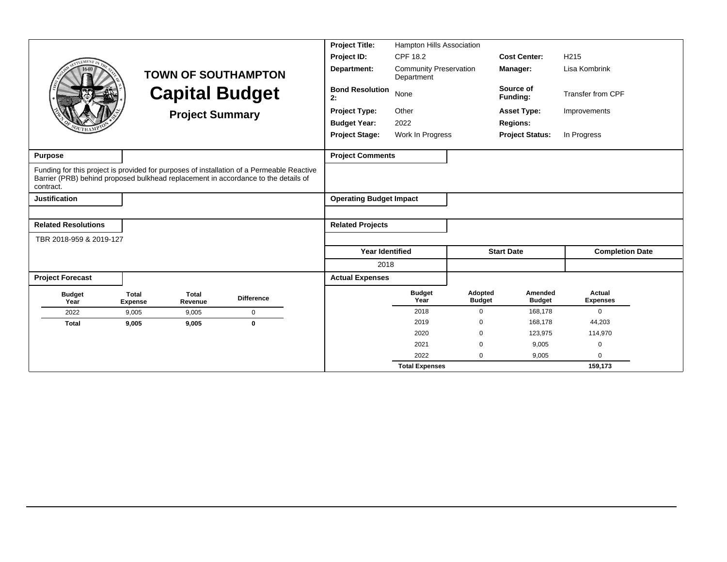|                                                                                                 |                                |                         |                                                                                           | <b>Project Title:</b>          | Hampton Hills Association                   |                          |                          |                           |  |  |
|-------------------------------------------------------------------------------------------------|--------------------------------|-------------------------|-------------------------------------------------------------------------------------------|--------------------------------|---------------------------------------------|--------------------------|--------------------------|---------------------------|--|--|
| LEMENT                                                                                          |                                |                         |                                                                                           | Project ID:                    | CPF 18.2                                    |                          | <b>Cost Center:</b>      | H <sub>215</sub>          |  |  |
|                                                                                                 |                                |                         | <b>TOWN OF SOUTHAMPTON</b>                                                                | Department:                    | <b>Community Preservation</b><br>Department |                          | Manager:                 | Lisa Kombrink             |  |  |
|                                                                                                 |                                |                         | <b>Capital Budget</b>                                                                     | <b>Bond Resolution</b><br>2:   | None                                        |                          | Source of<br>Funding:    | <b>Transfer from CPF</b>  |  |  |
|                                                                                                 |                                | <b>Project Summary</b>  |                                                                                           | <b>Project Type:</b>           | Other                                       |                          | <b>Asset Type:</b>       | Improvements              |  |  |
|                                                                                                 |                                |                         |                                                                                           | <b>Budget Year:</b>            | 2022                                        |                          | <b>Regions:</b>          |                           |  |  |
|                                                                                                 |                                |                         |                                                                                           | <b>Project Stage:</b>          | Work In Progress                            |                          | <b>Project Status:</b>   | In Progress               |  |  |
| <b>Purpose</b>                                                                                  |                                |                         |                                                                                           | <b>Project Comments</b>        |                                             |                          |                          |                           |  |  |
| Barrier (PRB) behind proposed bulkhead replacement in accordance to the details of<br>contract. |                                |                         | Funding for this project is provided for purposes of installation of a Permeable Reactive |                                |                                             |                          |                          |                           |  |  |
| <b>Justification</b>                                                                            |                                |                         |                                                                                           | <b>Operating Budget Impact</b> |                                             |                          |                          |                           |  |  |
|                                                                                                 |                                |                         |                                                                                           |                                |                                             |                          |                          |                           |  |  |
| <b>Related Resolutions</b>                                                                      |                                |                         |                                                                                           | <b>Related Projects</b>        |                                             |                          |                          |                           |  |  |
| TBR 2018-959 & 2019-127                                                                         |                                |                         |                                                                                           |                                |                                             |                          |                          |                           |  |  |
|                                                                                                 |                                |                         |                                                                                           | <b>Year Identified</b>         |                                             |                          | <b>Start Date</b>        | <b>Completion Date</b>    |  |  |
|                                                                                                 |                                |                         |                                                                                           | 2018                           |                                             |                          |                          |                           |  |  |
| <b>Project Forecast</b>                                                                         |                                |                         |                                                                                           | <b>Actual Expenses</b>         |                                             |                          |                          |                           |  |  |
| <b>Budget</b><br>Year                                                                           | <b>Total</b><br><b>Expense</b> | <b>Total</b><br>Revenue | <b>Difference</b>                                                                         |                                | <b>Budget</b><br>Year                       | Adopted<br><b>Budget</b> | Amended<br><b>Budget</b> | Actual<br><b>Expenses</b> |  |  |
| 2022                                                                                            | 9,005                          | 9,005                   | $\mathbf 0$                                                                               |                                | 2018                                        | $\Omega$                 | 168,178                  | $\Omega$                  |  |  |
| <b>Total</b>                                                                                    | 9,005                          | 9,005                   | $\bf{0}$                                                                                  |                                | 2019                                        | 0                        | 168.178                  | 44,203                    |  |  |
|                                                                                                 |                                |                         |                                                                                           |                                | 2020                                        | $\mathbf 0$              | 123,975                  | 114,970                   |  |  |
|                                                                                                 |                                |                         |                                                                                           |                                | 2021                                        | 0                        | 9,005                    | $\mathbf 0$               |  |  |
|                                                                                                 |                                |                         |                                                                                           |                                | 2022                                        | 0                        | 9,005                    | $\Omega$                  |  |  |
|                                                                                                 |                                |                         |                                                                                           |                                | <b>Total Expenses</b>                       |                          |                          | 159,173                   |  |  |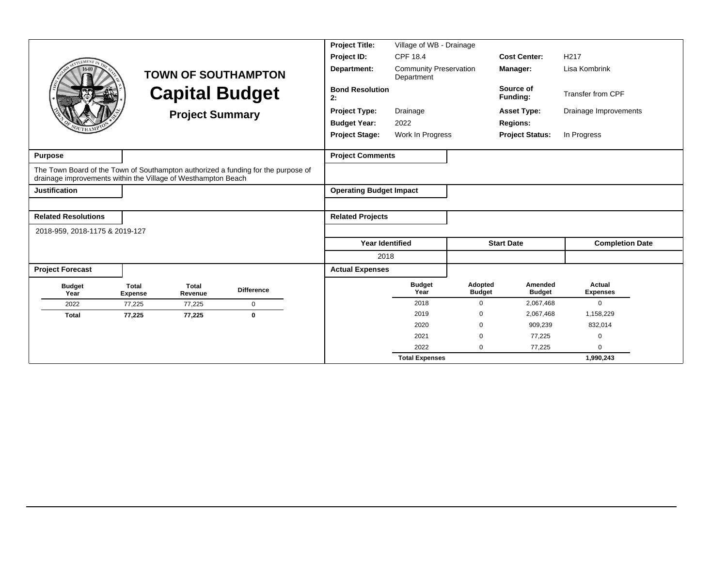|                                                               |                                |                         |                                                                                   | <b>Project Title:</b>          | Village of WB - Drainage                    |                          |                          |                           |  |
|---------------------------------------------------------------|--------------------------------|-------------------------|-----------------------------------------------------------------------------------|--------------------------------|---------------------------------------------|--------------------------|--------------------------|---------------------------|--|
| <b>EMENT</b>                                                  |                                |                         |                                                                                   | Project ID:                    | CPF 18.4                                    |                          | <b>Cost Center:</b>      | H <sub>217</sub>          |  |
|                                                               |                                |                         | <b>TOWN OF SOUTHAMPTON</b>                                                        | Department:                    | <b>Community Preservation</b><br>Department |                          | Manager:                 | Lisa Kombrink             |  |
|                                                               |                                |                         | <b>Capital Budget</b>                                                             | <b>Bond Resolution</b><br>2:   |                                             |                          | Source of<br>Funding:    | <b>Transfer from CPF</b>  |  |
|                                                               |                                | <b>Project Summary</b>  |                                                                                   | <b>Project Type:</b>           | Drainage                                    |                          | <b>Asset Type:</b>       | Drainage Improvements     |  |
|                                                               |                                |                         |                                                                                   | <b>Budget Year:</b>            | 2022                                        |                          | <b>Regions:</b>          |                           |  |
|                                                               |                                |                         |                                                                                   | <b>Project Stage:</b>          | Work In Progress                            |                          | <b>Project Status:</b>   | In Progress               |  |
| <b>Purpose</b>                                                |                                |                         |                                                                                   | <b>Project Comments</b>        |                                             |                          |                          |                           |  |
| drainage improvements within the Village of Westhampton Beach |                                |                         | The Town Board of the Town of Southampton authorized a funding for the purpose of |                                |                                             |                          |                          |                           |  |
| <b>Justification</b>                                          |                                |                         |                                                                                   | <b>Operating Budget Impact</b> |                                             |                          |                          |                           |  |
|                                                               |                                |                         |                                                                                   |                                |                                             |                          |                          |                           |  |
| <b>Related Resolutions</b>                                    |                                |                         |                                                                                   | <b>Related Projects</b>        |                                             |                          |                          |                           |  |
| 2018-959, 2018-1175 & 2019-127                                |                                |                         |                                                                                   |                                |                                             |                          |                          |                           |  |
|                                                               |                                |                         |                                                                                   | <b>Year Identified</b>         |                                             |                          | <b>Start Date</b>        | <b>Completion Date</b>    |  |
|                                                               |                                |                         |                                                                                   | 2018                           |                                             |                          |                          |                           |  |
| <b>Project Forecast</b>                                       |                                |                         |                                                                                   | <b>Actual Expenses</b>         |                                             |                          |                          |                           |  |
| <b>Budget</b><br>Year                                         | <b>Total</b><br><b>Expense</b> | <b>Total</b><br>Revenue | <b>Difference</b>                                                                 |                                | <b>Budget</b><br>Year                       | Adopted<br><b>Budget</b> | Amended<br><b>Budget</b> | Actual<br><b>Expenses</b> |  |
| 2022                                                          | 77,225                         | 77,225                  | $\mathbf 0$                                                                       |                                | 2018                                        | $\Omega$                 | 2,067,468                | $\Omega$                  |  |
| <b>Total</b>                                                  | 77,225                         | 77,225                  | $\bf{0}$                                                                          |                                | 2019                                        | $\Omega$                 | 2,067,468                | 1,158,229                 |  |
|                                                               |                                |                         |                                                                                   |                                | 2020                                        | $\Omega$                 | 909,239                  | 832,014                   |  |
|                                                               |                                |                         |                                                                                   |                                | 2021                                        | $\Omega$                 | 77,225                   | $\Omega$                  |  |
|                                                               |                                |                         |                                                                                   |                                | 2022                                        | $\Omega$                 | 77,225                   | $\Omega$                  |  |
|                                                               |                                |                         |                                                                                   |                                | <b>Total Expenses</b>                       |                          |                          | 1,990,243                 |  |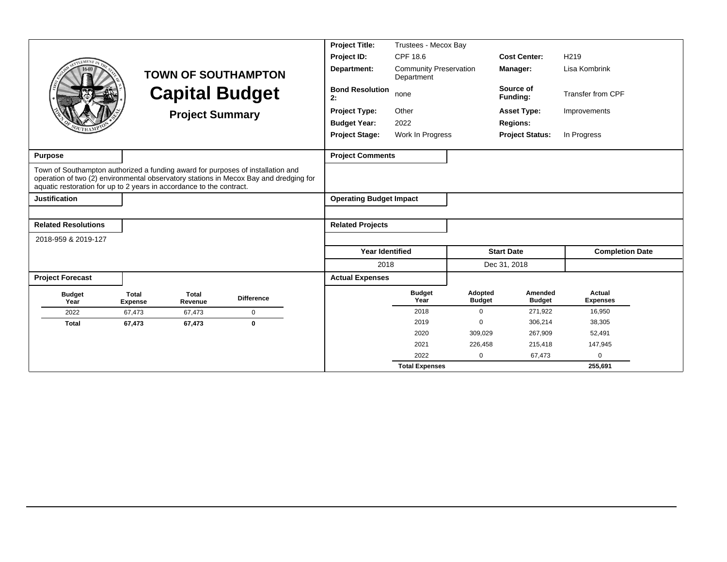|                                                                                                                                                         |                                |                         |                                                                                       | <b>Project Title:</b>          | Trustees - Mecox Bay                        |                          |                          |                           |  |
|---------------------------------------------------------------------------------------------------------------------------------------------------------|--------------------------------|-------------------------|---------------------------------------------------------------------------------------|--------------------------------|---------------------------------------------|--------------------------|--------------------------|---------------------------|--|
| LEMENT                                                                                                                                                  |                                |                         |                                                                                       | Project ID:                    | CPF 18.6                                    |                          | <b>Cost Center:</b>      | H <sub>219</sub>          |  |
|                                                                                                                                                         |                                |                         | <b>TOWN OF SOUTHAMPTON</b>                                                            | Department:                    | <b>Community Preservation</b><br>Department |                          | Manager:                 | Lisa Kombrink             |  |
|                                                                                                                                                         |                                | <b>Capital Budget</b>   |                                                                                       | <b>Bond Resolution</b><br>2:   | none                                        |                          | Source of<br>Funding:    | <b>Transfer from CPF</b>  |  |
|                                                                                                                                                         |                                | <b>Project Summary</b>  |                                                                                       | <b>Project Type:</b>           | Other                                       |                          | <b>Asset Type:</b>       | Improvements              |  |
|                                                                                                                                                         |                                |                         |                                                                                       | <b>Budget Year:</b>            | 2022                                        |                          | <b>Regions:</b>          |                           |  |
|                                                                                                                                                         |                                |                         |                                                                                       | <b>Project Stage:</b>          | Work In Progress                            |                          | <b>Project Status:</b>   | In Progress               |  |
| <b>Purpose</b>                                                                                                                                          |                                |                         |                                                                                       | <b>Project Comments</b>        |                                             |                          |                          |                           |  |
| Town of Southampton authorized a funding award for purposes of installation and<br>aquatic restoration for up to 2 years in accordance to the contract. |                                |                         | operation of two (2) environmental observatory stations in Mecox Bay and dredging for |                                |                                             |                          |                          |                           |  |
| <b>Justification</b>                                                                                                                                    |                                |                         |                                                                                       | <b>Operating Budget Impact</b> |                                             |                          |                          |                           |  |
|                                                                                                                                                         |                                |                         |                                                                                       |                                |                                             |                          |                          |                           |  |
| <b>Related Resolutions</b>                                                                                                                              |                                |                         |                                                                                       | <b>Related Projects</b>        |                                             |                          |                          |                           |  |
| 2018-959 & 2019-127                                                                                                                                     |                                |                         |                                                                                       |                                |                                             |                          |                          |                           |  |
|                                                                                                                                                         |                                |                         |                                                                                       | <b>Year Identified</b>         |                                             |                          | <b>Start Date</b>        | <b>Completion Date</b>    |  |
|                                                                                                                                                         |                                |                         |                                                                                       | 2018                           |                                             |                          | Dec 31, 2018             |                           |  |
| <b>Project Forecast</b>                                                                                                                                 |                                |                         |                                                                                       | <b>Actual Expenses</b>         |                                             |                          |                          |                           |  |
| <b>Budget</b><br>Year                                                                                                                                   | <b>Total</b><br><b>Expense</b> | <b>Total</b><br>Revenue | <b>Difference</b>                                                                     |                                | <b>Budget</b><br>Year                       | Adopted<br><b>Budget</b> | Amended<br><b>Budget</b> | Actual<br><b>Expenses</b> |  |
| 2022                                                                                                                                                    | 67,473                         | 67,473                  | $\mathbf 0$                                                                           |                                | 2018                                        | $\Omega$                 | 271,922                  | 16,950                    |  |
| <b>Total</b>                                                                                                                                            | 67,473                         | 67,473                  | $\bf{0}$                                                                              |                                | 2019                                        | $\Omega$                 | 306.214                  | 38,305                    |  |
|                                                                                                                                                         |                                |                         |                                                                                       |                                | 2020                                        | 309,029                  | 267,909                  | 52,491                    |  |
|                                                                                                                                                         |                                |                         |                                                                                       |                                | 2021                                        | 226,458                  | 215,418                  | 147,945                   |  |
|                                                                                                                                                         |                                |                         |                                                                                       |                                | 2022                                        | 0                        | 67,473                   | $\Omega$                  |  |
|                                                                                                                                                         |                                |                         |                                                                                       |                                | <b>Total Expenses</b>                       |                          |                          | 255,691                   |  |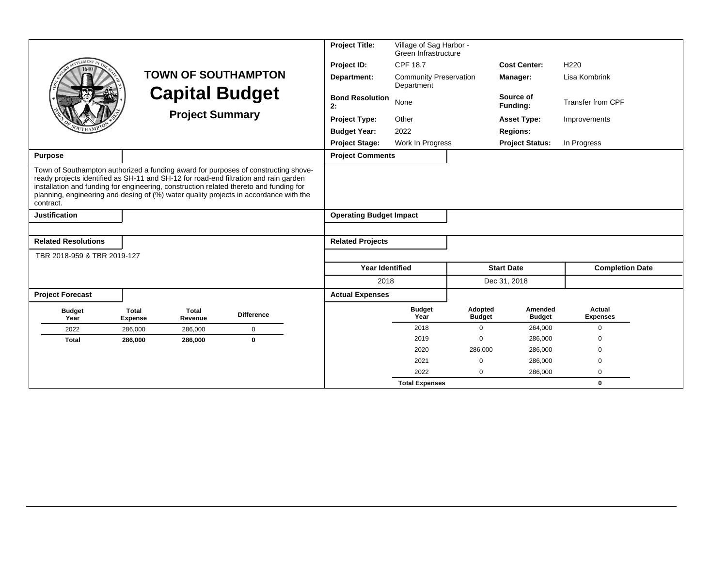|                                                                                                                                                                                             |                                |                         |                                                                                                                                                                             | <b>Project Title:</b>                | Village of Sag Harbor -<br>Green Infrastructure |                          |                          |                           |
|---------------------------------------------------------------------------------------------------------------------------------------------------------------------------------------------|--------------------------------|-------------------------|-----------------------------------------------------------------------------------------------------------------------------------------------------------------------------|--------------------------------------|-------------------------------------------------|--------------------------|--------------------------|---------------------------|
| <b>EMENT</b>                                                                                                                                                                                |                                |                         |                                                                                                                                                                             | Project ID:                          | <b>CPF 18.7</b>                                 |                          | <b>Cost Center:</b>      | H <sub>220</sub>          |
|                                                                                                                                                                                             |                                |                         | <b>TOWN OF SOUTHAMPTON</b>                                                                                                                                                  | Department:                          | <b>Community Preservation</b><br>Department     |                          | Manager:                 | Lisa Kombrink             |
|                                                                                                                                                                                             |                                |                         | <b>Capital Budget</b>                                                                                                                                                       | <b>Bond Resolution</b><br>None<br>2: |                                                 |                          | Source of<br>Fundina:    | <b>Transfer from CPF</b>  |
|                                                                                                                                                                                             |                                | <b>Project Summary</b>  |                                                                                                                                                                             | <b>Project Type:</b>                 | Other                                           |                          | <b>Asset Type:</b>       | Improvements              |
|                                                                                                                                                                                             |                                |                         |                                                                                                                                                                             | <b>Budget Year:</b>                  | 2022                                            |                          | <b>Regions:</b>          |                           |
|                                                                                                                                                                                             |                                |                         |                                                                                                                                                                             | <b>Project Stage:</b>                | Work In Progress                                |                          | <b>Project Status:</b>   | In Progress               |
| <b>Purpose</b>                                                                                                                                                                              |                                |                         |                                                                                                                                                                             | <b>Project Comments</b>              |                                                 |                          |                          |                           |
| ready projects identified as SH-11 and SH-12 for road-end filtration and rain garden<br>installation and funding for engineering, construction related thereto and funding for<br>contract. |                                |                         | Town of Southampton authorized a funding award for purposes of constructing shove-<br>planning, engineering and desing of (%) water quality projects in accordance with the |                                      |                                                 |                          |                          |                           |
| <b>Justification</b>                                                                                                                                                                        |                                |                         |                                                                                                                                                                             | <b>Operating Budget Impact</b>       |                                                 |                          |                          |                           |
|                                                                                                                                                                                             |                                |                         |                                                                                                                                                                             |                                      |                                                 |                          |                          |                           |
| <b>Related Resolutions</b>                                                                                                                                                                  |                                |                         |                                                                                                                                                                             | <b>Related Projects</b>              |                                                 |                          |                          |                           |
| TBR 2018-959 & TBR 2019-127                                                                                                                                                                 |                                |                         |                                                                                                                                                                             |                                      |                                                 |                          |                          |                           |
|                                                                                                                                                                                             |                                |                         |                                                                                                                                                                             | <b>Year Identified</b>               |                                                 |                          | <b>Start Date</b>        | <b>Completion Date</b>    |
|                                                                                                                                                                                             |                                |                         |                                                                                                                                                                             | 2018                                 |                                                 |                          | Dec 31, 2018             |                           |
| <b>Project Forecast</b>                                                                                                                                                                     |                                |                         |                                                                                                                                                                             | <b>Actual Expenses</b>               |                                                 |                          |                          |                           |
| <b>Budget</b><br>Year                                                                                                                                                                       | <b>Total</b><br><b>Expense</b> | <b>Total</b><br>Revenue | <b>Difference</b>                                                                                                                                                           |                                      | <b>Budget</b><br>Year                           | Adopted<br><b>Budget</b> | Amended<br><b>Budget</b> | Actual<br><b>Expenses</b> |
| 2022                                                                                                                                                                                        | 286,000                        | 286,000                 | $\mathbf 0$                                                                                                                                                                 |                                      | 2018                                            | $\Omega$                 | 264,000                  | $\Omega$                  |
| <b>Total</b>                                                                                                                                                                                | 286,000                        | 286,000                 | $\mathbf{0}$                                                                                                                                                                |                                      | 2019                                            | $\Omega$                 | 286,000                  | $\Omega$                  |
|                                                                                                                                                                                             |                                |                         |                                                                                                                                                                             |                                      | 2020                                            | 286,000                  | 286,000                  | $\Omega$                  |
|                                                                                                                                                                                             |                                |                         |                                                                                                                                                                             |                                      | 2021                                            | $\mathbf 0$              | 286,000                  | $\mathbf 0$               |
|                                                                                                                                                                                             |                                |                         |                                                                                                                                                                             |                                      | 2022                                            | $\Omega$                 | 286,000                  | $\mathbf 0$               |
|                                                                                                                                                                                             |                                |                         |                                                                                                                                                                             |                                      | <b>Total Expenses</b>                           |                          |                          | $\mathbf{0}$              |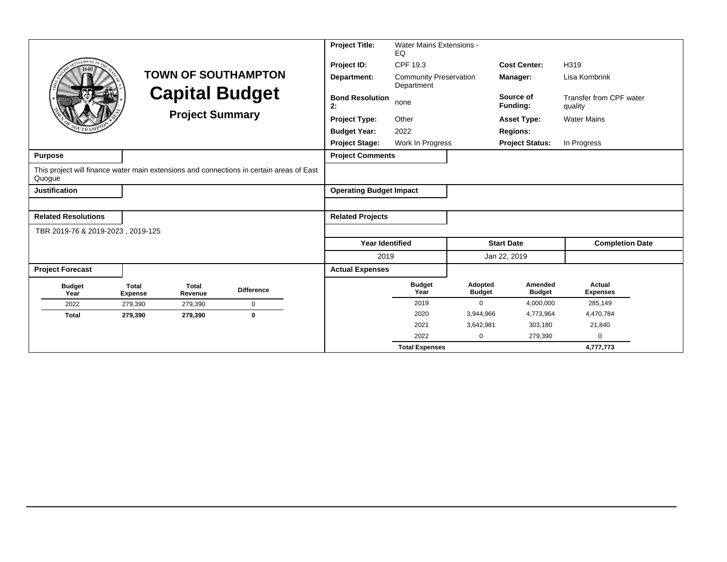|                                   |                                                 |                         |                                                                                          | <b>Project Title:</b>                                      | Water Mains Extensions -<br>EQ |                          |                          |                                    |
|-----------------------------------|-------------------------------------------------|-------------------------|------------------------------------------------------------------------------------------|------------------------------------------------------------|--------------------------------|--------------------------|--------------------------|------------------------------------|
|                                   |                                                 |                         |                                                                                          | Project ID:                                                | CPF 19.3                       |                          | <b>Cost Center:</b>      | H319                               |
|                                   |                                                 |                         | <b>TOWN OF SOUTHAMPTON</b>                                                               | Department:<br><b>Community Preservation</b><br>Department |                                |                          | Manager:                 | Lisa Kombrink                      |
|                                   | <b>Capital Budget</b><br><b>Project Summary</b> |                         |                                                                                          | <b>Bond Resolution</b><br>2:                               | none                           |                          | Source of<br>Funding:    | Transfer from CPF water<br>quality |
|                                   |                                                 |                         |                                                                                          | Other<br><b>Project Type:</b>                              |                                | <b>Asset Type:</b>       | <b>Water Mains</b>       |                                    |
|                                   |                                                 |                         | <b>Budget Year:</b>                                                                      | 2022                                                       |                                | <b>Regions:</b>          |                          |                                    |
|                                   |                                                 |                         |                                                                                          | <b>Project Stage:</b>                                      | Work In Progress               |                          | <b>Project Status:</b>   | In Progress                        |
| <b>Purpose</b>                    |                                                 |                         |                                                                                          | <b>Project Comments</b>                                    |                                |                          |                          |                                    |
| Quogue                            |                                                 |                         | This project will finance water main extensions and connections in certain areas of East |                                                            |                                |                          |                          |                                    |
| <b>Justification</b>              |                                                 |                         |                                                                                          | <b>Operating Budget Impact</b>                             |                                |                          |                          |                                    |
|                                   |                                                 |                         |                                                                                          |                                                            |                                |                          |                          |                                    |
| <b>Related Resolutions</b>        |                                                 |                         |                                                                                          | <b>Related Projects</b>                                    |                                |                          |                          |                                    |
| TBR 2019-76 & 2019-2023, 2019-125 |                                                 |                         |                                                                                          |                                                            |                                |                          |                          |                                    |
|                                   |                                                 |                         |                                                                                          | <b>Year Identified</b>                                     |                                |                          | <b>Start Date</b>        | <b>Completion Date</b>             |
|                                   |                                                 |                         |                                                                                          | 2019                                                       |                                |                          | Jan 22, 2019             |                                    |
| <b>Project Forecast</b>           |                                                 |                         |                                                                                          | <b>Actual Expenses</b>                                     |                                |                          |                          |                                    |
| <b>Budget</b><br>Year             | <b>Total</b><br><b>Expense</b>                  | <b>Total</b><br>Revenue | <b>Difference</b>                                                                        |                                                            | <b>Budget</b><br>Year          | Adopted<br><b>Budget</b> | Amended<br><b>Budget</b> | Actual<br><b>Expenses</b>          |
| 2022                              | 279,390                                         | 279,390                 | $\mathbf 0$                                                                              |                                                            | 2019                           | $\Omega$                 | 4,000,000                | 285,149                            |
| <b>Total</b>                      | 279,390                                         | 279,390                 | $\bf{0}$                                                                                 |                                                            | 2020                           | 3,944,966                | 4,773,964                | 4,470,784                          |
|                                   |                                                 |                         |                                                                                          |                                                            | 2021                           | 3,642,981                | 303,180                  | 21,840                             |
|                                   |                                                 |                         |                                                                                          |                                                            | 2022                           | $\mathbf 0$              | 279,390                  | $\Omega$                           |
|                                   |                                                 |                         |                                                                                          |                                                            | <b>Total Expenses</b>          |                          |                          | 4,777,773                          |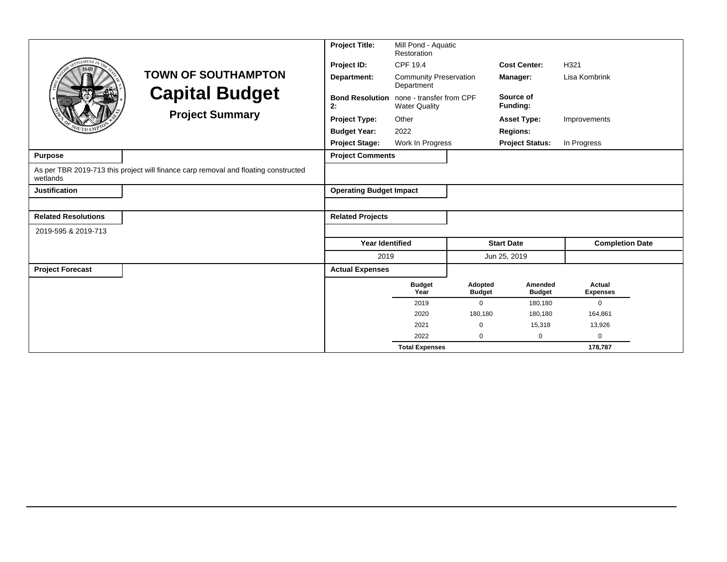|                            |                                                                                     | <b>Project Title:</b>                                                            | Mill Pond - Aquatic<br>Restoration          |                          |                          |                           |  |
|----------------------------|-------------------------------------------------------------------------------------|----------------------------------------------------------------------------------|---------------------------------------------|--------------------------|--------------------------|---------------------------|--|
|                            |                                                                                     | Project ID:                                                                      | CPF 19.4                                    |                          | <b>Cost Center:</b>      | H321                      |  |
|                            | <b>TOWN OF SOUTHAMPTON</b>                                                          | Department:                                                                      | <b>Community Preservation</b><br>Department |                          | Manager:                 | Lisa Kombrink             |  |
|                            | <b>Capital Budget</b>                                                               | none - transfer from CPF<br><b>Bond Resolution</b><br>2:<br><b>Water Quality</b> |                                             |                          | Source of<br>Funding:    |                           |  |
|                            | <b>Project Summary</b>                                                              | <b>Project Type:</b>                                                             | Other                                       |                          | <b>Asset Type:</b>       | Improvements              |  |
|                            |                                                                                     | <b>Budget Year:</b>                                                              | 2022                                        |                          | <b>Regions:</b>          |                           |  |
|                            |                                                                                     | <b>Project Stage:</b>                                                            | Work In Progress                            |                          | <b>Project Status:</b>   | In Progress               |  |
| <b>Purpose</b>             |                                                                                     | <b>Project Comments</b>                                                          |                                             |                          |                          |                           |  |
| wetlands                   | As per TBR 2019-713 this project will finance carp removal and floating constructed |                                                                                  |                                             |                          |                          |                           |  |
| <b>Justification</b>       |                                                                                     | <b>Operating Budget Impact</b>                                                   |                                             |                          |                          |                           |  |
|                            |                                                                                     |                                                                                  |                                             |                          |                          |                           |  |
| <b>Related Resolutions</b> |                                                                                     | <b>Related Projects</b>                                                          |                                             |                          |                          |                           |  |
| 2019-595 & 2019-713        |                                                                                     |                                                                                  |                                             |                          |                          |                           |  |
|                            |                                                                                     | <b>Year Identified</b>                                                           |                                             |                          | <b>Start Date</b>        | <b>Completion Date</b>    |  |
|                            |                                                                                     | 2019                                                                             |                                             |                          | Jun 25, 2019             |                           |  |
| <b>Project Forecast</b>    |                                                                                     | <b>Actual Expenses</b>                                                           |                                             |                          |                          |                           |  |
|                            |                                                                                     |                                                                                  | <b>Budget</b><br>Year                       | Adopted<br><b>Budget</b> | Amended<br><b>Budget</b> | Actual<br><b>Expenses</b> |  |
|                            |                                                                                     |                                                                                  | 2019                                        | $\mathbf 0$              | 180,180                  | $\mathbf{0}$              |  |
|                            |                                                                                     |                                                                                  | 2020                                        | 180,180                  | 180,180                  | 164,861                   |  |
|                            |                                                                                     |                                                                                  | 2021                                        | $\Omega$                 | 15,318                   | 13,926                    |  |
|                            |                                                                                     |                                                                                  | 2022                                        | $\Omega$                 | 0                        | $\mathbf 0$               |  |
|                            |                                                                                     |                                                                                  | <b>Total Expenses</b>                       |                          |                          | 178,787                   |  |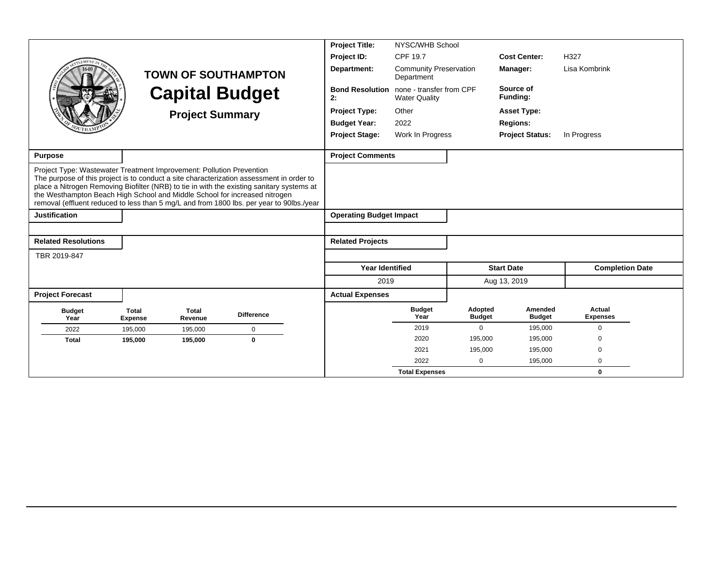|                                                                                                                                                                                                                                                                                                                                                                                                                                         |                                |                         |                            | <b>Project Title:</b><br>NYSC/WHB School |                                                                         |                          |                          |                           |  |  |
|-----------------------------------------------------------------------------------------------------------------------------------------------------------------------------------------------------------------------------------------------------------------------------------------------------------------------------------------------------------------------------------------------------------------------------------------|--------------------------------|-------------------------|----------------------------|------------------------------------------|-------------------------------------------------------------------------|--------------------------|--------------------------|---------------------------|--|--|
| <b>LEMENT</b>                                                                                                                                                                                                                                                                                                                                                                                                                           |                                |                         |                            | Project ID:                              | CPF 19.7                                                                |                          | <b>Cost Center:</b>      | H327                      |  |  |
|                                                                                                                                                                                                                                                                                                                                                                                                                                         |                                |                         | <b>TOWN OF SOUTHAMPTON</b> | Department:                              | <b>Community Preservation</b><br>Department                             |                          | Manager:                 | Lisa Kombrink             |  |  |
|                                                                                                                                                                                                                                                                                                                                                                                                                                         |                                |                         | <b>Capital Budget</b>      | 2:                                       | <b>Bond Resolution</b> none - transfer from CPF<br><b>Water Quality</b> |                          |                          |                           |  |  |
|                                                                                                                                                                                                                                                                                                                                                                                                                                         |                                | <b>Project Summary</b>  |                            | <b>Project Type:</b>                     | Other                                                                   |                          | <b>Asset Type:</b>       |                           |  |  |
|                                                                                                                                                                                                                                                                                                                                                                                                                                         |                                |                         |                            | <b>Budget Year:</b>                      | 2022                                                                    |                          | <b>Regions:</b>          |                           |  |  |
|                                                                                                                                                                                                                                                                                                                                                                                                                                         |                                |                         |                            | <b>Project Stage:</b>                    | Work In Progress                                                        |                          | <b>Project Status:</b>   | In Progress               |  |  |
|                                                                                                                                                                                                                                                                                                                                                                                                                                         |                                |                         |                            |                                          |                                                                         |                          |                          |                           |  |  |
| <b>Purpose</b>                                                                                                                                                                                                                                                                                                                                                                                                                          |                                |                         |                            | <b>Project Comments</b>                  |                                                                         |                          |                          |                           |  |  |
| Project Type: Wastewater Treatment Improvement: Pollution Prevention<br>The purpose of this project is to conduct a site characterization assessment in order to<br>place a Nitrogen Removing Biofilter (NRB) to tie in with the existing sanitary systems at<br>the Westhampton Beach High School and Middle School for increased nitrogen<br>removal (effluent reduced to less than 5 mg/L and from 1800 lbs. per year to 90lbs./year |                                |                         |                            |                                          |                                                                         |                          |                          |                           |  |  |
| <b>Justification</b>                                                                                                                                                                                                                                                                                                                                                                                                                    |                                |                         |                            | <b>Operating Budget Impact</b>           |                                                                         |                          |                          |                           |  |  |
|                                                                                                                                                                                                                                                                                                                                                                                                                                         |                                |                         |                            |                                          |                                                                         |                          |                          |                           |  |  |
| <b>Related Resolutions</b>                                                                                                                                                                                                                                                                                                                                                                                                              |                                |                         |                            | <b>Related Projects</b>                  |                                                                         |                          |                          |                           |  |  |
| TBR 2019-847                                                                                                                                                                                                                                                                                                                                                                                                                            |                                |                         |                            |                                          |                                                                         |                          |                          |                           |  |  |
|                                                                                                                                                                                                                                                                                                                                                                                                                                         |                                |                         |                            | Year Identified                          |                                                                         |                          | <b>Start Date</b>        | <b>Completion Date</b>    |  |  |
|                                                                                                                                                                                                                                                                                                                                                                                                                                         |                                |                         |                            | 2019                                     |                                                                         |                          | Aug 13, 2019             |                           |  |  |
| <b>Project Forecast</b>                                                                                                                                                                                                                                                                                                                                                                                                                 |                                |                         |                            | <b>Actual Expenses</b>                   |                                                                         |                          |                          |                           |  |  |
| <b>Budget</b><br>Year                                                                                                                                                                                                                                                                                                                                                                                                                   | <b>Total</b><br><b>Expense</b> | <b>Total</b><br>Revenue | <b>Difference</b>          |                                          | <b>Budget</b><br>Year                                                   | Adopted<br><b>Budget</b> | Amended<br><b>Budget</b> | Actual<br><b>Expenses</b> |  |  |
| 2022                                                                                                                                                                                                                                                                                                                                                                                                                                    | 195,000                        | 195,000                 | 0                          |                                          | 2019                                                                    | 0                        | 195,000                  | $\mathbf 0$               |  |  |
| <b>Total</b>                                                                                                                                                                                                                                                                                                                                                                                                                            | 195,000                        | 195,000                 | $\bf{0}$                   |                                          | 2020                                                                    | 195,000                  | 195,000                  | $\Omega$                  |  |  |
|                                                                                                                                                                                                                                                                                                                                                                                                                                         |                                |                         |                            |                                          | 2021                                                                    | 195,000                  | 195,000                  | $\Omega$                  |  |  |
|                                                                                                                                                                                                                                                                                                                                                                                                                                         |                                |                         |                            |                                          | 2022                                                                    | $\mathbf 0$              | 195,000                  | $\Omega$                  |  |  |
|                                                                                                                                                                                                                                                                                                                                                                                                                                         |                                |                         |                            |                                          | <b>Total Expenses</b>                                                   |                          |                          | $\bf{0}$                  |  |  |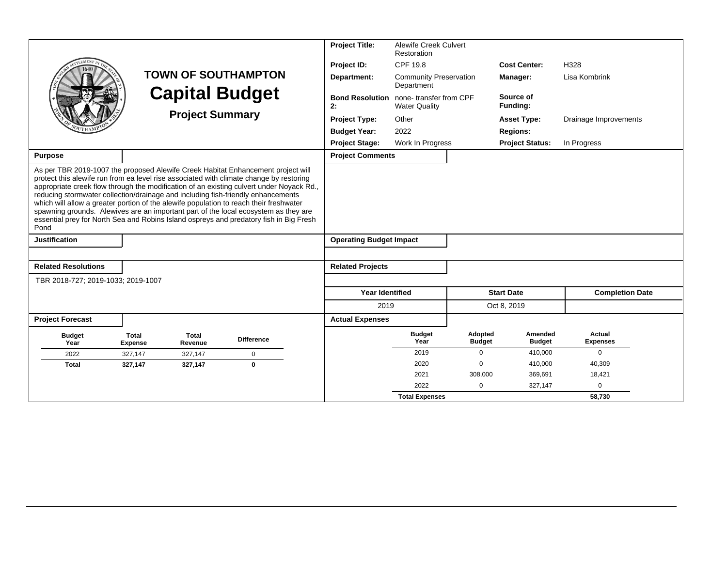|                                                                                                                                                                                                                                                                                                                                                                                                                                                                                                                                                                                                                                                |                                |                         |                            | <b>Project Title:</b>          | <b>Alewife Creek Culvert</b><br>Restoration    |                          |                          |                           |
|------------------------------------------------------------------------------------------------------------------------------------------------------------------------------------------------------------------------------------------------------------------------------------------------------------------------------------------------------------------------------------------------------------------------------------------------------------------------------------------------------------------------------------------------------------------------------------------------------------------------------------------------|--------------------------------|-------------------------|----------------------------|--------------------------------|------------------------------------------------|--------------------------|--------------------------|---------------------------|
|                                                                                                                                                                                                                                                                                                                                                                                                                                                                                                                                                                                                                                                |                                |                         |                            | Project ID:                    | CPF 19.8                                       |                          | <b>Cost Center:</b>      | H328                      |
|                                                                                                                                                                                                                                                                                                                                                                                                                                                                                                                                                                                                                                                |                                |                         | <b>TOWN OF SOUTHAMPTON</b> | Department:                    | <b>Community Preservation</b><br>Department    |                          | Manager:                 | Lisa Kombrink             |
|                                                                                                                                                                                                                                                                                                                                                                                                                                                                                                                                                                                                                                                |                                | <b>Capital Budget</b>   |                            | <b>Bond Resolution</b><br>2:   | none-transfer from CPF<br><b>Water Quality</b> |                          | Source of<br>Funding:    |                           |
|                                                                                                                                                                                                                                                                                                                                                                                                                                                                                                                                                                                                                                                |                                | <b>Project Summary</b>  |                            | <b>Project Type:</b>           | Other                                          |                          | <b>Asset Type:</b>       | Drainage Improvements     |
|                                                                                                                                                                                                                                                                                                                                                                                                                                                                                                                                                                                                                                                |                                |                         |                            | <b>Budget Year:</b>            | 2022                                           |                          | <b>Regions:</b>          |                           |
|                                                                                                                                                                                                                                                                                                                                                                                                                                                                                                                                                                                                                                                |                                |                         |                            | <b>Project Stage:</b>          | Work In Progress                               |                          | <b>Project Status:</b>   | In Progress               |
| <b>Purpose</b>                                                                                                                                                                                                                                                                                                                                                                                                                                                                                                                                                                                                                                 |                                |                         |                            | <b>Project Comments</b>        |                                                |                          |                          |                           |
| As per TBR 2019-1007 the proposed Alewife Creek Habitat Enhancement project will<br>protect this alewife run from ea level rise associated with climate change by restoring<br>appropriate creek flow through the modification of an existing culvert under Noyack Rd.,<br>reducing stormwater collection/drainage and including fish-friendly enhancements<br>which will allow a greater portion of the alewife population to reach their freshwater<br>spawning grounds. Alewives are an important part of the local ecosystem as they are<br>essential prey for North Sea and Robins Island ospreys and predatory fish in Big Fresh<br>Pond |                                |                         |                            |                                |                                                |                          |                          |                           |
| <b>Justification</b>                                                                                                                                                                                                                                                                                                                                                                                                                                                                                                                                                                                                                           |                                |                         |                            | <b>Operating Budget Impact</b> |                                                |                          |                          |                           |
| <b>Related Resolutions</b>                                                                                                                                                                                                                                                                                                                                                                                                                                                                                                                                                                                                                     |                                |                         |                            | <b>Related Projects</b>        |                                                |                          |                          |                           |
| TBR 2018-727; 2019-1033; 2019-1007                                                                                                                                                                                                                                                                                                                                                                                                                                                                                                                                                                                                             |                                |                         |                            |                                |                                                |                          |                          |                           |
|                                                                                                                                                                                                                                                                                                                                                                                                                                                                                                                                                                                                                                                |                                |                         |                            | <b>Year Identified</b>         |                                                |                          | <b>Start Date</b>        | <b>Completion Date</b>    |
|                                                                                                                                                                                                                                                                                                                                                                                                                                                                                                                                                                                                                                                |                                |                         |                            | 2019                           |                                                |                          | Oct 8, 2019              |                           |
| <b>Project Forecast</b>                                                                                                                                                                                                                                                                                                                                                                                                                                                                                                                                                                                                                        |                                |                         |                            | <b>Actual Expenses</b>         |                                                |                          |                          |                           |
| <b>Budget</b><br>Year                                                                                                                                                                                                                                                                                                                                                                                                                                                                                                                                                                                                                          | <b>Total</b><br><b>Expense</b> | <b>Total</b><br>Revenue | <b>Difference</b>          |                                | <b>Budget</b><br>Year                          | Adopted<br><b>Budget</b> | Amended<br><b>Budget</b> | Actual<br><b>Expenses</b> |
| 2022                                                                                                                                                                                                                                                                                                                                                                                                                                                                                                                                                                                                                                           | 327,147                        | 327,147                 | $\mathbf 0$                |                                | 2019                                           | 0                        | 410,000                  | $\mathbf{0}$              |
| <b>Total</b>                                                                                                                                                                                                                                                                                                                                                                                                                                                                                                                                                                                                                                   | 327,147                        | 327,147                 | $\mathbf 0$                |                                | 2020                                           | $\Omega$                 | 410,000                  | 40,309                    |
|                                                                                                                                                                                                                                                                                                                                                                                                                                                                                                                                                                                                                                                |                                |                         |                            |                                | 2021                                           | 308,000                  | 369,691                  | 18,421                    |
|                                                                                                                                                                                                                                                                                                                                                                                                                                                                                                                                                                                                                                                |                                |                         |                            |                                | 2022                                           | $\mathbf 0$              | 327,147                  | $\mathbf{0}$              |
|                                                                                                                                                                                                                                                                                                                                                                                                                                                                                                                                                                                                                                                |                                |                         |                            |                                | <b>Total Expenses</b>                          |                          |                          | 58,730                    |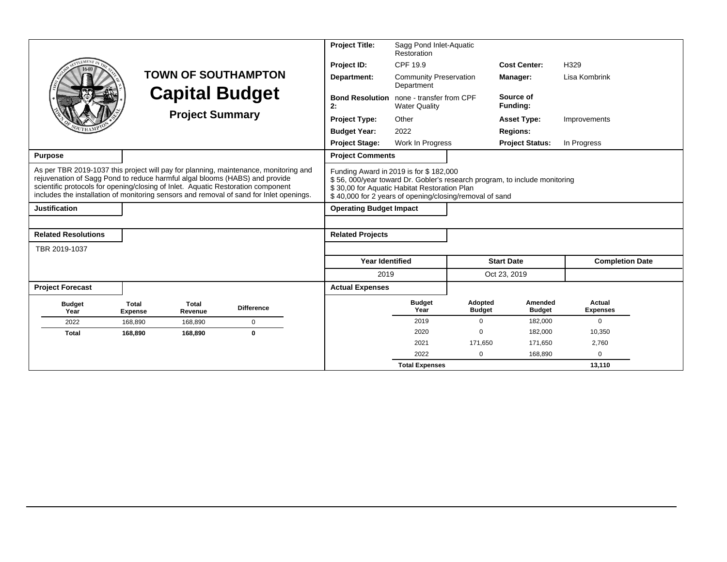|                                                                                                                                                                                                                                                                                                                                                    |                                |                            |                   | <b>Project Title:</b>                                                                                                                             | Sagg Pond Inlet-Aquatic<br>Restoration           |                          |                                                                            |                           |  |
|----------------------------------------------------------------------------------------------------------------------------------------------------------------------------------------------------------------------------------------------------------------------------------------------------------------------------------------------------|--------------------------------|----------------------------|-------------------|---------------------------------------------------------------------------------------------------------------------------------------------------|--------------------------------------------------|--------------------------|----------------------------------------------------------------------------|---------------------------|--|
| LEMENT                                                                                                                                                                                                                                                                                                                                             |                                |                            |                   | Project ID:                                                                                                                                       | CPF 19.9                                         |                          | <b>Cost Center:</b>                                                        | H329                      |  |
|                                                                                                                                                                                                                                                                                                                                                    |                                | <b>TOWN OF SOUTHAMPTON</b> |                   |                                                                                                                                                   | <b>Community Preservation</b><br>Department      |                          | <b>Manager:</b>                                                            | Lisa Kombrink             |  |
|                                                                                                                                                                                                                                                                                                                                                    | <b>Capital Budget</b>          |                            |                   | <b>Bond Resolution</b><br>2:                                                                                                                      | none - transfer from CPF<br><b>Water Quality</b> |                          | Source of<br>Funding:                                                      |                           |  |
|                                                                                                                                                                                                                                                                                                                                                    |                                | <b>Project Summary</b>     |                   | <b>Project Type:</b>                                                                                                                              | Other                                            |                          | <b>Asset Type:</b>                                                         | Improvements              |  |
|                                                                                                                                                                                                                                                                                                                                                    |                                |                            |                   | <b>Budget Year:</b>                                                                                                                               | 2022                                             |                          | <b>Regions:</b>                                                            |                           |  |
|                                                                                                                                                                                                                                                                                                                                                    |                                |                            |                   | <b>Project Stage:</b>                                                                                                                             | Work In Progress                                 | <b>Project Status:</b>   |                                                                            | In Progress               |  |
| <b>Purpose</b>                                                                                                                                                                                                                                                                                                                                     |                                |                            |                   | <b>Project Comments</b>                                                                                                                           |                                                  |                          |                                                                            |                           |  |
| As per TBR 2019-1037 this project will pay for planning, maintenance, monitoring and<br>rejuvenation of Sagg Pond to reduce harmful algal blooms (HABS) and provide<br>scientific protocols for opening/closing of Inlet. Aquatic Restoration component<br>includes the installation of monitoring sensors and removal of sand for Inlet openings. |                                |                            |                   | Funding Award in 2019 is for \$182,000<br>\$30,00 for Aquatic Habitat Restoration Plan<br>\$40,000 for 2 years of opening/closing/removal of sand |                                                  |                          | \$56, 000/year toward Dr. Gobler's research program, to include monitoring |                           |  |
| <b>Justification</b>                                                                                                                                                                                                                                                                                                                               |                                |                            |                   | <b>Operating Budget Impact</b>                                                                                                                    |                                                  |                          |                                                                            |                           |  |
|                                                                                                                                                                                                                                                                                                                                                    |                                |                            |                   |                                                                                                                                                   |                                                  |                          |                                                                            |                           |  |
| <b>Related Resolutions</b>                                                                                                                                                                                                                                                                                                                         |                                |                            |                   | <b>Related Projects</b>                                                                                                                           |                                                  |                          |                                                                            |                           |  |
| TBR 2019-1037                                                                                                                                                                                                                                                                                                                                      |                                |                            |                   |                                                                                                                                                   |                                                  |                          |                                                                            |                           |  |
|                                                                                                                                                                                                                                                                                                                                                    |                                |                            |                   | <b>Year Identified</b>                                                                                                                            |                                                  |                          | <b>Start Date</b>                                                          | <b>Completion Date</b>    |  |
|                                                                                                                                                                                                                                                                                                                                                    |                                |                            |                   | 2019                                                                                                                                              |                                                  |                          | Oct 23, 2019                                                               |                           |  |
| <b>Project Forecast</b>                                                                                                                                                                                                                                                                                                                            |                                |                            |                   | <b>Actual Expenses</b>                                                                                                                            |                                                  |                          |                                                                            |                           |  |
| <b>Budget</b><br>Year                                                                                                                                                                                                                                                                                                                              | <b>Total</b><br><b>Expense</b> | <b>Total</b><br>Revenue    | <b>Difference</b> |                                                                                                                                                   | <b>Budget</b><br>Year                            | Adopted<br><b>Budget</b> | Amended<br><b>Budget</b>                                                   | Actual<br><b>Expenses</b> |  |
| 2022                                                                                                                                                                                                                                                                                                                                               | 168,890                        | 168,890                    | 0                 |                                                                                                                                                   | 2019                                             | $\Omega$                 | 182,000                                                                    | $\mathbf 0$               |  |
| <b>Total</b>                                                                                                                                                                                                                                                                                                                                       | 168,890                        | 168,890                    | $\bf{0}$          |                                                                                                                                                   | 2020                                             | $\Omega$                 | 182,000                                                                    | 10,350                    |  |
|                                                                                                                                                                                                                                                                                                                                                    |                                |                            |                   |                                                                                                                                                   | 2021                                             | 171,650                  | 171,650                                                                    | 2,760                     |  |
|                                                                                                                                                                                                                                                                                                                                                    |                                |                            |                   |                                                                                                                                                   | 2022                                             | $\Omega$                 | 168,890                                                                    | $\Omega$                  |  |
|                                                                                                                                                                                                                                                                                                                                                    |                                |                            |                   |                                                                                                                                                   | <b>Total Expenses</b>                            |                          |                                                                            | 13.110                    |  |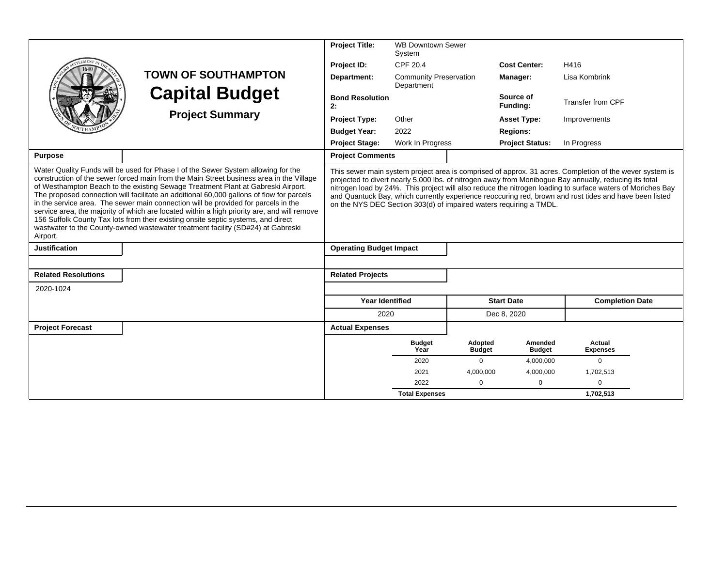|                                                                                                                                                                                                                                                                                                                                                                                                                                                                                                                                                                                                                                                                                                                                       |                                                                                                                                                                                                                                                                                                                                                                                                                                                                                                                 | <b>Project Title:</b>          | <b>WB Downtown Sewer</b><br>System          |                          |                          |                           |  |  |  |
|---------------------------------------------------------------------------------------------------------------------------------------------------------------------------------------------------------------------------------------------------------------------------------------------------------------------------------------------------------------------------------------------------------------------------------------------------------------------------------------------------------------------------------------------------------------------------------------------------------------------------------------------------------------------------------------------------------------------------------------|-----------------------------------------------------------------------------------------------------------------------------------------------------------------------------------------------------------------------------------------------------------------------------------------------------------------------------------------------------------------------------------------------------------------------------------------------------------------------------------------------------------------|--------------------------------|---------------------------------------------|--------------------------|--------------------------|---------------------------|--|--|--|
|                                                                                                                                                                                                                                                                                                                                                                                                                                                                                                                                                                                                                                                                                                                                       |                                                                                                                                                                                                                                                                                                                                                                                                                                                                                                                 | Project ID:                    | CPF 20.4                                    |                          | <b>Cost Center:</b>      | H416                      |  |  |  |
|                                                                                                                                                                                                                                                                                                                                                                                                                                                                                                                                                                                                                                                                                                                                       | <b>TOWN OF SOUTHAMPTON</b>                                                                                                                                                                                                                                                                                                                                                                                                                                                                                      | Department:                    | <b>Community Preservation</b><br>Department |                          | Manager:                 | Lisa Kombrink             |  |  |  |
|                                                                                                                                                                                                                                                                                                                                                                                                                                                                                                                                                                                                                                                                                                                                       | <b>Capital Budget</b>                                                                                                                                                                                                                                                                                                                                                                                                                                                                                           | <b>Bond Resolution</b><br>2:   |                                             |                          | Source of<br>Funding:    | <b>Transfer from CPF</b>  |  |  |  |
|                                                                                                                                                                                                                                                                                                                                                                                                                                                                                                                                                                                                                                                                                                                                       | <b>Project Summary</b>                                                                                                                                                                                                                                                                                                                                                                                                                                                                                          | <b>Project Type:</b>           | Other                                       |                          | <b>Asset Type:</b>       | Improvements              |  |  |  |
|                                                                                                                                                                                                                                                                                                                                                                                                                                                                                                                                                                                                                                                                                                                                       |                                                                                                                                                                                                                                                                                                                                                                                                                                                                                                                 | <b>Budget Year:</b>            | 2022                                        |                          | <b>Regions:</b>          |                           |  |  |  |
|                                                                                                                                                                                                                                                                                                                                                                                                                                                                                                                                                                                                                                                                                                                                       |                                                                                                                                                                                                                                                                                                                                                                                                                                                                                                                 | <b>Project Stage:</b>          | Work In Progress                            |                          | <b>Project Status:</b>   | In Progress               |  |  |  |
| <b>Purpose</b>                                                                                                                                                                                                                                                                                                                                                                                                                                                                                                                                                                                                                                                                                                                        |                                                                                                                                                                                                                                                                                                                                                                                                                                                                                                                 | <b>Project Comments</b>        |                                             |                          |                          |                           |  |  |  |
| Water Quality Funds will be used for Phase I of the Sewer System allowing for the<br>construction of the sewer forced main from the Main Street business area in the Village<br>of Westhampton Beach to the existing Sewage Treatment Plant at Gabreski Airport.<br>The proposed connection will facilitate an additional 60,000 gallons of flow for parcels<br>in the service area. The sewer main connection will be provided for parcels in the<br>service area, the majority of which are located within a high priority are, and will remove<br>156 Suffolk County Tax lots from their existing onsite septic systems, and direct<br>wastwater to the County-owned wastewater treatment facility (SD#24) at Gabreski<br>Airport. | This sewer main system project area is comprised of approx. 31 acres. Completion of the wever system is<br>projected to divert nearly 5,000 lbs. of nitrogen away from Monibogue Bay annually, reducing its total<br>nitrogen load by 24%. This project will also reduce the nitrogen loading to surface waters of Moriches Bay<br>and Quantuck Bay, which currently experience reoccuring red, brown and rust tides and have been listed<br>on the NYS DEC Section 303(d) of impaired waters requiring a TMDL. |                                |                                             |                          |                          |                           |  |  |  |
| <b>Justification</b>                                                                                                                                                                                                                                                                                                                                                                                                                                                                                                                                                                                                                                                                                                                  |                                                                                                                                                                                                                                                                                                                                                                                                                                                                                                                 | <b>Operating Budget Impact</b> |                                             |                          |                          |                           |  |  |  |
|                                                                                                                                                                                                                                                                                                                                                                                                                                                                                                                                                                                                                                                                                                                                       |                                                                                                                                                                                                                                                                                                                                                                                                                                                                                                                 |                                |                                             |                          |                          |                           |  |  |  |
| <b>Related Resolutions</b>                                                                                                                                                                                                                                                                                                                                                                                                                                                                                                                                                                                                                                                                                                            |                                                                                                                                                                                                                                                                                                                                                                                                                                                                                                                 | <b>Related Projects</b>        |                                             |                          |                          |                           |  |  |  |
| 2020-1024                                                                                                                                                                                                                                                                                                                                                                                                                                                                                                                                                                                                                                                                                                                             |                                                                                                                                                                                                                                                                                                                                                                                                                                                                                                                 |                                |                                             |                          |                          |                           |  |  |  |
|                                                                                                                                                                                                                                                                                                                                                                                                                                                                                                                                                                                                                                                                                                                                       |                                                                                                                                                                                                                                                                                                                                                                                                                                                                                                                 | <b>Year Identified</b>         |                                             |                          | <b>Start Date</b>        | <b>Completion Date</b>    |  |  |  |
|                                                                                                                                                                                                                                                                                                                                                                                                                                                                                                                                                                                                                                                                                                                                       |                                                                                                                                                                                                                                                                                                                                                                                                                                                                                                                 | 2020                           |                                             |                          | Dec 8, 2020              |                           |  |  |  |
| <b>Project Forecast</b>                                                                                                                                                                                                                                                                                                                                                                                                                                                                                                                                                                                                                                                                                                               |                                                                                                                                                                                                                                                                                                                                                                                                                                                                                                                 | <b>Actual Expenses</b>         |                                             |                          |                          |                           |  |  |  |
|                                                                                                                                                                                                                                                                                                                                                                                                                                                                                                                                                                                                                                                                                                                                       |                                                                                                                                                                                                                                                                                                                                                                                                                                                                                                                 |                                | <b>Budget</b><br>Year                       | Adopted<br><b>Budget</b> | Amended<br><b>Budget</b> | Actual<br><b>Expenses</b> |  |  |  |
|                                                                                                                                                                                                                                                                                                                                                                                                                                                                                                                                                                                                                                                                                                                                       |                                                                                                                                                                                                                                                                                                                                                                                                                                                                                                                 |                                | 2020                                        | $\Omega$                 | 4,000,000                | $\Omega$                  |  |  |  |
|                                                                                                                                                                                                                                                                                                                                                                                                                                                                                                                                                                                                                                                                                                                                       |                                                                                                                                                                                                                                                                                                                                                                                                                                                                                                                 |                                | 2021                                        | 4,000,000                | 4,000,000                | 1,702,513                 |  |  |  |
|                                                                                                                                                                                                                                                                                                                                                                                                                                                                                                                                                                                                                                                                                                                                       |                                                                                                                                                                                                                                                                                                                                                                                                                                                                                                                 |                                | 2022                                        | $\Omega$                 | 0                        | $\mathbf 0$               |  |  |  |
|                                                                                                                                                                                                                                                                                                                                                                                                                                                                                                                                                                                                                                                                                                                                       |                                                                                                                                                                                                                                                                                                                                                                                                                                                                                                                 |                                | <b>Total Expenses</b>                       |                          |                          | 1.702.513                 |  |  |  |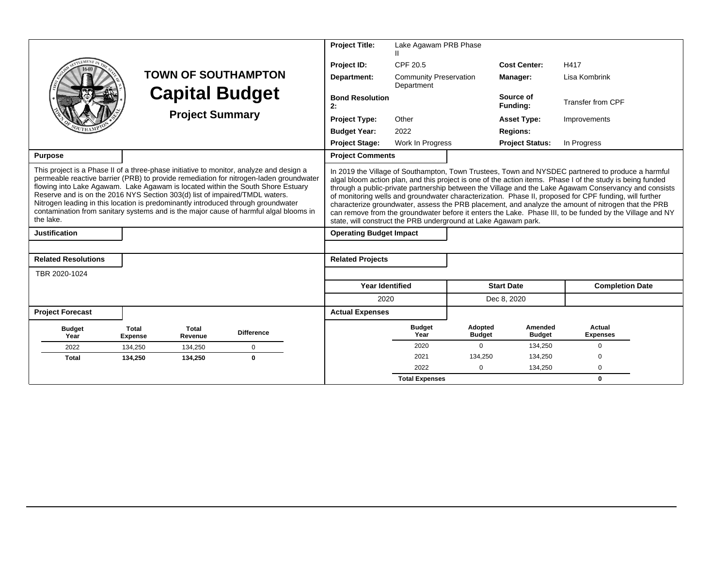|                                                                                                                                                                                                                                                                                                                                                                                                                                                                                                                                                |                                |                  |                            |                                                                | <b>Project Title:</b>          | Lake Agawam PRB Phase                       |                          |                                                                                                                                                                                                                                                                                                                                                                                                                                                                                                                                                                                                                                                       |                           |  |
|------------------------------------------------------------------------------------------------------------------------------------------------------------------------------------------------------------------------------------------------------------------------------------------------------------------------------------------------------------------------------------------------------------------------------------------------------------------------------------------------------------------------------------------------|--------------------------------|------------------|----------------------------|----------------------------------------------------------------|--------------------------------|---------------------------------------------|--------------------------|-------------------------------------------------------------------------------------------------------------------------------------------------------------------------------------------------------------------------------------------------------------------------------------------------------------------------------------------------------------------------------------------------------------------------------------------------------------------------------------------------------------------------------------------------------------------------------------------------------------------------------------------------------|---------------------------|--|
|                                                                                                                                                                                                                                                                                                                                                                                                                                                                                                                                                |                                |                  |                            |                                                                | Project ID:                    | CPF 20.5                                    |                          | <b>Cost Center:</b>                                                                                                                                                                                                                                                                                                                                                                                                                                                                                                                                                                                                                                   | H417                      |  |
|                                                                                                                                                                                                                                                                                                                                                                                                                                                                                                                                                |                                |                  | <b>TOWN OF SOUTHAMPTON</b> |                                                                | Department:                    | <b>Community Preservation</b><br>Department |                          | Manager:                                                                                                                                                                                                                                                                                                                                                                                                                                                                                                                                                                                                                                              | Lisa Kombrink             |  |
|                                                                                                                                                                                                                                                                                                                                                                                                                                                                                                                                                |                                |                  | <b>Capital Budget</b>      |                                                                | <b>Bond Resolution</b><br>2:   |                                             |                          | Source of<br>Funding:                                                                                                                                                                                                                                                                                                                                                                                                                                                                                                                                                                                                                                 | <b>Transfer from CPF</b>  |  |
| <b>Project Summary</b>                                                                                                                                                                                                                                                                                                                                                                                                                                                                                                                         |                                |                  |                            |                                                                | <b>Project Type:</b>           | Other                                       |                          | <b>Asset Type:</b>                                                                                                                                                                                                                                                                                                                                                                                                                                                                                                                                                                                                                                    | Improvements              |  |
|                                                                                                                                                                                                                                                                                                                                                                                                                                                                                                                                                |                                |                  |                            |                                                                | <b>Budget Year:</b>            | 2022                                        |                          | <b>Regions:</b>                                                                                                                                                                                                                                                                                                                                                                                                                                                                                                                                                                                                                                       |                           |  |
|                                                                                                                                                                                                                                                                                                                                                                                                                                                                                                                                                | <b>Project Stage:</b>          | Work In Progress |                            | <b>Project Status:</b>                                         | In Progress                    |                                             |                          |                                                                                                                                                                                                                                                                                                                                                                                                                                                                                                                                                                                                                                                       |                           |  |
| <b>Purpose</b>                                                                                                                                                                                                                                                                                                                                                                                                                                                                                                                                 |                                |                  |                            |                                                                | <b>Project Comments</b>        |                                             |                          |                                                                                                                                                                                                                                                                                                                                                                                                                                                                                                                                                                                                                                                       |                           |  |
| This project is a Phase II of a three-phase initiative to monitor, analyze and design a<br>permeable reactive barrier (PRB) to provide remediation for nitrogen-laden groundwater<br>flowing into Lake Agawam. Lake Agawam is located within the South Shore Estuary<br>Reserve and is on the 2016 NYS Section 303(d) list of impaired/TMDL waters.<br>Nitrogen leading in this location is predominantly introduced through groundwater<br>contamination from sanitary systems and is the major cause of harmful algal blooms in<br>the lake. |                                |                  |                            | state, will construct the PRB underground at Lake Agawam park. |                                |                                             |                          | In 2019 the Village of Southampton, Town Trustees, Town and NYSDEC partnered to produce a harmful<br>algal bloom action plan, and this project is one of the action items. Phase I of the study is being funded<br>through a public-private partnership between the Village and the Lake Agawam Conservancy and consists<br>of monitoring wells and groundwater characterization. Phase II, proposed for CPF funding, will further<br>characterize groundwater, assess the PRB placement, and analyze the amount of nitrogen that the PRB<br>can remove from the groundwater before it enters the Lake. Phase III, to be funded by the Village and NY |                           |  |
| <b>Justification</b>                                                                                                                                                                                                                                                                                                                                                                                                                                                                                                                           |                                |                  |                            |                                                                | <b>Operating Budget Impact</b> |                                             |                          |                                                                                                                                                                                                                                                                                                                                                                                                                                                                                                                                                                                                                                                       |                           |  |
|                                                                                                                                                                                                                                                                                                                                                                                                                                                                                                                                                |                                |                  |                            |                                                                |                                |                                             |                          |                                                                                                                                                                                                                                                                                                                                                                                                                                                                                                                                                                                                                                                       |                           |  |
| <b>Related Resolutions</b>                                                                                                                                                                                                                                                                                                                                                                                                                                                                                                                     |                                |                  |                            |                                                                | <b>Related Projects</b>        |                                             |                          |                                                                                                                                                                                                                                                                                                                                                                                                                                                                                                                                                                                                                                                       |                           |  |
| TBR 2020-1024                                                                                                                                                                                                                                                                                                                                                                                                                                                                                                                                  |                                |                  |                            |                                                                |                                |                                             |                          |                                                                                                                                                                                                                                                                                                                                                                                                                                                                                                                                                                                                                                                       |                           |  |
|                                                                                                                                                                                                                                                                                                                                                                                                                                                                                                                                                |                                |                  |                            |                                                                | <b>Year Identified</b>         |                                             |                          | <b>Start Date</b>                                                                                                                                                                                                                                                                                                                                                                                                                                                                                                                                                                                                                                     | <b>Completion Date</b>    |  |
|                                                                                                                                                                                                                                                                                                                                                                                                                                                                                                                                                |                                |                  |                            |                                                                | 2020                           |                                             |                          | Dec 8, 2020                                                                                                                                                                                                                                                                                                                                                                                                                                                                                                                                                                                                                                           |                           |  |
| <b>Project Forecast</b>                                                                                                                                                                                                                                                                                                                                                                                                                                                                                                                        |                                |                  |                            |                                                                | <b>Actual Expenses</b>         |                                             |                          |                                                                                                                                                                                                                                                                                                                                                                                                                                                                                                                                                                                                                                                       |                           |  |
| <b>Budget</b><br>Year                                                                                                                                                                                                                                                                                                                                                                                                                                                                                                                          | <b>Total</b><br><b>Expense</b> | Total<br>Revenue | <b>Difference</b>          |                                                                |                                | <b>Budget</b><br>Year                       | Adopted<br><b>Budget</b> | Amended<br><b>Budget</b>                                                                                                                                                                                                                                                                                                                                                                                                                                                                                                                                                                                                                              | Actual<br><b>Expenses</b> |  |
| 2022                                                                                                                                                                                                                                                                                                                                                                                                                                                                                                                                           | 134,250                        | 134,250          | $\mathbf 0$                |                                                                |                                | 2020                                        | $\mathbf 0$              | 134,250                                                                                                                                                                                                                                                                                                                                                                                                                                                                                                                                                                                                                                               | $\mathbf 0$               |  |
| <b>Total</b>                                                                                                                                                                                                                                                                                                                                                                                                                                                                                                                                   | 134,250                        | 134,250          | $\mathbf{0}$               |                                                                |                                | 2021                                        | 134,250                  | 134,250                                                                                                                                                                                                                                                                                                                                                                                                                                                                                                                                                                                                                                               | $\Omega$                  |  |
|                                                                                                                                                                                                                                                                                                                                                                                                                                                                                                                                                |                                |                  |                            |                                                                |                                | 2022                                        | $\Omega$                 | 134,250                                                                                                                                                                                                                                                                                                                                                                                                                                                                                                                                                                                                                                               | $\Omega$                  |  |
|                                                                                                                                                                                                                                                                                                                                                                                                                                                                                                                                                |                                |                  |                            |                                                                |                                | <b>Total Expenses</b>                       |                          |                                                                                                                                                                                                                                                                                                                                                                                                                                                                                                                                                                                                                                                       | $\mathbf{0}$              |  |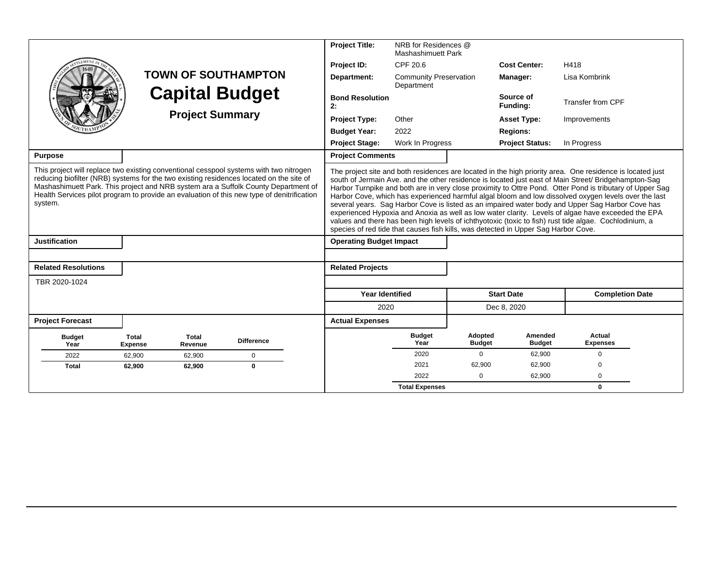|                                                                                                                                                                                                                                                                                                                                                                                  |                                |                         |                            |                                                                                                                                                                                                                                                                                                                                                                                                                                                                                                                                                                                                                                                                                                                                                                                                                                                 | <b>Project Title:</b>          | NRB for Residences @<br><b>Mashashimuett Park</b> |                          |                          |                           |
|----------------------------------------------------------------------------------------------------------------------------------------------------------------------------------------------------------------------------------------------------------------------------------------------------------------------------------------------------------------------------------|--------------------------------|-------------------------|----------------------------|-------------------------------------------------------------------------------------------------------------------------------------------------------------------------------------------------------------------------------------------------------------------------------------------------------------------------------------------------------------------------------------------------------------------------------------------------------------------------------------------------------------------------------------------------------------------------------------------------------------------------------------------------------------------------------------------------------------------------------------------------------------------------------------------------------------------------------------------------|--------------------------------|---------------------------------------------------|--------------------------|--------------------------|---------------------------|
|                                                                                                                                                                                                                                                                                                                                                                                  |                                |                         |                            |                                                                                                                                                                                                                                                                                                                                                                                                                                                                                                                                                                                                                                                                                                                                                                                                                                                 | Project ID:                    | CPF 20.6                                          |                          | <b>Cost Center:</b>      | H418                      |
|                                                                                                                                                                                                                                                                                                                                                                                  |                                |                         | <b>TOWN OF SOUTHAMPTON</b> |                                                                                                                                                                                                                                                                                                                                                                                                                                                                                                                                                                                                                                                                                                                                                                                                                                                 | Department:                    | <b>Community Preservation</b><br>Department       |                          | Manager:                 | Lisa Kombrink             |
|                                                                                                                                                                                                                                                                                                                                                                                  |                                |                         | <b>Capital Budget</b>      |                                                                                                                                                                                                                                                                                                                                                                                                                                                                                                                                                                                                                                                                                                                                                                                                                                                 | <b>Bond Resolution</b><br>2:   |                                                   |                          | Source of<br>Funding:    | Transfer from CPF         |
| <b>Project Summary</b>                                                                                                                                                                                                                                                                                                                                                           |                                |                         |                            |                                                                                                                                                                                                                                                                                                                                                                                                                                                                                                                                                                                                                                                                                                                                                                                                                                                 | <b>Project Type:</b>           | Other                                             |                          | <b>Asset Type:</b>       | Improvements              |
|                                                                                                                                                                                                                                                                                                                                                                                  |                                |                         |                            |                                                                                                                                                                                                                                                                                                                                                                                                                                                                                                                                                                                                                                                                                                                                                                                                                                                 |                                |                                                   |                          | <b>Regions:</b>          |                           |
|                                                                                                                                                                                                                                                                                                                                                                                  |                                | <b>Project Stage:</b>   | Work In Progress           |                                                                                                                                                                                                                                                                                                                                                                                                                                                                                                                                                                                                                                                                                                                                                                                                                                                 | <b>Project Status:</b>         | In Progress                                       |                          |                          |                           |
| <b>Purpose</b>                                                                                                                                                                                                                                                                                                                                                                   |                                |                         |                            |                                                                                                                                                                                                                                                                                                                                                                                                                                                                                                                                                                                                                                                                                                                                                                                                                                                 | <b>Project Comments</b>        |                                                   |                          |                          |                           |
| This project will replace two existing conventional cesspool systems with two nitrogen<br>reducing biofilter (NRB) systems for the two existing residences located on the site of<br>Mashashimuett Park. This project and NRB system ara a Suffolk County Department of<br>Health Services pilot program to provide an evaluation of this new type of denitrification<br>system. |                                |                         |                            | The project site and both residences are located in the high priority area. One residence is located just<br>south of Jermain Ave. and the other residence is located just east of Main Street/ Bridgehampton-Sag<br>Harbor Turnpike and both are in very close proximity to Ottre Pond. Otter Pond is tributary of Upper Sag<br>Harbor Cove, which has experienced harmful algal bloom and low dissolved oxygen levels over the last<br>several years. Sag Harbor Cove is listed as an impaired water body and Upper Sag Harbor Cove has<br>experienced Hypoxia and Anoxia as well as low water clarity. Levels of algae have exceeded the EPA<br>values and there has been high levels of ichthyotoxic (toxic to fish) rust tide algae. Cochlodinium, a<br>species of red tide that causes fish kills, was detected in Upper Sag Harbor Cove. |                                |                                                   |                          |                          |                           |
| <b>Justification</b>                                                                                                                                                                                                                                                                                                                                                             |                                |                         |                            |                                                                                                                                                                                                                                                                                                                                                                                                                                                                                                                                                                                                                                                                                                                                                                                                                                                 | <b>Operating Budget Impact</b> |                                                   |                          |                          |                           |
|                                                                                                                                                                                                                                                                                                                                                                                  |                                |                         |                            |                                                                                                                                                                                                                                                                                                                                                                                                                                                                                                                                                                                                                                                                                                                                                                                                                                                 |                                |                                                   |                          |                          |                           |
| <b>Related Resolutions</b>                                                                                                                                                                                                                                                                                                                                                       |                                |                         |                            |                                                                                                                                                                                                                                                                                                                                                                                                                                                                                                                                                                                                                                                                                                                                                                                                                                                 | <b>Related Projects</b>        |                                                   |                          |                          |                           |
| TBR 2020-1024                                                                                                                                                                                                                                                                                                                                                                    |                                |                         |                            |                                                                                                                                                                                                                                                                                                                                                                                                                                                                                                                                                                                                                                                                                                                                                                                                                                                 |                                |                                                   |                          |                          |                           |
|                                                                                                                                                                                                                                                                                                                                                                                  |                                |                         |                            |                                                                                                                                                                                                                                                                                                                                                                                                                                                                                                                                                                                                                                                                                                                                                                                                                                                 | <b>Year Identified</b>         |                                                   |                          | <b>Start Date</b>        | <b>Completion Date</b>    |
|                                                                                                                                                                                                                                                                                                                                                                                  |                                |                         |                            |                                                                                                                                                                                                                                                                                                                                                                                                                                                                                                                                                                                                                                                                                                                                                                                                                                                 | 2020                           |                                                   |                          | Dec 8, 2020              |                           |
| <b>Project Forecast</b>                                                                                                                                                                                                                                                                                                                                                          |                                |                         |                            |                                                                                                                                                                                                                                                                                                                                                                                                                                                                                                                                                                                                                                                                                                                                                                                                                                                 | <b>Actual Expenses</b>         |                                                   |                          |                          |                           |
| <b>Budget</b><br>Year                                                                                                                                                                                                                                                                                                                                                            | <b>Total</b><br><b>Expense</b> | <b>Total</b><br>Revenue | <b>Difference</b>          |                                                                                                                                                                                                                                                                                                                                                                                                                                                                                                                                                                                                                                                                                                                                                                                                                                                 |                                | <b>Budget</b><br>Year                             | Adopted<br><b>Budget</b> | Amended<br><b>Budget</b> | Actual<br><b>Expenses</b> |
| 2022                                                                                                                                                                                                                                                                                                                                                                             | 62,900                         | 62,900                  | $\mathbf 0$                |                                                                                                                                                                                                                                                                                                                                                                                                                                                                                                                                                                                                                                                                                                                                                                                                                                                 |                                | 2020                                              | $\Omega$                 | 62,900                   | $\Omega$                  |
| <b>Total</b>                                                                                                                                                                                                                                                                                                                                                                     | 62,900                         | 62,900                  | $\bf{0}$                   |                                                                                                                                                                                                                                                                                                                                                                                                                                                                                                                                                                                                                                                                                                                                                                                                                                                 |                                | 2021                                              | 62.900                   | 62,900                   | $\Omega$                  |
|                                                                                                                                                                                                                                                                                                                                                                                  |                                |                         |                            |                                                                                                                                                                                                                                                                                                                                                                                                                                                                                                                                                                                                                                                                                                                                                                                                                                                 |                                | 2022                                              | $\Omega$                 | 62,900                   | $\Omega$                  |
|                                                                                                                                                                                                                                                                                                                                                                                  |                                |                         |                            |                                                                                                                                                                                                                                                                                                                                                                                                                                                                                                                                                                                                                                                                                                                                                                                                                                                 |                                | <b>Total Expenses</b>                             |                          |                          | $\mathbf{0}$              |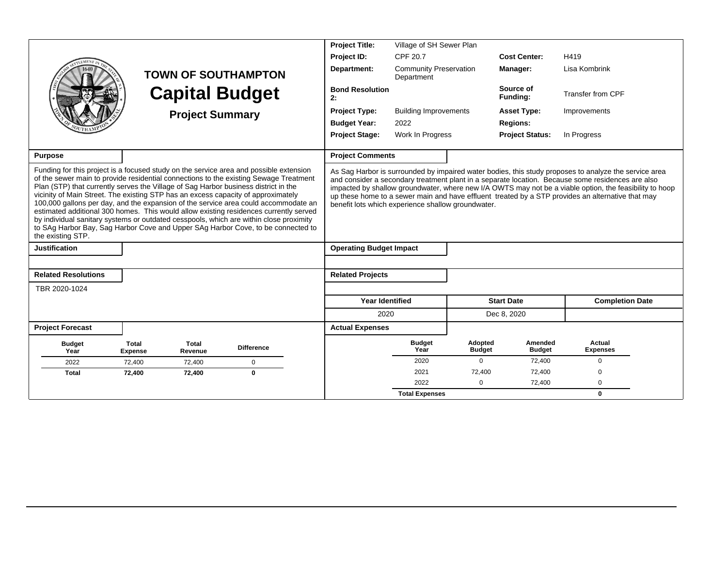|                                                                                                                                                                                                                                                                                                                                                                                                                                                                                                                                                                                                                                                                                                                                                |                                |                         |                            | <b>Project Title:</b>                              | Village of SH Sewer Plan                    |                          |                          |                                                                                                                                                                                                                                                                                                                                                                                                                            |
|------------------------------------------------------------------------------------------------------------------------------------------------------------------------------------------------------------------------------------------------------------------------------------------------------------------------------------------------------------------------------------------------------------------------------------------------------------------------------------------------------------------------------------------------------------------------------------------------------------------------------------------------------------------------------------------------------------------------------------------------|--------------------------------|-------------------------|----------------------------|----------------------------------------------------|---------------------------------------------|--------------------------|--------------------------|----------------------------------------------------------------------------------------------------------------------------------------------------------------------------------------------------------------------------------------------------------------------------------------------------------------------------------------------------------------------------------------------------------------------------|
|                                                                                                                                                                                                                                                                                                                                                                                                                                                                                                                                                                                                                                                                                                                                                |                                |                         |                            | Project ID:                                        | CPF 20.7                                    |                          | <b>Cost Center:</b>      | H419                                                                                                                                                                                                                                                                                                                                                                                                                       |
|                                                                                                                                                                                                                                                                                                                                                                                                                                                                                                                                                                                                                                                                                                                                                |                                |                         | <b>TOWN OF SOUTHAMPTON</b> | Department:                                        | <b>Community Preservation</b><br>Department |                          | Manager:                 | Lisa Kombrink                                                                                                                                                                                                                                                                                                                                                                                                              |
|                                                                                                                                                                                                                                                                                                                                                                                                                                                                                                                                                                                                                                                                                                                                                |                                |                         | <b>Capital Budget</b>      | <b>Bond Resolution</b><br>2:                       |                                             |                          | Source of<br>Funding:    | Transfer from CPF                                                                                                                                                                                                                                                                                                                                                                                                          |
|                                                                                                                                                                                                                                                                                                                                                                                                                                                                                                                                                                                                                                                                                                                                                |                                | <b>Project Summary</b>  |                            | Project Type:                                      | <b>Building Improvements</b>                |                          | <b>Asset Type:</b>       | Improvements                                                                                                                                                                                                                                                                                                                                                                                                               |
|                                                                                                                                                                                                                                                                                                                                                                                                                                                                                                                                                                                                                                                                                                                                                |                                |                         |                            | <b>Budget Year:</b>                                | 2022                                        |                          | <b>Regions:</b>          |                                                                                                                                                                                                                                                                                                                                                                                                                            |
|                                                                                                                                                                                                                                                                                                                                                                                                                                                                                                                                                                                                                                                                                                                                                |                                |                         |                            | <b>Project Stage:</b>                              | Work In Progress                            |                          | <b>Project Status:</b>   | In Progress                                                                                                                                                                                                                                                                                                                                                                                                                |
| <b>Purpose</b>                                                                                                                                                                                                                                                                                                                                                                                                                                                                                                                                                                                                                                                                                                                                 |                                | <b>Project Comments</b> |                            |                                                    |                                             |                          |                          |                                                                                                                                                                                                                                                                                                                                                                                                                            |
| Funding for this project is a focused study on the service area and possible extension<br>of the sewer main to provide residential connections to the existing Sewage Treatment<br>Plan (STP) that currently serves the Village of Sag Harbor business district in the<br>vicinity of Main Street. The existing STP has an excess capacity of approximately<br>100,000 gallons per day, and the expansion of the service area could accommodate an<br>estimated additional 300 homes. This would allow existing residences currently served<br>by individual sanitary systems or outdated cesspools, which are within close proximity<br>to SAg Harbor Bay, Sag Harbor Cove and Upper SAg Harbor Cove, to be connected to<br>the existing STP. |                                |                         |                            | benefit lots which experience shallow groundwater. |                                             |                          |                          | As Sag Harbor is surrounded by impaired water bodies, this study proposes to analyze the service area<br>and consider a secondary treatment plant in a separate location. Because some residences are also<br>impacted by shallow groundwater, where new I/A OWTS may not be a viable option, the feasibility to hoop<br>up these home to a sewer main and have effluent treated by a STP provides an alternative that may |
| <b>Justification</b>                                                                                                                                                                                                                                                                                                                                                                                                                                                                                                                                                                                                                                                                                                                           |                                |                         |                            | <b>Operating Budget Impact</b>                     |                                             |                          |                          |                                                                                                                                                                                                                                                                                                                                                                                                                            |
| <b>Related Resolutions</b><br>TBR 2020-1024                                                                                                                                                                                                                                                                                                                                                                                                                                                                                                                                                                                                                                                                                                    |                                |                         |                            | <b>Related Projects</b>                            |                                             |                          |                          |                                                                                                                                                                                                                                                                                                                                                                                                                            |
|                                                                                                                                                                                                                                                                                                                                                                                                                                                                                                                                                                                                                                                                                                                                                |                                |                         |                            | <b>Year Identified</b>                             |                                             |                          | <b>Start Date</b>        | <b>Completion Date</b>                                                                                                                                                                                                                                                                                                                                                                                                     |
|                                                                                                                                                                                                                                                                                                                                                                                                                                                                                                                                                                                                                                                                                                                                                |                                |                         |                            | 2020                                               |                                             |                          | Dec 8, 2020              |                                                                                                                                                                                                                                                                                                                                                                                                                            |
| <b>Project Forecast</b>                                                                                                                                                                                                                                                                                                                                                                                                                                                                                                                                                                                                                                                                                                                        |                                |                         |                            | <b>Actual Expenses</b>                             |                                             |                          |                          |                                                                                                                                                                                                                                                                                                                                                                                                                            |
| <b>Budget</b><br>Year                                                                                                                                                                                                                                                                                                                                                                                                                                                                                                                                                                                                                                                                                                                          | <b>Total</b><br><b>Expense</b> | <b>Total</b><br>Revenue | <b>Difference</b>          |                                                    | <b>Budget</b><br>Year                       | Adopted<br><b>Budget</b> | Amended<br><b>Budget</b> | Actual<br><b>Expenses</b>                                                                                                                                                                                                                                                                                                                                                                                                  |
| 2022                                                                                                                                                                                                                                                                                                                                                                                                                                                                                                                                                                                                                                                                                                                                           | 72.400                         | 72,400                  | $\mathbf 0$                |                                                    | 2020                                        | 0                        | 72,400                   | $\mathbf 0$                                                                                                                                                                                                                                                                                                                                                                                                                |
| <b>Total</b>                                                                                                                                                                                                                                                                                                                                                                                                                                                                                                                                                                                                                                                                                                                                   | 72,400                         | 72,400                  | $\Omega$                   |                                                    | 2021                                        | 72,400                   | 72,400                   | $\Omega$                                                                                                                                                                                                                                                                                                                                                                                                                   |
|                                                                                                                                                                                                                                                                                                                                                                                                                                                                                                                                                                                                                                                                                                                                                |                                |                         |                            |                                                    | 2022                                        | $\Omega$                 | 72,400                   | $\Omega$                                                                                                                                                                                                                                                                                                                                                                                                                   |
|                                                                                                                                                                                                                                                                                                                                                                                                                                                                                                                                                                                                                                                                                                                                                |                                |                         |                            |                                                    | <b>Total Expenses</b>                       |                          |                          | $\bf{0}$                                                                                                                                                                                                                                                                                                                                                                                                                   |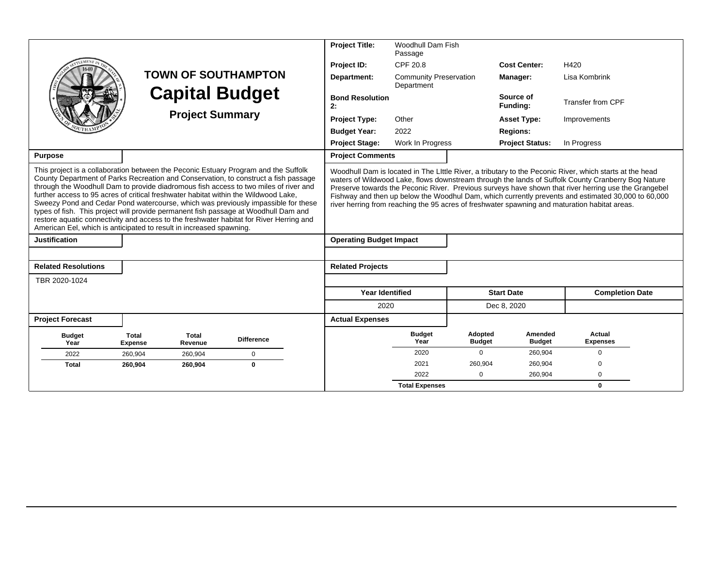|                                                                                                                                                                                                                                                                                                                                                                                                                                                                                                                                                                                                                                                                                                         |                                |                         |                            | <b>Project Title:</b>          | <b>Woodhull Dam Fish</b><br>Passage         |                          |                          |                                                                                                                                                                                                                                                                                                                                                                                                                                                                                                                              |
|---------------------------------------------------------------------------------------------------------------------------------------------------------------------------------------------------------------------------------------------------------------------------------------------------------------------------------------------------------------------------------------------------------------------------------------------------------------------------------------------------------------------------------------------------------------------------------------------------------------------------------------------------------------------------------------------------------|--------------------------------|-------------------------|----------------------------|--------------------------------|---------------------------------------------|--------------------------|--------------------------|------------------------------------------------------------------------------------------------------------------------------------------------------------------------------------------------------------------------------------------------------------------------------------------------------------------------------------------------------------------------------------------------------------------------------------------------------------------------------------------------------------------------------|
|                                                                                                                                                                                                                                                                                                                                                                                                                                                                                                                                                                                                                                                                                                         |                                |                         |                            | Project ID:                    | CPF 20.8                                    |                          | <b>Cost Center:</b>      | H420                                                                                                                                                                                                                                                                                                                                                                                                                                                                                                                         |
|                                                                                                                                                                                                                                                                                                                                                                                                                                                                                                                                                                                                                                                                                                         |                                |                         | <b>TOWN OF SOUTHAMPTON</b> | Department:                    | <b>Community Preservation</b><br>Department |                          | Manager:                 | Lisa Kombrink                                                                                                                                                                                                                                                                                                                                                                                                                                                                                                                |
|                                                                                                                                                                                                                                                                                                                                                                                                                                                                                                                                                                                                                                                                                                         |                                |                         | <b>Capital Budget</b>      | <b>Bond Resolution</b><br>2:   |                                             |                          | Source of<br>Funding:    | Transfer from CPF                                                                                                                                                                                                                                                                                                                                                                                                                                                                                                            |
| <b>Project Summary</b>                                                                                                                                                                                                                                                                                                                                                                                                                                                                                                                                                                                                                                                                                  |                                |                         |                            | <b>Project Type:</b>           | Other                                       |                          | <b>Asset Type:</b>       | Improvements                                                                                                                                                                                                                                                                                                                                                                                                                                                                                                                 |
|                                                                                                                                                                                                                                                                                                                                                                                                                                                                                                                                                                                                                                                                                                         |                                |                         |                            | <b>Budget Year:</b>            | 2022                                        |                          | <b>Regions:</b>          |                                                                                                                                                                                                                                                                                                                                                                                                                                                                                                                              |
|                                                                                                                                                                                                                                                                                                                                                                                                                                                                                                                                                                                                                                                                                                         |                                |                         |                            | <b>Project Stage:</b>          | Work In Progress                            |                          | <b>Project Status:</b>   | In Progress                                                                                                                                                                                                                                                                                                                                                                                                                                                                                                                  |
| <b>Purpose</b>                                                                                                                                                                                                                                                                                                                                                                                                                                                                                                                                                                                                                                                                                          |                                |                         |                            | <b>Project Comments</b>        |                                             |                          |                          |                                                                                                                                                                                                                                                                                                                                                                                                                                                                                                                              |
| This project is a collaboration between the Peconic Estuary Program and the Suffolk<br>County Department of Parks Recreation and Conservation, to construct a fish passage<br>through the Woodhull Dam to provide diadromous fish access to two miles of river and<br>further access to 95 acres of critical freshwater habitat within the Wildwood Lake,<br>Sweezy Pond and Cedar Pond watercourse, which was previously impassible for these<br>types of fish. This project will provide permanent fish passage at Woodhull Dam and<br>restore aquatic connectivity and access to the freshwater habitat for River Herring and<br>American Eel, which is anticipated to result in increased spawning. |                                |                         |                            |                                |                                             |                          |                          | Woodhull Dam is located in The Little River, a tributary to the Peconic River, which starts at the head<br>waters of Wildwood Lake, flows downstream through the lands of Suffolk County Cranberry Bog Nature<br>Preserve towards the Peconic River. Previous surveys have shown that river herring use the Grangebel<br>Fishway and then up below the Woodhul Dam, which currently prevents and estimated 30,000 to 60,000<br>river herring from reaching the 95 acres of freshwater spawning and maturation habitat areas. |
| <b>Justification</b>                                                                                                                                                                                                                                                                                                                                                                                                                                                                                                                                                                                                                                                                                    |                                |                         |                            | <b>Operating Budget Impact</b> |                                             |                          |                          |                                                                                                                                                                                                                                                                                                                                                                                                                                                                                                                              |
|                                                                                                                                                                                                                                                                                                                                                                                                                                                                                                                                                                                                                                                                                                         |                                |                         |                            |                                |                                             |                          |                          |                                                                                                                                                                                                                                                                                                                                                                                                                                                                                                                              |
| <b>Related Resolutions</b>                                                                                                                                                                                                                                                                                                                                                                                                                                                                                                                                                                                                                                                                              |                                |                         |                            | <b>Related Projects</b>        |                                             |                          |                          |                                                                                                                                                                                                                                                                                                                                                                                                                                                                                                                              |
| TBR 2020-1024                                                                                                                                                                                                                                                                                                                                                                                                                                                                                                                                                                                                                                                                                           |                                |                         |                            |                                |                                             |                          |                          |                                                                                                                                                                                                                                                                                                                                                                                                                                                                                                                              |
|                                                                                                                                                                                                                                                                                                                                                                                                                                                                                                                                                                                                                                                                                                         |                                |                         |                            | <b>Year Identified</b>         |                                             |                          | <b>Start Date</b>        | <b>Completion Date</b>                                                                                                                                                                                                                                                                                                                                                                                                                                                                                                       |
|                                                                                                                                                                                                                                                                                                                                                                                                                                                                                                                                                                                                                                                                                                         |                                |                         |                            | 2020                           |                                             |                          | Dec 8, 2020              |                                                                                                                                                                                                                                                                                                                                                                                                                                                                                                                              |
| <b>Project Forecast</b>                                                                                                                                                                                                                                                                                                                                                                                                                                                                                                                                                                                                                                                                                 |                                |                         |                            | <b>Actual Expenses</b>         |                                             |                          |                          |                                                                                                                                                                                                                                                                                                                                                                                                                                                                                                                              |
| <b>Budget</b><br>Year                                                                                                                                                                                                                                                                                                                                                                                                                                                                                                                                                                                                                                                                                   | <b>Total</b><br><b>Expense</b> | <b>Total</b><br>Revenue | <b>Difference</b>          |                                | <b>Budget</b><br>Year                       | Adopted<br><b>Budget</b> | Amended<br><b>Budget</b> | Actual<br><b>Expenses</b>                                                                                                                                                                                                                                                                                                                                                                                                                                                                                                    |
| 2022                                                                                                                                                                                                                                                                                                                                                                                                                                                                                                                                                                                                                                                                                                    | 260,904                        | 260,904                 | $\mathbf 0$                |                                | 2020                                        | $\Omega$                 | 260,904                  | $\mathbf 0$                                                                                                                                                                                                                                                                                                                                                                                                                                                                                                                  |
| <b>Total</b>                                                                                                                                                                                                                                                                                                                                                                                                                                                                                                                                                                                                                                                                                            | 260.904                        | 260,904                 | $\bf{0}$                   |                                | 2021                                        | 260,904                  | 260,904                  | $\Omega$                                                                                                                                                                                                                                                                                                                                                                                                                                                                                                                     |
|                                                                                                                                                                                                                                                                                                                                                                                                                                                                                                                                                                                                                                                                                                         |                                |                         |                            |                                | 2022                                        | $\Omega$                 | 260,904                  | $\Omega$                                                                                                                                                                                                                                                                                                                                                                                                                                                                                                                     |
|                                                                                                                                                                                                                                                                                                                                                                                                                                                                                                                                                                                                                                                                                                         |                                |                         |                            |                                | <b>Total Expenses</b>                       |                          |                          | $\mathbf{0}$                                                                                                                                                                                                                                                                                                                                                                                                                                                                                                                 |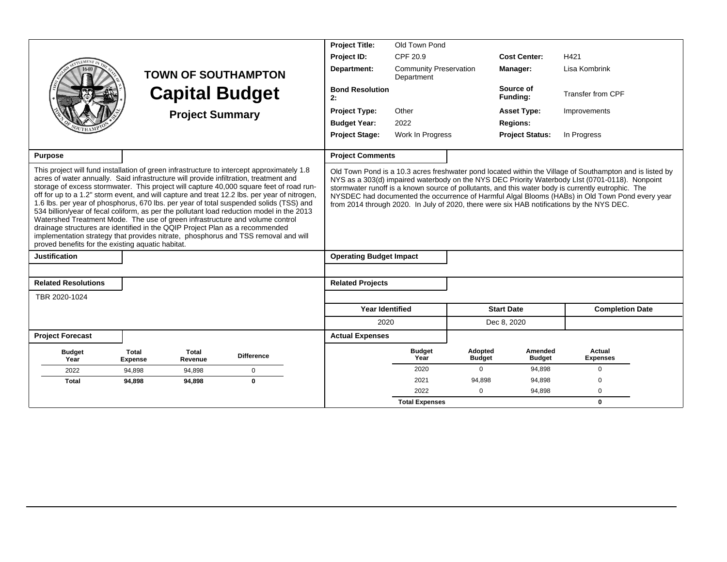|                                                                                                                                                                                                                                                                                                                                                                                                                                                                                                                                                                                                                                                                                                                                                                                                                                                                                  |                                |                        |                            |  | <b>Project Title:</b>          | Old Town Pond                               |                          |                          |                                                                                                                                                                                                                                                                                                                                                                                                                                                                                                                   |
|----------------------------------------------------------------------------------------------------------------------------------------------------------------------------------------------------------------------------------------------------------------------------------------------------------------------------------------------------------------------------------------------------------------------------------------------------------------------------------------------------------------------------------------------------------------------------------------------------------------------------------------------------------------------------------------------------------------------------------------------------------------------------------------------------------------------------------------------------------------------------------|--------------------------------|------------------------|----------------------------|--|--------------------------------|---------------------------------------------|--------------------------|--------------------------|-------------------------------------------------------------------------------------------------------------------------------------------------------------------------------------------------------------------------------------------------------------------------------------------------------------------------------------------------------------------------------------------------------------------------------------------------------------------------------------------------------------------|
|                                                                                                                                                                                                                                                                                                                                                                                                                                                                                                                                                                                                                                                                                                                                                                                                                                                                                  |                                |                        |                            |  | Project ID:                    | CPF 20.9                                    |                          | <b>Cost Center:</b>      | H421                                                                                                                                                                                                                                                                                                                                                                                                                                                                                                              |
|                                                                                                                                                                                                                                                                                                                                                                                                                                                                                                                                                                                                                                                                                                                                                                                                                                                                                  |                                |                        | <b>TOWN OF SOUTHAMPTON</b> |  | Department:                    | <b>Community Preservation</b><br>Department |                          | Manager:                 | Lisa Kombrink                                                                                                                                                                                                                                                                                                                                                                                                                                                                                                     |
|                                                                                                                                                                                                                                                                                                                                                                                                                                                                                                                                                                                                                                                                                                                                                                                                                                                                                  |                                | <b>Capital Budget</b>  |                            |  | <b>Bond Resolution</b><br>2:   |                                             |                          | Source of<br>Funding:    | Transfer from CPF                                                                                                                                                                                                                                                                                                                                                                                                                                                                                                 |
|                                                                                                                                                                                                                                                                                                                                                                                                                                                                                                                                                                                                                                                                                                                                                                                                                                                                                  |                                | <b>Project Summary</b> |                            |  | <b>Project Type:</b>           | Other                                       |                          | <b>Asset Type:</b>       | Improvements                                                                                                                                                                                                                                                                                                                                                                                                                                                                                                      |
|                                                                                                                                                                                                                                                                                                                                                                                                                                                                                                                                                                                                                                                                                                                                                                                                                                                                                  |                                |                        |                            |  | <b>Budget Year:</b>            | 2022                                        |                          | <b>Regions:</b>          |                                                                                                                                                                                                                                                                                                                                                                                                                                                                                                                   |
|                                                                                                                                                                                                                                                                                                                                                                                                                                                                                                                                                                                                                                                                                                                                                                                                                                                                                  |                                |                        |                            |  | <b>Project Stage:</b>          | Work In Progress                            |                          | <b>Project Status:</b>   | In Progress                                                                                                                                                                                                                                                                                                                                                                                                                                                                                                       |
| Purpose                                                                                                                                                                                                                                                                                                                                                                                                                                                                                                                                                                                                                                                                                                                                                                                                                                                                          |                                |                        |                            |  | <b>Project Comments</b>        |                                             |                          |                          |                                                                                                                                                                                                                                                                                                                                                                                                                                                                                                                   |
| This project will fund installation of green infrastructure to intercept approximately 1.8<br>acres of water annually. Said infrastructure will provide infiltration, treatment and<br>storage of excess stormwater. This project will capture 40,000 square feet of road run-<br>off for up to a 1.2" storm event, and will capture and treat 12.2 lbs. per year of nitrogen,<br>1.6 lbs. per year of phosphorus, 670 lbs. per year of total suspended solids (TSS) and<br>534 billion/year of fecal coliform, as per the pollutant load reduction model in the 2013<br>Watershed Treatment Mode. The use of green infrastructure and volume control<br>drainage structures are identified in the QQIP Project Plan as a recommended<br>implementation strategy that provides nitrate, phosphorus and TSS removal and will<br>proved benefits for the existing aquatic habitat. |                                |                        |                            |  |                                |                                             |                          |                          | Old Town Pond is a 10.3 acres freshwater pond located within the Village of Southampton and is listed by<br>NYS as a 303(d) impaired waterbody on the NYS DEC Priority Waterbody LIst (0701-0118). Nonpoint<br>stormwater runoff is a known source of pollutants, and this water body is currently eutrophic. The<br>NYSDEC had documented the occurrence of Harmful Algal Blooms (HABs) in Old Town Pond every year<br>from 2014 through 2020. In July of 2020, there were six HAB notifications by the NYS DEC. |
| <b>Justification</b>                                                                                                                                                                                                                                                                                                                                                                                                                                                                                                                                                                                                                                                                                                                                                                                                                                                             |                                |                        |                            |  | <b>Operating Budget Impact</b> |                                             |                          |                          |                                                                                                                                                                                                                                                                                                                                                                                                                                                                                                                   |
| <b>Related Resolutions</b>                                                                                                                                                                                                                                                                                                                                                                                                                                                                                                                                                                                                                                                                                                                                                                                                                                                       |                                |                        |                            |  | <b>Related Projects</b>        |                                             |                          |                          |                                                                                                                                                                                                                                                                                                                                                                                                                                                                                                                   |
| TBR 2020-1024                                                                                                                                                                                                                                                                                                                                                                                                                                                                                                                                                                                                                                                                                                                                                                                                                                                                    |                                |                        |                            |  |                                |                                             |                          |                          |                                                                                                                                                                                                                                                                                                                                                                                                                                                                                                                   |
|                                                                                                                                                                                                                                                                                                                                                                                                                                                                                                                                                                                                                                                                                                                                                                                                                                                                                  |                                |                        |                            |  | <b>Year Identified</b>         |                                             |                          | <b>Start Date</b>        | <b>Completion Date</b>                                                                                                                                                                                                                                                                                                                                                                                                                                                                                            |
|                                                                                                                                                                                                                                                                                                                                                                                                                                                                                                                                                                                                                                                                                                                                                                                                                                                                                  |                                |                        |                            |  | 2020                           |                                             |                          | Dec 8, 2020              |                                                                                                                                                                                                                                                                                                                                                                                                                                                                                                                   |
| <b>Project Forecast</b>                                                                                                                                                                                                                                                                                                                                                                                                                                                                                                                                                                                                                                                                                                                                                                                                                                                          |                                |                        |                            |  | <b>Actual Expenses</b>         |                                             |                          |                          |                                                                                                                                                                                                                                                                                                                                                                                                                                                                                                                   |
| <b>Budget</b><br>Year                                                                                                                                                                                                                                                                                                                                                                                                                                                                                                                                                                                                                                                                                                                                                                                                                                                            | <b>Total</b><br><b>Expense</b> | Total<br>Revenue       | <b>Difference</b>          |  |                                | <b>Budget</b><br>Year                       | Adopted<br><b>Budget</b> | Amended<br><b>Budget</b> | Actual<br><b>Expenses</b>                                                                                                                                                                                                                                                                                                                                                                                                                                                                                         |
| 2022                                                                                                                                                                                                                                                                                                                                                                                                                                                                                                                                                                                                                                                                                                                                                                                                                                                                             | 94,898                         | 94,898                 | $\mathbf 0$                |  |                                | 2020                                        | $\mathbf 0$              | 94,898                   | $\mathbf 0$                                                                                                                                                                                                                                                                                                                                                                                                                                                                                                       |
| <b>Total</b>                                                                                                                                                                                                                                                                                                                                                                                                                                                                                                                                                                                                                                                                                                                                                                                                                                                                     | 94,898                         | 94,898                 | $\mathbf 0$                |  |                                | 2021                                        | 94,898                   | 94,898                   | $\Omega$                                                                                                                                                                                                                                                                                                                                                                                                                                                                                                          |
|                                                                                                                                                                                                                                                                                                                                                                                                                                                                                                                                                                                                                                                                                                                                                                                                                                                                                  |                                |                        |                            |  |                                | 2022                                        | $\Omega$                 | 94,898                   | $\mathbf 0$                                                                                                                                                                                                                                                                                                                                                                                                                                                                                                       |
|                                                                                                                                                                                                                                                                                                                                                                                                                                                                                                                                                                                                                                                                                                                                                                                                                                                                                  |                                |                        |                            |  |                                | <b>Total Expenses</b>                       |                          |                          | $\bf{0}$                                                                                                                                                                                                                                                                                                                                                                                                                                                                                                          |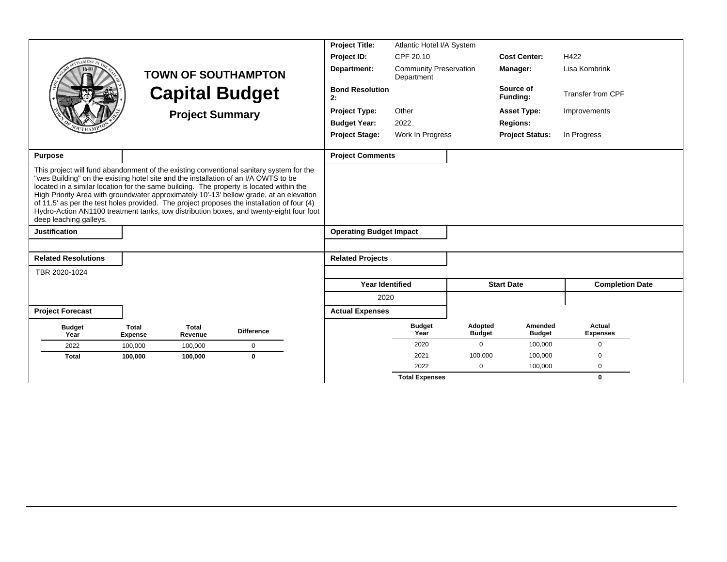|                                                                                                                                                                                                                                                                                                                                                                                                                                                                                                                                                                                         |                                |                         |                            | <b>Project Title:</b>          | Atlantic Hotel I/A System                   |                          |                          |                           |
|-----------------------------------------------------------------------------------------------------------------------------------------------------------------------------------------------------------------------------------------------------------------------------------------------------------------------------------------------------------------------------------------------------------------------------------------------------------------------------------------------------------------------------------------------------------------------------------------|--------------------------------|-------------------------|----------------------------|--------------------------------|---------------------------------------------|--------------------------|--------------------------|---------------------------|
|                                                                                                                                                                                                                                                                                                                                                                                                                                                                                                                                                                                         |                                |                         |                            | Project ID:                    | CPF 20.10                                   |                          | <b>Cost Center:</b>      | H422                      |
|                                                                                                                                                                                                                                                                                                                                                                                                                                                                                                                                                                                         |                                |                         | <b>TOWN OF SOUTHAMPTON</b> | Department:                    | <b>Community Preservation</b><br>Department |                          | Manager:                 | Lisa Kombrink             |
|                                                                                                                                                                                                                                                                                                                                                                                                                                                                                                                                                                                         |                                |                         | <b>Capital Budget</b>      | <b>Bond Resolution</b><br>2:   |                                             |                          | Source of<br>Funding:    | <b>Transfer from CPF</b>  |
|                                                                                                                                                                                                                                                                                                                                                                                                                                                                                                                                                                                         |                                | <b>Project Summary</b>  |                            | <b>Project Type:</b>           | Other                                       |                          | <b>Asset Type:</b>       | Improvements              |
|                                                                                                                                                                                                                                                                                                                                                                                                                                                                                                                                                                                         |                                |                         |                            | <b>Budget Year:</b>            | 2022                                        |                          | <b>Regions:</b>          |                           |
|                                                                                                                                                                                                                                                                                                                                                                                                                                                                                                                                                                                         |                                |                         |                            | <b>Project Stage:</b>          | Work In Progress                            |                          | <b>Project Status:</b>   | In Progress               |
| Purpose                                                                                                                                                                                                                                                                                                                                                                                                                                                                                                                                                                                 |                                |                         |                            | <b>Project Comments</b>        |                                             |                          |                          |                           |
| This project will fund abandonment of the existing conventional sanitary system for the<br>"wes Building" on the existing hotel site and the installation of an I/A OWTS to be<br>located in a similar location for the same building. The property is located within the<br>High Priority Area with groundwater approximately 10'-13' bellow grade, at an elevation<br>of 11.5' as per the test holes provided. The project proposes the installation of four (4)<br>Hydro-Action AN1100 treatment tanks, tow distribution boxes, and twenty-eight four foot<br>deep leaching galleys. |                                |                         |                            |                                |                                             |                          |                          |                           |
| <b>Justification</b>                                                                                                                                                                                                                                                                                                                                                                                                                                                                                                                                                                    |                                |                         |                            | <b>Operating Budget Impact</b> |                                             |                          |                          |                           |
|                                                                                                                                                                                                                                                                                                                                                                                                                                                                                                                                                                                         |                                |                         |                            |                                |                                             |                          |                          |                           |
| <b>Related Resolutions</b>                                                                                                                                                                                                                                                                                                                                                                                                                                                                                                                                                              |                                |                         |                            | <b>Related Projects</b>        |                                             |                          |                          |                           |
| TBR 2020-1024                                                                                                                                                                                                                                                                                                                                                                                                                                                                                                                                                                           |                                |                         |                            |                                |                                             |                          |                          |                           |
|                                                                                                                                                                                                                                                                                                                                                                                                                                                                                                                                                                                         |                                |                         |                            | <b>Year Identified</b>         |                                             |                          | <b>Start Date</b>        | <b>Completion Date</b>    |
|                                                                                                                                                                                                                                                                                                                                                                                                                                                                                                                                                                                         |                                |                         |                            | 2020                           |                                             |                          |                          |                           |
| <b>Project Forecast</b>                                                                                                                                                                                                                                                                                                                                                                                                                                                                                                                                                                 |                                |                         |                            | <b>Actual Expenses</b>         |                                             |                          |                          |                           |
| <b>Budget</b><br>Year                                                                                                                                                                                                                                                                                                                                                                                                                                                                                                                                                                   | <b>Total</b><br><b>Expense</b> | <b>Total</b><br>Revenue | <b>Difference</b>          |                                | <b>Budget</b><br>Year                       | Adopted<br><b>Budget</b> | Amended<br><b>Budget</b> | Actual<br><b>Expenses</b> |
| 2022                                                                                                                                                                                                                                                                                                                                                                                                                                                                                                                                                                                    | 100,000                        | 100,000                 | $\mathbf 0$                |                                | 2020                                        | $\mathbf 0$              | 100,000                  | $\Omega$                  |
| <b>Total</b>                                                                                                                                                                                                                                                                                                                                                                                                                                                                                                                                                                            | 100,000                        | 100,000                 | $\bf{0}$                   |                                | 2021                                        | 100,000                  | 100,000                  | $\Omega$                  |
|                                                                                                                                                                                                                                                                                                                                                                                                                                                                                                                                                                                         |                                |                         |                            |                                | 2022                                        | 0                        | 100,000                  | $\mathbf 0$               |
|                                                                                                                                                                                                                                                                                                                                                                                                                                                                                                                                                                                         |                                |                         |                            |                                | <b>Total Expenses</b>                       |                          |                          | $\bf{0}$                  |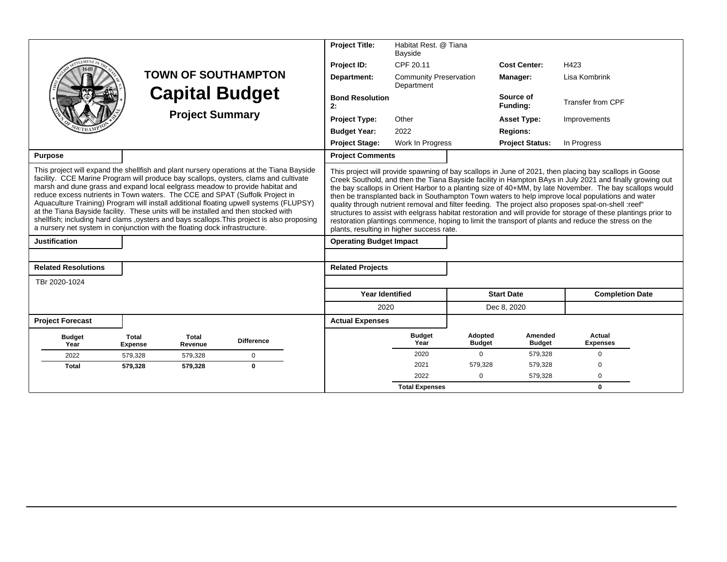|                                                                                                                                                                                                                                                                                                                                                                                                                                                                                                                                                                                                                                                                                                               |                                |                        |                            | <b>Project Title:</b>                     | Habitat Rest. @ Tiana<br>Bayside            |                          |                          |                                                                                                                                                                                                                                                                                                                                                                                                                                                                                                                                                                                                                                                                                                                                                                     |
|---------------------------------------------------------------------------------------------------------------------------------------------------------------------------------------------------------------------------------------------------------------------------------------------------------------------------------------------------------------------------------------------------------------------------------------------------------------------------------------------------------------------------------------------------------------------------------------------------------------------------------------------------------------------------------------------------------------|--------------------------------|------------------------|----------------------------|-------------------------------------------|---------------------------------------------|--------------------------|--------------------------|---------------------------------------------------------------------------------------------------------------------------------------------------------------------------------------------------------------------------------------------------------------------------------------------------------------------------------------------------------------------------------------------------------------------------------------------------------------------------------------------------------------------------------------------------------------------------------------------------------------------------------------------------------------------------------------------------------------------------------------------------------------------|
|                                                                                                                                                                                                                                                                                                                                                                                                                                                                                                                                                                                                                                                                                                               |                                |                        |                            | Project ID:                               | CPF 20.11                                   |                          | <b>Cost Center:</b>      | H423                                                                                                                                                                                                                                                                                                                                                                                                                                                                                                                                                                                                                                                                                                                                                                |
|                                                                                                                                                                                                                                                                                                                                                                                                                                                                                                                                                                                                                                                                                                               |                                |                        | <b>TOWN OF SOUTHAMPTON</b> | Department:                               | <b>Community Preservation</b><br>Department |                          | Manager:                 | Lisa Kombrink                                                                                                                                                                                                                                                                                                                                                                                                                                                                                                                                                                                                                                                                                                                                                       |
|                                                                                                                                                                                                                                                                                                                                                                                                                                                                                                                                                                                                                                                                                                               |                                |                        | <b>Capital Budget</b>      | <b>Bond Resolution</b><br>2:              |                                             |                          | Source of<br>Funding:    | Transfer from CPF                                                                                                                                                                                                                                                                                                                                                                                                                                                                                                                                                                                                                                                                                                                                                   |
|                                                                                                                                                                                                                                                                                                                                                                                                                                                                                                                                                                                                                                                                                                               |                                | <b>Project Summary</b> |                            | <b>Project Type:</b>                      | Other                                       |                          | <b>Asset Type:</b>       | Improvements                                                                                                                                                                                                                                                                                                                                                                                                                                                                                                                                                                                                                                                                                                                                                        |
|                                                                                                                                                                                                                                                                                                                                                                                                                                                                                                                                                                                                                                                                                                               |                                |                        |                            | <b>Budget Year:</b>                       | 2022                                        |                          | <b>Regions:</b>          |                                                                                                                                                                                                                                                                                                                                                                                                                                                                                                                                                                                                                                                                                                                                                                     |
|                                                                                                                                                                                                                                                                                                                                                                                                                                                                                                                                                                                                                                                                                                               |                                |                        |                            | <b>Project Stage:</b>                     | Work In Progress                            |                          | <b>Project Status:</b>   | In Progress                                                                                                                                                                                                                                                                                                                                                                                                                                                                                                                                                                                                                                                                                                                                                         |
| <b>Purpose</b>                                                                                                                                                                                                                                                                                                                                                                                                                                                                                                                                                                                                                                                                                                |                                |                        |                            | <b>Project Comments</b>                   |                                             |                          |                          |                                                                                                                                                                                                                                                                                                                                                                                                                                                                                                                                                                                                                                                                                                                                                                     |
| This project will expand the shellfish and plant nursery operations at the Tiana Bayside<br>facility. CCE Marine Program will produce bay scallops, oysters, clams and cultivate<br>marsh and dune grass and expand local eelgrass meadow to provide habitat and<br>reduce excess nutrients in Town waters. The CCE and SPAT (Suffolk Project in<br>Aquaculture Training) Program will install additional floating upwell systems (FLUPSY)<br>at the Tiana Bayside facility. These units will be installed and then stocked with<br>shellfish; including hard clams , oysters and bays scallops. This project is also proposing<br>a nursery net system in conjunction with the floating dock infrastructure. |                                |                        |                            | plants, resulting in higher success rate. |                                             |                          |                          | This project will provide spawning of bay scallops in June of 2021, then placing bay scallops in Goose<br>Creek Southold, and then the Tiana Bayside facility in Hampton BAys in July 2021 and finally growing out<br>the bay scallops in Orient Harbor to a planting size of 40+MM, by late November. The bay scallops would<br>then be transplanted back in Southampton Town waters to help improve local populations and water<br>quality through nutrient removal and filter feeding. The project also proposes spat-on-shell :reef"<br>structures to assist with eelgrass habitat restoration and will provide for storage of these plantings prior to<br>restoration plantings commence, hoping to limit the transport of plants and reduce the stress on the |
| <b>Justification</b>                                                                                                                                                                                                                                                                                                                                                                                                                                                                                                                                                                                                                                                                                          |                                |                        |                            | <b>Operating Budget Impact</b>            |                                             |                          |                          |                                                                                                                                                                                                                                                                                                                                                                                                                                                                                                                                                                                                                                                                                                                                                                     |
| <b>Related Resolutions</b>                                                                                                                                                                                                                                                                                                                                                                                                                                                                                                                                                                                                                                                                                    |                                |                        |                            | <b>Related Projects</b>                   |                                             |                          |                          |                                                                                                                                                                                                                                                                                                                                                                                                                                                                                                                                                                                                                                                                                                                                                                     |
| TBr 2020-1024                                                                                                                                                                                                                                                                                                                                                                                                                                                                                                                                                                                                                                                                                                 |                                |                        |                            |                                           |                                             |                          |                          |                                                                                                                                                                                                                                                                                                                                                                                                                                                                                                                                                                                                                                                                                                                                                                     |
|                                                                                                                                                                                                                                                                                                                                                                                                                                                                                                                                                                                                                                                                                                               |                                |                        |                            | <b>Year Identified</b>                    |                                             |                          | <b>Start Date</b>        | <b>Completion Date</b>                                                                                                                                                                                                                                                                                                                                                                                                                                                                                                                                                                                                                                                                                                                                              |
|                                                                                                                                                                                                                                                                                                                                                                                                                                                                                                                                                                                                                                                                                                               |                                |                        |                            | 2020                                      |                                             |                          | Dec 8, 2020              |                                                                                                                                                                                                                                                                                                                                                                                                                                                                                                                                                                                                                                                                                                                                                                     |
| <b>Project Forecast</b>                                                                                                                                                                                                                                                                                                                                                                                                                                                                                                                                                                                                                                                                                       |                                |                        |                            | <b>Actual Expenses</b>                    |                                             |                          |                          |                                                                                                                                                                                                                                                                                                                                                                                                                                                                                                                                                                                                                                                                                                                                                                     |
| <b>Budget</b><br>Year                                                                                                                                                                                                                                                                                                                                                                                                                                                                                                                                                                                                                                                                                         | <b>Total</b><br><b>Expense</b> | Total<br>Revenue       | <b>Difference</b>          |                                           | <b>Budget</b><br>Year                       | Adopted<br><b>Budget</b> | Amended<br><b>Budget</b> | Actual<br><b>Expenses</b>                                                                                                                                                                                                                                                                                                                                                                                                                                                                                                                                                                                                                                                                                                                                           |
| 2022                                                                                                                                                                                                                                                                                                                                                                                                                                                                                                                                                                                                                                                                                                          | 579,328                        | 579,328                | $\Omega$                   |                                           | 2020                                        | $\Omega$                 | 579,328                  | $\mathbf 0$                                                                                                                                                                                                                                                                                                                                                                                                                                                                                                                                                                                                                                                                                                                                                         |
| <b>Total</b>                                                                                                                                                                                                                                                                                                                                                                                                                                                                                                                                                                                                                                                                                                  | 579,328                        | 579,328                | $\mathbf{0}$               |                                           | 2021                                        | 579,328                  | 579,328                  | $\Omega$                                                                                                                                                                                                                                                                                                                                                                                                                                                                                                                                                                                                                                                                                                                                                            |
|                                                                                                                                                                                                                                                                                                                                                                                                                                                                                                                                                                                                                                                                                                               |                                |                        |                            |                                           | 2022                                        | $\Omega$                 | 579,328                  | $\Omega$                                                                                                                                                                                                                                                                                                                                                                                                                                                                                                                                                                                                                                                                                                                                                            |
|                                                                                                                                                                                                                                                                                                                                                                                                                                                                                                                                                                                                                                                                                                               |                                |                        |                            |                                           | <b>Total Expenses</b>                       |                          |                          | 0                                                                                                                                                                                                                                                                                                                                                                                                                                                                                                                                                                                                                                                                                                                                                                   |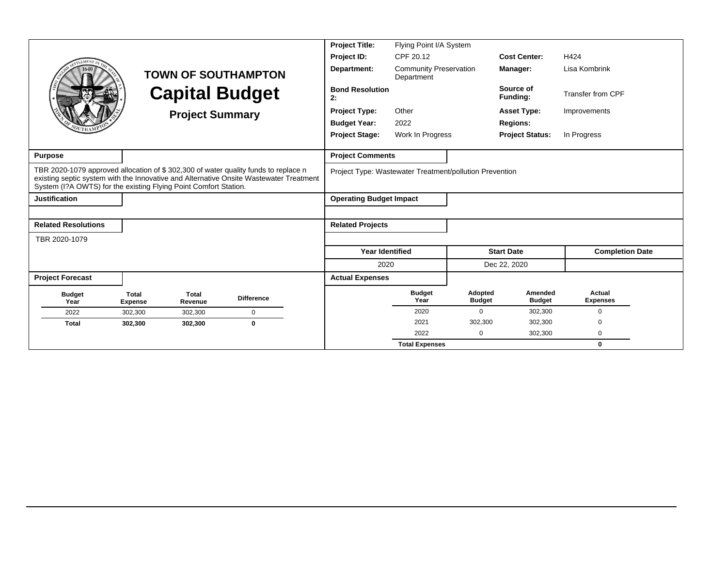|                                                                                                                                                        |                                |                         |                                                                                        | <b>Project Title:</b>          | Flying Point I/A System                                 |                          |                          |                           |
|--------------------------------------------------------------------------------------------------------------------------------------------------------|--------------------------------|-------------------------|----------------------------------------------------------------------------------------|--------------------------------|---------------------------------------------------------|--------------------------|--------------------------|---------------------------|
|                                                                                                                                                        |                                |                         |                                                                                        | Project ID:                    | CPF 20.12                                               |                          | <b>Cost Center:</b>      | H424                      |
|                                                                                                                                                        |                                |                         | <b>TOWN OF SOUTHAMPTON</b>                                                             | Department:                    | <b>Community Preservation</b><br>Department             |                          | Manager:                 | Lisa Kombrink             |
|                                                                                                                                                        |                                |                         | <b>Capital Budget</b>                                                                  | <b>Bond Resolution</b><br>2:   |                                                         |                          | Source of<br>Funding:    | Transfer from CPF         |
|                                                                                                                                                        |                                | <b>Project Summary</b>  |                                                                                        | <b>Project Type:</b>           | Other                                                   |                          | <b>Asset Type:</b>       | Improvements              |
|                                                                                                                                                        |                                |                         |                                                                                        | <b>Budget Year:</b>            | 2022                                                    |                          | <b>Regions:</b>          |                           |
|                                                                                                                                                        |                                |                         |                                                                                        | <b>Project Stage:</b>          | Work In Progress                                        |                          | <b>Project Status:</b>   | In Progress               |
|                                                                                                                                                        |                                |                         |                                                                                        |                                |                                                         |                          |                          |                           |
| <b>Purpose</b>                                                                                                                                         |                                |                         |                                                                                        | <b>Project Comments</b>        |                                                         |                          |                          |                           |
| TBR 2020-1079 approved allocation of \$302,300 of water quality funds to replace n<br>System (I?A OWTS) for the existing Flying Point Comfort Station. |                                |                         | existing septic system with the Innovative and Alternative Onsite Wastewater Treatment |                                | Project Type: Wastewater Treatment/pollution Prevention |                          |                          |                           |
| <b>Justification</b>                                                                                                                                   |                                |                         |                                                                                        | <b>Operating Budget Impact</b> |                                                         |                          |                          |                           |
|                                                                                                                                                        |                                |                         |                                                                                        |                                |                                                         |                          |                          |                           |
| <b>Related Resolutions</b>                                                                                                                             |                                |                         |                                                                                        | <b>Related Projects</b>        |                                                         |                          |                          |                           |
| TBR 2020-1079                                                                                                                                          |                                |                         |                                                                                        |                                |                                                         |                          |                          |                           |
|                                                                                                                                                        |                                |                         |                                                                                        | <b>Year Identified</b>         |                                                         |                          | <b>Start Date</b>        | <b>Completion Date</b>    |
|                                                                                                                                                        |                                |                         |                                                                                        | 2020                           |                                                         |                          | Dec 22, 2020             |                           |
| <b>Project Forecast</b>                                                                                                                                |                                |                         |                                                                                        | <b>Actual Expenses</b>         |                                                         |                          |                          |                           |
| <b>Budget</b><br>Year                                                                                                                                  | <b>Total</b><br><b>Expense</b> | <b>Total</b><br>Revenue | <b>Difference</b>                                                                      |                                | <b>Budget</b><br>Year                                   | Adopted<br><b>Budget</b> | Amended<br><b>Budget</b> | Actual<br><b>Expenses</b> |
| 2022                                                                                                                                                   | 302,300                        | 302,300                 | $\mathbf 0$                                                                            |                                | 2020                                                    | 0                        | 302,300                  | $\Omega$                  |
| <b>Total</b>                                                                                                                                           | 302,300                        | 302,300                 | $\mathbf 0$                                                                            |                                | 2021                                                    | 302,300                  | 302,300                  | $\Omega$                  |
|                                                                                                                                                        |                                |                         |                                                                                        |                                | 2022                                                    | 0                        | 302,300                  | $\mathbf 0$               |
|                                                                                                                                                        |                                |                         |                                                                                        |                                | <b>Total Expenses</b>                                   |                          |                          | $\bf{0}$                  |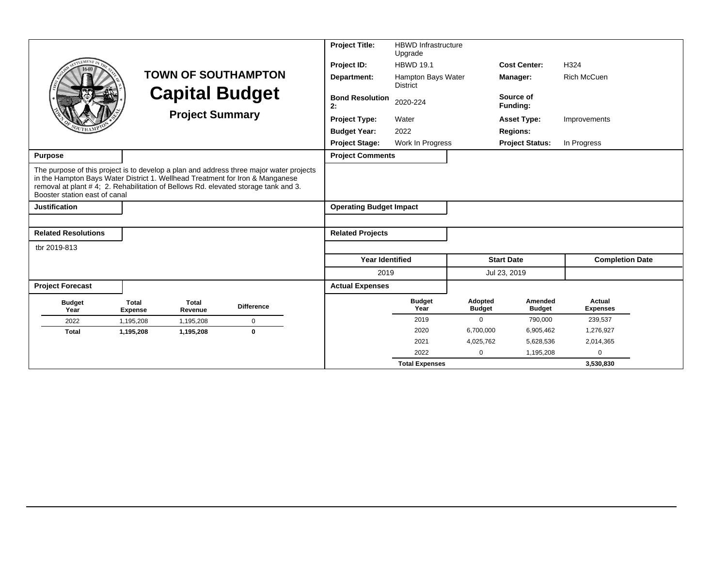|                                                                                                                                                                                                      |                                |                         |                                                                                         | <b>Project Title:</b>          | <b>HBWD Infrastructure</b><br>Upgrade |                          |                          |                           |
|------------------------------------------------------------------------------------------------------------------------------------------------------------------------------------------------------|--------------------------------|-------------------------|-----------------------------------------------------------------------------------------|--------------------------------|---------------------------------------|--------------------------|--------------------------|---------------------------|
| LEMENT                                                                                                                                                                                               |                                |                         |                                                                                         | Project ID:                    | <b>HBWD 19.1</b>                      |                          | <b>Cost Center:</b>      | H324                      |
|                                                                                                                                                                                                      |                                |                         | <b>TOWN OF SOUTHAMPTON</b>                                                              | Department:                    | Hampton Bays Water<br><b>District</b> |                          | Manager:                 | <b>Rich McCuen</b>        |
|                                                                                                                                                                                                      |                                |                         | <b>Capital Budget</b>                                                                   | <b>Bond Resolution</b><br>2:   | 2020-224                              |                          | Source of<br>Funding:    |                           |
|                                                                                                                                                                                                      |                                | <b>Project Summary</b>  |                                                                                         | <b>Project Type:</b>           | Water                                 |                          | <b>Asset Type:</b>       | Improvements              |
|                                                                                                                                                                                                      |                                |                         |                                                                                         | <b>Budget Year:</b>            | 2022                                  |                          | <b>Regions:</b>          |                           |
|                                                                                                                                                                                                      |                                |                         |                                                                                         | <b>Project Stage:</b>          | Work In Progress                      |                          | <b>Project Status:</b>   | In Progress               |
| Purpose                                                                                                                                                                                              |                                |                         |                                                                                         | <b>Project Comments</b>        |                                       |                          |                          |                           |
| in the Hampton Bays Water District 1. Wellhead Treatment for Iron & Manganese<br>removal at plant #4; 2. Rehabilitation of Bellows Rd. elevated storage tank and 3.<br>Booster station east of canal |                                |                         | The purpose of this project is to develop a plan and address three major water projects |                                |                                       |                          |                          |                           |
| <b>Justification</b>                                                                                                                                                                                 |                                |                         |                                                                                         | <b>Operating Budget Impact</b> |                                       |                          |                          |                           |
|                                                                                                                                                                                                      |                                |                         |                                                                                         |                                |                                       |                          |                          |                           |
| <b>Related Resolutions</b>                                                                                                                                                                           |                                |                         |                                                                                         | <b>Related Projects</b>        |                                       |                          |                          |                           |
| tbr 2019-813                                                                                                                                                                                         |                                |                         |                                                                                         |                                |                                       |                          |                          |                           |
|                                                                                                                                                                                                      |                                |                         |                                                                                         | <b>Year Identified</b>         |                                       |                          | <b>Start Date</b>        | <b>Completion Date</b>    |
|                                                                                                                                                                                                      |                                |                         |                                                                                         | 2019                           |                                       |                          | Jul 23, 2019             |                           |
| <b>Project Forecast</b>                                                                                                                                                                              |                                |                         |                                                                                         | <b>Actual Expenses</b>         |                                       |                          |                          |                           |
| <b>Budget</b><br>Year                                                                                                                                                                                | <b>Total</b><br><b>Expense</b> | <b>Total</b><br>Revenue | <b>Difference</b>                                                                       |                                | <b>Budget</b><br>Year                 | Adopted<br><b>Budget</b> | Amended<br><b>Budget</b> | Actual<br><b>Expenses</b> |
| 2022                                                                                                                                                                                                 | 1,195,208                      | 1,195,208               | $\mathbf 0$                                                                             |                                | 2019                                  | $\mathbf 0$              | 790,000                  | 239,537                   |
| <b>Total</b>                                                                                                                                                                                         | 1,195,208                      | 1,195,208               | $\mathbf{0}$                                                                            |                                | 2020                                  | 6,700,000                | 6,905,462                | 1,276,927                 |
|                                                                                                                                                                                                      |                                |                         |                                                                                         |                                | 2021                                  | 4,025,762                | 5,628,536                | 2,014,365                 |
|                                                                                                                                                                                                      |                                |                         |                                                                                         |                                | 2022                                  | 0                        | 1,195,208                | ∩                         |
|                                                                                                                                                                                                      |                                |                         |                                                                                         |                                | <b>Total Expenses</b>                 |                          |                          | 3,530,830                 |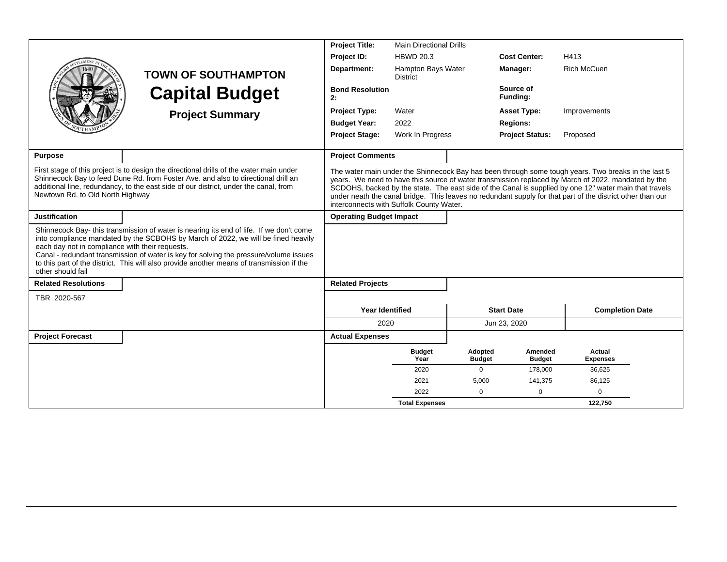|                                                                      |                                                                                                                                                                                                                                                                                                                                                                    | <b>Project Title:</b>                    | <b>Main Directional Drills</b>        |                          |                          |                                                                                                                                                                                                                                                                                                                                                                                                                                    |
|----------------------------------------------------------------------|--------------------------------------------------------------------------------------------------------------------------------------------------------------------------------------------------------------------------------------------------------------------------------------------------------------------------------------------------------------------|------------------------------------------|---------------------------------------|--------------------------|--------------------------|------------------------------------------------------------------------------------------------------------------------------------------------------------------------------------------------------------------------------------------------------------------------------------------------------------------------------------------------------------------------------------------------------------------------------------|
|                                                                      |                                                                                                                                                                                                                                                                                                                                                                    | Project ID:                              | <b>HBWD 20.3</b>                      |                          | <b>Cost Center:</b>      | H413                                                                                                                                                                                                                                                                                                                                                                                                                               |
|                                                                      | <b>TOWN OF SOUTHAMPTON</b>                                                                                                                                                                                                                                                                                                                                         | Department:                              | Hampton Bays Water<br><b>District</b> |                          | Manager:                 | <b>Rich McCuen</b>                                                                                                                                                                                                                                                                                                                                                                                                                 |
|                                                                      | <b>Capital Budget</b>                                                                                                                                                                                                                                                                                                                                              | <b>Bond Resolution</b><br>2:             |                                       |                          | Source of<br>Funding:    |                                                                                                                                                                                                                                                                                                                                                                                                                                    |
|                                                                      | <b>Project Summary</b>                                                                                                                                                                                                                                                                                                                                             | <b>Project Type:</b>                     | Water                                 |                          | <b>Asset Type:</b>       | Improvements                                                                                                                                                                                                                                                                                                                                                                                                                       |
|                                                                      |                                                                                                                                                                                                                                                                                                                                                                    | <b>Budget Year:</b>                      | 2022                                  |                          | <b>Regions:</b>          |                                                                                                                                                                                                                                                                                                                                                                                                                                    |
|                                                                      |                                                                                                                                                                                                                                                                                                                                                                    | <b>Project Stage:</b>                    | Work In Progress                      |                          | <b>Project Status:</b>   | Proposed                                                                                                                                                                                                                                                                                                                                                                                                                           |
| <b>Purpose</b>                                                       |                                                                                                                                                                                                                                                                                                                                                                    | <b>Project Comments</b>                  |                                       |                          |                          |                                                                                                                                                                                                                                                                                                                                                                                                                                    |
| Newtown Rd. to Old North Highway                                     | First stage of this project is to design the directional drills of the water main under<br>Shinnecock Bay to feed Dune Rd. from Foster Ave. and also to directional drill an<br>additional line, redundancy, to the east side of our district, under the canal, from                                                                                               | interconnects with Suffolk County Water. |                                       |                          |                          | The water main under the Shinnecock Bay has been through some tough years. Two breaks in the last 5<br>years. We need to have this source of water transmission replaced by March of 2022, mandated by the<br>SCDOHS, backed by the state. The east side of the Canal is supplied by one 12" water main that travels<br>under neath the canal bridge. This leaves no redundant supply for that part of the district other than our |
| <b>Justification</b>                                                 |                                                                                                                                                                                                                                                                                                                                                                    | <b>Operating Budget Impact</b>           |                                       |                          |                          |                                                                                                                                                                                                                                                                                                                                                                                                                                    |
| each day not in compliance with their requests.<br>other should fail | Shinnecock Bay- this transmission of water is nearing its end of life. If we don't come<br>into compliance mandated by the SCBOHS by March of 2022, we will be fined heavily<br>Canal - redundant transmission of water is key for solving the pressure/volume issues<br>to this part of the district. This will also provide another means of transmission if the |                                          |                                       |                          |                          |                                                                                                                                                                                                                                                                                                                                                                                                                                    |
| <b>Related Resolutions</b>                                           |                                                                                                                                                                                                                                                                                                                                                                    | <b>Related Projects</b>                  |                                       |                          |                          |                                                                                                                                                                                                                                                                                                                                                                                                                                    |
| TBR 2020-567                                                         |                                                                                                                                                                                                                                                                                                                                                                    |                                          |                                       |                          |                          |                                                                                                                                                                                                                                                                                                                                                                                                                                    |
|                                                                      |                                                                                                                                                                                                                                                                                                                                                                    | <b>Year Identified</b>                   |                                       |                          | <b>Start Date</b>        | <b>Completion Date</b>                                                                                                                                                                                                                                                                                                                                                                                                             |
|                                                                      |                                                                                                                                                                                                                                                                                                                                                                    | 2020                                     |                                       |                          | Jun 23, 2020             |                                                                                                                                                                                                                                                                                                                                                                                                                                    |
| <b>Project Forecast</b>                                              |                                                                                                                                                                                                                                                                                                                                                                    | <b>Actual Expenses</b>                   |                                       |                          |                          |                                                                                                                                                                                                                                                                                                                                                                                                                                    |
|                                                                      |                                                                                                                                                                                                                                                                                                                                                                    |                                          | <b>Budget</b><br>Year                 | Adopted<br><b>Budget</b> | Amended<br><b>Budget</b> | Actual<br><b>Expenses</b>                                                                                                                                                                                                                                                                                                                                                                                                          |
|                                                                      |                                                                                                                                                                                                                                                                                                                                                                    |                                          | 2020                                  | $\Omega$                 | 178,000                  | 36,625                                                                                                                                                                                                                                                                                                                                                                                                                             |
|                                                                      |                                                                                                                                                                                                                                                                                                                                                                    |                                          | 2021                                  | 5,000                    | 141,375                  | 86,125                                                                                                                                                                                                                                                                                                                                                                                                                             |
|                                                                      |                                                                                                                                                                                                                                                                                                                                                                    |                                          | 2022                                  | 0                        | 0                        | $\mathbf 0$                                                                                                                                                                                                                                                                                                                                                                                                                        |
|                                                                      |                                                                                                                                                                                                                                                                                                                                                                    |                                          | <b>Total Expenses</b>                 |                          |                          | 122,750                                                                                                                                                                                                                                                                                                                                                                                                                            |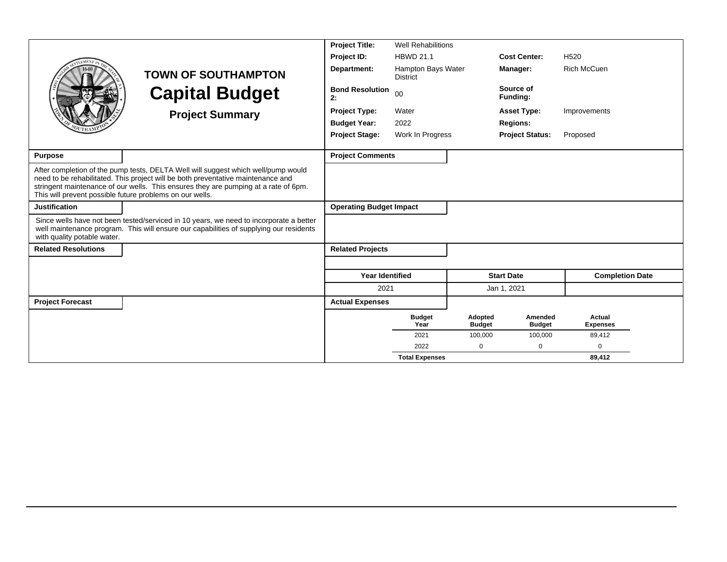|                             |                                                                                                                                                                                                                                                                                                                          | <b>Project Title:</b>          | <b>Well Rehabilitions</b>             |                          |                          |                           |
|-----------------------------|--------------------------------------------------------------------------------------------------------------------------------------------------------------------------------------------------------------------------------------------------------------------------------------------------------------------------|--------------------------------|---------------------------------------|--------------------------|--------------------------|---------------------------|
| <b>EMENT</b>                |                                                                                                                                                                                                                                                                                                                          | Project ID:                    | <b>HBWD 21.1</b>                      |                          | <b>Cost Center:</b>      | H <sub>520</sub>          |
|                             | <b>TOWN OF SOUTHAMPTON</b>                                                                                                                                                                                                                                                                                               | Department:                    | Hampton Bays Water<br><b>District</b> |                          | Manager:                 | <b>Rich McCuen</b>        |
|                             | <b>Capital Budget</b>                                                                                                                                                                                                                                                                                                    | <b>Bond Resolution</b><br>2:   | 00                                    |                          | Source of<br>Funding:    |                           |
|                             | <b>Project Summary</b>                                                                                                                                                                                                                                                                                                   | <b>Project Type:</b>           | Water                                 |                          | <b>Asset Type:</b>       | Improvements              |
|                             |                                                                                                                                                                                                                                                                                                                          | <b>Budget Year:</b>            | 2022                                  |                          | <b>Regions:</b>          |                           |
|                             |                                                                                                                                                                                                                                                                                                                          | <b>Project Stage:</b>          | Work In Progress                      |                          | <b>Project Status:</b>   | Proposed                  |
| <b>Purpose</b>              |                                                                                                                                                                                                                                                                                                                          | <b>Project Comments</b>        |                                       |                          |                          |                           |
|                             | After completion of the pump tests, DELTA Well will suggest which well/pump would<br>need to be rehabilitated. This project will be both preventative maintenance and<br>stringent maintenance of our wells. This ensures they are pumping at a rate of 6pm.<br>This will prevent possible future problems on our wells. |                                |                                       |                          |                          |                           |
| <b>Justification</b>        |                                                                                                                                                                                                                                                                                                                          | <b>Operating Budget Impact</b> |                                       |                          |                          |                           |
| with quality potable water. | Since wells have not been tested/serviced in 10 years, we need to incorporate a better<br>well maintenance program. This will ensure our capabilities of supplying our residents                                                                                                                                         |                                |                                       |                          |                          |                           |
| <b>Related Resolutions</b>  |                                                                                                                                                                                                                                                                                                                          | <b>Related Projects</b>        |                                       |                          |                          |                           |
|                             |                                                                                                                                                                                                                                                                                                                          |                                |                                       |                          |                          |                           |
|                             |                                                                                                                                                                                                                                                                                                                          | <b>Year Identified</b>         |                                       |                          | <b>Start Date</b>        | <b>Completion Date</b>    |
|                             |                                                                                                                                                                                                                                                                                                                          | 2021                           |                                       |                          | Jan 1, 2021              |                           |
| <b>Project Forecast</b>     |                                                                                                                                                                                                                                                                                                                          | <b>Actual Expenses</b>         |                                       |                          |                          |                           |
|                             |                                                                                                                                                                                                                                                                                                                          |                                | <b>Budget</b><br>Year                 | Adopted<br><b>Budget</b> | Amended<br><b>Budget</b> | Actual<br><b>Expenses</b> |
|                             |                                                                                                                                                                                                                                                                                                                          |                                | 2021                                  | 100,000                  | 100,000                  | 89,412                    |
|                             |                                                                                                                                                                                                                                                                                                                          |                                | 2022                                  | 0                        | 0                        | 0                         |
|                             |                                                                                                                                                                                                                                                                                                                          |                                | <b>Total Expenses</b>                 |                          |                          | 89,412                    |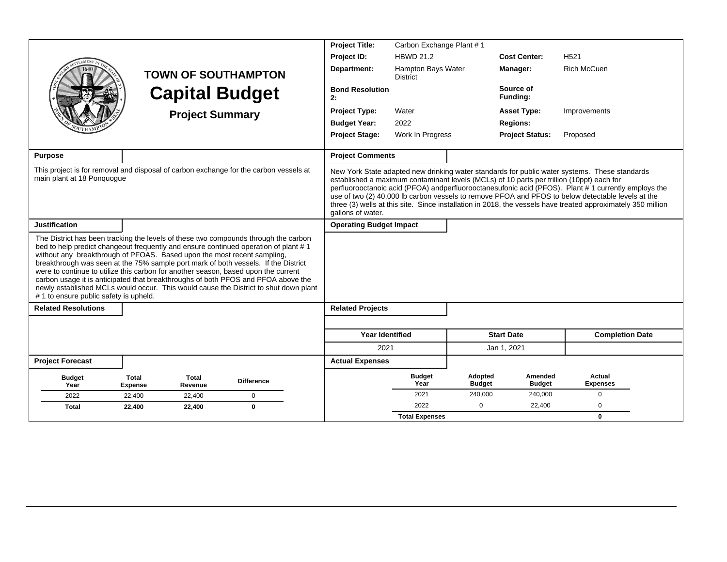|                                                                                                                                                                                                                                                                                                                                                                                                                                                                                                                                                                                                                                                          |                                |                         |                            | <b>Project Title:</b>          | Carbon Exchange Plant #1              |                          |                          |                                                                                                                                                                                                                                                                                                                                                                                                                                                                                                                        |  |
|----------------------------------------------------------------------------------------------------------------------------------------------------------------------------------------------------------------------------------------------------------------------------------------------------------------------------------------------------------------------------------------------------------------------------------------------------------------------------------------------------------------------------------------------------------------------------------------------------------------------------------------------------------|--------------------------------|-------------------------|----------------------------|--------------------------------|---------------------------------------|--------------------------|--------------------------|------------------------------------------------------------------------------------------------------------------------------------------------------------------------------------------------------------------------------------------------------------------------------------------------------------------------------------------------------------------------------------------------------------------------------------------------------------------------------------------------------------------------|--|
|                                                                                                                                                                                                                                                                                                                                                                                                                                                                                                                                                                                                                                                          |                                |                         |                            | Project ID:                    | <b>HBWD 21.2</b>                      |                          | <b>Cost Center:</b>      | H <sub>521</sub>                                                                                                                                                                                                                                                                                                                                                                                                                                                                                                       |  |
|                                                                                                                                                                                                                                                                                                                                                                                                                                                                                                                                                                                                                                                          |                                |                         | <b>TOWN OF SOUTHAMPTON</b> | Department:                    | Hampton Bays Water<br><b>District</b> |                          | Manager:                 | <b>Rich McCuen</b>                                                                                                                                                                                                                                                                                                                                                                                                                                                                                                     |  |
|                                                                                                                                                                                                                                                                                                                                                                                                                                                                                                                                                                                                                                                          |                                |                         | <b>Capital Budget</b>      | <b>Bond Resolution</b><br>2:   |                                       |                          | Source of<br>Funding:    |                                                                                                                                                                                                                                                                                                                                                                                                                                                                                                                        |  |
|                                                                                                                                                                                                                                                                                                                                                                                                                                                                                                                                                                                                                                                          |                                | <b>Project Summary</b>  |                            | <b>Project Type:</b>           | Water                                 |                          | <b>Asset Type:</b>       | Improvements                                                                                                                                                                                                                                                                                                                                                                                                                                                                                                           |  |
|                                                                                                                                                                                                                                                                                                                                                                                                                                                                                                                                                                                                                                                          |                                |                         |                            | <b>Budget Year:</b>            | 2022                                  |                          | <b>Regions:</b>          |                                                                                                                                                                                                                                                                                                                                                                                                                                                                                                                        |  |
|                                                                                                                                                                                                                                                                                                                                                                                                                                                                                                                                                                                                                                                          |                                |                         |                            | <b>Project Stage:</b>          | Work In Progress                      |                          | <b>Project Status:</b>   | Proposed                                                                                                                                                                                                                                                                                                                                                                                                                                                                                                               |  |
| <b>Purpose</b>                                                                                                                                                                                                                                                                                                                                                                                                                                                                                                                                                                                                                                           |                                |                         |                            | <b>Project Comments</b>        |                                       |                          |                          |                                                                                                                                                                                                                                                                                                                                                                                                                                                                                                                        |  |
| This project is for removal and disposal of carbon exchange for the carbon vessels at<br>main plant at 18 Ponquoque                                                                                                                                                                                                                                                                                                                                                                                                                                                                                                                                      |                                |                         |                            | gallons of water.              |                                       |                          |                          | New York State adapted new drinking water standards for public water systems. These standards<br>established a maximum contaminant levels (MCLs) of 10 parts per trillion (10ppt) each for<br>perfluorooctanoic acid (PFOA) andperfluorooctanesufonic acid (PFOS). Plant #1 currently employs the<br>use of two (2) 40,000 lb carbon vessels to remove PFOA and PFOS to below detectable levels at the<br>three (3) wells at this site. Since installation in 2018, the vessels have treated approximately 350 million |  |
| <b>Justification</b>                                                                                                                                                                                                                                                                                                                                                                                                                                                                                                                                                                                                                                     |                                |                         |                            | <b>Operating Budget Impact</b> |                                       |                          |                          |                                                                                                                                                                                                                                                                                                                                                                                                                                                                                                                        |  |
| The District has been tracking the levels of these two compounds through the carbon<br>bed to help predict changeout frequently and ensure continued operation of plant #1<br>without any breakthrough of PFOAS. Based upon the most recent sampling,<br>breakthrough was seen at the 75% sample port mark of both vessels. If the District<br>were to continue to utilize this carbon for another season, based upon the current<br>carbon usage it is anticipated that breakthroughs of both PFOS and PFOA above the<br>newly established MCLs would occur. This would cause the District to shut down plant<br># 1 to ensure public safety is upheld. |                                |                         |                            |                                |                                       |                          |                          |                                                                                                                                                                                                                                                                                                                                                                                                                                                                                                                        |  |
| <b>Related Resolutions</b>                                                                                                                                                                                                                                                                                                                                                                                                                                                                                                                                                                                                                               |                                |                         |                            | <b>Related Projects</b>        |                                       |                          |                          |                                                                                                                                                                                                                                                                                                                                                                                                                                                                                                                        |  |
|                                                                                                                                                                                                                                                                                                                                                                                                                                                                                                                                                                                                                                                          |                                |                         |                            |                                |                                       |                          |                          |                                                                                                                                                                                                                                                                                                                                                                                                                                                                                                                        |  |
|                                                                                                                                                                                                                                                                                                                                                                                                                                                                                                                                                                                                                                                          |                                |                         |                            | <b>Year Identified</b>         |                                       |                          | <b>Start Date</b>        | <b>Completion Date</b>                                                                                                                                                                                                                                                                                                                                                                                                                                                                                                 |  |
|                                                                                                                                                                                                                                                                                                                                                                                                                                                                                                                                                                                                                                                          |                                |                         |                            | 2021                           |                                       |                          | Jan 1, 2021              |                                                                                                                                                                                                                                                                                                                                                                                                                                                                                                                        |  |
| <b>Project Forecast</b>                                                                                                                                                                                                                                                                                                                                                                                                                                                                                                                                                                                                                                  |                                |                         |                            | <b>Actual Expenses</b>         |                                       |                          |                          |                                                                                                                                                                                                                                                                                                                                                                                                                                                                                                                        |  |
| <b>Budget</b><br>Year                                                                                                                                                                                                                                                                                                                                                                                                                                                                                                                                                                                                                                    | <b>Total</b><br><b>Expense</b> | <b>Total</b><br>Revenue | <b>Difference</b>          |                                | <b>Budget</b><br>Year                 | Adopted<br><b>Budget</b> | Amended<br><b>Budget</b> | Actual<br><b>Expenses</b>                                                                                                                                                                                                                                                                                                                                                                                                                                                                                              |  |
| 2022                                                                                                                                                                                                                                                                                                                                                                                                                                                                                                                                                                                                                                                     | 22,400                         | 22,400                  | $\mathbf 0$                |                                | 2021                                  | 240,000                  | 240,000                  | 0                                                                                                                                                                                                                                                                                                                                                                                                                                                                                                                      |  |
| <b>Total</b>                                                                                                                                                                                                                                                                                                                                                                                                                                                                                                                                                                                                                                             | 22,400                         | 22,400                  | $\mathbf 0$                |                                | 2022                                  | $\mathbf 0$              | 22,400                   | 0                                                                                                                                                                                                                                                                                                                                                                                                                                                                                                                      |  |
|                                                                                                                                                                                                                                                                                                                                                                                                                                                                                                                                                                                                                                                          |                                |                         |                            |                                | <b>Total Expenses</b>                 |                          |                          | $\mathbf{0}$                                                                                                                                                                                                                                                                                                                                                                                                                                                                                                           |  |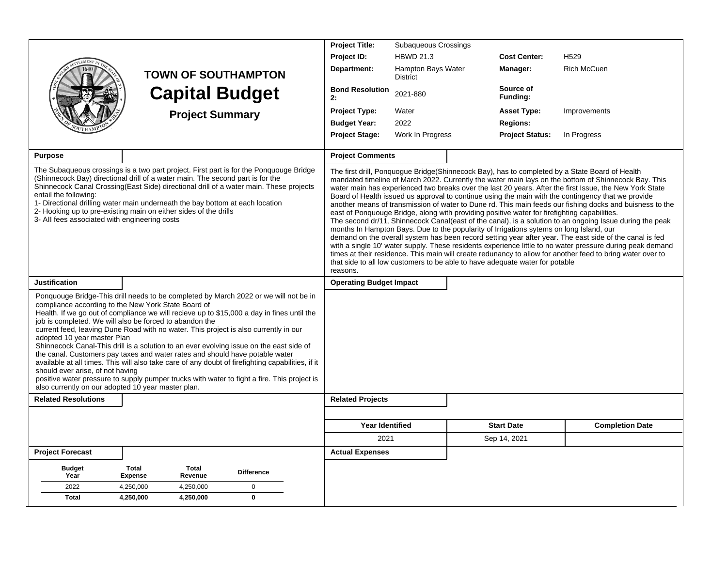|                                                                                                                                                                              |                                                                                                                                                                                                                                                                                                                                                                                                                                                                                                                                                                                                                                                                                                                      | <b>Project Title:</b>          | Subaqueous Crossings                                                                                                                                                                                                                                                                                                                                                                                                                                                             |                        |                                                                                                                                                                                                                                                                                                                                                                                                                                                                                                                                                                                                                                                                                                                                                                               |
|------------------------------------------------------------------------------------------------------------------------------------------------------------------------------|----------------------------------------------------------------------------------------------------------------------------------------------------------------------------------------------------------------------------------------------------------------------------------------------------------------------------------------------------------------------------------------------------------------------------------------------------------------------------------------------------------------------------------------------------------------------------------------------------------------------------------------------------------------------------------------------------------------------|--------------------------------|----------------------------------------------------------------------------------------------------------------------------------------------------------------------------------------------------------------------------------------------------------------------------------------------------------------------------------------------------------------------------------------------------------------------------------------------------------------------------------|------------------------|-------------------------------------------------------------------------------------------------------------------------------------------------------------------------------------------------------------------------------------------------------------------------------------------------------------------------------------------------------------------------------------------------------------------------------------------------------------------------------------------------------------------------------------------------------------------------------------------------------------------------------------------------------------------------------------------------------------------------------------------------------------------------------|
|                                                                                                                                                                              |                                                                                                                                                                                                                                                                                                                                                                                                                                                                                                                                                                                                                                                                                                                      | Project ID:                    | <b>HBWD 21.3</b>                                                                                                                                                                                                                                                                                                                                                                                                                                                                 | <b>Cost Center:</b>    | H <sub>529</sub>                                                                                                                                                                                                                                                                                                                                                                                                                                                                                                                                                                                                                                                                                                                                                              |
|                                                                                                                                                                              | <b>TOWN OF SOUTHAMPTON</b>                                                                                                                                                                                                                                                                                                                                                                                                                                                                                                                                                                                                                                                                                           | Department:                    | Hampton Bays Water<br><b>District</b>                                                                                                                                                                                                                                                                                                                                                                                                                                            | Manager:               | <b>Rich McCuen</b>                                                                                                                                                                                                                                                                                                                                                                                                                                                                                                                                                                                                                                                                                                                                                            |
|                                                                                                                                                                              | <b>Capital Budget</b>                                                                                                                                                                                                                                                                                                                                                                                                                                                                                                                                                                                                                                                                                                | <b>Bond Resolution</b><br>2:   | 2021-880                                                                                                                                                                                                                                                                                                                                                                                                                                                                         | Source of<br>Funding:  |                                                                                                                                                                                                                                                                                                                                                                                                                                                                                                                                                                                                                                                                                                                                                                               |
|                                                                                                                                                                              | <b>Project Summary</b>                                                                                                                                                                                                                                                                                                                                                                                                                                                                                                                                                                                                                                                                                               | <b>Project Type:</b>           | Water                                                                                                                                                                                                                                                                                                                                                                                                                                                                            | <b>Asset Type:</b>     | Improvements                                                                                                                                                                                                                                                                                                                                                                                                                                                                                                                                                                                                                                                                                                                                                                  |
|                                                                                                                                                                              |                                                                                                                                                                                                                                                                                                                                                                                                                                                                                                                                                                                                                                                                                                                      | <b>Budget Year:</b>            | 2022                                                                                                                                                                                                                                                                                                                                                                                                                                                                             | <b>Regions:</b>        |                                                                                                                                                                                                                                                                                                                                                                                                                                                                                                                                                                                                                                                                                                                                                                               |
|                                                                                                                                                                              |                                                                                                                                                                                                                                                                                                                                                                                                                                                                                                                                                                                                                                                                                                                      | <b>Project Stage:</b>          | Work In Progress                                                                                                                                                                                                                                                                                                                                                                                                                                                                 | <b>Project Status:</b> | In Progress                                                                                                                                                                                                                                                                                                                                                                                                                                                                                                                                                                                                                                                                                                                                                                   |
| <b>Purpose</b>                                                                                                                                                               |                                                                                                                                                                                                                                                                                                                                                                                                                                                                                                                                                                                                                                                                                                                      | <b>Project Comments</b>        |                                                                                                                                                                                                                                                                                                                                                                                                                                                                                  |                        |                                                                                                                                                                                                                                                                                                                                                                                                                                                                                                                                                                                                                                                                                                                                                                               |
| entail the following:<br>3- All fees associated with engineering costs                                                                                                       | The Subaqueous crossings is a two part project. First part is for the Ponquouge Bridge<br>(Shinnecock Bay) directional drill of a water main. The second part is for the<br>Shinnecock Canal Crossing(East Side) directional drill of a water main. These projects<br>1- Directional drilling water main underneath the bay bottom at each location<br>2- Hooking up to pre-existing main on either sides of the drills                                                                                                                                                                                                                                                                                              | reasons.                       | The first drill, Ponquogue Bridge (Shinnecock Bay), has to completed by a State Board of Health<br>Board of Health issued us approval to continue using the main with the contingency that we provide<br>east of Ponquouge Bridge, along with providing positive water for firefighting capabilities.<br>months In Hampton Bays. Due to the popularity of Irrigations sytems on long Island, our<br>that side to all low customers to be able to have adequate water for potable |                        | mandated timeline of March 2022. Currently the water main lays on the bottom of Shinnecock Bay. This<br>water main has experienced two breaks over the last 20 years. After the first Issue, the New York State<br>another means of transmission of water to Dune rd. This main feeds our fishing docks and buisness to the<br>The second dr/11, Shinnecock Canal(east of the canal), is a solution to an ongoing Issue during the peak<br>demand on the overall system has been record setting year after year. The east side of the canal is fed<br>with a single 10' water supply. These residents experience little to no water pressure during peak demand<br>times at their residence. This main will create redunancy to allow for another feed to bring water over to |
| <b>Justification</b>                                                                                                                                                         |                                                                                                                                                                                                                                                                                                                                                                                                                                                                                                                                                                                                                                                                                                                      | <b>Operating Budget Impact</b> |                                                                                                                                                                                                                                                                                                                                                                                                                                                                                  |                        |                                                                                                                                                                                                                                                                                                                                                                                                                                                                                                                                                                                                                                                                                                                                                                               |
| compliance according to the New York State Board of<br>adopted 10 year master Plan<br>should ever arise, of not having<br>also currently on our adopted 10 year master plan. | Ponquouge Bridge-This drill needs to be completed by March 2022 or we will not be in<br>Health. If we go out of compliance we will recieve up to \$15,000 a day in fines until the<br>job is completed. We will also be forced to abandon the<br>current feed, leaving Dune Road with no water. This project is also currently in our<br>Shinnecock Canal-This drill is a solution to an ever evolving issue on the east side of<br>the canal. Customers pay taxes and water rates and should have potable water<br>available at all times. This will also take care of any doubt of firefighting capabilities, if it<br>positive water pressure to supply pumper trucks with water to fight a fire. This project is |                                |                                                                                                                                                                                                                                                                                                                                                                                                                                                                                  |                        |                                                                                                                                                                                                                                                                                                                                                                                                                                                                                                                                                                                                                                                                                                                                                                               |
| <b>Related Resolutions</b>                                                                                                                                                   |                                                                                                                                                                                                                                                                                                                                                                                                                                                                                                                                                                                                                                                                                                                      | <b>Related Projects</b>        |                                                                                                                                                                                                                                                                                                                                                                                                                                                                                  |                        |                                                                                                                                                                                                                                                                                                                                                                                                                                                                                                                                                                                                                                                                                                                                                                               |
|                                                                                                                                                                              |                                                                                                                                                                                                                                                                                                                                                                                                                                                                                                                                                                                                                                                                                                                      |                                |                                                                                                                                                                                                                                                                                                                                                                                                                                                                                  |                        |                                                                                                                                                                                                                                                                                                                                                                                                                                                                                                                                                                                                                                                                                                                                                                               |
|                                                                                                                                                                              |                                                                                                                                                                                                                                                                                                                                                                                                                                                                                                                                                                                                                                                                                                                      | Year Identified                |                                                                                                                                                                                                                                                                                                                                                                                                                                                                                  | <b>Start Date</b>      | <b>Completion Date</b>                                                                                                                                                                                                                                                                                                                                                                                                                                                                                                                                                                                                                                                                                                                                                        |
|                                                                                                                                                                              |                                                                                                                                                                                                                                                                                                                                                                                                                                                                                                                                                                                                                                                                                                                      | 2021                           |                                                                                                                                                                                                                                                                                                                                                                                                                                                                                  | Sep 14, 2021           |                                                                                                                                                                                                                                                                                                                                                                                                                                                                                                                                                                                                                                                                                                                                                                               |
| <b>Project Forecast</b>                                                                                                                                                      |                                                                                                                                                                                                                                                                                                                                                                                                                                                                                                                                                                                                                                                                                                                      | <b>Actual Expenses</b>         |                                                                                                                                                                                                                                                                                                                                                                                                                                                                                  |                        |                                                                                                                                                                                                                                                                                                                                                                                                                                                                                                                                                                                                                                                                                                                                                                               |
| <b>Budget</b><br>Year                                                                                                                                                        | <b>Total</b><br>Total<br><b>Difference</b><br><b>Expense</b><br>Revenue                                                                                                                                                                                                                                                                                                                                                                                                                                                                                                                                                                                                                                              |                                |                                                                                                                                                                                                                                                                                                                                                                                                                                                                                  |                        |                                                                                                                                                                                                                                                                                                                                                                                                                                                                                                                                                                                                                                                                                                                                                                               |
| 2022                                                                                                                                                                         | 4,250,000<br>4,250,000<br>0                                                                                                                                                                                                                                                                                                                                                                                                                                                                                                                                                                                                                                                                                          |                                |                                                                                                                                                                                                                                                                                                                                                                                                                                                                                  |                        |                                                                                                                                                                                                                                                                                                                                                                                                                                                                                                                                                                                                                                                                                                                                                                               |
| Total                                                                                                                                                                        | $\mathbf{0}$<br>4,250,000<br>4,250,000                                                                                                                                                                                                                                                                                                                                                                                                                                                                                                                                                                                                                                                                               |                                |                                                                                                                                                                                                                                                                                                                                                                                                                                                                                  |                        |                                                                                                                                                                                                                                                                                                                                                                                                                                                                                                                                                                                                                                                                                                                                                                               |